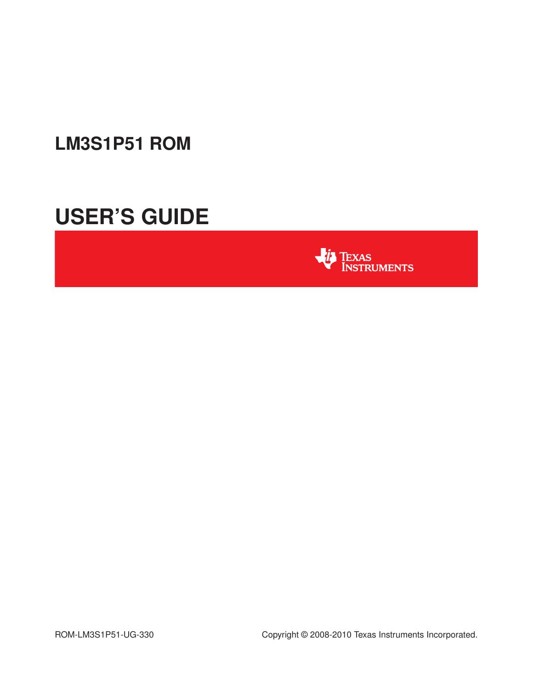**LM3S1P51 ROM**

# **USER'S GUIDE**



ROM-LM3S1P51-UG-330 Copyright © 2008-2010 Texas Instruments Incorporated.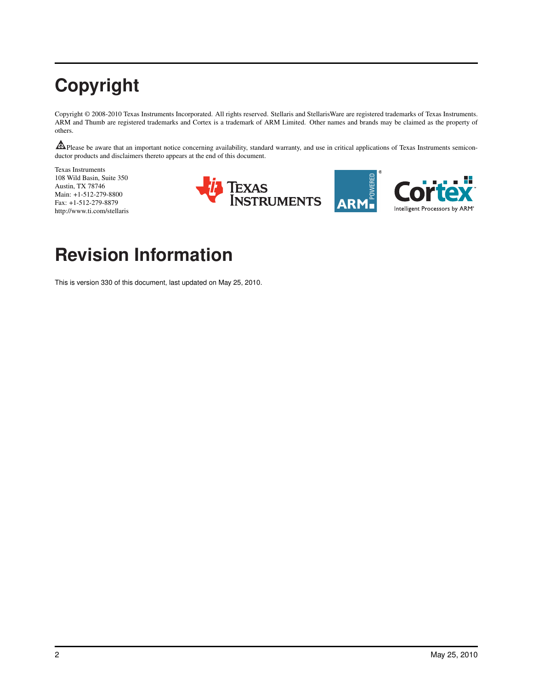# <span id="page-1-0"></span>**Copyright**

Copyright © 2008-2010 Texas Instruments Incorporated. All rights reserved. Stellaris and StellarisWare are registered trademarks of Texas Instruments. ARM and Thumb are registered trademarks and Cortex is a trademark of ARM Limited. Other names and brands may be claimed as the property of others.

Please be aware that an important notice concerning availability, standard warranty, and use in critical applications of Texas Instruments semiconductor products and disclaimers thereto appears at the end of this document.

Texas Instruments 108 Wild Basin, Suite 350 Austin, TX 78746 Main: +1-512-279-8800 Fax: +1-512-279-8879 http://www.ti.com/stellaris





# <span id="page-1-1"></span>**Revision Information**

This is version 330 of this document, last updated on May 25, 2010.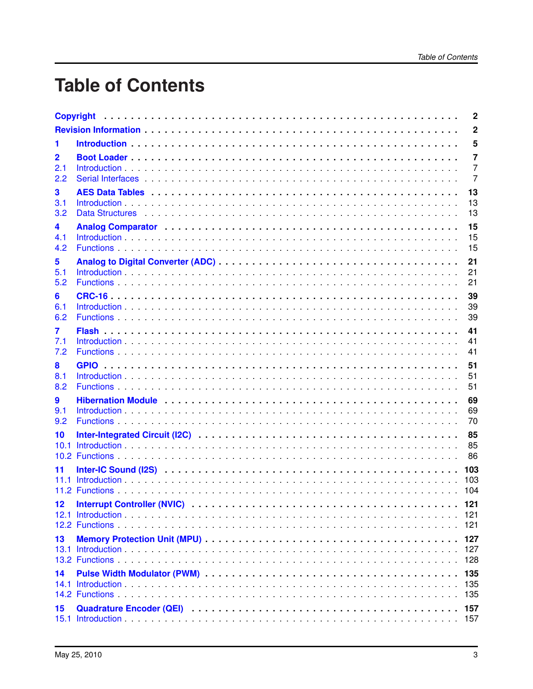# **Table of Contents**

|                   |                                                                                                                                                                                                                                       | $\overline{2}$    |
|-------------------|---------------------------------------------------------------------------------------------------------------------------------------------------------------------------------------------------------------------------------------|-------------------|
|                   | <b>Revision Information Example 20</b> and <b>Revision Information Continued Acts 20 and 20 and 20 and 20 and 20 and 20 and 20 and 20 and 20 and 20 and 20 and 20 and 20 and 20 and 20 and 20 and 20 and 20 and 20 and 20 and 20 </b> | $\overline{2}$    |
| 1                 |                                                                                                                                                                                                                                       | 5                 |
| $\mathbf{2}$      |                                                                                                                                                                                                                                       | $\overline{7}$    |
| 2.1               |                                                                                                                                                                                                                                       | $\overline{7}$    |
| 2.2               |                                                                                                                                                                                                                                       | $\overline{7}$    |
| 3                 |                                                                                                                                                                                                                                       | 13                |
| 3.1               |                                                                                                                                                                                                                                       | 13                |
| 3.2               |                                                                                                                                                                                                                                       | 13                |
| 4                 |                                                                                                                                                                                                                                       | 15                |
| 4.1               |                                                                                                                                                                                                                                       | 15                |
| 4.2               |                                                                                                                                                                                                                                       | 15                |
| 5                 |                                                                                                                                                                                                                                       | 21                |
| 5.1               |                                                                                                                                                                                                                                       | 21                |
| 5.2               |                                                                                                                                                                                                                                       | 21                |
| 6                 |                                                                                                                                                                                                                                       | 39                |
| 6.1               |                                                                                                                                                                                                                                       | 39                |
| 6.2               |                                                                                                                                                                                                                                       | 39                |
| 7                 |                                                                                                                                                                                                                                       | 41                |
| 7.1               |                                                                                                                                                                                                                                       | 41                |
| 7.2               |                                                                                                                                                                                                                                       | 41                |
| 8                 |                                                                                                                                                                                                                                       | 51                |
| 8.1               |                                                                                                                                                                                                                                       | 51                |
| 8.2               |                                                                                                                                                                                                                                       | 51                |
| 9                 | Hibernation Module<br>Subsettle Module<br>Subsettle Pressures and Alberta Module Module Module Marshall Alberta Module Module Module Marshall Alberta Module Module Module Module Marshall Alberta Module Module Module Module Mod    | 69                |
| 9.1               |                                                                                                                                                                                                                                       | 69                |
| 9.2               |                                                                                                                                                                                                                                       | 70                |
| 10                |                                                                                                                                                                                                                                       | 85                |
| 10.1              |                                                                                                                                                                                                                                       | 85                |
| 10.2 <sub>1</sub> |                                                                                                                                                                                                                                       | 86                |
| 11<br>11.1        |                                                                                                                                                                                                                                       | 103<br>103        |
| 12<br>12.1        |                                                                                                                                                                                                                                       | 121<br>121<br>121 |
| 13<br>13.1        |                                                                                                                                                                                                                                       | 127<br>127<br>128 |
| 14                |                                                                                                                                                                                                                                       | 135<br>135<br>135 |
| 15                |                                                                                                                                                                                                                                       | 157               |
| 15.1              |                                                                                                                                                                                                                                       | 157               |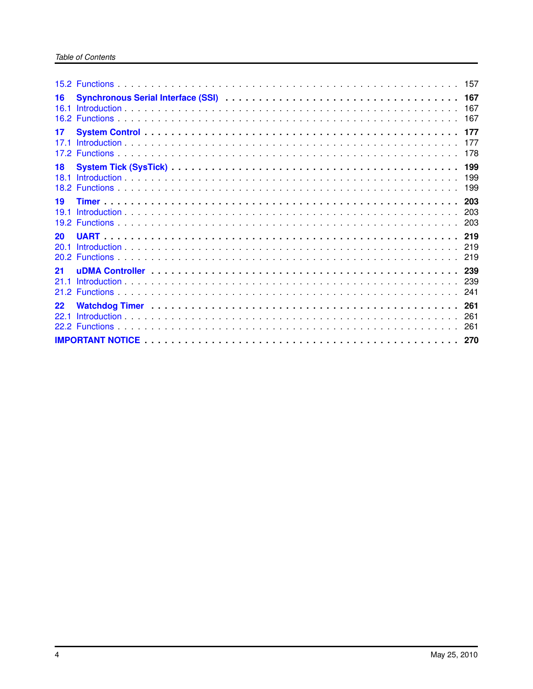| 16<br>16 <sub>1</sub>         | 167               |     |
|-------------------------------|-------------------|-----|
| 17<br>171                     | 177               |     |
| 18<br>18.1                    | 199               | 199 |
| 19<br>19 <sub>1</sub><br>19.2 | 203<br>203        | 203 |
| 20<br>20 <sub>1</sub>         | 219               |     |
| 21                            | 241               |     |
| 22                            | 261<br>261<br>261 |     |
|                               |                   |     |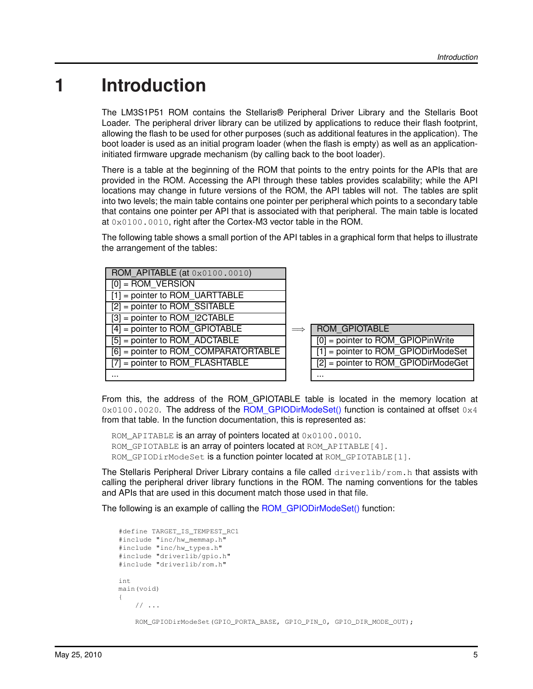# <span id="page-4-0"></span>**1 Introduction**

The LM3S1P51 ROM contains the Stellaris® Peripheral Driver Library and the Stellaris Boot Loader. The peripheral driver library can be utilized by applications to reduce their flash footprint, allowing the flash to be used for other purposes (such as additional features in the application). The boot loader is used as an initial program loader (when the flash is empty) as well as an applicationinitiated firmware upgrade mechanism (by calling back to the boot loader).

There is a table at the beginning of the ROM that points to the entry points for the APIs that are provided in the ROM. Accessing the API through these tables provides scalability; while the API locations may change in future versions of the ROM, the API tables will not. The tables are split into two levels; the main table contains one pointer per peripheral which points to a secondary table that contains one pointer per API that is associated with that peripheral. The main table is located at 0x0100.0010, right after the Cortex-M3 vector table in the ROM.

The following table shows a small portion of the API tables in a graphical form that helps to illustrate the arrangement of the tables:

| ROM_APITABLE (at 0x0100.0010)          |                                       |
|----------------------------------------|---------------------------------------|
| $[0]$ = ROM_VERSION                    |                                       |
| $[1]$ = pointer to ROM_UARTTABLE       |                                       |
| $[2]$ = pointer to ROM SSITABLE        |                                       |
| $[3]$ = pointer to ROM_I2CTABLE        |                                       |
| $[4]$ = pointer to ROM GPIOTABLE       | ROM GPIOTABLE                         |
| $[5]$ = pointer to ROM ADCTABLE        | $[0]$ = pointer to ROM GPIOPinWrite   |
| $[6]$ = pointer to ROM_COMPARATORTABLE | $[1]$ = pointer to ROM_GPIODirModeSet |
| $[7]$ = pointer to ROM FLASHTABLE      | [2] = pointer to ROM_GPIODirModeGet   |
| $\cdots$                               | $\cdots$                              |

| ROM GPIOTABLE                                   |
|-------------------------------------------------|
| $[0]$ = pointer to ROM GPIOPinWrite             |
| $\overline{11}$ = pointer to ROM GPIODirModeSet |
| $[2]$ = pointer to ROM GPIODirModeGet           |
|                                                 |

From this, the address of the ROM\_GPIOTABLE table is located in the memory location at  $0 \times 0100.0020$ . The address of the ROM GPIODirModeSet() function is contained at offset  $0 \times 4$ from that table. In the function documentation, this is represented as:

ROM\_APITABLE is an array of pointers located at 0x0100.0010. ROM GPIOTABLE is an array of pointers located at ROM APITABLE [4]. ROM GPIODirModeSet is a function pointer located at ROM GPIOTABLE[1].

The Stellaris Peripheral Driver Library contains a file called driverlib/rom.h that assists with calling the peripheral driver library functions in the ROM. The naming conventions for the tables and APIs that are used in this document match those used in that file.

The following is an example of calling the [ROM\\_GPIODirModeSet\(\)](#page-52-0) function:

```
#define TARGET_IS_TEMPEST_RC1
#include "inc/hw_memmap.h"
#include "inc/hw_types.h"
#include "driverlib/gpio.h"
#include "driverlib/rom.h"
int
main(void)
{
    // ...
    ROM_GPIODirModeSet(GPIO_PORTA_BASE, GPIO_PIN_0, GPIO_DIR_MODE_OUT);
```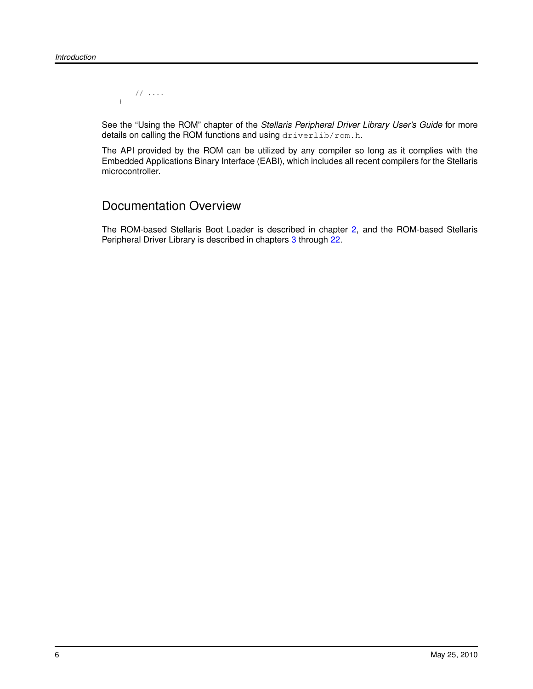// .... }

See the "Using the ROM" chapter of the *Stellaris Peripheral Driver Library User's Guide* for more details on calling the ROM functions and using driverlib/rom.h.

The API provided by the ROM can be utilized by any compiler so long as it complies with the Embedded Applications Binary Interface (EABI), which includes all recent compilers for the Stellaris microcontroller.

### Documentation Overview

The ROM-based Stellaris Boot Loader is described in chapter [2,](#page-6-0) and the ROM-based Stellaris Peripheral Driver Library is described in chapters [3](#page-12-0) through [22.](#page-260-0)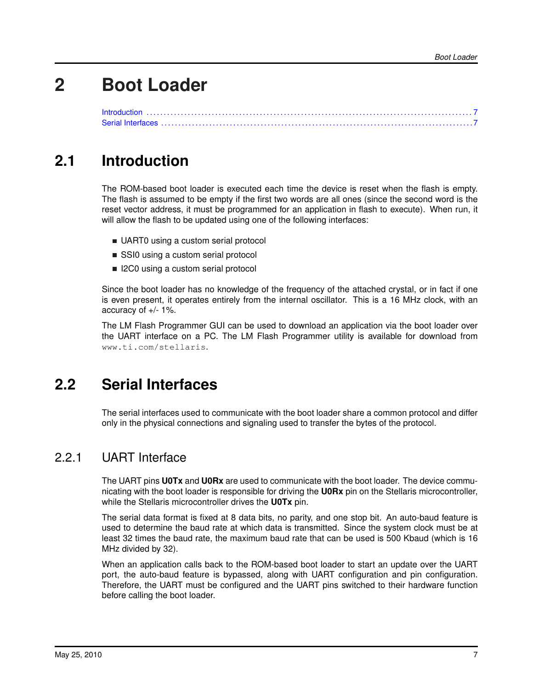# <span id="page-6-0"></span>**2 Boot Loader**

<span id="page-6-3"></span>

## <span id="page-6-1"></span>**2.1 Introduction**

The ROM-based boot loader is executed each time the device is reset when the flash is empty. The flash is assumed to be empty if the first two words are all ones (since the second word is the reset vector address, it must be programmed for an application in flash to execute). When run, it will allow the flash to be updated using one of the following interfaces:

- UART0 using a custom serial protocol
- SSI0 using a custom serial protocol
- I2C0 using a custom serial protocol

Since the boot loader has no knowledge of the frequency of the attached crystal, or in fact if one is even present, it operates entirely from the internal oscillator. This is a 16 MHz clock, with an accuracy of +/- 1%.

<span id="page-6-4"></span>The LM Flash Programmer GUI can be used to download an application via the boot loader over the UART interface on a PC. The LM Flash Programmer utility is available for download from [www.ti.com/stellaris](http://www.ti.com/stellaris).

## <span id="page-6-2"></span>**2.2 Serial Interfaces**

The serial interfaces used to communicate with the boot loader share a common protocol and differ only in the physical connections and signaling used to transfer the bytes of the protocol.

### 2.2.1 UART Interface

The UART pins **U0Tx** and **U0Rx** are used to communicate with the boot loader. The device communicating with the boot loader is responsible for driving the **U0Rx** pin on the Stellaris microcontroller, while the Stellaris microcontroller drives the **U0Tx** pin.

The serial data format is fixed at 8 data bits, no parity, and one stop bit. An auto-baud feature is used to determine the baud rate at which data is transmitted. Since the system clock must be at least 32 times the baud rate, the maximum baud rate that can be used is 500 Kbaud (which is 16 MHz divided by 32).

When an application calls back to the ROM-based boot loader to start an update over the UART port, the auto-baud feature is bypassed, along with UART configuration and pin configuration. Therefore, the UART must be configured and the UART pins switched to their hardware function before calling the boot loader.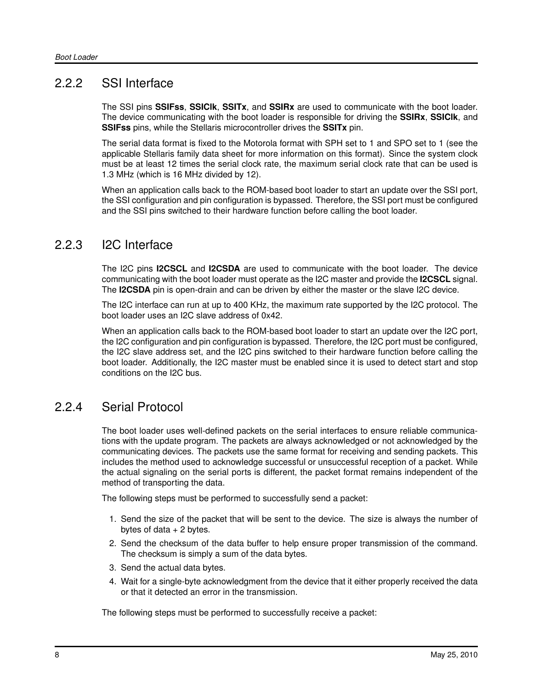### 2.2.2 SSI Interface

The SSI pins **SSIFss**, **SSIClk**, **SSITx**, and **SSIRx** are used to communicate with the boot loader. The device communicating with the boot loader is responsible for driving the **SSIRx**, **SSIClk**, and **SSIFss** pins, while the Stellaris microcontroller drives the **SSITx** pin.

The serial data format is fixed to the Motorola format with SPH set to 1 and SPO set to 1 (see the applicable Stellaris family data sheet for more information on this format). Since the system clock must be at least 12 times the serial clock rate, the maximum serial clock rate that can be used is 1.3 MHz (which is 16 MHz divided by 12).

When an application calls back to the ROM-based boot loader to start an update over the SSI port, the SSI configuration and pin configuration is bypassed. Therefore, the SSI port must be configured and the SSI pins switched to their hardware function before calling the boot loader.

### 2.2.3 I2C Interface

The I2C pins **I2CSCL** and **I2CSDA** are used to communicate with the boot loader. The device communicating with the boot loader must operate as the I2C master and provide the **I2CSCL** signal. The **I2CSDA** pin is open-drain and can be driven by either the master or the slave I2C device.

The I2C interface can run at up to 400 KHz, the maximum rate supported by the I2C protocol. The boot loader uses an I2C slave address of 0x42.

When an application calls back to the ROM-based boot loader to start an update over the I2C port, the I2C configuration and pin configuration is bypassed. Therefore, the I2C port must be configured, the I2C slave address set, and the I2C pins switched to their hardware function before calling the boot loader. Additionally, the I2C master must be enabled since it is used to detect start and stop conditions on the I2C bus.

### 2.2.4 Serial Protocol

The boot loader uses well-defined packets on the serial interfaces to ensure reliable communications with the update program. The packets are always acknowledged or not acknowledged by the communicating devices. The packets use the same format for receiving and sending packets. This includes the method used to acknowledge successful or unsuccessful reception of a packet. While the actual signaling on the serial ports is different, the packet format remains independent of the method of transporting the data.

The following steps must be performed to successfully send a packet:

- 1. Send the size of the packet that will be sent to the device. The size is always the number of bytes of data  $+ 2$  bytes.
- 2. Send the checksum of the data buffer to help ensure proper transmission of the command. The checksum is simply a sum of the data bytes.
- 3. Send the actual data bytes.
- 4. Wait for a single-byte acknowledgment from the device that it either properly received the data or that it detected an error in the transmission.

The following steps must be performed to successfully receive a packet: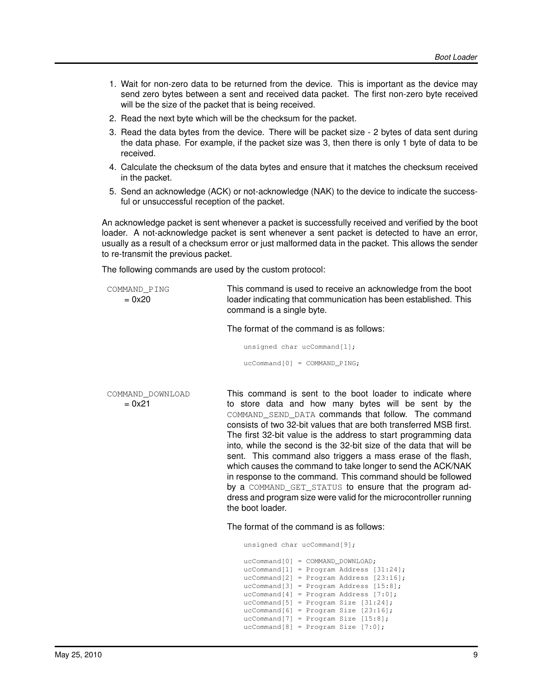- 1. Wait for non-zero data to be returned from the device. This is important as the device may send zero bytes between a sent and received data packet. The first non-zero byte received will be the size of the packet that is being received.
- 2. Read the next byte which will be the checksum for the packet.
- 3. Read the data bytes from the device. There will be packet size 2 bytes of data sent during the data phase. For example, if the packet size was 3, then there is only 1 byte of data to be received.
- 4. Calculate the checksum of the data bytes and ensure that it matches the checksum received in the packet.
- 5. Send an acknowledge (ACK) or not-acknowledge (NAK) to the device to indicate the successful or unsuccessful reception of the packet.

An acknowledge packet is sent whenever a packet is successfully received and verified by the boot loader. A not-acknowledge packet is sent whenever a sent packet is detected to have an error, usually as a result of a checksum error or just malformed data in the packet. This allows the sender to re-transmit the previous packet.

The following commands are used by the custom protocol:

COMMAND\_PING  $= 0x20$ This command is used to receive an acknowledge from the boot loader indicating that communication has been established. This command is a single byte. The format of the command is as follows: unsigned char ucCommand[1]; ucCommand[0] = COMMAND\_PING; COMMAND\_DOWNLOAD  $= 0x21$ This command is sent to the boot loader to indicate where to store data and how many bytes will be sent by the COMMAND\_SEND\_DATA commands that follow. The command consists of two 32-bit values that are both transferred MSB first. The first 32-bit value is the address to start programming data into, while the second is the 32-bit size of the data that will be sent. This command also triggers a mass erase of the flash, which causes the command to take longer to send the ACK/NAK in response to the command. This command should be followed by a COMMAND\_GET\_STATUS to ensure that the program address and program size were valid for the microcontroller running the boot loader. The format of the command is as follows:

unsigned char ucCommand[9]; ucCommand[0] = COMMAND\_DOWNLOAD; ucCommand[1] = Program Address [31:24]; ucCommand[2] = Program Address [23:16]; ucCommand[3] = Program Address  $[15:8]$ ; ucCommand[4] = Program Address [7:0]; ucCommand[5] = Program Size  $[31:24]$ ; ucCommand[6] = Program Size [23:16]; ucCommand $[7]$  = Program Size  $[15:8]$ ;  $ucCommand[8] = Program Size [7:0];$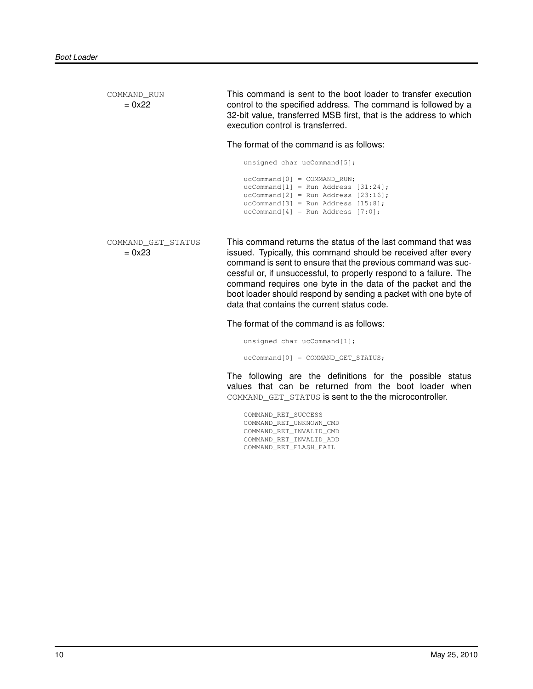COMMAND\_RUN  $= 0x22$ This command is sent to the boot loader to transfer execution control to the specified address. The command is followed by a 32-bit value, transferred MSB first, that is the address to which execution control is transferred. The format of the command is as follows:

> unsigned char ucCommand[5]; ucCommand[0] = COMMAND\_RUN; ucCommand $[1]$  = Run Address  $[31:24]$ ; ucCommand $[2]$  = Run Address  $[23:16]$ ; ucCommand $[3]$  = Run Address  $[15:8]$ ; ucCommand[4] = Run Address [7:0];

COMMAND\_GET\_STATUS  $= 0x23$ 

This command returns the status of the last command that was issued. Typically, this command should be received after every command is sent to ensure that the previous command was successful or, if unsuccessful, to properly respond to a failure. The command requires one byte in the data of the packet and the boot loader should respond by sending a packet with one byte of data that contains the current status code.

#### The format of the command is as follows:

unsigned char ucCommand[1]; ucCommand[0] = COMMAND\_GET\_STATUS;

The following are the definitions for the possible status values that can be returned from the boot loader when COMMAND\_GET\_STATUS is sent to the the microcontroller.

```
COMMAND_RET_SUCCESS
COMMAND_RET_UNKNOWN_CMD
COMMAND_RET_INVALID_CMD
COMMAND_RET_INVALID_ADD
COMMAND_RET_FLASH_FAIL
```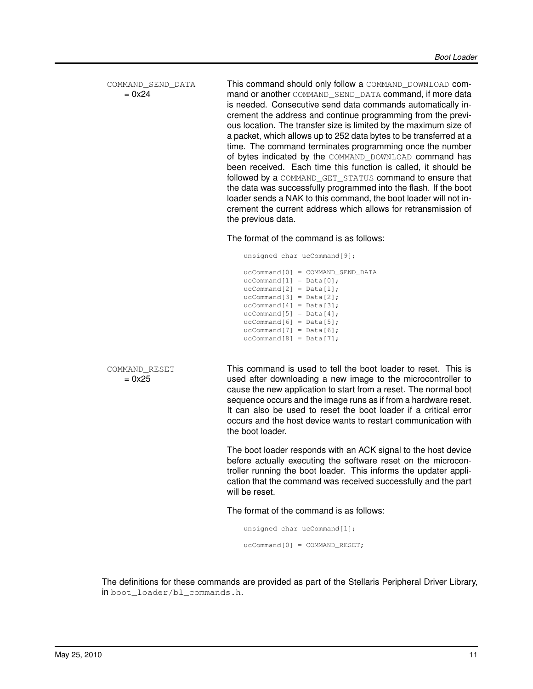COMMAND\_SEND\_DATA  $= 0x24$ 

This command should only follow a COMMAND DOWNLOAD command or another COMMAND SEND DATA command, if more data is needed. Consecutive send data commands automatically increment the address and continue programming from the previous location. The transfer size is limited by the maximum size of a packet, which allows up to 252 data bytes to be transferred at a time. The command terminates programming once the number of bytes indicated by the COMMAND DOWNLOAD command has been received. Each time this function is called, it should be followed by a COMMAND\_GET\_STATUS command to ensure that the data was successfully programmed into the flash. If the boot loader sends a NAK to this command, the boot loader will not increment the current address which allows for retransmission of the previous data.

The format of the command is as follows:

unsigned char ucCommand[9];

ucCommand[0] = COMMAND\_SEND\_DATA  $ucCommand[1] = Data[0];$  $ucCommand[2] = Data[1];$ ucCommand[3] =  $Data[2]$ ;  $ucCommand[4] = Data[3];$  $ucCommand[5] = Data[4];$  $ucCommand[6] = Data[5];$  $ucCommand[7] = Data[6];$  $ucCommand[8] = Data[7];$ 

COMMAND\_RESET  $= 0x25$ 

This command is used to tell the boot loader to reset. This is used after downloading a new image to the microcontroller to cause the new application to start from a reset. The normal boot sequence occurs and the image runs as if from a hardware reset. It can also be used to reset the boot loader if a critical error occurs and the host device wants to restart communication with the boot loader.

The boot loader responds with an ACK signal to the host device before actually executing the software reset on the microcontroller running the boot loader. This informs the updater application that the command was received successfully and the part will be reset.

The format of the command is as follows:

```
unsigned char ucCommand[1];
ucCommand[0] = COMMAND_RESET;
```
The definitions for these commands are provided as part of the Stellaris Peripheral Driver Library, in boot\_loader/bl\_commands.h.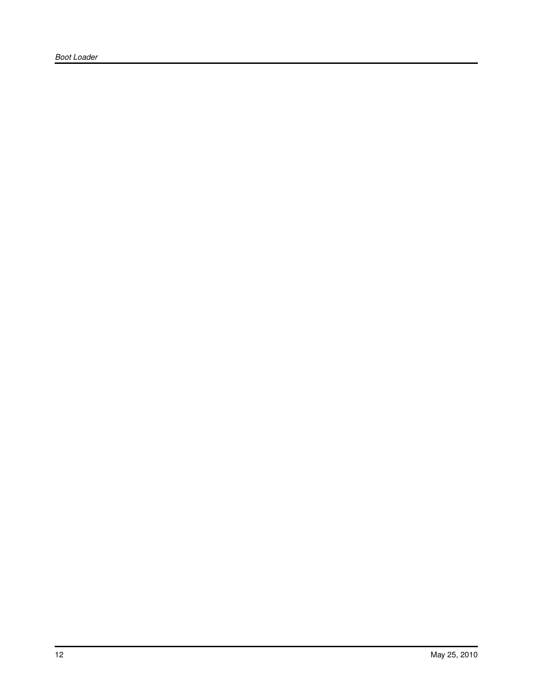*Boot Loader*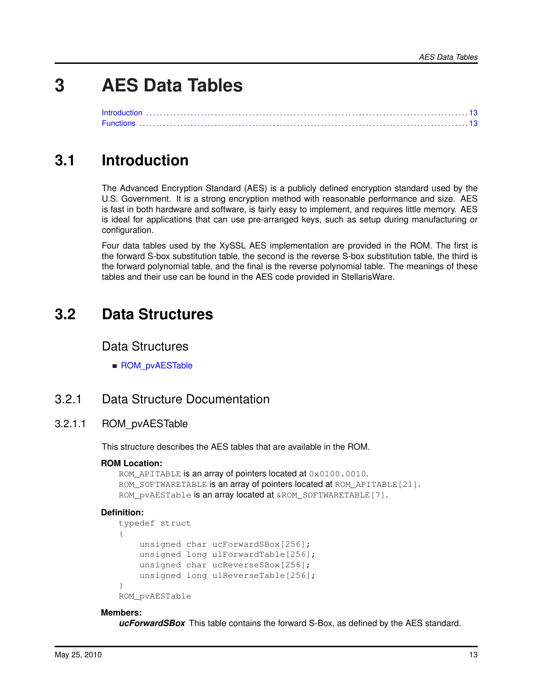## <span id="page-12-0"></span>**3 AES Data Tables**

<span id="page-12-3"></span>

## <span id="page-12-1"></span>**3.1 Introduction**

The Advanced Encryption Standard (AES) is a publicly defined encryption standard used by the U.S. Government. It is a strong encryption method with reasonable performance and size. AES is fast in both hardware and software, is fairly easy to implement, and requires little memory. AES is ideal for applications that can use pre-arranged keys, such as setup during manufacturing or configuration.

Four data tables used by the XySSL AES implementation are provided in the ROM. The first is the forward S-box substitution table, the second is the reverse S-box substitution table, the third is the forward polynomial table, and the final is the reverse polynomial table. The meanings of these tables and their use can be found in the AES code provided in StellarisWare.

## <span id="page-12-2"></span>**3.2 Data Structures**

### Data Structures

<span id="page-12-4"></span>[ROM\\_pvAESTable](#page-12-5)

### 3.2.1 Data Structure Documentation

### <span id="page-12-5"></span>3.2.1.1 ROM\_pvAESTable

This structure describes the AES tables that are available in the ROM.

### **ROM Location:**

```
ROM_APITABLE is an array of pointers located at 0 \times 0100.0010.
ROM_SOFTWARETABLE is an array of pointers located at ROM_APITABLE [21].
ROM_pvAESTable is an array located at &ROM_SOFTWARETABLE [7].
```
### **Definition:**

```
typedef struct
{
    unsigned char ucForwardSBox[256];
    unsigned long ulForwardTable[256];
    unsigned char ucReverseSBox[256];
    unsigned long ulReverseTable[256];
}
ROM_pvAESTable
```
### **Members:**

*ucForwardSBox* This table contains the forward S-Box, as defined by the AES standard.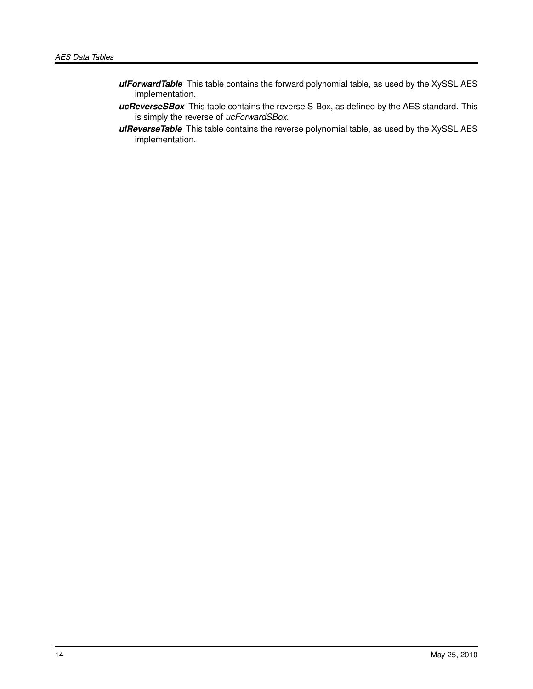- *ulForwardTable* This table contains the forward polynomial table, as used by the XySSL AES implementation.
- *ucReverseSBox* This table contains the reverse S-Box, as defined by the AES standard. This is simply the reverse of *ucForwardSBox*.
- *ulReverseTable* This table contains the reverse polynomial table, as used by the XySSL AES implementation.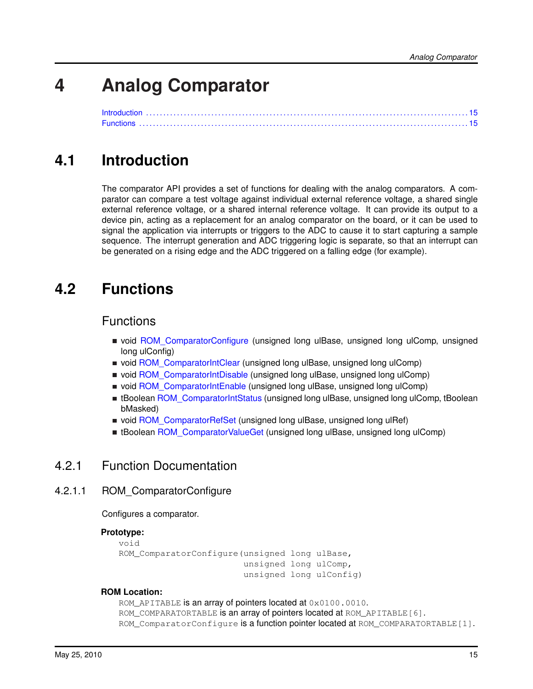# <span id="page-14-0"></span>**4 Analog Comparator**

<span id="page-14-3"></span>

## <span id="page-14-1"></span>**4.1 Introduction**

The comparator API provides a set of functions for dealing with the analog comparators. A comparator can compare a test voltage against individual external reference voltage, a shared single external reference voltage, or a shared internal reference voltage. It can provide its output to a device pin, acting as a replacement for an analog comparator on the board, or it can be used to signal the application via interrupts or triggers to the ADC to cause it to start capturing a sample sequence. The interrupt generation and ADC triggering logic is separate, so that an interrupt can be generated on a rising edge and the ADC triggered on a falling edge (for example).

## <span id="page-14-2"></span>**4.2 Functions**

### Functions

- <span id="page-14-4"></span>void ROM ComparatorConfigure (unsigned long ulBase, unsigned long ulComp, unsigned long ulConfig)
- void [ROM\\_ComparatorIntClear](#page-15-0) (unsigned long ulBase, unsigned long ulComp)
- void [ROM\\_ComparatorIntDisable](#page-16-0) (unsigned long ulBase, unsigned long ulComp)
- void [ROM\\_ComparatorIntEnable](#page-16-1) (unsigned long ulBase, unsigned long ulComp)
- tBoolean [ROM\\_ComparatorIntStatus](#page-17-0) (unsigned long ulBase, unsigned long ulComp, tBoolean bMasked)
- void [ROM\\_ComparatorRefSet](#page-17-1) (unsigned long ulBase, unsigned long ulRef)
- tBoolean [ROM\\_ComparatorValueGet](#page-19-0) (unsigned long ulBase, unsigned long ulComp)

### 4.2.1 Function Documentation

### <span id="page-14-5"></span>4.2.1.1 ROM\_ComparatorConfigure

Configures a comparator.

### **Prototype:**

```
void
ROM ComparatorConfigure(unsigned long ulBase,
                        unsigned long ulComp,
                        unsigned long ulConfig)
```
### **ROM Location:**

ROM\_APITABLE is an array of pointers located at  $0 \times 0100$ .0010. ROM\_COMPARATORTABLE is an array of pointers located at ROM\_APITABLE [6]. ROM ComparatorConfigure is a function pointer located at ROM COMPARATORTABLE[1].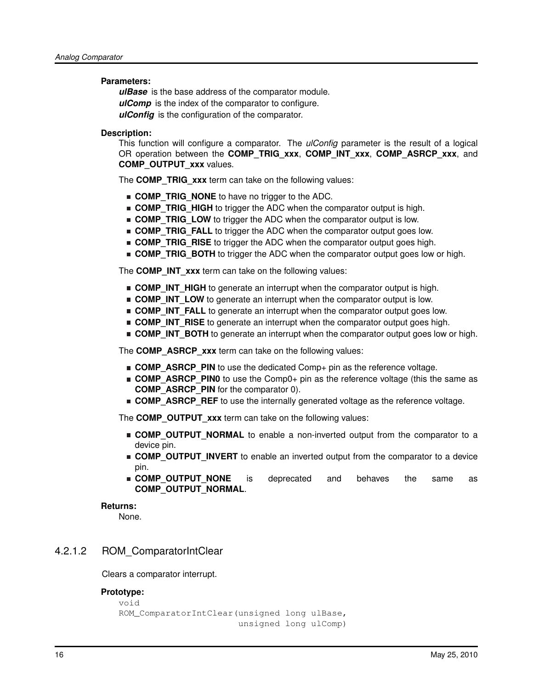### **Parameters:**

*ulBase* is the base address of the comparator module. *ulComp* is the index of the comparator to configure. *ulConfig* is the configuration of the comparator.

### **Description:**

This function will configure a comparator. The *ulConfig* parameter is the result of a logical OR operation between the **COMP\_TRIG\_xxx**, **COMP\_INT\_xxx**, **COMP\_ASRCP\_xxx**, and **COMP\_OUTPUT\_xxx** values.

The **COMP\_TRIG\_xxx** term can take on the following values:

- **COMP\_TRIG\_NONE** to have no trigger to the ADC.
- **COMP TRIG HIGH** to trigger the ADC when the comparator output is high.
- **COMP TRIG LOW** to trigger the ADC when the comparator output is low.
- **COMP\_TRIG\_FALL** to trigger the ADC when the comparator output goes low.
- **COMP\_TRIG\_RISE** to trigger the ADC when the comparator output goes high.
- **COMP\_TRIG\_BOTH** to trigger the ADC when the comparator output goes low or high.

The **COMP\_INT\_xxx** term can take on the following values:

- **COMP\_INT\_HIGH** to generate an interrupt when the comparator output is high.
- **COMP\_INT\_LOW** to generate an interrupt when the comparator output is low.
- **COMP\_INT\_FALL** to generate an interrupt when the comparator output goes low.
- **COMP\_INT\_RISE** to generate an interrupt when the comparator output goes high.
- **COMP** INT BOTH to generate an interrupt when the comparator output goes low or high.

The **COMP** ASRCP xxx term can take on the following values:

- **COMP\_ASRCP\_PIN** to use the dedicated Comp+ pin as the reference voltage.
- **COMP\_ASRCP\_PIN0** to use the Comp0+ pin as the reference voltage (this the same as **COMP\_ASRCP\_PIN** for the comparator 0).
- **COMP\_ASRCP\_REF** to use the internally generated voltage as the reference voltage.

The **COMP** OUTPUT xxx term can take on the following values:

- **COMP\_OUTPUT\_NORMAL** to enable a non-inverted output from the comparator to a device pin.
- **COMP\_OUTPUT\_INVERT** to enable an inverted output from the comparator to a device pin.
- **COMP\_OUTPUT\_NONE** is deprecated and behaves the same as **COMP\_OUTPUT\_NORMAL**.

#### **Returns:**

None.

### <span id="page-15-0"></span>4.2.1.2 ROM\_ComparatorIntClear

Clears a comparator interrupt.

```
void
ROM_ComparatorIntClear(unsigned long ulBase,
                       unsigned long ulComp)
```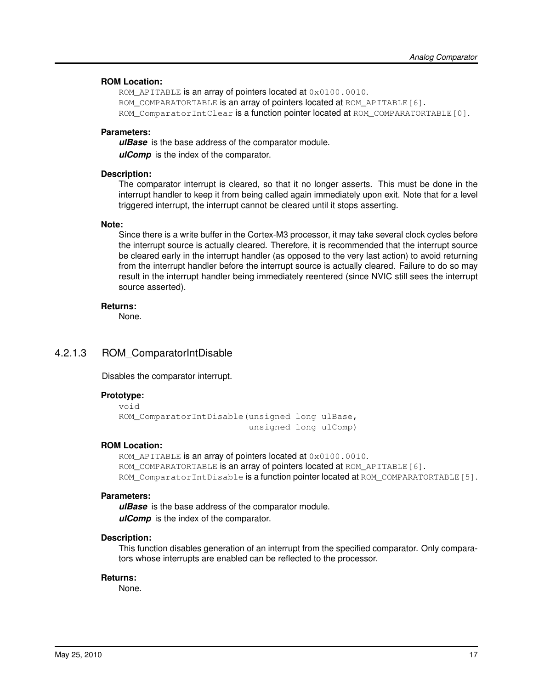### **ROM Location:**

ROM\_APITABLE is an array of pointers located at  $0 \times 0100$ .0010. ROM\_COMPARATORTABLE is an array of pointers located at ROM\_APITABLE[6]. ROM\_ComparatorIntClear is a function pointer located at ROM\_COMPARATORTABLE[0].

### **Parameters:**

*ulBase* is the base address of the comparator module.

*ulComp* is the index of the comparator.

#### **Description:**

The comparator interrupt is cleared, so that it no longer asserts. This must be done in the interrupt handler to keep it from being called again immediately upon exit. Note that for a level triggered interrupt, the interrupt cannot be cleared until it stops asserting.

#### **Note:**

Since there is a write buffer in the Cortex-M3 processor, it may take several clock cycles before the interrupt source is actually cleared. Therefore, it is recommended that the interrupt source be cleared early in the interrupt handler (as opposed to the very last action) to avoid returning from the interrupt handler before the interrupt source is actually cleared. Failure to do so may result in the interrupt handler being immediately reentered (since NVIC still sees the interrupt source asserted).

### **Returns:**

None.

### <span id="page-16-0"></span>4.2.1.3 ROM\_ComparatorIntDisable

Disables the comparator interrupt.

#### **Prototype:**

```
void
ROM_ComparatorIntDisable(unsigned long ulBase,
                         unsigned long ulComp)
```
### **ROM Location:**

```
ROM APITABLE is an array of pointers located at 0x0100.0010.
ROM COMPARATORTABLE is an array of pointers located at ROM APITABLE [6].
ROM_ComparatorIntDisable is a function pointer located at ROM_COMPARATORTABLE[5].
```
#### **Parameters:**

*ulBase* is the base address of the comparator module. *ulComp* is the index of the comparator.

### **Description:**

This function disables generation of an interrupt from the specified comparator. Only comparators whose interrupts are enabled can be reflected to the processor.

#### <span id="page-16-1"></span>**Returns:**

None.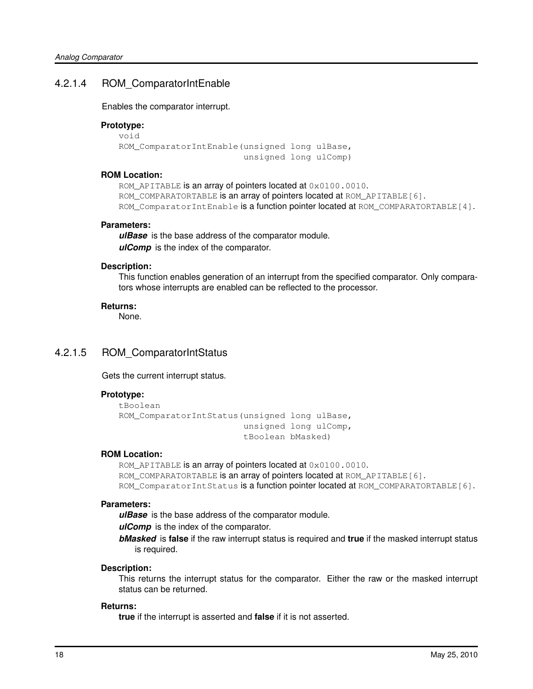### 4.2.1.4 ROM\_ComparatorIntEnable

Enables the comparator interrupt.

#### **Prototype:**

```
void
ROM_ComparatorIntEnable(unsigned long ulBase,
                        unsigned long ulComp)
```
### **ROM Location:**

ROM\_APITABLE is an array of pointers located at  $0 \times 0100$ .0010. ROM\_COMPARATORTABLE is an array of pointers located at ROM\_APITABLE [6]. ROM\_ComparatorIntEnable is a function pointer located at ROM\_COMPARATORTABLE [4].

### **Parameters:**

*ulBase* is the base address of the comparator module. *ulComp* is the index of the comparator.

#### **Description:**

This function enables generation of an interrupt from the specified comparator. Only comparators whose interrupts are enabled can be reflected to the processor.

### **Returns:**

None.

### <span id="page-17-0"></span>4.2.1.5 ROM\_ComparatorIntStatus

Gets the current interrupt status.

### **Prototype:**

```
tBoolean
ROM_ComparatorIntStatus(unsigned long ulBase,
                        unsigned long ulComp,
                        tBoolean bMasked)
```
### **ROM Location:**

ROM APITABLE is an array of pointers located at  $0 \times 0100$ .0010. ROM COMPARATORTABLE is an array of pointers located at ROM APITABLE [6]. ROM\_ComparatorIntStatus is a function pointer located at ROM\_COMPARATORTABLE [6].

### **Parameters:**

*ulBase* is the base address of the comparator module. *ulComp* is the index of the comparator.

*bMasked* is **false** if the raw interrupt status is required and **true** if the masked interrupt status is required.

### **Description:**

This returns the interrupt status for the comparator. Either the raw or the masked interrupt status can be returned.

#### <span id="page-17-1"></span>**Returns:**

**true** if the interrupt is asserted and **false** if it is not asserted.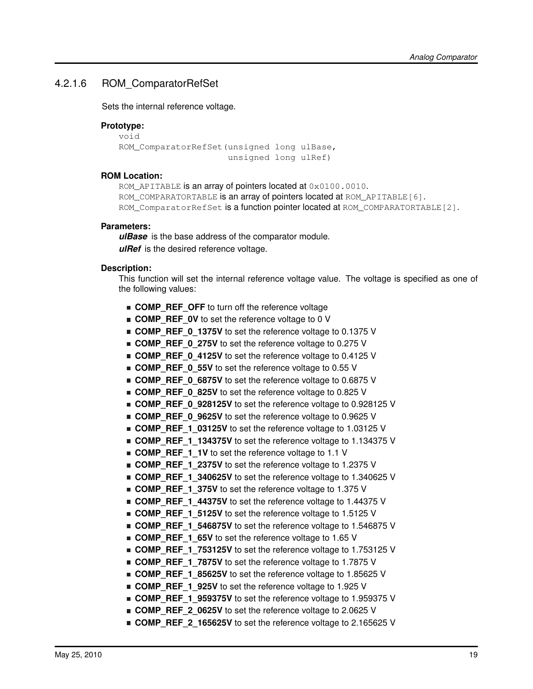### 4.2.1.6 ROM\_ComparatorRefSet

Sets the internal reference voltage.

### **Prototype:**

```
void
ROM ComparatorRefSet(unsigned long ulBase,
                     unsigned long ulRef)
```
### **ROM Location:**

ROM\_APITABLE is an array of pointers located at  $0 \times 0100$ .0010. ROM\_COMPARATORTABLE is an array of pointers located at ROM\_APITABLE[6]. ROM ComparatorRefSet is a function pointer located at ROM COMPARATORTABLE[2].

### **Parameters:**

*ulBase* is the base address of the comparator module. *ulRef* is the desired reference voltage.

### **Description:**

This function will set the internal reference voltage value. The voltage is specified as one of the following values:

- **COMP\_REF\_OFF** to turn off the reference voltage
- **COMP\_REF\_0V** to set the reference voltage to 0 V
- COMP\_REF\_0\_1375V to set the reference voltage to 0.1375 V
- **COMP\_REF\_0\_275V** to set the reference voltage to 0.275 V
- **COMP\_REF\_0\_4125V** to set the reference voltage to 0.4125 V
- **COMP\_REF\_0\_55V** to set the reference voltage to 0.55 V
- **COMP\_REF\_0\_6875V** to set the reference voltage to 0.6875 V
- **COMP\_REF\_0\_825V** to set the reference voltage to 0.825 V
- **COMP\_REF\_0\_928125V** to set the reference voltage to 0.928125 V
- COMP\_REF\_0\_9625V to set the reference voltage to 0.9625 V
- **COMP\_REF\_1\_03125V** to set the reference voltage to 1.03125 V
- **COMP\_REF\_1\_134375V** to set the reference voltage to 1.134375 V
- **COMP\_REF\_1\_1V** to set the reference voltage to 1.1 V
- COMP\_REF\_1\_2375V to set the reference voltage to 1.2375 V
- **COMP\_REF\_1\_340625V** to set the reference voltage to 1.340625 V
- COMP\_REF\_1\_375V to set the reference voltage to 1.375 V
- **COMP\_REF\_1\_44375V** to set the reference voltage to 1.44375 V
- COMP\_REF\_1\_5125V to set the reference voltage to 1.5125 V
- **COMP\_REF\_1\_546875V** to set the reference voltage to 1.546875 V
- COMP\_REF\_1\_65V to set the reference voltage to 1.65 V
- **COMP\_REF\_1\_753125V** to set the reference voltage to 1.753125 V
- COMP REF 1 7875V to set the reference voltage to 1.7875 V
- COMP\_REF\_1\_85625V to set the reference voltage to 1.85625 V
- **COMP\_REF\_1\_925V** to set the reference voltage to 1.925 V
- **COMP\_REF\_1\_959375V** to set the reference voltage to 1.959375 V
- **COMP\_REF\_2\_0625V** to set the reference voltage to 2.0625 V
- **COMP\_REF\_2\_165625V** to set the reference voltage to 2.165625 V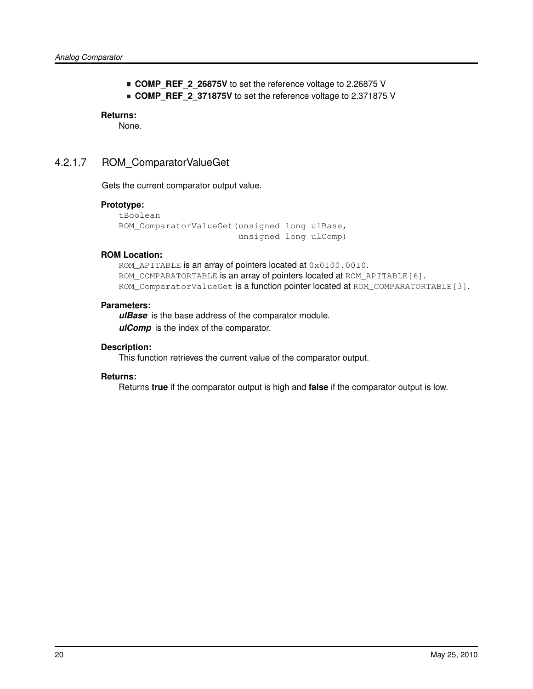- COMP REF 2 26875V to set the reference voltage to 2.26875 V
- **COMP\_REF\_2\_371875V** to set the reference voltage to 2.371875 V

### **Returns:**

None.

### <span id="page-19-0"></span>4.2.1.7 ROM\_ComparatorValueGet

Gets the current comparator output value.

### **Prototype:**

```
tBoolean
ROM_ComparatorValueGet(unsigned long ulBase,
                       unsigned long ulComp)
```
### **ROM Location:**

ROM\_APITABLE is an array of pointers located at  $0 \times 0100$ .0010. ROM\_COMPARATORTABLE is an array of pointers located at ROM\_APITABLE[6]. ROM\_ComparatorValueGet is a function pointer located at ROM\_COMPARATORTABLE[3].

### **Parameters:**

*ulBase* is the base address of the comparator module. *ulComp* is the index of the comparator.

### **Description:**

This function retrieves the current value of the comparator output.

### **Returns:**

Returns **true** if the comparator output is high and **false** if the comparator output is low.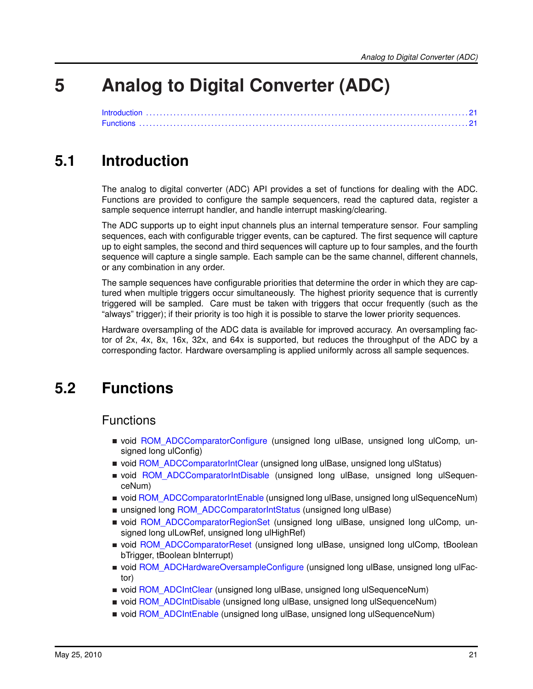# <span id="page-20-0"></span>**5 Analog to Digital Converter (ADC)**

<span id="page-20-3"></span>[Introduction . . . . . . . . . . . . . . . . . . . . . . . . . . . . . . . . . . . . . . . . . . . . . . . . . . . . . . . . . . . . . . . . . . . . . . . . . . . . . . . . . . . . . . . . . . . . . .](#page-20-3) [21](#page-20-1) [Functions . . . . . . . . . . . . . . . . . . . . . . . . . . . . . . . . . . . . . . . . . . . . . . . . . . . . . . . . . . . . . . . . . . . . . . . . . . . . . . . . . . . . . . . . . . . . . . . .](#page-20-4) [21](#page-20-2)

## <span id="page-20-1"></span>**5.1 Introduction**

The analog to digital converter (ADC) API provides a set of functions for dealing with the ADC. Functions are provided to configure the sample sequencers, read the captured data, register a sample sequence interrupt handler, and handle interrupt masking/clearing.

The ADC supports up to eight input channels plus an internal temperature sensor. Four sampling sequences, each with configurable trigger events, can be captured. The first sequence will capture up to eight samples, the second and third sequences will capture up to four samples, and the fourth sequence will capture a single sample. Each sample can be the same channel, different channels, or any combination in any order.

The sample sequences have configurable priorities that determine the order in which they are captured when multiple triggers occur simultaneously. The highest priority sequence that is currently triggered will be sampled. Care must be taken with triggers that occur frequently (such as the "always" trigger); if their priority is too high it is possible to starve the lower priority sequences.

Hardware oversampling of the ADC data is available for improved accuracy. An oversampling factor of 2x, 4x, 8x, 16x, 32x, and 64x is supported, but reduces the throughput of the ADC by a corresponding factor. Hardware oversampling is applied uniformly across all sample sequences.

## <span id="page-20-2"></span>**5.2 Functions**

### **Functions**

- <span id="page-20-4"></span>void [ROM\\_ADCComparatorConfigure](#page-21-0) (unsigned long ulBase, unsigned long ulComp, unsigned long ulConfig)
- void [ROM\\_ADCComparatorIntClear](#page-23-0) (unsigned long ulBase, unsigned long ulStatus)
- void ROM ADCComparatorIntDisable (unsigned long ulBase, unsigned long ulSequenceNum)
- void [ROM\\_ADCComparatorIntEnable](#page-23-2) (unsigned long ulBase, unsigned long ulSequenceNum)
- unsigned long [ROM\\_ADCComparatorIntStatus](#page-24-0) (unsigned long ulBase)
- void [ROM\\_ADCComparatorRegionSet](#page-24-1) (unsigned long ulBase, unsigned long ulComp, unsigned long ulLowRef, unsigned long ulHighRef)
- void [ROM\\_ADCComparatorReset](#page-25-0) (unsigned long ulBase, unsigned long ulComp, tBoolean bTrigger, tBoolean bInterrupt)
- void [ROM\\_ADCHardwareOversampleConfigure](#page-26-0) (unsigned long ulBase, unsigned long ulFactor)
- void [ROM\\_ADCIntClear](#page-26-1) (unsigned long ulBase, unsigned long ulSequenceNum)
- void [ROM\\_ADCIntDisable](#page-27-0) (unsigned long ulBase, unsigned long ulSequenceNum)
- void [ROM\\_ADCIntEnable](#page-27-1) (unsigned long ulBase, unsigned long ulSequenceNum)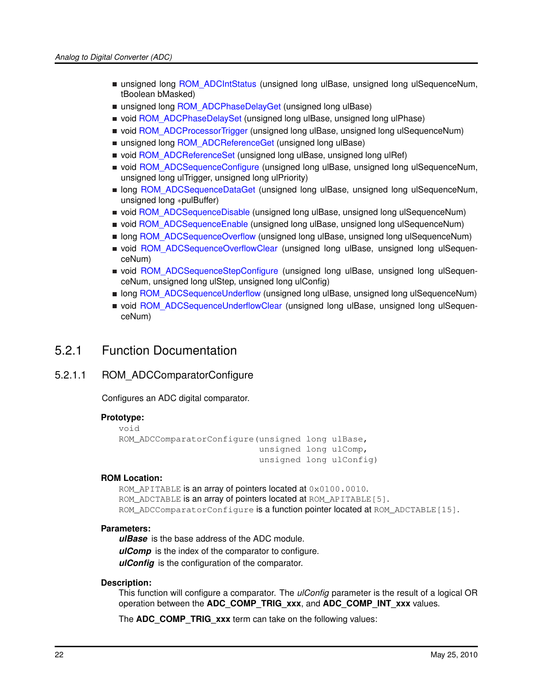- unsigned long [ROM\\_ADCIntStatus](#page-28-0) (unsigned long ulBase, unsigned long ulSequenceNum, tBoolean bMasked)
- unsigned long [ROM\\_ADCPhaseDelayGet](#page-28-1) (unsigned long ulBase)
- void [ROM\\_ADCPhaseDelaySet](#page-29-0) (unsigned long ulBase, unsigned long ulPhase)
- void [ROM\\_ADCProcessorTrigger](#page-30-0) (unsigned long ulBase, unsigned long ulSequenceNum)
- unsigned long [ROM\\_ADCReferenceGet](#page-30-1) (unsigned long ulBase)
- void [ROM\\_ADCReferenceSet](#page-31-0) (unsigned long ulBase, unsigned long ulRef)
- void [ROM\\_ADCSequenceConfigure](#page-31-1) (unsigned long ulBase, unsigned long ulSequenceNum, unsigned long ulTrigger, unsigned long ulPriority)
- long [ROM\\_ADCSequenceDataGet](#page-33-0) (unsigned long ulBase, unsigned long ulSequenceNum, unsigned long ∗pulBuffer)
- void [ROM\\_ADCSequenceDisable](#page-33-1) (unsigned long ulBase, unsigned long ulSequenceNum)
- void [ROM\\_ADCSequenceEnable](#page-34-0) (unsigned long ulBase, unsigned long ulSequenceNum)
- **n** long ROM ADCSequenceOverflow (unsigned long ulBase, unsigned long ulSequenceNum)
- void [ROM\\_ADCSequenceOverflowClear](#page-35-0) (unsigned long ulBase, unsigned long ulSequenceNum)
- void [ROM\\_ADCSequenceStepConfigure](#page-35-1) (unsigned long ulBase, unsigned long ulSequenceNum, unsigned long ulStep, unsigned long ulConfig)
- **n** long ROM ADCSequenceUnderflow (unsigned long ulBase, unsigned long ulSequenceNum)
- void [ROM\\_ADCSequenceUnderflowClear](#page-37-0) (unsigned long ulBase, unsigned long ulSequenceNum)

### 5.2.1 Function Documentation

<span id="page-21-0"></span>5.2.1.1 ROM\_ADCComparatorConfigure

Configures an ADC digital comparator.

### **Prototype:**

```
void
ROM_ADCComparatorConfigure(unsigned long ulBase,
                           unsigned long ulComp,
                           unsigned long ulConfig)
```
### **ROM Location:**

ROM\_APITABLE is an array of pointers located at  $0 \times 0100$ .0010. ROM ADCTABLE is an array of pointers located at ROM APITABLE[5]. ROM ADCComparatorConfigure is a function pointer located at ROM ADCTABLE [15].

### **Parameters:**

*ulBase* is the base address of the ADC module. *ulComp* is the index of the comparator to configure. *ulConfig* is the configuration of the comparator.

### **Description:**

This function will configure a comparator. The *ulConfig* parameter is the result of a logical OR operation between the **ADC\_COMP\_TRIG\_xxx**, and **ADC\_COMP\_INT\_xxx** values.

The **ADC** COMP TRIG xxx term can take on the following values: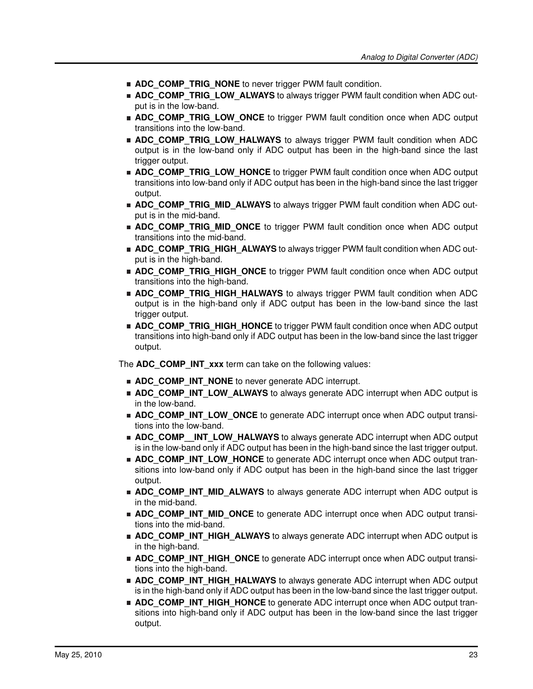- **ADC\_COMP\_TRIG\_NONE** to never trigger PWM fault condition.
- **ADC\_COMP\_TRIG\_LOW\_ALWAYS** to always trigger PWM fault condition when ADC output is in the low-band.
- **ADC\_COMP\_TRIG\_LOW\_ONCE** to trigger PWM fault condition once when ADC output transitions into the low-band.
- **ADC COMP TRIG LOW HALWAYS** to always trigger PWM fault condition when ADC output is in the low-band only if ADC output has been in the high-band since the last trigger output.
- **ADC\_COMP\_TRIG\_LOW\_HONCE** to trigger PWM fault condition once when ADC output transitions into low-band only if ADC output has been in the high-band since the last trigger output.
- **ADC\_COMP\_TRIG\_MID\_ALWAYS** to always trigger PWM fault condition when ADC output is in the mid-band.
- **ADC\_COMP\_TRIG\_MID\_ONCE** to trigger PWM fault condition once when ADC output transitions into the mid-band.
- **ADC\_COMP\_TRIG\_HIGH\_ALWAYS** to always trigger PWM fault condition when ADC output is in the high-band.
- **ADC\_COMP\_TRIG\_HIGH\_ONCE** to trigger PWM fault condition once when ADC output transitions into the high-band.
- **ADC\_COMP\_TRIG\_HIGH\_HALWAYS** to always trigger PWM fault condition when ADC output is in the high-band only if ADC output has been in the low-band since the last trigger output.
- **ADC\_COMP\_TRIG\_HIGH\_HONCE** to trigger PWM fault condition once when ADC output transitions into high-band only if ADC output has been in the low-band since the last trigger output.

The **ADC** COMP INT xxx term can take on the following values:

- **ADC\_COMP\_INT\_NONE** to never generate ADC interrupt.
- **ADC\_COMP\_INT\_LOW\_ALWAYS** to always generate ADC interrupt when ADC output is in the low-band.
- **ADC\_COMP\_INT\_LOW\_ONCE** to generate ADC interrupt once when ADC output transitions into the low-band.
- **ADC\_COMP\_INT\_LOW\_HALWAYS** to always generate ADC interrupt when ADC output is in the low-band only if ADC output has been in the high-band since the last trigger output.
- **ADC\_COMP\_INT\_LOW\_HONCE** to generate ADC interrupt once when ADC output transitions into low-band only if ADC output has been in the high-band since the last trigger output.
- **ADC\_COMP\_INT\_MID\_ALWAYS** to always generate ADC interrupt when ADC output is in the mid-band.
- **ADC\_COMP\_INT\_MID\_ONCE** to generate ADC interrupt once when ADC output transitions into the mid-band.
- **ADC\_COMP\_INT\_HIGH\_ALWAYS** to always generate ADC interrupt when ADC output is in the high-band.
- **ADC\_COMP\_INT\_HIGH\_ONCE** to generate ADC interrupt once when ADC output transitions into the high-band.
- **ADC\_COMP\_INT\_HIGH\_HALWAYS** to always generate ADC interrupt when ADC output is in the high-band only if ADC output has been in the low-band since the last trigger output.
- **ADC\_COMP\_INT\_HIGH\_HONCE** to generate ADC interrupt once when ADC output transitions into high-band only if ADC output has been in the low-band since the last trigger output.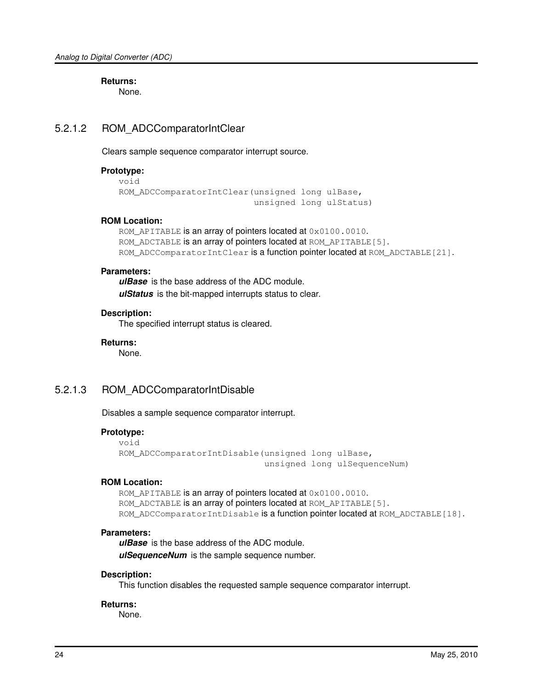**Returns:**

None.

### <span id="page-23-0"></span>5.2.1.2 ROM\_ADCComparatorIntClear

Clears sample sequence comparator interrupt source.

### **Prototype:**

```
void
ROM_ADCComparatorIntClear(unsigned long ulBase,
                          unsigned long ulStatus)
```
### **ROM Location:**

ROM APITABLE is an array of pointers located at 0x0100.0010. ROM\_ADCTABLE is an array of pointers located at ROM\_APITABLE[5]. ROM\_ADCComparatorIntClear is a function pointer located at ROM\_ADCTABLE[21].

### **Parameters:**

*ulBase* is the base address of the ADC module. *ulStatus* is the bit-mapped interrupts status to clear.

### **Description:**

The specified interrupt status is cleared.

### **Returns:**

None.

### <span id="page-23-1"></span>5.2.1.3 ROM\_ADCComparatorIntDisable

Disables a sample sequence comparator interrupt.

### **Prototype:**

```
void
ROM_ADCComparatorIntDisable(unsigned long ulBase,
                            unsigned long ulSequenceNum)
```
### **ROM Location:**

ROM\_APITABLE is an array of pointers located at  $0 \times 0100$ .0010. ROM\_ADCTABLE is an array of pointers located at ROM\_APITABLE[5]. ROM\_ADCComparatorIntDisable is a function pointer located at ROM\_ADCTABLE[18].

### **Parameters:**

*ulBase* is the base address of the ADC module. *ulSequenceNum* is the sample sequence number.

### **Description:**

This function disables the requested sample sequence comparator interrupt.

#### <span id="page-23-2"></span>**Returns:**

None.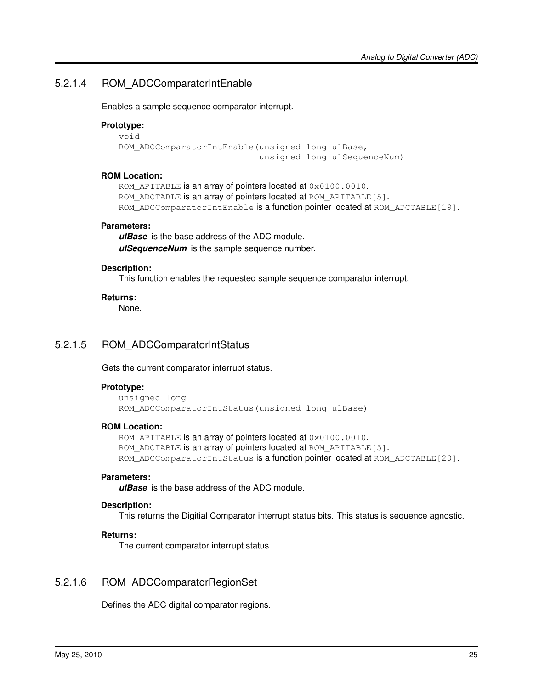### 5.2.1.4 ROM\_ADCComparatorIntEnable

Enables a sample sequence comparator interrupt.

### **Prototype:**

```
void
ROM ADCComparatorIntEnable(unsigned long ulBase,
                           unsigned long ulSequenceNum)
```
### **ROM Location:**

ROM\_APITABLE is an array of pointers located at  $0 \times 0100$ .0010. ROM\_ADCTABLE is an array of pointers located at ROM\_APITABLE[5]. ROM\_ADCComparatorIntEnable is a function pointer located at ROM\_ADCTABLE[19].

### **Parameters:**

*ulBase* is the base address of the ADC module. *ulSequenceNum* is the sample sequence number.

### **Description:**

This function enables the requested sample sequence comparator interrupt.

### **Returns:**

None.

### <span id="page-24-0"></span>5.2.1.5 ROM\_ADCComparatorIntStatus

Gets the current comparator interrupt status.

### **Prototype:**

```
unsigned long
ROM_ADCComparatorIntStatus(unsigned long ulBase)
```
### **ROM Location:**

ROM\_APITABLE is an array of pointers located at  $0 \times 0100$ .0010. ROM\_ADCTABLE is an array of pointers located at ROM\_APITABLE[5]. ROM\_ADCComparatorIntStatus is a function pointer located at ROM\_ADCTABLE[20].

### **Parameters:**

*ulBase* is the base address of the ADC module.

### **Description:**

This returns the Digitial Comparator interrupt status bits. This status is sequence agnostic.

### **Returns:**

The current comparator interrupt status.

### <span id="page-24-1"></span>5.2.1.6 ROM\_ADCComparatorRegionSet

Defines the ADC digital comparator regions.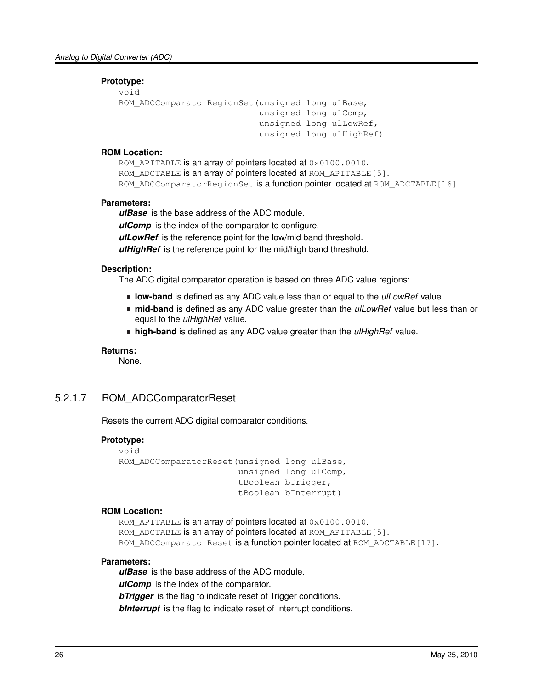### **Prototype:**

```
void
ROM_ADCComparatorRegionSet(unsigned long ulBase,
                            unsigned long ulComp,
                            unsigned long ulLowRef,
                            unsigned long ulHighRef)
```
### **ROM Location:**

ROM\_APITABLE is an array of pointers located at  $0 \times 0100$ .0010. ROM ADCTABLE is an array of pointers located at ROM APITABLE[5]. ROM ADCComparatorRegionSet is a function pointer located at ROM ADCTABLE[16].

### **Parameters:**

*ulBase* is the base address of the ADC module. *ulComp* is the index of the comparator to configure. *ulLowRef* is the reference point for the low/mid band threshold. *ulHighRef* is the reference point for the mid/high band threshold.

### **Description:**

The ADC digital comparator operation is based on three ADC value regions:

- **low-band** is defined as any ADC value less than or equal to the *ulLowRef* value.
- **mid-band** is defined as any ADC value greater than the *ulLowRef* value but less than or equal to the *ulHighRef* value.
- **high-band** is defined as any ADC value greater than the *ulHighRef* value.

### **Returns:**

None.

### <span id="page-25-0"></span>5.2.1.7 ROM\_ADCComparatorReset

Resets the current ADC digital comparator conditions.

### **Prototype:**

```
void
ROM ADCComparatorReset(unsigned long ulBase,
                        unsigned long ulComp,
                        tBoolean bTrigger,
                        tBoolean bInterrupt)
```
### **ROM Location:**

ROM\_APITABLE is an array of pointers located at  $0 \times 0100$ .0010. ROM ADCTABLE is an array of pointers located at ROM APITABLE[5]. ROM\_ADCComparatorReset is a function pointer located at ROM\_ADCTABLE[17].

### **Parameters:**

*ulBase* is the base address of the ADC module. *ulComp* is the index of the comparator. *bTrigger* is the flag to indicate reset of Trigger conditions. *bInterrupt* is the flag to indicate reset of Interrupt conditions.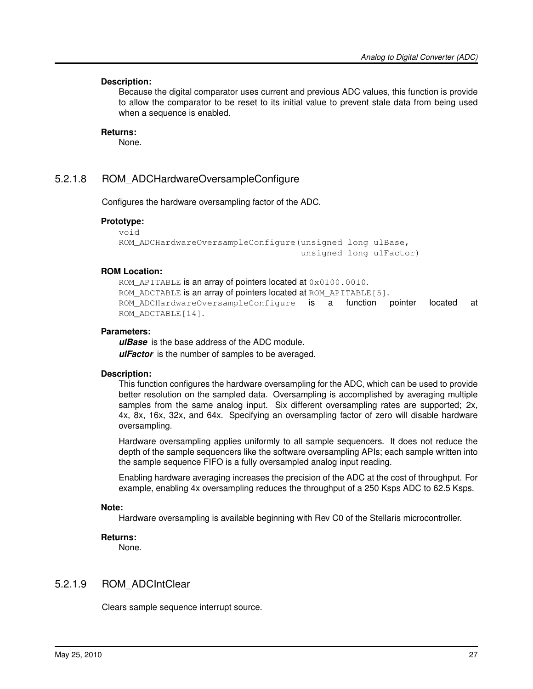### **Description:**

Because the digital comparator uses current and previous ADC values, this function is provide to allow the comparator to be reset to its initial value to prevent stale data from being used when a sequence is enabled.

### **Returns:**

None.

### <span id="page-26-0"></span>5.2.1.8 ROM\_ADCHardwareOversampleConfigure

Configures the hardware oversampling factor of the ADC.

### **Prototype:**

```
void
ROM_ADCHardwareOversampleConfigure(unsigned long ulBase,
                                    unsigned long ulFactor)
```
### **ROM Location:**

ROM\_APITABLE is an array of pointers located at  $0 \times 0100$ .0010. ROM\_ADCTABLE is an array of pointers located at ROM\_APITABLE[5]. ROM\_ADCHardwareOversampleConfigure is a function pointer located at ROM\_ADCTABLE[14].

### **Parameters:**

*ulBase* is the base address of the ADC module. **ulFactor** is the number of samples to be averaged.

### **Description:**

This function configures the hardware oversampling for the ADC, which can be used to provide better resolution on the sampled data. Oversampling is accomplished by averaging multiple samples from the same analog input. Six different oversampling rates are supported; 2x, 4x, 8x, 16x, 32x, and 64x. Specifying an oversampling factor of zero will disable hardware oversampling.

Hardware oversampling applies uniformly to all sample sequencers. It does not reduce the depth of the sample sequencers like the software oversampling APIs; each sample written into the sample sequence FIFO is a fully oversampled analog input reading.

Enabling hardware averaging increases the precision of the ADC at the cost of throughput. For example, enabling 4x oversampling reduces the throughput of a 250 Ksps ADC to 62.5 Ksps.

#### **Note:**

Hardware oversampling is available beginning with Rev C0 of the Stellaris microcontroller.

#### **Returns:**

None.

### <span id="page-26-1"></span>5.2.1.9 ROM\_ADCIntClear

Clears sample sequence interrupt source.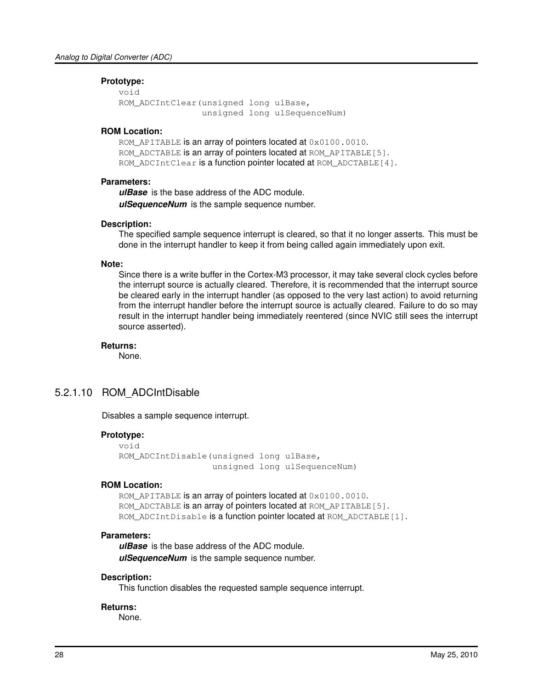### **Prototype:**

```
void
ROM_ADCIntClear(unsigned long ulBase,
                unsigned long ulSequenceNum)
```
### **ROM Location:**

ROM APITABLE is an array of pointers located at 0x0100.0010. ROM\_ADCTABLE is an array of pointers located at ROM\_APITABLE[5]. ROM\_ADCIntClear is a function pointer located at ROM\_ADCTABLE[4].

### **Parameters:**

*ulBase* is the base address of the ADC module. *ulSequenceNum* is the sample sequence number.

### **Description:**

The specified sample sequence interrupt is cleared, so that it no longer asserts. This must be done in the interrupt handler to keep it from being called again immediately upon exit.

### **Note:**

Since there is a write buffer in the Cortex-M3 processor, it may take several clock cycles before the interrupt source is actually cleared. Therefore, it is recommended that the interrupt source be cleared early in the interrupt handler (as opposed to the very last action) to avoid returning from the interrupt handler before the interrupt source is actually cleared. Failure to do so may result in the interrupt handler being immediately reentered (since NVIC still sees the interrupt source asserted).

### **Returns:**

None.

### <span id="page-27-0"></span>5.2.1.10 ROM\_ADCIntDisable

Disables a sample sequence interrupt.

### **Prototype:**

```
void
ROM_ADCIntDisable(unsigned long ulBase,
                  unsigned long ulSequenceNum)
```
### **ROM Location:**

ROM APITABLE is an array of pointers located at 0x0100.0010. ROM\_ADCTABLE is an array of pointers located at ROM\_APITABLE[5]. ROM ADCIntDisable is a function pointer located at ROM ADCTABLE[1].

### **Parameters:**

*ulBase* is the base address of the ADC module. *ulSequenceNum* is the sample sequence number.

### **Description:**

This function disables the requested sample sequence interrupt.

#### <span id="page-27-1"></span>**Returns:**

None.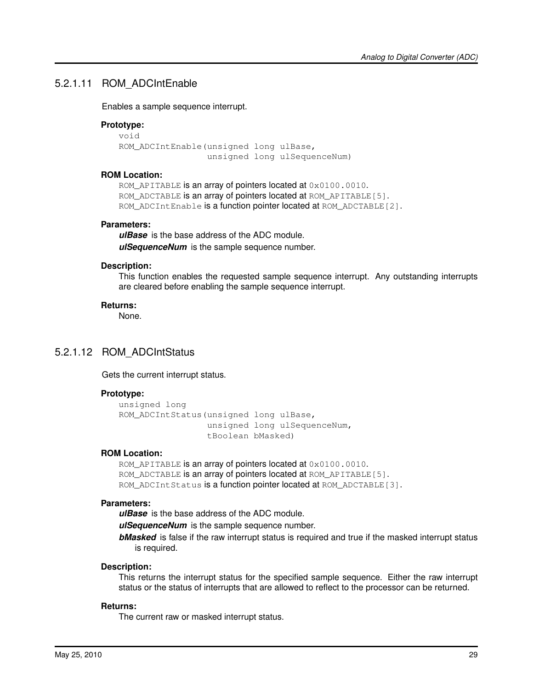### 5.2.1.11 ROM\_ADCIntEnable

Enables a sample sequence interrupt.

### **Prototype:**

```
void
ROM_ADCIntEnable(unsigned long ulBase,
                 unsigned long ulSequenceNum)
```
### **ROM Location:**

ROM\_APITABLE is an array of pointers located at  $0 \times 0100$ .0010. ROM\_ADCTABLE is an array of pointers located at ROM\_APITABLE[5]. ROM\_ADCIntEnable is a function pointer located at ROM\_ADCTABLE [2].

### **Parameters:**

*ulBase* is the base address of the ADC module. *ulSequenceNum* is the sample sequence number.

### **Description:**

This function enables the requested sample sequence interrupt. Any outstanding interrupts are cleared before enabling the sample sequence interrupt.

### **Returns:**

None.

### <span id="page-28-0"></span>5.2.1.12 ROM\_ADCIntStatus

Gets the current interrupt status.

### **Prototype:**

```
unsigned long
ROM_ADCIntStatus(unsigned long ulBase,
                 unsigned long ulSequenceNum,
                 tBoolean bMasked)
```
### **ROM Location:**

ROM APITABLE is an array of pointers located at  $0 \times 0100$ .0010. ROM\_ADCTABLE is an array of pointers located at ROM\_APITABLE[5]. ROM ADCIntStatus is a function pointer located at ROM ADCTABLE[3].

### **Parameters:**

*ulBase* is the base address of the ADC module.

*ulSequenceNum* is the sample sequence number.

*bMasked* is false if the raw interrupt status is required and true if the masked interrupt status is required.

#### **Description:**

This returns the interrupt status for the specified sample sequence. Either the raw interrupt status or the status of interrupts that are allowed to reflect to the processor can be returned.

### <span id="page-28-1"></span>**Returns:**

The current raw or masked interrupt status.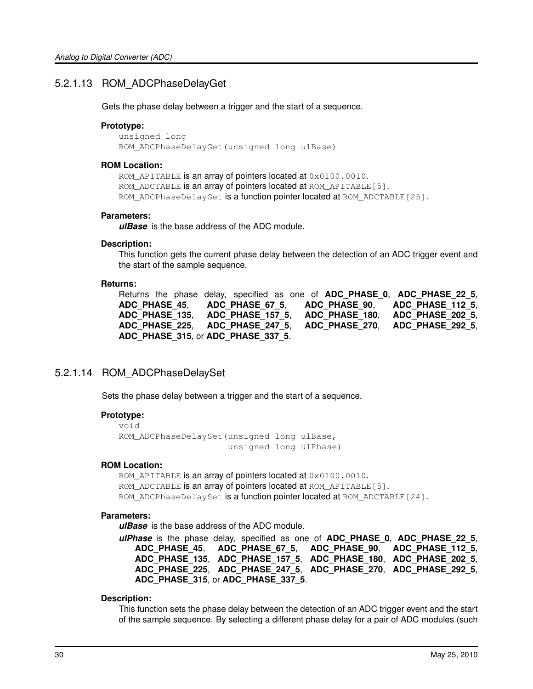### 5.2.1.13 ROM\_ADCPhaseDelayGet

Gets the phase delay between a trigger and the start of a sequence.

### **Prototype:**

unsigned long ROM ADCPhaseDelayGet(unsigned long ulBase)

#### **ROM Location:**

ROM\_APITABLE is an array of pointers located at  $0 \times 0100$ .0010. ROM\_ADCTABLE is an array of pointers located at ROM\_APITABLE[5]. ROM\_ADCPhaseDelayGet is a function pointer located at ROM\_ADCTABLE[25].

### **Parameters:**

*ulBase* is the base address of the ADC module.

### **Description:**

This function gets the current phase delay between the detection of an ADC trigger event and the start of the sample sequence.

### **Returns:**

Returns the phase delay, specified as one of **ADC\_PHASE\_0**, **ADC\_PHASE\_22\_5**, **ADC\_PHASE\_45**, **ADC\_PHASE\_67\_5**, **ADC\_PHASE\_90**, **ADC\_PHASE\_112\_5**, **ADC\_PHASE\_135**, **ADC\_PHASE\_157\_5**, **ADC\_PHASE\_180**, **ADC\_PHASE\_202\_5**, **ADC\_PHASE\_225**, **ADC\_PHASE\_247\_5**, **ADC\_PHASE\_270**, **ADC\_PHASE\_292\_5**, **ADC\_PHASE\_315**, or **ADC\_PHASE\_337\_5**.

### <span id="page-29-0"></span>5.2.1.14 ROM\_ADCPhaseDelaySet

Sets the phase delay between a trigger and the start of a sequence.

### **Prototype:**

```
void
ROM_ADCPhaseDelaySet(unsigned long ulBase,
                     unsigned long ulPhase)
```
### **ROM Location:**

ROM APITABLE is an array of pointers located at 0x0100.0010. ROM\_ADCTABLE is an array of pointers located at ROM\_APITABLE[5]. ROM\_ADCPhaseDelaySet is a function pointer located at ROM\_ADCTABLE[24].

### **Parameters:**

*ulBase* is the base address of the ADC module.

*ulPhase* is the phase delay, specified as one of **ADC\_PHASE\_0**, **ADC\_PHASE\_22\_5**, **ADC\_PHASE\_45**, **ADC\_PHASE\_67\_5**, **ADC\_PHASE\_90**, **ADC\_PHASE\_112\_5**, **ADC\_PHASE\_135**, **ADC\_PHASE\_157\_5**, **ADC\_PHASE\_180**, **ADC\_PHASE\_202\_5**, **ADC\_PHASE\_225**, **ADC\_PHASE\_247\_5**, **ADC\_PHASE\_270**, **ADC\_PHASE\_292\_5**, **ADC\_PHASE\_315**, or **ADC\_PHASE\_337\_5**.

### **Description:**

This function sets the phase delay between the detection of an ADC trigger event and the start of the sample sequence. By selecting a different phase delay for a pair of ADC modules (such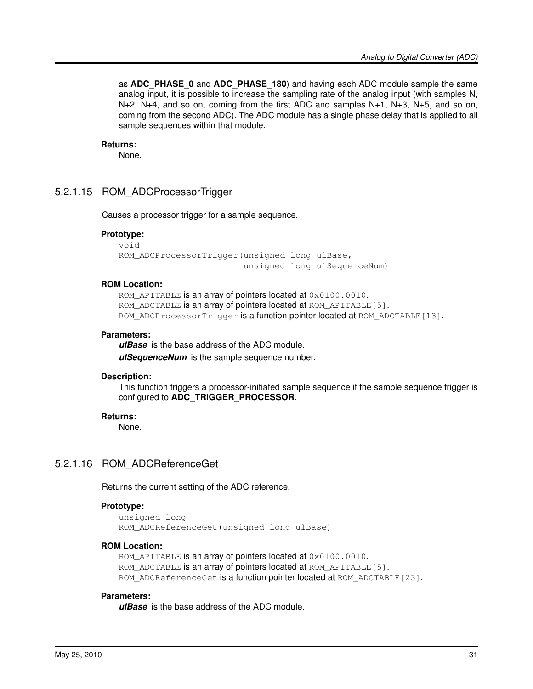as **ADC\_PHASE\_0** and **ADC\_PHASE\_180**) and having each ADC module sample the same analog input, it is possible to increase the sampling rate of the analog input (with samples N, N+2, N+4, and so on, coming from the first ADC and samples N+1, N+3, N+5, and so on, coming from the second ADC). The ADC module has a single phase delay that is applied to all sample sequences within that module.

#### **Returns:**

None.

### <span id="page-30-0"></span>5.2.1.15 ROM\_ADCProcessorTrigger

Causes a processor trigger for a sample sequence.

### **Prototype:**

```
void
ROM_ADCProcessorTrigger(unsigned long ulBase,
                        unsigned long ulSequenceNum)
```
### **ROM Location:**

ROM\_APITABLE is an array of pointers located at  $0 \times 0100$ .0010. ROM ADCTABLE is an array of pointers located at ROM APITABLE[5]. ROM\_ADCProcessorTrigger is a function pointer located at ROM\_ADCTABLE[13].

### **Parameters:**

*ulBase* is the base address of the ADC module. *ulSequenceNum* is the sample sequence number.

#### **Description:**

This function triggers a processor-initiated sample sequence if the sample sequence trigger is configured to **ADC\_TRIGGER\_PROCESSOR**.

### **Returns:**

None.

### <span id="page-30-1"></span>5.2.1.16 ROM\_ADCReferenceGet

Returns the current setting of the ADC reference.

### **Prototype:**

```
unsigned long
ROM_ADCReferenceGet(unsigned long ulBase)
```
#### **ROM Location:**

ROM\_APITABLE is an array of pointers located at  $0 \times 0100$ .0010. ROM ADCTABLE is an array of pointers located at ROM APITABLE[5]. ROM\_ADCReferenceGet is a function pointer located at ROM\_ADCTABLE [23].

#### **Parameters:**

*ulBase* is the base address of the ADC module.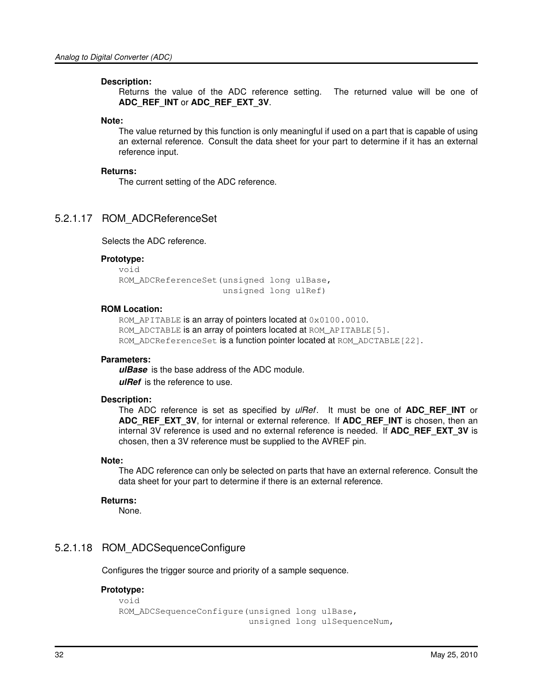### **Description:**

Returns the value of the ADC reference setting. The returned value will be one of **ADC\_REF\_INT** or **ADC\_REF\_EXT\_3V**.

### **Note:**

The value returned by this function is only meaningful if used on a part that is capable of using an external reference. Consult the data sheet for your part to determine if it has an external reference input.

### **Returns:**

The current setting of the ADC reference.

### <span id="page-31-0"></span>5.2.1.17 ROM\_ADCReferenceSet

### Selects the ADC reference.

### **Prototype:**

```
void
ROM ADCReferenceSet(unsigned long ulBase,
                    unsigned long ulRef)
```
### **ROM Location:**

ROM\_APITABLE is an array of pointers located at  $0 \times 0100$ .0010. ROM\_ADCTABLE is an array of pointers located at ROM\_APITABLE[5]. ROM\_ADCReferenceSet is a function pointer located at ROM\_ADCTABLE[22].

### **Parameters:**

*ulBase* is the base address of the ADC module. *ulRef* is the reference to use.

#### **Description:**

The ADC reference is set as specified by *ulRef*. It must be one of **ADC\_REF\_INT** or **ADC\_REF\_EXT\_3V**, for internal or external reference. If **ADC\_REF\_INT** is chosen, then an internal 3V reference is used and no external reference is needed. If **ADC\_REF\_EXT\_3V** is chosen, then a 3V reference must be supplied to the AVREF pin.

### **Note:**

The ADC reference can only be selected on parts that have an external reference. Consult the data sheet for your part to determine if there is an external reference.

#### **Returns:**

None.

### <span id="page-31-1"></span>5.2.1.18 ROM\_ADCSequenceConfigure

Configures the trigger source and priority of a sample sequence.

```
void
ROM_ADCSequenceConfigure(unsigned long ulBase,
                         unsigned long ulSequenceNum,
```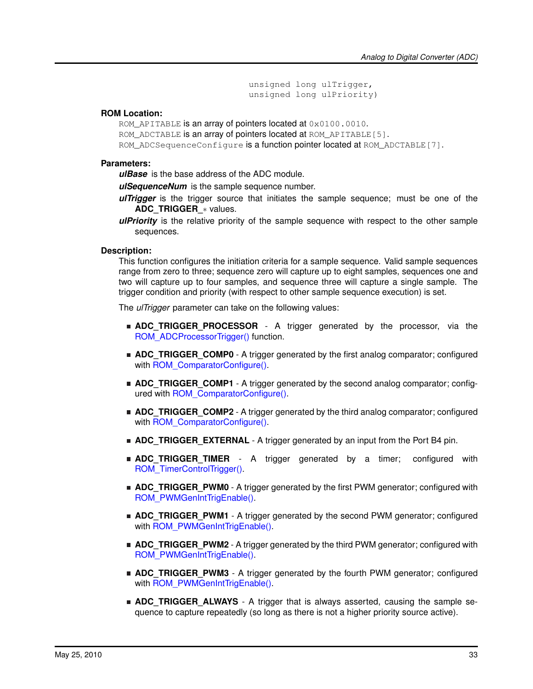unsigned long ulTrigger, unsigned long ulPriority)

### **ROM Location:**

ROM APITABLE is an array of pointers located at 0x0100.0010. ROM\_ADCTABLE is an array of pointers located at ROM\_APITABLE[5]. ROM ADCSequenceConfigure is a function pointer located at ROM ADCTABLE [7].

### **Parameters:**

*ulBase* is the base address of the ADC module.

*ulSequenceNum* is the sample sequence number.

- *ulTrigger* is the trigger source that initiates the sample sequence; must be one of the **ADC\_TRIGGER\_**∗ values.
- *ulPriority* is the relative priority of the sample sequence with respect to the other sample sequences.

### **Description:**

This function configures the initiation criteria for a sample sequence. Valid sample sequences range from zero to three; sequence zero will capture up to eight samples, sequences one and two will capture up to four samples, and sequence three will capture a single sample. The trigger condition and priority (with respect to other sample sequence execution) is set.

The *ulTrigger* parameter can take on the following values:

- **ADC TRIGGER PROCESSOR** A trigger generated by the processor, via the [ROM\\_ADCProcessorTrigger\(\)](#page-30-0) function.
- **ADC\_TRIGGER\_COMP0** A trigger generated by the first analog comparator; configured with ROM ComparatorConfigure().
- **ADC\_TRIGGER\_COMP1** A trigger generated by the second analog comparator; configured with ROM ComparatorConfigure().
- **ADC\_TRIGGER\_COMP2** A trigger generated by the third analog comparator; configured with ROM ComparatorConfigure().
- **ADC\_TRIGGER\_EXTERNAL** A trigger generated by an input from the Port B4 pin.
- **ADC\_TRIGGER\_TIMER** A trigger generated by a timer; configured with [ROM\\_TimerControlTrigger\(\).](#page-206-0)
- **ADC\_TRIGGER\_PWM0** A trigger generated by the first PWM generator; configured with [ROM\\_PWMGenIntTrigEnable\(\).](#page-146-0)
- **ADC\_TRIGGER\_PWM1** A trigger generated by the second PWM generator; configured with [ROM\\_PWMGenIntTrigEnable\(\).](#page-146-0)
- **ADC\_TRIGGER\_PWM2** A trigger generated by the third PWM generator; configured with [ROM\\_PWMGenIntTrigEnable\(\).](#page-146-0)
- **ADC\_TRIGGER\_PWM3** A trigger generated by the fourth PWM generator; configured with [ROM\\_PWMGenIntTrigEnable\(\).](#page-146-0)
- **ADC\_TRIGGER\_ALWAYS** A trigger that is always asserted, causing the sample sequence to capture repeatedly (so long as there is not a higher priority source active).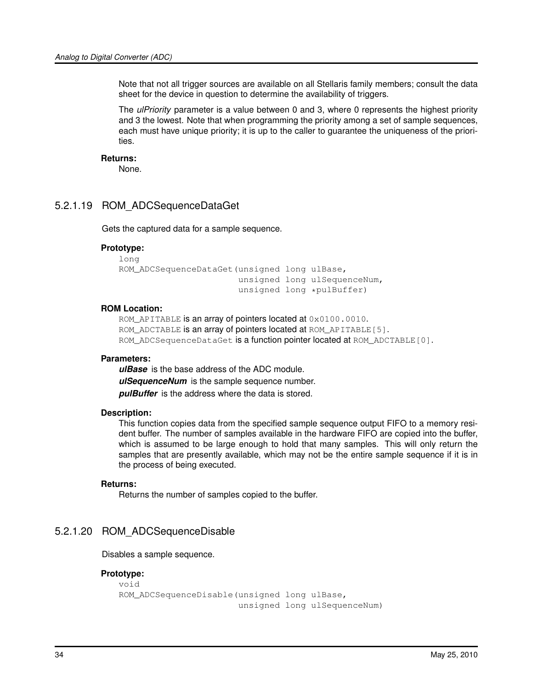Note that not all trigger sources are available on all Stellaris family members; consult the data sheet for the device in question to determine the availability of triggers.

The *ulPriority* parameter is a value between 0 and 3, where 0 represents the highest priority and 3 the lowest. Note that when programming the priority among a set of sample sequences, each must have unique priority; it is up to the caller to guarantee the uniqueness of the priorities.

### **Returns:**

None.

### <span id="page-33-0"></span>5.2.1.19 ROM\_ADCSequenceDataGet

Gets the captured data for a sample sequence.

### **Prototype:**

```
long
ROM_ADCSequenceDataGet(unsigned long ulBase,
                       unsigned long ulSequenceNum,
                       unsigned long *pulBuffer)
```
### **ROM Location:**

ROM APITABLE is an array of pointers located at 0x0100.0010. ROM\_ADCTABLE is an array of pointers located at ROM\_APITABLE[5]. ROM\_ADCSequenceDataGet is a function pointer located at ROM\_ADCTABLE [0].

### **Parameters:**

*ulBase* is the base address of the ADC module. *ulSequenceNum* is the sample sequence number. *pulBuffer* is the address where the data is stored.

#### **Description:**

This function copies data from the specified sample sequence output FIFO to a memory resident buffer. The number of samples available in the hardware FIFO are copied into the buffer, which is assumed to be large enough to hold that many samples. This will only return the samples that are presently available, which may not be the entire sample sequence if it is in the process of being executed.

### **Returns:**

Returns the number of samples copied to the buffer.

### <span id="page-33-1"></span>5.2.1.20 ROM\_ADCSequenceDisable

Disables a sample sequence.

```
void
ROM_ADCSequenceDisable(unsigned long ulBase,
                       unsigned long ulSequenceNum)
```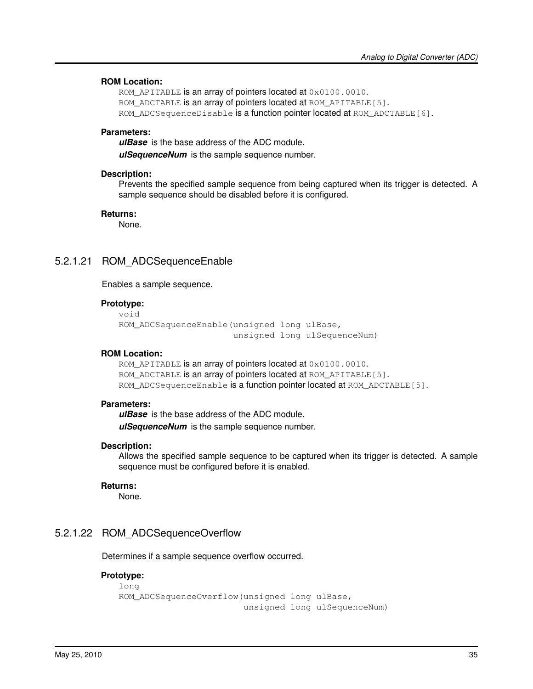### **ROM Location:**

ROM\_APITABLE is an array of pointers located at  $0 \times 0100$ .0010. ROM\_ADCTABLE is an array of pointers located at ROM\_APITABLE[5]. ROM\_ADCSequenceDisable is a function pointer located at ROM\_ADCTABLE[6].

### **Parameters:**

*ulBase* is the base address of the ADC module.

*ulSequenceNum* is the sample sequence number.

### **Description:**

Prevents the specified sample sequence from being captured when its trigger is detected. A sample sequence should be disabled before it is configured.

#### **Returns:**

None.

### <span id="page-34-0"></span>5.2.1.21 ROM\_ADCSequenceEnable

Enables a sample sequence.

### **Prototype:**

```
void
ROM_ADCSequenceEnable(unsigned long ulBase,
                      unsigned long ulSequenceNum)
```
### **ROM Location:**

```
ROM_APITABLE is an array of pointers located at 0 \times 0100.0010.
ROM ADCTABLE is an array of pointers located at ROM APITABLE[5].
ROM_ADCSequenceEnable is a function pointer located at ROM_ADCTABLE[5].
```
#### **Parameters:**

*ulBase* is the base address of the ADC module. *ulSequenceNum* is the sample sequence number.

#### **Description:**

Allows the specified sample sequence to be captured when its trigger is detected. A sample sequence must be configured before it is enabled.

#### **Returns:**

None.

### <span id="page-34-1"></span>5.2.1.22 ROM\_ADCSequenceOverflow

Determines if a sample sequence overflow occurred.

```
long
ROM_ADCSequenceOverflow(unsigned long ulBase,
                        unsigned long ulSequenceNum)
```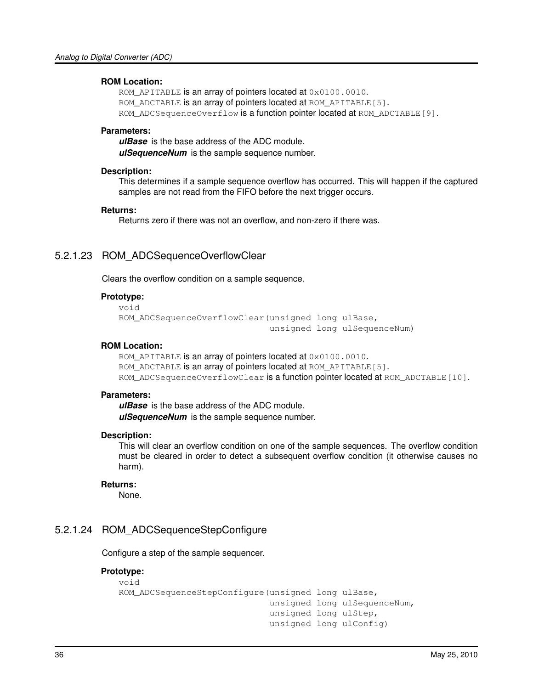### **ROM Location:**

ROM\_APITABLE is an array of pointers located at  $0 \times 0100$ .0010. ROM\_ADCTABLE is an array of pointers located at ROM\_APITABLE[5]. ROM\_ADCSequenceOverflow is a function pointer located at ROM\_ADCTABLE[9].

### **Parameters:**

*ulBase* is the base address of the ADC module. *ulSequenceNum* is the sample sequence number.

### **Description:**

This determines if a sample sequence overflow has occurred. This will happen if the captured samples are not read from the FIFO before the next trigger occurs.

#### **Returns:**

Returns zero if there was not an overflow, and non-zero if there was.

### <span id="page-35-0"></span>5.2.1.23 ROM\_ADCSequenceOverflowClear

Clears the overflow condition on a sample sequence.

### **Prototype:**

```
void
ROM_ADCSequenceOverflowClear(unsigned long ulBase,
                             unsigned long ulSequenceNum)
```
### **ROM Location:**

ROM\_APITABLE is an array of pointers located at  $0 \times 0100$ .0010. ROM\_ADCTABLE is an array of pointers located at ROM\_APITABLE[5]. ROM\_ADCSequenceOverflowClear is a function pointer located at ROM\_ADCTABLE[10].

### **Parameters:**

*ulBase* is the base address of the ADC module. *ulSequenceNum* is the sample sequence number.

#### **Description:**

This will clear an overflow condition on one of the sample sequences. The overflow condition must be cleared in order to detect a subsequent overflow condition (it otherwise causes no harm).

#### **Returns:**

None.

### <span id="page-35-1"></span>5.2.1.24 ROM\_ADCSequenceStepConfigure

Configure a step of the sample sequencer.

```
void
ROM_ADCSequenceStepConfigure(unsigned long ulBase,
                              unsigned long ulSequenceNum,
                              unsigned long ulStep,
                              unsigned long ulConfig)
```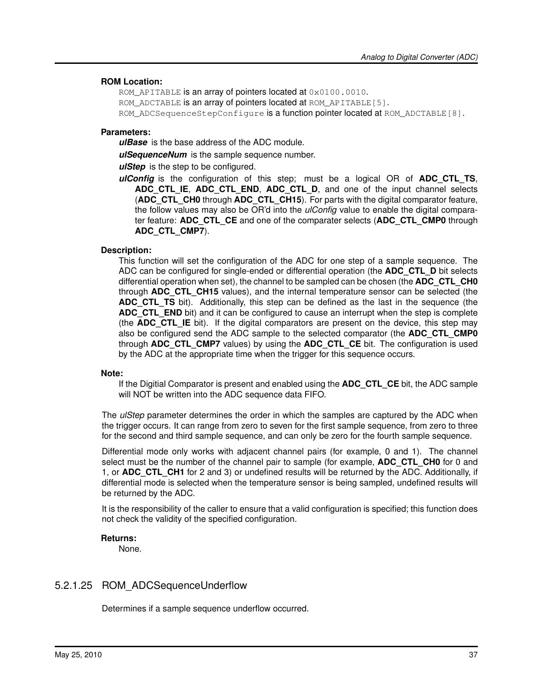# **ROM Location:**

ROM\_APITABLE is an array of pointers located at  $0 \times 0100$ .0010. ROM\_ADCTABLE is an array of pointers located at ROM\_APITABLE[5]. ROM\_ADCSequenceStepConfigure is a function pointer located at ROM\_ADCTABLE[8].

# **Parameters:**

*ulBase* is the base address of the ADC module.

*ulSequenceNum* is the sample sequence number.

**ulStep** is the step to be configured.

*ulConfig* is the configuration of this step; must be a logical OR of **ADC\_CTL\_TS**, **ADC\_CTL\_IE**, **ADC\_CTL\_END**, **ADC\_CTL\_D**, and one of the input channel selects (**ADC\_CTL\_CH0** through **ADC\_CTL\_CH15**). For parts with the digital comparator feature, the follow values may also be OR'd into the *ulConfig* value to enable the digital comparater feature: **ADC\_CTL\_CE** and one of the comparater selects (**ADC\_CTL\_CMP0** through **ADC\_CTL\_CMP7**).

# **Description:**

This function will set the configuration of the ADC for one step of a sample sequence. The ADC can be configured for single-ended or differential operation (the **ADC\_CTL\_D** bit selects differential operation when set), the channel to be sampled can be chosen (the **ADC\_CTL\_CH0** through **ADC\_CTL\_CH15** values), and the internal temperature sensor can be selected (the **ADC\_CTL\_TS** bit). Additionally, this step can be defined as the last in the sequence (the **ADC\_CTL\_END** bit) and it can be configured to cause an interrupt when the step is complete (the **ADC CTL IE** bit). If the digital comparators are present on the device, this step may also be configured send the ADC sample to the selected comparator (the **ADC\_CTL\_CMP0** through **ADC\_CTL\_CMP7** values) by using the **ADC\_CTL\_CE** bit. The configuration is used by the ADC at the appropriate time when the trigger for this sequence occurs.

# **Note:**

If the Digitial Comparator is present and enabled using the **ADC\_CTL\_CE** bit, the ADC sample will NOT be written into the ADC sequence data FIFO.

The *ulStep* parameter determines the order in which the samples are captured by the ADC when the trigger occurs. It can range from zero to seven for the first sample sequence, from zero to three for the second and third sample sequence, and can only be zero for the fourth sample sequence.

Differential mode only works with adjacent channel pairs (for example, 0 and 1). The channel select must be the number of the channel pair to sample (for example, **ADC\_CTL\_CH0** for 0 and 1, or **ADC\_CTL\_CH1** for 2 and 3) or undefined results will be returned by the ADC. Additionally, if differential mode is selected when the temperature sensor is being sampled, undefined results will be returned by the ADC.

It is the responsibility of the caller to ensure that a valid configuration is specified; this function does not check the validity of the specified configuration.

# **Returns:**

None.

# 5.2.1.25 ROM\_ADCSequenceUnderflow

Determines if a sample sequence underflow occurred.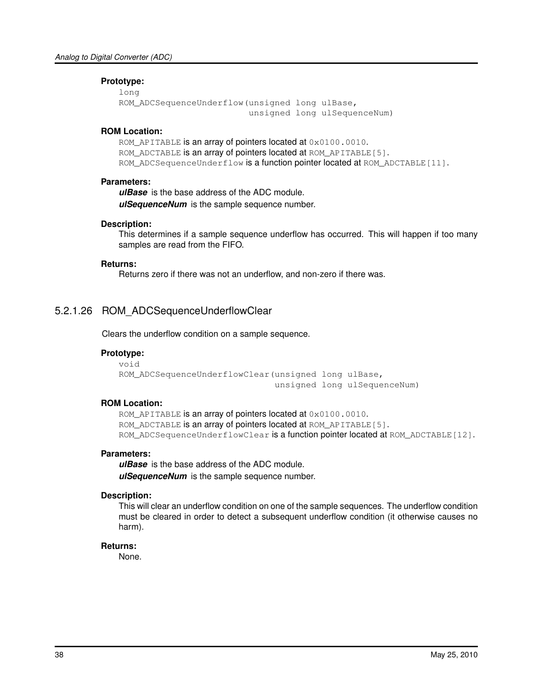# **Prototype:**

```
long
ROM_ADCSequenceUnderflow(unsigned long ulBase,
                         unsigned long ulSequenceNum)
```
#### **ROM Location:**

ROM APITABLE is an array of pointers located at 0x0100.0010. ROM\_ADCTABLE is an array of pointers located at ROM\_APITABLE[5]. ROM\_ADCSequenceUnderflow is a function pointer located at ROM\_ADCTABLE[11].

#### **Parameters:**

*ulBase* is the base address of the ADC module. *ulSequenceNum* is the sample sequence number.

#### **Description:**

This determines if a sample sequence underflow has occurred. This will happen if too many samples are read from the FIFO.

### **Returns:**

Returns zero if there was not an underflow, and non-zero if there was.

# 5.2.1.26 ROM\_ADCSequenceUnderflowClear

Clears the underflow condition on a sample sequence.

# **Prototype:**

void ROM ADCSequenceUnderflowClear(unsigned long ulBase, unsigned long ulSequenceNum)

#### **ROM Location:**

ROM\_APITABLE is an array of pointers located at  $0 \times 0100$ .0010. ROM\_ADCTABLE is an array of pointers located at ROM\_APITABLE[5]. ROM\_ADCSequenceUnderflowClear is a function pointer located at ROM\_ADCTABLE[12].

#### **Parameters:**

*ulBase* is the base address of the ADC module.

*ulSequenceNum* is the sample sequence number.

#### **Description:**

This will clear an underflow condition on one of the sample sequences. The underflow condition must be cleared in order to detect a subsequent underflow condition (it otherwise causes no harm).

# **Returns:**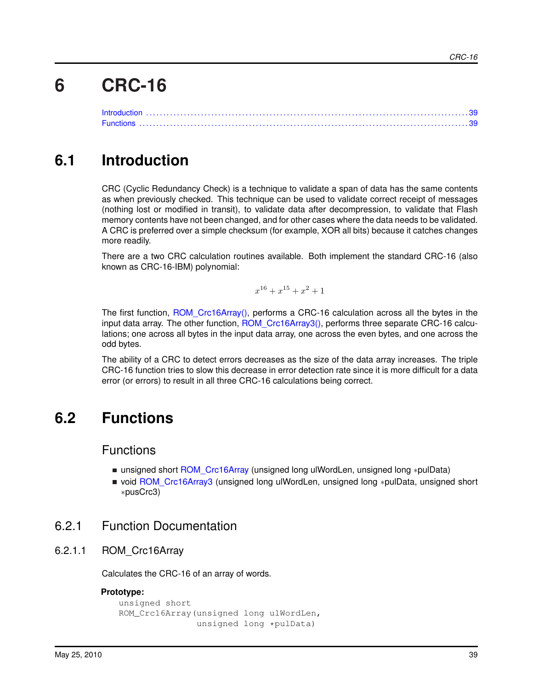# **6 CRC-16**

# <span id="page-38-1"></span>**6.1 Introduction**

CRC (Cyclic Redundancy Check) is a technique to validate a span of data has the same contents as when previously checked. This technique can be used to validate correct receipt of messages (nothing lost or modified in transit), to validate data after decompression, to validate that Flash memory contents have not been changed, and for other cases where the data needs to be validated. A CRC is preferred over a simple checksum (for example, XOR all bits) because it catches changes more readily.

There are a two CRC calculation routines available. Both implement the standard CRC-16 (also known as CRC-16-IBM) polynomial:

<span id="page-38-2"></span><span id="page-38-0"></span>
$$
x^{16} + x^{15} + x^2 + 1
$$

The first function, ROM Crc16Array(), performs a CRC-16 calculation across all the bytes in the input data array. The other function, [ROM\\_Crc16Array3\(\),](#page-39-0) performs three separate CRC-16 calculations; one across all bytes in the input data array, one across the even bytes, and one across the odd bytes.

The ability of a CRC to detect errors decreases as the size of the data array increases. The triple CRC-16 function tries to slow this decrease in error detection rate since it is more difficult for a data error (or errors) to result in all three CRC-16 calculations being correct.

# <span id="page-38-3"></span>**6.2 Functions**

**Functions** 

- unsigned short [ROM\\_Crc16Array](#page-38-4) (unsigned long ulWordLen, unsigned long ∗pulData)
- void [ROM\\_Crc16Array3](#page-39-0) (unsigned long ulWordLen, unsigned long ∗pulData, unsigned short ∗pusCrc3)

# 6.2.1 Function Documentation

# <span id="page-38-4"></span>6.2.1.1 ROM\_Crc16Array

Calculates the CRC-16 of an array of words.

# **Prototype:**

```
unsigned short
ROM_Crc16Array(unsigned long ulWordLen,
               unsigned long *pulData)
```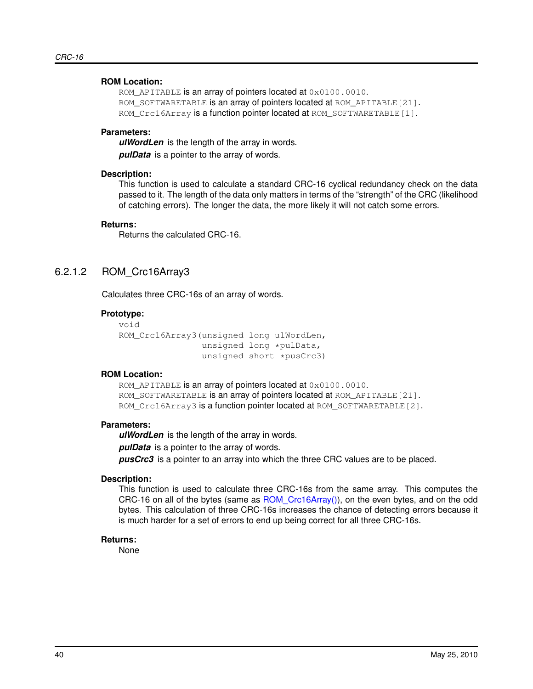# **ROM Location:**

ROM\_APITABLE is an array of pointers located at  $0 \times 0100$ .0010. ROM\_SOFTWARETABLE is an array of pointers located at ROM\_APITABLE [21]. ROM\_Crc16Array is a function pointer located at ROM\_SOFTWARETABLE [1].

# **Parameters:**

*ulWordLen* is the length of the array in words. *pulData* is a pointer to the array of words.

#### **Description:**

This function is used to calculate a standard CRC-16 cyclical redundancy check on the data passed to it. The length of the data only matters in terms of the "strength" of the CRC (likelihood of catching errors). The longer the data, the more likely it will not catch some errors.

#### **Returns:**

Returns the calculated CRC-16.

# <span id="page-39-0"></span>6.2.1.2 ROM\_Crc16Array3

Calculates three CRC-16s of an array of words.

#### **Prototype:**

```
void
ROM_Crc16Array3(unsigned long ulWordLen,
                unsigned long *pulData,
                unsigned short *pusCrc3)
```
# **ROM Location:**

ROM\_APITABLE is an array of pointers located at  $0 \times 0100$ .0010. ROM SOFTWARETABLE is an array of pointers located at ROM APITABLE [21]. ROM\_Crc16Array3 is a function pointer located at ROM\_SOFTWARETABLE[2].

#### **Parameters:**

*ulWordLen* is the length of the array in words.

*pulData* is a pointer to the array of words.

*pusCrc3* is a pointer to an array into which the three CRC values are to be placed.

# **Description:**

This function is used to calculate three CRC-16s from the same array. This computes the CRC-16 on all of the bytes (same as ROM Crc16Array()), on the even bytes, and on the odd bytes. This calculation of three CRC-16s increases the chance of detecting errors because it is much harder for a set of errors to end up being correct for all three CRC-16s.

# **Returns:**

None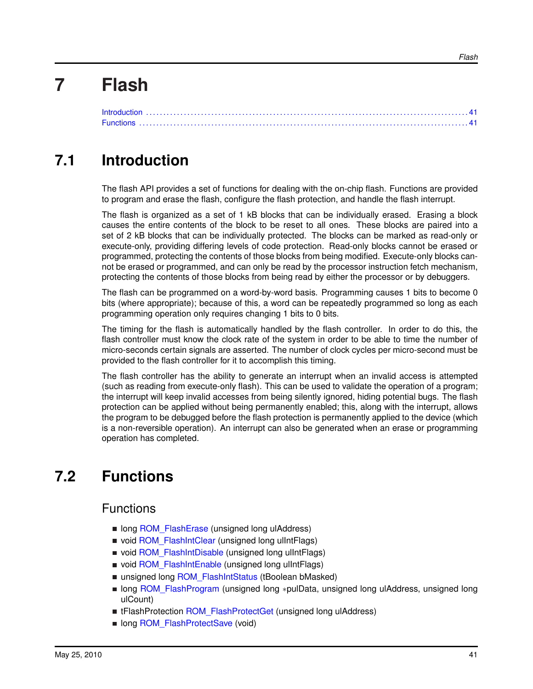#### <span id="page-40-0"></span>*Flash*

# **7 Flash**

# <span id="page-40-1"></span>**7.1 Introduction**

The flash API provides a set of functions for dealing with the on-chip flash. Functions are provided to program and erase the flash, configure the flash protection, and handle the flash interrupt.

The flash is organized as a set of 1 kB blocks that can be individually erased. Erasing a block causes the entire contents of the block to be reset to all ones. These blocks are paired into a set of 2 kB blocks that can be individually protected. The blocks can be marked as read-only or execute-only, providing differing levels of code protection. Read-only blocks cannot be erased or programmed, protecting the contents of those blocks from being modified. Execute-only blocks cannot be erased or programmed, and can only be read by the processor instruction fetch mechanism, protecting the contents of those blocks from being read by either the processor or by debuggers.

The flash can be programmed on a word-by-word basis. Programming causes 1 bits to become 0 bits (where appropriate); because of this, a word can be repeatedly programmed so long as each programming operation only requires changing 1 bits to 0 bits.

The timing for the flash is automatically handled by the flash controller. In order to do this, the flash controller must know the clock rate of the system in order to be able to time the number of micro-seconds certain signals are asserted. The number of clock cycles per micro-second must be provided to the flash controller for it to accomplish this timing.

The flash controller has the ability to generate an interrupt when an invalid access is attempted (such as reading from execute-only flash). This can be used to validate the operation of a program; the interrupt will keep invalid accesses from being silently ignored, hiding potential bugs. The flash protection can be applied without being permanently enabled; this, along with the interrupt, allows the program to be debugged before the flash protection is permanently applied to the device (which is a non-reversible operation). An interrupt can also be generated when an erase or programming operation has completed.

# <span id="page-40-3"></span>**7.2 Functions**

# <span id="page-40-2"></span>Functions

- long [ROM\\_FlashErase](#page-41-0) (unsigned long ulAddress)
- void [ROM\\_FlashIntClear](#page-41-1) (unsigned long ulIntFlags)
- void [ROM\\_FlashIntDisable](#page-42-0) (unsigned long ulIntFlags)
- void [ROM\\_FlashIntEnable](#page-42-1) (unsigned long ulIntFlags)
- unsigned long [ROM\\_FlashIntStatus](#page-43-0) (tBoolean bMasked)
- **long [ROM\\_FlashProgram](#page-43-1) (unsigned long ∗pulData, unsigned long ulAddress, unsigned long** ulCount)
- tFlashProtection [ROM\\_FlashProtectGet](#page-44-0) (unsigned long ulAddress)
- long [ROM\\_FlashProtectSave](#page-44-1) (void)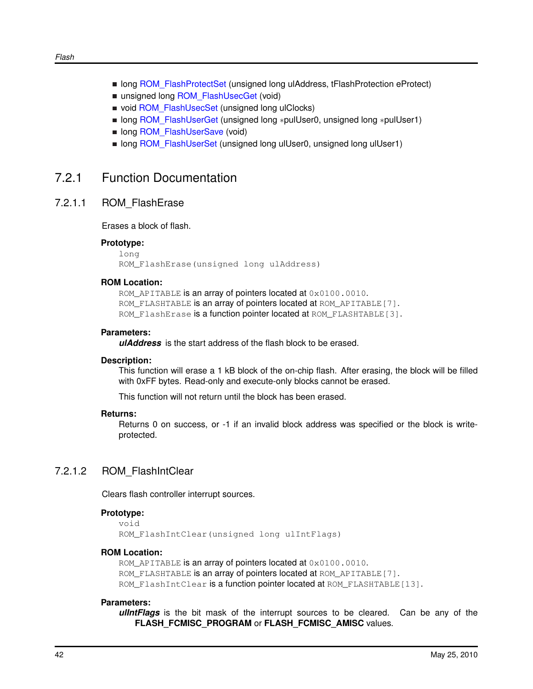- long [ROM\\_FlashProtectSet](#page-45-0) (unsigned long ulAddress, tFlashProtection eProtect)
- unsigned long [ROM\\_FlashUsecGet](#page-45-1) (void)
- void [ROM\\_FlashUsecSet](#page-46-0) (unsigned long ulClocks)
- long [ROM\\_FlashUserGet](#page-46-1) (unsigned long ∗pulUser0, unsigned long ∗pulUser1)
- long [ROM\\_FlashUserSave](#page-47-0) (void)
- long [ROM\\_FlashUserSet](#page-47-1) (unsigned long ulUser0, unsigned long ulUser1)

# 7.2.1 Function Documentation

# <span id="page-41-0"></span>7.2.1.1 ROM\_FlashErase

Erases a block of flash.

# **Prototype:**

```
long
ROM_FlashErase(unsigned long ulAddress)
```
#### **ROM Location:**

ROM APITABLE is an array of pointers located at  $0 \times 0100$ .0010. ROM FLASHTABLE is an array of pointers located at ROM APITABLE [7]. ROM\_FlashErase is a function pointer located at ROM\_FLASHTABLE[3].

#### **Parameters:**

*ulAddress* is the start address of the flash block to be erased.

#### **Description:**

This function will erase a 1 kB block of the on-chip flash. After erasing, the block will be filled with 0xFF bytes. Read-only and execute-only blocks cannot be erased.

This function will not return until the block has been erased.

#### **Returns:**

Returns 0 on success, or -1 if an invalid block address was specified or the block is writeprotected.

# <span id="page-41-1"></span>7.2.1.2 ROM\_FlashIntClear

Clears flash controller interrupt sources.

#### **Prototype:**

void

ROM\_FlashIntClear(unsigned long ulIntFlags)

# **ROM Location:**

ROM APITABLE is an array of pointers located at 0x0100.0010. ROM\_FLASHTABLE is an array of pointers located at ROM\_APITABLE [7]. ROM\_FlashIntClear is a function pointer located at ROM\_FLASHTABLE[13].

# **Parameters:**

*ulIntFlags* is the bit mask of the interrupt sources to be cleared. Can be any of the **FLASH\_FCMISC\_PROGRAM** or **FLASH\_FCMISC\_AMISC** values.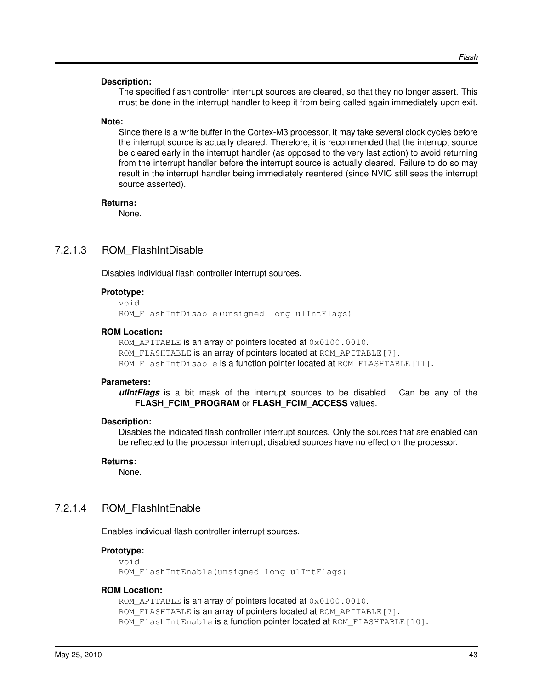#### **Description:**

The specified flash controller interrupt sources are cleared, so that they no longer assert. This must be done in the interrupt handler to keep it from being called again immediately upon exit.

#### **Note:**

Since there is a write buffer in the Cortex-M3 processor, it may take several clock cycles before the interrupt source is actually cleared. Therefore, it is recommended that the interrupt source be cleared early in the interrupt handler (as opposed to the very last action) to avoid returning from the interrupt handler before the interrupt source is actually cleared. Failure to do so may result in the interrupt handler being immediately reentered (since NVIC still sees the interrupt source asserted).

#### **Returns:**

None.

# <span id="page-42-0"></span>7.2.1.3 ROM\_FlashIntDisable

Disables individual flash controller interrupt sources.

#### **Prototype:**

```
void
ROM_FlashIntDisable(unsigned long ulIntFlags)
```
#### **ROM Location:**

ROM APITABLE is an array of pointers located at 0x0100.0010. ROM\_FLASHTABLE is an array of pointers located at ROM\_APITABLE[7]. ROM\_FlashIntDisable is a function pointer located at ROM\_FLASHTABLE[11].

#### **Parameters:**

*ulIntFlags* is a bit mask of the interrupt sources to be disabled. Can be any of the **FLASH\_FCIM\_PROGRAM** or **FLASH\_FCIM\_ACCESS** values.

#### **Description:**

Disables the indicated flash controller interrupt sources. Only the sources that are enabled can be reflected to the processor interrupt; disabled sources have no effect on the processor.

#### **Returns:**

None.

# <span id="page-42-1"></span>7.2.1.4 ROM\_FlashIntEnable

Enables individual flash controller interrupt sources.

#### **Prototype:**

```
void
ROM_FlashIntEnable(unsigned long ulIntFlags)
```
#### **ROM Location:**

```
ROM_APITABLE is an array of pointers located at 0 \times 0100.0010.
ROM_FLASHTABLE is an array of pointers located at ROM_APITABLE[7].
ROM_FlashIntEnable is a function pointer located at ROM_FLASHTABLE[10].
```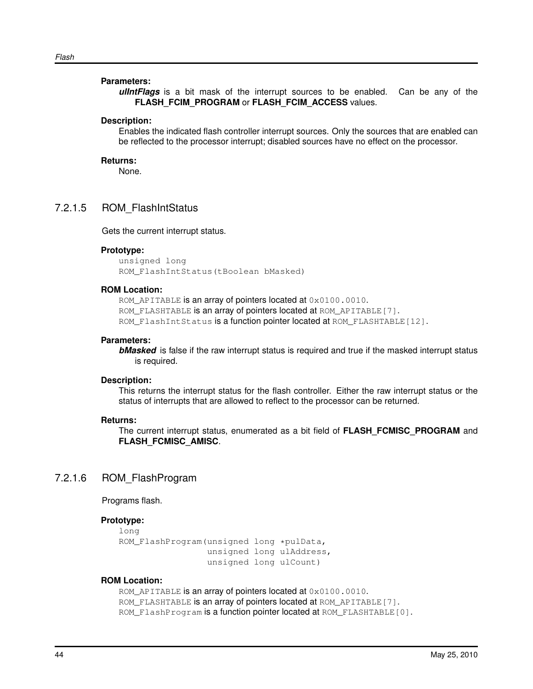#### **Parameters:**

*ulIntFlags* is a bit mask of the interrupt sources to be enabled. Can be any of the **FLASH\_FCIM\_PROGRAM** or **FLASH\_FCIM\_ACCESS** values.

#### **Description:**

Enables the indicated flash controller interrupt sources. Only the sources that are enabled can be reflected to the processor interrupt; disabled sources have no effect on the processor.

#### **Returns:**

None.

# <span id="page-43-0"></span>7.2.1.5 ROM\_FlashIntStatus

Gets the current interrupt status.

#### **Prototype:**

unsigned long ROM\_FlashIntStatus(tBoolean bMasked)

#### **ROM Location:**

ROM\_APITABLE is an array of pointers located at  $0 \times 0100$ .0010. ROM\_FLASHTABLE is an array of pointers located at ROM\_APITABLE [7]. ROM\_FlashIntStatus is a function pointer located at ROM\_FLASHTABLE[12].

#### **Parameters:**

*bMasked* is false if the raw interrupt status is required and true if the masked interrupt status is required.

#### **Description:**

This returns the interrupt status for the flash controller. Either the raw interrupt status or the status of interrupts that are allowed to reflect to the processor can be returned.

# **Returns:**

The current interrupt status, enumerated as a bit field of **FLASH\_FCMISC\_PROGRAM** and **FLASH\_FCMISC\_AMISC**.

# <span id="page-43-1"></span>7.2.1.6 ROM\_FlashProgram

Programs flash.

# **Prototype:**

```
long
ROM_FlashProgram(unsigned long *pulData,
                 unsigned long ulAddress,
                 unsigned long ulCount)
```
# **ROM Location:**

ROM\_APITABLE is an array of pointers located at  $0 \times 0100$ .0010. ROM\_FLASHTABLE is an array of pointers located at ROM\_APITABLE[7]. ROM\_FlashProgram is a function pointer located at ROM\_FLASHTABLE[0].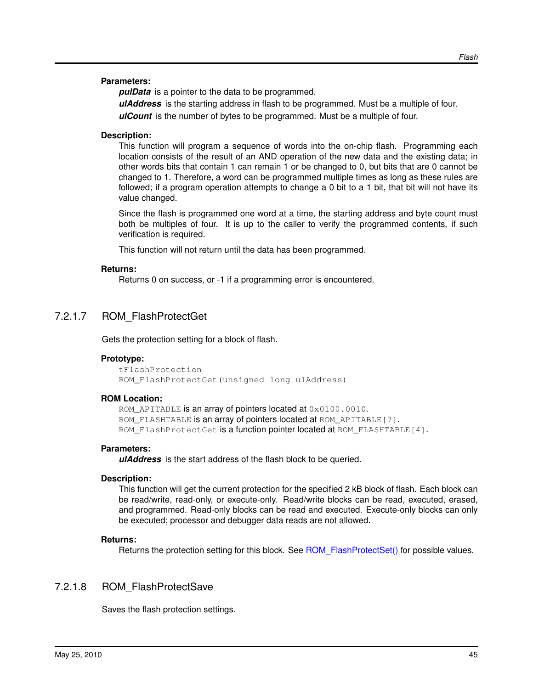### **Parameters:**

*pulData* is a pointer to the data to be programmed.

*ulAddress* is the starting address in flash to be programmed. Must be a multiple of four.

*ulCount* is the number of bytes to be programmed. Must be a multiple of four.

#### **Description:**

This function will program a sequence of words into the on-chip flash. Programming each location consists of the result of an AND operation of the new data and the existing data; in other words bits that contain 1 can remain 1 or be changed to 0, but bits that are 0 cannot be changed to 1. Therefore, a word can be programmed multiple times as long as these rules are followed; if a program operation attempts to change a 0 bit to a 1 bit, that bit will not have its value changed.

Since the flash is programmed one word at a time, the starting address and byte count must both be multiples of four. It is up to the caller to verify the programmed contents, if such verification is required.

This function will not return until the data has been programmed.

#### **Returns:**

Returns 0 on success, or -1 if a programming error is encountered.

# <span id="page-44-0"></span>7.2.1.7 ROM\_FlashProtectGet

Gets the protection setting for a block of flash.

#### **Prototype:**

tFlashProtection ROM\_FlashProtectGet(unsigned long ulAddress)

#### **ROM Location:**

ROM APITABLE is an array of pointers located at 0x0100.0010. ROM FLASHTABLE is an array of pointers located at ROM APITABLE [7]. ROM\_FlashProtectGet is a function pointer located at ROM\_FLASHTABLE[4].

### **Parameters:**

*ulAddress* is the start address of the flash block to be queried.

#### **Description:**

This function will get the current protection for the specified 2 kB block of flash. Each block can be read/write, read-only, or execute-only. Read/write blocks can be read, executed, erased, and programmed. Read-only blocks can be read and executed. Execute-only blocks can only be executed; processor and debugger data reads are not allowed.

#### **Returns:**

Returns the protection setting for this block. See [ROM\\_FlashProtectSet\(\)](#page-45-0) for possible values.

# <span id="page-44-1"></span>7.2.1.8 ROM\_FlashProtectSave

Saves the flash protection settings.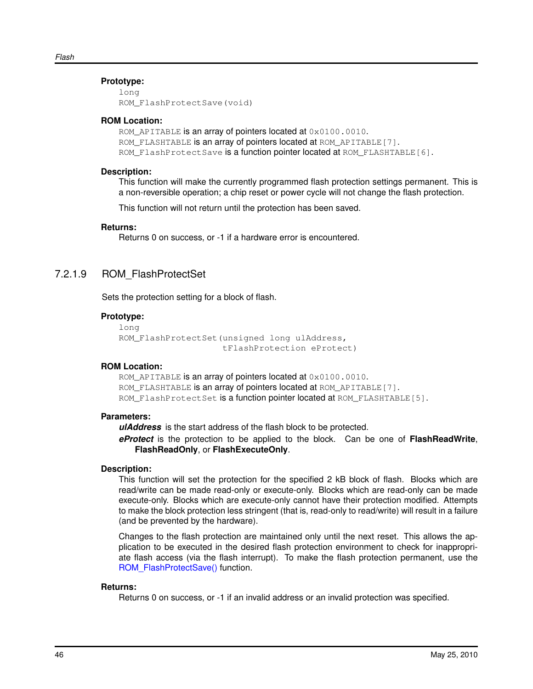## **Prototype:**

```
long
ROM_FlashProtectSave(void)
```
### **ROM Location:**

ROM APITABLE is an array of pointers located at 0x0100.0010. ROM FLASHTABLE is an array of pointers located at ROM APITABLE [7]. ROM\_FlashProtectSave is a function pointer located at ROM\_FLASHTABLE[6].

#### **Description:**

This function will make the currently programmed flash protection settings permanent. This is a non-reversible operation; a chip reset or power cycle will not change the flash protection.

This function will not return until the protection has been saved.

#### **Returns:**

Returns 0 on success, or -1 if a hardware error is encountered.

# <span id="page-45-0"></span>7.2.1.9 ROM\_FlashProtectSet

Sets the protection setting for a block of flash.

#### **Prototype:**

```
long
ROM_FlashProtectSet(unsigned long ulAddress,
                    tFlashProtection eProtect)
```
# **ROM Location:**

ROM APITABLE is an array of pointers located at 0x0100.0010. ROM\_FLASHTABLE is an array of pointers located at ROM\_APITABLE [7]. ROM\_FlashProtectSet is a function pointer located at ROM\_FLASHTABLE[5].

#### **Parameters:**

*ulAddress* is the start address of the flash block to be protected.

*eProtect* is the protection to be applied to the block. Can be one of **FlashReadWrite**, **FlashReadOnly**, or **FlashExecuteOnly**.

#### **Description:**

This function will set the protection for the specified 2 kB block of flash. Blocks which are read/write can be made read-only or execute-only. Blocks which are read-only can be made execute-only. Blocks which are execute-only cannot have their protection modified. Attempts to make the block protection less stringent (that is, read-only to read/write) will result in a failure (and be prevented by the hardware).

Changes to the flash protection are maintained only until the next reset. This allows the application to be executed in the desired flash protection environment to check for inappropriate flash access (via the flash interrupt). To make the flash protection permanent, use the [ROM\\_FlashProtectSave\(\)](#page-44-1) function.

#### <span id="page-45-1"></span>**Returns:**

Returns 0 on success, or -1 if an invalid address or an invalid protection was specified.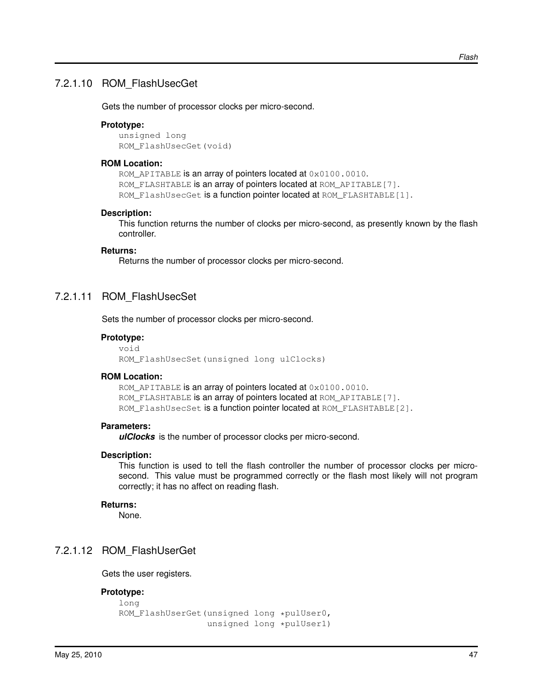# 7.2.1.10 ROM\_FlashUsecGet

Gets the number of processor clocks per micro-second.

### **Prototype:**

unsigned long ROM\_FlashUsecGet(void)

#### **ROM Location:**

ROM APITABLE is an array of pointers located at 0x0100.0010. ROM\_FLASHTABLE is an array of pointers located at ROM\_APITABLE [7]. ROM\_FlashUsecGet is a function pointer located at ROM\_FLASHTABLE[1].

#### **Description:**

This function returns the number of clocks per micro-second, as presently known by the flash controller.

# **Returns:**

Returns the number of processor clocks per micro-second.

# <span id="page-46-0"></span>7.2.1.11 ROM\_FlashUsecSet

Sets the number of processor clocks per micro-second.

#### **Prototype:**

void ROM\_FlashUsecSet(unsigned long ulClocks)

#### **ROM Location:**

ROM\_APITABLE is an array of pointers located at  $0 \times 0100$ .0010. ROM FLASHTABLE is an array of pointers located at ROM APITABLE [7]. ROM\_FlashUsecSet is a function pointer located at ROM\_FLASHTABLE[2].

#### **Parameters:**

*ulClocks* is the number of processor clocks per micro-second.

#### **Description:**

This function is used to tell the flash controller the number of processor clocks per microsecond. This value must be programmed correctly or the flash most likely will not program correctly; it has no affect on reading flash.

#### **Returns:**

None.

# <span id="page-46-1"></span>7.2.1.12 ROM\_FlashUserGet

Gets the user registers.

# **Prototype:**

```
long
ROM_FlashUserGet(unsigned long *pulUser0,
                 unsigned long *pulUser1)
```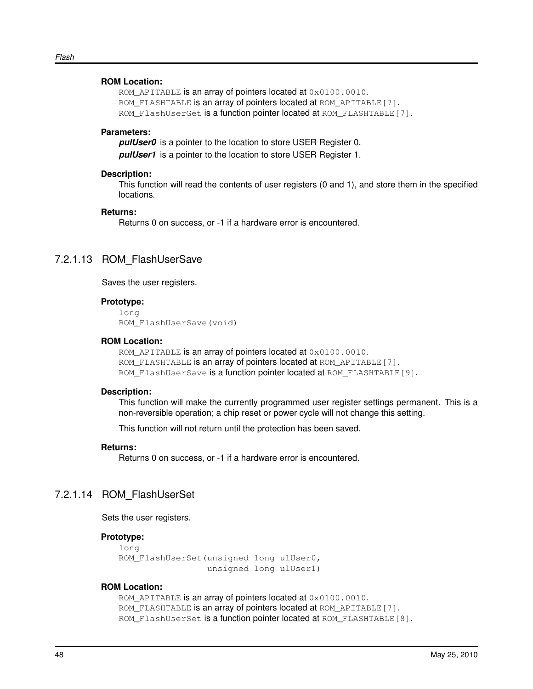# **ROM Location:**

ROM\_APITABLE is an array of pointers located at  $0 \times 0100$ .0010. ROM\_FLASHTABLE is an array of pointers located at ROM\_APITABLE [7]. ROM\_FlashUserGet is a function pointer located at ROM\_FLASHTABLE[7].

### **Parameters:**

*pulUser0* is a pointer to the location to store USER Register 0. *pulUser1* is a pointer to the location to store USER Register 1.

#### **Description:**

This function will read the contents of user registers (0 and 1), and store them in the specified locations.

#### **Returns:**

Returns 0 on success, or -1 if a hardware error is encountered.

# <span id="page-47-0"></span>7.2.1.13 ROM\_FlashUserSave

Saves the user registers.

# **Prototype:**

```
long
ROM_FlashUserSave(void)
```
### **ROM Location:**

ROM\_APITABLE is an array of pointers located at  $0 \times 0100$ .0010. ROM\_FLASHTABLE is an array of pointers located at ROM\_APITABLE [7]. ROM\_FlashUserSave is a function pointer located at ROM\_FLASHTABLE [9].

#### **Description:**

This function will make the currently programmed user register settings permanent. This is a non-reversible operation; a chip reset or power cycle will not change this setting.

This function will not return until the protection has been saved.

# **Returns:**

Returns 0 on success, or -1 if a hardware error is encountered.

# <span id="page-47-1"></span>7.2.1.14 ROM\_FlashUserSet

Sets the user registers.

# **Prototype:**

```
long
ROM_FlashUserSet(unsigned long ulUser0,
                 unsigned long ulUser1)
```
# **ROM Location:**

```
ROM_APITABLE is an array of pointers located at 0 \times 0100.0010.
ROM_FLASHTABLE is an array of pointers located at ROM_APITABLE[7].
ROM_FlashUserSet is a function pointer located at ROM_FLASHTABLE[8].
```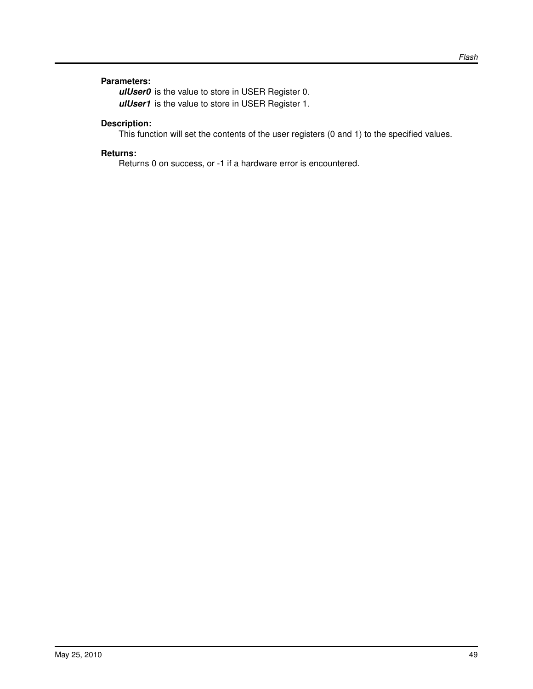# **Parameters:**

*ulUser0* is the value to store in USER Register 0. *ulUser1* is the value to store in USER Register 1.

# **Description:**

This function will set the contents of the user registers (0 and 1) to the specified values.

# **Returns:**

Returns 0 on success, or -1 if a hardware error is encountered.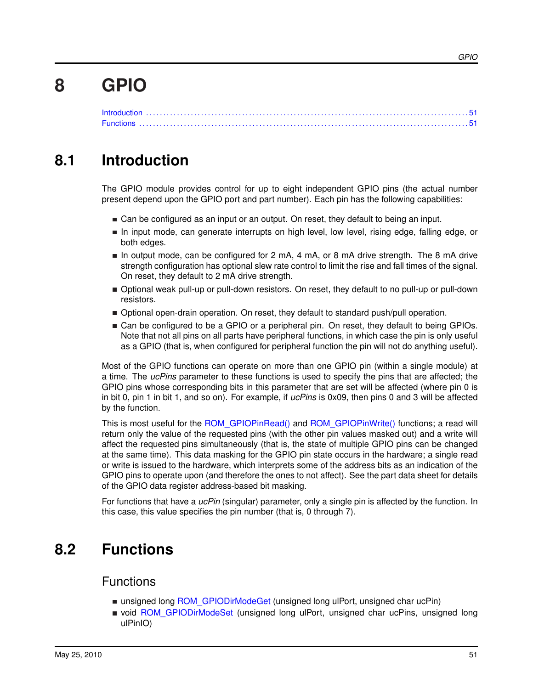#### <span id="page-50-0"></span>*GPIO*

# **8 GPIO**

# <span id="page-50-1"></span>**8.1 Introduction**

The GPIO module provides control for up to eight independent GPIO pins (the actual number present depend upon the GPIO port and part number). Each pin has the following capabilities:

- Can be configured as an input or an output. On reset, they default to being an input.
- In input mode, can generate interrupts on high level, low level, rising edge, falling edge, or both edges.
- In output mode, can be configured for 2 mA, 4 mA, or 8 mA drive strength. The 8 mA drive strength configuration has optional slew rate control to limit the rise and fall times of the signal. On reset, they default to 2 mA drive strength.
- Optional weak pull-up or pull-down resistors. On reset, they default to no pull-up or pull-down resistors.
- Optional open-drain operation. On reset, they default to standard push/pull operation.
- Can be configured to be a GPIO or a peripheral pin. On reset, they default to being GPIOs. Note that not all pins on all parts have peripheral functions, in which case the pin is only useful as a GPIO (that is, when configured for peripheral function the pin will not do anything useful).

Most of the GPIO functions can operate on more than one GPIO pin (within a single module) at a time. The *ucPins* parameter to these functions is used to specify the pins that are affected; the GPIO pins whose corresponding bits in this parameter that are set will be affected (where pin 0 is in bit 0, pin 1 in bit 1, and so on). For example, if *ucPins* is 0x09, then pins 0 and 3 will be affected by the function.

This is most useful for the [ROM\\_GPIOPinRead\(\)](#page-58-0) and [ROM\\_GPIOPinWrite\(\)](#page-66-0) functions; a read will return only the value of the requested pins (with the other pin values masked out) and a write will affect the requested pins simultaneously (that is, the state of multiple GPIO pins can be changed at the same time). This data masking for the GPIO pin state occurs in the hardware; a single read or write is issued to the hardware, which interprets some of the address bits as an indication of the GPIO pins to operate upon (and therefore the ones to not affect). See the part data sheet for details of the GPIO data register address-based bit masking.

<span id="page-50-2"></span>For functions that have a *ucPin* (singular) parameter, only a single pin is affected by the function. In this case, this value specifies the pin number (that is, 0 through 7).

# <span id="page-50-3"></span>**8.2 Functions**

# Functions

- unsigned long [ROM\\_GPIODirModeGet](#page-51-0) (unsigned long ulPort, unsigned char ucPin)
- void [ROM\\_GPIODirModeSet](#page-52-0) (unsigned long ulPort, unsigned char ucPins, unsigned long ulPinIO)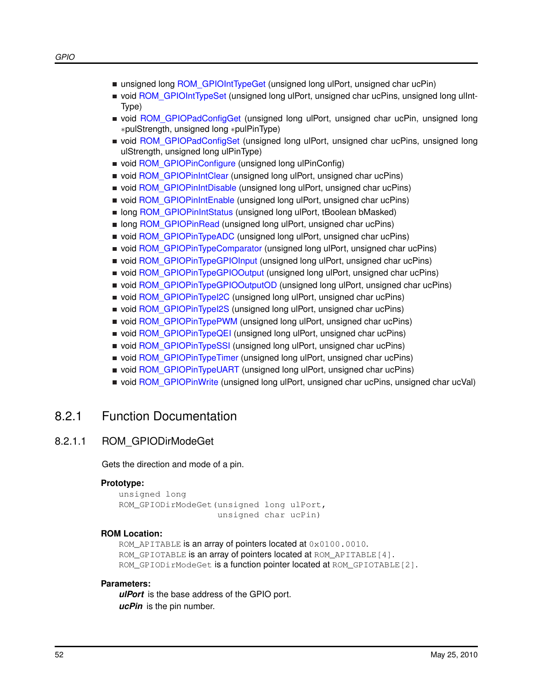- unsigned long [ROM\\_GPIOIntTypeGet](#page-52-1) (unsigned long ulPort, unsigned char ucPin)
- void [ROM\\_GPIOIntTypeSet](#page-53-0) (unsigned long ulPort, unsigned char ucPins, unsigned long ulInt-Type)
- void [ROM\\_GPIOPadConfigGet](#page-54-0) (unsigned long ulPort, unsigned char ucPin, unsigned long ∗pulStrength, unsigned long ∗pulPinType)
- void [ROM\\_GPIOPadConfigSet](#page-54-1) (unsigned long ulPort, unsigned char ucPins, unsigned long ulStrength, unsigned long ulPinType)
- void [ROM\\_GPIOPinConfigure](#page-56-0) (unsigned long ulPinConfig)
- void [ROM\\_GPIOPinIntClear](#page-56-1) (unsigned long ulPort, unsigned char ucPins)
- void [ROM\\_GPIOPinIntDisable](#page-57-0) (unsigned long ulPort, unsigned char ucPins)
- void [ROM\\_GPIOPinIntEnable](#page-57-1) (unsigned long ulPort, unsigned char ucPins)
- long [ROM\\_GPIOPinIntStatus](#page-58-1) (unsigned long ulPort, tBoolean bMasked)
- long [ROM\\_GPIOPinRead](#page-58-0) (unsigned long ulPort, unsigned char ucPins)
- void ROM GPIOPinTypeADC (unsigned long ulPort, unsigned char ucPins)
- void [ROM\\_GPIOPinTypeComparator](#page-60-0) (unsigned long ulPort, unsigned char ucPins)
- void [ROM\\_GPIOPinTypeGPIOInput](#page-60-1) (unsigned long ulPort, unsigned char ucPins)
- void [ROM\\_GPIOPinTypeGPIOOutput](#page-61-0) (unsigned long ulPort, unsigned char ucPins)
- void [ROM\\_GPIOPinTypeGPIOOutputOD](#page-61-1) (unsigned long ulPort, unsigned char ucPins)
- void [ROM\\_GPIOPinTypeI2C](#page-62-0) (unsigned long ulPort, unsigned char ucPins)
- void ROM GPIOPinTypeI2S (unsigned long ulPort, unsigned char ucPins)
- void ROM GPIOPinTypePWM (unsigned long ulPort, unsigned char ucPins)
- void [ROM\\_GPIOPinTypeQEI](#page-64-0) (unsigned long ulPort, unsigned char ucPins)
- void [ROM\\_GPIOPinTypeSSI](#page-64-1) (unsigned long ulPort, unsigned char ucPins)
- void [ROM\\_GPIOPinTypeTimer](#page-65-0) (unsigned long ulPort, unsigned char ucPins)
- void [ROM\\_GPIOPinTypeUART](#page-66-1) (unsigned long ulPort, unsigned char ucPins)
- void [ROM\\_GPIOPinWrite](#page-66-0) (unsigned long ulPort, unsigned char ucPins, unsigned char ucVal)

# 8.2.1 Function Documentation

# <span id="page-51-0"></span>8.2.1.1 ROM\_GPIODirModeGet

Gets the direction and mode of a pin.

### **Prototype:**

```
unsigned long
ROM GPIODirModeGet(unsigned long ulPort,
                   unsigned char ucPin)
```
#### **ROM Location:**

ROM APITABLE is an array of pointers located at  $0 \times 0100$ .0010. ROM\_GPIOTABLE is an array of pointers located at ROM\_APITABLE [4]. ROM\_GPIODirModeGet is a function pointer located at ROM\_GPIOTABLE[2].

#### **Parameters:**

*ulPort* is the base address of the GPIO port. *ucPin* is the pin number.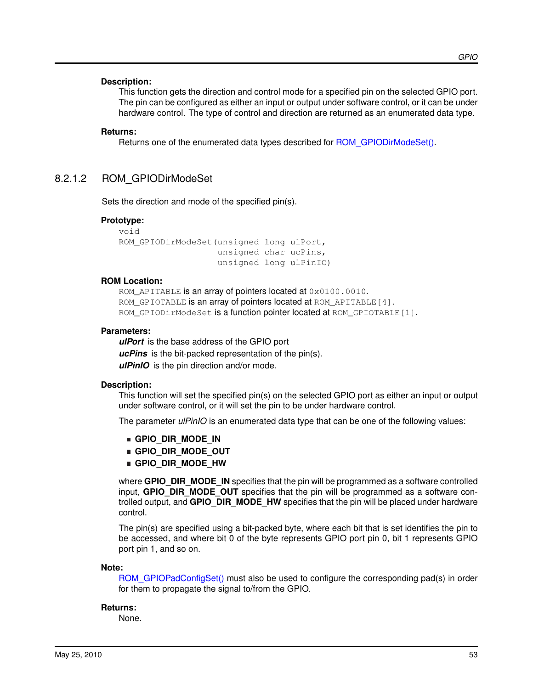### **Description:**

This function gets the direction and control mode for a specified pin on the selected GPIO port. The pin can be configured as either an input or output under software control, or it can be under hardware control. The type of control and direction are returned as an enumerated data type.

# **Returns:**

Returns one of the enumerated data types described for [ROM\\_GPIODirModeSet\(\).](#page-52-0)

# <span id="page-52-0"></span>8.2.1.2 ROM\_GPIODirModeSet

Sets the direction and mode of the specified pin(s).

#### **Prototype:**

```
void
ROM_GPIODirModeSet(unsigned long ulPort,
                   unsigned char ucPins,
                   unsigned long ulPinIO)
```
#### **ROM Location:**

ROM\_APITABLE is an array of pointers located at  $0 \times 0100$ .0010. ROM\_GPIOTABLE is an array of pointers located at ROM\_APITABLE [4]. ROM GPIODirModeSet is a function pointer located at ROM GPIOTABLE[1].

#### **Parameters:**

*ulPort* is the base address of the GPIO port *ucPins* is the bit-packed representation of the pin(s). *ulPinIO* is the pin direction and/or mode.

#### **Description:**

This function will set the specified pin(s) on the selected GPIO port as either an input or output under software control, or it will set the pin to be under hardware control.

The parameter *ulPinIO* is an enumerated data type that can be one of the following values:

- **GPIO\_DIR\_MODE\_IN**
- **GPIO\_DIR\_MODE\_OUT**
- **GPIO\_DIR\_MODE\_HW**

where **GPIO** DIR MODE IN specifies that the pin will be programmed as a software controlled input, **GPIO\_DIR\_MODE\_OUT** specifies that the pin will be programmed as a software controlled output, and **GPIO\_DIR\_MODE\_HW** specifies that the pin will be placed under hardware control.

The pin(s) are specified using a bit-packed byte, where each bit that is set identifies the pin to be accessed, and where bit 0 of the byte represents GPIO port pin 0, bit 1 represents GPIO port pin 1, and so on.

#### **Note:**

[ROM\\_GPIOPadConfigSet\(\)](#page-54-1) must also be used to configure the corresponding pad(s) in order for them to propagate the signal to/from the GPIO.

#### <span id="page-52-1"></span>**Returns:**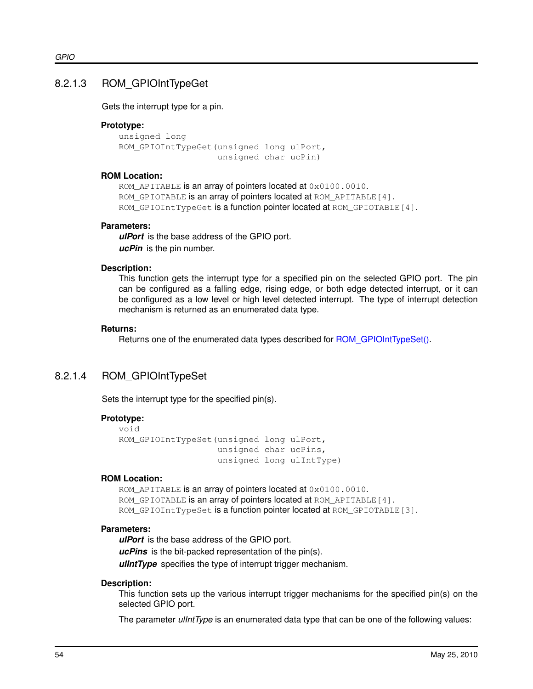# 8.2.1.3 ROM\_GPIOIntTypeGet

Gets the interrupt type for a pin.

### **Prototype:**

unsigned long ROM GPIOIntTypeGet(unsigned long ulPort, unsigned char ucPin)

### **ROM Location:**

ROM\_APITABLE is an array of pointers located at  $0 \times 0100$ .0010. ROM GPIOTABLE is an array of pointers located at ROM APITABLE [4]. ROM\_GPIOIntTypeGet is a function pointer located at ROM\_GPIOTABLE [4].

### **Parameters:**

*ulPort* is the base address of the GPIO port. *ucPin* is the pin number.

# **Description:**

This function gets the interrupt type for a specified pin on the selected GPIO port. The pin can be configured as a falling edge, rising edge, or both edge detected interrupt, or it can be configured as a low level or high level detected interrupt. The type of interrupt detection mechanism is returned as an enumerated data type.

#### **Returns:**

Returns one of the enumerated data types described for [ROM\\_GPIOIntTypeSet\(\).](#page-53-0)

# <span id="page-53-0"></span>8.2.1.4 ROM\_GPIOIntTypeSet

Sets the interrupt type for the specified pin(s).

# **Prototype:**

```
void
ROM_GPIOIntTypeSet(unsigned long ulPort,
                   unsigned char ucPins,
                   unsigned long ulIntType)
```
# **ROM Location:**

ROM APITABLE is an array of pointers located at  $0 \times 0100$ .0010. ROM\_GPIOTABLE is an array of pointers located at ROM\_APITABLE [4]. ROM\_GPIOIntTypeSet is a function pointer located at ROM\_GPIOTABLE [3].

#### **Parameters:**

*ulPort* is the base address of the GPIO port. *ucPins* is the bit-packed representation of the pin(s). *ulIntType* specifies the type of interrupt trigger mechanism.

#### **Description:**

This function sets up the various interrupt trigger mechanisms for the specified pin(s) on the selected GPIO port.

The parameter *ulIntType* is an enumerated data type that can be one of the following values: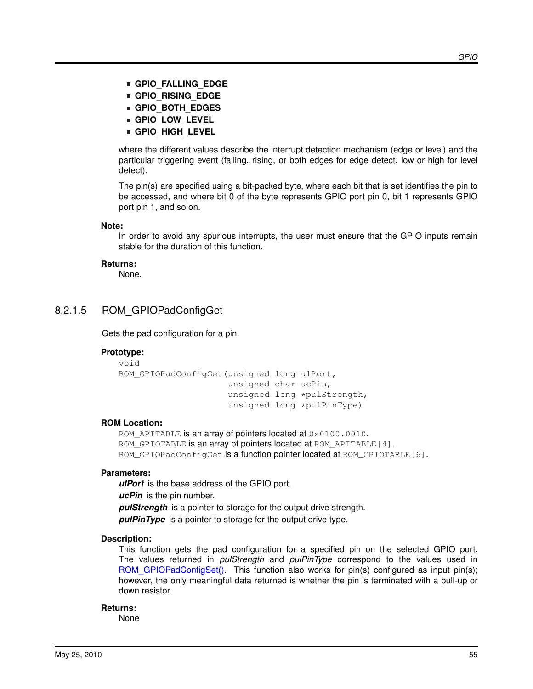- **GPIO\_FALLING\_EDGE**
- **GPIO\_RISING\_EDGE**
- **GPIO\_BOTH\_EDGES**
- **GPIO\_LOW\_LEVEL**
- **GPIO\_HIGH\_LEVEL**

where the different values describe the interrupt detection mechanism (edge or level) and the particular triggering event (falling, rising, or both edges for edge detect, low or high for level detect).

The pin(s) are specified using a bit-packed byte, where each bit that is set identifies the pin to be accessed, and where bit 0 of the byte represents GPIO port pin 0, bit 1 represents GPIO port pin 1, and so on.

#### **Note:**

In order to avoid any spurious interrupts, the user must ensure that the GPIO inputs remain stable for the duration of this function.

#### **Returns:**

None.

# <span id="page-54-0"></span>8.2.1.5 ROM\_GPIOPadConfigGet

Gets the pad configuration for a pin.

# **Prototype:**

```
void
ROM_GPIOPadConfigGet(unsigned long ulPort,
                     unsigned char ucPin,
                     unsigned long *pulStrength,
                     unsigned long *pulPinType)
```
# **ROM Location:**

ROM APITABLE is an array of pointers located at  $0 \times 0100$ .0010. ROM\_GPIOTABLE is an array of pointers located at ROM\_APITABLE [4]. ROM\_GPIOPadConfigGet is a function pointer located at ROM\_GPIOTABLE [6].

# **Parameters:**

*ulPort* is the base address of the GPIO port. *ucPin* is the pin number. *pulStrength* is a pointer to storage for the output drive strength.

*pulPinType* is a pointer to storage for the output drive type.

# **Description:**

This function gets the pad configuration for a specified pin on the selected GPIO port. The values returned in *pulStrength* and *pulPinType* correspond to the values used in [ROM\\_GPIOPadConfigSet\(\).](#page-54-1) This function also works for pin(s) configured as input pin(s); however, the only meaningful data returned is whether the pin is terminated with a pull-up or down resistor.

# <span id="page-54-1"></span>**Returns:**

None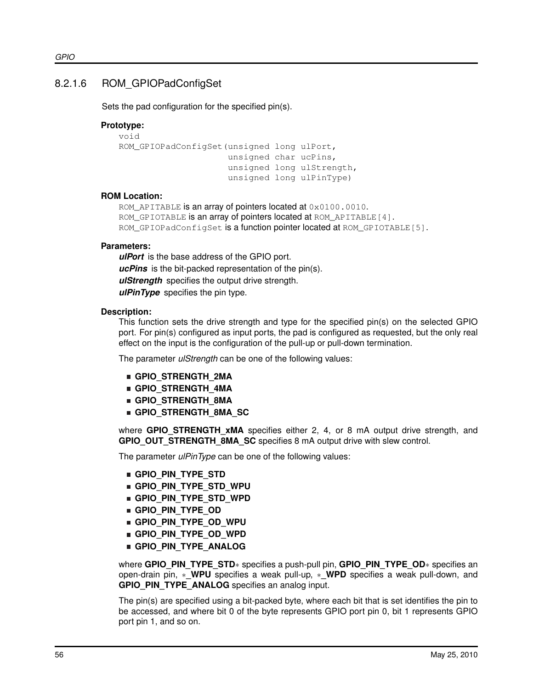# 8.2.1.6 ROM GPIOPadConfigSet

Sets the pad configuration for the specified pin(s).

# **Prototype:**

```
void
ROM_GPIOPadConfigSet(unsigned long ulPort,
                     unsigned char ucPins,
                     unsigned long ulStrength,
                     unsigned long ulPinType)
```
# **ROM Location:**

```
ROM APITABLE is an array of pointers located at 0x0100.0010.
ROM GPIOTABLE is an array of pointers located at ROM APITABLE [4].
ROM GPIOPadConfigSet is a function pointer located at ROM GPIOTABLE[5].
```
# **Parameters:**

*ulPort* is the base address of the GPIO port. *ucPins* is the bit-packed representation of the pin(s). *ulStrength* specifies the output drive strength. *ulPinType* specifies the pin type.

# **Description:**

This function sets the drive strength and type for the specified pin(s) on the selected GPIO port. For pin(s) configured as input ports, the pad is configured as requested, but the only real effect on the input is the configuration of the pull-up or pull-down termination.

The parameter *ulStrength* can be one of the following values:

- **GPIO\_STRENGTH\_2MA**
- **GPIO\_STRENGTH\_4MA**
- **GPIO\_STRENGTH\_8MA**
- **GPIO\_STRENGTH\_8MA\_SC**

where **GPIO STRENGTH xMA** specifies either 2, 4, or 8 mA output drive strength, and **GPIO\_OUT\_STRENGTH\_8MA\_SC** specifies 8 mA output drive with slew control.

The parameter *ulPinType* can be one of the following values:

- **GPIO\_PIN\_TYPE\_STD**
- **GPIO\_PIN\_TYPE\_STD\_WPU**
- **GPIO\_PIN\_TYPE\_STD\_WPD**
- **GPIO\_PIN\_TYPE\_OD**
- **GPIO\_PIN\_TYPE\_OD\_WPU**
- **GPIO\_PIN\_TYPE\_OD\_WPD**
- **GPIO\_PIN\_TYPE\_ANALOG**

where GPIO\_PIN\_TYPE\_STD<sup>∗</sup> specifies a push-pull pin, GPIO\_PIN\_TYPE\_OD<sup>∗</sup> specifies an open-drain pin, ∗**\_WPU** specifies a weak pull-up, ∗**\_WPD** specifies a weak pull-down, and **GPIO\_PIN\_TYPE\_ANALOG** specifies an analog input.

The pin(s) are specified using a bit-packed byte, where each bit that is set identifies the pin to be accessed, and where bit 0 of the byte represents GPIO port pin 0, bit 1 represents GPIO port pin 1, and so on.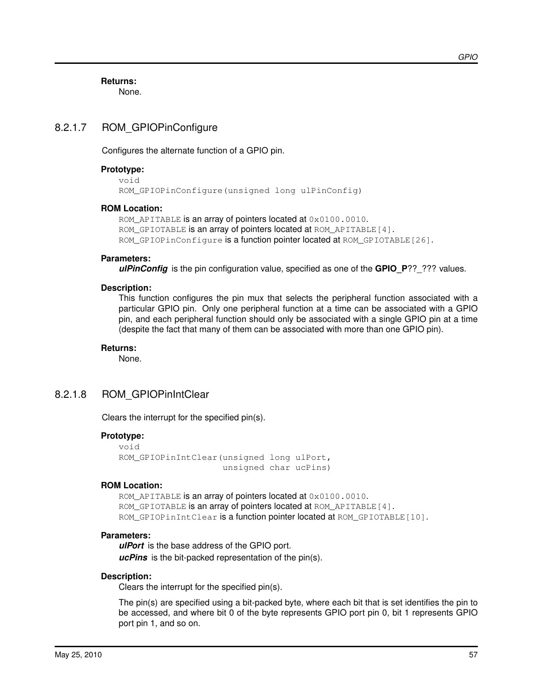**Returns:**

None.

# <span id="page-56-0"></span>8.2.1.7 ROM\_GPIOPinConfigure

Configures the alternate function of a GPIO pin.

# **Prototype:**

void ROM\_GPIOPinConfigure(unsigned long ulPinConfig)

# **ROM Location:**

ROM\_APITABLE is an array of pointers located at  $0 \times 0100$ .0010. ROM GPIOTABLE is an array of pointers located at ROM APITABLE[4]. ROM\_GPIOPinConfigure is a function pointer located at ROM\_GPIOTABLE[26].

#### **Parameters:**

**ulPinConfig** is the pin configuration value, specified as one of the **GPIO** P?? ??? values.

#### **Description:**

This function configures the pin mux that selects the peripheral function associated with a particular GPIO pin. Only one peripheral function at a time can be associated with a GPIO pin, and each peripheral function should only be associated with a single GPIO pin at a time (despite the fact that many of them can be associated with more than one GPIO pin).

# **Returns:**

None.

# <span id="page-56-1"></span>8.2.1.8 ROM GPIOPinIntClear

Clears the interrupt for the specified pin(s).

# **Prototype:**

void ROM\_GPIOPinIntClear(unsigned long ulPort, unsigned char ucPins)

# **ROM Location:**

ROM\_APITABLE is an array of pointers located at  $0 \times 0100$ .0010. ROM\_GPIOTABLE is an array of pointers located at ROM\_APITABLE[4]. ROM\_GPIOPinIntClear is a function pointer located at ROM\_GPIOTABLE[10].

### **Parameters:**

*ulPort* is the base address of the GPIO port. *ucPins* is the bit-packed representation of the pin(s).

#### **Description:**

Clears the interrupt for the specified pin(s).

The pin(s) are specified using a bit-packed byte, where each bit that is set identifies the pin to be accessed, and where bit 0 of the byte represents GPIO port pin 0, bit 1 represents GPIO port pin 1, and so on.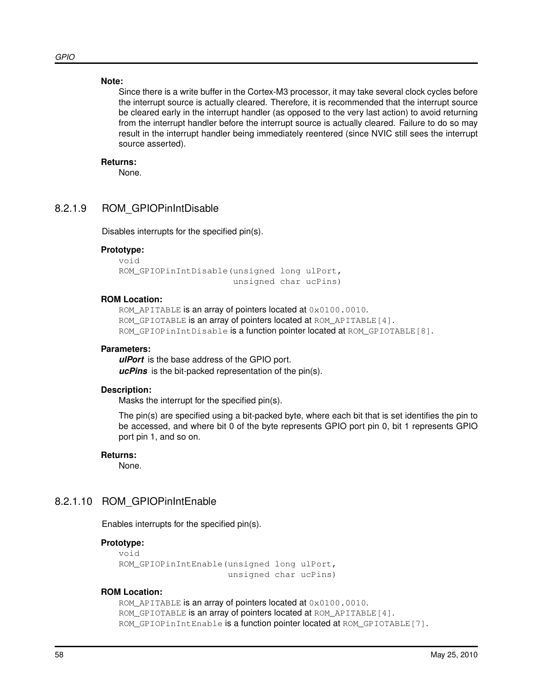# **Note:**

Since there is a write buffer in the Cortex-M3 processor, it may take several clock cycles before the interrupt source is actually cleared. Therefore, it is recommended that the interrupt source be cleared early in the interrupt handler (as opposed to the very last action) to avoid returning from the interrupt handler before the interrupt source is actually cleared. Failure to do so may result in the interrupt handler being immediately reentered (since NVIC still sees the interrupt source asserted).

# **Returns:**

None.

# <span id="page-57-0"></span>8.2.1.9 ROM\_GPIOPinIntDisable

Disables interrupts for the specified pin(s).

# **Prototype:**

```
void
ROM GPIOPinIntDisable(unsigned long ulPort,
                      unsigned char ucPins)
```
# **ROM Location:**

ROM APITABLE is an array of pointers located at 0x0100.0010. ROM\_GPIOTABLE is an array of pointers located at ROM\_APITABLE [4]. ROM\_GPIOPinIntDisable is a function pointer located at ROM\_GPIOTABLE[8].

# **Parameters:**

*ulPort* is the base address of the GPIO port. *ucPins* is the bit-packed representation of the pin(s).

# **Description:**

Masks the interrupt for the specified pin(s).

The pin(s) are specified using a bit-packed byte, where each bit that is set identifies the pin to be accessed, and where bit 0 of the byte represents GPIO port pin 0, bit 1 represents GPIO port pin 1, and so on.

# **Returns:**

None.

# <span id="page-57-1"></span>8.2.1.10 ROM\_GPIOPinIntEnable

Enables interrupts for the specified pin(s).

# **Prototype:**

```
void
ROM_GPIOPinIntEnable(unsigned long ulPort,
                     unsigned char ucPins)
```
# **ROM Location:**

ROM\_APITABLE is an array of pointers located at  $0 \times 0100$ .0010. ROM\_GPIOTABLE is an array of pointers located at ROM\_APITABLE [4]. ROM GPIOPinIntEnable is a function pointer located at ROM GPIOTABLE[7].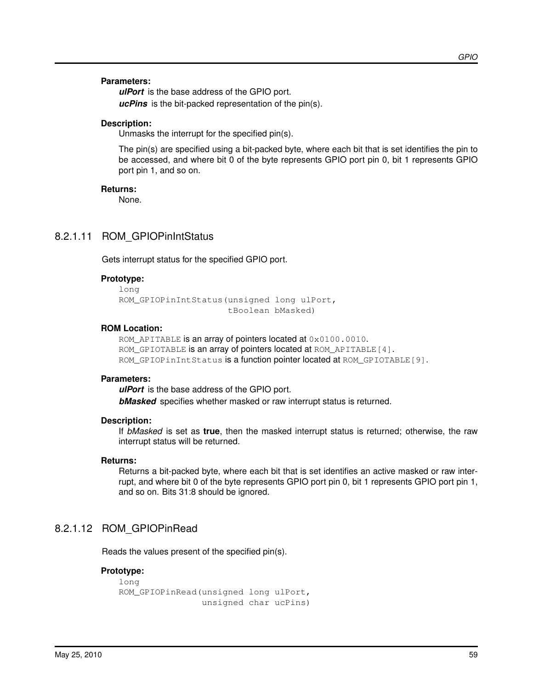#### **Parameters:**

*ulPort* is the base address of the GPIO port. *ucPins* is the bit-packed representation of the pin(s).

#### **Description:**

Unmasks the interrupt for the specified pin(s).

The pin(s) are specified using a bit-packed byte, where each bit that is set identifies the pin to be accessed, and where bit 0 of the byte represents GPIO port pin 0, bit 1 represents GPIO port pin 1, and so on.

#### **Returns:**

None.

# <span id="page-58-1"></span>8.2.1.11 ROM\_GPIOPinIntStatus

Gets interrupt status for the specified GPIO port.

# **Prototype:**

```
long
ROM_GPIOPinIntStatus(unsigned long ulPort,
                     tBoolean bMasked)
```
#### **ROM Location:**

```
ROM_APITABLE is an array of pointers located at 0 \times 0100.0010.
ROM_GPIOTABLE is an array of pointers located at ROM_APITABLE [4].
ROM GPIOPinIntStatus is a function pointer located at ROM GPIOTABLE[9].
```
#### **Parameters:**

*ulPort* is the base address of the GPIO port.

*bMasked* specifies whether masked or raw interrupt status is returned.

#### **Description:**

If *bMasked* is set as **true**, then the masked interrupt status is returned; otherwise, the raw interrupt status will be returned.

### **Returns:**

Returns a bit-packed byte, where each bit that is set identifies an active masked or raw interrupt, and where bit 0 of the byte represents GPIO port pin 0, bit 1 represents GPIO port pin 1, and so on. Bits 31:8 should be ignored.

# <span id="page-58-0"></span>8.2.1.12 ROM\_GPIOPinRead

Reads the values present of the specified pin(s).

#### **Prototype:**

```
long
ROM_GPIOPinRead(unsigned long ulPort,
                unsigned char ucPins)
```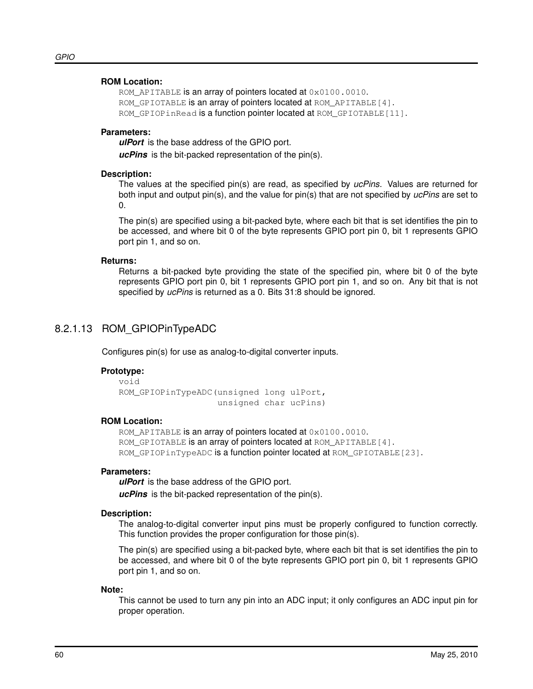# **ROM Location:**

ROM\_APITABLE is an array of pointers located at  $0 \times 0100$ .0010. ROM\_GPIOTABLE is an array of pointers located at ROM\_APITABLE[4]. ROM\_GPIOPinRead is a function pointer located at ROM\_GPIOTABLE[11].

# **Parameters:**

*ulPort* is the base address of the GPIO port.

*ucPins* is the bit-packed representation of the pin(s).

# **Description:**

The values at the specified pin(s) are read, as specified by *ucPins*. Values are returned for both input and output pin(s), and the value for pin(s) that are not specified by *ucPins* are set to 0.

The pin(s) are specified using a bit-packed byte, where each bit that is set identifies the pin to be accessed, and where bit 0 of the byte represents GPIO port pin 0, bit 1 represents GPIO port pin 1, and so on.

# **Returns:**

Returns a bit-packed byte providing the state of the specified pin, where bit 0 of the byte represents GPIO port pin 0, bit 1 represents GPIO port pin 1, and so on. Any bit that is not specified by *ucPins* is returned as a 0. Bits 31:8 should be ignored.

# <span id="page-59-0"></span>8.2.1.13 ROM\_GPIOPinTypeADC

Configures pin(s) for use as analog-to-digital converter inputs.

# **Prototype:**

```
void
ROM_GPIOPinTypeADC(unsigned long ulPort,
                   unsigned char ucPins)
```
# **ROM Location:**

ROM APITABLE is an array of pointers located at 0x0100.0010. ROM GPIOTABLE is an array of pointers located at ROM APITABLE [4]. ROM GPIOPinTypeADC is a function pointer located at ROM GPIOTABLE[23].

# **Parameters:**

*ulPort* is the base address of the GPIO port.

*ucPins* is the bit-packed representation of the pin(s).

# **Description:**

The analog-to-digital converter input pins must be properly configured to function correctly. This function provides the proper configuration for those pin(s).

The pin(s) are specified using a bit-packed byte, where each bit that is set identifies the pin to be accessed, and where bit 0 of the byte represents GPIO port pin 0, bit 1 represents GPIO port pin 1, and so on.

# **Note:**

This cannot be used to turn any pin into an ADC input; it only configures an ADC input pin for proper operation.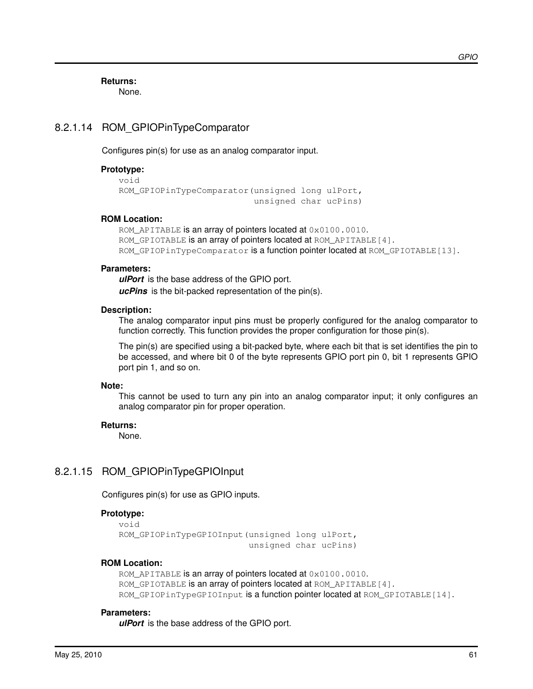**Returns:**

None.

# <span id="page-60-0"></span>8.2.1.14 ROM\_GPIOPinTypeComparator

Configures pin(s) for use as an analog comparator input.

# **Prototype:**

```
void
ROM_GPIOPinTypeComparator(unsigned long ulPort,
                          unsigned char ucPins)
```
#### **ROM Location:**

ROM\_APITABLE is an array of pointers located at  $0 \times 0100$ .0010. ROM\_GPIOTABLE is an array of pointers located at ROM\_APITABLE [4]. ROM GPIOPinTypeComparator is a function pointer located at ROM GPIOTABLE[13].

#### **Parameters:**

*ulPort* is the base address of the GPIO port.

*ucPins* is the bit-packed representation of the pin(s).

#### **Description:**

The analog comparator input pins must be properly configured for the analog comparator to function correctly. This function provides the proper configuration for those pin(s).

The pin(s) are specified using a bit-packed byte, where each bit that is set identifies the pin to be accessed, and where bit 0 of the byte represents GPIO port pin 0, bit 1 represents GPIO port pin 1, and so on.

#### **Note:**

This cannot be used to turn any pin into an analog comparator input; it only configures an analog comparator pin for proper operation.

#### **Returns:**

None.

# <span id="page-60-1"></span>8.2.1.15 ROM\_GPIOPinTypeGPIOInput

Configures pin(s) for use as GPIO inputs.

#### **Prototype:**

void

```
ROM_GPIOPinTypeGPIOInput(unsigned long ulPort,
                         unsigned char ucPins)
```
#### **ROM Location:**

ROM\_APITABLE is an array of pointers located at  $0 \times 0100$ .0010. ROM\_GPIOTABLE is an array of pointers located at ROM\_APITABLE [4]. ROM GPIOPinTypeGPIOInput is a function pointer located at ROM GPIOTABLE[14].

#### **Parameters:**

*ulPort* is the base address of the GPIO port.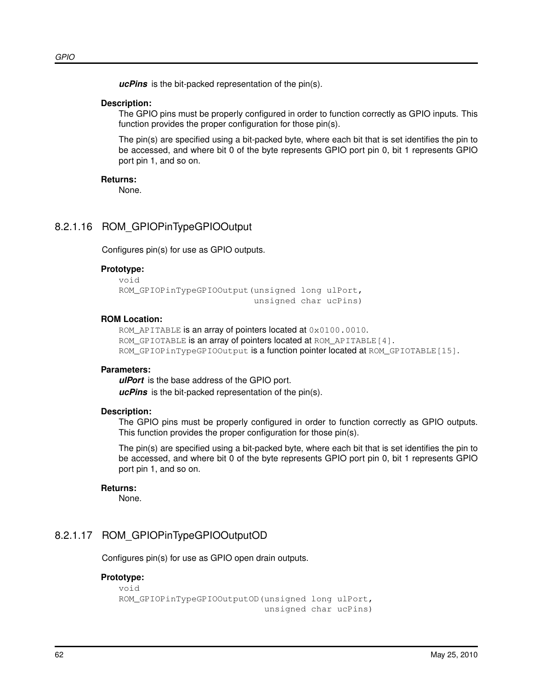*ucPins* is the bit-packed representation of the pin(s).

# **Description:**

The GPIO pins must be properly configured in order to function correctly as GPIO inputs. This function provides the proper configuration for those pin(s).

The pin(s) are specified using a bit-packed byte, where each bit that is set identifies the pin to be accessed, and where bit 0 of the byte represents GPIO port pin 0, bit 1 represents GPIO port pin 1, and so on.

# **Returns:**

None.

# <span id="page-61-0"></span>8.2.1.16 ROM\_GPIOPinTypeGPIOOutput

Configures pin(s) for use as GPIO outputs.

# **Prototype:**

```
void
ROM_GPIOPinTypeGPIOOutput(unsigned long ulPort,
                           unsigned char ucPins)
```
# **ROM Location:**

ROM\_APITABLE is an array of pointers located at  $0 \times 0100$ .0010. ROM GPIOTABLE is an array of pointers located at ROM APITABLE [4]. ROM GPIOPinTypeGPIOOutput is a function pointer located at ROM GPIOTABLE[15].

# **Parameters:**

*ulPort* is the base address of the GPIO port.

*ucPins* is the bit-packed representation of the pin(s).

# **Description:**

The GPIO pins must be properly configured in order to function correctly as GPIO outputs. This function provides the proper configuration for those pin(s).

The pin(s) are specified using a bit-packed byte, where each bit that is set identifies the pin to be accessed, and where bit 0 of the byte represents GPIO port pin 0, bit 1 represents GPIO port pin 1, and so on.

# **Returns:**

None.

# <span id="page-61-1"></span>8.2.1.17 ROM\_GPIOPinTypeGPIOOutputOD

Configures pin(s) for use as GPIO open drain outputs.

# **Prototype:**

```
void
ROM_GPIOPinTypeGPIOOutputOD(unsigned long ulPort,
                            unsigned char ucPins)
```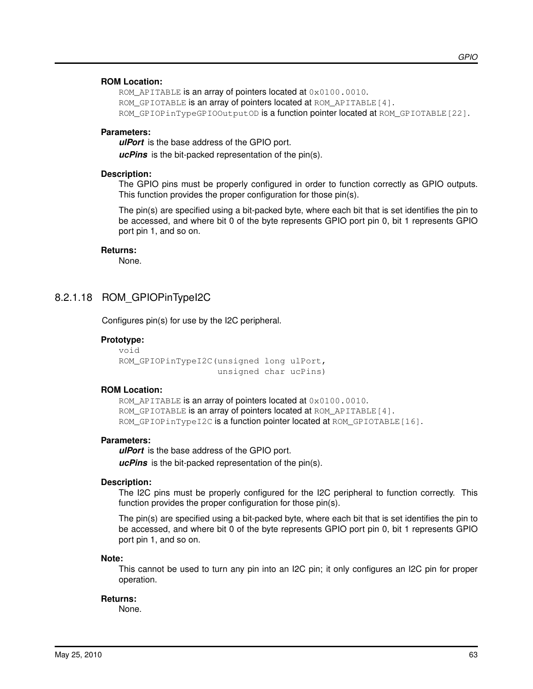# **ROM Location:**

ROM\_APITABLE is an array of pointers located at  $0 \times 0100$ .0010. ROM GPIOTABLE is an array of pointers located at ROM  $APITABLE[4]$ . ROM\_GPIOPinTypeGPIOOutputOD is a function pointer located at ROM\_GPIOTABLE[22].

#### **Parameters:**

*ulPort* is the base address of the GPIO port.

*ucPins* is the bit-packed representation of the pin(s).

#### **Description:**

The GPIO pins must be properly configured in order to function correctly as GPIO outputs. This function provides the proper configuration for those pin(s).

The pin(s) are specified using a bit-packed byte, where each bit that is set identifies the pin to be accessed, and where bit 0 of the byte represents GPIO port pin 0, bit 1 represents GPIO port pin 1, and so on.

#### **Returns:**

None.

# <span id="page-62-0"></span>8.2.1.18 ROM\_GPIOPinTypeI2C

Configures pin(s) for use by the I2C peripheral.

#### **Prototype:**

void ROM\_GPIOPinTypeI2C(unsigned long ulPort, unsigned char ucPins)

#### **ROM Location:**

ROM\_APITABLE is an array of pointers located at  $0 \times 0100$ .0010. ROM GPIOTABLE is an array of pointers located at ROM APITABLE[4]. ROM\_GPIOPinTypeI2C is a function pointer located at ROM\_GPIOTABLE[16].

#### **Parameters:**

*ulPort* is the base address of the GPIO port. *ucPins* is the bit-packed representation of the pin(s).

### **Description:**

The I2C pins must be properly configured for the I2C peripheral to function correctly. This function provides the proper configuration for those pin(s).

The pin(s) are specified using a bit-packed byte, where each bit that is set identifies the pin to be accessed, and where bit 0 of the byte represents GPIO port pin 0, bit 1 represents GPIO port pin 1, and so on.

#### **Note:**

This cannot be used to turn any pin into an I2C pin; it only configures an I2C pin for proper operation.

#### <span id="page-62-1"></span>**Returns:**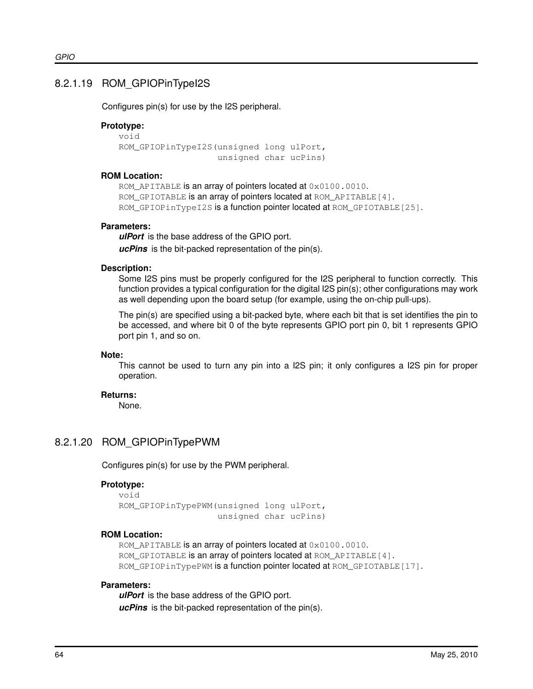# 8.2.1.19 ROM\_GPIOPinTypeI2S

Configures pin(s) for use by the I2S peripheral.

# **Prototype:**

```
void
ROM_GPIOPinTypeI2S(unsigned long ulPort,
                   unsigned char ucPins)
```
# **ROM Location:**

ROM\_APITABLE is an array of pointers located at  $0 \times 0100$ .0010. ROM GPIOTABLE is an array of pointers located at ROM APITABLE [4]. ROM GPIOPinTypeI2S is a function pointer located at ROM GPIOTABLE[25].

### **Parameters:**

*ulPort* is the base address of the GPIO port. *ucPins* is the bit-packed representation of the pin(s).

#### **Description:**

Some I2S pins must be properly configured for the I2S peripheral to function correctly. This function provides a typical configuration for the digital I2S pin(s); other configurations may work as well depending upon the board setup (for example, using the on-chip pull-ups).

The pin(s) are specified using a bit-packed byte, where each bit that is set identifies the pin to be accessed, and where bit 0 of the byte represents GPIO port pin 0, bit 1 represents GPIO port pin 1, and so on.

#### **Note:**

This cannot be used to turn any pin into a I2S pin; it only configures a I2S pin for proper operation.

#### **Returns:**

None.

# <span id="page-63-0"></span>8.2.1.20 ROM\_GPIOPinTypePWM

Configures pin(s) for use by the PWM peripheral.

#### **Prototype:**

```
void
ROM_GPIOPinTypePWM(unsigned long ulPort,
                   unsigned char ucPins)
```
#### **ROM Location:**

ROM\_APITABLE is an array of pointers located at  $0 \times 0100$ .0010. ROM\_GPIOTABLE is an array of pointers located at ROM\_APITABLE [4]. ROM\_GPIOPinTypePWM is a function pointer located at ROM\_GPIOTABLE[17].

#### **Parameters:**

*ulPort* is the base address of the GPIO port. *ucPins* is the bit-packed representation of the pin(s).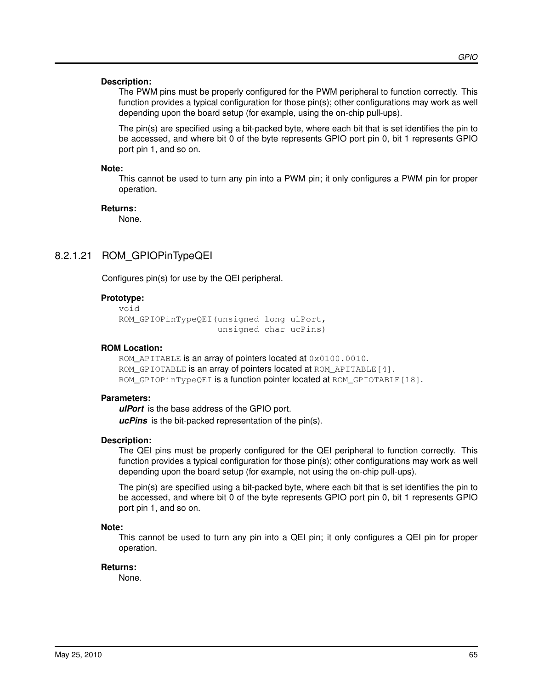# **Description:**

The PWM pins must be properly configured for the PWM peripheral to function correctly. This function provides a typical configuration for those pin(s); other configurations may work as well depending upon the board setup (for example, using the on-chip pull-ups).

The pin(s) are specified using a bit-packed byte, where each bit that is set identifies the pin to be accessed, and where bit 0 of the byte represents GPIO port pin 0, bit 1 represents GPIO port pin 1, and so on.

#### **Note:**

This cannot be used to turn any pin into a PWM pin; it only configures a PWM pin for proper operation.

#### **Returns:**

None.

# <span id="page-64-0"></span>8.2.1.21 ROM\_GPIOPinTypeQEI

Configures pin(s) for use by the QEI peripheral.

# **Prototype:**

```
void
ROM_GPIOPinTypeQEI(unsigned long ulPort,
                   unsigned char ucPins)
```
# **ROM Location:**

ROM\_APITABLE is an array of pointers located at  $0 \times 0100$ .0010. ROM GPIOTABLE is an array of pointers located at ROM APITABLE [4]. ROM\_GPIOPinTypeQEI is a function pointer located at ROM\_GPIOTABLE[18].

# **Parameters:**

*ulPort* is the base address of the GPIO port. *ucPins* is the bit-packed representation of the pin(s).

#### **Description:**

The QEI pins must be properly configured for the QEI peripheral to function correctly. This function provides a typical configuration for those pin(s); other configurations may work as well depending upon the board setup (for example, not using the on-chip pull-ups).

The pin(s) are specified using a bit-packed byte, where each bit that is set identifies the pin to be accessed, and where bit 0 of the byte represents GPIO port pin 0, bit 1 represents GPIO port pin 1, and so on.

# **Note:**

This cannot be used to turn any pin into a QEI pin; it only configures a QEI pin for proper operation.

#### <span id="page-64-1"></span>**Returns:**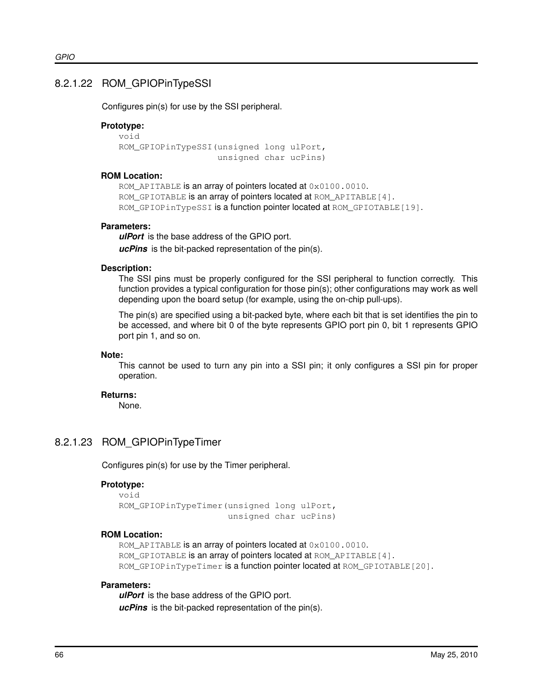# 8.2.1.22 ROM\_GPIOPinTypeSSI

Configures pin(s) for use by the SSI peripheral.

### **Prototype:**

```
void
ROM GPIOPinTypeSSI(unsigned long ulPort,
                   unsigned char ucPins)
```
# **ROM Location:**

ROM\_APITABLE is an array of pointers located at  $0 \times 0100$ .0010. ROM GPIOTABLE is an array of pointers located at ROM APITABLE [4]. ROM GPIOPinTypeSSI is a function pointer located at ROM GPIOTABLE[19].

### **Parameters:**

*ulPort* is the base address of the GPIO port. *ucPins* is the bit-packed representation of the pin(s).

#### **Description:**

The SSI pins must be properly configured for the SSI peripheral to function correctly. This function provides a typical configuration for those pin(s); other configurations may work as well depending upon the board setup (for example, using the on-chip pull-ups).

The pin(s) are specified using a bit-packed byte, where each bit that is set identifies the pin to be accessed, and where bit 0 of the byte represents GPIO port pin 0, bit 1 represents GPIO port pin 1, and so on.

#### **Note:**

This cannot be used to turn any pin into a SSI pin; it only configures a SSI pin for proper operation.

#### **Returns:**

None.

# <span id="page-65-0"></span>8.2.1.23 ROM\_GPIOPinTypeTimer

Configures pin(s) for use by the Timer peripheral.

#### **Prototype:**

```
void
ROM_GPIOPinTypeTimer(unsigned long ulPort,
                     unsigned char ucPins)
```
#### **ROM Location:**

ROM\_APITABLE is an array of pointers located at  $0 \times 0100$ .0010. ROM\_GPIOTABLE is an array of pointers located at ROM\_APITABLE [4]. ROM\_GPIOPinTypeTimer is a function pointer located at ROM\_GPIOTABLE[20].

#### **Parameters:**

*ulPort* is the base address of the GPIO port. *ucPins* is the bit-packed representation of the pin(s).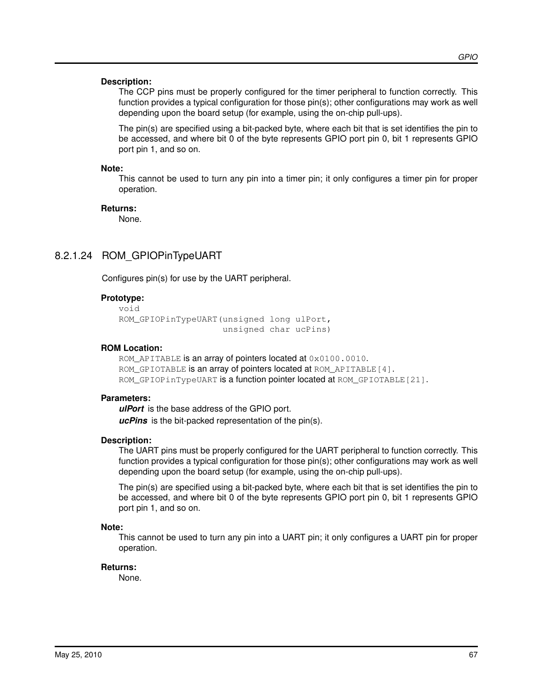### **Description:**

The CCP pins must be properly configured for the timer peripheral to function correctly. This function provides a typical configuration for those pin(s); other configurations may work as well depending upon the board setup (for example, using the on-chip pull-ups).

The pin(s) are specified using a bit-packed byte, where each bit that is set identifies the pin to be accessed, and where bit 0 of the byte represents GPIO port pin 0, bit 1 represents GPIO port pin 1, and so on.

#### **Note:**

This cannot be used to turn any pin into a timer pin; it only configures a timer pin for proper operation.

#### **Returns:**

None.

# <span id="page-66-1"></span>8.2.1.24 ROM\_GPIOPinTypeUART

Configures pin(s) for use by the UART peripheral.

# **Prototype:**

```
void
ROM_GPIOPinTypeUART(unsigned long ulPort,
                    unsigned char ucPins)
```
### **ROM Location:**

ROM\_APITABLE is an array of pointers located at  $0 \times 0100$ .0010. ROM\_GPIOTABLE is an array of pointers located at ROM\_APITABLE [4]. ROM\_GPIOPinTypeUART is a function pointer located at ROM\_GPIOTABLE[21].

#### **Parameters:**

*ulPort* is the base address of the GPIO port. *ucPins* is the bit-packed representation of the pin(s).

#### **Description:**

The UART pins must be properly configured for the UART peripheral to function correctly. This function provides a typical configuration for those pin(s); other configurations may work as well depending upon the board setup (for example, using the on-chip pull-ups).

The pin(s) are specified using a bit-packed byte, where each bit that is set identifies the pin to be accessed, and where bit 0 of the byte represents GPIO port pin 0, bit 1 represents GPIO port pin 1, and so on.

#### **Note:**

This cannot be used to turn any pin into a UART pin; it only configures a UART pin for proper operation.

#### <span id="page-66-0"></span>**Returns:**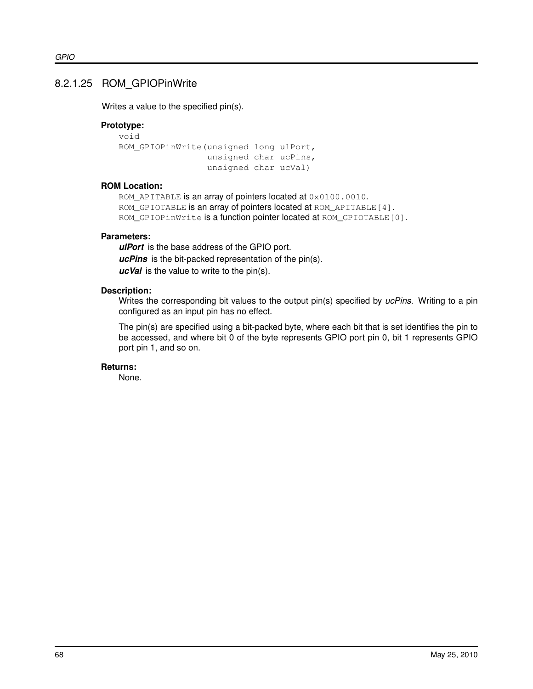# 8.2.1.25 ROM\_GPIOPinWrite

Writes a value to the specified pin(s).

# **Prototype:**

```
void
ROM_GPIOPinWrite(unsigned long ulPort,
                 unsigned char ucPins,
                 unsigned char ucVal)
```
# **ROM Location:**

ROM APITABLE is an array of pointers located at 0x0100.0010. ROM\_GPIOTABLE is an array of pointers located at ROM\_APITABLE [4]. ROM\_GPIOPinWrite is a function pointer located at ROM\_GPIOTABLE[0].

# **Parameters:**

*ulPort* is the base address of the GPIO port. *ucPins* is the bit-packed representation of the pin(s). *ucVal* is the value to write to the pin(s).

# **Description:**

Writes the corresponding bit values to the output pin(s) specified by *ucPins*. Writing to a pin configured as an input pin has no effect.

The pin(s) are specified using a bit-packed byte, where each bit that is set identifies the pin to be accessed, and where bit 0 of the byte represents GPIO port pin 0, bit 1 represents GPIO port pin 1, and so on.

# **Returns:**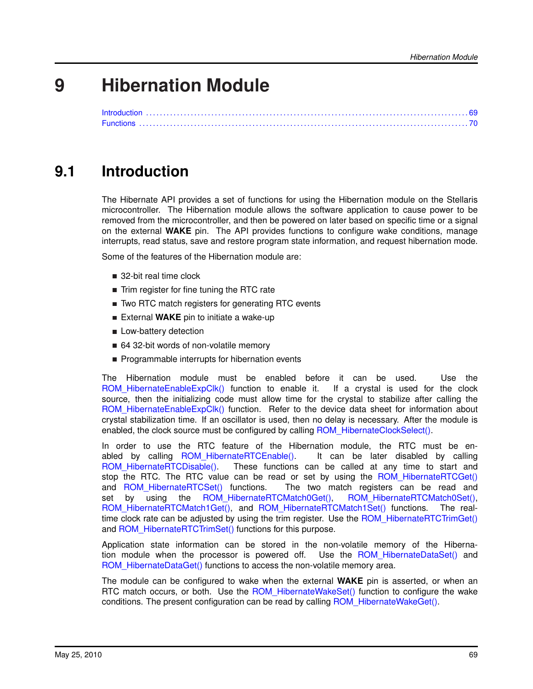# **9 Hibernation Module**

<span id="page-68-0"></span>

# <span id="page-68-1"></span>**9.1 Introduction**

The Hibernate API provides a set of functions for using the Hibernation module on the Stellaris microcontroller. The Hibernation module allows the software application to cause power to be removed from the microcontroller, and then be powered on later based on specific time or a signal on the external **WAKE** pin. The API provides functions to configure wake conditions, manage interrupts, read status, save and restore program state information, and request hibernation mode.

Some of the features of the Hibernation module are:

- 32-bit real time clock
- $\blacksquare$  Trim register for fine tuning the RTC rate
- Two RTC match registers for generating RTC events
- **External WAKE** pin to initiate a wake-up
- **Low-battery detection**
- 64 32-bit words of non-volatile memory
- **Programmable interrupts for hibernation events**

The Hibernation module must be enabled before it can be used. Use the ROM HibernateEnableExpClk() function to enable it. If a crystal is used for the clock source, then the initializing code must allow time for the crystal to stabilize after calling the [ROM\\_HibernateEnableExpClk\(\)](#page-71-0) function. Refer to the device data sheet for information about crystal stabilization time. If an oscillator is used, then no delay is necessary. After the module is enabled, the clock source must be configured by calling [ROM\\_HibernateClockSelect\(\).](#page-70-0)

In order to use the RTC feature of the Hibernation module, the RTC must be enabled by calling [ROM\\_HibernateRTCEnable\(\).](#page-77-0) It can be later disabled by calling [ROM\\_HibernateRTCDisable\(\).](#page-76-0) These functions can be called at any time to start and stop the RTC. The RTC value can be read or set by using the ROM HibernateRTCGet() and [ROM\\_HibernateRTCSet\(\)](#page-79-0) functions. The two match registers can be read and set by using the [ROM\\_HibernateRTCMatch0Get\(\),](#page-78-0) [ROM\\_HibernateRTCMatch0Set\(\),](#page-78-1) [ROM\\_HibernateRTCMatch1Get\(\),](#page-78-2) and [ROM\\_HibernateRTCMatch1Set\(\)](#page-79-1) functions. The realtime clock rate can be adjusted by using the trim register. Use the ROM HibernateRTCTrimGet() and ROM HibernateRTCTrimSet() functions for this purpose.

Application state information can be stored in the non-volatile memory of the Hibernation module when the processor is powered off. Use the [ROM\\_HibernateDataSet\(\)](#page-71-1) and ROM HibernateDataGet() functions to access the non-volatile memory area.

The module can be configured to wake when the external **WAKE** pin is asserted, or when an RTC match occurs, or both. Use the [ROM\\_HibernateWakeSet\(\)](#page-81-0) function to configure the wake conditions. The present configuration can be read by calling ROM HibernateWakeGet().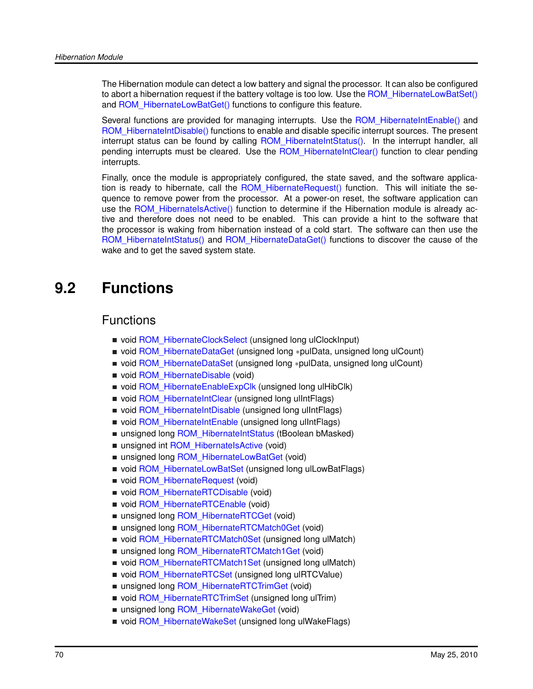The Hibernation module can detect a low battery and signal the processor. It can also be configured to abort a hibernation request if the battery voltage is too low. Use the [ROM\\_HibernateLowBatSet\(\)](#page-75-0) and [ROM\\_HibernateLowBatGet\(\)](#page-75-1) functions to configure this feature.

Several functions are provided for managing interrupts. Use the ROM HibernateIntEnable() and ROM HibernateIntDisable() functions to enable and disable specific interrupt sources. The present interrupt status can be found by calling [ROM\\_HibernateIntStatus\(\).](#page-74-0) In the interrupt handler, all pending interrupts must be cleared. Use the [ROM\\_HibernateIntClear\(\)](#page-72-0) function to clear pending interrupts.

Finally, once the module is appropriately configured, the state saved, and the software application is ready to hibernate, call the ROM HibernateRequest() function. This will initiate the sequence to remove power from the processor. At a power-on reset, the software application can use the ROM HibernateIsActive() function to determine if the Hibernation module is already active and therefore does not need to be enabled. This can provide a hint to the software that the processor is waking from hibernation instead of a cold start. The software can then use the [ROM\\_HibernateIntStatus\(\)](#page-74-0) and [ROM\\_HibernateDataGet\(\)](#page-70-1) functions to discover the cause of the wake and to get the saved system state.

# <span id="page-69-1"></span>**9.2 Functions**

# **Functions**

- <span id="page-69-0"></span>void [ROM\\_HibernateClockSelect](#page-70-0) (unsigned long ulClockInput)
- void [ROM\\_HibernateDataGet](#page-70-1) (unsigned long ∗pulData, unsigned long ulCount)
- void [ROM\\_HibernateDataSet](#page-71-1) (unsigned long ∗pulData, unsigned long ulCount)
- void ROM HibernateDisable (void)
- void [ROM\\_HibernateEnableExpClk](#page-71-0) (unsigned long ulHibClk)
- void [ROM\\_HibernateIntClear](#page-72-0) (unsigned long ulIntFlags)
- void [ROM\\_HibernateIntDisable](#page-73-1) (unsigned long ulIntFlags)
- void ROM HibernateIntEnable (unsigned long ulIntFlags)
- unsigned long [ROM\\_HibernateIntStatus](#page-74-0) (tBoolean bMasked)
- unsigned int [ROM\\_HibernateIsActive](#page-74-1) (void)
- unsigned long [ROM\\_HibernateLowBatGet](#page-75-1) (void)
- void [ROM\\_HibernateLowBatSet](#page-75-0) (unsigned long ulLowBatFlags)
- void ROM HibernateRequest (void)
- void [ROM\\_HibernateRTCDisable](#page-76-0) (void)
- void [ROM\\_HibernateRTCEnable](#page-77-0) (void)
- unsigned long [ROM\\_HibernateRTCGet](#page-77-1) (void)
- unsigned long [ROM\\_HibernateRTCMatch0Get](#page-78-0) (void)
- void [ROM\\_HibernateRTCMatch0Set](#page-78-1) (unsigned long ulMatch)
- unsigned long ROM HibernateRTCMatch1Get (void)
- void [ROM\\_HibernateRTCMatch1Set](#page-79-1) (unsigned long ulMatch)
- void [ROM\\_HibernateRTCSet](#page-79-0) (unsigned long ulRTCValue)
- unsigned long [ROM\\_HibernateRTCTrimGet](#page-80-0) (void)
- void [ROM\\_HibernateRTCTrimSet](#page-80-1) (unsigned long ulTrim)
- unsigned long ROM HibernateWakeGet (void)
- void [ROM\\_HibernateWakeSet](#page-81-0) (unsigned long ulWakeFlags)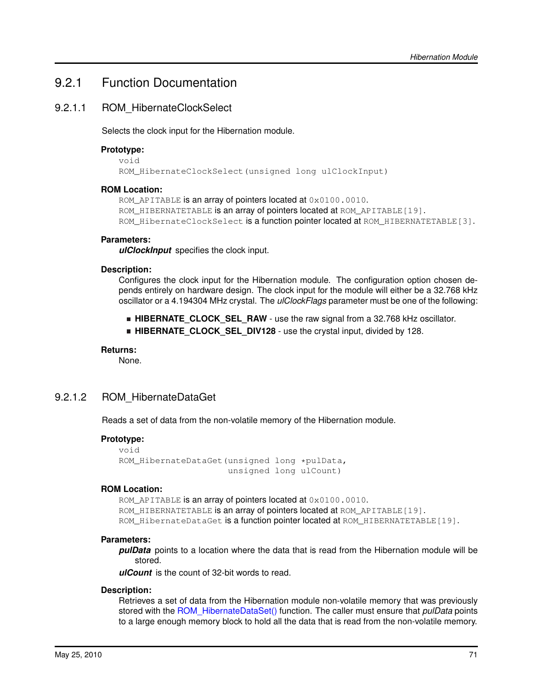# 9.2.1 Function Documentation

# <span id="page-70-0"></span>9.2.1.1 ROM HibernateClockSelect

Selects the clock input for the Hibernation module.

# **Prototype:**

```
void
```
ROM\_HibernateClockSelect(unsigned long ulClockInput)

# **ROM Location:**

ROM APITABLE is an array of pointers located at  $0 \times 0100$ .0010. ROM\_HIBERNATETABLE is an array of pointers located at ROM\_APITABLE[19]. ROM HibernateClockSelect is a function pointer located at ROM HIBERNATETABLE[3].

# **Parameters:**

*ulClockInput* specifies the clock input.

# **Description:**

Configures the clock input for the Hibernation module. The configuration option chosen depends entirely on hardware design. The clock input for the module will either be a 32.768 kHz oscillator or a 4.194304 MHz crystal. The *ulClockFlags* parameter must be one of the following:

- **HIBERNATE\_CLOCK\_SEL\_RAW** use the raw signal from a 32.768 kHz oscillator.
- **HIBERNATE CLOCK SEL DIV128** use the crystal input, divided by 128.

# **Returns:**

None.

# <span id="page-70-1"></span>9.2.1.2 ROM HibernateDataGet

Reads a set of data from the non-volatile memory of the Hibernation module.

# **Prototype:**

```
void
ROM_HibernateDataGet(unsigned long *pulData,
                     unsigned long ulCount)
```
# **ROM Location:**

ROM APITABLE is an array of pointers located at 0x0100.0010. ROM HIBERNATETABLE is an array of pointers located at ROM APITABLE[19]. ROM\_HibernateDataGet is a function pointer located at ROM\_HIBERNATETABLE[19].

#### **Parameters:**

*pulData* points to a location where the data that is read from the Hibernation module will be stored.

*ulCount* is the count of 32-bit words to read.

# **Description:**

Retrieves a set of data from the Hibernation module non-volatile memory that was previously stored with the [ROM\\_HibernateDataSet\(\)](#page-71-1) function. The caller must ensure that *pulData* points to a large enough memory block to hold all the data that is read from the non-volatile memory.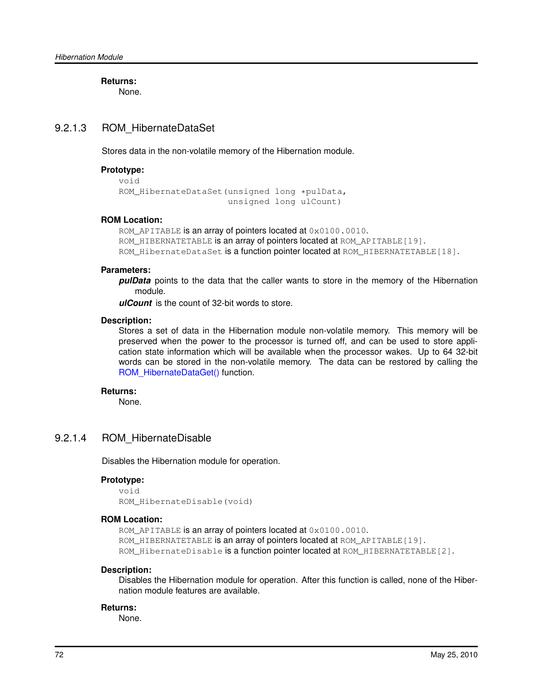**Returns:**

None.

# <span id="page-71-1"></span>9.2.1.3 ROM\_HibernateDataSet

Stores data in the non-volatile memory of the Hibernation module.

# **Prototype:**

```
void
ROM_HibernateDataSet(unsigned long *pulData,
                     unsigned long ulCount)
```
# **ROM Location:**

ROM\_APITABLE is an array of pointers located at  $0 \times 0100$ .0010. ROM\_HIBERNATETABLE is an array of pointers located at ROM\_APITABLE[19]. ROM\_HibernateDataSet is a function pointer located at ROM\_HIBERNATETABLE[18].

# **Parameters:**

*pulData* points to the data that the caller wants to store in the memory of the Hibernation module.

*ulCount* is the count of 32-bit words to store.

#### **Description:**

Stores a set of data in the Hibernation module non-volatile memory. This memory will be preserved when the power to the processor is turned off, and can be used to store application state information which will be available when the processor wakes. Up to 64 32-bit words can be stored in the non-volatile memory. The data can be restored by calling the [ROM\\_HibernateDataGet\(\)](#page-70-1) function.

# **Returns:**

None.

# <span id="page-71-2"></span>9.2.1.4 ROM HibernateDisable

Disables the Hibernation module for operation.

# **Prototype:**

```
void
ROM_HibernateDisable(void)
```
# **ROM Location:**

ROM\_APITABLE is an array of pointers located at  $0 \times 0100$ .0010. ROM\_HIBERNATETABLE is an array of pointers located at ROM\_APITABLE [19]. ROM\_HibernateDisable is a function pointer located at ROM\_HIBERNATETABLE[2].

### **Description:**

Disables the Hibernation module for operation. After this function is called, none of the Hibernation module features are available.

# <span id="page-71-0"></span>**Returns:**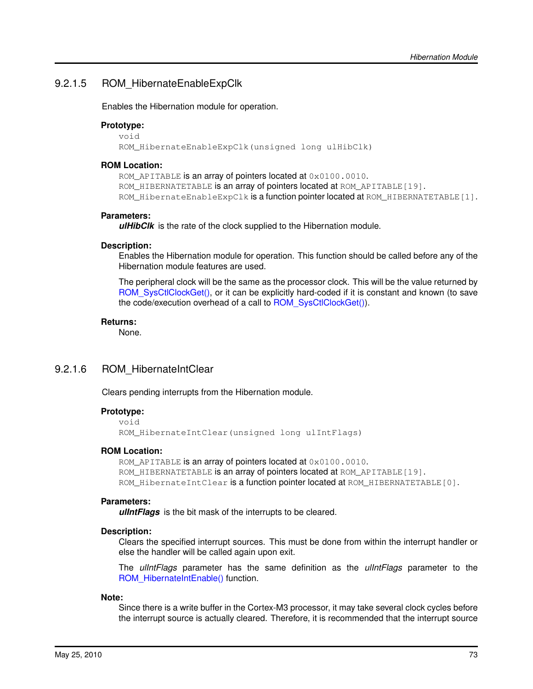## 9.2.1.5 ROM\_HibernateEnableExpClk

Enables the Hibernation module for operation.

#### **Prototype:**

```
void
ROM_HibernateEnableExpClk(unsigned long ulHibClk)
```
#### **ROM Location:**

ROM\_APITABLE is an array of pointers located at  $0 \times 0100$ .0010. ROM\_HIBERNATETABLE is an array of pointers located at ROM\_APITABLE [19]. ROM\_HibernateEnableExpClk is a function pointer located at ROM\_HIBERNATETABLE[1].

#### **Parameters:**

*ulHibClk* is the rate of the clock supplied to the Hibernation module.

#### **Description:**

Enables the Hibernation module for operation. This function should be called before any of the Hibernation module features are used.

The peripheral clock will be the same as the processor clock. This will be the value returned by ROM SysCtlClockGet(), or it can be explicitly hard-coded if it is constant and known (to save the code/execution overhead of a call to [ROM\\_SysCtlClockGet\(\)\)](#page-178-0).

### **Returns:**

None.

# 9.2.1.6 ROM HibernateIntClear

Clears pending interrupts from the Hibernation module.

## **Prototype:**

```
void
ROM_HibernateIntClear(unsigned long ulIntFlags)
```
#### **ROM Location:**

ROM APITABLE is an array of pointers located at 0x0100.0010. ROM\_HIBERNATETABLE is an array of pointers located at ROM\_APITABLE[19]. ROM\_HibernateIntClear is a function pointer located at ROM\_HIBERNATETABLE[0].

## **Parameters:**

*ulIntFlags* is the bit mask of the interrupts to be cleared.

#### **Description:**

Clears the specified interrupt sources. This must be done from within the interrupt handler or else the handler will be called again upon exit.

The *ulIntFlags* parameter has the same definition as the *ulIntFlags* parameter to the [ROM\\_HibernateIntEnable\(\)](#page-73-0) function.

#### **Note:**

Since there is a write buffer in the Cortex-M3 processor, it may take several clock cycles before the interrupt source is actually cleared. Therefore, it is recommended that the interrupt source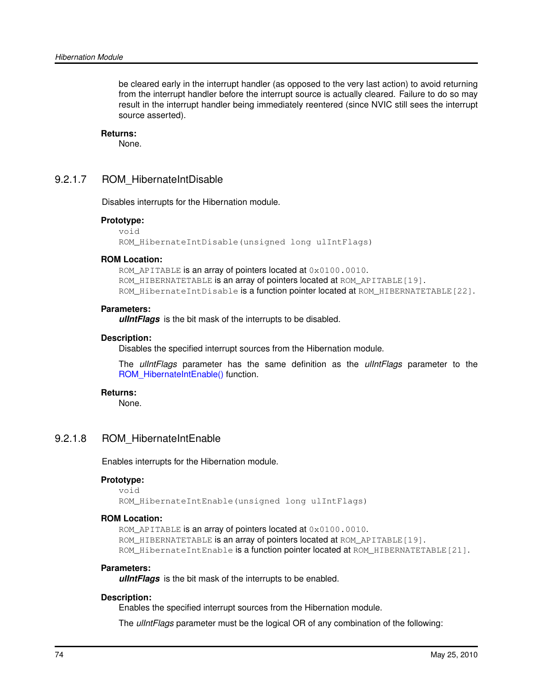be cleared early in the interrupt handler (as opposed to the very last action) to avoid returning from the interrupt handler before the interrupt source is actually cleared. Failure to do so may result in the interrupt handler being immediately reentered (since NVIC still sees the interrupt source asserted).

## **Returns:**

None.

## 9.2.1.7 ROM HibernateIntDisable

Disables interrupts for the Hibernation module.

#### **Prototype:**

```
void
ROM_HibernateIntDisable(unsigned long ulIntFlags)
```
#### **ROM Location:**

ROM\_APITABLE is an array of pointers located at  $0 \times 0100$ .0010. ROM HIBERNATETABLE is an array of pointers located at ROM APITABLE[19]. ROM\_HibernateIntDisable is a function pointer located at ROM\_HIBERNATETABLE[22].

#### **Parameters:**

*ulIntFlags* is the bit mask of the interrupts to be disabled.

#### **Description:**

Disables the specified interrupt sources from the Hibernation module.

The *ulIntFlags* parameter has the same definition as the *ulIntFlags* parameter to the [ROM\\_HibernateIntEnable\(\)](#page-73-0) function.

## **Returns:**

None.

## <span id="page-73-0"></span>9.2.1.8 ROM\_HibernateIntEnable

Enables interrupts for the Hibernation module.

#### **Prototype:**

```
void
```
ROM\_HibernateIntEnable(unsigned long ulIntFlags)

#### **ROM Location:**

ROM\_APITABLE is an array of pointers located at  $0 \times 0100$ .0010. ROM\_HIBERNATETABLE is an array of pointers located at ROM\_APITABLE [19]. ROM\_HibernateIntEnable is a function pointer located at ROM\_HIBERNATETABLE[21].

#### **Parameters:**

*ulIntFlags* is the bit mask of the interrupts to be enabled.

#### **Description:**

Enables the specified interrupt sources from the Hibernation module.

The *ulIntFlags* parameter must be the logical OR of any combination of the following: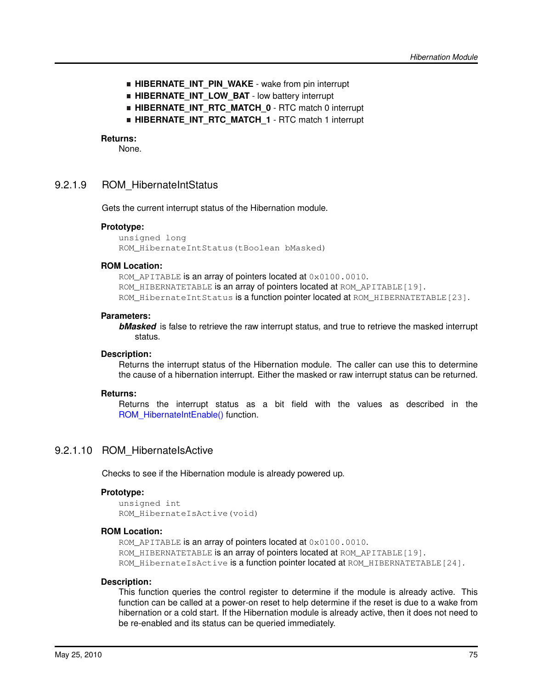- **HIBERNATE\_INT\_PIN\_WAKE** wake from pin interrupt
- **HIBERNATE\_INT\_LOW\_BAT** low battery interrupt
- **HIBERNATE\_INT\_RTC\_MATCH\_0** RTC match 0 interrupt
- **HIBERNATE\_INT\_RTC\_MATCH\_1** RTC match 1 interrupt

#### **Returns:**

None.

## <span id="page-74-0"></span>9.2.1.9 ROM\_HibernateIntStatus

Gets the current interrupt status of the Hibernation module.

#### **Prototype:**

```
unsigned long
ROM_HibernateIntStatus(tBoolean bMasked)
```
## **ROM Location:**

ROM\_APITABLE is an array of pointers located at  $0 \times 0100$ .0010. ROM HIBERNATETABLE is an array of pointers located at ROM APITABLE [19]. ROM\_HibernateIntStatus is a function pointer located at ROM\_HIBERNATETABLE[23].

## **Parameters:**

*bMasked* is false to retrieve the raw interrupt status, and true to retrieve the masked interrupt status.

#### **Description:**

Returns the interrupt status of the Hibernation module. The caller can use this to determine the cause of a hibernation interrupt. Either the masked or raw interrupt status can be returned.

#### **Returns:**

Returns the interrupt status as a bit field with the values as described in the [ROM\\_HibernateIntEnable\(\)](#page-73-0) function.

## 9.2.1.10 ROM HibernateIsActive

Checks to see if the Hibernation module is already powered up.

#### **Prototype:**

```
unsigned int
ROM_HibernateIsActive(void)
```
#### **ROM Location:**

ROM APITABLE is an array of pointers located at 0x0100.0010. ROM HIBERNATETABLE is an array of pointers located at ROM APITABLE[19]. ROM\_HibernateIsActive is a function pointer located at ROM\_HIBERNATETABLE[24].

#### **Description:**

This function queries the control register to determine if the module is already active. This function can be called at a power-on reset to help determine if the reset is due to a wake from hibernation or a cold start. If the Hibernation module is already active, then it does not need to be re-enabled and its status can be queried immediately.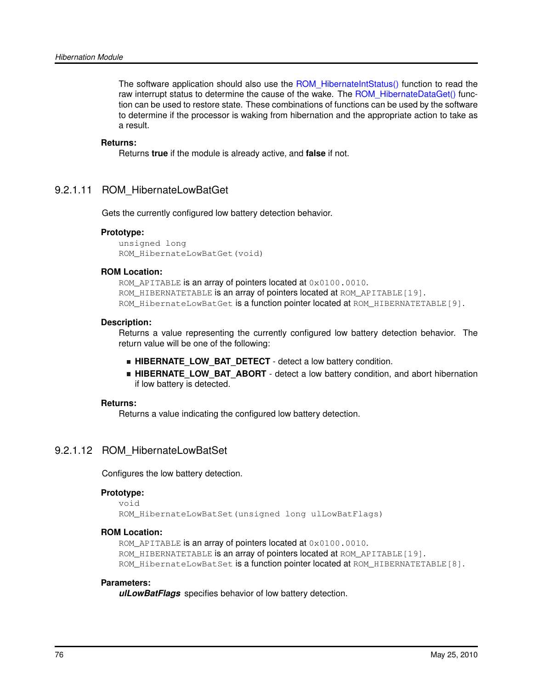The software application should also use the [ROM\\_HibernateIntStatus\(\)](#page-74-0) function to read the raw interrupt status to determine the cause of the wake. The ROM HibernateDataGet() function can be used to restore state. These combinations of functions can be used by the software to determine if the processor is waking from hibernation and the appropriate action to take as a result.

#### **Returns:**

Returns **true** if the module is already active, and **false** if not.

## 9.2.1.11 ROM\_HibernateLowBatGet

Gets the currently configured low battery detection behavior.

#### **Prototype:**

```
unsigned long
ROM_HibernateLowBatGet(void)
```
#### **ROM Location:**

ROM APITABLE is an array of pointers located at 0x0100.0010. ROM HIBERNATETABLE is an array of pointers located at ROM APITABLE[19]. ROM HibernateLowBatGet is a function pointer located at ROM HIBERNATETABLE[9].

#### **Description:**

Returns a value representing the currently configured low battery detection behavior. The return value will be one of the following:

- **HIBERNATE\_LOW\_BAT\_DETECT** detect a low battery condition.
- **HIBERNATE LOW BAT ABORT** detect a low battery condition, and abort hibernation if low battery is detected.

#### **Returns:**

Returns a value indicating the configured low battery detection.

## <span id="page-75-0"></span>9.2.1.12 ROM\_HibernateLowBatSet

Configures the low battery detection.

#### **Prototype:**

```
void
ROM_HibernateLowBatSet(unsigned long ulLowBatFlags)
```
#### **ROM Location:**

```
ROM_APITABLE is an array of pointers located at 0 \times 0100.0010.
ROM_HIBERNATETABLE is an array of pointers located at ROM_APITABLE[19].
ROM_HibernateLowBatSet is a function pointer located at ROM_HIBERNATETABLE [8].
```
#### **Parameters:**

*ulLowBatFlags* specifies behavior of low battery detection.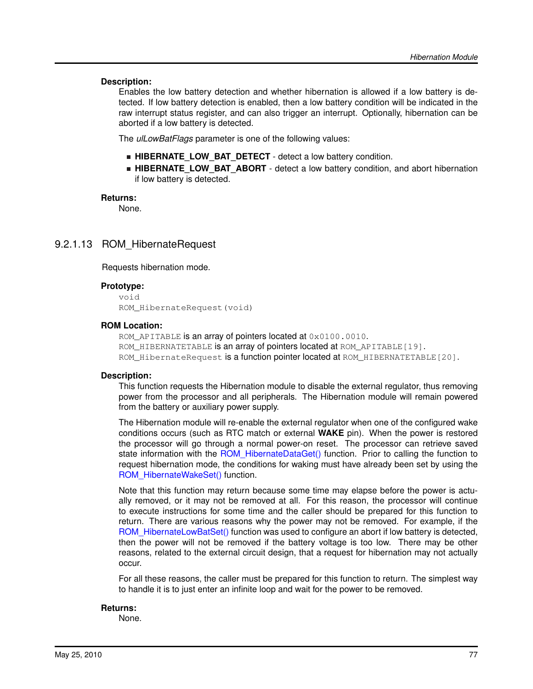## **Description:**

Enables the low battery detection and whether hibernation is allowed if a low battery is detected. If low battery detection is enabled, then a low battery condition will be indicated in the raw interrupt status register, and can also trigger an interrupt. Optionally, hibernation can be aborted if a low battery is detected.

The *ulLowBatFlags* parameter is one of the following values:

- **HIBERNATE\_LOW\_BAT\_DETECT** detect a low battery condition.
- **HIBERNATE\_LOW\_BAT\_ABORT** detect a low battery condition, and abort hibernation if low battery is detected.

#### **Returns:**

None.

# 9.2.1.13 ROM\_HibernateRequest

Requests hibernation mode.

## **Prototype:**

```
void
ROM_HibernateRequest(void)
```
### **ROM Location:**

ROM\_APITABLE is an array of pointers located at  $0 \times 0100$ .0010. ROM\_HIBERNATETABLE is an array of pointers located at ROM\_APITABLE[19]. ROM\_HibernateRequest is a function pointer located at ROM\_HIBERNATETABLE[20].

## **Description:**

This function requests the Hibernation module to disable the external regulator, thus removing power from the processor and all peripherals. The Hibernation module will remain powered from the battery or auxiliary power supply.

The Hibernation module will re-enable the external regulator when one of the configured wake conditions occurs (such as RTC match or external **WAKE** pin). When the power is restored the processor will go through a normal power-on reset. The processor can retrieve saved state information with the [ROM\\_HibernateDataGet\(\)](#page-70-0) function. Prior to calling the function to request hibernation mode, the conditions for waking must have already been set by using the [ROM\\_HibernateWakeSet\(\)](#page-81-0) function.

Note that this function may return because some time may elapse before the power is actually removed, or it may not be removed at all. For this reason, the processor will continue to execute instructions for some time and the caller should be prepared for this function to return. There are various reasons why the power may not be removed. For example, if the [ROM\\_HibernateLowBatSet\(\)](#page-75-0) function was used to configure an abort if low battery is detected, then the power will not be removed if the battery voltage is too low. There may be other reasons, related to the external circuit design, that a request for hibernation may not actually occur.

For all these reasons, the caller must be prepared for this function to return. The simplest way to handle it is to just enter an infinite loop and wait for the power to be removed.

#### **Returns:**

None.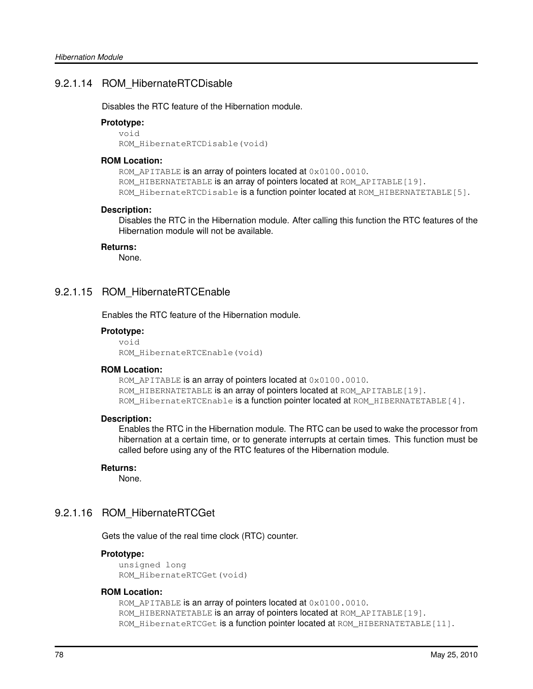# 9.2.1.14 ROM\_HibernateRTCDisable

Disables the RTC feature of the Hibernation module.

#### **Prototype:**

void ROM\_HibernateRTCDisable(void)

#### **ROM Location:**

ROM\_APITABLE is an array of pointers located at  $0 \times 0100$ .0010. ROM\_HIBERNATETABLE is an array of pointers located at ROM\_APITABLE [19]. ROM HibernateRTCDisable is a function pointer located at ROM HIBERNATETABLE[5].

## **Description:**

Disables the RTC in the Hibernation module. After calling this function the RTC features of the Hibernation module will not be available.

## **Returns:**

None.

## <span id="page-77-0"></span>9.2.1.15 ROM\_HibernateRTCEnable

Enables the RTC feature of the Hibernation module.

## **Prototype:**

void ROM\_HibernateRTCEnable(void)

#### **ROM Location:**

ROM\_APITABLE is an array of pointers located at  $0 \times 0100$ .0010. ROM\_HIBERNATETABLE is an array of pointers located at ROM\_APITABLE[19]. ROM\_HibernateRTCEnable is a function pointer located at ROM\_HIBERNATETABLE [4].

#### **Description:**

Enables the RTC in the Hibernation module. The RTC can be used to wake the processor from hibernation at a certain time, or to generate interrupts at certain times. This function must be called before using any of the RTC features of the Hibernation module.

#### **Returns:**

None.

## 9.2.1.16 ROM\_HibernateRTCGet

Gets the value of the real time clock (RTC) counter.

### **Prototype:**

unsigned long ROM\_HibernateRTCGet(void)

#### **ROM Location:**

ROM\_APITABLE is an array of pointers located at  $0 \times 0100$ .0010. ROM\_HIBERNATETABLE is an array of pointers located at ROM\_APITABLE[19]. ROM HibernateRTCGet is a function pointer located at ROM HIBERNATETABLE[11].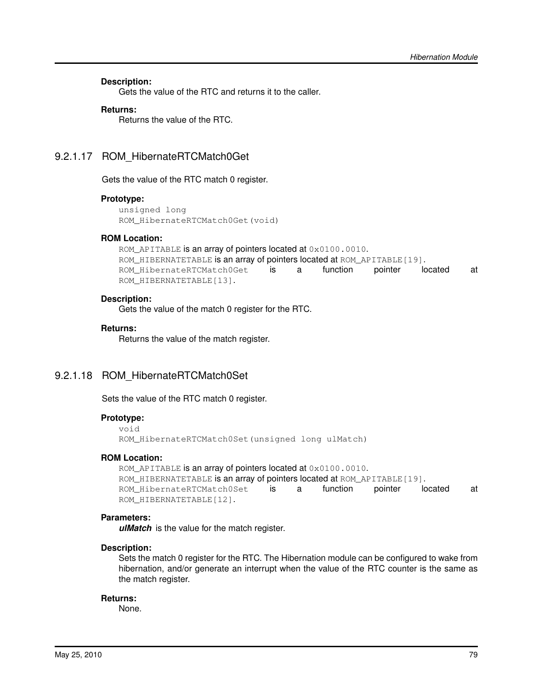#### **Description:**

Gets the value of the RTC and returns it to the caller.

#### **Returns:**

Returns the value of the RTC.

## 9.2.1.17 ROM\_HibernateRTCMatch0Get

Gets the value of the RTC match 0 register.

#### **Prototype:**

```
unsigned long
ROM_HibernateRTCMatch0Get(void)
```
#### **ROM Location:**

```
ROM_APITABLE is an array of pointers located at 0 \times 0100.0010.
ROM HIBERNATETABLE is an array of pointers located at ROM APITABLE [19].
ROM HibernateRTCMatch0Get is a function pointer located at
ROM_HIBERNATETABLE[13].
```
#### **Description:**

Gets the value of the match 0 register for the RTC.

#### **Returns:**

Returns the value of the match register.

## 9.2.1.18 ROM\_HibernateRTCMatch0Set

Sets the value of the RTC match 0 register.

## **Prototype:**

```
void
ROM_HibernateRTCMatch0Set(unsigned long ulMatch)
```
#### **ROM Location:**

```
ROM_APITABLE is an array of pointers located at 0 \times 0100.0010.
ROM_HIBERNATETABLE is an array of pointers located at ROM_APITABLE [19].
ROM_HibernateRTCMatch0Set is a function pointer located at
ROM_HIBERNATETABLE[12].
```
## **Parameters:**

*ulMatch* is the value for the match register.

#### **Description:**

Sets the match 0 register for the RTC. The Hibernation module can be configured to wake from hibernation, and/or generate an interrupt when the value of the RTC counter is the same as the match register.

#### **Returns:**

None.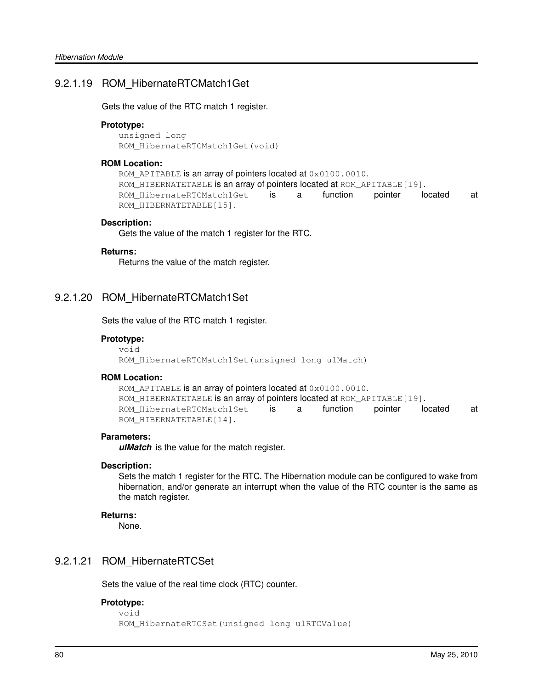# 9.2.1.19 ROM\_HibernateRTCMatch1Get

Gets the value of the RTC match 1 register.

#### **Prototype:**

unsigned long ROM\_HibernateRTCMatch1Get(void)

## **ROM Location:**

```
ROM APITABLE is an array of pointers located at 0x0100.0010.
ROM_HIBERNATETABLE is an array of pointers located at ROM_APITABLE[19].
ROM_HibernateRTCMatch1Get is a function pointer located at
ROM_HIBERNATETABLE[15].
```
#### **Description:**

Gets the value of the match 1 register for the RTC.

#### **Returns:**

Returns the value of the match register.

## 9.2.1.20 ROM\_HibernateRTCMatch1Set

Sets the value of the RTC match 1 register.

#### **Prototype:**

```
void
ROM HibernateRTCMatch1Set(unsigned long ulMatch)
```
#### **ROM Location:**

```
ROM_APITABLE is an array of pointers located at 0 \times 0100.0010.
ROM HIBERNATETABLE is an array of pointers located at ROM APITABLE[19].
ROM HibernateRTCMatch1Set is a function pointer located at
ROM_HIBERNATETABLE[14].
```
#### **Parameters:**

*ulMatch* is the value for the match register.

#### **Description:**

Sets the match 1 register for the RTC. The Hibernation module can be configured to wake from hibernation, and/or generate an interrupt when the value of the RTC counter is the same as the match register.

## **Returns:**

None.

## 9.2.1.21 ROM\_HibernateRTCSet

Sets the value of the real time clock (RTC) counter.

#### **Prototype:**

```
void
ROM_HibernateRTCSet(unsigned long ulRTCValue)
```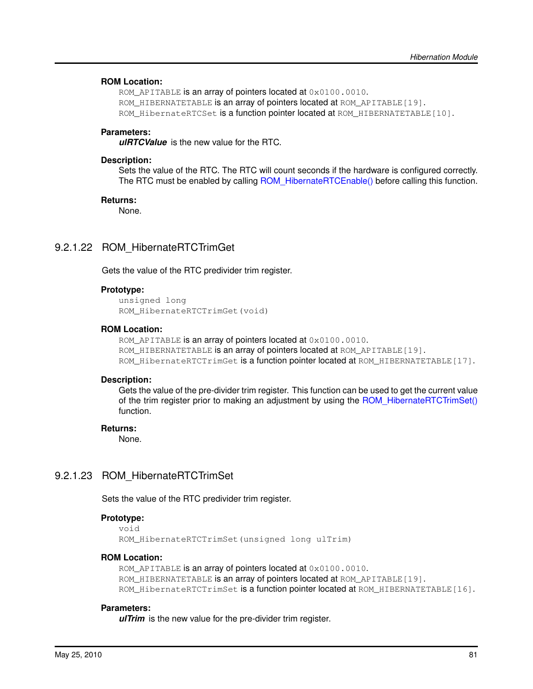## **ROM Location:**

ROM\_APITABLE is an array of pointers located at  $0 \times 0100$ .0010. ROM\_HIBERNATETABLE is an array of pointers located at ROM\_APITABLE[19]. ROM\_HibernateRTCSet is a function pointer located at ROM\_HIBERNATETABLE[10].

## **Parameters:**

*ulRTCValue* is the new value for the RTC.

#### **Description:**

Sets the value of the RTC. The RTC will count seconds if the hardware is configured correctly. The RTC must be enabled by calling [ROM\\_HibernateRTCEnable\(\)](#page-77-0) before calling this function.

## **Returns:**

None.

## 9.2.1.22 ROM\_HibernateRTCTrimGet

Gets the value of the RTC predivider trim register.

#### **Prototype:**

```
unsigned long
ROM_HibernateRTCTrimGet(void)
```
#### **ROM Location:**

ROM\_APITABLE is an array of pointers located at  $0 \times 0100$ .0010. ROM HIBERNATETABLE is an array of pointers located at ROM APITABLE[19]. ROM HibernateRTCTrimGet is a function pointer located at ROM HIBERNATETABLE[17].

#### **Description:**

Gets the value of the pre-divider trim register. This function can be used to get the current value of the trim register prior to making an adjustment by using the [ROM\\_HibernateRTCTrimSet\(\)](#page-80-0) function.

#### **Returns:**

None.

## <span id="page-80-0"></span>9.2.1.23 ROM\_HibernateRTCTrimSet

Sets the value of the RTC predivider trim register.

## **Prototype:**

```
void
ROM_HibernateRTCTrimSet(unsigned long ulTrim)
```
#### **ROM Location:**

ROM\_APITABLE is an array of pointers located at  $0 \times 0100$ .0010. ROM HIBERNATETABLE is an array of pointers located at ROM APITABLE[19]. ROM\_HibernateRTCTrimSet is a function pointer located at ROM\_HIBERNATETABLE[16].

#### **Parameters:**

*ulTrim* is the new value for the pre-divider trim register.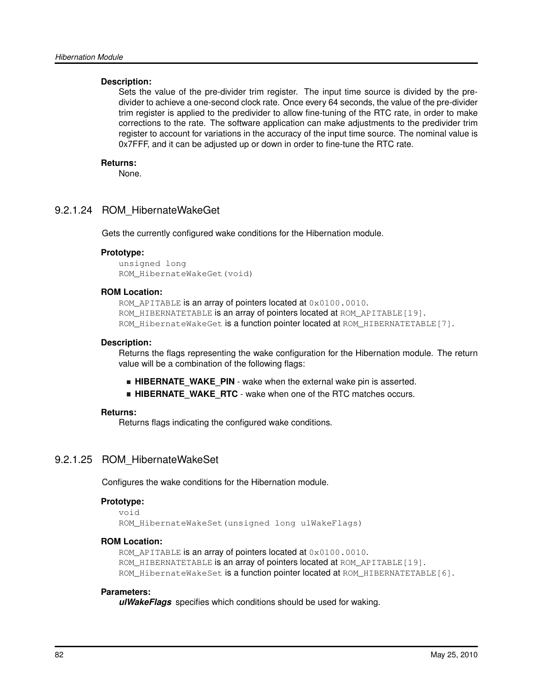#### **Description:**

Sets the value of the pre-divider trim register. The input time source is divided by the predivider to achieve a one-second clock rate. Once every 64 seconds, the value of the pre-divider trim register is applied to the predivider to allow fine-tuning of the RTC rate, in order to make corrections to the rate. The software application can make adjustments to the predivider trim register to account for variations in the accuracy of the input time source. The nominal value is 0x7FFF, and it can be adjusted up or down in order to fine-tune the RTC rate.

### **Returns:**

None.

# 9.2.1.24 ROM\_HibernateWakeGet

Gets the currently configured wake conditions for the Hibernation module.

### **Prototype:**

unsigned long ROM\_HibernateWakeGet(void)

## **ROM Location:**

ROM APITABLE is an array of pointers located at 0x0100.0010. ROM HIBERNATETABLE is an array of pointers located at ROM APITABLE [19]. ROM HibernateWakeGet is a function pointer located at ROM HIBERNATETABLE[7].

#### **Description:**

Returns the flags representing the wake configuration for the Hibernation module. The return value will be a combination of the following flags:

- **HIBERNATE\_WAKE\_PIN** wake when the external wake pin is asserted.
- **HIBERNATE\_WAKE\_RTC** wake when one of the RTC matches occurs.

#### **Returns:**

Returns flags indicating the configured wake conditions.

# <span id="page-81-0"></span>9.2.1.25 ROM\_HibernateWakeSet

Configures the wake conditions for the Hibernation module.

## **Prototype:**

```
void
```
ROM\_HibernateWakeSet(unsigned long ulWakeFlags)

## **ROM Location:**

ROM\_APITABLE is an array of pointers located at  $0 \times 0100$ .0010. ROM HIBERNATETABLE is an array of pointers located at ROM APITABLE[19]. ROM\_HibernateWakeSet is a function pointer located at ROM\_HIBERNATETABLE[6].

## **Parameters:**

*ulWakeFlags* specifies which conditions should be used for waking.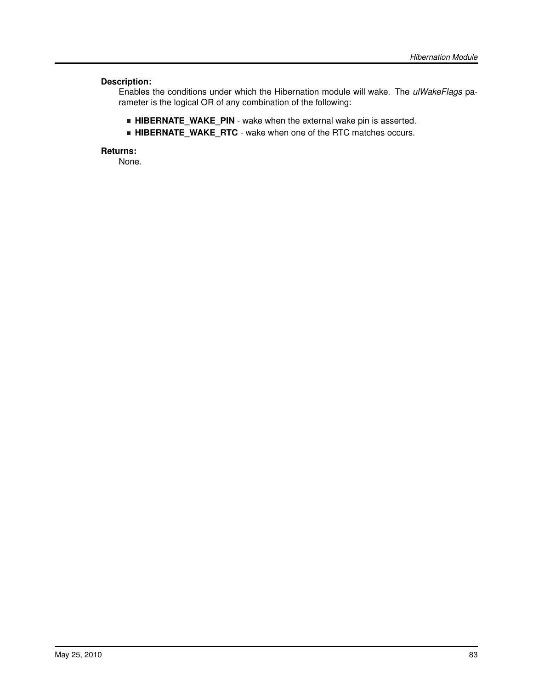## **Description:**

Enables the conditions under which the Hibernation module will wake. The *ulWakeFlags* parameter is the logical OR of any combination of the following:

- **HIBERNATE\_WAKE\_PIN** wake when the external wake pin is asserted.
- **HIBERNATE\_WAKE\_RTC** wake when one of the RTC matches occurs.

## **Returns:**

None.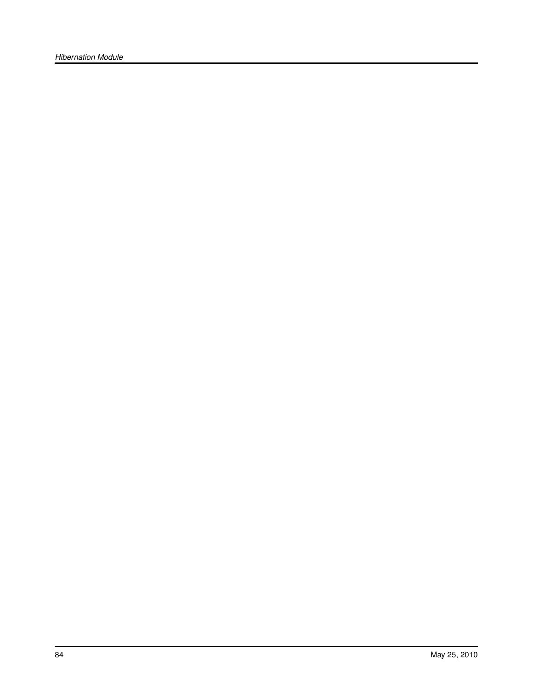*Hibernation Module*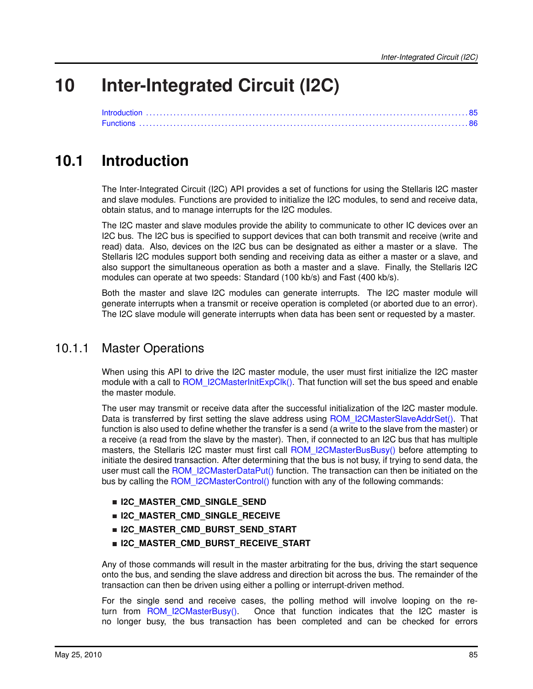# **10 Inter-Integrated Circuit (I2C)**

<span id="page-84-0"></span>[Introduction . . . . . . . . . . . . . . . . . . . . . . . . . . . . . . . . . . . . . . . . . . . . . . . . . . . . . . . . . . . . . . . . . . . . . . . . . . . . . . . . . . . . . . . . . . . . . .](#page-84-0) [85](#page-84-1) [Functions . . . . . . . . . . . . . . . . . . . . . . . . . . . . . . . . . . . . . . . . . . . . . . . . . . . . . . . . . . . . . . . . . . . . . . . . . . . . . . . . . . . . . . . . . . . . . . . .](#page-85-0) [86](#page-85-1)

# <span id="page-84-1"></span>**10.1 Introduction**

The Inter-Integrated Circuit (I2C) API provides a set of functions for using the Stellaris I2C master and slave modules. Functions are provided to initialize the I2C modules, to send and receive data, obtain status, and to manage interrupts for the I2C modules.

The I2C master and slave modules provide the ability to communicate to other IC devices over an I2C bus. The I2C bus is specified to support devices that can both transmit and receive (write and read) data. Also, devices on the I2C bus can be designated as either a master or a slave. The Stellaris I2C modules support both sending and receiving data as either a master or a slave, and also support the simultaneous operation as both a master and a slave. Finally, the Stellaris I2C modules can operate at two speeds: Standard (100 kb/s) and Fast (400 kb/s).

Both the master and slave I2C modules can generate interrupts. The I2C master module will generate interrupts when a transmit or receive operation is completed (or aborted due to an error). The I2C slave module will generate interrupts when data has been sent or requested by a master.

# 10.1.1 Master Operations

When using this API to drive the I2C master module, the user must first initialize the I2C master module with a call to [ROM\\_I2CMasterInitExpClk\(\).](#page-90-0) That function will set the bus speed and enable the master module.

The user may transmit or receive data after the successful initialization of the I2C master module. Data is transferred by first setting the slave address using [ROM\\_I2CMasterSlaveAddrSet\(\).](#page-92-0) That function is also used to define whether the transfer is a send (a write to the slave from the master) or a receive (a read from the slave by the master). Then, if connected to an I2C bus that has multiple masters, the Stellaris I2C master must first call ROM I2CMasterBusBusy() before attempting to initiate the desired transaction. After determining that the bus is not busy, if trying to send data, the user must call the [ROM\\_I2CMasterDataPut\(\)](#page-88-0) function. The transaction can then be initiated on the bus by calling the [ROM\\_I2CMasterControl\(\)](#page-87-0) function with any of the following commands:

- **I2C\_MASTER\_CMD\_SINGLE\_SEND**
- **I2C\_MASTER\_CMD\_SINGLE\_RECEIVE**
- **I2C\_MASTER\_CMD\_BURST\_SEND\_START**
- **I2C\_MASTER\_CMD\_BURST\_RECEIVE\_START**

Any of those commands will result in the master arbitrating for the bus, driving the start sequence onto the bus, and sending the slave address and direction bit across the bus. The remainder of the transaction can then be driven using either a polling or interrupt-driven method.

For the single send and receive cases, the polling method will involve looping on the return from ROM I2CMasterBusy(). Once that function indicates that the I2C master is no longer busy, the bus transaction has been completed and can be checked for errors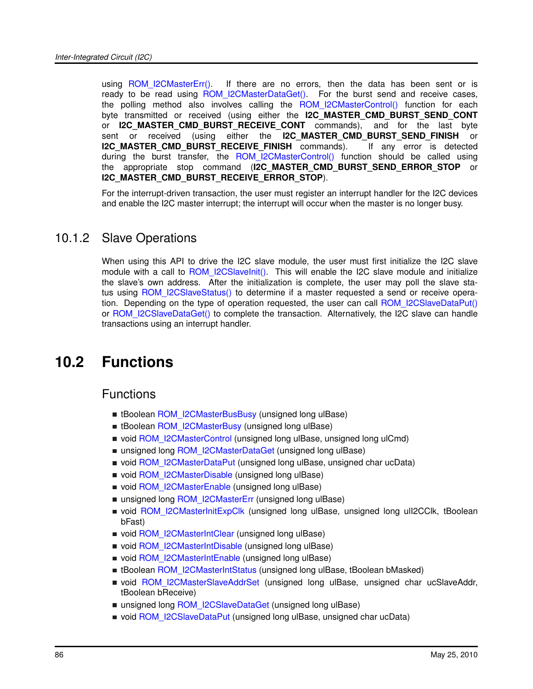using ROM I2CMasterErr(). If there are no errors, then the data has been sent or is ready to be read using ROM I2CMasterDataGet(). For the burst send and receive cases, the polling method also involves calling the [ROM\\_I2CMasterControl\(\)](#page-87-0) function for each byte transmitted or received (using either the **I2C\_MASTER\_CMD\_BURST\_SEND\_CONT** or **I2C\_MASTER\_CMD\_BURST\_RECEIVE\_CONT** commands), and for the last byte sent or received (using either the **I2C\_MASTER\_CMD\_BURST\_SEND\_FINISH** or **I2C\_MASTER\_CMD\_BURST\_RECEIVE\_FINISH\_** commands). If any error is detected during the burst transfer, the [ROM\\_I2CMasterControl\(\)](#page-87-0) function should be called using the appropriate stop command (**I2C\_MASTER\_CMD\_BURST\_SEND\_ERROR\_STOP** or **I2C\_MASTER\_CMD\_BURST\_RECEIVE\_ERROR\_STOP**).

For the interrupt-driven transaction, the user must register an interrupt handler for the I2C devices and enable the I2C master interrupt; the interrupt will occur when the master is no longer busy.

# 10.1.2 Slave Operations

When using this API to drive the I2C slave module, the user must first initialize the I2C slave module with a call to [ROM\\_I2CSlaveInit\(\).](#page-95-0) This will enable the I2C slave module and initialize the slave's own address. After the initialization is complete, the user may poll the slave sta-tus using [ROM\\_I2CSlaveStatus\(\)](#page-100-0) to determine if a master requested a send or receive operation. Depending on the type of operation requested, the user can call [ROM\\_I2CSlaveDataPut\(\)](#page-93-0) or ROM I2CSlaveDataGet() to complete the transaction. Alternatively, the I2C slave can handle transactions using an interrupt handler.

# <span id="page-85-1"></span>**10.2 Functions**

# Functions

- <span id="page-85-0"></span>■ tBoolean [ROM\\_I2CMasterBusBusy](#page-86-0) (unsigned long ulBase)
- tBoolean [ROM\\_I2CMasterBusy](#page-86-1) (unsigned long ulBase)
- void [ROM\\_I2CMasterControl](#page-87-0) (unsigned long ulBase, unsigned long ulCmd)
- unsigned long [ROM\\_I2CMasterDataGet](#page-87-1) (unsigned long ulBase)
- void [ROM\\_I2CMasterDataPut](#page-88-0) (unsigned long ulBase, unsigned char ucData)
- void [ROM\\_I2CMasterDisable](#page-88-1) (unsigned long ulBase)
- void [ROM\\_I2CMasterEnable](#page-89-1) (unsigned long ulBase)
- unsigned long [ROM\\_I2CMasterErr](#page-89-0) (unsigned long ulBase)
- void [ROM\\_I2CMasterInitExpClk](#page-90-0) (unsigned long ulBase, unsigned long ulI2CClk, tBoolean bFast)
- void [ROM\\_I2CMasterIntClear](#page-90-1) (unsigned long ulBase)
- void [ROM\\_I2CMasterIntDisable](#page-91-0) (unsigned long ulBase)
- void [ROM\\_I2CMasterIntEnable](#page-91-1) (unsigned long ulBase)
- tBoolean [ROM\\_I2CMasterIntStatus](#page-92-1) (unsigned long ulBase, tBoolean bMasked)
- void [ROM\\_I2CMasterSlaveAddrSet](#page-92-0) (unsigned long ulBase, unsigned char ucSlaveAddr, tBoolean bReceive)
- unsigned long [ROM\\_I2CSlaveDataGet](#page-93-1) (unsigned long ulBase)
- void [ROM\\_I2CSlaveDataPut](#page-93-0) (unsigned long ulBase, unsigned char ucData)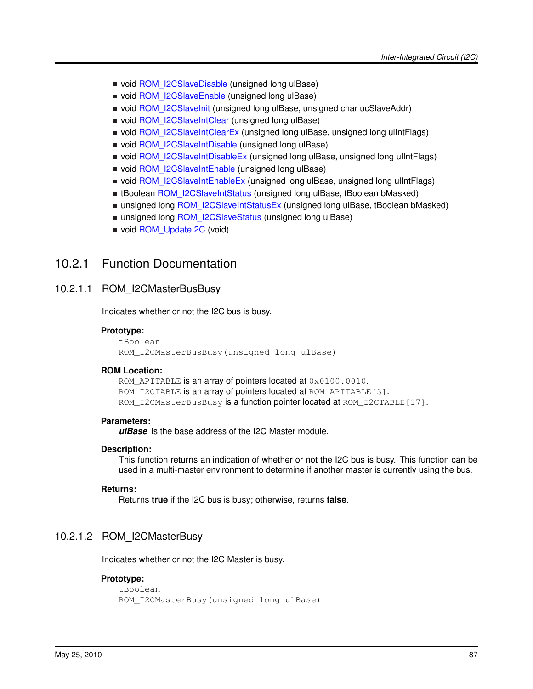- void [ROM\\_I2CSlaveDisable](#page-94-0) (unsigned long ulBase)
- void [ROM\\_I2CSlaveEnable](#page-94-1) (unsigned long ulBase)
- void [ROM\\_I2CSlaveInit](#page-95-0) (unsigned long ulBase, unsigned char ucSlaveAddr)
- void [ROM\\_I2CSlaveIntClear](#page-95-1) (unsigned long ulBase)
- void [ROM\\_I2CSlaveIntClearEx](#page-96-0) (unsigned long ulBase, unsigned long ulIntFlags)
- void [ROM\\_I2CSlaveIntDisable](#page-97-0) (unsigned long ulBase)
- void [ROM\\_I2CSlaveIntDisableEx](#page-97-1) (unsigned long ulBase, unsigned long ulIntFlags)
- void [ROM\\_I2CSlaveIntEnable](#page-98-0) (unsigned long ulBase)
- void [ROM\\_I2CSlaveIntEnableEx](#page-98-1) (unsigned long ulBase, unsigned long ulIntFlags)
- tBoolean [ROM\\_I2CSlaveIntStatus](#page-99-0) (unsigned long ulBase, tBoolean bMasked)
- unsigned long [ROM\\_I2CSlaveIntStatusEx](#page-99-1) (unsigned long ulBase, tBoolean bMasked)
- unsigned long [ROM\\_I2CSlaveStatus](#page-100-0) (unsigned long ulBase)
- void [ROM\\_UpdateI2C](#page-100-1) (void)

# 10.2.1 Function Documentation

## <span id="page-86-0"></span>10.2.1.1 ROM\_I2CMasterBusBusy

Indicates whether or not the I2C bus is busy.

## **Prototype:**

tBoolean ROM\_I2CMasterBusBusy(unsigned long ulBase)

## **ROM Location:**

ROM\_APITABLE is an array of pointers located at  $0 \times 0100$ .0010. ROM\_I2CTABLE is an array of pointers located at ROM\_APITABLE[3]. ROM\_I2CMasterBusBusy is a function pointer located at ROM\_I2CTABLE[17].

## **Parameters:**

*ulBase* is the base address of the I2C Master module.

## **Description:**

This function returns an indication of whether or not the I2C bus is busy. This function can be used in a multi-master environment to determine if another master is currently using the bus.

## **Returns:**

Returns **true** if the I2C bus is busy; otherwise, returns **false**.

# <span id="page-86-1"></span>10.2.1.2 ROM\_I2CMasterBusy

Indicates whether or not the I2C Master is busy.

## **Prototype:**

```
tBoolean
ROM_I2CMasterBusy(unsigned long ulBase)
```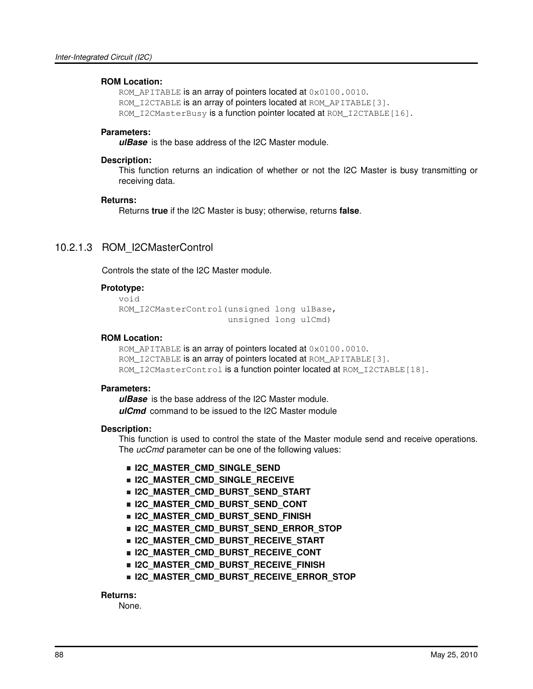## **ROM Location:**

ROM\_APITABLE is an array of pointers located at  $0 \times 0100$ .0010. ROM\_I2CTABLE is an array of pointers located at ROM\_APITABLE[3]. ROM\_I2CMasterBusy is a function pointer located at ROM\_I2CTABLE[16].

## **Parameters:**

*ulBase* is the base address of the I2C Master module.

### **Description:**

This function returns an indication of whether or not the I2C Master is busy transmitting or receiving data.

### **Returns:**

Returns **true** if the I2C Master is busy; otherwise, returns **false**.

# <span id="page-87-0"></span>10.2.1.3 ROM\_I2CMasterControl

Controls the state of the I2C Master module.

## **Prototype:**

```
void
ROM_I2CMasterControl(unsigned long ulBase,
                     unsigned long ulCmd)
```
## **ROM Location:**

ROM APITABLE is an array of pointers located at 0x0100.0010. ROM\_I2CTABLE is an array of pointers located at ROM\_APITABLE[3]. ROM\_I2CMasterControl is a function pointer located at ROM\_I2CTABLE[18].

## **Parameters:**

*ulBase* is the base address of the I2C Master module. *ulCmd* command to be issued to the I2C Master module

#### **Description:**

This function is used to control the state of the Master module send and receive operations. The *ucCmd* parameter can be one of the following values:

- **I2C\_MASTER\_CMD\_SINGLE\_SEND**
- **I2C\_MASTER\_CMD\_SINGLE\_RECEIVE**
- **I2C\_MASTER\_CMD\_BURST\_SEND\_START**
- **I2C\_MASTER\_CMD\_BURST\_SEND\_CONT**
- **I2C\_MASTER\_CMD\_BURST\_SEND\_FINISH**
- **I2C\_MASTER\_CMD\_BURST\_SEND\_ERROR\_STOP**
- **I2C\_MASTER\_CMD\_BURST\_RECEIVE\_START**
- **I2C\_MASTER\_CMD\_BURST\_RECEIVE\_CONT**
- **I2C\_MASTER\_CMD\_BURST\_RECEIVE\_FINISH**
- **I2C\_MASTER\_CMD\_BURST\_RECEIVE\_ERROR\_STOP**

## <span id="page-87-1"></span>**Returns:**

None.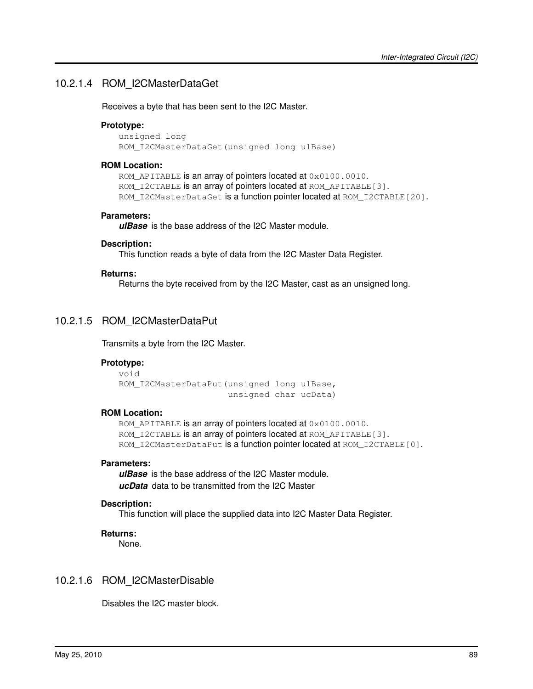# 10.2.1.4 ROM\_I2CMasterDataGet

Receives a byte that has been sent to the I2C Master.

## **Prototype:**

unsigned long ROM\_I2CMasterDataGet(unsigned long ulBase)

## **ROM Location:**

ROM\_APITABLE is an array of pointers located at  $0 \times 0100$ .0010. ROM\_I2CTABLE is an array of pointers located at ROM\_APITABLE[3]. ROM\_I2CMasterDataGet is a function pointer located at ROM\_I2CTABLE[20].

## **Parameters:**

*ulBase* is the base address of the I2C Master module.

## **Description:**

This function reads a byte of data from the I2C Master Data Register.

## **Returns:**

Returns the byte received from by the I2C Master, cast as an unsigned long.

# <span id="page-88-0"></span>10.2.1.5 ROM\_I2CMasterDataPut

Transmits a byte from the I2C Master.

## **Prototype:**

```
void
ROM_I2CMasterDataPut(unsigned long ulBase,
                     unsigned char ucData)
```
## **ROM Location:**

ROM\_APITABLE is an array of pointers located at  $0 \times 0100$ .0010. ROM\_I2CTABLE is an array of pointers located at ROM\_APITABLE[3]. ROM\_I2CMasterDataPut is a function pointer located at ROM\_I2CTABLE[0].

## **Parameters:**

*ulBase* is the base address of the I2C Master module. *ucData* data to be transmitted from the I2C Master

## **Description:**

This function will place the supplied data into I2C Master Data Register.

## **Returns:**

None.

# <span id="page-88-1"></span>10.2.1.6 ROM\_I2CMasterDisable

Disables the I2C master block.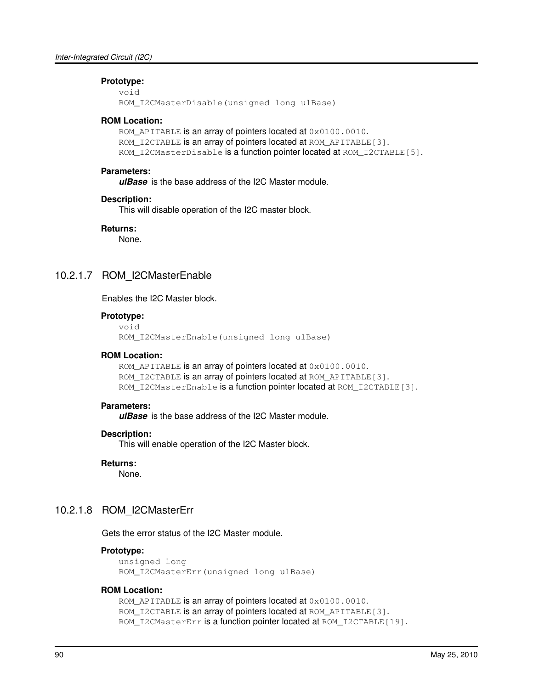## **Prototype:**

```
void
ROM_I2CMasterDisable(unsigned long ulBase)
```
#### **ROM Location:**

ROM\_APITABLE is an array of pointers located at  $0 \times 0100$ .0010. ROM I2CTABLE is an array of pointers located at ROM APITABLE[3]. ROM\_I2CMasterDisable is a function pointer located at ROM\_I2CTABLE[5].

## **Parameters:**

*ulBase* is the base address of the I2C Master module.

## **Description:**

This will disable operation of the I2C master block.

# **Returns:**

None.

## <span id="page-89-1"></span>10.2.1.7 ROM\_I2CMasterEnable

Enables the I2C Master block.

## **Prototype:**

```
void
ROM_I2CMasterEnable(unsigned long ulBase)
```
#### **ROM Location:**

```
ROM_APITABLE is an array of pointers located at 0 \times 0100.0010.
ROM_I2CTABLE is an array of pointers located at ROM_APITABLE[3].
ROM_I2CMasterEnable is a function pointer located at ROM_I2CTABLE[3].
```
#### **Parameters:**

*ulBase* is the base address of the I2C Master module.

#### **Description:**

This will enable operation of the I2C Master block.

#### **Returns:**

None.

## <span id="page-89-0"></span>10.2.1.8 ROM\_I2CMasterErr

Gets the error status of the I2C Master module.

#### **Prototype:**

```
unsigned long
ROM_I2CMasterErr(unsigned long ulBase)
```
#### **ROM Location:**

ROM\_APITABLE is an array of pointers located at  $0 \times 0100$ .0010. ROM\_I2CTABLE is an array of pointers located at ROM\_APITABLE[3]. ROM\_I2CMasterErr is a function pointer located at ROM\_I2CTABLE[19].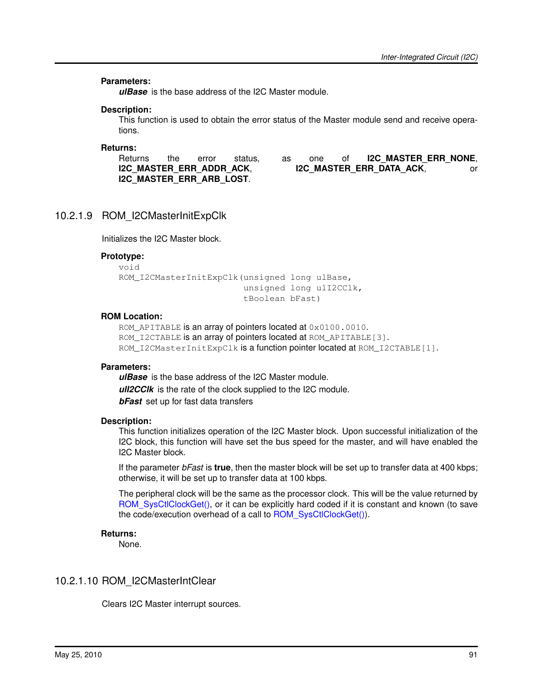#### **Parameters:**

*ulBase* is the base address of the I2C Master module.

#### **Description:**

This function is used to obtain the error status of the Master module send and receive operations.

## **Returns:**

```
I2C_MASTER_ERR_ARB_LOST.
```
Returns the error status, as one of **I2C\_MASTER\_ERR\_NONE**, **I2C\_MASTER\_ERR\_ADDR\_ACK, COMASTER\_ERR\_DATA\_ACK, org.** or

# <span id="page-90-0"></span>10.2.1.9 ROM\_I2CMasterInitExpClk

Initializes the I2C Master block.

#### **Prototype:**

```
void
ROM_I2CMasterInitExpClk(unsigned long ulBase,
                        unsigned long ulI2CClk,
                        tBoolean bFast)
```
### **ROM Location:**

ROM\_APITABLE is an array of pointers located at  $0 \times 0100$ .0010. ROM\_I2CTABLE is an array of pointers located at ROM\_APITABLE[3]. ROM\_I2CMasterInitExpClk is a function pointer located at ROM\_I2CTABLE[1].

#### **Parameters:**

*ulBase* is the base address of the I2C Master module. *ulI2CClk* is the rate of the clock supplied to the I2C module. *bFast* set up for fast data transfers

#### **Description:**

This function initializes operation of the I2C Master block. Upon successful initialization of the I2C block, this function will have set the bus speed for the master, and will have enabled the I2C Master block.

If the parameter *bFast* is **true**, then the master block will be set up to transfer data at 400 kbps; otherwise, it will be set up to transfer data at 100 kbps.

The peripheral clock will be the same as the processor clock. This will be the value returned by ROM SysCtlClockGet(), or it can be explicitly hard coded if it is constant and known (to save the code/execution overhead of a call to [ROM\\_SysCtlClockGet\(\)\)](#page-178-0).

## **Returns:**

None.

## <span id="page-90-1"></span>10.2.1.10 ROM\_I2CMasterIntClear

Clears I2C Master interrupt sources.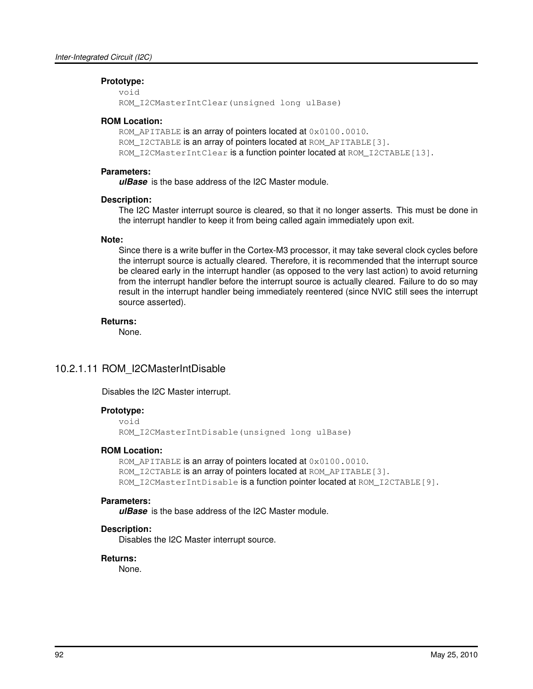## **Prototype:**

```
void
ROM I2CMasterIntClear(unsigned long ulBase)
```
### **ROM Location:**

ROM\_APITABLE is an array of pointers located at  $0 \times 0100$ .0010. ROM I2CTABLE is an array of pointers located at ROM APITABLE[3]. ROM\_I2CMasterIntClear is a function pointer located at ROM\_I2CTABLE[13].

### **Parameters:**

*ulBase* is the base address of the I2C Master module.

#### **Description:**

The I2C Master interrupt source is cleared, so that it no longer asserts. This must be done in the interrupt handler to keep it from being called again immediately upon exit.

#### **Note:**

Since there is a write buffer in the Cortex-M3 processor, it may take several clock cycles before the interrupt source is actually cleared. Therefore, it is recommended that the interrupt source be cleared early in the interrupt handler (as opposed to the very last action) to avoid returning from the interrupt handler before the interrupt source is actually cleared. Failure to do so may result in the interrupt handler being immediately reentered (since NVIC still sees the interrupt source asserted).

### **Returns:**

None.

## <span id="page-91-0"></span>10.2.1.11 ROM\_I2CMasterIntDisable

Disables the I2C Master interrupt.

## **Prototype:**

```
void
ROM_I2CMasterIntDisable(unsigned long ulBase)
```
## **ROM Location:**

ROM APITABLE is an array of pointers located at 0x0100.0010. ROM\_I2CTABLE is an array of pointers located at ROM\_APITABLE[3]. ROM I2CMasterIntDisable is a function pointer located at ROM I2CTABLE[9].

#### **Parameters:**

*ulBase* is the base address of the I2C Master module.

## **Description:**

Disables the I2C Master interrupt source.

#### <span id="page-91-1"></span>**Returns:**

None.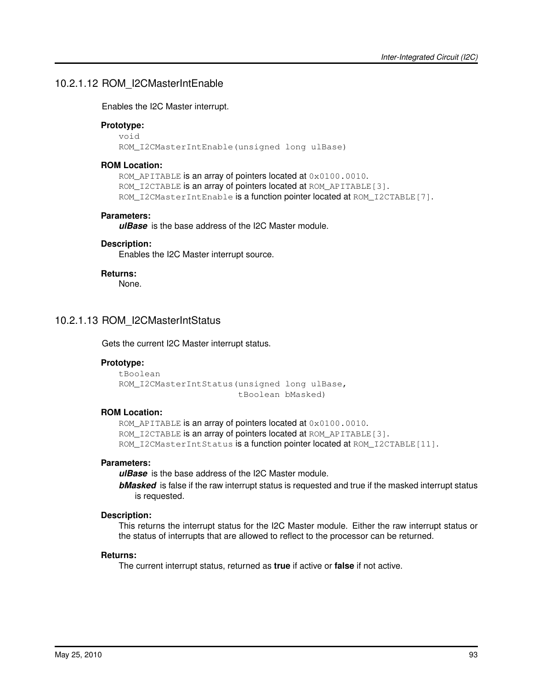# 10.2.1.12 ROM\_I2CMasterIntEnable

Enables the I2C Master interrupt.

## **Prototype:**

```
void
ROM_I2CMasterIntEnable(unsigned long ulBase)
```
## **ROM Location:**

ROM\_APITABLE is an array of pointers located at  $0 \times 0100$ .0010. ROM\_I2CTABLE is an array of pointers located at ROM\_APITABLE[3]. ROM\_I2CMasterIntEnable is a function pointer located at ROM\_I2CTABLE[7].

## **Parameters:**

*ulBase* is the base address of the I2C Master module.

## **Description:**

Enables the I2C Master interrupt source.

## **Returns:**

None.

# <span id="page-92-1"></span>10.2.1.13 ROM\_I2CMasterIntStatus

Gets the current I2C Master interrupt status.

## **Prototype:**

```
tBoolean
ROM_I2CMasterIntStatus(unsigned long ulBase,
                       tBoolean bMasked)
```
## **ROM Location:**

ROM\_APITABLE is an array of pointers located at  $0 \times 0100$ .0010. ROM I2CTABLE is an array of pointers located at ROM APITABLE[3]. ROM\_I2CMasterIntStatus is a function pointer located at ROM\_I2CTABLE[11].

#### **Parameters:**

*ulBase* is the base address of the I2C Master module.

*bMasked* is false if the raw interrupt status is requested and true if the masked interrupt status is requested.

#### **Description:**

This returns the interrupt status for the I2C Master module. Either the raw interrupt status or the status of interrupts that are allowed to reflect to the processor can be returned.

#### <span id="page-92-0"></span>**Returns:**

The current interrupt status, returned as **true** if active or **false** if not active.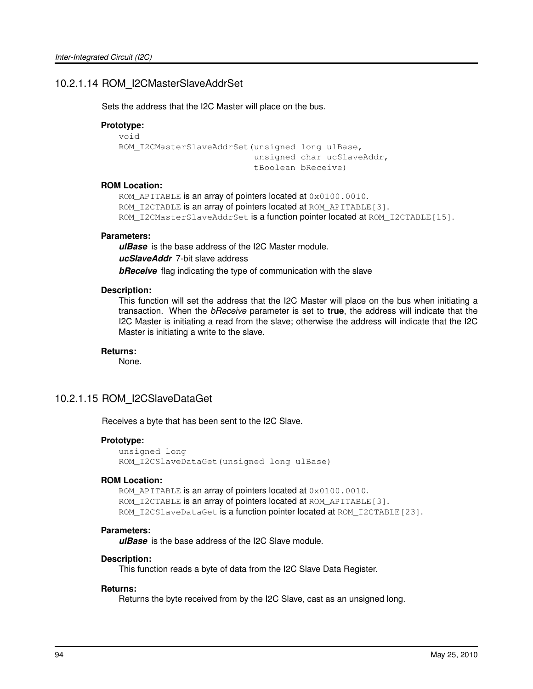# 10.2.1.14 ROM\_I2CMasterSlaveAddrSet

Sets the address that the I2C Master will place on the bus.

## **Prototype:**

```
void
ROM I2CMasterSlaveAddrSet(unsigned long ulBase,
                          unsigned char ucSlaveAddr,
                          tBoolean bReceive)
```
## **ROM Location:**

ROM\_APITABLE is an array of pointers located at  $0 \times 0100$ .0010. ROM I2CTABLE is an array of pointers located at ROM APITABLE[3]. ROM\_I2CMasterSlaveAddrSet is a function pointer located at ROM\_I2CTABLE[15].

## **Parameters:**

*ulBase* is the base address of the I2C Master module.

*ucSlaveAddr* 7-bit slave address

*bReceive* flag indicating the type of communication with the slave

## **Description:**

This function will set the address that the I2C Master will place on the bus when initiating a transaction. When the *bReceive* parameter is set to **true**, the address will indicate that the I2C Master is initiating a read from the slave; otherwise the address will indicate that the I2C Master is initiating a write to the slave.

## **Returns:**

None.

# <span id="page-93-1"></span>10.2.1.15 ROM\_I2CSlaveDataGet

Receives a byte that has been sent to the I2C Slave.

## **Prototype:**

unsigned long ROM\_I2CSlaveDataGet(unsigned long ulBase)

## **ROM Location:**

ROM\_APITABLE is an array of pointers located at  $0 \times 0100$ .0010. ROM\_I2CTABLE is an array of pointers located at ROM\_APITABLE[3]. ROM\_I2CSlaveDataGet is a function pointer located at ROM\_I2CTABLE[23].

## **Parameters:**

*ulBase* is the base address of the I2C Slave module.

## **Description:**

This function reads a byte of data from the I2C Slave Data Register.

## <span id="page-93-0"></span>**Returns:**

Returns the byte received from by the I2C Slave, cast as an unsigned long.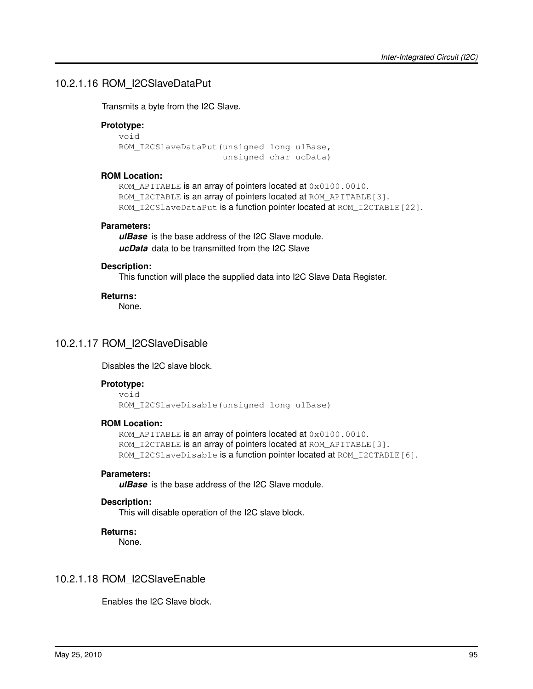# 10.2.1.16 ROM\_I2CSlaveDataPut

Transmits a byte from the I2C Slave.

## **Prototype:**

void ROM\_I2CSlaveDataPut(unsigned long ulBase, unsigned char ucData)

## **ROM Location:**

ROM\_APITABLE is an array of pointers located at  $0 \times 0100$ .0010. ROM I2CTABLE is an array of pointers located at ROM APITABLE[3]. ROM\_I2CSlaveDataPut is a function pointer located at ROM\_I2CTABLE[22].

## **Parameters:**

*ulBase* is the base address of the I2C Slave module. *ucData* data to be transmitted from the I2C Slave

### **Description:**

This function will place the supplied data into I2C Slave Data Register.

### **Returns:**

None.

## <span id="page-94-0"></span>10.2.1.17 ROM\_I2CSlaveDisable

Disables the I2C slave block.

## **Prototype:**

void ROM\_I2CSlaveDisable(unsigned long ulBase)

## **ROM Location:**

ROM\_APITABLE is an array of pointers located at  $0 \times 0100$ .0010. ROM\_I2CTABLE is an array of pointers located at ROM\_APITABLE[3]. ROM\_I2CSlaveDisable is a function pointer located at ROM\_I2CTABLE[6].

## **Parameters:**

*ulBase* is the base address of the I2C Slave module.

## **Description:**

This will disable operation of the I2C slave block.

## **Returns:**

None.

## <span id="page-94-1"></span>10.2.1.18 ROM\_I2CSlaveEnable

Enables the I2C Slave block.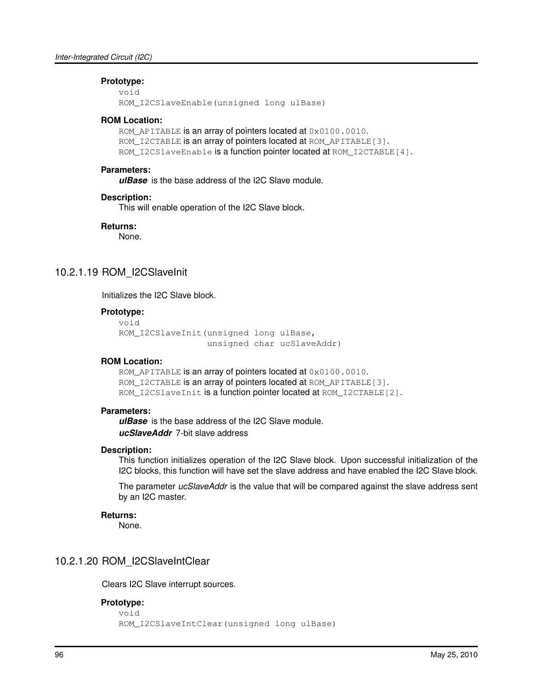## **Prototype:**

```
void
ROM_I2CSlaveEnable(unsigned long ulBase)
```
#### **ROM Location:**

ROM APITABLE is an array of pointers located at 0x0100.0010. ROM\_I2CTABLE is an array of pointers located at ROM\_APITABLE[3]. ROM\_I2CSlaveEnable is a function pointer located at ROM\_I2CTABLE[4].

#### **Parameters:**

*ulBase* is the base address of the I2C Slave module.

#### **Description:**

This will enable operation of the I2C Slave block.

## **Returns:**

None.

# <span id="page-95-0"></span>10.2.1.19 ROM\_I2CSlaveInit

Initializes the I2C Slave block.

#### **Prototype:**

```
void
ROM_I2CSlaveInit(unsigned long ulBase,
                 unsigned char ucSlaveAddr)
```
#### **ROM Location:**

ROM APITABLE is an array of pointers located at 0x0100.0010. ROM\_I2CTABLE is an array of pointers located at ROM\_APITABLE[3]. ROM\_I2CSlaveInit is a function pointer located at ROM\_I2CTABLE[2].

#### **Parameters:**

*ulBase* is the base address of the I2C Slave module. *ucSlaveAddr* 7-bit slave address

## **Description:**

This function initializes operation of the I2C Slave block. Upon successful initialization of the I2C blocks, this function will have set the slave address and have enabled the I2C Slave block.

The parameter *ucSlaveAddr* is the value that will be compared against the slave address sent by an I2C master.

## **Returns:**

None.

## <span id="page-95-1"></span>10.2.1.20 ROM\_I2CSlaveIntClear

Clears I2C Slave interrupt sources.

#### **Prototype:**

```
void
ROM_I2CSlaveIntClear(unsigned long ulBase)
```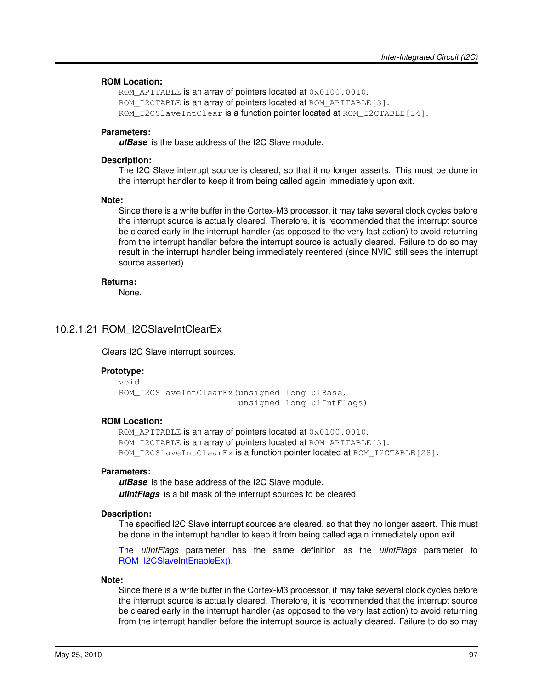## **ROM Location:**

ROM\_APITABLE is an array of pointers located at  $0 \times 0100$ .0010. ROM\_I2CTABLE is an array of pointers located at ROM\_APITABLE[3]. ROM\_I2CSlaveIntClear is a function pointer located at ROM\_I2CTABLE[14].

## **Parameters:**

*ulBase* is the base address of the I2C Slave module.

#### **Description:**

The I2C Slave interrupt source is cleared, so that it no longer asserts. This must be done in the interrupt handler to keep it from being called again immediately upon exit.

#### **Note:**

Since there is a write buffer in the Cortex-M3 processor, it may take several clock cycles before the interrupt source is actually cleared. Therefore, it is recommended that the interrupt source be cleared early in the interrupt handler (as opposed to the very last action) to avoid returning from the interrupt handler before the interrupt source is actually cleared. Failure to do so may result in the interrupt handler being immediately reentered (since NVIC still sees the interrupt source asserted).

#### **Returns:**

None.

## <span id="page-96-0"></span>10.2.1.21 ROM\_I2CSlaveIntClearEx

Clears I2C Slave interrupt sources.

#### **Prototype:**

```
void
ROM_I2CSlaveIntClearEx(unsigned long ulBase,
                       unsigned long ulIntFlags)
```
#### **ROM Location:**

ROM APITABLE is an array of pointers located at 0x0100.0010. ROM I2CTABLE is an array of pointers located at ROM APITABLE[3]. ROM I2CSlaveIntClearEx is a function pointer located at ROM I2CTABLE[28].

#### **Parameters:**

*ulBase* is the base address of the I2C Slave module. *ulIntFlags* is a bit mask of the interrupt sources to be cleared.

#### **Description:**

The specified I2C Slave interrupt sources are cleared, so that they no longer assert. This must be done in the interrupt handler to keep it from being called again immediately upon exit.

The *ulIntFlags* parameter has the same definition as the *ulIntFlags* parameter to [ROM\\_I2CSlaveIntEnableEx\(\).](#page-98-1)

#### **Note:**

Since there is a write buffer in the Cortex-M3 processor, it may take several clock cycles before the interrupt source is actually cleared. Therefore, it is recommended that the interrupt source be cleared early in the interrupt handler (as opposed to the very last action) to avoid returning from the interrupt handler before the interrupt source is actually cleared. Failure to do so may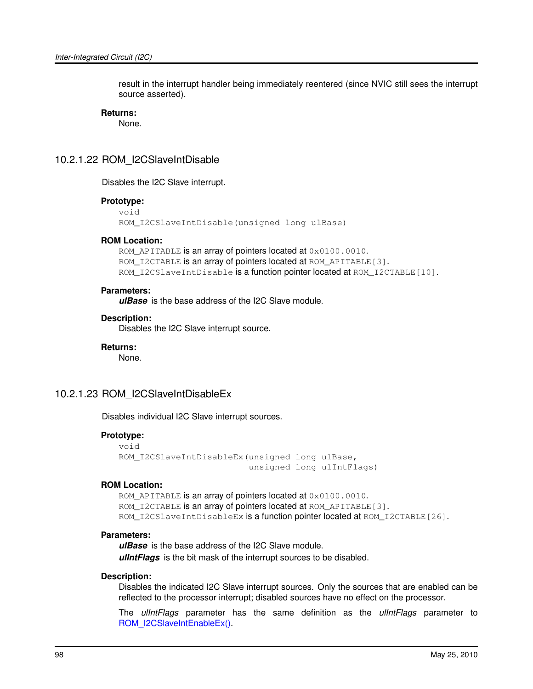result in the interrupt handler being immediately reentered (since NVIC still sees the interrupt source asserted).

#### **Returns:**

None.

## <span id="page-97-0"></span>10.2.1.22 ROM\_I2CSlaveIntDisable

Disables the I2C Slave interrupt.

## **Prototype:**

```
void
ROM I2CSlaveIntDisable(unsigned long ulBase)
```
#### **ROM Location:**

ROM\_APITABLE is an array of pointers located at  $0 \times 0100$ .0010. ROM I2CTABLE is an array of pointers located at ROM APITABLE[3]. ROM\_I2CSlaveIntDisable is a function pointer located at ROM\_I2CTABLE[10].

#### **Parameters:**

*ulBase* is the base address of the I2C Slave module.

## **Description:**

Disables the I2C Slave interrupt source.

#### **Returns:**

None.

## <span id="page-97-1"></span>10.2.1.23 ROM\_I2CSlaveIntDisableEx

Disables individual I2C Slave interrupt sources.

## **Prototype:**

```
void
ROM I2CSlaveIntDisableEx(unsigned long ulBase,
                         unsigned long ulIntFlags)
```
## **ROM Location:**

ROM APITABLE is an array of pointers located at 0x0100.0010. ROM\_I2CTABLE is an array of pointers located at ROM\_APITABLE[3]. ROM I2CSlaveIntDisableEx is a function pointer located at ROM I2CTABLE[26].

## **Parameters:**

*ulBase* is the base address of the I2C Slave module. *ulIntFlags* is the bit mask of the interrupt sources to be disabled.

#### **Description:**

Disables the indicated I2C Slave interrupt sources. Only the sources that are enabled can be reflected to the processor interrupt; disabled sources have no effect on the processor.

The *ulIntFlags* parameter has the same definition as the *ulIntFlags* parameter to [ROM\\_I2CSlaveIntEnableEx\(\).](#page-98-1)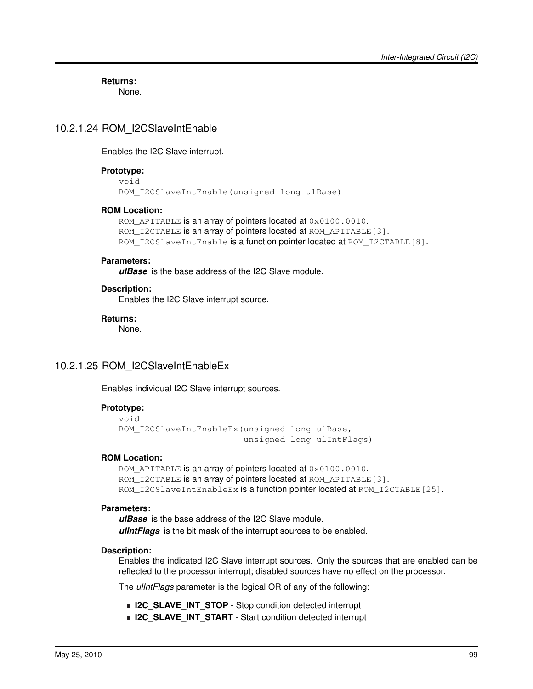**Returns:**

None.

# <span id="page-98-0"></span>10.2.1.24 ROM\_I2CSlaveIntEnable

Enables the I2C Slave interrupt.

## **Prototype:**

void ROM\_I2CSlaveIntEnable(unsigned long ulBase)

## **ROM Location:**

ROM APITABLE is an array of pointers located at  $0 \times 0100$ .0010. ROM I2CTABLE is an array of pointers located at ROM APITABLE[3]. ROM\_I2CSlaveIntEnable is a function pointer located at ROM\_I2CTABLE[8].

## **Parameters:**

*ulBase* is the base address of the I2C Slave module.

## **Description:**

Enables the I2C Slave interrupt source.

## **Returns:**

None.

# <span id="page-98-1"></span>10.2.1.25 ROM\_I2CSlaveIntEnableEx

Enables individual I2C Slave interrupt sources.

## **Prototype:**

```
void
ROM_I2CSlaveIntEnableEx(unsigned long ulBase,
                        unsigned long ulIntFlags)
```
## **ROM Location:**

ROM\_APITABLE is an array of pointers located at  $0 \times 0100$ .0010. ROM\_I2CTABLE is an array of pointers located at ROM\_APITABLE[3]. ROM\_I2CSlaveIntEnableEx is a function pointer located at ROM\_I2CTABLE[25].

## **Parameters:**

*ulBase* is the base address of the I2C Slave module. *ulIntFlags* is the bit mask of the interrupt sources to be enabled.

## **Description:**

Enables the indicated I2C Slave interrupt sources. Only the sources that are enabled can be reflected to the processor interrupt; disabled sources have no effect on the processor.

The *ulIntFlags* parameter is the logical OR of any of the following:

- **I2C\_SLAVE\_INT\_STOP** Stop condition detected interrupt
- **I2C\_SLAVE\_INT\_START** Start condition detected interrupt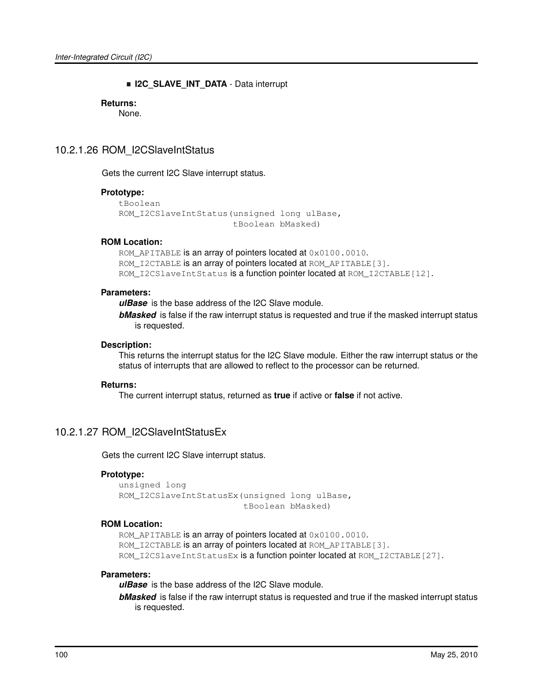## **I** I2C SLAVE INT DATA - Data interrupt

**Returns:**

None.

# <span id="page-99-0"></span>10.2.1.26 ROM\_I2CSlaveIntStatus

Gets the current I2C Slave interrupt status.

## **Prototype:**

```
tBoolean
ROM_I2CSlaveIntStatus(unsigned long ulBase,
                      tBoolean bMasked)
```
## **ROM Location:**

ROM\_APITABLE is an array of pointers located at  $0 \times 0100$ .0010. ROM\_I2CTABLE is an array of pointers located at ROM\_APITABLE[3]. ROM\_I2CSlaveIntStatus is a function pointer located at ROM\_I2CTABLE[12].

## **Parameters:**

*ulBase* is the base address of the I2C Slave module.

*bMasked* is false if the raw interrupt status is requested and true if the masked interrupt status is requested.

## **Description:**

This returns the interrupt status for the I2C Slave module. Either the raw interrupt status or the status of interrupts that are allowed to reflect to the processor can be returned.

## **Returns:**

The current interrupt status, returned as **true** if active or **false** if not active.

# <span id="page-99-1"></span>10.2.1.27 ROM\_I2CSlaveIntStatusEx

Gets the current I2C Slave interrupt status.

## **Prototype:**

```
unsigned long
ROM_I2CSlaveIntStatusEx(unsigned long ulBase,
                        tBoolean bMasked)
```
## **ROM Location:**

ROM APITABLE is an array of pointers located at 0x0100.0010. ROM\_I2CTABLE is an array of pointers located at ROM\_APITABLE[3]. ROM\_I2CSlaveIntStatusEx is a function pointer located at ROM\_I2CTABLE[27].

## **Parameters:**

*ulBase* is the base address of the I2C Slave module.

*bMasked* is false if the raw interrupt status is requested and true if the masked interrupt status is requested.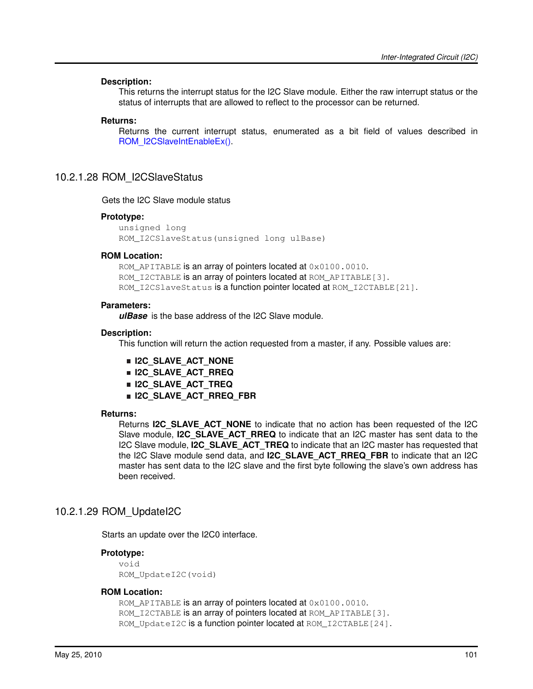## **Description:**

This returns the interrupt status for the I2C Slave module. Either the raw interrupt status or the status of interrupts that are allowed to reflect to the processor can be returned.

### **Returns:**

Returns the current interrupt status, enumerated as a bit field of values described in [ROM\\_I2CSlaveIntEnableEx\(\).](#page-98-1)

## <span id="page-100-0"></span>10.2.1.28 ROM\_I2CSlaveStatus

Gets the I2C Slave module status

#### **Prototype:**

```
unsigned long
ROM_I2CSlaveStatus(unsigned long ulBase)
```
### **ROM Location:**

ROM APITABLE is an array of pointers located at 0x0100.0010. ROM\_I2CTABLE is an array of pointers located at ROM\_APITABLE[3]. ROM\_I2CSlaveStatus is a function pointer located at ROM\_I2CTABLE[21].

## **Parameters:**

*ulBase* is the base address of the I2C Slave module.

### **Description:**

This function will return the action requested from a master, if any. Possible values are:

- **I2C\_SLAVE\_ACT\_NONE**
- **I2C\_SLAVE\_ACT\_RREQ**
- **I2C\_SLAVE\_ACT\_TREQ**
- **I2C\_SLAVE\_ACT\_RREQ\_FBR**

### **Returns:**

Returns **I2C\_SLAVE\_ACT\_NONE** to indicate that no action has been requested of the I2C Slave module, **I2C\_SLAVE\_ACT\_RREQ** to indicate that an I2C master has sent data to the I2C Slave module, **I2C\_SLAVE\_ACT\_TREQ** to indicate that an I2C master has requested that the I2C Slave module send data, and **I2C\_SLAVE\_ACT\_RREQ\_FBR** to indicate that an I2C master has sent data to the I2C slave and the first byte following the slave's own address has been received.

## <span id="page-100-1"></span>10.2.1.29 ROM\_UpdateI2C

Starts an update over the I2C0 interface.

#### **Prototype:**

```
void
ROM_UpdateI2C(void)
```
#### **ROM Location:**

ROM\_APITABLE is an array of pointers located at  $0 \times 0100$ .0010. ROM I2CTABLE is an array of pointers located at ROM APITABLE[3]. ROM UpdateI2C is a function pointer located at ROM I2CTABLE[24].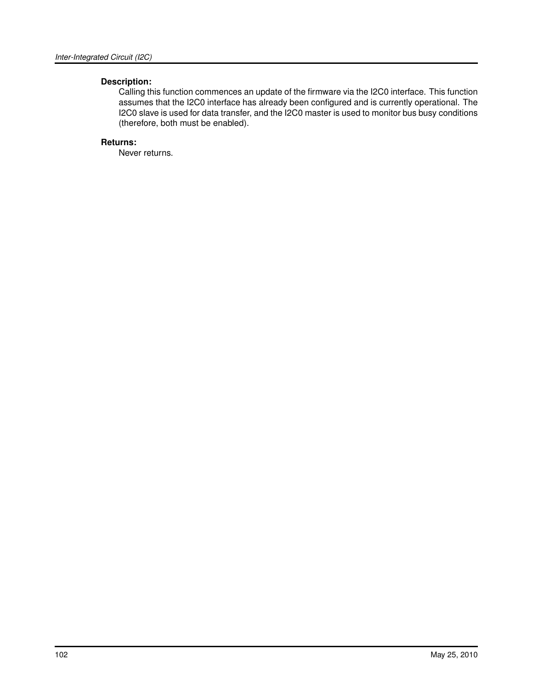# **Description:**

Calling this function commences an update of the firmware via the I2C0 interface. This function assumes that the I2C0 interface has already been configured and is currently operational. The I2C0 slave is used for data transfer, and the I2C0 master is used to monitor bus busy conditions (therefore, both must be enabled).

## **Returns:**

Never returns.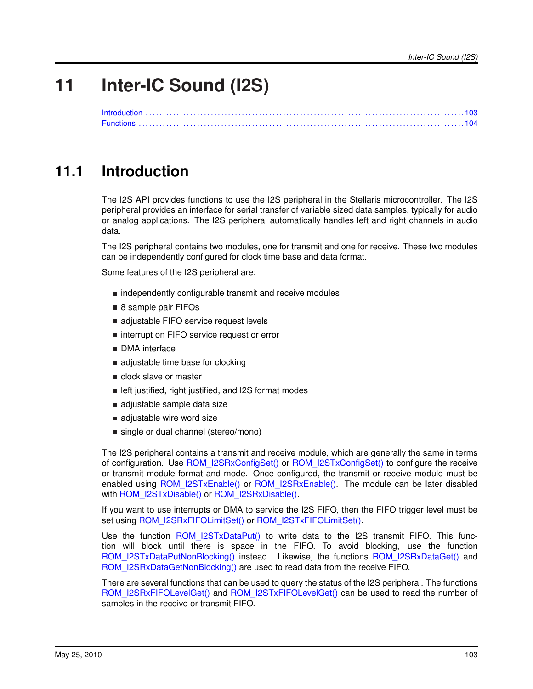# **11 Inter-IC Sound (I2S)**

<span id="page-102-0"></span>

# <span id="page-102-1"></span>**11.1 Introduction**

The I2S API provides functions to use the I2S peripheral in the Stellaris microcontroller. The I2S peripheral provides an interface for serial transfer of variable sized data samples, typically for audio or analog applications. The I2S peripheral automatically handles left and right channels in audio data.

The I2S peripheral contains two modules, one for transmit and one for receive. These two modules can be independently configured for clock time base and data format.

Some features of the I2S peripheral are:

- independently configurable transmit and receive modules
- 8 sample pair FIFOs
- adjustable FIFO service request levels
- interrupt on FIFO service request or error
- **DMA** interface
- $\blacksquare$  adjustable time base for clocking
- clock slave or master
- left justified, right justified, and I2S format modes
- adjustable sample data size
- adjustable wire word size
- single or dual channel (stereo/mono)

The I2S peripheral contains a transmit and receive module, which are generally the same in terms of configuration. Use [ROM\\_I2SRxConfigSet\(\)](#page-106-0) or [ROM\\_I2STxConfigSet\(\)](#page-111-0) to configure the receive or transmit module format and mode. Once configured, the transmit or receive module must be enabled using [ROM\\_I2STxEnable\(\)](#page-114-0) or [ROM\\_I2SRxEnable\(\).](#page-109-0) The module can be later disabled with ROM I2STxDisable() or ROM I2SRxDisable().

If you want to use interrupts or DMA to service the I2S FIFO, then the FIFO trigger level must be set using [ROM\\_I2SRxFIFOLimitSet\(\)](#page-110-0) or [ROM\\_I2STxFIFOLimitSet\(\).](#page-115-0)

Use the function  $ROM_12STxDataPut()$  to write data to the I2S transmit FIFO. This function will block until there is space in the FIFO. To avoid blocking, use the function [ROM\\_I2STxDataPutNonBlocking\(\)](#page-113-1) instead. Likewise, the functions [ROM\\_I2SRxDataGet\(\)](#page-107-0) and [ROM\\_I2SRxDataGetNonBlocking\(\)](#page-108-1) are used to read data from the receive FIFO.

There are several functions that can be used to query the status of the I2S peripheral. The functions [ROM\\_I2SRxFIFOLevelGet\(\)](#page-109-1) and [ROM\\_I2STxFIFOLevelGet\(\)](#page-114-1) can be used to read the number of samples in the receive or transmit FIFO.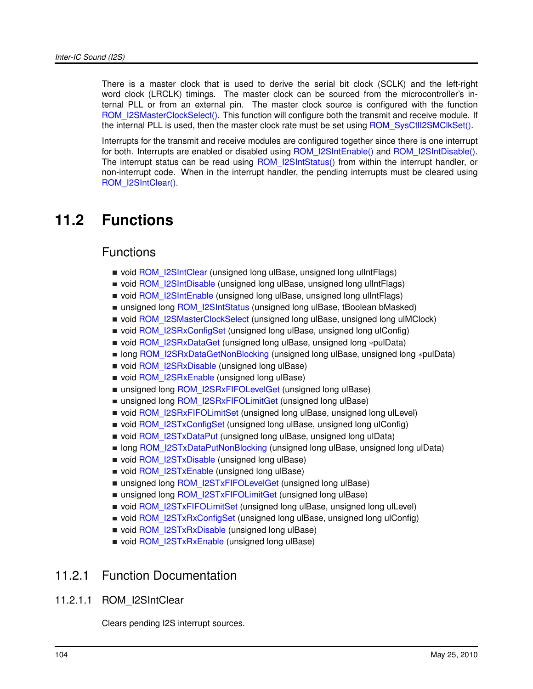There is a master clock that is used to derive the serial bit clock (SCLK) and the left-right word clock (LRCLK) timings. The master clock can be sourced from the microcontroller's internal PLL or from an external pin. The master clock source is configured with the function [ROM\\_I2SMasterClockSelect\(\).](#page-106-1) This function will configure both the transmit and receive module. If the internal PLL is used, then the master clock rate must be set using ROM SysCtll2SMClkSet().

<span id="page-103-0"></span>Interrupts for the transmit and receive modules are configured together since there is one interrupt for both. Interrupts are enabled or disabled using ROM I2SIntEnable() and ROM I2SIntDisable(). The interrupt status can be read using [ROM\\_I2SIntStatus\(\)](#page-105-1) from within the interrupt handler, or non-interrupt code. When in the interrupt handler, the pending interrupts must be cleared using ROM I2SIntClear().

# <span id="page-103-1"></span>**11.2 Functions**

# Functions

- void [ROM\\_I2SIntClear](#page-103-2) (unsigned long ulBase, unsigned long ulIntFlags)
- void [ROM\\_I2SIntDisable](#page-104-0) (unsigned long ulBase, unsigned long ulIntFlags)
- void [ROM\\_I2SIntEnable](#page-105-0) (unsigned long ulBase, unsigned long ulIntFlags)
- unsigned long [ROM\\_I2SIntStatus](#page-105-1) (unsigned long ulBase, tBoolean bMasked)
- void [ROM\\_I2SMasterClockSelect](#page-106-1) (unsigned long ulBase, unsigned long ulMClock)
- void [ROM\\_I2SRxConfigSet](#page-106-0) (unsigned long ulBase, unsigned long ulConfig)
- void [ROM\\_I2SRxDataGet](#page-107-0) (unsigned long ulBase, unsigned long \*pulData)
- **long [ROM\\_I2SRxDataGetNonBlocking](#page-108-1) (unsigned long ulBase, unsigned long ∗pulData)**
- void [ROM\\_I2SRxDisable](#page-108-0) (unsigned long ulBase)
- void [ROM\\_I2SRxEnable](#page-109-0) (unsigned long ulBase)
- unsigned long [ROM\\_I2SRxFIFOLevelGet](#page-109-1) (unsigned long ulBase)
- unsigned long [ROM\\_I2SRxFIFOLimitGet](#page-110-1) (unsigned long ulBase)
- void [ROM\\_I2SRxFIFOLimitSet](#page-110-0) (unsigned long ulBase, unsigned long ulLevel)
- void [ROM\\_I2STxConfigSet](#page-111-0) (unsigned long ulBase, unsigned long ulConfig)
- void [ROM\\_I2STxDataPut](#page-112-0) (unsigned long ulBase, unsigned long ulData)
- **If** long ROM I2STxDataPutNonBlocking (unsigned long ulBase, unsigned long ulData)
- void [ROM\\_I2STxDisable](#page-113-0) (unsigned long ulBase)
- void [ROM\\_I2STxEnable](#page-114-0) (unsigned long ulBase)
- unsigned long [ROM\\_I2STxFIFOLevelGet](#page-114-1) (unsigned long ulBase)
- unsigned long [ROM\\_I2STxFIFOLimitGet](#page-115-1) (unsigned long ulBase)
- void [ROM\\_I2STxFIFOLimitSet](#page-115-0) (unsigned long ulBase, unsigned long ulLevel)
- void [ROM\\_I2STxRxConfigSet](#page-116-0) (unsigned long ulBase, unsigned long ulConfig)
- void [ROM\\_I2STxRxDisable](#page-117-0) (unsigned long ulBase)
- void [ROM\\_I2STxRxEnable](#page-117-1) (unsigned long ulBase)

# 11.2.1 Function Documentation

<span id="page-103-2"></span>11.2.1.1 ROM\_I2SIntClear

Clears pending I2S interrupt sources.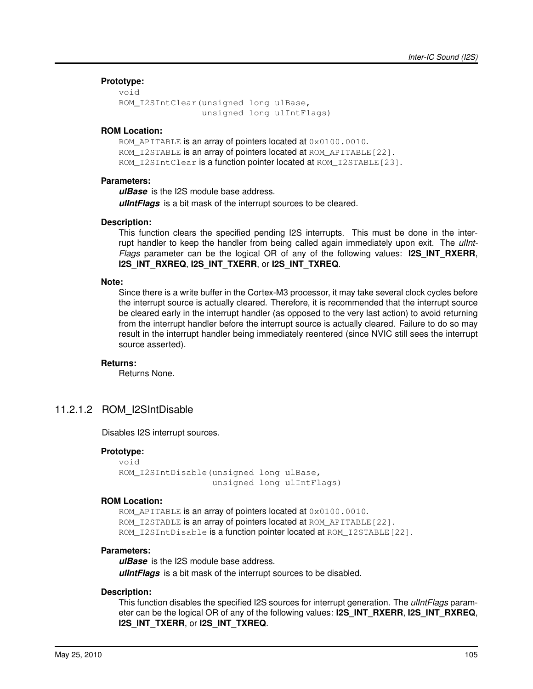## **Prototype:**

```
void
ROM I2SIntClear(unsigned long ulBase,
                unsigned long ulIntFlags)
```
#### **ROM Location:**

ROM\_APITABLE is an array of pointers located at  $0 \times 0100$ .0010. ROM I2STABLE is an array of pointers located at ROM APITABLE[22]. ROM\_I2SIntClear is a function pointer located at ROM\_I2STABLE[23].

#### **Parameters:**

*ulBase* is the I2S module base address. *ulIntFlags* is a bit mask of the interrupt sources to be cleared.

#### **Description:**

This function clears the specified pending I2S interrupts. This must be done in the interrupt handler to keep the handler from being called again immediately upon exit. The *ulInt-Flags* parameter can be the logical OR of any of the following values: **I2S\_INT\_RXERR**, **I2S\_INT\_RXREQ**, **I2S\_INT\_TXERR**, or **I2S\_INT\_TXREQ**.

#### **Note:**

Since there is a write buffer in the Cortex-M3 processor, it may take several clock cycles before the interrupt source is actually cleared. Therefore, it is recommended that the interrupt source be cleared early in the interrupt handler (as opposed to the very last action) to avoid returning from the interrupt handler before the interrupt source is actually cleared. Failure to do so may result in the interrupt handler being immediately reentered (since NVIC still sees the interrupt source asserted).

## **Returns:**

Returns None.

# <span id="page-104-0"></span>11.2.1.2 ROM\_I2SIntDisable

Disables I2S interrupt sources.

## **Prototype:**

void ROM\_I2SIntDisable(unsigned long ulBase, unsigned long ulIntFlags)

#### **ROM Location:**

ROM\_APITABLE is an array of pointers located at  $0 \times 0100$ .0010. ROM\_I2STABLE is an array of pointers located at ROM\_APITABLE[22]. ROM I2SIntDisable is a function pointer located at ROM I2STABLE[22].

#### **Parameters:**

*ulBase* is the I2S module base address. *ulIntFlags* is a bit mask of the interrupt sources to be disabled.

#### **Description:**

This function disables the specified I2S sources for interrupt generation. The *ulIntFlags* parameter can be the logical OR of any of the following values: **I2S\_INT\_RXERR**, **I2S\_INT\_RXREQ**, **I2S\_INT\_TXERR**, or **I2S\_INT\_TXREQ**.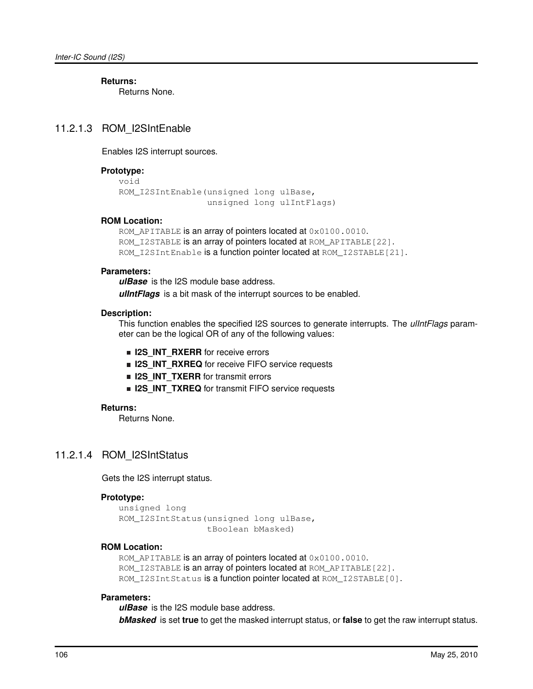**Returns:**

Returns None.

# <span id="page-105-0"></span>11.2.1.3 ROM\_I2SIntEnable

Enables I2S interrupt sources.

## **Prototype:**

```
void
ROM_I2SIntEnable(unsigned long ulBase,
                 unsigned long ulIntFlags)
```
## **ROM Location:**

ROM APITABLE is an array of pointers located at 0x0100.0010. ROM\_I2STABLE is an array of pointers located at ROM\_APITABLE[22]. ROM\_I2SIntEnable is a function pointer located at ROM\_I2STABLE[21].

#### **Parameters:**

*ulBase* is the I2S module base address.

*ulIntFlags* is a bit mask of the interrupt sources to be enabled.

#### **Description:**

This function enables the specified I2S sources to generate interrupts. The *ulIntFlags* parameter can be the logical OR of any of the following values:

- **I** I2S\_INT\_RXERR for receive errors
- **IZS INT RXREQ** for receive FIFO service requests
- **II2S INT TXERR** for transmit errors
- **IZS INT TXREQ** for transmit FIFO service requests

#### **Returns:**

Returns None.

## <span id="page-105-1"></span>11.2.1.4 ROM\_I2SIntStatus

Gets the I2S interrupt status.

#### **Prototype:**

```
unsigned long
ROM_I2SIntStatus(unsigned long ulBase,
                 tBoolean bMasked)
```
#### **ROM Location:**

ROM\_APITABLE is an array of pointers located at  $0 \times 0100$ .0010. ROM\_I2STABLE is an array of pointers located at ROM\_APITABLE[22]. ROM\_I2SIntStatus is a function pointer located at ROM\_I2STABLE[0].

#### **Parameters:**

*ulBase* is the I2S module base address. *bMasked* is set **true** to get the masked interrupt status, or **false** to get the raw interrupt status.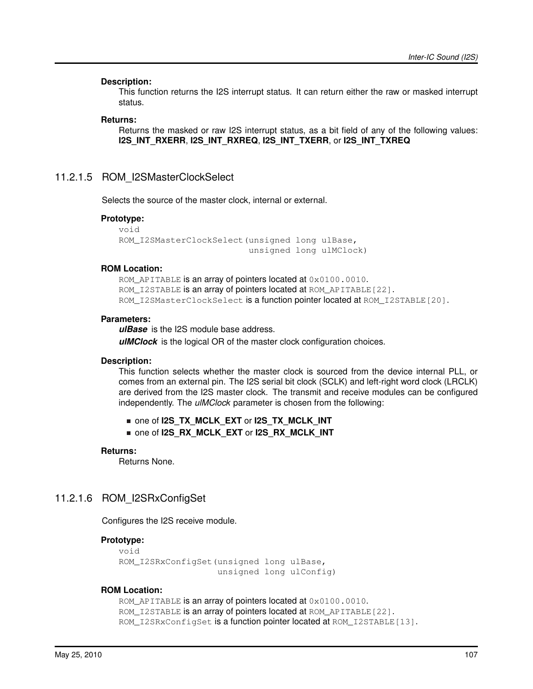#### **Description:**

This function returns the I2S interrupt status. It can return either the raw or masked interrupt status.

## **Returns:**

Returns the masked or raw I2S interrupt status, as a bit field of any of the following values: **I2S\_INT\_RXERR**, **I2S\_INT\_RXREQ**, **I2S\_INT\_TXERR**, or **I2S\_INT\_TXREQ**

## <span id="page-106-1"></span>11.2.1.5 ROM\_I2SMasterClockSelect

Selects the source of the master clock, internal or external.

#### **Prototype:**

```
void
ROM_I2SMasterClockSelect(unsigned long ulBase,
                         unsigned long ulMClock)
```
## **ROM Location:**

ROM APITABLE is an array of pointers located at  $0 \times 0100$ .0010. ROM I2STABLE is an array of pointers located at ROM APITABLE[22]. ROM\_I2SMasterClockSelect is a function pointer located at ROM\_I2STABLE[20].

#### **Parameters:**

*ulBase* is the I2S module base address. *ulMClock* is the logical OR of the master clock configuration choices.

#### **Description:**

This function selects whether the master clock is sourced from the device internal PLL, or comes from an external pin. The I2S serial bit clock (SCLK) and left-right word clock (LRCLK) are derived from the I2S master clock. The transmit and receive modules can be configured independently. The *ulMClock* parameter is chosen from the following:

- one of **I2S\_TX\_MCLK\_EXT** or **I2S\_TX\_MCLK\_INT**
- one of **I2S\_RX\_MCLK\_EXT** or **I2S\_RX\_MCLK\_INT**

#### **Returns:**

Returns None.

## <span id="page-106-0"></span>11.2.1.6 ROM\_I2SRxConfigSet

Configures the I2S receive module.

## **Prototype:**

```
void
ROM_I2SRxConfigSet(unsigned long ulBase,
                   unsigned long ulConfig)
```
#### **ROM Location:**

```
ROM_APITABLE is an array of pointers located at 0 \times 0100.0010.
ROM_I2STABLE is an array of pointers located at ROM_APITABLE[22].
ROM_I2SRxConfigSet is a function pointer located at ROM_I2STABLE[13].
```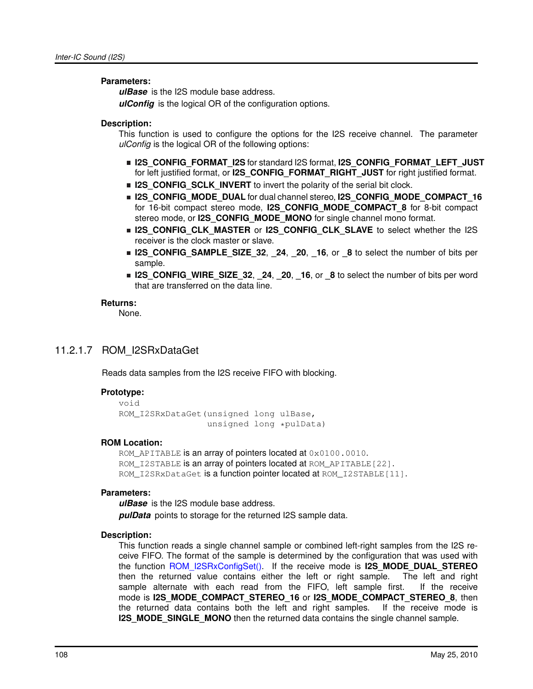## **Parameters:**

*ulBase* is the I2S module base address.

*ulConfig* is the logical OR of the configuration options.

## **Description:**

This function is used to configure the options for the I2S receive channel. The parameter *ulConfig* is the logical OR of the following options:

- **I2S\_CONFIG\_FORMAT\_I2S** for standard I2S format, **I2S\_CONFIG\_FORMAT\_LEFT\_JUST** for left justified format, or **I2S\_CONFIG\_FORMAT\_RIGHT\_JUST** for right justified format.
- **I2S CONFIG SCLK INVERT** to invert the polarity of the serial bit clock.
- **I2S\_CONFIG\_MODE\_DUAL** for dual channel stereo, **I2S\_CONFIG\_MODE\_COMPACT\_16** for 16-bit compact stereo mode, **I2S\_CONFIG\_MODE\_COMPACT\_8** for 8-bit compact stereo mode, or **I2S\_CONFIG\_MODE\_MONO** for single channel mono format.
- **I2S\_CONFIG\_CLK\_MASTER** or **I2S\_CONFIG\_CLK\_SLAVE** to select whether the I2S receiver is the clock master or slave.
- **I2S\_CONFIG\_SAMPLE\_SIZE\_32**, **\_24**, **\_20**, **\_16**, or **\_8** to select the number of bits per sample.
- **I2S\_CONFIG\_WIRE\_SIZE\_32**, **\_24**, **\_20**, **\_16**, or **\_8** to select the number of bits per word that are transferred on the data line.

## **Returns:**

None.

# <span id="page-107-0"></span>11.2.1.7 ROM\_I2SRxDataGet

Reads data samples from the I2S receive FIFO with blocking.

## **Prototype:**

```
void
ROM I2SRxDataGet(unsigned long ulBase,
                 unsigned long *pulData)
```
## **ROM Location:**

ROM\_APITABLE is an array of pointers located at  $0 \times 0100$ .0010. ROM I2STABLE is an array of pointers located at ROM APITABLE[22]. ROM\_I2SRxDataGet is a function pointer located at ROM\_I2STABLE[11].

## **Parameters:**

*ulBase* is the I2S module base address.

*pulData* points to storage for the returned I2S sample data.

## **Description:**

This function reads a single channel sample or combined left-right samples from the I2S receive FIFO. The format of the sample is determined by the configuration that was used with the function [ROM\\_I2SRxConfigSet\(\).](#page-106-0) If the receive mode is **I2S\_MODE\_DUAL\_STEREO** then the returned value contains either the left or right sample. The left and right sample alternate with each read from the FIFO, left sample first. If the receive mode is **I2S\_MODE\_COMPACT\_STEREO\_16** or **I2S\_MODE\_COMPACT\_STEREO\_8**, then the returned data contains both the left and right samples. If the receive mode is **I2S\_MODE\_SINGLE\_MONO** then the returned data contains the single channel sample.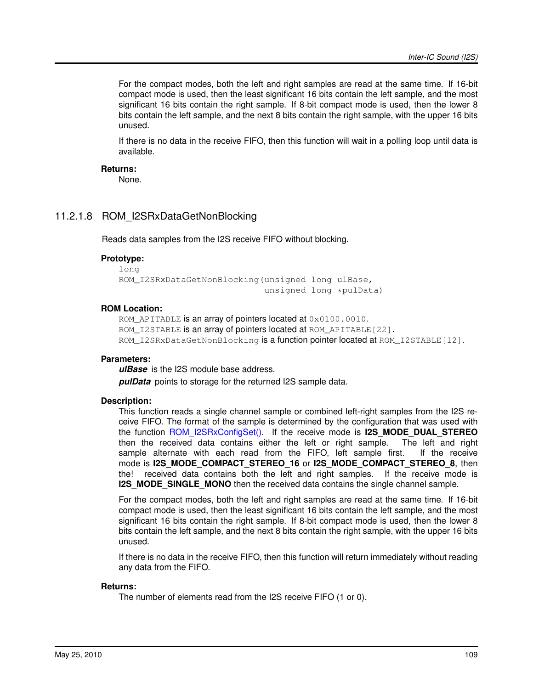For the compact modes, both the left and right samples are read at the same time. If 16-bit compact mode is used, then the least significant 16 bits contain the left sample, and the most significant 16 bits contain the right sample. If 8-bit compact mode is used, then the lower 8 bits contain the left sample, and the next 8 bits contain the right sample, with the upper 16 bits unused.

If there is no data in the receive FIFO, then this function will wait in a polling loop until data is available.

#### **Returns:**

None.

# 11.2.1.8 ROM\_I2SRxDataGetNonBlocking

Reads data samples from the I2S receive FIFO without blocking.

#### **Prototype:**

```
long
ROM_I2SRxDataGetNonBlocking(unsigned long ulBase,
                            unsigned long *pulData)
```
#### **ROM Location:**

```
ROM_APITABLE is an array of pointers located at 0 \times 0100.0010.
ROM_I2STABLE is an array of pointers located at ROM_APITABLE[22].
ROM_I2SRxDataGetNonBlocking is a function pointer located at ROM_I2STABLE[12].
```
# **Parameters:**

*ulBase* is the I2S module base address. **pulData** points to storage for the returned I2S sample data.

#### **Description:**

This function reads a single channel sample or combined left-right samples from the I2S receive FIFO. The format of the sample is determined by the configuration that was used with the function [ROM\\_I2SRxConfigSet\(\).](#page-106-0) If the receive mode is **I2S\_MODE\_DUAL\_STEREO** then the received data contains either the left or right sample. The left and right sample alternate with each read from the FIFO, left sample first. If the receive mode is **I2S\_MODE\_COMPACT\_STEREO\_16** or **I2S\_MODE\_COMPACT\_STEREO\_8**, then the! received data contains both the left and right samples. If the receive mode is **I2S MODE SINGLE MONO** then the received data contains the single channel sample.

For the compact modes, both the left and right samples are read at the same time. If 16-bit compact mode is used, then the least significant 16 bits contain the left sample, and the most significant 16 bits contain the right sample. If 8-bit compact mode is used, then the lower 8 bits contain the left sample, and the next 8 bits contain the right sample, with the upper 16 bits unused.

If there is no data in the receive FIFO, then this function will return immediately without reading any data from the FIFO.

#### **Returns:**

The number of elements read from the I2S receive FIFO (1 or 0).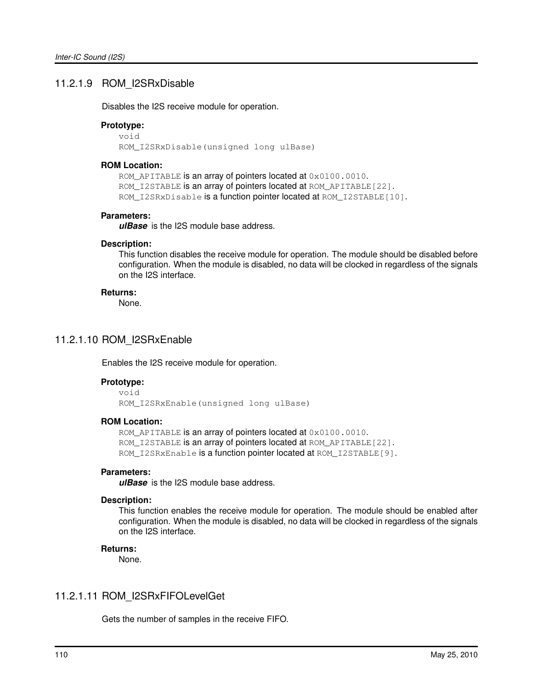# 11.2.1.9 ROM\_I2SRxDisable

Disables the I2S receive module for operation.

# **Prototype:**

void ROM\_I2SRxDisable(unsigned long ulBase)

# **ROM Location:**

ROM\_APITABLE is an array of pointers located at  $0 \times 0100$ .0010. ROM\_I2STABLE is an array of pointers located at ROM\_APITABLE[22]. ROM\_I2SRxDisable is a function pointer located at ROM\_I2STABLE[10].

## **Parameters:**

*ulBase* is the I2S module base address.

#### **Description:**

This function disables the receive module for operation. The module should be disabled before configuration. When the module is disabled, no data will be clocked in regardless of the signals on the I2S interface.

#### **Returns:**

None.

# 11.2.1.10 ROM\_I2SRxEnable

Enables the I2S receive module for operation.

# **Prototype:**

void ROM\_I2SRxEnable(unsigned long ulBase)

# **ROM Location:**

ROM\_APITABLE is an array of pointers located at  $0 \times 0100$ .0010. ROM I2STABLE is an array of pointers located at ROM APITABLE[22]. ROM\_I2SRxEnable is a function pointer located at ROM\_I2STABLE[9].

# **Parameters:**

*ulBase* is the I2S module base address.

# **Description:**

This function enables the receive module for operation. The module should be enabled after configuration. When the module is disabled, no data will be clocked in regardless of the signals on the I2S interface.

# **Returns:**

None.

# 11.2.1.11 ROM\_I2SRxFIFOLevelGet

Gets the number of samples in the receive FIFO.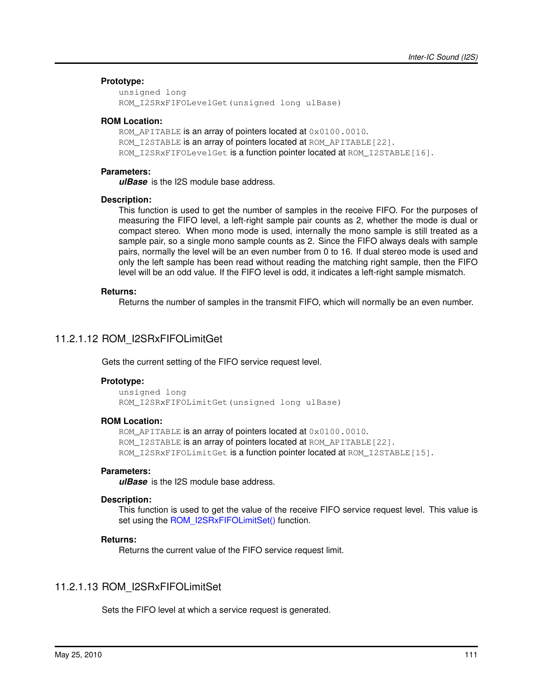#### **Prototype:**

```
unsigned long
ROM I2SRxFIFOLevelGet(unsigned long ulBase)
```
#### **ROM Location:**

ROM APITABLE is an array of pointers located at 0x0100.0010. ROM I2STABLE is an array of pointers located at ROM APITABLE[22]. ROM I2SRxFIFOLevelGet is a function pointer located at ROM I2STABLE[16].

## **Parameters:**

*ulBase* is the I2S module base address.

#### **Description:**

This function is used to get the number of samples in the receive FIFO. For the purposes of measuring the FIFO level, a left-right sample pair counts as 2, whether the mode is dual or compact stereo. When mono mode is used, internally the mono sample is still treated as a sample pair, so a single mono sample counts as 2. Since the FIFO always deals with sample pairs, normally the level will be an even number from 0 to 16. If dual stereo mode is used and only the left sample has been read without reading the matching right sample, then the FIFO level will be an odd value. If the FIFO level is odd, it indicates a left-right sample mismatch.

#### **Returns:**

Returns the number of samples in the transmit FIFO, which will normally be an even number.

# 11.2.1.12 ROM\_I2SRxFIFOLimitGet

Gets the current setting of the FIFO service request level.

#### **Prototype:**

unsigned long ROM\_I2SRxFIFOLimitGet(unsigned long ulBase)

#### **ROM Location:**

ROM APITABLE is an array of pointers located at 0x0100.0010. ROM\_I2STABLE is an array of pointers located at ROM\_APITABLE[22]. ROM\_I2SRxFIFOLimitGet is a function pointer located at ROM\_I2STABLE[15].

#### **Parameters:**

*ulBase* is the I2S module base address.

# **Description:**

This function is used to get the value of the receive FIFO service request level. This value is set using the [ROM\\_I2SRxFIFOLimitSet\(\)](#page-110-0) function.

#### **Returns:**

Returns the current value of the FIFO service request limit.

# <span id="page-110-0"></span>11.2.1.13 ROM\_I2SRxFIFOLimitSet

Sets the FIFO level at which a service request is generated.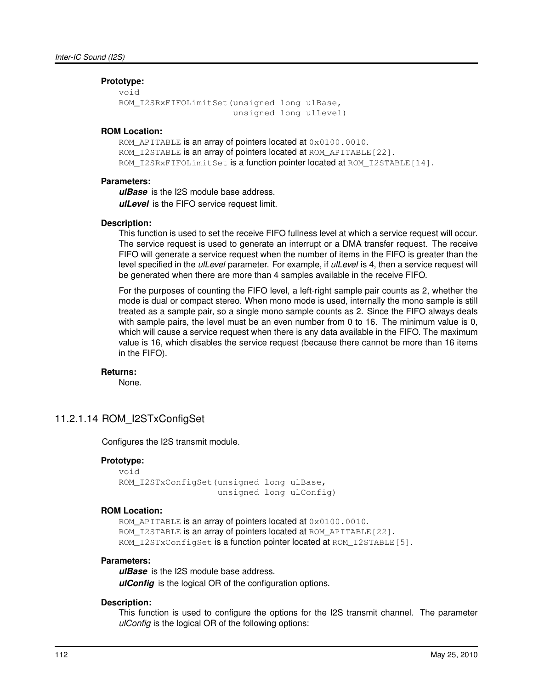#### **Prototype:**

```
void
ROM I2SRxFIFOLimitSet(unsigned long ulBase,
                      unsigned long ulLevel)
```
## **ROM Location:**

ROM APITABLE is an array of pointers located at 0x0100.0010. ROM\_I2STABLE is an array of pointers located at ROM\_APITABLE[22]. ROM\_I2SRxFIFOLimitSet is a function pointer located at ROM\_I2STABLE[14].

## **Parameters:**

*ulBase* is the I2S module base address. *ulLevel* is the FIFO service request limit.

#### **Description:**

This function is used to set the receive FIFO fullness level at which a service request will occur. The service request is used to generate an interrupt or a DMA transfer request. The receive FIFO will generate a service request when the number of items in the FIFO is greater than the level specified in the *ulLevel* parameter. For example, if *ulLevel* is 4, then a service request will be generated when there are more than 4 samples available in the receive FIFO.

For the purposes of counting the FIFO level, a left-right sample pair counts as 2, whether the mode is dual or compact stereo. When mono mode is used, internally the mono sample is still treated as a sample pair, so a single mono sample counts as 2. Since the FIFO always deals with sample pairs, the level must be an even number from 0 to 16. The minimum value is 0, which will cause a service request when there is any data available in the FIFO. The maximum value is 16, which disables the service request (because there cannot be more than 16 items in the FIFO).

#### **Returns:**

None.

# <span id="page-111-0"></span>11.2.1.14 ROM\_I2STxConfigSet

Configures the I2S transmit module.

# **Prototype:**

void ROM\_I2STxConfigSet(unsigned long ulBase, unsigned long ulConfig)

# **ROM Location:**

ROM\_APITABLE is an array of pointers located at  $0 \times 0100$ .0010. ROM\_I2STABLE is an array of pointers located at ROM\_APITABLE[22]. ROM I2STxConfigSet is a function pointer located at ROM I2STABLE[5].

#### **Parameters:**

*ulBase* is the I2S module base address. *ulConfig* is the logical OR of the configuration options.

# **Description:**

This function is used to configure the options for the I2S transmit channel. The parameter *ulConfig* is the logical OR of the following options: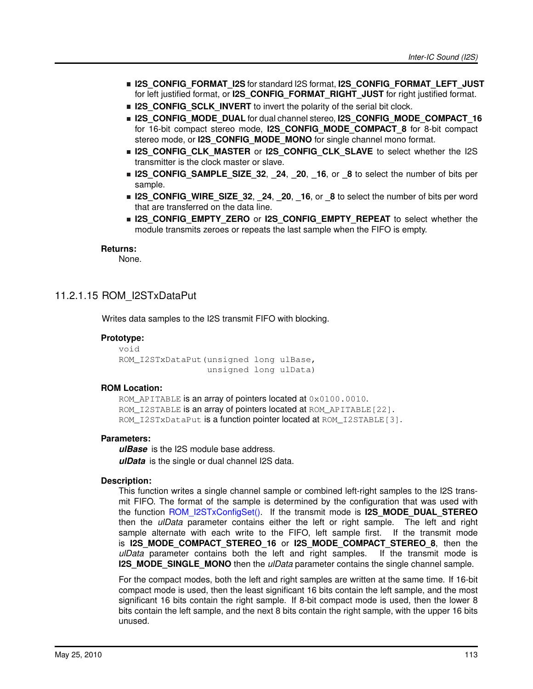- **I2S\_CONFIG\_FORMAT\_I2S** for standard I2S format, **I2S\_CONFIG\_FORMAT\_LEFT\_JUST** for left justified format, or **I2S\_CONFIG\_FORMAT\_RIGHT\_JUST** for right justified format.
- **I2S CONFIG SCLK INVERT** to invert the polarity of the serial bit clock.
- **I2S\_CONFIG\_MODE\_DUAL** for dual channel stereo, **I2S\_CONFIG\_MODE\_COMPACT\_16** for 16-bit compact stereo mode, **I2S\_CONFIG\_MODE\_COMPACT\_8** for 8-bit compact stereo mode, or **I2S\_CONFIG\_MODE\_MONO** for single channel mono format.
- **I2S CONFIG CLK MASTER** or **I2S CONFIG CLK SLAVE** to select whether the I2S transmitter is the clock master or slave.
- **I2S** CONFIG SAMPLE SIZE 32, 24, 20, 16, or 8 to select the number of bits per sample.
- **I2S\_CONFIG\_WIRE\_SIZE\_32**, **\_24**, **\_20**, **\_16**, or **\_8** to select the number of bits per word that are transferred on the data line.
- **I2S CONFIG EMPTY ZERO** or **I2S CONFIG EMPTY REPEAT** to select whether the module transmits zeroes or repeats the last sample when the FIFO is empty.

#### **Returns:**

None.

# 11.2.1.15 ROM\_I2STxDataPut

Writes data samples to the I2S transmit FIFO with blocking.

#### **Prototype:**

void ROM\_I2STxDataPut(unsigned long ulBase, unsigned long ulData)

# **ROM Location:**

ROM\_APITABLE is an array of pointers located at  $0 \times 0100$ .0010. ROM\_I2STABLE is an array of pointers located at ROM\_APITABLE[22]. ROM\_I2STxDataPut is a function pointer located at ROM\_I2STABLE[3].

#### **Parameters:**

*ulBase* is the I2S module base address. *ulData* is the single or dual channel I2S data.

# **Description:**

This function writes a single channel sample or combined left-right samples to the I2S transmit FIFO. The format of the sample is determined by the configuration that was used with the function [ROM\\_I2STxConfigSet\(\).](#page-111-0) If the transmit mode is **I2S\_MODE\_DUAL\_STEREO** then the *ulData* parameter contains either the left or right sample. The left and right sample alternate with each write to the FIFO, left sample first. If the transmit mode is **I2S\_MODE\_COMPACT\_STEREO\_16** or **I2S\_MODE\_COMPACT\_STEREO\_8**, then the *ulData* parameter contains both the left and right samples. If the transmit mode is **I2S\_MODE\_SINGLE\_MONO** then the *ulData* parameter contains the single channel sample.

For the compact modes, both the left and right samples are written at the same time. If 16-bit compact mode is used, then the least significant 16 bits contain the left sample, and the most significant 16 bits contain the right sample. If 8-bit compact mode is used, then the lower 8 bits contain the left sample, and the next 8 bits contain the right sample, with the upper 16 bits unused.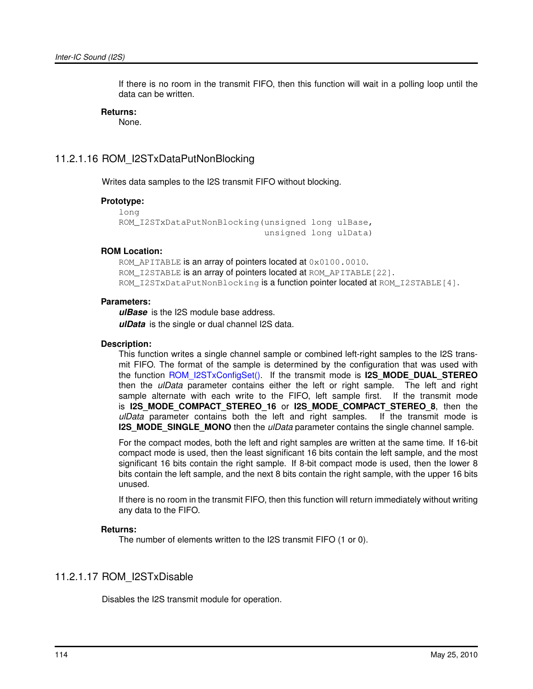If there is no room in the transmit FIFO, then this function will wait in a polling loop until the data can be written.

#### **Returns:**

None.

# 11.2.1.16 ROM\_I2STxDataPutNonBlocking

Writes data samples to the I2S transmit FIFO without blocking.

## **Prototype:**

```
long
ROM I2STxDataPutNonBlocking(unsigned long ulBase,
                            unsigned long ulData)
```
# **ROM Location:**

ROM APITABLE is an array of pointers located at 0x0100.0010. ROM\_I2STABLE is an array of pointers located at ROM\_APITABLE[22]. ROM\_I2STxDataPutNonBlocking is a function pointer located at ROM\_I2STABLE[4].

#### **Parameters:**

*ulBase* is the I2S module base address.

*ulData* is the single or dual channel I2S data.

## **Description:**

This function writes a single channel sample or combined left-right samples to the I2S transmit FIFO. The format of the sample is determined by the configuration that was used with the function [ROM\\_I2STxConfigSet\(\).](#page-111-0) If the transmit mode is **I2S\_MODE\_DUAL\_STEREO** then the *ulData* parameter contains either the left or right sample. The left and right sample alternate with each write to the FIFO, left sample first. If the transmit mode is **I2S\_MODE\_COMPACT\_STEREO\_16** or **I2S\_MODE\_COMPACT\_STEREO\_8**, then the *ulData* parameter contains both the left and right samples. If the transmit mode is **I2S\_MODE\_SINGLE\_MONO** then the *ulData* parameter contains the single channel sample.

For the compact modes, both the left and right samples are written at the same time. If 16-bit compact mode is used, then the least significant 16 bits contain the left sample, and the most significant 16 bits contain the right sample. If 8-bit compact mode is used, then the lower 8 bits contain the left sample, and the next 8 bits contain the right sample, with the upper 16 bits unused.

If there is no room in the transmit FIFO, then this function will return immediately without writing any data to the FIFO.

# **Returns:**

The number of elements written to the I2S transmit FIFO (1 or 0).

# 11.2.1.17 ROM\_I2STxDisable

Disables the I2S transmit module for operation.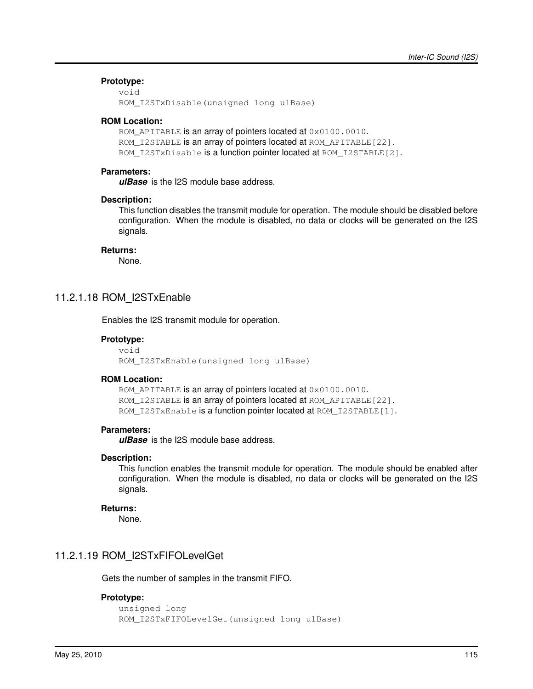## **Prototype:**

```
void
ROM_I2STxDisable(unsigned long ulBase)
```
# **ROM Location:**

ROM\_APITABLE is an array of pointers located at  $0 \times 0100$ .0010. ROM I2STABLE is an array of pointers located at ROM APITABLE[22]. ROM\_I2STxDisable is a function pointer located at ROM\_I2STABLE[2].

#### **Parameters:**

*ulBase* is the I2S module base address.

#### **Description:**

This function disables the transmit module for operation. The module should be disabled before configuration. When the module is disabled, no data or clocks will be generated on the I2S signals.

# **Returns:**

None.

# 11.2.1.18 ROM\_I2STxEnable

Enables the I2S transmit module for operation.

#### **Prototype:**

```
void
ROM_I2STxEnable(unsigned long ulBase)
```
# **ROM Location:**

ROM APITABLE is an array of pointers located at 0x0100.0010. ROM\_I2STABLE is an array of pointers located at ROM\_APITABLE[22]. ROM\_I2STxEnable is a function pointer located at ROM\_I2STABLE[1].

#### **Parameters:**

*ulBase* is the I2S module base address.

#### **Description:**

This function enables the transmit module for operation. The module should be enabled after configuration. When the module is disabled, no data or clocks will be generated on the I2S signals.

#### **Returns:**

None.

# 11.2.1.19 ROM\_I2STxFIFOLevelGet

Gets the number of samples in the transmit FIFO.

#### **Prototype:**

```
unsigned long
ROM_I2STxFIFOLevelGet(unsigned long ulBase)
```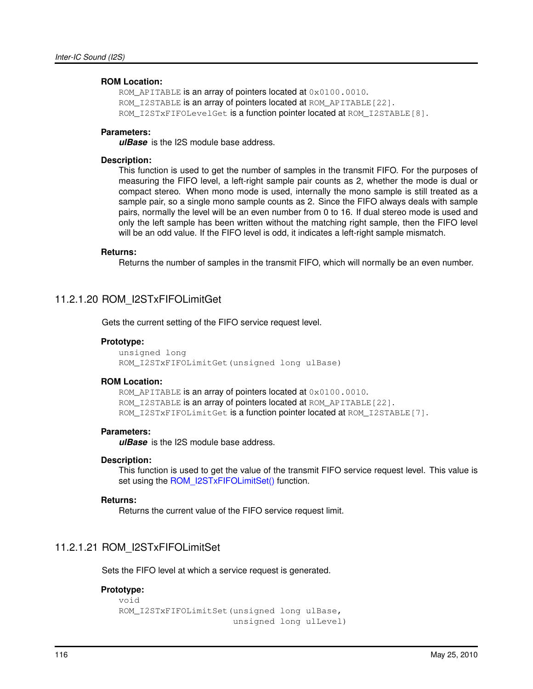#### **ROM Location:**

ROM\_APITABLE is an array of pointers located at  $0 \times 0100$ .0010. ROM\_I2STABLE is an array of pointers located at ROM\_APITABLE[22]. ROM\_I2STxFIFOLevelGet is a function pointer located at ROM\_I2STABLE[8].

#### **Parameters:**

*ulBase* is the I2S module base address.

# **Description:**

This function is used to get the number of samples in the transmit FIFO. For the purposes of measuring the FIFO level, a left-right sample pair counts as 2, whether the mode is dual or compact stereo. When mono mode is used, internally the mono sample is still treated as a sample pair, so a single mono sample counts as 2. Since the FIFO always deals with sample pairs, normally the level will be an even number from 0 to 16. If dual stereo mode is used and only the left sample has been written without the matching right sample, then the FIFO level will be an odd value. If the FIFO level is odd, it indicates a left-right sample mismatch.

#### **Returns:**

Returns the number of samples in the transmit FIFO, which will normally be an even number.

# 11.2.1.20 ROM\_I2STxFIFOLimitGet

Gets the current setting of the FIFO service request level.

#### **Prototype:**

unsigned long ROM\_I2STxFIFOLimitGet(unsigned long ulBase)

#### **ROM Location:**

ROM\_APITABLE is an array of pointers located at  $0 \times 0100$ .0010. ROM\_I2STABLE is an array of pointers located at ROM\_APITABLE[22]. ROM I2STxFIFOLimitGet is a function pointer located at ROM I2STABLE[7].

#### **Parameters:**

*ulBase* is the I2S module base address.

## **Description:**

This function is used to get the value of the transmit FIFO service request level. This value is set using the [ROM\\_I2STxFIFOLimitSet\(\)](#page-115-0) function.

#### **Returns:**

Returns the current value of the FIFO service request limit.

# <span id="page-115-0"></span>11.2.1.21 ROM\_I2STxFIFOLimitSet

Sets the FIFO level at which a service request is generated.

# **Prototype:**

```
void
ROM_I2STxFIFOLimitSet(unsigned long ulBase,
                      unsigned long ulLevel)
```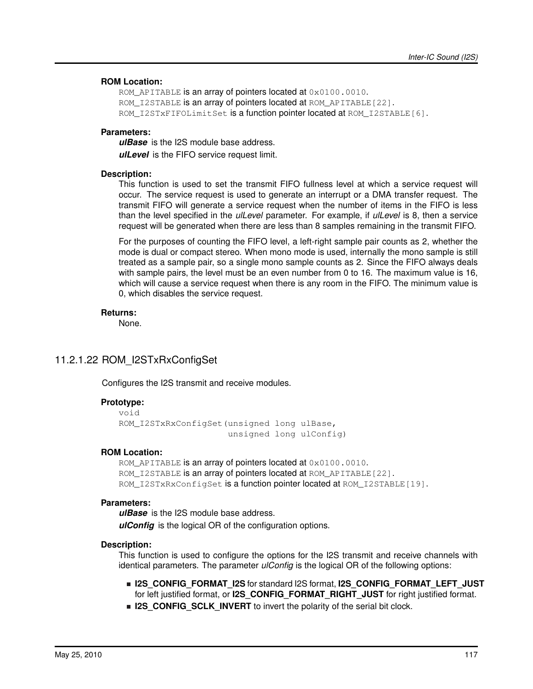# **ROM Location:**

ROM\_APITABLE is an array of pointers located at  $0 \times 0100$ .0010. ROM\_I2STABLE is an array of pointers located at ROM\_APITABLE[22]. ROM\_I2STxFIFOLimitSet is a function pointer located at ROM\_I2STABLE[6].

#### **Parameters:**

*ulBase* is the I2S module base address.

*ulLevel* is the FIFO service request limit.

## **Description:**

This function is used to set the transmit FIFO fullness level at which a service request will occur. The service request is used to generate an interrupt or a DMA transfer request. The transmit FIFO will generate a service request when the number of items in the FIFO is less than the level specified in the *ulLevel* parameter. For example, if *ulLevel* is 8, then a service request will be generated when there are less than 8 samples remaining in the transmit FIFO.

For the purposes of counting the FIFO level, a left-right sample pair counts as 2, whether the mode is dual or compact stereo. When mono mode is used, internally the mono sample is still treated as a sample pair, so a single mono sample counts as 2. Since the FIFO always deals with sample pairs, the level must be an even number from 0 to 16. The maximum value is 16, which will cause a service request when there is any room in the FIFO. The minimum value is 0, which disables the service request.

#### **Returns:**

None.

# 11.2.1.22 ROM\_I2STxRxConfigSet

Configures the I2S transmit and receive modules.

# **Prototype:**

```
void
ROM_I2STxRxConfigSet(unsigned long ulBase,
                     unsigned long ulConfig)
```
# **ROM Location:**

ROM\_APITABLE is an array of pointers located at  $0 \times 0100$ .0010. ROM\_I2STABLE is an array of pointers located at ROM\_APITABLE[22]. ROM\_I2STxRxConfigSet is a function pointer located at ROM\_I2STABLE[19].

#### **Parameters:**

*ulBase* is the I2S module base address.

*ulConfig* is the logical OR of the configuration options.

### **Description:**

This function is used to configure the options for the I2S transmit and receive channels with identical parameters. The parameter *ulConfig* is the logical OR of the following options:

- **I2S\_CONFIG\_FORMAT\_I2S** for standard I2S format, **I2S\_CONFIG\_FORMAT\_LEFT\_JUST** for left justified format, or **I2S\_CONFIG\_FORMAT\_RIGHT\_JUST** for right justified format.
- **I2S CONFIG SCLK INVERT** to invert the polarity of the serial bit clock.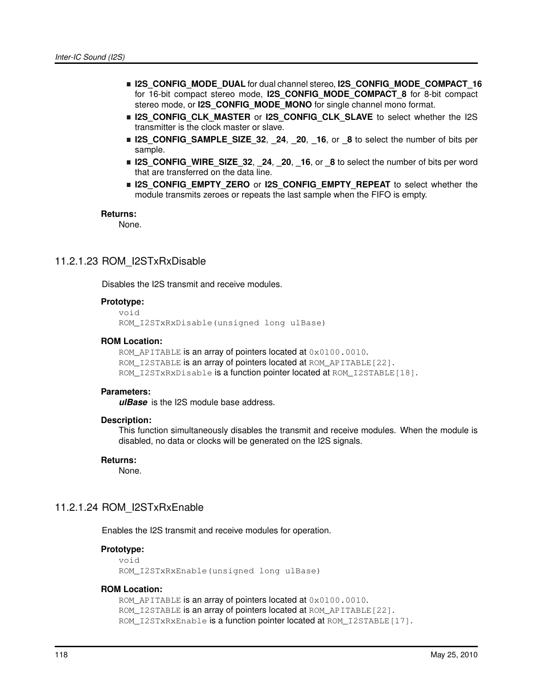- **I2S\_CONFIG\_MODE\_DUAL** for dual channel stereo, **I2S\_CONFIG\_MODE\_COMPACT\_16** for 16-bit compact stereo mode, **I2S\_CONFIG\_MODE\_COMPACT\_8** for 8-bit compact stereo mode, or **I2S\_CONFIG\_MODE\_MONO** for single channel mono format.
- **I2S CONFIG CLK MASTER** or **I2S\_CONFIG\_CLK\_SLAVE** to select whether the I2S transmitter is the clock master or slave.
- **I2S** CONFIG SAMPLE SIZE 32, 24, 20, 16, or 8 to select the number of bits per sample.
- **I2S\_CONFIG\_WIRE\_SIZE\_32**, **\_24**, **\_20**, **\_16**, or **\_8** to select the number of bits per word that are transferred on the data line.
- **I2S CONFIG EMPTY ZERO** or **I2S CONFIG EMPTY REPEAT** to select whether the module transmits zeroes or repeats the last sample when the FIFO is empty.

#### **Returns:**

None.

# 11.2.1.23 ROM\_I2STxRxDisable

Disables the I2S transmit and receive modules.

# **Prototype:**

```
void
ROM_I2STxRxDisable(unsigned long ulBase)
```
#### **ROM Location:**

```
ROM_APITABLE is an array of pointers located at 0 \times 0100.0010.
ROM I2STABLE is an array of pointers located at ROM APITABLE[22].
ROM_I2STxRxDisable is a function pointer located at ROM_I2STABLE[18].
```
#### **Parameters:**

*ulBase* is the I2S module base address.

## **Description:**

This function simultaneously disables the transmit and receive modules. When the module is disabled, no data or clocks will be generated on the I2S signals.

#### **Returns:**

None.

# 11.2.1.24 ROM\_I2STxRxEnable

Enables the I2S transmit and receive modules for operation.

#### **Prototype:**

```
void
ROM_I2STxRxEnable(unsigned long ulBase)
```
#### **ROM Location:**

```
ROM_APITABLE is an array of pointers located at 0 \times 0100.0010.
ROM_I2STABLE is an array of pointers located at ROM_APITABLE[22].
ROM_I2STxRxEnable is a function pointer located at ROM_I2STABLE[17].
```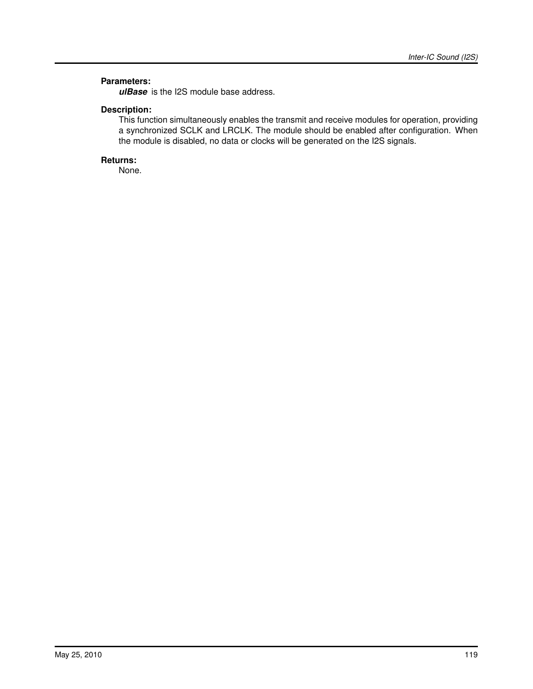# **Parameters:**

*ulBase* is the I2S module base address.

# **Description:**

This function simultaneously enables the transmit and receive modules for operation, providing a synchronized SCLK and LRCLK. The module should be enabled after configuration. When the module is disabled, no data or clocks will be generated on the I2S signals.

# **Returns:**

None.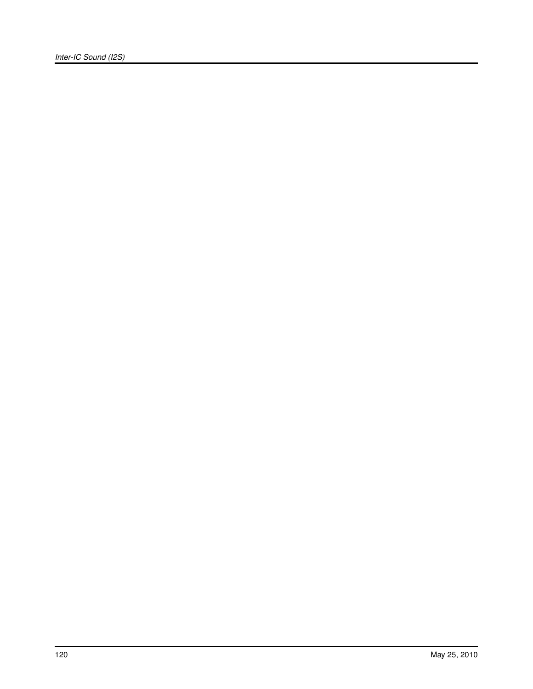*Inter-IC Sound (I2S)*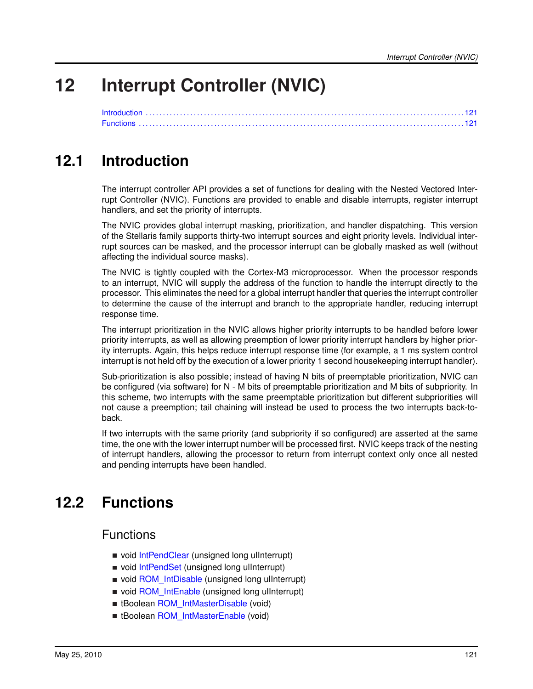# **12 Interrupt Controller (NVIC)**

<span id="page-120-0"></span>

| Introduction 121 |  |
|------------------|--|
|                  |  |

# <span id="page-120-1"></span>**12.1 Introduction**

The interrupt controller API provides a set of functions for dealing with the Nested Vectored Interrupt Controller (NVIC). Functions are provided to enable and disable interrupts, register interrupt handlers, and set the priority of interrupts.

The NVIC provides global interrupt masking, prioritization, and handler dispatching. This version of the Stellaris family supports thirty-two interrupt sources and eight priority levels. Individual interrupt sources can be masked, and the processor interrupt can be globally masked as well (without affecting the individual source masks).

The NVIC is tightly coupled with the Cortex-M3 microprocessor. When the processor responds to an interrupt, NVIC will supply the address of the function to handle the interrupt directly to the processor. This eliminates the need for a global interrupt handler that queries the interrupt controller to determine the cause of the interrupt and branch to the appropriate handler, reducing interrupt response time.

The interrupt prioritization in the NVIC allows higher priority interrupts to be handled before lower priority interrupts, as well as allowing preemption of lower priority interrupt handlers by higher priority interrupts. Again, this helps reduce interrupt response time (for example, a 1 ms system control interrupt is not held off by the execution of a lower priority 1 second housekeeping interrupt handler).

Sub-prioritization is also possible; instead of having N bits of preemptable prioritization, NVIC can be configured (via software) for N - M bits of preemptable prioritization and M bits of subpriority. In this scheme, two interrupts with the same preemptable prioritization but different subpriorities will not cause a preemption; tail chaining will instead be used to process the two interrupts back-toback.

<span id="page-120-2"></span>If two interrupts with the same priority (and subpriority if so configured) are asserted at the same time, the one with the lower interrupt number will be processed first. NVIC keeps track of the nesting of interrupt handlers, allowing the processor to return from interrupt context only once all nested and pending interrupts have been handled.

# <span id="page-120-3"></span>**12.2 Functions**

# Functions

- void [IntPendClear](#page-121-0) (unsigned long ulInterrupt)
- void [IntPendSet](#page-121-1) (unsigned long ulInterrupt)
- void [ROM\\_IntDisable](#page-122-0) (unsigned long ulInterrupt)
- void [ROM\\_IntEnable](#page-122-1) (unsigned long ulInterrupt)
- tBoolean [ROM\\_IntMasterDisable](#page-122-2) (void)
- **tBoolean [ROM\\_IntMasterEnable](#page-123-0) (void)**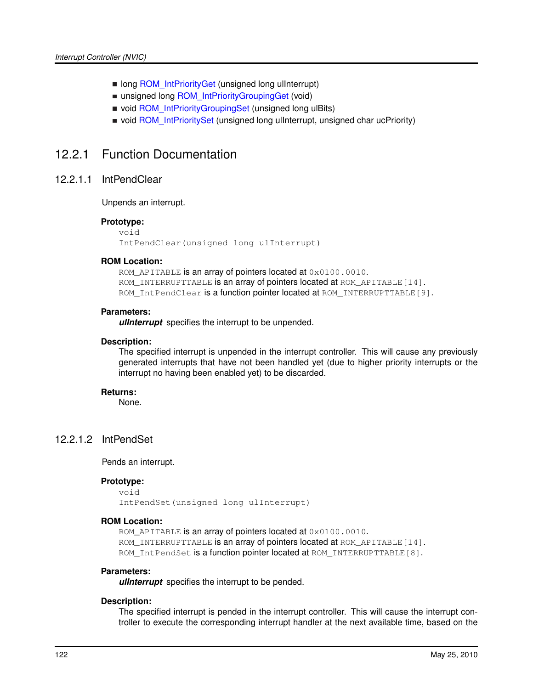- long [ROM\\_IntPriorityGet](#page-123-1) (unsigned long ulInterrupt)
- unsigned long [ROM\\_IntPriorityGroupingGet](#page-124-0) (void)
- void [ROM\\_IntPriorityGroupingSet](#page-124-1) (unsigned long ulBits)
- void ROM IntPrioritySet (unsigned long ulInterrupt, unsigned char ucPriority)

# 12.2.1 Function Documentation

# <span id="page-121-0"></span>12.2.1.1 IntPendClear

Unpends an interrupt.

## **Prototype:**

```
void
IntPendClear(unsigned long ulInterrupt)
```
## **ROM Location:**

ROM\_APITABLE is an array of pointers located at  $0 \times 0100$ .0010. ROM INTERRUPTTABLE is an array of pointers located at ROM APITABLE[14]. ROM IntPendClear is a function pointer located at ROM INTERRUPTTABLE[9].

#### **Parameters:**

*ulInterrupt* specifies the interrupt to be unpended.

## **Description:**

The specified interrupt is unpended in the interrupt controller. This will cause any previously generated interrupts that have not been handled yet (due to higher priority interrupts or the interrupt no having been enabled yet) to be discarded.

# **Returns:**

None.

# <span id="page-121-1"></span>12.2.1.2 IntPendSet

Pends an interrupt.

#### **Prototype:**

```
void
IntPendSet(unsigned long ulInterrupt)
```
# **ROM Location:**

ROM\_APITABLE is an array of pointers located at  $0 \times 0100$ .0010. ROM INTERRUPTTABLE is an array of pointers located at ROM APITABLE [14]. ROM IntPendSet is a function pointer located at ROM INTERRUPTTABLE[8].

#### **Parameters:**

*ulInterrupt* specifies the interrupt to be pended.

# **Description:**

The specified interrupt is pended in the interrupt controller. This will cause the interrupt controller to execute the corresponding interrupt handler at the next available time, based on the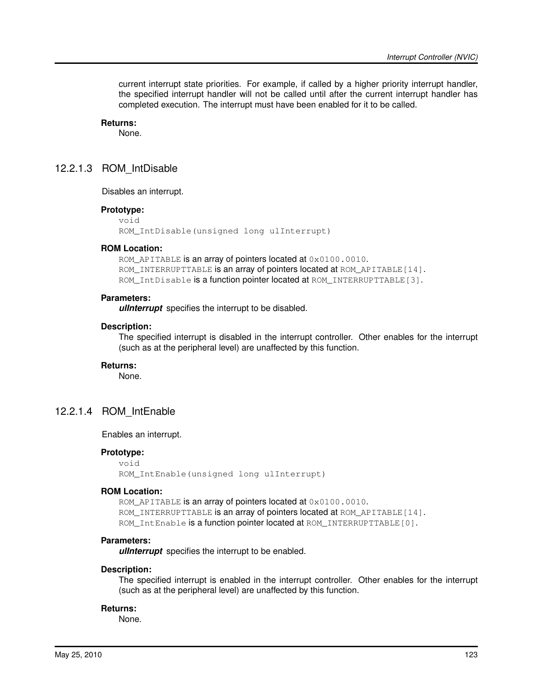current interrupt state priorities. For example, if called by a higher priority interrupt handler, the specified interrupt handler will not be called until after the current interrupt handler has completed execution. The interrupt must have been enabled for it to be called.

#### **Returns:**

None.

# <span id="page-122-0"></span>12.2.1.3 ROM\_IntDisable

Disables an interrupt.

#### **Prototype:**

```
void
ROM_IntDisable(unsigned long ulInterrupt)
```
#### **ROM Location:**

ROM\_APITABLE is an array of pointers located at  $0 \times 0100$ .0010. ROM\_INTERRUPTTABLE is an array of pointers located at ROM\_APITABLE [14]. ROM IntDisable is a function pointer located at ROM INTERRUPTTABLE[3].

### **Parameters:**

*ulInterrupt* specifies the interrupt to be disabled.

#### **Description:**

The specified interrupt is disabled in the interrupt controller. Other enables for the interrupt (such as at the peripheral level) are unaffected by this function.

## **Returns:**

None.

# <span id="page-122-1"></span>12.2.1.4 ROM\_IntEnable

Enables an interrupt.

#### **Prototype:**

void ROM\_IntEnable(unsigned long ulInterrupt)

#### **ROM Location:**

ROM\_APITABLE is an array of pointers located at  $0 \times 0100$ .0010. ROM\_INTERRUPTTABLE is an array of pointers located at ROM\_APITABLE [14]. ROM\_IntEnable is a function pointer located at ROM\_INTERRUPTTABLE [0].

#### **Parameters:**

*ulInterrupt* specifies the interrupt to be enabled.

#### **Description:**

The specified interrupt is enabled in the interrupt controller. Other enables for the interrupt (such as at the peripheral level) are unaffected by this function.

#### <span id="page-122-2"></span>**Returns:**

None.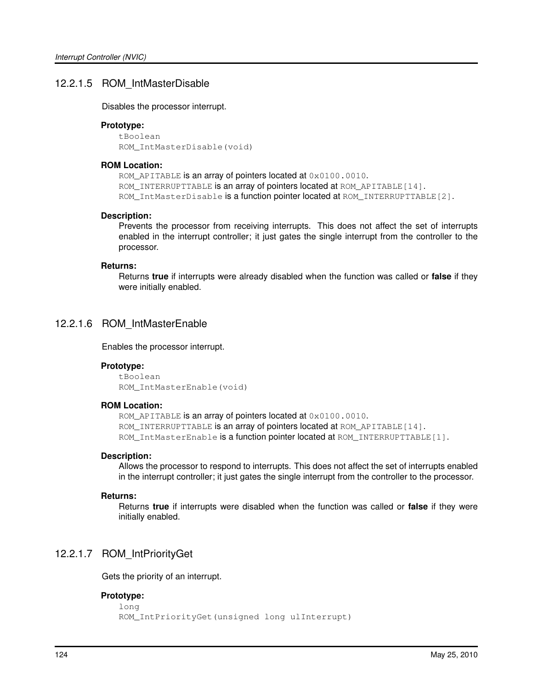# 12.2.1.5 ROM\_IntMasterDisable

Disables the processor interrupt.

# **Prototype:**

tBoolean ROM\_IntMasterDisable(void)

# **ROM Location:**

ROM\_APITABLE is an array of pointers located at  $0 \times 0100$ .0010. ROM\_INTERRUPTTABLE is an array of pointers located at ROM\_APITABLE[14]. ROM\_IntMasterDisable is a function pointer located at ROM\_INTERRUPTTABLE[2].

# **Description:**

Prevents the processor from receiving interrupts. This does not affect the set of interrupts enabled in the interrupt controller; it just gates the single interrupt from the controller to the processor.

# **Returns:**

Returns **true** if interrupts were already disabled when the function was called or **false** if they were initially enabled.

# <span id="page-123-0"></span>12.2.1.6 ROM\_IntMasterEnable

Enables the processor interrupt.

# **Prototype:**

```
tBoolean
ROM_IntMasterEnable(void)
```
# **ROM Location:**

ROM\_APITABLE is an array of pointers located at  $0 \times 0100$ .0010. ROM\_INTERRUPTTABLE is an array of pointers located at ROM\_APITABLE[14]. ROM\_IntMasterEnable is a function pointer located at ROM\_INTERRUPTTABLE[1].

# **Description:**

Allows the processor to respond to interrupts. This does not affect the set of interrupts enabled in the interrupt controller; it just gates the single interrupt from the controller to the processor.

# **Returns:**

Returns **true** if interrupts were disabled when the function was called or **false** if they were initially enabled.

# <span id="page-123-1"></span>12.2.1.7 ROM\_IntPriorityGet

Gets the priority of an interrupt.

# **Prototype:**

```
long
ROM_IntPriorityGet(unsigned long ulInterrupt)
```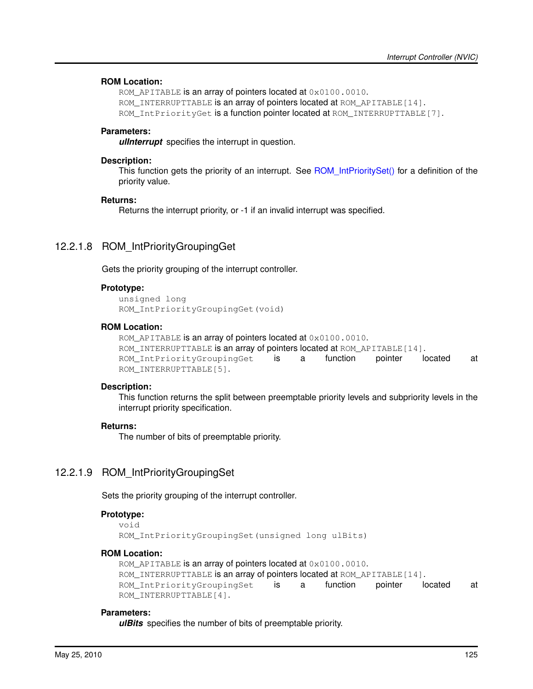# **ROM Location:**

ROM\_APITABLE is an array of pointers located at  $0 \times 0100$ .0010. ROM\_INTERRUPTTABLE is an array of pointers located at ROM\_APITABLE[14]. ROM\_IntPriorityGet is a function pointer located at ROM\_INTERRUPTTABLE[7].

# **Parameters:**

*ulInterrupt* specifies the interrupt in question.

#### **Description:**

This function gets the priority of an interrupt. See [ROM\\_IntPrioritySet\(\)](#page-125-0) for a definition of the priority value.

#### **Returns:**

Returns the interrupt priority, or -1 if an invalid interrupt was specified.

# <span id="page-124-0"></span>12.2.1.8 ROM\_IntPriorityGroupingGet

Gets the priority grouping of the interrupt controller.

#### **Prototype:**

```
unsigned long
ROM_IntPriorityGroupingGet(void)
```
#### **ROM Location:**

```
ROM APITABLE is an array of pointers located at 0x0100.0010.
ROM_INTERRUPTTABLE is an array of pointers located at ROM_APITABLE[14].
ROM_IntPriorityGroupingGet is a function pointer located at
ROM_INTERRUPTTABLE[5].
```
# **Description:**

This function returns the split between preemptable priority levels and subpriority levels in the interrupt priority specification.

#### **Returns:**

The number of bits of preemptable priority.

# <span id="page-124-1"></span>12.2.1.9 ROM\_IntPriorityGroupingSet

Sets the priority grouping of the interrupt controller.

#### **Prototype:**

void

```
ROM_IntPriorityGroupingSet(unsigned long ulBits)
```
#### **ROM Location:**

```
ROM_APITABLE is an array of pointers located at 0 \times 0100.0010.
ROM_INTERRUPTTABLE is an array of pointers located at ROM_APITABLE [14].
ROM_IntPriorityGroupingSet is a function pointer located at
ROM_INTERRUPTTABLE[4].
```
## **Parameters:**

*ulBits* specifies the number of bits of preemptable priority.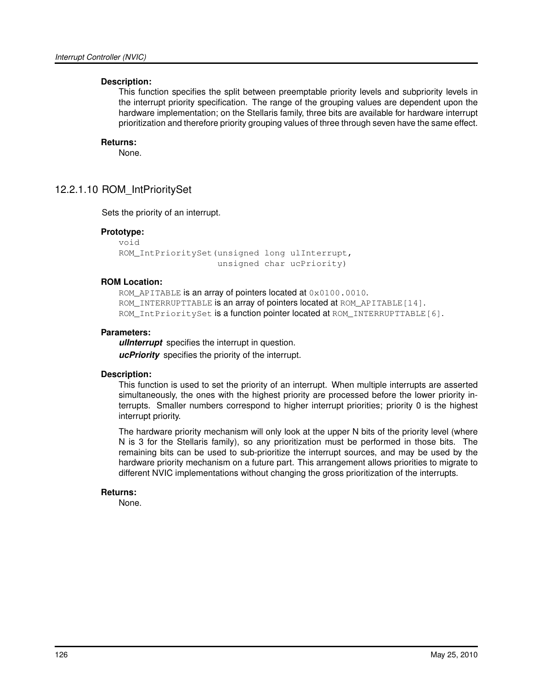# **Description:**

This function specifies the split between preemptable priority levels and subpriority levels in the interrupt priority specification. The range of the grouping values are dependent upon the hardware implementation; on the Stellaris family, three bits are available for hardware interrupt prioritization and therefore priority grouping values of three through seven have the same effect.

## **Returns:**

None.

# <span id="page-125-0"></span>12.2.1.10 ROM\_IntPrioritySet

Sets the priority of an interrupt.

# **Prototype:**

```
void
ROM_IntPrioritySet(unsigned long ulInterrupt,
                   unsigned char ucPriority)
```
# **ROM Location:**

ROM\_APITABLE is an array of pointers located at  $0 \times 0100$ .0010. ROM\_INTERRUPTTABLE is an array of pointers located at ROM\_APITABLE[14]. ROM\_IntPrioritySet is a function pointer located at ROM\_INTERRUPTTABLE[6].

# **Parameters:**

*ulInterrupt* specifies the interrupt in question. *ucPriority* specifies the priority of the interrupt.

# **Description:**

This function is used to set the priority of an interrupt. When multiple interrupts are asserted simultaneously, the ones with the highest priority are processed before the lower priority interrupts. Smaller numbers correspond to higher interrupt priorities; priority 0 is the highest interrupt priority.

The hardware priority mechanism will only look at the upper N bits of the priority level (where N is 3 for the Stellaris family), so any prioritization must be performed in those bits. The remaining bits can be used to sub-prioritize the interrupt sources, and may be used by the hardware priority mechanism on a future part. This arrangement allows priorities to migrate to different NVIC implementations without changing the gross prioritization of the interrupts.

# **Returns:**

None.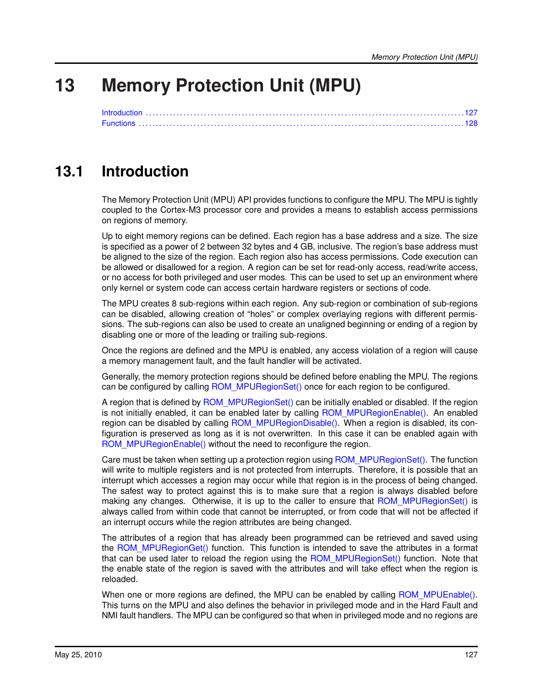# **13 Memory Protection Unit (MPU)**

<span id="page-126-0"></span>

# <span id="page-126-1"></span>**13.1 Introduction**

The Memory Protection Unit (MPU) API provides functions to configure the MPU. The MPU is tightly coupled to the Cortex-M3 processor core and provides a means to establish access permissions on regions of memory.

Up to eight memory regions can be defined. Each region has a base address and a size. The size is specified as a power of 2 between 32 bytes and 4 GB, inclusive. The region's base address must be aligned to the size of the region. Each region also has access permissions. Code execution can be allowed or disallowed for a region. A region can be set for read-only access, read/write access, or no access for both privileged and user modes. This can be used to set up an environment where only kernel or system code can access certain hardware registers or sections of code.

The MPU creates 8 sub-regions within each region. Any sub-region or combination of sub-regions can be disabled, allowing creation of "holes" or complex overlaying regions with different permissions. The sub-regions can also be used to create an unaligned beginning or ending of a region by disabling one or more of the leading or trailing sub-regions.

Once the regions are defined and the MPU is enabled, any access violation of a region will cause a memory management fault, and the fault handler will be activated.

Generally, the memory protection regions should be defined before enabling the MPU. The regions can be configured by calling [ROM\\_MPURegionSet\(\)](#page-130-0) once for each region to be configured.

A region that is defined by [ROM\\_MPURegionSet\(\)](#page-130-0) can be initially enabled or disabled. If the region is not initially enabled, it can be enabled later by calling [ROM\\_MPURegionEnable\(\).](#page-129-0) An enabled region can be disabled by calling [ROM\\_MPURegionDisable\(\).](#page-129-1) When a region is disabled, its configuration is preserved as long as it is not overwritten. In this case it can be enabled again with [ROM\\_MPURegionEnable\(\)](#page-129-0) without the need to reconfigure the region.

Care must be taken when setting up a protection region using [ROM\\_MPURegionSet\(\).](#page-130-0) The function will write to multiple registers and is not protected from interrupts. Therefore, it is possible that an interrupt which accesses a region may occur while that region is in the process of being changed. The safest way to protect against this is to make sure that a region is always disabled before making any changes. Otherwise, it is up to the caller to ensure that [ROM\\_MPURegionSet\(\)](#page-130-0) is always called from within code that cannot be interrupted, or from code that will not be affected if an interrupt occurs while the region attributes are being changed.

The attributes of a region that has already been programmed can be retrieved and saved using the [ROM\\_MPURegionGet\(\)](#page-129-2) function. This function is intended to save the attributes in a format that can be used later to reload the region using the [ROM\\_MPURegionSet\(\)](#page-130-0) function. Note that the enable state of the region is saved with the attributes and will take effect when the region is reloaded.

When one or more regions are defined, the MPU can be enabled by calling ROM MPUEnable(). This turns on the MPU and also defines the behavior in privileged mode and in the Hard Fault and NMI fault handlers. The MPU can be configured so that when in privileged mode and no regions are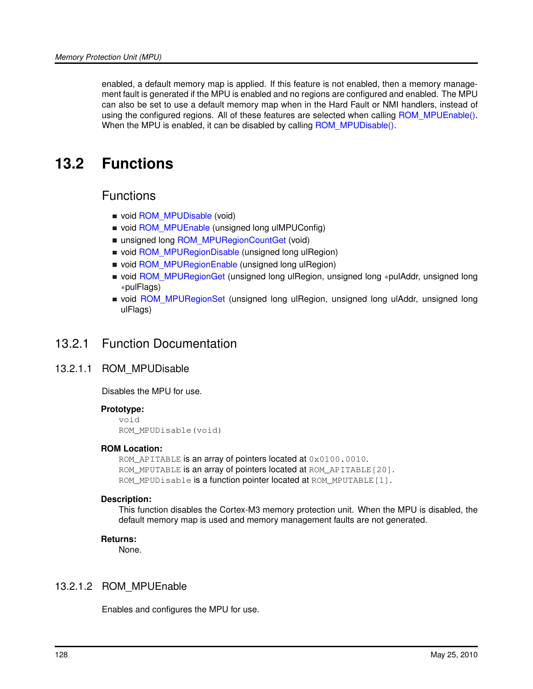enabled, a default memory map is applied. If this feature is not enabled, then a memory management fault is generated if the MPU is enabled and no regions are configured and enabled. The MPU can also be set to use a default memory map when in the Hard Fault or NMI handlers, instead of using the configured regions. All of these features are selected when calling [ROM\\_MPUEnable\(\).](#page-127-2) When the MPU is enabled, it can be disabled by calling ROM MPUDisable().

# <span id="page-127-1"></span>**13.2 Functions**

# Functions

- <span id="page-127-0"></span>void [ROM\\_MPUDisable](#page-127-3) (void)
- void [ROM\\_MPUEnable](#page-127-2) (unsigned long ulMPUConfig)
- unsigned long [ROM\\_MPURegionCountGet](#page-128-0) (void)
- void [ROM\\_MPURegionDisable](#page-129-1) (unsigned long ulRegion)
- void [ROM\\_MPURegionEnable](#page-129-0) (unsigned long ulRegion)
- void [ROM\\_MPURegionGet](#page-129-2) (unsigned long ulRegion, unsigned long ∗pulAddr, unsigned long ∗pulFlags)
- void [ROM\\_MPURegionSet](#page-130-0) (unsigned long ulRegion, unsigned long ulAddr, unsigned long ulFlags)

# 13.2.1 Function Documentation

# <span id="page-127-3"></span>13.2.1.1 ROM\_MPUDisable

Disables the MPU for use.

# **Prototype:**

```
void
ROM_MPUDisable(void)
```
# **ROM Location:**

ROM APITABLE is an array of pointers located at 0x0100.0010. ROM\_MPUTABLE is an array of pointers located at ROM\_APITABLE [20]. ROM MPUDisable is a function pointer located at ROM MPUTABLE[1].

#### **Description:**

This function disables the Cortex-M3 memory protection unit. When the MPU is disabled, the default memory map is used and memory management faults are not generated.

#### **Returns:**

None.

# <span id="page-127-2"></span>13.2.1.2 ROM\_MPUEnable

Enables and configures the MPU for use.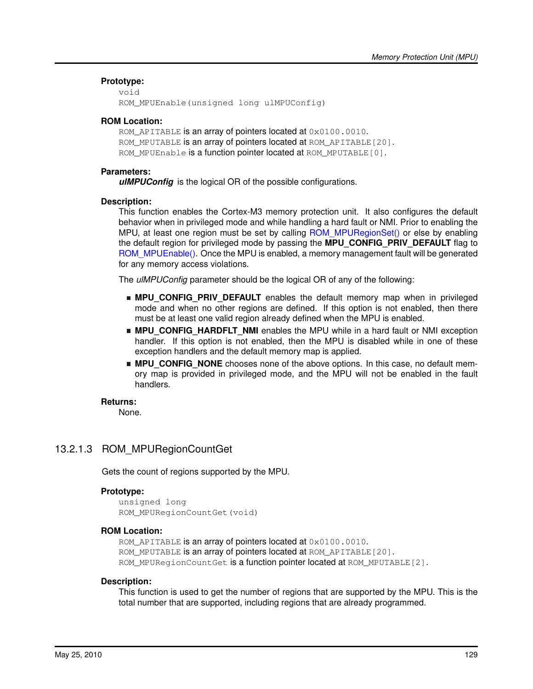# **Prototype:**

```
void
ROM_MPUEnable(unsigned long ulMPUConfig)
```
# **ROM Location:**

ROM\_APITABLE is an array of pointers located at  $0 \times 0100$ .0010. ROM MPUTABLE is an array of pointers located at ROM APITABLE[20]. ROM\_MPUEnable is a function pointer located at ROM\_MPUTABLE [0].

# **Parameters:**

*ulMPUConfig* is the logical OR of the possible configurations.

# **Description:**

This function enables the Cortex-M3 memory protection unit. It also configures the default behavior when in privileged mode and while handling a hard fault or NMI. Prior to enabling the MPU, at least one region must be set by calling [ROM\\_MPURegionSet\(\)](#page-130-0) or else by enabling the default region for privileged mode by passing the **MPU\_CONFIG\_PRIV\_DEFAULT** flag to [ROM\\_MPUEnable\(\).](#page-127-2) Once the MPU is enabled, a memory management fault will be generated for any memory access violations.

The *ulMPUConfig* parameter should be the logical OR of any of the following:

- **MPU CONFIG PRIV DEFAULT** enables the default memory map when in privileged mode and when no other regions are defined. If this option is not enabled, then there must be at least one valid region already defined when the MPU is enabled.
- **MPU CONFIG HARDFLT NMI** enables the MPU while in a hard fault or NMI exception handler. If this option is not enabled, then the MPU is disabled while in one of these exception handlers and the default memory map is applied.
- **MPU\_CONFIG\_NONE** chooses none of the above options. In this case, no default memory map is provided in privileged mode, and the MPU will not be enabled in the fault handlers.

# **Returns:**

None.

# <span id="page-128-0"></span>13.2.1.3 ROM\_MPURegionCountGet

Gets the count of regions supported by the MPU.

# **Prototype:**

```
unsigned long
ROM_MPURegionCountGet(void)
```
# **ROM Location:**

ROM\_APITABLE is an array of pointers located at  $0 \times 0100$ .0010. ROM MPUTABLE is an array of pointers located at ROM APITABLE[20]. ROM MPURegionCountGet is a function pointer located at ROM MPUTABLE[2].

# **Description:**

This function is used to get the number of regions that are supported by the MPU. This is the total number that are supported, including regions that are already programmed.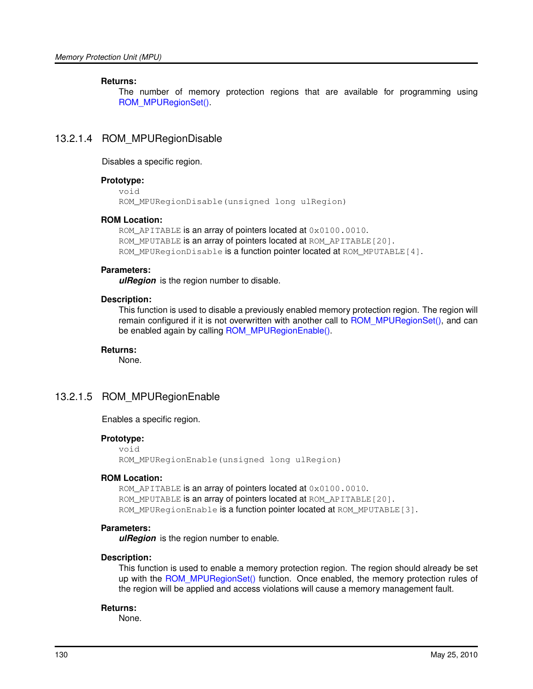#### **Returns:**

The number of memory protection regions that are available for programming using [ROM\\_MPURegionSet\(\).](#page-130-0)

# <span id="page-129-1"></span>13.2.1.4 ROM\_MPURegionDisable

Disables a specific region.

#### **Prototype:**

void ROM\_MPURegionDisable(unsigned long ulRegion)

#### **ROM Location:**

ROM\_APITABLE is an array of pointers located at  $0 \times 0100$ .0010. ROM MPUTABLE is an array of pointers located at ROM APITABLE[20]. ROM\_MPURegionDisable is a function pointer located at ROM\_MPUTABLE[4].

#### **Parameters:**

*ulRegion* is the region number to disable.

#### **Description:**

This function is used to disable a previously enabled memory protection region. The region will remain configured if it is not overwritten with another call to [ROM\\_MPURegionSet\(\),](#page-130-0) and can be enabled again by calling ROM MPURegionEnable().

#### **Returns:**

None.

# <span id="page-129-0"></span>13.2.1.5 ROM\_MPURegionEnable

Enables a specific region.

#### **Prototype:**

void ROM\_MPURegionEnable(unsigned long ulRegion)

#### **ROM Location:**

ROM\_APITABLE is an array of pointers located at  $0 \times 0100$ .0010. ROM MPUTABLE is an array of pointers located at ROM APITABLE[20]. ROM MPURegionEnable is a function pointer located at ROM MPUTABLE[3].

#### **Parameters:**

*ulRegion* is the region number to enable.

#### **Description:**

This function is used to enable a memory protection region. The region should already be set up with the [ROM\\_MPURegionSet\(\)](#page-130-0) function. Once enabled, the memory protection rules of the region will be applied and access violations will cause a memory management fault.

#### <span id="page-129-2"></span>**Returns:**

None.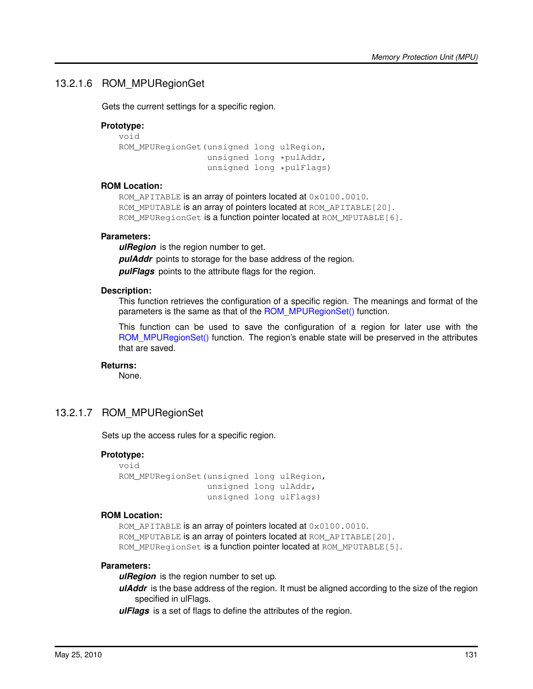# 13.2.1.6 ROM\_MPURegionGet

Gets the current settings for a specific region.

# **Prototype:**

```
void
ROM MPURegionGet (unsigned long ulRegion,
                 unsigned long *pulAddr,
                 unsigned long *pulFlags)
```
# **ROM Location:**

ROM APITABLE is an array of pointers located at 0x0100.0010. ROM\_MPUTABLE is an array of pointers located at ROM\_APITABLE[20]. ROM MPURegionGet is a function pointer located at ROM MPUTABLE[6].

#### **Parameters:**

*ulRegion* is the region number to get.

*pulAddr* points to storage for the base address of the region. *pulFlags* points to the attribute flags for the region.

#### **Description:**

This function retrieves the configuration of a specific region. The meanings and format of the parameters is the same as that of the [ROM\\_MPURegionSet\(\)](#page-130-0) function.

This function can be used to save the configuration of a region for later use with the ROM MPURegionSet() function. The region's enable state will be preserved in the attributes that are saved.

## **Returns:**

None.

# <span id="page-130-0"></span>13.2.1.7 ROM\_MPURegionSet

Sets up the access rules for a specific region.

# **Prototype:**

```
void
ROM_MPURegionSet(unsigned long ulRegion,
                 unsigned long ulAddr,
                 unsigned long ulFlags)
```
#### **ROM Location:**

ROM\_APITABLE is an array of pointers located at  $0 \times 0100$ .0010. ROM\_MPUTABLE is an array of pointers located at ROM\_APITABLE[20]. ROM MPURegionSet is a function pointer located at ROM MPUTABLE[5].

#### **Parameters:**

*ulRegion* is the region number to set up.

*ulAddr* is the base address of the region. It must be aligned according to the size of the region specified in ulFlags.

*ulFlags* is a set of flags to define the attributes of the region.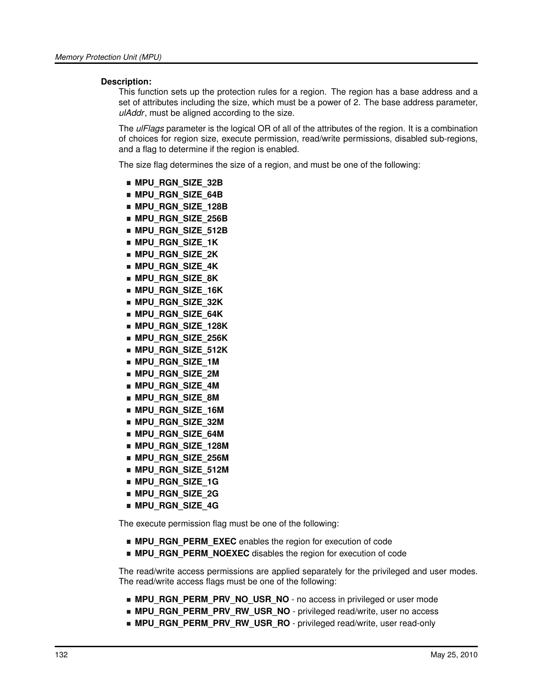# **Description:**

This function sets up the protection rules for a region. The region has a base address and a set of attributes including the size, which must be a power of 2. The base address parameter, *ulAddr*, must be aligned according to the size.

The *ulFlags* parameter is the logical OR of all of the attributes of the region. It is a combination of choices for region size, execute permission, read/write permissions, disabled sub-regions, and a flag to determine if the region is enabled.

The size flag determines the size of a region, and must be one of the following:

- **MPU\_RGN\_SIZE\_32B**
- **MPU\_RGN\_SIZE\_64B**
- **MPU\_RGN\_SIZE\_128B**
- **MPU\_RGN\_SIZE\_256B**
- **MPU\_RGN\_SIZE\_512B**
- **MPU\_RGN\_SIZE\_1K**
- **MPU\_RGN\_SIZE\_2K**
- **MPU\_RGN\_SIZE\_4K**
- **MPU\_RGN\_SIZE\_8K**
- **MPU\_RGN\_SIZE\_16K**
- **MPU\_RGN\_SIZE\_32K**
- **MPU\_RGN\_SIZE\_64K**
- **MPU\_RGN\_SIZE\_128K**
- **MPU\_RGN\_SIZE\_256K**
- **MPU\_RGN\_SIZE\_512K**
- **MPU\_RGN\_SIZE\_1M**
- **MPU\_RGN\_SIZE\_2M**
- **MPU\_RGN\_SIZE\_4M**
- **MPU\_RGN\_SIZE\_8M**
- **MPU\_RGN\_SIZE\_16M**
- **MPU\_RGN\_SIZE\_32M**
- **MPU\_RGN\_SIZE\_64M**
- **MPU\_RGN\_SIZE\_128M**
- **MPU\_RGN\_SIZE\_256M**
- **MPU\_RGN\_SIZE\_512M**
- **MPU\_RGN\_SIZE\_1G**
- **MPU\_RGN\_SIZE\_2G**
- **MPU\_RGN\_SIZE\_4G**

The execute permission flag must be one of the following:

- **MPU\_RGN\_PERM\_EXEC** enables the region for execution of code
- **MPU\_RGN\_PERM\_NOEXEC** disables the region for execution of code

The read/write access permissions are applied separately for the privileged and user modes. The read/write access flags must be one of the following:

- **MPU\_RGN\_PERM\_PRV\_NO\_USR\_NO** no access in privileged or user mode
- **MPU\_RGN\_PERM\_PRV\_RW\_USR\_NO** privileged read/write, user no access
- **MPU\_RGN\_PERM\_PRV\_RW\_USR\_RO** privileged read/write, user read-only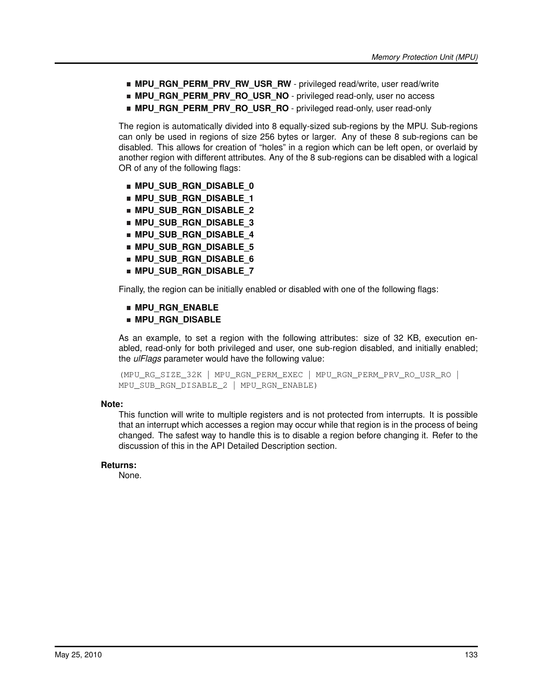- **MPU\_RGN\_PERM\_PRV\_RW\_USR\_RW** privileged read/write, user read/write
- **MPU\_RGN\_PERM\_PRV\_RO\_USR\_NO** privileged read-only, user no access
- **MPU\_RGN\_PERM\_PRV\_RO\_USR\_RO** privileged read-only, user read-only

The region is automatically divided into 8 equally-sized sub-regions by the MPU. Sub-regions can only be used in regions of size 256 bytes or larger. Any of these 8 sub-regions can be disabled. This allows for creation of "holes" in a region which can be left open, or overlaid by another region with different attributes. Any of the 8 sub-regions can be disabled with a logical OR of any of the following flags:

- **MPU\_SUB\_RGN\_DISABLE\_0**
- **MPU\_SUB\_RGN\_DISABLE\_1**
- **MPU\_SUB\_RGN\_DISABLE\_2**
- **MPU\_SUB\_RGN\_DISABLE\_3**
- **MPU\_SUB\_RGN\_DISABLE\_4**
- **MPU\_SUB\_RGN\_DISABLE\_5**
- **MPU\_SUB\_RGN\_DISABLE\_6**
- **MPU\_SUB\_RGN\_DISABLE\_7**

Finally, the region can be initially enabled or disabled with one of the following flags:

- **MPU RGN ENABLE**
- **MPU\_RGN\_DISABLE**

As an example, to set a region with the following attributes: size of 32 KB, execution enabled, read-only for both privileged and user, one sub-region disabled, and initially enabled; the *ulFlags* parameter would have the following value:

```
(MPU_RG_SIZE_32K | MPU_RGN_PERM_EXEC | MPU_RGN_PERM_PRV_RO_USR_RO |
MPU_SUB_RGN_DISABLE_2 | MPU_RGN_ENABLE)
```
**Note:**

This function will write to multiple registers and is not protected from interrupts. It is possible that an interrupt which accesses a region may occur while that region is in the process of being changed. The safest way to handle this is to disable a region before changing it. Refer to the discussion of this in the API Detailed Description section.

# **Returns:**

None.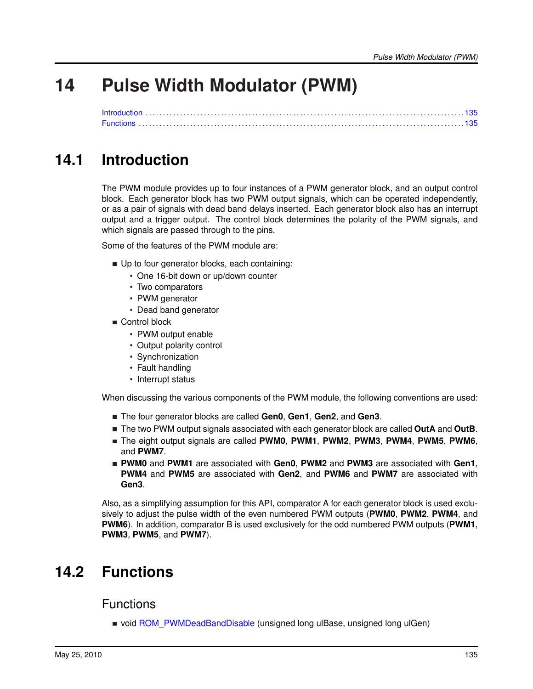# **14 Pulse Width Modulator (PWM)**

<span id="page-134-0"></span>[Introduction . . . . . . . . . . . . . . . . . . . . . . . . . . . . . . . . . . . . . . . . . . . . . . . . . . . . . . . . . . . . . . . . . . . . . . . . . . . . . . . . . . . . . . . . . . . . .135](#page-134-0) [Functions . . . . . . . . . . . . . . . . . . . . . . . . . . . . . . . . . . . . . . . . . . . . . . . . . . . . . . . . . . . . . . . . . . . . . . . . . . . . . . . . . . . . . . . . . . . . . . .135](#page-134-2)

# <span id="page-134-1"></span>**14.1 Introduction**

The PWM module provides up to four instances of a PWM generator block, and an output control block. Each generator block has two PWM output signals, which can be operated independently, or as a pair of signals with dead band delays inserted. Each generator block also has an interrupt output and a trigger output. The control block determines the polarity of the PWM signals, and which signals are passed through to the pins.

Some of the features of the PWM module are:

- Up to four generator blocks, each containing:
	- One 16-bit down or up/down counter
	- Two comparators
	- PWM generator
	- Dead band generator
- Control block
	- PWM output enable
	- Output polarity control
	- Synchronization
	- Fault handling
	- Interrupt status

When discussing the various components of the PWM module, the following conventions are used:

- The four generator blocks are called **Gen0**, **Gen1**, **Gen2**, and **Gen3**.
- The two PWM output signals associated with each generator block are called **OutA** and **OutB**.
- The eight output signals are called **PWM0**, **PWM1**, **PWM2**, **PWM3**, **PWM4**, **PWM5**, **PWM6**, and **PWM7**.
- **PWM0** and **PWM1** are associated with **Gen0**, **PWM2** and **PWM3** are associated with **Gen1**, **PWM4** and **PWM5** are associated with **Gen2**, and **PWM6** and **PWM7** are associated with **Gen3**.

<span id="page-134-2"></span>Also, as a simplifying assumption for this API, comparator A for each generator block is used exclusively to adjust the pulse width of the even numbered PWM outputs (**PWM0**, **PWM2**, **PWM4**, and **PWM6**). In addition, comparator B is used exclusively for the odd numbered PWM outputs (**PWM1**, **PWM3**, **PWM5**, and **PWM7**).

# <span id="page-134-3"></span>**14.2 Functions**

# Functions

void [ROM\\_PWMDeadBandDisable](#page-136-0) (unsigned long ulBase, unsigned long ulGen)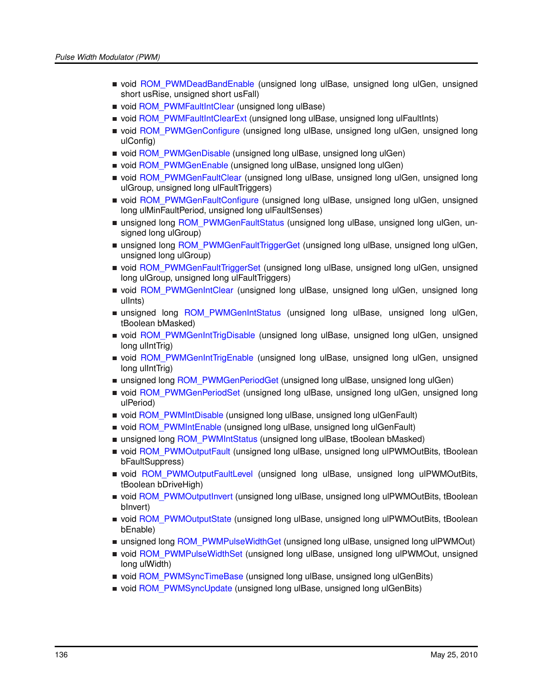- void [ROM\\_PWMDeadBandEnable](#page-136-1) (unsigned long ulBase, unsigned long ulGen, unsigned short usRise, unsigned short usFall)
- void [ROM\\_PWMFaultIntClear](#page-137-0) (unsigned long ulBase)
- void [ROM\\_PWMFaultIntClearExt](#page-137-1) (unsigned long ulBase, unsigned long ulFaultInts)
- void [ROM\\_PWMGenConfigure](#page-138-0) (unsigned long ulBase, unsigned long ulGen, unsigned long ulConfig)
- void [ROM\\_PWMGenDisable](#page-140-0) (unsigned long ulBase, unsigned long ulGen)
- void [ROM\\_PWMGenEnable](#page-140-1) (unsigned long ulBase, unsigned long ulGen)
- void [ROM\\_PWMGenFaultClear](#page-141-0) (unsigned long ulBase, unsigned long ulGen, unsigned long ulGroup, unsigned long ulFaultTriggers)
- void [ROM\\_PWMGenFaultConfigure](#page-141-1) (unsigned long ulBase, unsigned long ulGen, unsigned long ulMinFaultPeriod, unsigned long ulFaultSenses)
- unsigned long [ROM\\_PWMGenFaultStatus](#page-142-0) (unsigned long ulBase, unsigned long ulGen, unsigned long ulGroup)
- unsigned long [ROM\\_PWMGenFaultTriggerGet](#page-143-0) (unsigned long ulBase, unsigned long ulGen, unsigned long ulGroup)
- void [ROM\\_PWMGenFaultTriggerSet](#page-144-0) (unsigned long ulBase, unsigned long ulGen, unsigned long ulGroup, unsigned long ulFaultTriggers)
- void [ROM\\_PWMGenIntClear](#page-144-1) (unsigned long ulBase, unsigned long ulGen, unsigned long ulInts)
- unsigned long ROM PWMGenIntStatus (unsigned long ulBase, unsigned long ulGen, tBoolean bMasked)
- void [ROM\\_PWMGenIntTrigDisable](#page-146-0) (unsigned long ulBase, unsigned long ulGen, unsigned long ulIntTrig)
- void [ROM\\_PWMGenIntTrigEnable](#page-146-1) (unsigned long ulBase, unsigned long ulGen, unsigned long ulIntTrig)
- unsigned long [ROM\\_PWMGenPeriodGet](#page-147-0) (unsigned long ulBase, unsigned long ulGen)
- void [ROM\\_PWMGenPeriodSet](#page-148-0) (unsigned long ulBase, unsigned long ulGen, unsigned long ulPeriod)
- void [ROM\\_PWMIntDisable](#page-148-1) (unsigned long ulBase, unsigned long ulGenFault)
- void [ROM\\_PWMIntEnable](#page-149-0) (unsigned long ulBase, unsigned long ulGenFault)
- unsigned long [ROM\\_PWMIntStatus](#page-149-1) (unsigned long ulBase, tBoolean bMasked)
- void [ROM\\_PWMOutputFault](#page-150-0) (unsigned long ulBase, unsigned long ulPWMOutBits, tBoolean bFaultSuppress)
- void [ROM\\_PWMOutputFaultLevel](#page-151-0) (unsigned long ulBase, unsigned long ulPWMOutBits, tBoolean bDriveHigh)
- void [ROM\\_PWMOutputInvert](#page-151-1) (unsigned long ulBase, unsigned long ulPWMOutBits, tBoolean bInvert)
- void [ROM\\_PWMOutputState](#page-152-0) (unsigned long ulBase, unsigned long ulPWMOutBits, tBoolean bEnable)
- unsigned long [ROM\\_PWMPulseWidthGet](#page-153-0) (unsigned long ulBase, unsigned long ulPWMOut)
- void [ROM\\_PWMPulseWidthSet](#page-153-1) (unsigned long ulBase, unsigned long ulPWMOut, unsigned long ulWidth)
- void [ROM\\_PWMSyncTimeBase](#page-154-0) (unsigned long ulBase, unsigned long ulGenBits)
- void [ROM\\_PWMSyncUpdate](#page-154-1) (unsigned long ulBase, unsigned long ulGenBits)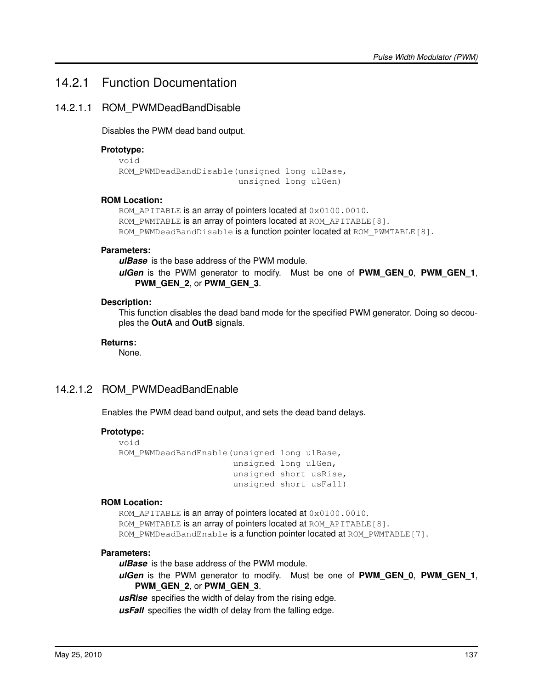# 14.2.1 Function Documentation

# <span id="page-136-0"></span>14.2.1.1 ROM\_PWMDeadBandDisable

Disables the PWM dead band output.

## **Prototype:**

```
void
ROM_PWMDeadBandDisable(unsigned long ulBase,
                       unsigned long ulGen)
```
# **ROM Location:**

ROM\_APITABLE is an array of pointers located at  $0 \times 0100$ .0010. ROM PWMTABLE is an array of pointers located at ROM APITABLE[8]. ROM PWMDeadBandDisable is a function pointer located at ROM PWMTABLE[8].

# **Parameters:**

*ulBase* is the base address of the PWM module.

```
ulGen is the PWM generator to modify. Must be one of PWM_GEN_0, PWM_GEN_1,
   PWM_GEN_2, or PWM_GEN_3.
```
#### **Description:**

This function disables the dead band mode for the specified PWM generator. Doing so decouples the **OutA** and **OutB** signals.

#### **Returns:**

None.

# <span id="page-136-1"></span>14.2.1.2 ROM\_PWMDeadBandEnable

Enables the PWM dead band output, and sets the dead band delays.

# **Prototype:**

```
void
ROM_PWMDeadBandEnable(unsigned long ulBase,
                      unsigned long ulGen,
                      unsigned short usRise,
                      unsigned short usFall)
```
## **ROM Location:**

ROM APITABLE is an array of pointers located at 0x0100.0010. ROM PWMTABLE is an array of pointers located at ROM APITABLE[8]. ROM\_PWMDeadBandEnable is a function pointer located at ROM\_PWMTABLE[7].

#### **Parameters:**

*ulBase* is the base address of the PWM module.

*ulGen* is the PWM generator to modify. Must be one of **PWM\_GEN\_0**, **PWM\_GEN\_1**, **PWM\_GEN\_2**, or **PWM\_GEN\_3**.

*usRise* specifies the width of delay from the rising edge.

*usFall* specifies the width of delay from the falling edge.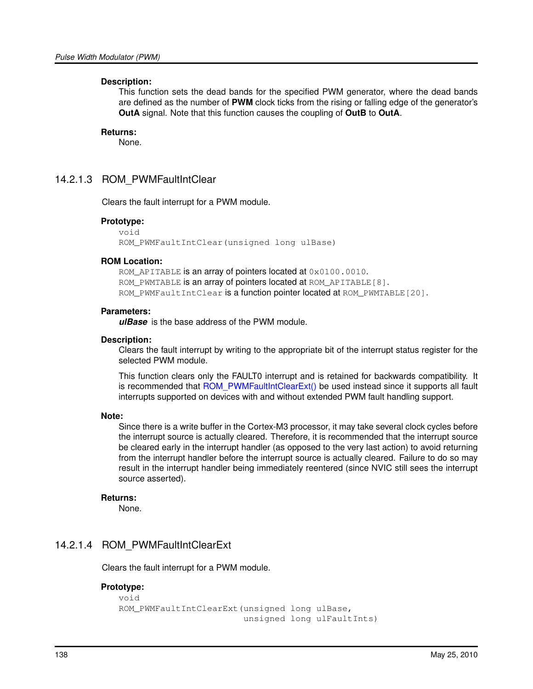#### **Description:**

This function sets the dead bands for the specified PWM generator, where the dead bands are defined as the number of **PWM** clock ticks from the rising or falling edge of the generator's **OutA** signal. Note that this function causes the coupling of **OutB** to **OutA**.

## **Returns:**

None.

# <span id="page-137-0"></span>14.2.1.3 ROM\_PWMFaultIntClear

Clears the fault interrupt for a PWM module.

#### **Prototype:**

```
void
ROM_PWMFaultIntClear(unsigned long ulBase)
```
#### **ROM Location:**

ROM\_APITABLE is an array of pointers located at  $0 \times 0100$ .0010. ROM PWMTABLE is an array of pointers located at ROM APITABLE[8]. ROM\_PWMFaultIntClear is a function pointer located at ROM\_PWMTABLE[20].

#### **Parameters:**

*ulBase* is the base address of the PWM module.

#### **Description:**

Clears the fault interrupt by writing to the appropriate bit of the interrupt status register for the selected PWM module.

This function clears only the FAULT0 interrupt and is retained for backwards compatibility. It is recommended that [ROM\\_PWMFaultIntClearExt\(\)](#page-137-1) be used instead since it supports all fault interrupts supported on devices with and without extended PWM fault handling support.

#### **Note:**

Since there is a write buffer in the Cortex-M3 processor, it may take several clock cycles before the interrupt source is actually cleared. Therefore, it is recommended that the interrupt source be cleared early in the interrupt handler (as opposed to the very last action) to avoid returning from the interrupt handler before the interrupt source is actually cleared. Failure to do so may result in the interrupt handler being immediately reentered (since NVIC still sees the interrupt source asserted).

#### **Returns:**

None.

# <span id="page-137-1"></span>14.2.1.4 ROM\_PWMFaultIntClearExt

Clears the fault interrupt for a PWM module.

# **Prototype:**

```
void
ROM_PWMFaultIntClearExt(unsigned long ulBase,
                        unsigned long ulFaultInts)
```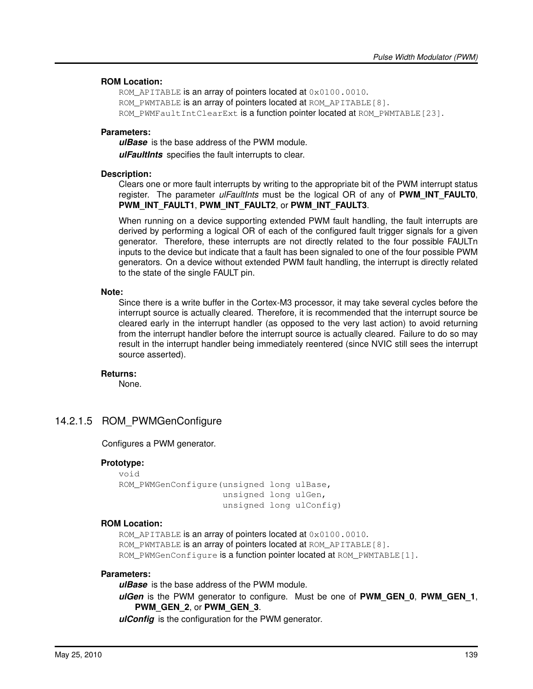# **ROM Location:**

ROM\_APITABLE is an array of pointers located at  $0 \times 0100$ .0010. ROM\_PWMTABLE is an array of pointers located at ROM\_APITABLE[8]. ROM\_PWMFaultIntClearExt is a function pointer located at ROM\_PWMTABLE[23].

#### **Parameters:**

*ulBase* is the base address of the PWM module.

*ulFaultInts* specifies the fault interrupts to clear.

#### **Description:**

Clears one or more fault interrupts by writing to the appropriate bit of the PWM interrupt status register. The parameter *ulFaultInts* must be the logical OR of any of **PWM\_INT\_FAULT0**, **PWM\_INT\_FAULT1**, **PWM\_INT\_FAULT2**, or **PWM\_INT\_FAULT3**.

When running on a device supporting extended PWM fault handling, the fault interrupts are derived by performing a logical OR of each of the configured fault trigger signals for a given generator. Therefore, these interrupts are not directly related to the four possible FAULTn inputs to the device but indicate that a fault has been signaled to one of the four possible PWM generators. On a device without extended PWM fault handling, the interrupt is directly related to the state of the single FAULT pin.

#### **Note:**

Since there is a write buffer in the Cortex-M3 processor, it may take several cycles before the interrupt source is actually cleared. Therefore, it is recommended that the interrupt source be cleared early in the interrupt handler (as opposed to the very last action) to avoid returning from the interrupt handler before the interrupt source is actually cleared. Failure to do so may result in the interrupt handler being immediately reentered (since NVIC still sees the interrupt source asserted).

# **Returns:**

None.

# <span id="page-138-0"></span>14.2.1.5 ROM\_PWMGenConfigure

Configures a PWM generator.

# **Prototype:**

void ROM\_PWMGenConfigure(unsigned long ulBase, unsigned long ulGen, unsigned long ulConfig)

# **ROM Location:**

ROM\_APITABLE is an array of pointers located at  $0 \times 0100$ .0010. ROM PWMTABLE is an array of pointers located at ROM APITABLE [8]. ROM\_PWMGenConfigure is a function pointer located at ROM\_PWMTABLE[1].

# **Parameters:**

*ulBase* is the base address of the PWM module.

*ulGen* is the PWM generator to configure. Must be one of **PWM\_GEN\_0**, **PWM\_GEN\_1**, **PWM\_GEN\_2**, or **PWM\_GEN\_3**.

*ulConfig* is the configuration for the PWM generator.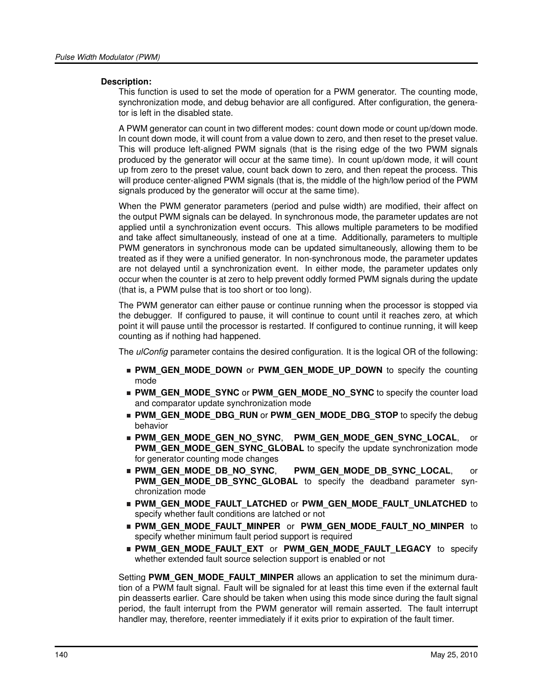# **Description:**

This function is used to set the mode of operation for a PWM generator. The counting mode, synchronization mode, and debug behavior are all configured. After configuration, the generator is left in the disabled state.

A PWM generator can count in two different modes: count down mode or count up/down mode. In count down mode, it will count from a value down to zero, and then reset to the preset value. This will produce left-aligned PWM signals (that is the rising edge of the two PWM signals produced by the generator will occur at the same time). In count up/down mode, it will count up from zero to the preset value, count back down to zero, and then repeat the process. This will produce center-aligned PWM signals (that is, the middle of the high/low period of the PWM signals produced by the generator will occur at the same time).

When the PWM generator parameters (period and pulse width) are modified, their affect on the output PWM signals can be delayed. In synchronous mode, the parameter updates are not applied until a synchronization event occurs. This allows multiple parameters to be modified and take affect simultaneously, instead of one at a time. Additionally, parameters to multiple PWM generators in synchronous mode can be updated simultaneously, allowing them to be treated as if they were a unified generator. In non-synchronous mode, the parameter updates are not delayed until a synchronization event. In either mode, the parameter updates only occur when the counter is at zero to help prevent oddly formed PWM signals during the update (that is, a PWM pulse that is too short or too long).

The PWM generator can either pause or continue running when the processor is stopped via the debugger. If configured to pause, it will continue to count until it reaches zero, at which point it will pause until the processor is restarted. If configured to continue running, it will keep counting as if nothing had happened.

The *ulConfig* parameter contains the desired configuration. It is the logical OR of the following:

- **PWM\_GEN\_MODE\_DOWN** or **PWM\_GEN\_MODE\_UP\_DOWN** to specify the counting mode
- **PWM\_GEN\_MODE\_SYNC** or **PWM\_GEN\_MODE\_NO\_SYNC** to specify the counter load and comparator update synchronization mode
- **PWM\_GEN\_MODE\_DBG\_RUN** or PWM\_GEN\_MODE\_DBG\_STOP to specify the debug behavior
- **PWM\_GEN\_MODE\_GEN\_NO\_SYNC**, **PWM\_GEN\_MODE\_GEN\_SYNC\_LOCAL**, or **PWM\_GEN\_MODE\_GEN\_SYNC\_GLOBAL** to specify the update synchronization mode for generator counting mode changes
- **PWM\_GEN\_MODE\_DB\_NO\_SYNC**, **PWM\_GEN\_MODE\_DB\_SYNC\_LOCAL**, or **PWM\_GEN\_MODE\_DB\_SYNC\_GLOBAL** to specify the deadband parameter synchronization mode
- **PWM\_GEN\_MODE\_FAULT\_LATCHED\_or PWM\_GEN\_MODE\_FAULT\_UNLATCHED\_to** specify whether fault conditions are latched or not
- **PWM\_GEN\_MODE\_FAULT\_MINPER** or **PWM\_GEN\_MODE\_FAULT\_NO\_MINPER** to specify whether minimum fault period support is required
- **PWM GEN MODE FAULT EXT or PWM GEN MODE FAULT LEGACY** to specify whether extended fault source selection support is enabled or not

Setting **PWM\_GEN\_MODE\_FAULT\_MINPER** allows an application to set the minimum duration of a PWM fault signal. Fault will be signaled for at least this time even if the external fault pin deasserts earlier. Care should be taken when using this mode since during the fault signal period, the fault interrupt from the PWM generator will remain asserted. The fault interrupt handler may, therefore, reenter immediately if it exits prior to expiration of the fault timer.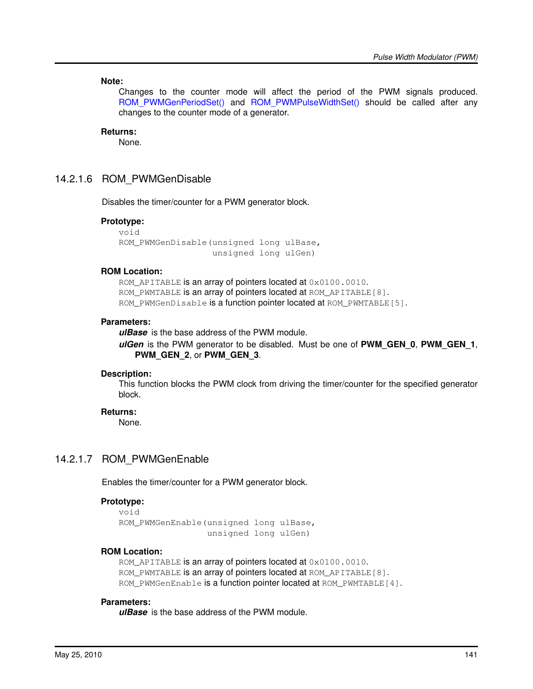**Note:**

Changes to the counter mode will affect the period of the PWM signals produced. ROM PWMGenPeriodSet() and ROM PWMPulseWidthSet() should be called after any changes to the counter mode of a generator.

# **Returns:**

None.

# <span id="page-140-0"></span>14.2.1.6 ROM\_PWMGenDisable

Disables the timer/counter for a PWM generator block.

# **Prototype:**

```
void
ROM_PWMGenDisable(unsigned long ulBase,
                  unsigned long ulGen)
```
## **ROM Location:**

ROM\_APITABLE is an array of pointers located at  $0 \times 0100$ .0010. ROM\_PWMTABLE is an array of pointers located at ROM\_APITABLE[8]. ROM\_PWMGenDisable is a function pointer located at ROM\_PWMTABLE[5].

#### **Parameters:**

*ulBase* is the base address of the PWM module.

*ulGen* is the PWM generator to be disabled. Must be one of **PWM\_GEN\_0**, **PWM\_GEN\_1**, **PWM\_GEN\_2**, or **PWM\_GEN\_3**.

#### **Description:**

This function blocks the PWM clock from driving the timer/counter for the specified generator block.

#### **Returns:**

None.

# <span id="page-140-1"></span>14.2.1.7 ROM\_PWMGenEnable

Enables the timer/counter for a PWM generator block.

#### **Prototype:**

```
void
ROM_PWMGenEnable(unsigned long ulBase,
                 unsigned long ulGen)
```
#### **ROM Location:**

ROM APITABLE is an array of pointers located at 0x0100.0010. ROM\_PWMTABLE is an array of pointers located at ROM\_APITABLE[8]. ROM\_PWMGenEnable is a function pointer located at ROM\_PWMTABLE[4].

#### **Parameters:**

*ulBase* is the base address of the PWM module.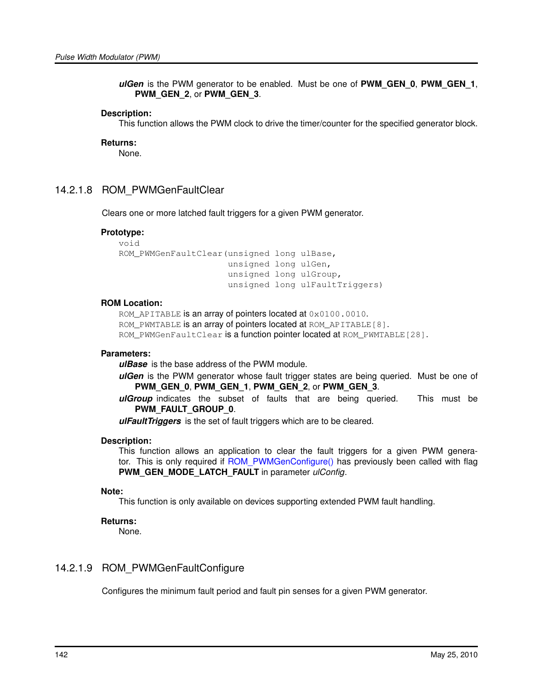*ulGen* is the PWM generator to be enabled. Must be one of **PWM\_GEN\_0**, **PWM\_GEN\_1**, **PWM\_GEN\_2**, or **PWM\_GEN\_3**.

#### **Description:**

This function allows the PWM clock to drive the timer/counter for the specified generator block.

#### **Returns:**

None.

# <span id="page-141-0"></span>14.2.1.8 ROM\_PWMGenFaultClear

Clears one or more latched fault triggers for a given PWM generator.

#### **Prototype:**

```
void
ROM_PWMGenFaultClear(unsigned long ulBase,
                     unsigned long ulGen,
                     unsigned long ulGroup,
                     unsigned long ulFaultTriggers)
```
#### **ROM Location:**

ROM\_APITABLE is an array of pointers located at  $0 \times 0100$ .0010. ROM PWMTABLE is an array of pointers located at ROM APITABLE[8]. ROM\_PWMGenFaultClear is a function pointer located at ROM\_PWMTABLE[28].

## **Parameters:**

*ulBase* is the base address of the PWM module.

- *ulGen* is the PWM generator whose fault trigger states are being queried. Must be one of **PWM\_GEN\_0**, **PWM\_GEN\_1**, **PWM\_GEN\_2**, or **PWM\_GEN\_3**.
- *ulGroup* indicates the subset of faults that are being queried. This must be **PWM\_FAULT\_GROUP\_0**.

*ulFaultTriggers* is the set of fault triggers which are to be cleared.

#### **Description:**

This function allows an application to clear the fault triggers for a given PWM generator. This is only required if [ROM\\_PWMGenConfigure\(\)](#page-138-0) has previously been called with flag **PWM\_GEN\_MODE\_LATCH\_FAULT** in parameter *ulConfig*.

#### **Note:**

This function is only available on devices supporting extended PWM fault handling.

#### **Returns:**

None.

# <span id="page-141-1"></span>14.2.1.9 ROM\_PWMGenFaultConfigure

Configures the minimum fault period and fault pin senses for a given PWM generator.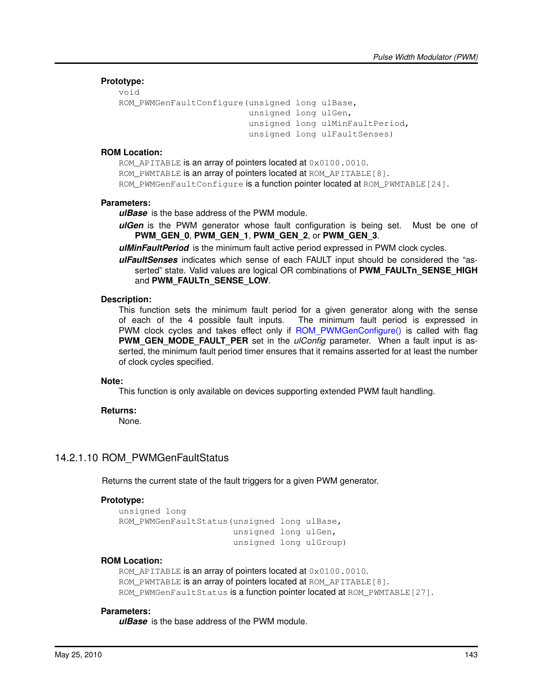## **Prototype:**

```
void
ROM_PWMGenFaultConfigure(unsigned long ulBase,
                         unsigned long ulGen,
                          unsigned long ulMinFaultPeriod,
                          unsigned long ulFaultSenses)
```
#### **ROM Location:**

ROM APITABLE is an array of pointers located at 0x0100.0010. ROM PWMTABLE is an array of pointers located at ROM APITABLE[8]. ROM PWMGenFaultConfigure is a function pointer located at ROM PWMTABLE[24].

#### **Parameters:**

*ulBase* is the base address of the PWM module.

- *ulGen* is the PWM generator whose fault configuration is being set. Must be one of **PWM\_GEN\_0**, **PWM\_GEN\_1**, **PWM\_GEN\_2**, or **PWM\_GEN\_3**.
- *ulMinFaultPeriod* is the minimum fault active period expressed in PWM clock cycles.
- *ulFaultSenses* indicates which sense of each FAULT input should be considered the "asserted" state. Valid values are logical OR combinations of **PWM\_FAULTn\_SENSE\_HIGH** and **PWM\_FAULTn\_SENSE\_LOW**.

#### **Description:**

This function sets the minimum fault period for a given generator along with the sense of each of the 4 possible fault inputs. The minimum fault period is expressed in PWM clock cycles and takes effect only if ROM PWMGenConfigure() is called with flag **PWM GEN MODE FAULT PER** set in the *ulConfig* parameter. When a fault input is asserted, the minimum fault period timer ensures that it remains asserted for at least the number of clock cycles specified.

#### **Note:**

This function is only available on devices supporting extended PWM fault handling.

#### **Returns:**

None.

# <span id="page-142-0"></span>14.2.1.10 ROM\_PWMGenFaultStatus

Returns the current state of the fault triggers for a given PWM generator.

#### **Prototype:**

```
unsigned long
ROM_PWMGenFaultStatus(unsigned long ulBase,
                      unsigned long ulGen,
                      unsigned long ulGroup)
```
#### **ROM Location:**

ROM APITABLE is an array of pointers located at  $0 \times 0100$ .0010. ROM\_PWMTABLE is an array of pointers located at ROM\_APITABLE[8]. ROM PWMGenFaultStatus is a function pointer located at ROM PWMTABLE[27].

#### **Parameters:**

*ulBase* is the base address of the PWM module.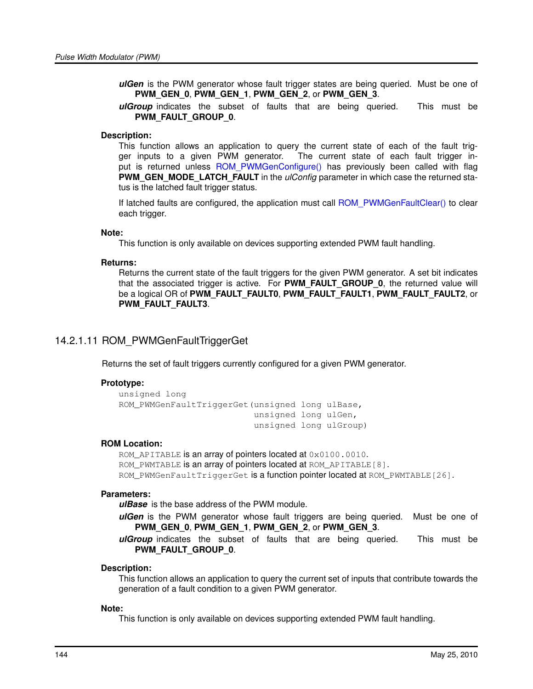- *ulGen* is the PWM generator whose fault trigger states are being queried. Must be one of **PWM\_GEN\_0**, **PWM\_GEN\_1**, **PWM\_GEN\_2**, or **PWM\_GEN\_3**.
- *ulGroup* indicates the subset of faults that are being queried. This must be **PWM\_FAULT\_GROUP\_0**.

## **Description:**

This function allows an application to query the current state of each of the fault trigger inputs to a given PWM generator. The current state of each fault trigger in-put is returned unless [ROM\\_PWMGenConfigure\(\)](#page-138-0) has previously been called with flag **PWM\_GEN\_MODE\_LATCH\_FAULT** in the *ulConfig* parameter in which case the returned status is the latched fault trigger status.

If latched faults are configured, the application must call ROM PWMGenFaultClear() to clear each trigger.

#### **Note:**

This function is only available on devices supporting extended PWM fault handling.

## **Returns:**

Returns the current state of the fault triggers for the given PWM generator. A set bit indicates that the associated trigger is active. For **PWM\_FAULT\_GROUP\_0**, the returned value will be a logical OR of **PWM\_FAULT\_FAULT0**, **PWM\_FAULT\_FAULT1**, **PWM\_FAULT\_FAULT2**, or **PWM\_FAULT\_FAULT3**.

# <span id="page-143-0"></span>14.2.1.11 ROM\_PWMGenFaultTriggerGet

Returns the set of fault triggers currently configured for a given PWM generator.

#### **Prototype:**

```
unsigned long
ROM_PWMGenFaultTriggerGet(unsigned long ulBase,
                          unsigned long ulGen,
                           unsigned long ulGroup)
```
#### **ROM Location:**

ROM\_APITABLE is an array of pointers located at  $0 \times 0100$ .0010. ROM\_PWMTABLE is an array of pointers located at ROM\_APITABLE[8]. ROM PWMGenFaultTriggerGet is a function pointer located at ROM PWMTABLE[26].

#### **Parameters:**

*ulBase* is the base address of the PWM module.

*ulGen* is the PWM generator whose fault triggers are being queried. Must be one of **PWM\_GEN\_0**, **PWM\_GEN\_1**, **PWM\_GEN\_2**, or **PWM\_GEN\_3**.

*ulGroup* indicates the subset of faults that are being queried. This must be **PWM\_FAULT\_GROUP\_0**.

#### **Description:**

This function allows an application to query the current set of inputs that contribute towards the generation of a fault condition to a given PWM generator.

#### **Note:**

This function is only available on devices supporting extended PWM fault handling.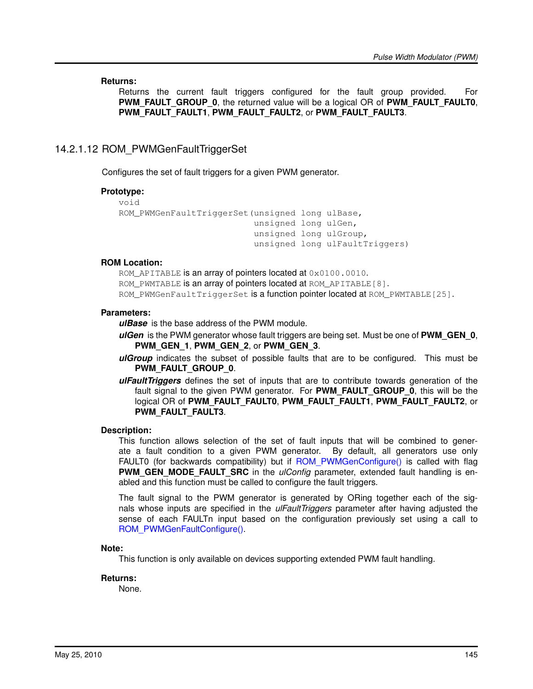## **Returns:**

Returns the current fault triggers configured for the fault group provided. For **PWM\_FAULT\_GROUP\_0**, the returned value will be a logical OR of **PWM\_FAULT\_FAULT0**, **PWM\_FAULT\_FAULT1**, **PWM\_FAULT\_FAULT2**, or **PWM\_FAULT\_FAULT3**.

# 14.2.1.12 ROM\_PWMGenFaultTriggerSet

Configures the set of fault triggers for a given PWM generator.

# **Prototype:**

```
void
ROM_PWMGenFaultTriggerSet(unsigned long ulBase,
                           unsigned long ulGen,
                           unsigned long ulGroup,
                           unsigned long ulFaultTriggers)
```
# **ROM Location:**

ROM APITABLE is an array of pointers located at 0x0100.0010. ROM PWMTABLE is an array of pointers located at ROM APITABLE[8]. ROM PWMGenFaultTriggerSet is a function pointer located at ROM PWMTABLE[25].

## **Parameters:**

*ulBase* is the base address of the PWM module.

- *ulGen* is the PWM generator whose fault triggers are being set. Must be one of **PWM\_GEN\_0**, **PWM\_GEN\_1**, **PWM\_GEN\_2**, or **PWM\_GEN\_3**.
- *ulGroup* indicates the subset of possible faults that are to be configured. This must be **PWM\_FAULT\_GROUP\_0**.
- *ulFaultTriggers* defines the set of inputs that are to contribute towards generation of the fault signal to the given PWM generator. For **PWM\_FAULT\_GROUP\_0**, this will be the logical OR of **PWM\_FAULT\_FAULT0**, **PWM\_FAULT\_FAULT1**, **PWM\_FAULT\_FAULT2**, or **PWM\_FAULT\_FAULT3**.

### **Description:**

This function allows selection of the set of fault inputs that will be combined to generate a fault condition to a given PWM generator. By default, all generators use only FAULT0 (for backwards compatibility) but if ROM PWMGenConfigure() is called with flag **PWM\_GEN\_MODE\_FAULT\_SRC** in the *ulConfig* parameter, extended fault handling is enabled and this function must be called to configure the fault triggers.

The fault signal to the PWM generator is generated by ORing together each of the signals whose inputs are specified in the *ulFaultTriggers* parameter after having adjusted the sense of each FAULTn input based on the configuration previously set using a call to [ROM\\_PWMGenFaultConfigure\(\).](#page-141-0)

#### **Note:**

This function is only available on devices supporting extended PWM fault handling.

#### **Returns:**

None.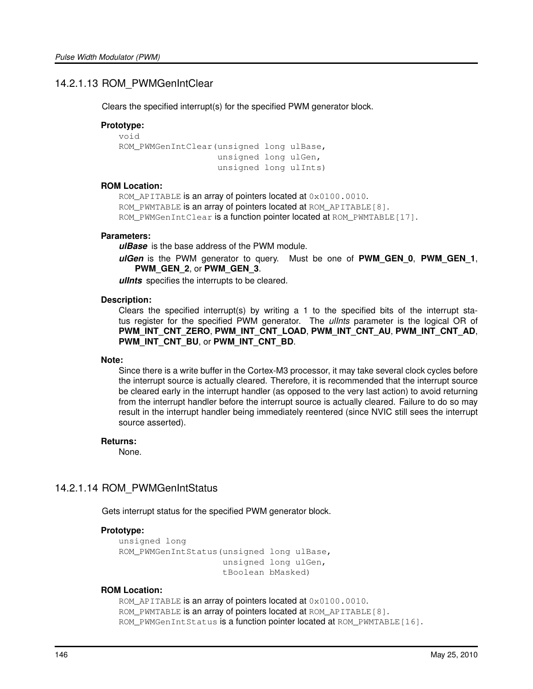# 14.2.1.13 ROM\_PWMGenIntClear

Clears the specified interrupt(s) for the specified PWM generator block.

## **Prototype:**

```
void
ROM PWMGenIntClear(unsigned long ulBase,
                   unsigned long ulGen,
                   unsigned long ulInts)
```
# **ROM Location:**

ROM\_APITABLE is an array of pointers located at  $0 \times 0100$ .0010. ROM PWMTABLE is an array of pointers located at ROM APITABLE[8]. ROM PWMGenIntClear is a function pointer located at ROM PWMTABLE[17].

#### **Parameters:**

*ulBase* is the base address of the PWM module.

*ulGen* is the PWM generator to query. Must be one of **PWM\_GEN\_0**, **PWM\_GEN\_1**, **PWM\_GEN\_2**, or **PWM\_GEN\_3**.

*ulInts* specifies the interrupts to be cleared.

#### **Description:**

Clears the specified interrupt(s) by writing a 1 to the specified bits of the interrupt status register for the specified PWM generator. The *ulInts* parameter is the logical OR of **PWM\_INT\_CNT\_ZERO**, **PWM\_INT\_CNT\_LOAD**, **PWM\_INT\_CNT\_AU**, **PWM\_INT\_CNT\_AD**, **PWM\_INT\_CNT\_BU**, or **PWM\_INT\_CNT\_BD**.

#### **Note:**

Since there is a write buffer in the Cortex-M3 processor, it may take several clock cycles before the interrupt source is actually cleared. Therefore, it is recommended that the interrupt source be cleared early in the interrupt handler (as opposed to the very last action) to avoid returning from the interrupt handler before the interrupt source is actually cleared. Failure to do so may result in the interrupt handler being immediately reentered (since NVIC still sees the interrupt source asserted).

#### **Returns:**

None.

# 14.2.1.14 ROM\_PWMGenIntStatus

Gets interrupt status for the specified PWM generator block.

#### **Prototype:**

```
unsigned long
ROM PWMGenIntStatus(unsigned long ulBase,
                    unsigned long ulGen,
                    tBoolean bMasked)
```
#### **ROM Location:**

ROM\_APITABLE is an array of pointers located at  $0 \times 0100$ .0010. ROM\_PWMTABLE is an array of pointers located at ROM\_APITABLE[8]. ROM\_PWMGenIntStatus is a function pointer located at ROM\_PWMTABLE[16].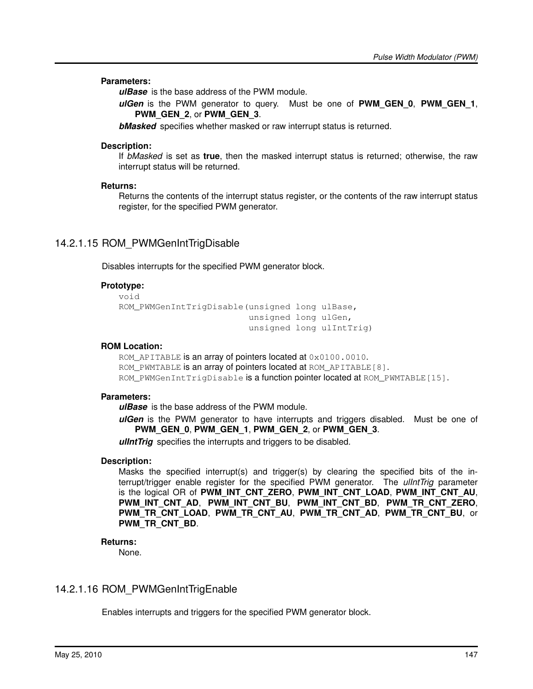# **Parameters:**

*ulBase* is the base address of the PWM module.

*ulGen* is the PWM generator to query. Must be one of **PWM\_GEN\_0**, **PWM\_GEN\_1**, **PWM\_GEN\_2**, or **PWM\_GEN\_3**.

*bMasked* specifies whether masked or raw interrupt status is returned.

### **Description:**

If *bMasked* is set as **true**, then the masked interrupt status is returned; otherwise, the raw interrupt status will be returned.

## **Returns:**

Returns the contents of the interrupt status register, or the contents of the raw interrupt status register, for the specified PWM generator.

# 14.2.1.15 ROM\_PWMGenIntTrigDisable

Disables interrupts for the specified PWM generator block.

## **Prototype:**

void

```
ROM_PWMGenIntTrigDisable(unsigned long ulBase,
                         unsigned long ulGen,
                         unsigned long ulIntTrig)
```
### **ROM Location:**

ROM\_APITABLE is an array of pointers located at  $0 \times 0100$ .0010. ROM PWMTABLE is an array of pointers located at ROM APITABLE[8]. ROM\_PWMGenIntTrigDisable is a function pointer located at ROM\_PWMTABLE[15].

#### **Parameters:**

*ulBase* is the base address of the PWM module.

*ulGen* is the PWM generator to have interrupts and triggers disabled. Must be one of **PWM\_GEN\_0**, **PWM\_GEN\_1**, **PWM\_GEN\_2**, or **PWM\_GEN\_3**.

*ulIntTrig* specifies the interrupts and triggers to be disabled.

# **Description:**

Masks the specified interrupt(s) and trigger(s) by clearing the specified bits of the interrupt/trigger enable register for the specified PWM generator. The *ulIntTrig* parameter is the logical OR of **PWM\_INT\_CNT\_ZERO**, **PWM\_INT\_CNT\_LOAD**, **PWM\_INT\_CNT\_AU**, **PWM\_INT\_CNT\_AD**, **PWM\_INT\_CNT\_BU**, **PWM\_INT\_CNT\_BD**, **PWM\_TR\_CNT\_ZERO**, **PWM\_TR\_CNT\_LOAD**, **PWM\_TR\_CNT\_AU**, **PWM\_TR\_CNT\_AD**, **PWM\_TR\_CNT\_BU**, or **PWM\_TR\_CNT\_BD**.

#### **Returns:**

None.

# 14.2.1.16 ROM\_PWMGenIntTrigEnable

Enables interrupts and triggers for the specified PWM generator block.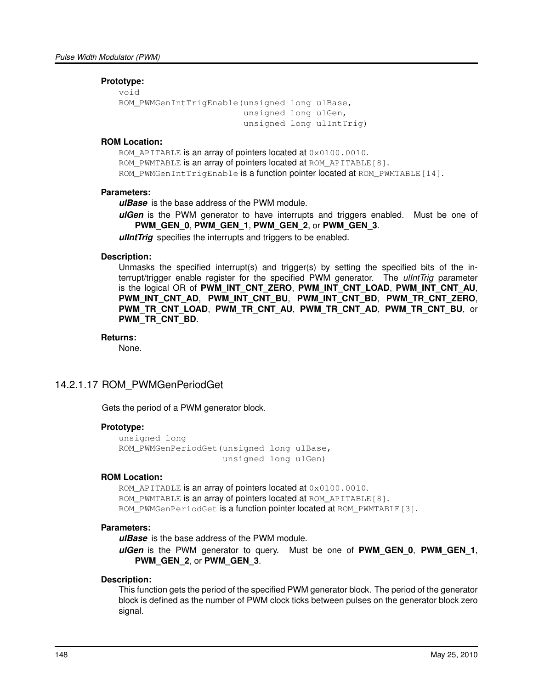## **Prototype:**

```
void
ROM PWMGenIntTrigEnable(unsigned long ulBase,
                        unsigned long ulGen,
                        unsigned long ulIntTrig)
```
### **ROM Location:**

ROM\_APITABLE is an array of pointers located at  $0 \times 0100$ .0010. ROM PWMTABLE is an array of pointers located at ROM APITABLE[8]. ROM PWMGenIntTrigEnable is a function pointer located at ROM PWMTABLE[14].

## **Parameters:**

*ulBase* is the base address of the PWM module.

*ulGen* is the PWM generator to have interrupts and triggers enabled. Must be one of **PWM\_GEN\_0**, **PWM\_GEN\_1**, **PWM\_GEN\_2**, or **PWM\_GEN\_3**.

*ulIntTrig* specifies the interrupts and triggers to be enabled.

#### **Description:**

Unmasks the specified interrupt(s) and trigger(s) by setting the specified bits of the interrupt/trigger enable register for the specified PWM generator. The *ulIntTrig* parameter is the logical OR of **PWM\_INT\_CNT\_ZERO**, **PWM\_INT\_CNT\_LOAD**, **PWM\_INT\_CNT\_AU**, **PWM\_INT\_CNT\_AD**, **PWM\_INT\_CNT\_BU**, **PWM\_INT\_CNT\_BD**, **PWM\_TR\_CNT\_ZERO**, **PWM\_TR\_CNT\_LOAD**, **PWM\_TR\_CNT\_AU**, **PWM\_TR\_CNT\_AD**, **PWM\_TR\_CNT\_BU**, or **PWM\_TR\_CNT\_BD**.

#### **Returns:**

None.

# 14.2.1.17 ROM\_PWMGenPeriodGet

Gets the period of a PWM generator block.

#### **Prototype:**

```
unsigned long
ROM_PWMGenPeriodGet(unsigned long ulBase,
                    unsigned long ulGen)
```
#### **ROM Location:**

ROM\_APITABLE is an array of pointers located at  $0 \times 0100$ .0010. ROM\_PWMTABLE is an array of pointers located at ROM\_APITABLE[8]. ROM PWMGenPeriodGet is a function pointer located at ROM PWMTABLE[3].

#### **Parameters:**

*ulBase* is the base address of the PWM module.

*ulGen* is the PWM generator to query. Must be one of **PWM\_GEN\_0**, **PWM\_GEN\_1**, **PWM\_GEN\_2**, or **PWM\_GEN\_3**.

## **Description:**

This function gets the period of the specified PWM generator block. The period of the generator block is defined as the number of PWM clock ticks between pulses on the generator block zero signal.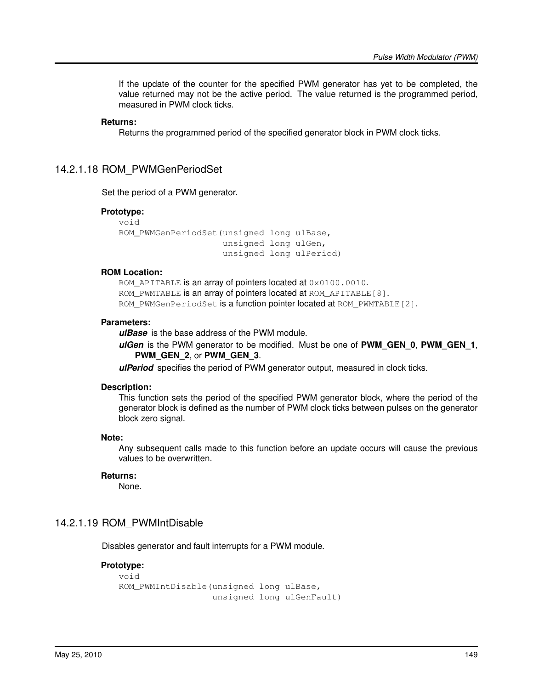If the update of the counter for the specified PWM generator has yet to be completed, the value returned may not be the active period. The value returned is the programmed period, measured in PWM clock ticks.

#### **Returns:**

Returns the programmed period of the specified generator block in PWM clock ticks.

# 14.2.1.18 ROM\_PWMGenPeriodSet

Set the period of a PWM generator.

#### **Prototype:**

```
void
ROM_PWMGenPeriodSet(unsigned long ulBase,
                    unsigned long ulGen,
                    unsigned long ulPeriod)
```
# **ROM Location:**

ROM\_APITABLE is an array of pointers located at  $0 \times 0100$ .0010. ROM\_PWMTABLE is an array of pointers located at ROM\_APITABLE[8]. ROM\_PWMGenPeriodSet is a function pointer located at ROM\_PWMTABLE[2].

## **Parameters:**

*ulBase* is the base address of the PWM module.

*ulGen* is the PWM generator to be modified. Must be one of **PWM\_GEN\_0**, **PWM\_GEN\_1**, **PWM\_GEN\_2**, or **PWM\_GEN\_3**.

*ulPeriod* specifies the period of PWM generator output, measured in clock ticks.

## **Description:**

This function sets the period of the specified PWM generator block, where the period of the generator block is defined as the number of PWM clock ticks between pulses on the generator block zero signal.

#### **Note:**

Any subsequent calls made to this function before an update occurs will cause the previous values to be overwritten.

# **Returns:**

None.

# 14.2.1.19 ROM\_PWMIntDisable

Disables generator and fault interrupts for a PWM module.

## **Prototype:**

```
void
ROM_PWMIntDisable(unsigned long ulBase,
                  unsigned long ulGenFault)
```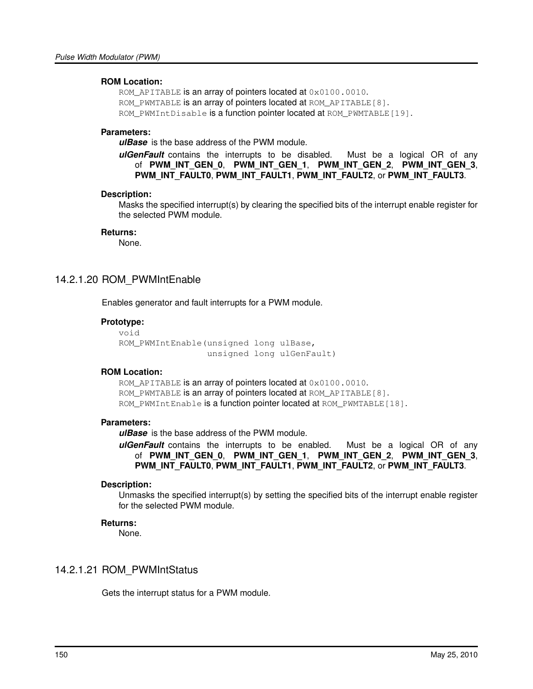# **ROM Location:**

ROM\_APITABLE is an array of pointers located at  $0 \times 0100$ .0010. ROM\_PWMTABLE is an array of pointers located at ROM\_APITABLE[8]. ROM\_PWMIntDisable is a function pointer located at ROM\_PWMTABLE[19].

## **Parameters:**

*ulBase* is the base address of the PWM module.

*ulGenFault* contains the interrupts to be disabled. Must be a logical OR of any of **PWM\_INT\_GEN\_0**, **PWM\_INT\_GEN\_1**, **PWM\_INT\_GEN\_2**, **PWM\_INT\_GEN\_3**, **PWM\_INT\_FAULT0**, **PWM\_INT\_FAULT1**, **PWM\_INT\_FAULT2**, or **PWM\_INT\_FAULT3**.

#### **Description:**

Masks the specified interrupt(s) by clearing the specified bits of the interrupt enable register for the selected PWM module.

## **Returns:**

None.

# 14.2.1.20 ROM\_PWMIntEnable

Enables generator and fault interrupts for a PWM module.

# **Prototype:**

```
void
ROM_PWMIntEnable(unsigned long ulBase,
                 unsigned long ulGenFault)
```
# **ROM Location:**

ROM\_APITABLE is an array of pointers located at  $0 \times 0100$ .0010. ROM PWMTABLE is an array of pointers located at ROM APITABLE[8]. ROM\_PWMIntEnable is a function pointer located at ROM\_PWMTABLE[18].

#### **Parameters:**

*ulBase* is the base address of the PWM module.

*ulGenFault* contains the interrupts to be enabled. Must be a logical OR of any of **PWM\_INT\_GEN\_0**, **PWM\_INT\_GEN\_1**, **PWM\_INT\_GEN\_2**, **PWM\_INT\_GEN\_3**, **PWM\_INT\_FAULT0**, **PWM\_INT\_FAULT1**, **PWM\_INT\_FAULT2**, or **PWM\_INT\_FAULT3**.

## **Description:**

Unmasks the specified interrupt(s) by setting the specified bits of the interrupt enable register for the selected PWM module.

# **Returns:**

None.

# 14.2.1.21 ROM\_PWMIntStatus

Gets the interrupt status for a PWM module.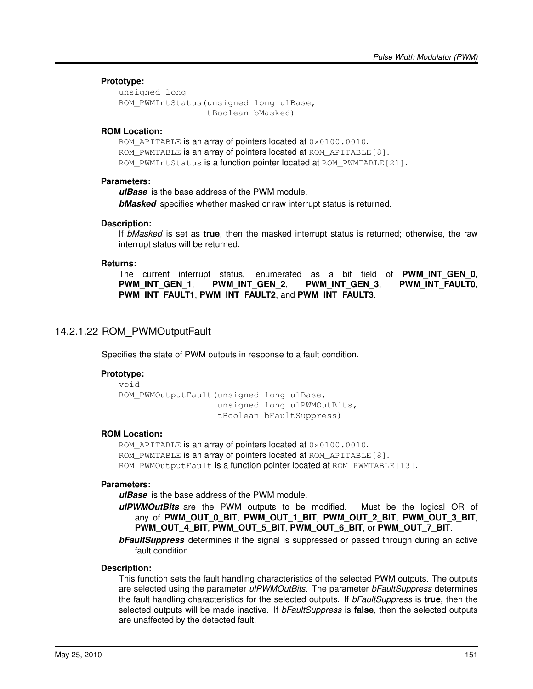## **Prototype:**

```
unsigned long
ROM_PWMIntStatus(unsigned long ulBase,
                 tBoolean bMasked)
```
## **ROM Location:**

ROM\_APITABLE is an array of pointers located at  $0 \times 0100$ .0010. ROM\_PWMTABLE is an array of pointers located at ROM\_APITABLE [8]. ROM\_PWMIntStatus is a function pointer located at ROM\_PWMTABLE[21].

## **Parameters:**

*ulBase* is the base address of the PWM module. *bMasked* specifies whether masked or raw interrupt status is returned.

#### **Description:**

If *bMasked* is set as **true**, then the masked interrupt status is returned; otherwise, the raw interrupt status will be returned.

## **Returns:**

The current interrupt status, enumerated as a bit field of **PWM\_INT\_GEN\_0**, **PWM\_INT\_GEN\_1**, **PWM\_INT\_GEN\_2**, **PWM\_INT\_GEN\_3**, **PWM\_INT\_FAULT0**, **PWM\_INT\_FAULT1**, **PWM\_INT\_FAULT2**, and **PWM\_INT\_FAULT3**.

# <span id="page-150-0"></span>14.2.1.22 ROM\_PWMOutputFault

Specifies the state of PWM outputs in response to a fault condition.

#### **Prototype:**

```
void
ROM PWMOutputFault(unsigned long ulBase,
                   unsigned long ulPWMOutBits,
                   tBoolean bFaultSuppress)
```
# **ROM Location:**

ROM\_APITABLE is an array of pointers located at  $0 \times 0100$ .0010. ROM\_PWMTABLE is an array of pointers located at ROM\_APITABLE[8]. ROM PWMOutputFault is a function pointer located at ROM PWMTABLE[13].

#### **Parameters:**

*ulBase* is the base address of the PWM module.

- *ulPWMOutBits* are the PWM outputs to be modified. Must be the logical OR of any of **PWM\_OUT\_0\_BIT**, **PWM\_OUT\_1\_BIT**, **PWM\_OUT\_2\_BIT**, **PWM\_OUT\_3\_BIT**, **PWM\_OUT\_4\_BIT**, **PWM\_OUT\_5\_BIT**, **PWM\_OUT\_6\_BIT**, or **PWM\_OUT\_7\_BIT**.
- *bFaultSuppress* determines if the signal is suppressed or passed through during an active fault condition.

# **Description:**

This function sets the fault handling characteristics of the selected PWM outputs. The outputs are selected using the parameter *ulPWMOutBits*. The parameter *bFaultSuppress* determines the fault handling characteristics for the selected outputs. If *bFaultSuppress* is **true**, then the selected outputs will be made inactive. If *bFaultSuppress* is **false**, then the selected outputs are unaffected by the detected fault.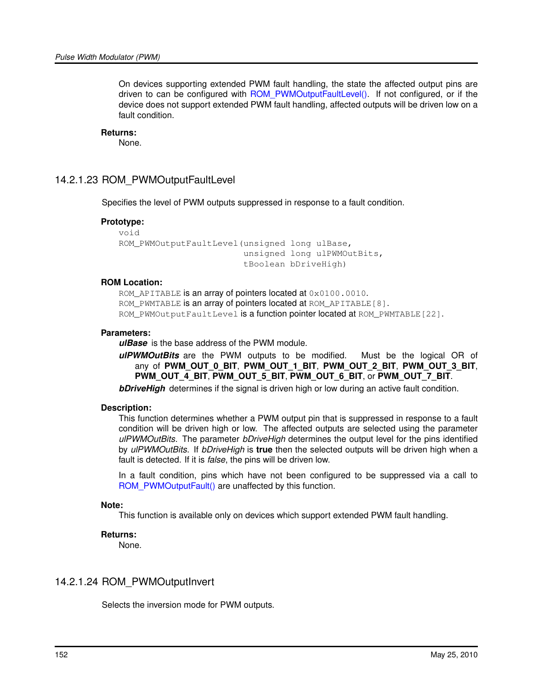On devices supporting extended PWM fault handling, the state the affected output pins are driven to can be configured with ROM PWMOutputFaultLevel(). If not configured, or if the device does not support extended PWM fault handling, affected outputs will be driven low on a fault condition.

### **Returns:**

None.

# <span id="page-151-0"></span>14.2.1.23 ROM\_PWMOutputFaultLevel

Specifies the level of PWM outputs suppressed in response to a fault condition.

## **Prototype:**

void ROM\_PWMOutputFaultLevel(unsigned long ulBase, unsigned long ulPWMOutBits, tBoolean bDriveHigh)

# **ROM Location:**

ROM APITABLE is an array of pointers located at 0x0100.0010. ROM PWMTABLE is an array of pointers located at ROM APITABLE[8]. ROM\_PWMOutputFaultLevel is a function pointer located at ROM\_PWMTABLE[22].

# **Parameters:**

*ulBase* is the base address of the PWM module.

*ulPWMOutBits* are the PWM outputs to be modified. Must be the logical OR of any of **PWM\_OUT\_0\_BIT**, **PWM\_OUT\_1\_BIT**, **PWM\_OUT\_2\_BIT**, **PWM\_OUT\_3\_BIT**, **PWM\_OUT\_4\_BIT**, **PWM\_OUT\_5\_BIT**, **PWM\_OUT\_6\_BIT**, or **PWM\_OUT\_7\_BIT**.

**bDriveHigh** determines if the signal is driven high or low during an active fault condition.

# **Description:**

This function determines whether a PWM output pin that is suppressed in response to a fault condition will be driven high or low. The affected outputs are selected using the parameter *ulPWMOutBits*. The parameter *bDriveHigh* determines the output level for the pins identified by *ulPWMOutBits*. If *bDriveHigh* is **true** then the selected outputs will be driven high when a fault is detected. If it is *false*, the pins will be driven low.

In a fault condition, pins which have not been configured to be suppressed via a call to [ROM\\_PWMOutputFault\(\)](#page-150-0) are unaffected by this function.

# **Note:**

This function is available only on devices which support extended PWM fault handling.

# **Returns:**

None.

# 14.2.1.24 ROM\_PWMOutputInvert

Selects the inversion mode for PWM outputs.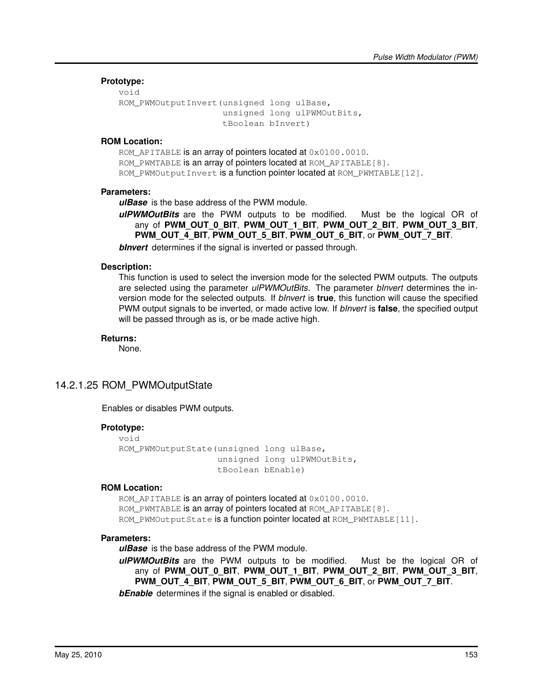## **Prototype:**

```
void
ROM PWMOutputInvert(unsigned long ulBase,
                    unsigned long ulPWMOutBits,
                    tBoolean bInvert)
```
## **ROM Location:**

ROM\_APITABLE is an array of pointers located at  $0 \times 0100$ .0010. ROM\_PWMTABLE is an array of pointers located at ROM\_APITABLE[8]. ROM\_PWMOutputInvert is a function pointer located at ROM\_PWMTABLE[12].

# **Parameters:**

*ulBase* is the base address of the PWM module.

*ulPWMOutBits* are the PWM outputs to be modified. Must be the logical OR of any of **PWM\_OUT\_0\_BIT**, **PWM\_OUT\_1\_BIT**, **PWM\_OUT\_2\_BIT**, **PWM\_OUT\_3\_BIT**, **PWM\_OUT\_4\_BIT**, **PWM\_OUT\_5\_BIT**, **PWM\_OUT\_6\_BIT**, or **PWM\_OUT\_7\_BIT**.

*bInvert* determines if the signal is inverted or passed through.

## **Description:**

This function is used to select the inversion mode for the selected PWM outputs. The outputs are selected using the parameter *ulPWMOutBits*. The parameter *bInvert* determines the inversion mode for the selected outputs. If *bInvert* is **true**, this function will cause the specified PWM output signals to be inverted, or made active low. If *bInvert* is **false**, the specified output will be passed through as is, or be made active high.

#### **Returns:**

None.

# 14.2.1.25 ROM\_PWMOutputState

Enables or disables PWM outputs.

#### **Prototype:**

```
void
ROM_PWMOutputState(unsigned long ulBase,
                   unsigned long ulPWMOutBits,
                   tBoolean bEnable)
```
# **ROM Location:**

ROM APITABLE is an array of pointers located at 0x0100.0010. ROM PWMTABLE is an array of pointers located at ROM APITABLE[8]. ROM PWMOutputState is a function pointer located at ROM PWMTABLE[11].

## **Parameters:**

*ulBase* is the base address of the PWM module.

*ulPWMOutBits* are the PWM outputs to be modified. Must be the logical OR of any of **PWM\_OUT\_0\_BIT**, **PWM\_OUT\_1\_BIT**, **PWM\_OUT\_2\_BIT**, **PWM\_OUT\_3\_BIT**, **PWM\_OUT\_4\_BIT**, **PWM\_OUT\_5\_BIT**, **PWM\_OUT\_6\_BIT**, or **PWM\_OUT\_7\_BIT**. **bEnable** determines if the signal is enabled or disabled.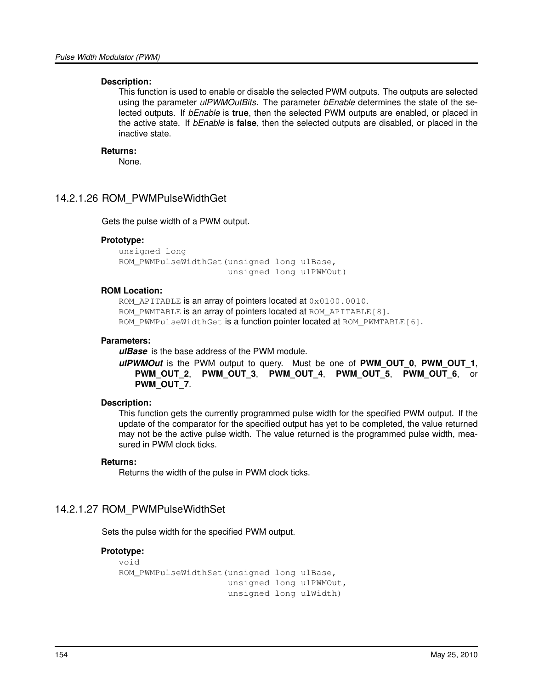This function is used to enable or disable the selected PWM outputs. The outputs are selected using the parameter *ulPWMOutBits*. The parameter *bEnable* determines the state of the selected outputs. If *bEnable* is **true**, then the selected PWM outputs are enabled, or placed in the active state. If *bEnable* is **false**, then the selected outputs are disabled, or placed in the inactive state.

#### **Returns:**

None.

# 14.2.1.26 ROM\_PWMPulseWidthGet

Gets the pulse width of a PWM output.

#### **Prototype:**

unsigned long ROM\_PWMPulseWidthGet(unsigned long ulBase, unsigned long ulPWMOut)

## **ROM Location:**

ROM\_APITABLE is an array of pointers located at  $0 \times 0100$ .0010. ROM PWMTABLE is an array of pointers located at ROM APITABLE[8]. ROM\_PWMPulseWidthGet is a function pointer located at ROM\_PWMTABLE[6].

## **Parameters:**

*ulBase* is the base address of the PWM module.

*ulPWMOut* is the PWM output to query. Must be one of **PWM\_OUT\_0**, **PWM\_OUT\_1**, **PWM\_OUT\_2**, **PWM\_OUT\_3**, **PWM\_OUT\_4**, **PWM\_OUT\_5**, **PWM\_OUT\_6**, or **PWM\_OUT\_7**.

#### **Description:**

This function gets the currently programmed pulse width for the specified PWM output. If the update of the comparator for the specified output has yet to be completed, the value returned may not be the active pulse width. The value returned is the programmed pulse width, measured in PWM clock ticks.

#### **Returns:**

Returns the width of the pulse in PWM clock ticks.

# 14.2.1.27 ROM\_PWMPulseWidthSet

Sets the pulse width for the specified PWM output.

# **Prototype:**

```
void
ROM PWMPulseWidthSet(unsigned long ulBase,
                     unsigned long ulPWMOut,
                     unsigned long ulWidth)
```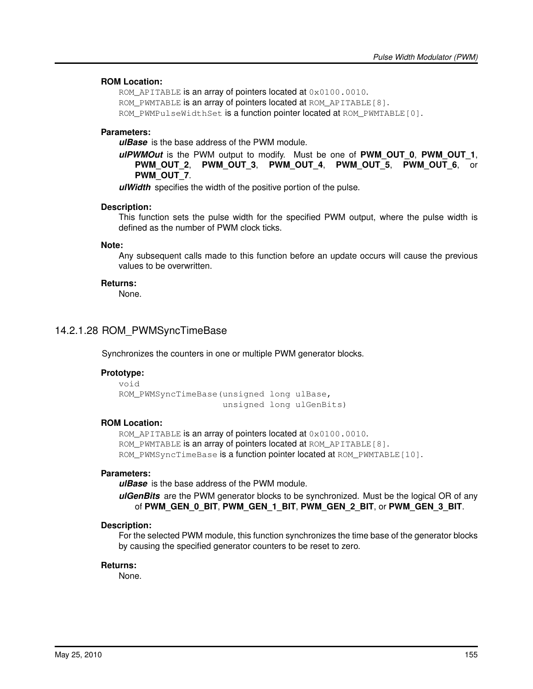# **ROM Location:**

ROM\_APITABLE is an array of pointers located at  $0 \times 0100$ .0010. ROM\_PWMTABLE is an array of pointers located at ROM\_APITABLE[8]. ROM\_PWMPulseWidthSet is a function pointer located at ROM\_PWMTABLE[0].

## **Parameters:**

*ulBase* is the base address of the PWM module.

*ulPWMOut* is the PWM output to modify. Must be one of **PWM\_OUT\_0**, **PWM\_OUT\_1**, **PWM\_OUT\_2**, **PWM\_OUT\_3**, **PWM\_OUT\_4**, **PWM\_OUT\_5**, **PWM\_OUT\_6**, or **PWM\_OUT\_7**.

*ulWidth* specifies the width of the positive portion of the pulse.

#### **Description:**

This function sets the pulse width for the specified PWM output, where the pulse width is defined as the number of PWM clock ticks.

# **Note:**

Any subsequent calls made to this function before an update occurs will cause the previous values to be overwritten.

#### **Returns:**

None.

# 14.2.1.28 ROM\_PWMSyncTimeBase

Synchronizes the counters in one or multiple PWM generator blocks.

## **Prototype:**

```
void
ROM_PWMSyncTimeBase(unsigned long ulBase,
                    unsigned long ulGenBits)
```
## **ROM Location:**

ROM APITABLE is an array of pointers located at  $0 \times 0100$ .0010. ROM\_PWMTABLE is an array of pointers located at ROM\_APITABLE [8]. ROM\_PWMSyncTimeBase is a function pointer located at ROM\_PWMTABLE[10].

# **Parameters:**

*ulBase* is the base address of the PWM module.

*ulGenBits* are the PWM generator blocks to be synchronized. Must be the logical OR of any of **PWM\_GEN\_0\_BIT**, **PWM\_GEN\_1\_BIT**, **PWM\_GEN\_2\_BIT**, or **PWM\_GEN\_3\_BIT**.

#### **Description:**

For the selected PWM module, this function synchronizes the time base of the generator blocks by causing the specified generator counters to be reset to zero.

# **Returns:**

None.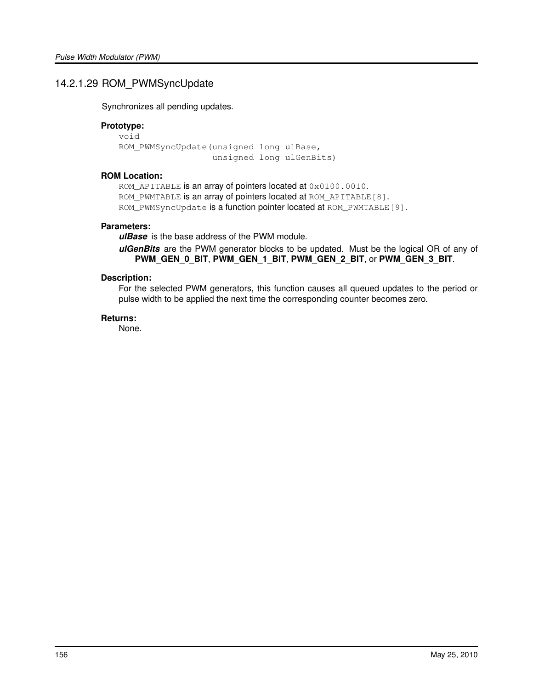# 14.2.1.29 ROM\_PWMSyncUpdate

Synchronizes all pending updates.

# **Prototype:**

```
void
ROM_PWMSyncUpdate(unsigned long ulBase,
                  unsigned long ulGenBits)
```
# **ROM Location:**

ROM\_APITABLE is an array of pointers located at  $0 \times 0100$ .0010. ROM\_PWMTABLE is an array of pointers located at ROM\_APITABLE [8]. ROM\_PWMSyncUpdate is a function pointer located at ROM\_PWMTABLE [9].

# **Parameters:**

*ulBase* is the base address of the PWM module.

*ulGenBits* are the PWM generator blocks to be updated. Must be the logical OR of any of **PWM\_GEN\_0\_BIT**, **PWM\_GEN\_1\_BIT**, **PWM\_GEN\_2\_BIT**, or **PWM\_GEN\_3\_BIT**.

# **Description:**

For the selected PWM generators, this function causes all queued updates to the period or pulse width to be applied the next time the corresponding counter becomes zero.

# **Returns:**

None.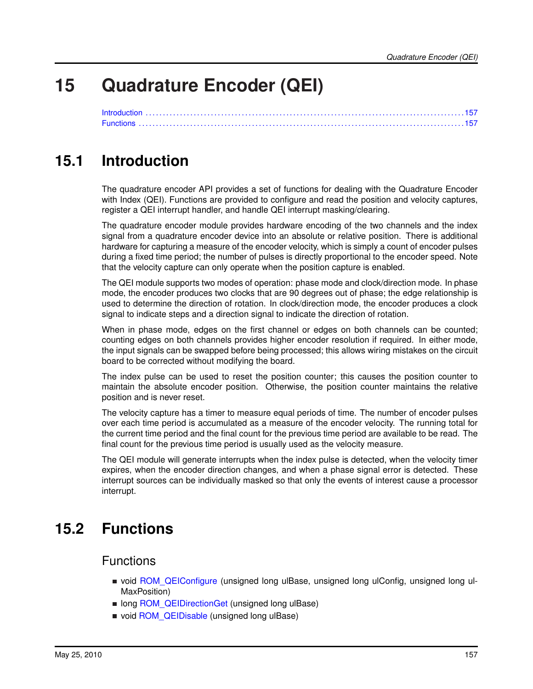# **15 Quadrature Encoder (QEI)**

<span id="page-156-0"></span>

# <span id="page-156-1"></span>**15.1 Introduction**

The quadrature encoder API provides a set of functions for dealing with the Quadrature Encoder with Index (QEI). Functions are provided to configure and read the position and velocity captures, register a QEI interrupt handler, and handle QEI interrupt masking/clearing.

The quadrature encoder module provides hardware encoding of the two channels and the index signal from a quadrature encoder device into an absolute or relative position. There is additional hardware for capturing a measure of the encoder velocity, which is simply a count of encoder pulses during a fixed time period; the number of pulses is directly proportional to the encoder speed. Note that the velocity capture can only operate when the position capture is enabled.

The QEI module supports two modes of operation: phase mode and clock/direction mode. In phase mode, the encoder produces two clocks that are 90 degrees out of phase; the edge relationship is used to determine the direction of rotation. In clock/direction mode, the encoder produces a clock signal to indicate steps and a direction signal to indicate the direction of rotation.

When in phase mode, edges on the first channel or edges on both channels can be counted; counting edges on both channels provides higher encoder resolution if required. In either mode, the input signals can be swapped before being processed; this allows wiring mistakes on the circuit board to be corrected without modifying the board.

The index pulse can be used to reset the position counter; this causes the position counter to maintain the absolute encoder position. Otherwise, the position counter maintains the relative position and is never reset.

The velocity capture has a timer to measure equal periods of time. The number of encoder pulses over each time period is accumulated as a measure of the encoder velocity. The running total for the current time period and the final count for the previous time period are available to be read. The final count for the previous time period is usually used as the velocity measure.

<span id="page-156-2"></span>The QEI module will generate interrupts when the index pulse is detected, when the velocity timer expires, when the encoder direction changes, and when a phase signal error is detected. These interrupt sources can be individually masked so that only the events of interest cause a processor interrupt.

# <span id="page-156-3"></span>**15.2 Functions**

# Functions

- void [ROM\\_QEIConfigure](#page-157-0) (unsigned long ulBase, unsigned long ulConfig, unsigned long ul-MaxPosition)
- long [ROM\\_QEIDirectionGet](#page-158-0) (unsigned long ulBase)
- void [ROM\\_QEIDisable](#page-158-1) (unsigned long ulBase)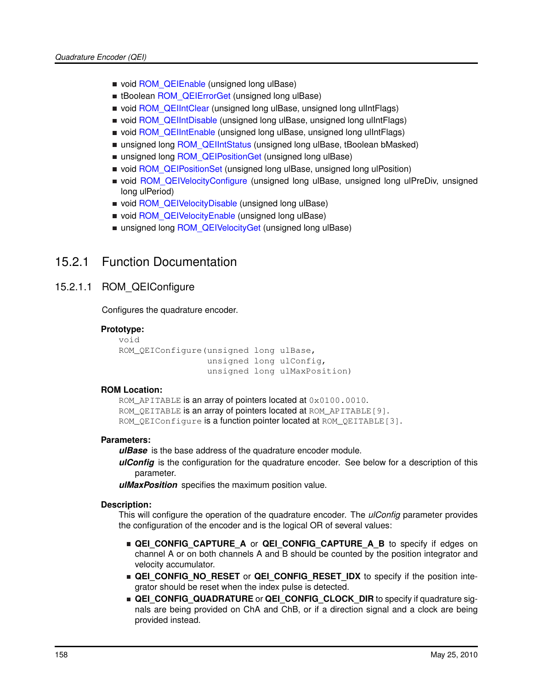- void [ROM\\_QEIEnable](#page-159-0) (unsigned long ulBase)
- tBoolean [ROM\\_QEIErrorGet](#page-159-1) (unsigned long ulBase)
- void [ROM\\_QEIIntClear](#page-159-2) (unsigned long ulBase, unsigned long ulIntFlags)
- void [ROM\\_QEIIntDisable](#page-160-0) (unsigned long ulBase, unsigned long ulIntFlags)
- void ROM QEIIntEnable (unsigned long ulBase, unsigned long ulIntFlags)
- unsigned long [ROM\\_QEIIntStatus](#page-161-1) (unsigned long ulBase, tBoolean bMasked)
- unsigned long [ROM\\_QEIPositionGet](#page-162-0) (unsigned long ulBase)
- void ROM QEIPositionSet (unsigned long ulBase, unsigned long ulPosition)
- void [ROM\\_QEIVelocityConfigure](#page-163-0) (unsigned long ulBase, unsigned long ulPreDiv, unsigned long ulPeriod)
- void ROM QEIVelocityDisable (unsigned long ulBase)
- void [ROM\\_QEIVelocityEnable](#page-164-0) (unsigned long ulBase)
- unsigned long [ROM\\_QEIVelocityGet](#page-164-1) (unsigned long ulBase)

# 15.2.1 Function Documentation

# <span id="page-157-0"></span>15.2.1.1 ROM\_QEIConfigure

Configures the quadrature encoder.

# **Prototype:**

```
void
ROM QEIConfigure(unsigned long ulBase,
                 unsigned long ulConfig,
                 unsigned long ulMaxPosition)
```
# **ROM Location:**

ROM\_APITABLE is an array of pointers located at  $0 \times 0100$ .0010. ROM QEITABLE is an array of pointers located at ROM APITABLE[9]. ROM\_QEIConfigure is a function pointer located at ROM\_QEITABLE[3].

# **Parameters:**

*ulBase* is the base address of the quadrature encoder module.

*ulConfig* is the configuration for the quadrature encoder. See below for a description of this parameter.

*ulMaxPosition* specifies the maximum position value.

# **Description:**

This will configure the operation of the quadrature encoder. The *ulConfig* parameter provides the configuration of the encoder and is the logical OR of several values:

- **QEI CONFIG CAPTURE A** or **QEI CONFIG CAPTURE A B** to specify if edges on channel A or on both channels A and B should be counted by the position integrator and velocity accumulator.
- **QEI CONFIG NO RESET** or **QEI CONFIG RESET IDX** to specify if the position integrator should be reset when the index pulse is detected.
- **QEI\_CONFIG\_QUADRATURE** or **QEI\_CONFIG\_CLOCK\_DIR** to specify if quadrature signals are being provided on ChA and ChB, or if a direction signal and a clock are being provided instead.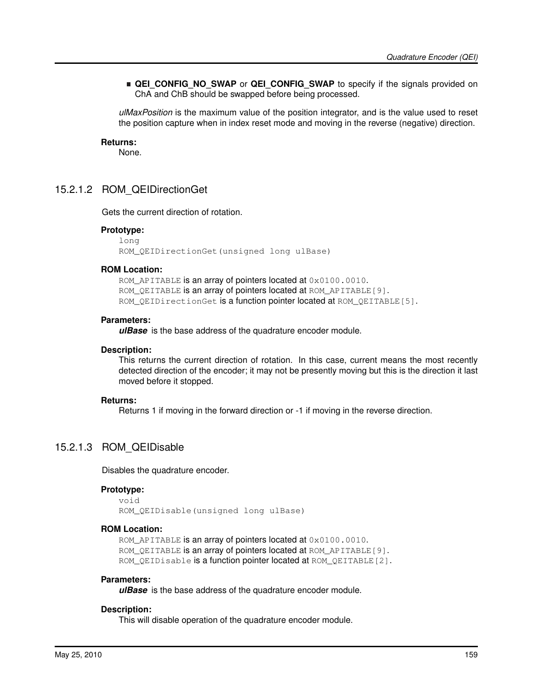**QEI CONFIG NO SWAP** or **QEI CONFIG SWAP** to specify if the signals provided on ChA and ChB should be swapped before being processed.

*ulMaxPosition* is the maximum value of the position integrator, and is the value used to reset the position capture when in index reset mode and moving in the reverse (negative) direction.

#### **Returns:**

None.

# <span id="page-158-0"></span>15.2.1.2 ROM\_QEIDirectionGet

Gets the current direction of rotation.

#### **Prototype:**

```
long
ROM_QEIDirectionGet(unsigned long ulBase)
```
#### **ROM Location:**

ROM APITABLE is an array of pointers located at 0x0100.0010. ROM\_QEITABLE is an array of pointers located at ROM\_APITABLE[9]. ROM\_QEIDirectionGet is a function pointer located at ROM\_QEITABLE[5].

## **Parameters:**

*ulBase* is the base address of the quadrature encoder module.

## **Description:**

This returns the current direction of rotation. In this case, current means the most recently detected direction of the encoder; it may not be presently moving but this is the direction it last moved before it stopped.

#### **Returns:**

Returns 1 if moving in the forward direction or -1 if moving in the reverse direction.

# <span id="page-158-1"></span>15.2.1.3 ROM\_QEIDisable

Disables the quadrature encoder.

#### **Prototype:**

```
void
ROM_QEIDisable(unsigned long ulBase)
```
#### **ROM Location:**

ROM\_APITABLE is an array of pointers located at  $0 \times 0100$ .0010. ROM\_QEITABLE is an array of pointers located at ROM\_APITABLE[9]. ROM\_QEIDisable is a function pointer located at ROM\_QEITABLE[2].

#### **Parameters:**

*ulBase* is the base address of the quadrature encoder module.

#### **Description:**

This will disable operation of the quadrature encoder module.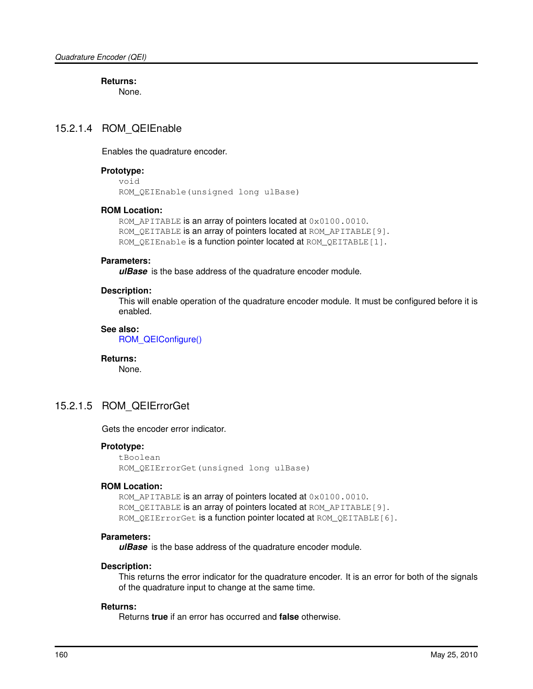**Returns:**

None.

# <span id="page-159-0"></span>15.2.1.4 ROM\_QEIEnable

Enables the quadrature encoder.

## **Prototype:**

void ROM\_QEIEnable(unsigned long ulBase)

# **ROM Location:**

ROM\_APITABLE is an array of pointers located at  $0 \times 0100$ .0010. ROM QEITABLE is an array of pointers located at ROM APITABLE[9]. ROM\_QEIEnable is a function pointer located at ROM\_QEITABLE[1].

# **Parameters:**

*ulBase* is the base address of the quadrature encoder module.

#### **Description:**

This will enable operation of the quadrature encoder module. It must be configured before it is enabled.

# **See also:**

[ROM\\_QEIConfigure\(\)](#page-157-0)

## **Returns:**

None.

# <span id="page-159-1"></span>15.2.1.5 ROM\_QEIErrorGet

Gets the encoder error indicator.

# **Prototype:**

tBoolean ROM\_QEIErrorGet(unsigned long ulBase)

## **ROM Location:**

ROM\_APITABLE is an array of pointers located at  $0 \times 0100$ .0010. ROM\_QEITABLE is an array of pointers located at ROM\_APITABLE[9]. ROM\_QEIErrorGet is a function pointer located at ROM\_QEITABLE[6].

## **Parameters:**

*ulBase* is the base address of the quadrature encoder module.

#### **Description:**

This returns the error indicator for the quadrature encoder. It is an error for both of the signals of the quadrature input to change at the same time.

#### <span id="page-159-2"></span>**Returns:**

Returns **true** if an error has occurred and **false** otherwise.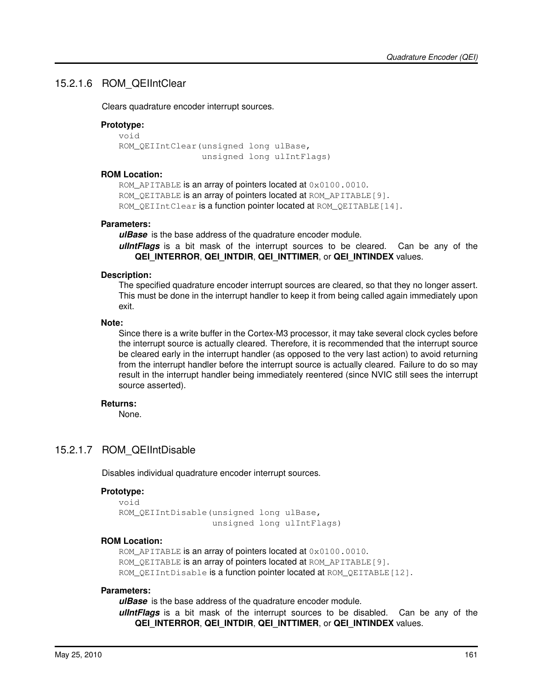# 15.2.1.6 ROM\_QEIIntClear

Clears quadrature encoder interrupt sources.

# **Prototype:**

```
void
ROM_QEIIntClear(unsigned long ulBase,
                unsigned long ulIntFlags)
```
# **ROM Location:**

ROM\_APITABLE is an array of pointers located at  $0 \times 0100$ .0010. ROM\_QEITABLE is an array of pointers located at ROM\_APITABLE[9]. ROM\_QEIIntClear is a function pointer located at ROM\_QEITABLE[14].

## **Parameters:**

*ulBase* is the base address of the quadrature encoder module.

*ulIntFlags* is a bit mask of the interrupt sources to be cleared. Can be any of the **QEI\_INTERROR**, **QEI\_INTDIR**, **QEI\_INTTIMER**, or **QEI\_INTINDEX** values.

# **Description:**

The specified quadrature encoder interrupt sources are cleared, so that they no longer assert. This must be done in the interrupt handler to keep it from being called again immediately upon exit.

# **Note:**

Since there is a write buffer in the Cortex-M3 processor, it may take several clock cycles before the interrupt source is actually cleared. Therefore, it is recommended that the interrupt source be cleared early in the interrupt handler (as opposed to the very last action) to avoid returning from the interrupt handler before the interrupt source is actually cleared. Failure to do so may result in the interrupt handler being immediately reentered (since NVIC still sees the interrupt source asserted).

# **Returns:**

None.

# <span id="page-160-0"></span>15.2.1.7 ROM\_QEIIntDisable

Disables individual quadrature encoder interrupt sources.

# **Prototype:**

```
void
ROM_QEIIntDisable(unsigned long ulBase,
                  unsigned long ulIntFlags)
```
# **ROM Location:**

ROM\_APITABLE is an array of pointers located at  $0 \times 0100$ .0010. ROM\_QEITABLE is an array of pointers located at ROM\_APITABLE[9]. ROM\_QEIIntDisable is a function pointer located at ROM\_QEITABLE[12].

# **Parameters:**

*ulBase* is the base address of the quadrature encoder module.

*ulIntFlags* is a bit mask of the interrupt sources to be disabled. Can be any of the **QEI\_INTERROR**, **QEI\_INTDIR**, **QEI\_INTTIMER**, or **QEI\_INTINDEX** values.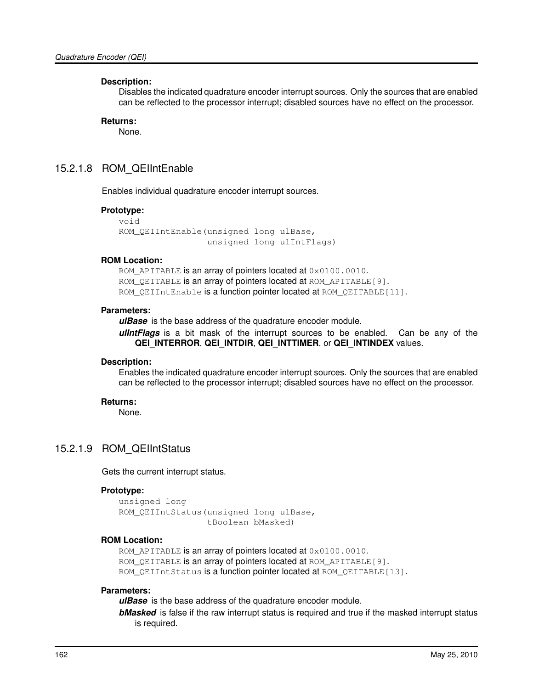Disables the indicated quadrature encoder interrupt sources. Only the sources that are enabled can be reflected to the processor interrupt; disabled sources have no effect on the processor.

#### **Returns:**

None.

# <span id="page-161-0"></span>15.2.1.8 ROM\_QEIIntEnable

Enables individual quadrature encoder interrupt sources.

## **Prototype:**

```
void
ROM QEIIntEnable(unsigned long ulBase,
                 unsigned long ulIntFlags)
```
## **ROM Location:**

ROM APITABLE is an array of pointers located at 0x0100.0010. ROM\_QEITABLE is an array of pointers located at ROM\_APITABLE[9]. ROM\_QEIIntEnable is a function pointer located at ROM\_QEITABLE[11].

#### **Parameters:**

*ulBase* is the base address of the quadrature encoder module.

*ulIntFlags* is a bit mask of the interrupt sources to be enabled. Can be any of the **QEI\_INTERROR**, **QEI\_INTDIR**, **QEI\_INTTIMER**, or **QEI\_INTINDEX** values.

#### **Description:**

Enables the indicated quadrature encoder interrupt sources. Only the sources that are enabled can be reflected to the processor interrupt; disabled sources have no effect on the processor.

# **Returns:**

None.

# <span id="page-161-1"></span>15.2.1.9 ROM\_QEIIntStatus

Gets the current interrupt status.

#### **Prototype:**

```
unsigned long
ROM_QEIIntStatus(unsigned long ulBase,
                 tBoolean bMasked)
```
# **ROM Location:**

ROM\_APITABLE is an array of pointers located at  $0 \times 0100$ .0010. ROM\_QEITABLE is an array of pointers located at ROM\_APITABLE[9]. ROM OEIIntStatus is a function pointer located at ROM\_OEITABLE[13].

#### **Parameters:**

*ulBase* is the base address of the quadrature encoder module.

*bMasked* is false if the raw interrupt status is required and true if the masked interrupt status is required.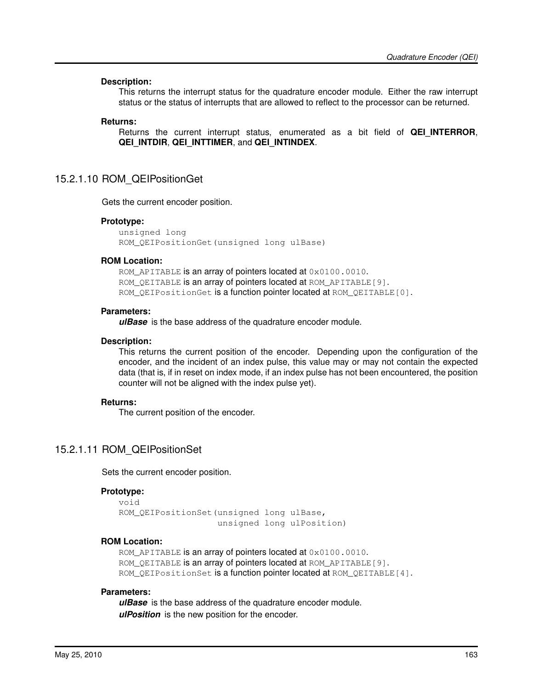This returns the interrupt status for the quadrature encoder module. Either the raw interrupt status or the status of interrupts that are allowed to reflect to the processor can be returned.

#### **Returns:**

Returns the current interrupt status, enumerated as a bit field of **QEI\_INTERROR**, **QEI\_INTDIR**, **QEI\_INTTIMER**, and **QEI\_INTINDEX**.

# <span id="page-162-0"></span>15.2.1.10 ROM\_QEIPositionGet

Gets the current encoder position.

## **Prototype:**

```
unsigned long
ROM_QEIPositionGet(unsigned long ulBase)
```
#### **ROM Location:**

ROM\_APITABLE is an array of pointers located at  $0 \times 0100$ .0010. ROM\_QEITABLE is an array of pointers located at ROM\_APITABLE[9]. ROM\_QEIPositionGet is a function pointer located at ROM\_QEITABLE[0].

#### **Parameters:**

*ulBase* is the base address of the quadrature encoder module.

#### **Description:**

This returns the current position of the encoder. Depending upon the configuration of the encoder, and the incident of an index pulse, this value may or may not contain the expected data (that is, if in reset on index mode, if an index pulse has not been encountered, the position counter will not be aligned with the index pulse yet).

## **Returns:**

The current position of the encoder.

# <span id="page-162-1"></span>15.2.1.11 ROM\_QEIPositionSet

Sets the current encoder position.

#### **Prototype:**

```
void
ROM_QEIPositionSet(unsigned long ulBase,
                   unsigned long ulPosition)
```
## **ROM Location:**

ROM\_APITABLE is an array of pointers located at  $0 \times 0100$ .0010. ROM\_QEITABLE is an array of pointers located at ROM\_APITABLE[9]. ROM\_QEIPositionSet is a function pointer located at ROM\_QEITABLE[4].

#### **Parameters:**

*ulBase* is the base address of the quadrature encoder module. *ulPosition* is the new position for the encoder.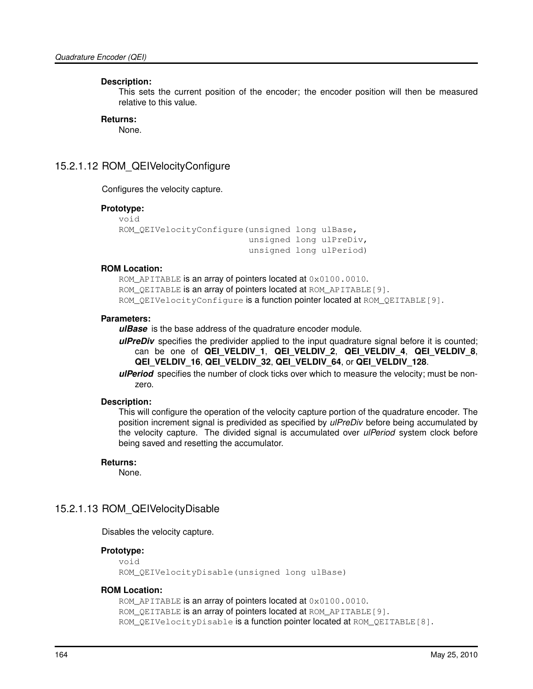This sets the current position of the encoder; the encoder position will then be measured relative to this value.

#### **Returns:**

None.

# <span id="page-163-0"></span>15.2.1.12 ROM\_QEIVelocityConfigure

Configures the velocity capture.

#### **Prototype:**

```
void
ROM_QEIVelocityConfigure(unsigned long ulBase,
                         unsigned long ulPreDiv,
                          unsigned long ulPeriod)
```
## **ROM Location:**

ROM APITABLE is an array of pointers located at  $0 \times 0100$ .0010. ROM QEITABLE is an array of pointers located at ROM APITABLE[9]. ROM\_QEIVelocityConfigure is a function pointer located at ROM\_QEITABLE[9].

#### **Parameters:**

*ulBase* is the base address of the quadrature encoder module.

*ulPreDiv* specifies the predivider applied to the input quadrature signal before it is counted; can be one of **QEI\_VELDIV\_1**, **QEI\_VELDIV\_2**, **QEI\_VELDIV\_4**, **QEI\_VELDIV\_8**, **QEI\_VELDIV\_16**, **QEI\_VELDIV\_32**, **QEI\_VELDIV\_64**, or **QEI\_VELDIV\_128**.

*ulPeriod* specifies the number of clock ticks over which to measure the velocity; must be nonzero.

# **Description:**

This will configure the operation of the velocity capture portion of the quadrature encoder. The position increment signal is predivided as specified by *ulPreDiv* before being accumulated by the velocity capture. The divided signal is accumulated over *ulPeriod* system clock before being saved and resetting the accumulator.

#### **Returns:**

None.

# <span id="page-163-1"></span>15.2.1.13 ROM\_QEIVelocityDisable

Disables the velocity capture.

## **Prototype:**

```
void
ROM_QEIVelocityDisable(unsigned long ulBase)
```
#### **ROM Location:**

```
ROM_APITABLE is an array of pointers located at 0 \times 0100.0010.
ROM_QEITABLE is an array of pointers located at ROM_APITABLE[9].
ROM_QEIVelocityDisable is a function pointer located at ROM_QEITABLE[8].
```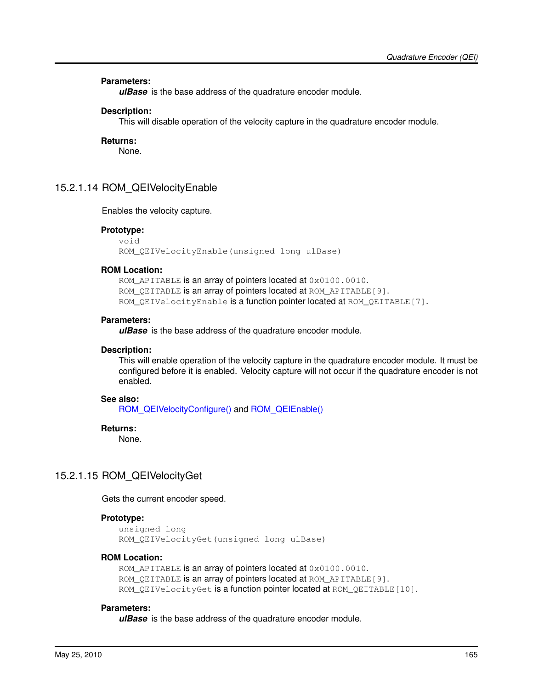#### **Parameters:**

*ulBase* is the base address of the quadrature encoder module.

#### **Description:**

This will disable operation of the velocity capture in the quadrature encoder module.

#### **Returns:**

None.

# <span id="page-164-0"></span>15.2.1.14 ROM\_QEIVelocityEnable

Enables the velocity capture.

#### **Prototype:**

void ROM\_QEIVelocityEnable(unsigned long ulBase)

#### **ROM Location:**

ROM APITABLE is an array of pointers located at 0x0100.0010. ROM\_QEITABLE is an array of pointers located at ROM\_APITABLE[9]. ROM\_QEIVelocityEnable is a function pointer located at ROM\_QEITABLE[7].

#### **Parameters:**

*ulBase* is the base address of the quadrature encoder module.

#### **Description:**

This will enable operation of the velocity capture in the quadrature encoder module. It must be configured before it is enabled. Velocity capture will not occur if the quadrature encoder is not enabled.

#### **See also:**

[ROM\\_QEIVelocityConfigure\(\)](#page-163-0) and [ROM\\_QEIEnable\(\)](#page-159-0)

#### **Returns:**

None.

# <span id="page-164-1"></span>15.2.1.15 ROM\_QEIVelocityGet

Gets the current encoder speed.

## **Prototype:**

```
unsigned long
ROM_QEIVelocityGet(unsigned long ulBase)
```
#### **ROM Location:**

ROM\_APITABLE is an array of pointers located at  $0 \times 0100$ .0010. ROM OEITABLE is an array of pointers located at ROM APITABLE[9]. ROM\_QEIVelocityGet is a function pointer located at ROM\_QEITABLE[10].

## **Parameters:**

*ulBase* is the base address of the quadrature encoder module.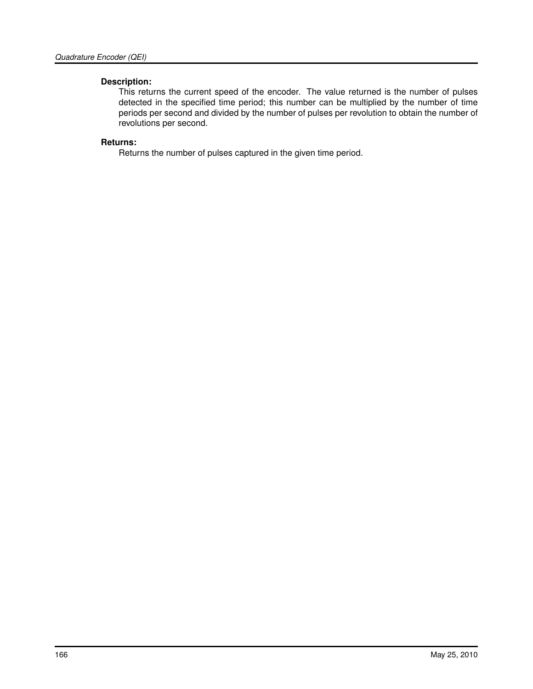This returns the current speed of the encoder. The value returned is the number of pulses detected in the specified time period; this number can be multiplied by the number of time periods per second and divided by the number of pulses per revolution to obtain the number of revolutions per second.

# **Returns:**

Returns the number of pulses captured in the given time period.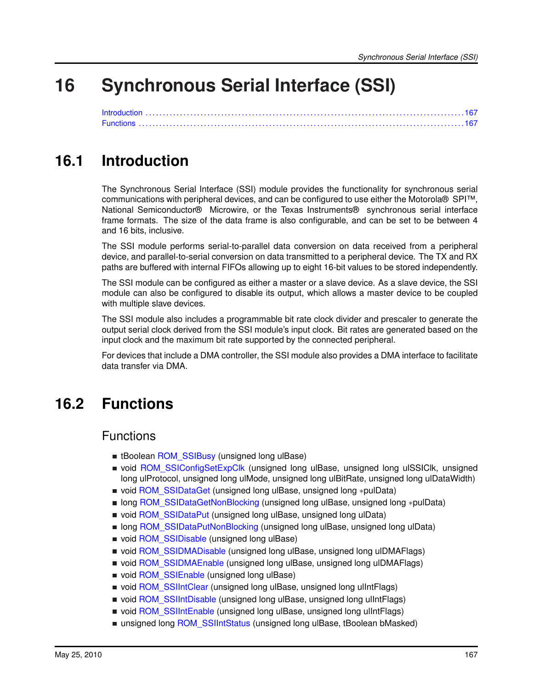# **16 Synchronous Serial Interface (SSI)**

<span id="page-166-0"></span>[Introduction . . . . . . . . . . . . . . . . . . . . . . . . . . . . . . . . . . . . . . . . . . . . . . . . . . . . . . . . . . . . . . . . . . . . . . . . . . . . . . . . . . . . . . . . . . . . .167](#page-166-0) [Functions . . . . . . . . . . . . . . . . . . . . . . . . . . . . . . . . . . . . . . . . . . . . . . . . . . . . . . . . . . . . . . . . . . . . . . . . . . . . . . . . . . . . . . . . . . . . . . .167](#page-166-2)

# <span id="page-166-1"></span>**16.1 Introduction**

The Synchronous Serial Interface (SSI) module provides the functionality for synchronous serial communications with peripheral devices, and can be configured to use either the Motorola® SPI™, National Semiconductor® Microwire, or the Texas Instruments® synchronous serial interface frame formats. The size of the data frame is also configurable, and can be set to be between 4 and 16 bits, inclusive.

The SSI module performs serial-to-parallel data conversion on data received from a peripheral device, and parallel-to-serial conversion on data transmitted to a peripheral device. The TX and RX paths are buffered with internal FIFOs allowing up to eight 16-bit values to be stored independently.

The SSI module can be configured as either a master or a slave device. As a slave device, the SSI module can also be configured to disable its output, which allows a master device to be coupled with multiple slave devices.

The SSI module also includes a programmable bit rate clock divider and prescaler to generate the output serial clock derived from the SSI module's input clock. Bit rates are generated based on the input clock and the maximum bit rate supported by the connected peripheral.

<span id="page-166-2"></span>For devices that include a DMA controller, the SSI module also provides a DMA interface to facilitate data transfer via DMA.

# <span id="page-166-3"></span>**16.2 Functions**

# Functions

- tBoolean ROM SSIBusy (unsigned long ulBase)
- void [ROM\\_SSIConfigSetExpClk](#page-167-1) (unsigned long ulBase, unsigned long ulSSIClk, unsigned long ulProtocol, unsigned long ulMode, unsigned long ulBitRate, unsigned long ulDataWidth)
- void ROM SSIDataGet (unsigned long ulBase, unsigned long ∗pulData)
- **long [ROM\\_SSIDataGetNonBlocking](#page-169-0) (unsigned long ulBase, unsigned long ∗pulData)**
- void [ROM\\_SSIDataPut](#page-169-1) (unsigned long ulBase, unsigned long ulData)
- long [ROM\\_SSIDataPutNonBlocking](#page-170-0) (unsigned long ulBase, unsigned long ulData)
- void [ROM\\_SSIDisable](#page-170-1) (unsigned long ulBase)
- void [ROM\\_SSIDMADisable](#page-171-0) (unsigned long ulBase, unsigned long ulDMAFlags)
- void [ROM\\_SSIDMAEnable](#page-171-1) (unsigned long ulBase, unsigned long ulDMAFlags)
- void [ROM\\_SSIEnable](#page-172-0) (unsigned long ulBase)
- void [ROM\\_SSIIntClear](#page-172-1) (unsigned long ulBase, unsigned long ulIntFlags)
- void ROM SSIIntDisable (unsigned long ulBase, unsigned long ulIntFlags)
- void [ROM\\_SSIIntEnable](#page-174-0) (unsigned long ulBase, unsigned long ulIntFlags)
- unsigned long [ROM\\_SSIIntStatus](#page-174-1) (unsigned long ulBase, tBoolean bMasked)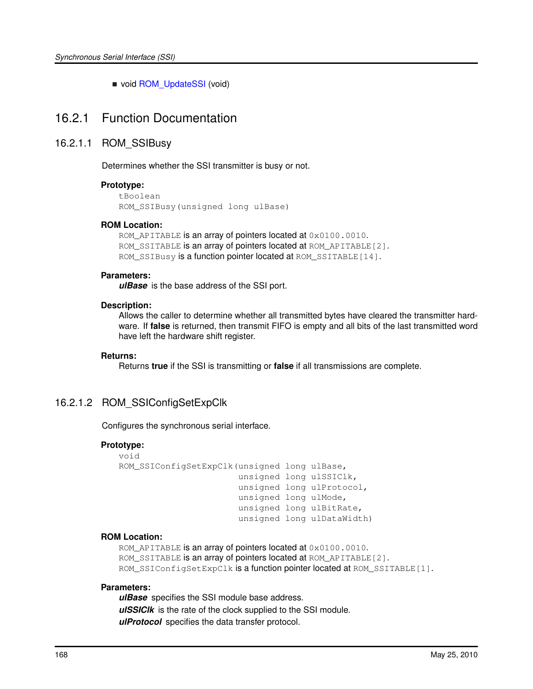void [ROM\\_UpdateSSI](#page-175-0) (void)

# 16.2.1 Function Documentation

# <span id="page-167-0"></span>16.2.1.1 ROM\_SSIBusy

Determines whether the SSI transmitter is busy or not.

# **Prototype:**

```
tBoolean
ROM_SSIBusy(unsigned long ulBase)
```
# **ROM Location:**

ROM APITABLE is an array of pointers located at  $0 \times 0100$ .0010. ROM SSITABLE is an array of pointers located at ROM APITABLE[2]. ROM\_SSIBusy is a function pointer located at ROM\_SSITABLE[14].

# **Parameters:**

*ulBase* is the base address of the SSI port.

# **Description:**

Allows the caller to determine whether all transmitted bytes have cleared the transmitter hardware. If **false** is returned, then transmit FIFO is empty and all bits of the last transmitted word have left the hardware shift register.

# **Returns:**

Returns **true** if the SSI is transmitting or **false** if all transmissions are complete.

# <span id="page-167-1"></span>16.2.1.2 ROM\_SSIConfigSetExpClk

Configures the synchronous serial interface.

# **Prototype:**

```
void
ROM_SSIConfigSetExpClk(unsigned long ulBase,
                       unsigned long ulSSIClk,
                       unsigned long ulProtocol,
                       unsigned long ulMode,
                       unsigned long ulBitRate,
                       unsigned long ulDataWidth)
```
# **ROM Location:**

ROM\_APITABLE is an array of pointers located at  $0 \times 0100$ .0010. ROM SSITABLE is an array of pointers located at ROM APITABLE[2]. ROM\_SSIConfigSetExpClk is a function pointer located at ROM\_SSITABLE[1].

# **Parameters:**

*ulBase* specifies the SSI module base address. *ulSSIClk* is the rate of the clock supplied to the SSI module. *ulProtocol* specifies the data transfer protocol.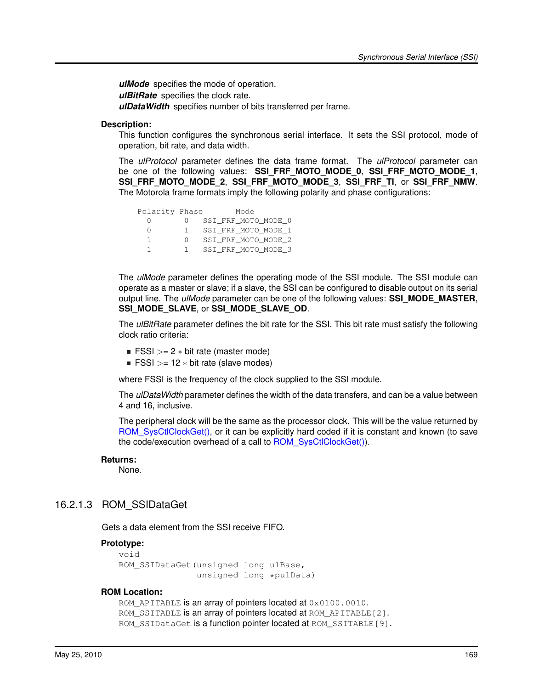*ulMode* specifies the mode of operation. *ulBitRate* specifies the clock rate. *ulDataWidth* specifies number of bits transferred per frame.

#### **Description:**

This function configures the synchronous serial interface. It sets the SSI protocol, mode of operation, bit rate, and data width.

The *ulProtocol* parameter defines the data frame format. The *ulProtocol* parameter can be one of the following values: **SSI\_FRF\_MOTO\_MODE\_0**, **SSI\_FRF\_MOTO\_MODE\_1**, **SSI\_FRF\_MOTO\_MODE\_2**, **SSI\_FRF\_MOTO\_MODE\_3**, **SSI\_FRF\_TI**, or **SSI\_FRF\_NMW**. The Motorola frame formats imply the following polarity and phase configurations:

| Polarity Phase | Mode                |
|----------------|---------------------|
|                | SSI FRF MOTO MODE 0 |
| O              | SSI FRF MOTO MODE 1 |
|                | SSI FRF MOTO MODE 2 |
|                | SSI FRF MOTO MODE 3 |

The *ulMode* parameter defines the operating mode of the SSI module. The SSI module can operate as a master or slave; if a slave, the SSI can be configured to disable output on its serial output line. The *ulMode* parameter can be one of the following values: **SSI\_MODE\_MASTER**, **SSI\_MODE\_SLAVE**, or **SSI\_MODE\_SLAVE\_OD**.

The *ulBitRate* parameter defines the bit rate for the SSI. This bit rate must satisfy the following clock ratio criteria:

- **FSSI**  $> = 2$   $*$  bit rate (master mode)
- **FSSI**  $>$  = 12  $*$  bit rate (slave modes)

where FSSI is the frequency of the clock supplied to the SSI module.

The *ulDataWidth* parameter defines the width of the data transfers, and can be a value between 4 and 16, inclusive.

The peripheral clock will be the same as the processor clock. This will be the value returned by ROM SysCtlClockGet(), or it can be explicitly hard coded if it is constant and known (to save the code/execution overhead of a call to [ROM\\_SysCtlClockGet\(\)\)](#page-178-0).

#### **Returns:**

None.

# <span id="page-168-0"></span>16.2.1.3 ROM\_SSIDataGet

Gets a data element from the SSI receive FIFO.

#### **Prototype:**

```
void
ROM_SSIDataGet(unsigned long ulBase,
               unsigned long *pulData)
```
### **ROM Location:**

ROM\_APITABLE is an array of pointers located at  $0 \times 0100$ .0010. ROM SSITABLE is an array of pointers located at ROM APITABLE[2]. ROM SSIDataGet is a function pointer located at ROM SSITABLE[9].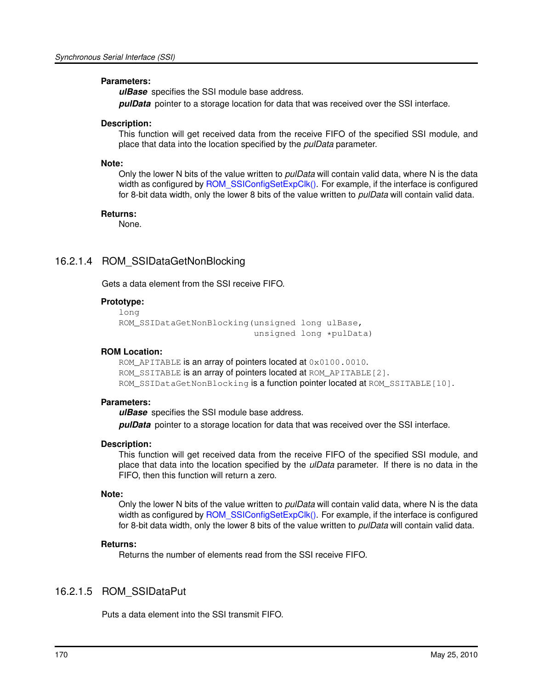# **Parameters:**

*ulBase* specifies the SSI module base address.

*pulData* pointer to a storage location for data that was received over the SSI interface.

# **Description:**

This function will get received data from the receive FIFO of the specified SSI module, and place that data into the location specified by the *pulData* parameter.

# **Note:**

Only the lower N bits of the value written to *pulData* will contain valid data, where N is the data width as configured by [ROM\\_SSIConfigSetExpClk\(\).](#page-167-1) For example, if the interface is configured for 8-bit data width, only the lower 8 bits of the value written to *pulData* will contain valid data.

# **Returns:**

None.

# <span id="page-169-0"></span>16.2.1.4 ROM\_SSIDataGetNonBlocking

Gets a data element from the SSI receive FIFO.

# **Prototype:**

```
long
ROM_SSIDataGetNonBlocking(unsigned long ulBase,
                           unsigned long *pulData)
```
# **ROM Location:**

ROM\_APITABLE is an array of pointers located at  $0 \times 0100$ .0010. ROM\_SSITABLE is an array of pointers located at ROM\_APITABLE[2]. ROM\_SSIDataGetNonBlocking is a function pointer located at ROM\_SSITABLE[10].

# **Parameters:**

*ulBase* specifies the SSI module base address. *pulData* pointer to a storage location for data that was received over the SSI interface.

# **Description:**

This function will get received data from the receive FIFO of the specified SSI module, and place that data into the location specified by the *ulData* parameter. If there is no data in the FIFO, then this function will return a zero.

# **Note:**

Only the lower N bits of the value written to *pulData* will contain valid data, where N is the data width as configured by [ROM\\_SSIConfigSetExpClk\(\).](#page-167-1) For example, if the interface is configured for 8-bit data width, only the lower 8 bits of the value written to *pulData* will contain valid data.

# **Returns:**

Returns the number of elements read from the SSI receive FIFO.

# <span id="page-169-1"></span>16.2.1.5 ROM\_SSIDataPut

Puts a data element into the SSI transmit FIFO.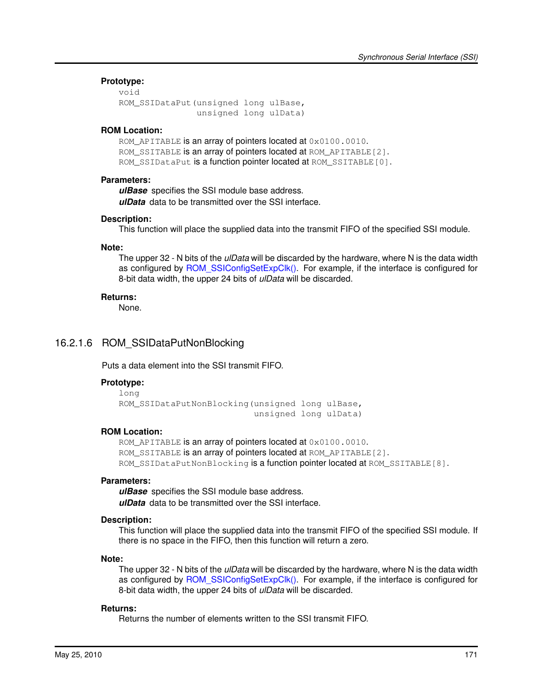# **Prototype:**

```
void
ROM_SSIDataPut(unsigned long ulBase,
               unsigned long ulData)
```
#### **ROM Location:**

ROM\_APITABLE is an array of pointers located at  $0 \times 0100$ .0010. ROM\_SSITABLE is an array of pointers located at ROM\_APITABLE[2]. ROM\_SSIDataPut is a function pointer located at ROM\_SSITABLE[0].

#### **Parameters:**

*ulBase* specifies the SSI module base address. *ulData* data to be transmitted over the SSI interface.

#### **Description:**

This function will place the supplied data into the transmit FIFO of the specified SSI module.

#### **Note:**

The upper 32 - N bits of the *ulData* will be discarded by the hardware, where N is the data width as configured by [ROM\\_SSIConfigSetExpClk\(\).](#page-167-1) For example, if the interface is configured for 8-bit data width, the upper 24 bits of *ulData* will be discarded.

#### **Returns:**

None.

# <span id="page-170-0"></span>16.2.1.6 ROM\_SSIDataPutNonBlocking

Puts a data element into the SSI transmit FIFO.

#### **Prototype:**

```
long
ROM_SSIDataPutNonBlocking(unsigned long ulBase,
                          unsigned long ulData)
```
## **ROM Location:**

ROM APITABLE is an array of pointers located at 0x0100.0010. ROM SSITABLE is an array of pointers located at ROM APITABLE[2]. ROM\_SSIDataPutNonBlocking is a function pointer located at ROM\_SSITABLE[8].

#### **Parameters:**

*ulBase* specifies the SSI module base address. *ulData* data to be transmitted over the SSI interface.

#### **Description:**

This function will place the supplied data into the transmit FIFO of the specified SSI module. If there is no space in the FIFO, then this function will return a zero.

### **Note:**

The upper 32 - N bits of the *ulData* will be discarded by the hardware, where N is the data width as configured by [ROM\\_SSIConfigSetExpClk\(\).](#page-167-1) For example, if the interface is configured for 8-bit data width, the upper 24 bits of *ulData* will be discarded.

#### <span id="page-170-1"></span>**Returns:**

Returns the number of elements written to the SSI transmit FIFO.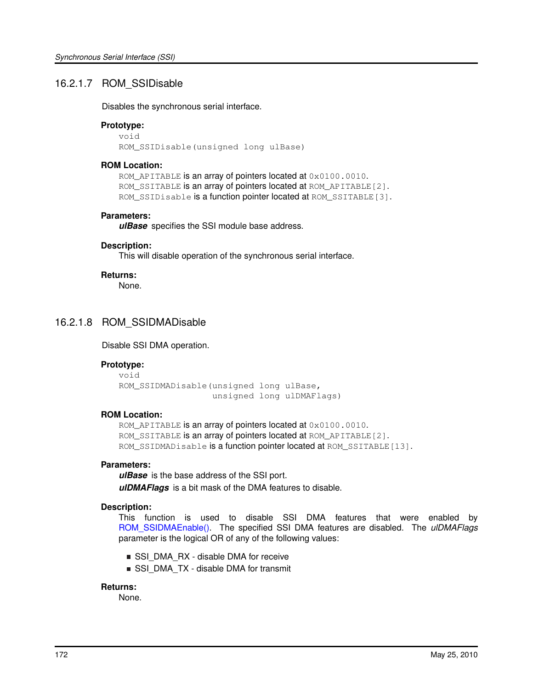# 16.2.1.7 ROM\_SSIDisable

Disables the synchronous serial interface.

# **Prototype:**

```
void
ROM_SSIDisable(unsigned long ulBase)
```
# **ROM Location:**

ROM\_APITABLE is an array of pointers located at  $0 \times 0100$ .0010. ROM\_SSITABLE is an array of pointers located at ROM\_APITABLE[2]. ROM\_SSIDisable is a function pointer located at ROM\_SSITABLE[3].

## **Parameters:**

*ulBase* specifies the SSI module base address.

# **Description:**

This will disable operation of the synchronous serial interface.

## **Returns:**

None.

# <span id="page-171-0"></span>16.2.1.8 ROM\_SSIDMADisable

Disable SSI DMA operation.

# **Prototype:**

```
void
ROM_SSIDMADisable(unsigned long ulBase,
                  unsigned long ulDMAFlags)
```
# **ROM Location:**

ROM\_APITABLE is an array of pointers located at  $0 \times 0100$ .0010. ROM\_SSITABLE is an array of pointers located at ROM\_APITABLE[2]. ROM SSIDMADisable is a function pointer located at ROM SSITABLE[13].

# **Parameters:**

*ulBase* is the base address of the SSI port.

*ulDMAFlags* is a bit mask of the DMA features to disable.

# **Description:**

This function is used to disable SSI DMA features that were enabled by [ROM\\_SSIDMAEnable\(\).](#page-171-1) The specified SSI DMA features are disabled. The *ulDMAFlags* parameter is the logical OR of any of the following values:

- SSI\_DMA\_RX disable DMA for receive
- SSI\_DMA\_TX disable DMA for transmit

# <span id="page-171-1"></span>**Returns:**

None.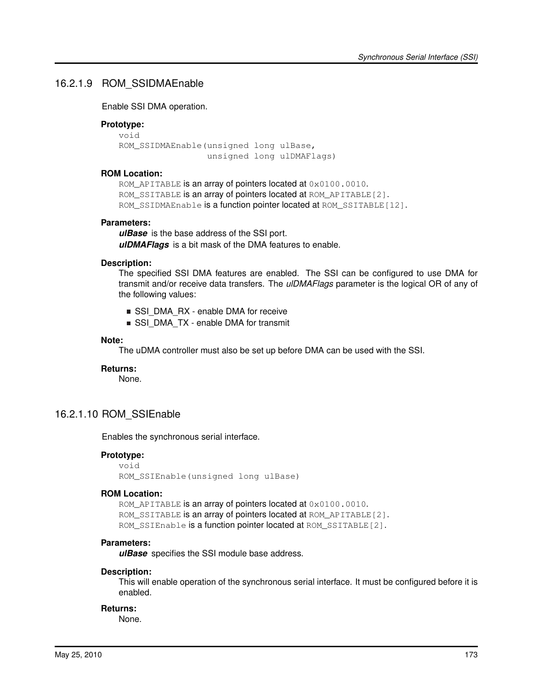# 16.2.1.9 ROM\_SSIDMAEnable

Enable SSI DMA operation.

# **Prototype:**

```
void
ROM_SSIDMAEnable(unsigned long ulBase,
                 unsigned long ulDMAFlags)
```
# **ROM Location:**

ROM APITABLE is an array of pointers located at 0x0100.0010. ROM\_SSITABLE is an array of pointers located at ROM\_APITABLE[2]. ROM\_SSIDMAEnable is a function pointer located at ROM\_SSITABLE[12].

#### **Parameters:**

*ulBase* is the base address of the SSI port. *ulDMAFlags* is a bit mask of the DMA features to enable.

## **Description:**

The specified SSI DMA features are enabled. The SSI can be configured to use DMA for transmit and/or receive data transfers. The *ulDMAFlags* parameter is the logical OR of any of the following values:

- SSI\_DMA\_RX enable DMA for receive
- SSI\_DMA\_TX enable DMA for transmit

# **Note:**

The uDMA controller must also be set up before DMA can be used with the SSI.

# **Returns:**

None.

# <span id="page-172-0"></span>16.2.1.10 ROM\_SSIEnable

Enables the synchronous serial interface.

# **Prototype:**

void ROM\_SSIEnable(unsigned long ulBase)

# **ROM Location:**

ROM\_APITABLE is an array of pointers located at  $0 \times 0100$ .0010. ROM SSITABLE is an array of pointers located at ROM APITABLE[2]. ROM\_SSIEnable is a function pointer located at ROM\_SSITABLE[2].

#### **Parameters:**

*ulBase* specifies the SSI module base address.

#### **Description:**

This will enable operation of the synchronous serial interface. It must be configured before it is enabled.

#### <span id="page-172-1"></span>**Returns:**

None.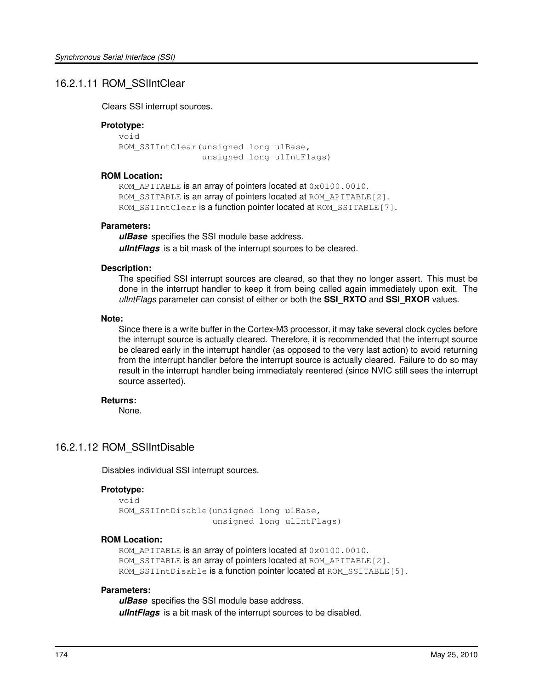# 16.2.1.11 ROM\_SSIIntClear

Clears SSI interrupt sources.

## **Prototype:**

```
void
ROM SSIIntClear(unsigned long ulBase,
                unsigned long ulIntFlags)
```
## **ROM Location:**

ROM\_APITABLE is an array of pointers located at  $0 \times 0100$ .0010. ROM\_SSITABLE is an array of pointers located at ROM\_APITABLE[2]. ROM\_SSIIntClear is a function pointer located at ROM\_SSITABLE[7].

## **Parameters:**

*ulBase* specifies the SSI module base address. *ulIntFlags* is a bit mask of the interrupt sources to be cleared.

#### **Description:**

The specified SSI interrupt sources are cleared, so that they no longer assert. This must be done in the interrupt handler to keep it from being called again immediately upon exit. The *ulIntFlags* parameter can consist of either or both the **SSI\_RXTO** and **SSI\_RXOR** values.

#### **Note:**

Since there is a write buffer in the Cortex-M3 processor, it may take several clock cycles before the interrupt source is actually cleared. Therefore, it is recommended that the interrupt source be cleared early in the interrupt handler (as opposed to the very last action) to avoid returning from the interrupt handler before the interrupt source is actually cleared. Failure to do so may result in the interrupt handler being immediately reentered (since NVIC still sees the interrupt source asserted).

#### **Returns:**

None.

# <span id="page-173-0"></span>16.2.1.12 ROM\_SSIIntDisable

Disables individual SSI interrupt sources.

#### **Prototype:**

```
void
ROM_SSIIntDisable(unsigned long ulBase,
                  unsigned long ulIntFlags)
```
## **ROM Location:**

ROM\_APITABLE is an array of pointers located at  $0 \times 0100$ .0010. ROM SSITABLE is an array of pointers located at ROM APITABLE[2]. ROM\_SSIIntDisable is a function pointer located at ROM\_SSITABLE[5].

#### **Parameters:**

*ulBase* specifies the SSI module base address. *ulIntFlags* is a bit mask of the interrupt sources to be disabled.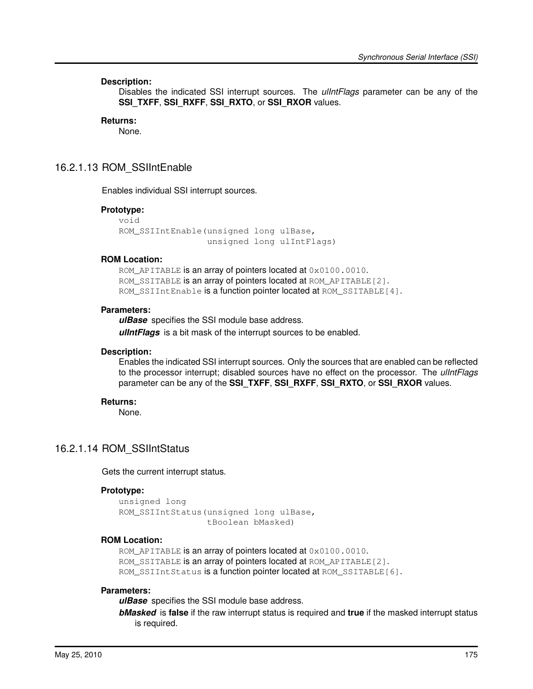Disables the indicated SSI interrupt sources. The *ulIntFlags* parameter can be any of the **SSI\_TXFF**, **SSI\_RXFF**, **SSI\_RXTO**, or **SSI\_RXOR** values.

**Returns:**

None.

# <span id="page-174-0"></span>16.2.1.13 ROM\_SSIIntEnable

Enables individual SSI interrupt sources.

#### **Prototype:**

```
void
ROM SSIIntEnable(unsigned long ulBase,
                 unsigned long ulIntFlags)
```
## **ROM Location:**

ROM\_APITABLE is an array of pointers located at  $0 \times 0100$ .0010. ROM\_SSITABLE is an array of pointers located at ROM\_APITABLE[2]. ROM\_SSIIntEnable is a function pointer located at ROM\_SSITABLE[4].

#### **Parameters:**

*ulBase* specifies the SSI module base address. *ulIntFlags* is a bit mask of the interrupt sources to be enabled.

#### **Description:**

Enables the indicated SSI interrupt sources. Only the sources that are enabled can be reflected to the processor interrupt; disabled sources have no effect on the processor. The *ulIntFlags* parameter can be any of the **SSI\_TXFF**, **SSI\_RXFF**, **SSI\_RXTO**, or **SSI\_RXOR** values.

#### **Returns:**

None.

# <span id="page-174-1"></span>16.2.1.14 ROM\_SSIIntStatus

Gets the current interrupt status.

#### **Prototype:**

```
unsigned long
ROM_SSIIntStatus(unsigned long ulBase,
                 tBoolean bMasked)
```
# **ROM Location:**

ROM\_APITABLE is an array of pointers located at  $0 \times 0100$ .0010. ROM\_SSITABLE is an array of pointers located at ROM\_APITABLE[2]. ROM SSIIntStatus is a function pointer located at ROM SSITABLE[6].

## **Parameters:**

*ulBase* specifies the SSI module base address.

*bMasked* is **false** if the raw interrupt status is required and **true** if the masked interrupt status is required.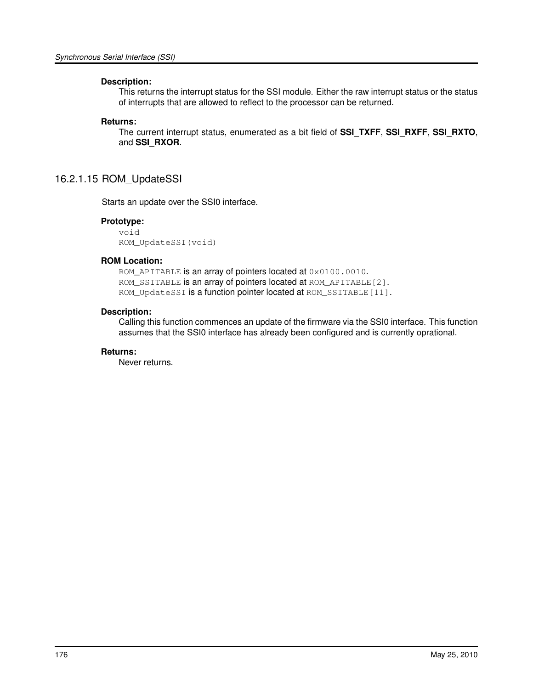This returns the interrupt status for the SSI module. Either the raw interrupt status or the status of interrupts that are allowed to reflect to the processor can be returned.

# **Returns:**

The current interrupt status, enumerated as a bit field of **SSI\_TXFF**, **SSI\_RXFF**, **SSI\_RXTO**, and **SSI\_RXOR**.

# <span id="page-175-0"></span>16.2.1.15 ROM\_UpdateSSI

Starts an update over the SSI0 interface.

# **Prototype:**

```
void
ROM_UpdateSSI(void)
```
# **ROM Location:**

ROM\_APITABLE is an array of pointers located at  $0 \times 0100$ .0010. ROM\_SSITABLE is an array of pointers located at ROM\_APITABLE[2]. ROM\_UpdateSSI is a function pointer located at ROM\_SSITABLE[11].

# **Description:**

Calling this function commences an update of the firmware via the SSI0 interface. This function assumes that the SSI0 interface has already been configured and is currently oprational.

# **Returns:**

Never returns.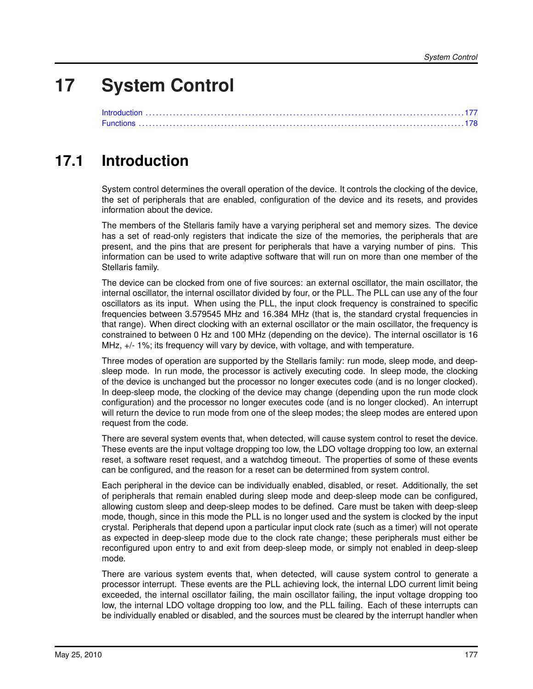# **17 System Control**

<span id="page-176-0"></span>

# <span id="page-176-1"></span>**17.1 Introduction**

System control determines the overall operation of the device. It controls the clocking of the device, the set of peripherals that are enabled, configuration of the device and its resets, and provides information about the device.

The members of the Stellaris family have a varying peripheral set and memory sizes. The device has a set of read-only registers that indicate the size of the memories, the peripherals that are present, and the pins that are present for peripherals that have a varying number of pins. This information can be used to write adaptive software that will run on more than one member of the Stellaris family.

The device can be clocked from one of five sources: an external oscillator, the main oscillator, the internal oscillator, the internal oscillator divided by four, or the PLL. The PLL can use any of the four oscillators as its input. When using the PLL, the input clock frequency is constrained to specific frequencies between 3.579545 MHz and 16.384 MHz (that is, the standard crystal frequencies in that range). When direct clocking with an external oscillator or the main oscillator, the frequency is constrained to between 0 Hz and 100 MHz (depending on the device). The internal oscillator is 16 MHz, +/- 1%; its frequency will vary by device, with voltage, and with temperature.

Three modes of operation are supported by the Stellaris family: run mode, sleep mode, and deepsleep mode. In run mode, the processor is actively executing code. In sleep mode, the clocking of the device is unchanged but the processor no longer executes code (and is no longer clocked). In deep-sleep mode, the clocking of the device may change (depending upon the run mode clock configuration) and the processor no longer executes code (and is no longer clocked). An interrupt will return the device to run mode from one of the sleep modes; the sleep modes are entered upon request from the code.

There are several system events that, when detected, will cause system control to reset the device. These events are the input voltage dropping too low, the LDO voltage dropping too low, an external reset, a software reset request, and a watchdog timeout. The properties of some of these events can be configured, and the reason for a reset can be determined from system control.

Each peripheral in the device can be individually enabled, disabled, or reset. Additionally, the set of peripherals that remain enabled during sleep mode and deep-sleep mode can be configured, allowing custom sleep and deep-sleep modes to be defined. Care must be taken with deep-sleep mode, though, since in this mode the PLL is no longer used and the system is clocked by the input crystal. Peripherals that depend upon a particular input clock rate (such as a timer) will not operate as expected in deep-sleep mode due to the clock rate change; these peripherals must either be reconfigured upon entry to and exit from deep-sleep mode, or simply not enabled in deep-sleep mode.

There are various system events that, when detected, will cause system control to generate a processor interrupt. These events are the PLL achieving lock, the internal LDO current limit being exceeded, the internal oscillator failing, the main oscillator failing, the input voltage dropping too low, the internal LDO voltage dropping too low, and the PLL failing. Each of these interrupts can be individually enabled or disabled, and the sources must be cleared by the interrupt handler when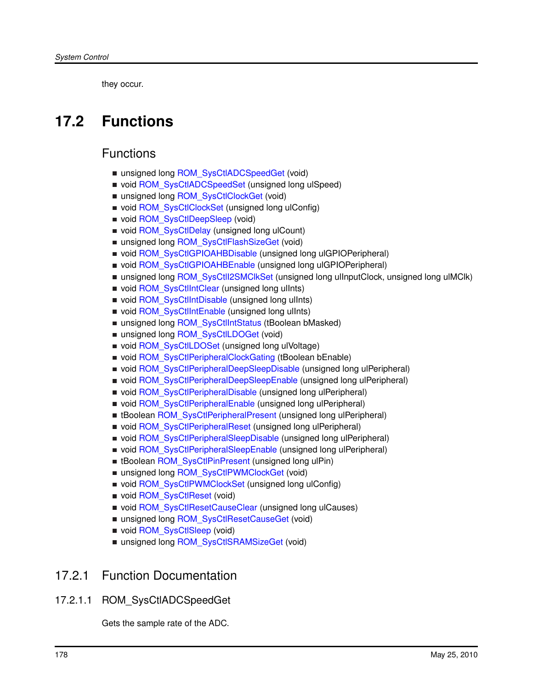<span id="page-177-0"></span>they occur.

# <span id="page-177-1"></span>**17.2 Functions**

# **Functions**

- unsigned long [ROM\\_SysCtlADCSpeedGet](#page-177-2) (void)
- void [ROM\\_SysCtlADCSpeedSet](#page-178-1) (unsigned long ulSpeed)
- unsigned long [ROM\\_SysCtlClockGet](#page-178-0) (void)
- void [ROM\\_SysCtlClockSet](#page-179-0) (unsigned long ulConfig)
- void [ROM\\_SysCtlDeepSleep](#page-180-0) (void)
- void [ROM\\_SysCtlDelay](#page-180-1) (unsigned long ulCount)
- unsigned long [ROM\\_SysCtlFlashSizeGet](#page-181-0) (void)
- void [ROM\\_SysCtlGPIOAHBDisable](#page-181-1) (unsigned long ulGPIOPeripheral)
- void [ROM\\_SysCtlGPIOAHBEnable](#page-182-0) (unsigned long ulGPIOPeripheral)
- unsigned long [ROM\\_SysCtlI2SMClkSet](#page-182-1) (unsigned long ulInputClock, unsigned long ulMClk)
- void [ROM\\_SysCtlIntClear](#page-183-0) (unsigned long ulInts)
- void [ROM\\_SysCtlIntDisable](#page-184-0) (unsigned long ulInts)
- void [ROM\\_SysCtlIntEnable](#page-184-1) (unsigned long ulInts)
- unsigned long [ROM\\_SysCtlIntStatus](#page-185-0) (tBoolean bMasked)
- unsigned long [ROM\\_SysCtlLDOGet](#page-185-1) (void)
- void [ROM\\_SysCtlLDOSet](#page-186-0) (unsigned long ulVoltage)
- void [ROM\\_SysCtlPeripheralClockGating](#page-186-1) (tBoolean bEnable)
- void [ROM\\_SysCtlPeripheralDeepSleepDisable](#page-187-0) (unsigned long ulPeripheral)
- void [ROM\\_SysCtlPeripheralDeepSleepEnable](#page-188-0) (unsigned long ulPeripheral)
- void [ROM\\_SysCtlPeripheralDisable](#page-188-1) (unsigned long ulPeripheral)
- void [ROM\\_SysCtlPeripheralEnable](#page-189-0) (unsigned long ulPeripheral)
- tBoolean [ROM\\_SysCtlPeripheralPresent](#page-190-0) (unsigned long ulPeripheral)
- void [ROM\\_SysCtlPeripheralReset](#page-191-0) (unsigned long ulPeripheral)
- void ROM SysCtlPeripheralSleepDisable (unsigned long ulPeripheral)
- void [ROM\\_SysCtlPeripheralSleepEnable](#page-192-0) (unsigned long ulPeripheral)
- **E** tBoolean [ROM\\_SysCtlPinPresent](#page-193-0) (unsigned long ulPin)
- unsigned long [ROM\\_SysCtlPWMClockGet](#page-194-0) (void)
- void [ROM\\_SysCtlPWMClockSet](#page-194-1) (unsigned long ulConfig)
- void ROM SysCtlReset (void)
- void [ROM\\_SysCtlResetCauseClear](#page-195-1) (unsigned long ulCauses)
- unsigned long [ROM\\_SysCtlResetCauseGet](#page-196-0) (void)
- void [ROM\\_SysCtlSleep](#page-196-1) (void)
- unsigned long [ROM\\_SysCtlSRAMSizeGet](#page-197-0) (void)

# 17.2.1 Function Documentation

<span id="page-177-2"></span>17.2.1.1 ROM\_SysCtlADCSpeedGet

Gets the sample rate of the ADC.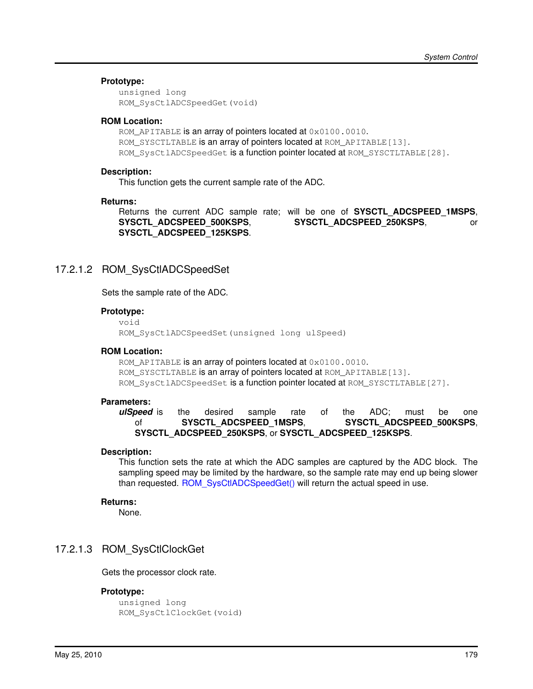## **Prototype:**

```
unsigned long
ROM_SysCtlADCSpeedGet(void)
```
## **ROM Location:**

ROM\_APITABLE is an array of pointers located at  $0 \times 0100$ .0010. ROM SYSCTLTABLE is an array of pointers located at ROM APITABLE [13]. ROM\_SysCtlADCSpeedGet is a function pointer located at ROM\_SYSCTLTABLE[28].

## **Description:**

This function gets the current sample rate of the ADC.

## **Returns:**

Returns the current ADC sample rate; will be one of **SYSCTL\_ADCSPEED\_1MSPS**, **SYSCTL\_ADCSPEED\_500KSPS**, **SYSCTL\_ADCSPEED\_250KSPS**, or **SYSCTL\_ADCSPEED\_125KSPS**.

# <span id="page-178-1"></span>17.2.1.2 ROM\_SysCtlADCSpeedSet

Sets the sample rate of the ADC.

## **Prototype:**

void ROM SysCtlADCSpeedSet(unsigned long ulSpeed)

# **ROM Location:**

ROM\_APITABLE is an array of pointers located at  $0 \times 0100$ .0010. ROM\_SYSCTLTABLE is an array of pointers located at ROM\_APITABLE[13]. ROM\_SysCtlADCSpeedSet is a function pointer located at ROM\_SYSCTLTABLE[27].

#### **Parameters:**

*ulSpeed* is the desired sample rate of the ADC; must be one of **SYSCTL\_ADCSPEED\_1MSPS**, **SYSCTL\_ADCSPEED\_500KSPS**, **SYSCTL\_ADCSPEED\_250KSPS**, or **SYSCTL\_ADCSPEED\_125KSPS**.

#### **Description:**

This function sets the rate at which the ADC samples are captured by the ADC block. The sampling speed may be limited by the hardware, so the sample rate may end up being slower than requested. [ROM\\_SysCtlADCSpeedGet\(\)](#page-177-2) will return the actual speed in use.

# **Returns:**

None.

# <span id="page-178-0"></span>17.2.1.3 ROM\_SysCtlClockGet

Gets the processor clock rate.

# **Prototype:**

```
unsigned long
ROM_SysCtlClockGet(void)
```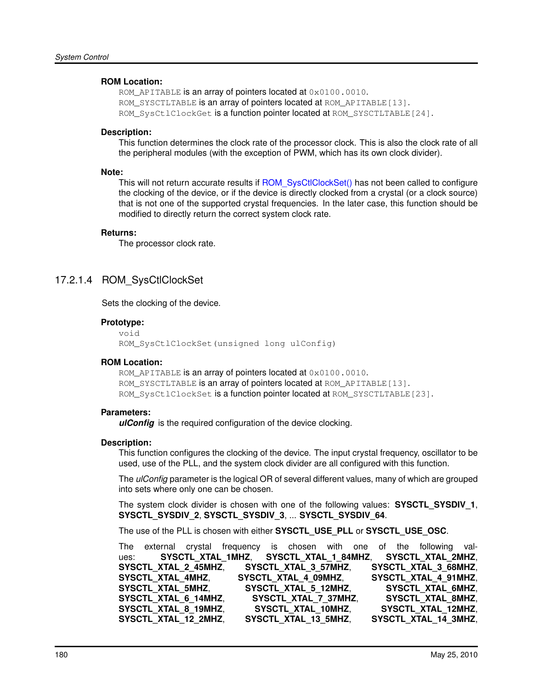## **ROM Location:**

ROM\_APITABLE is an array of pointers located at  $0 \times 0100$ .0010. ROM\_SYSCTLTABLE is an array of pointers located at ROM\_APITABLE [13]. ROM\_SysCtlClockGet is a function pointer located at ROM\_SYSCTLTABLE[24].

## **Description:**

This function determines the clock rate of the processor clock. This is also the clock rate of all the peripheral modules (with the exception of PWM, which has its own clock divider).

## **Note:**

This will not return accurate results if [ROM\\_SysCtlClockSet\(\)](#page-179-0) has not been called to configure the clocking of the device, or if the device is directly clocked from a crystal (or a clock source) that is not one of the supported crystal frequencies. In the later case, this function should be modified to directly return the correct system clock rate.

## **Returns:**

The processor clock rate.

# <span id="page-179-0"></span>17.2.1.4 ROM\_SysCtlClockSet

Sets the clocking of the device.

## **Prototype:**

```
void
ROM_SysCtlClockSet(unsigned long ulConfig)
```
# **ROM Location:**

ROM\_APITABLE is an array of pointers located at  $0 \times 0100$ .0010. ROM\_SYSCTLTABLE is an array of pointers located at ROM\_APITABLE[13]. ROM\_SysCtlClockSet is a function pointer located at ROM\_SYSCTLTABLE[23].

#### **Parameters:**

*ulConfig* is the required configuration of the device clocking.

#### **Description:**

This function configures the clocking of the device. The input crystal frequency, oscillator to be used, use of the PLL, and the system clock divider are all configured with this function.

The *ulConfig* parameter is the logical OR of several different values, many of which are grouped into sets where only one can be chosen.

The system clock divider is chosen with one of the following values: **SYSCTL\_SYSDIV\_1**, **SYSCTL\_SYSDIV\_2**, **SYSCTL\_SYSDIV\_3**, ... **SYSCTL\_SYSDIV\_64**.

The use of the PLL is chosen with either **SYSCTL\_USE\_PLL** or **SYSCTL\_USE\_OSC**.

The external crystal frequency is chosen with one of the following values: **SYSCTL\_XTAL\_1MHZ**, **SYSCTL\_XTAL\_1\_84MHZ**, **SYSCTL\_XTAL\_2MHZ**, **SYSCTL\_XTAL\_2\_45MHZ**, **SYSCTL\_XTAL\_3\_57MHZ**, **SYSCTL\_XTAL\_3\_68MHZ**, **SYSCTL\_XTAL\_4MHZ**, **SYSCTL\_XTAL\_4\_09MHZ**, **SYSCTL\_XTAL\_4\_91MHZ**, **SYSCTL\_XTAL\_5MHZ**, **SYSCTL\_XTAL\_5\_12MHZ**, **SYSCTL\_XTAL\_6MHZ**, **SYSCTL\_XTAL\_6\_14MHZ**, **SYSCTL\_XTAL\_7\_37MHZ**, **SYSCTL\_XTAL\_8MHZ**, **SYSCTL\_XTAL\_8\_19MHZ**, **SYSCTL\_XTAL\_10MHZ**, **SYSCTL\_XTAL\_12MHZ**, **SYSCTL\_XTAL\_12\_2MHZ**, **SYSCTL\_XTAL\_13\_5MHZ**, **SYSCTL\_XTAL\_14\_3MHZ**,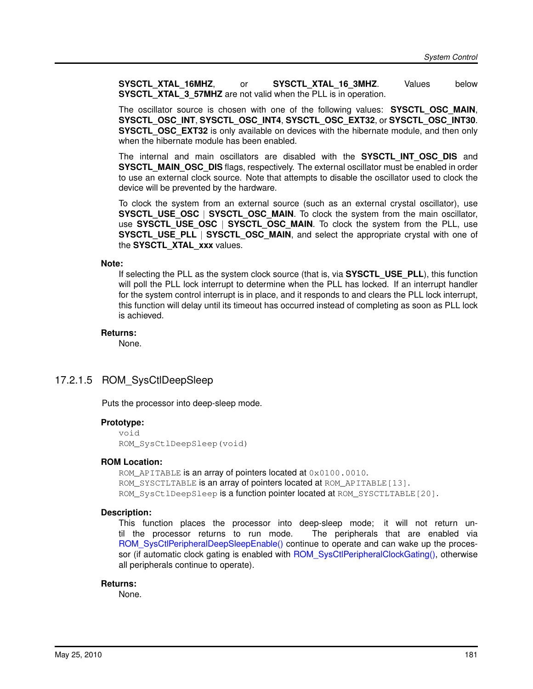**SYSCTL\_XTAL\_16MHZ**, or **SYSCTL\_XTAL\_16\_3MHZ**. Values below **SYSCTL XTAL 3 57MHZ** are not valid when the PLL is in operation.

The oscillator source is chosen with one of the following values: **SYSCTL\_OSC\_MAIN**, **SYSCTL\_OSC\_INT**, **SYSCTL\_OSC\_INT4**, **SYSCTL\_OSC\_EXT32**, or **SYSCTL\_OSC\_INT30**. **SYSCTL\_OSC\_EXT32** is only available on devices with the hibernate module, and then only when the hibernate module has been enabled.

The internal and main oscillators are disabled with the **SYSCTL\_INT\_OSC\_DIS** and **SYSCTL\_MAIN\_OSC\_DIS** flags, respectively. The external oscillator must be enabled in order to use an external clock source. Note that attempts to disable the oscillator used to clock the device will be prevented by the hardware.

To clock the system from an external source (such as an external crystal oscillator), use **SYSCTL\_USE\_OSC\_| SYSCTL\_OSC\_MAIN**. To clock the system from the main oscillator, use **SYSCTL USE OSC** | **SYSCTL OSC MAIN**. To clock the system from the PLL, use **SYSCTL\_USE\_PLL | SYSCTL\_OSC\_MAIN, and select the appropriate crystal with one of** the **SYSCTL XTAL xxx** values.

#### **Note:**

If selecting the PLL as the system clock source (that is, via **SYSCTL USE PLL**), this function will poll the PLL lock interrupt to determine when the PLL has locked. If an interrupt handler for the system control interrupt is in place, and it responds to and clears the PLL lock interrupt, this function will delay until its timeout has occurred instead of completing as soon as PLL lock is achieved.

#### **Returns:**

None.

# 17.2.1.5 ROM\_SysCtlDeepSleep

Puts the processor into deep-sleep mode.

#### **Prototype:**

void ROM\_SysCtlDeepSleep(void)

#### **ROM Location:**

ROM APITABLE is an array of pointers located at 0x0100.0010. ROM\_SYSCTLTABLE is an array of pointers located at ROM\_APITABLE[13]. ROM\_SysCtlDeepSleep is a function pointer located at ROM\_SYSCTLTABLE[20].

#### **Description:**

This function places the processor into deep-sleep mode; it will not return until the processor returns to run mode. The peripherals that are enabled via ROM SysCtlPeripheralDeepSleepEnable() continue to operate and can wake up the proces-sor (if automatic clock gating is enabled with [ROM\\_SysCtlPeripheralClockGating\(\),](#page-186-0) otherwise all peripherals continue to operate).

#### **Returns:**

None.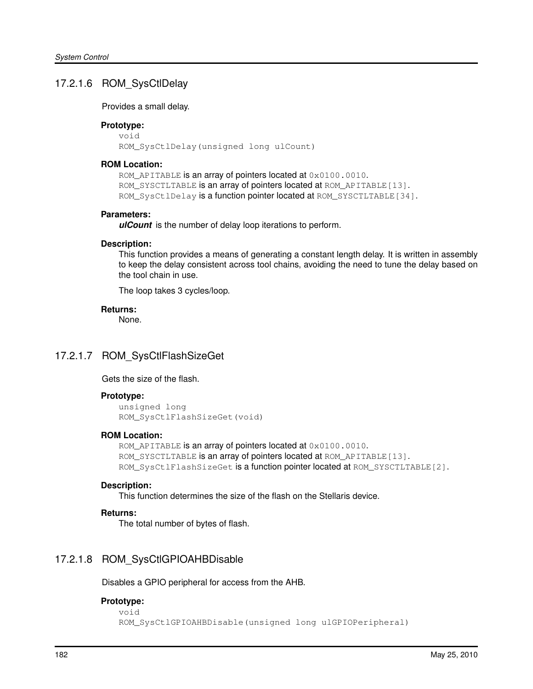# 17.2.1.6 ROM\_SysCtlDelay

Provides a small delay.

#### **Prototype:**

void ROM\_SysCtlDelay(unsigned long ulCount)

#### **ROM Location:**

ROM\_APITABLE is an array of pointers located at  $0 \times 0100$ .0010. ROM\_SYSCTLTABLE is an array of pointers located at ROM\_APITABLE[13]. ROM\_SysCtlDelay is a function pointer located at ROM\_SYSCTLTABLE[34].

#### **Parameters:**

*ulCount* is the number of delay loop iterations to perform.

#### **Description:**

This function provides a means of generating a constant length delay. It is written in assembly to keep the delay consistent across tool chains, avoiding the need to tune the delay based on the tool chain in use.

The loop takes 3 cycles/loop.

#### **Returns:**

None.

# 17.2.1.7 ROM\_SysCtlFlashSizeGet

Gets the size of the flash.

#### **Prototype:**

```
unsigned long
ROM_SysCtlFlashSizeGet(void)
```
#### **ROM Location:**

ROM\_APITABLE is an array of pointers located at  $0 \times 0100$ .0010. ROM\_SYSCTLTABLE is an array of pointers located at ROM\_APITABLE [13]. ROM\_SysCtlFlashSizeGet is a function pointer located at ROM\_SYSCTLTABLE[2].

#### **Description:**

This function determines the size of the flash on the Stellaris device.

#### **Returns:**

The total number of bytes of flash.

# 17.2.1.8 ROM\_SysCtlGPIOAHBDisable

Disables a GPIO peripheral for access from the AHB.

#### **Prototype:**

```
void
ROM_SysCtlGPIOAHBDisable(unsigned long ulGPIOPeripheral)
```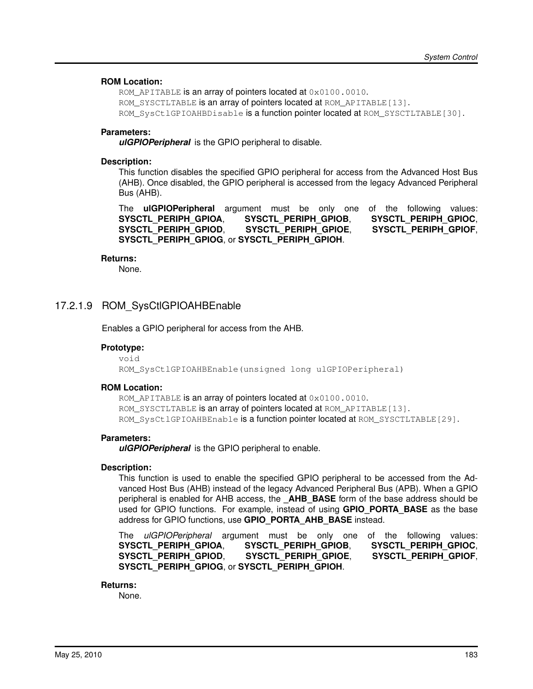#### **ROM Location:**

ROM\_APITABLE is an array of pointers located at  $0 \times 0100$ .0010. ROM\_SYSCTLTABLE is an array of pointers located at ROM\_APITABLE [13]. ROM\_SysCtlGPIOAHBDisable is a function pointer located at ROM\_SYSCTLTABLE[30].

#### **Parameters:**

*ulGPIOPeripheral* is the GPIO peripheral to disable.

#### **Description:**

This function disables the specified GPIO peripheral for access from the Advanced Host Bus (AHB). Once disabled, the GPIO peripheral is accessed from the legacy Advanced Peripheral Bus (AHB).

The **ulGPIOPeripheral** argument must be only one of the following values: **SYSCTL\_PERIPH\_GPIOA**, **SYSCTL\_PERIPH\_GPIOB**, **SYSCTL\_PERIPH\_GPIOC**, **SYSCTL\_PERIPH\_GPIOD**, **SYSCTL\_PERIPH\_GPIOE**, **SYSCTL\_PERIPH\_GPIOF**, **SYSCTL\_PERIPH\_GPIOG**, or **SYSCTL\_PERIPH\_GPIOH**.

#### **Returns:**

None.

# 17.2.1.9 ROM\_SysCtlGPIOAHBEnable

Enables a GPIO peripheral for access from the AHB.

#### **Prototype:**

void ROM\_SysCtlGPIOAHBEnable(unsigned long ulGPIOPeripheral)

#### **ROM Location:**

ROM\_APITABLE is an array of pointers located at  $0 \times 0100$ .0010. ROM SYSCTLTABLE is an array of pointers located at ROM APITABLE [13]. ROM\_SysCtlGPIOAHBEnable is a function pointer located at ROM\_SYSCTLTABLE[29].

#### **Parameters:**

*ulGPIOPeripheral* is the GPIO peripheral to enable.

#### **Description:**

This function is used to enable the specified GPIO peripheral to be accessed from the Advanced Host Bus (AHB) instead of the legacy Advanced Peripheral Bus (APB). When a GPIO peripheral is enabled for AHB access, the **AHB BASE** form of the base address should be used for GPIO functions. For example, instead of using **GPIO\_PORTA\_BASE** as the base address for GPIO functions, use **GPIO\_PORTA\_AHB\_BASE** instead.

The *ulGPIOPeripheral* argument must be only one of the following values: **SYSCTL\_PERIPH\_GPIOA**, **SYSCTL\_PERIPH\_GPIOB**, **SYSCTL\_PERIPH\_GPIOC**, **SYSCTL\_PERIPH\_GPIOD**, **SYSCTL\_PERIPH\_GPIOE**, **SYSCTL\_PERIPH\_GPIOF**, **SYSCTL\_PERIPH\_GPIOG**, or **SYSCTL\_PERIPH\_GPIOH**.

#### **Returns:**

None.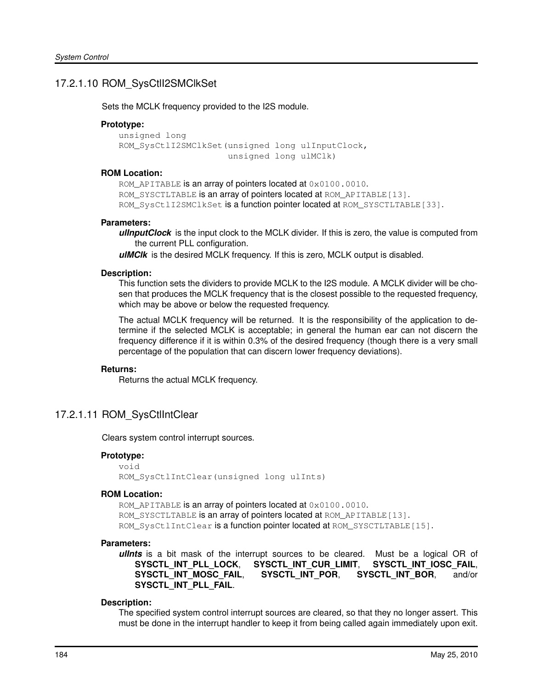# 17.2.1.10 ROM\_SysCtlI2SMClkSet

Sets the MCLK frequency provided to the I2S module.

#### **Prototype:**

```
unsigned long
ROM_SysCtlI2SMClkSet(unsigned long ulInputClock,
                     unsigned long ulMClk)
```
#### **ROM Location:**

ROM APITABLE is an array of pointers located at 0x0100.0010. ROM\_SYSCTLTABLE is an array of pointers located at ROM\_APITABLE [13]. ROM SysCtlI2SMClkSet is a function pointer located at ROM SYSCTLTABLE[33].

#### **Parameters:**

*ulInputClock* is the input clock to the MCLK divider. If this is zero, the value is computed from the current PLL configuration.

*ulMClk* is the desired MCLK frequency. If this is zero, MCLK output is disabled.

#### **Description:**

This function sets the dividers to provide MCLK to the I2S module. A MCLK divider will be chosen that produces the MCLK frequency that is the closest possible to the requested frequency, which may be above or below the requested frequency.

The actual MCLK frequency will be returned. It is the responsibility of the application to determine if the selected MCLK is acceptable; in general the human ear can not discern the frequency difference if it is within 0.3% of the desired frequency (though there is a very small percentage of the population that can discern lower frequency deviations).

#### **Returns:**

Returns the actual MCLK frequency.

# 17.2.1.11 ROM\_SysCtlIntClear

Clears system control interrupt sources.

#### **Prototype:**

void ROM\_SysCtlIntClear(unsigned long ulInts)

#### **ROM Location:**

ROM APITABLE is an array of pointers located at  $0 \times 0100$ .0010. ROM\_SYSCTLTABLE is an array of pointers located at ROM\_APITABLE [13]. ROM\_SysCtlIntClear is a function pointer located at ROM\_SYSCTLTABLE[15].

#### **Parameters:**

*ulInts* is a bit mask of the interrupt sources to be cleared. Must be a logical OR of **SYSCTL\_INT\_PLL\_LOCK**, **SYSCTL\_INT\_CUR\_LIMIT**, **SYSCTL\_INT\_IOSC\_FAIL**, **SYSCTL\_INT\_MOSC\_FAIL**, **SYSCTL\_INT\_POR**, **SYSCTL\_INT\_BOR**, and/or **SYSCTL\_INT\_PLL\_FAIL**.

#### **Description:**

The specified system control interrupt sources are cleared, so that they no longer assert. This must be done in the interrupt handler to keep it from being called again immediately upon exit.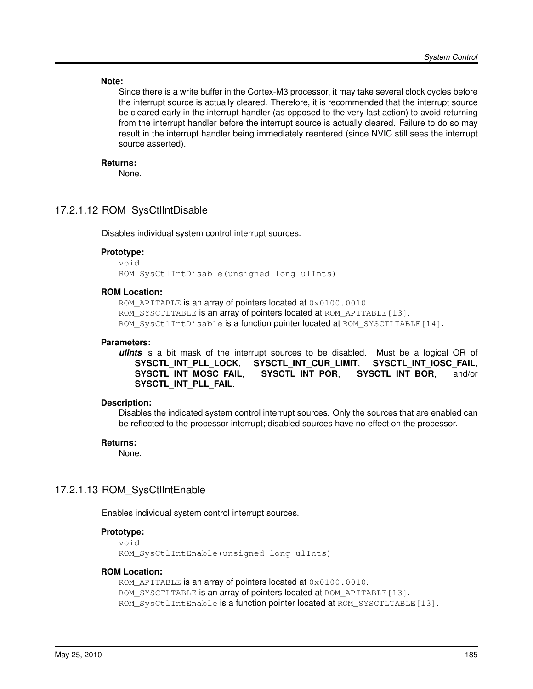#### **Note:**

Since there is a write buffer in the Cortex-M3 processor, it may take several clock cycles before the interrupt source is actually cleared. Therefore, it is recommended that the interrupt source be cleared early in the interrupt handler (as opposed to the very last action) to avoid returning from the interrupt handler before the interrupt source is actually cleared. Failure to do so may result in the interrupt handler being immediately reentered (since NVIC still sees the interrupt source asserted).

#### **Returns:**

None.

# 17.2.1.12 ROM\_SysCtlIntDisable

Disables individual system control interrupt sources.

#### **Prototype:**

void ROM\_SysCtlIntDisable(unsigned long ulInts)

#### **ROM Location:**

ROM APITABLE is an array of pointers located at 0x0100.0010. ROM SYSCTLTABLE is an array of pointers located at ROM APITABLE [13]. ROM SysCtlIntDisable is a function pointer located at ROM SYSCTLTABLE[14].

#### **Parameters:**

*ulInts* is a bit mask of the interrupt sources to be disabled. Must be a logical OR of **SYSCTL\_INT\_PLL\_LOCK**, **SYSCTL\_INT\_CUR\_LIMIT**, **SYSCTL\_INT\_IOSC\_FAIL**, **SYSCTL\_INT\_MOSC\_FAIL**, **SYSCTL\_INT\_POR**, **SYSCTL\_INT\_BOR**, and/or **SYSCTL\_INT\_PLL\_FAIL**.

#### **Description:**

Disables the indicated system control interrupt sources. Only the sources that are enabled can be reflected to the processor interrupt; disabled sources have no effect on the processor.

#### **Returns:**

None.

# 17.2.1.13 ROM\_SysCtlIntEnable

Enables individual system control interrupt sources.

#### **Prototype:**

```
void
ROM_SysCtlIntEnable(unsigned long ulInts)
```
#### **ROM Location:**

```
ROM_APITABLE is an array of pointers located at 0 \times 0100.0010.
ROM_SYSCTLTABLE is an array of pointers located at ROM_APITABLE[13].
ROM_SysCtlIntEnable is a function pointer located at ROM_SYSCTLTABLE[13].
```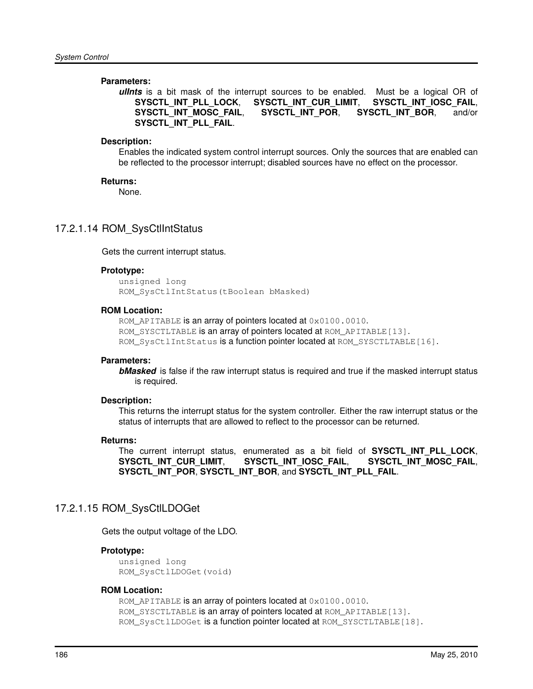#### **Parameters:**

*ulInts* is a bit mask of the interrupt sources to be enabled. Must be a logical OR of **SYSCTL\_INT\_PLL\_LOCK**, **SYSCTL\_INT\_CUR\_LIMIT**, **SYSCTL\_INT\_IOSC\_FAIL**, **SYSCTL\_INT\_MOSC\_FAIL**, **SYSCTL\_INT\_POR**, **SYSCTL\_INT\_BOR**, and/or **SYSCTL\_INT\_PLL\_FAIL**.

#### **Description:**

Enables the indicated system control interrupt sources. Only the sources that are enabled can be reflected to the processor interrupt; disabled sources have no effect on the processor.

#### **Returns:**

None.

# 17.2.1.14 ROM\_SysCtlIntStatus

Gets the current interrupt status.

#### **Prototype:**

unsigned long ROM\_SysCtlIntStatus(tBoolean bMasked)

#### **ROM Location:**

ROM\_APITABLE is an array of pointers located at  $0 \times 0100$ .0010. ROM SYSCTLTABLE is an array of pointers located at ROM APITABLE [13]. ROM SysCtlIntStatus is a function pointer located at ROM SYSCTLTABLE[16].

#### **Parameters:**

*bMasked* is false if the raw interrupt status is required and true if the masked interrupt status is required.

#### **Description:**

This returns the interrupt status for the system controller. Either the raw interrupt status or the status of interrupts that are allowed to reflect to the processor can be returned.

#### **Returns:**

The current interrupt status, enumerated as a bit field of **SYSCTL\_INT\_PLL\_LOCK**, **SYSCTL\_INT\_CUR\_LIMIT**, **SYSCTL\_INT\_IOSC\_FAIL**, **SYSCTL\_INT\_MOSC\_FAIL**, **SYSCTL\_INT\_POR**, **SYSCTL\_INT\_BOR**, and **SYSCTL\_INT\_PLL\_FAIL**.

### 17.2.1.15 ROM\_SysCtlLDOGet

Gets the output voltage of the LDO.

#### **Prototype:**

unsigned long ROM\_SysCtlLDOGet(void)

#### **ROM Location:**

ROM\_APITABLE is an array of pointers located at  $0 \times 0100$ .0010. ROM\_SYSCTLTABLE is an array of pointers located at ROM\_APITABLE[13]. ROM\_SysCtlLDOGet is a function pointer located at ROM\_SYSCTLTABLE[18].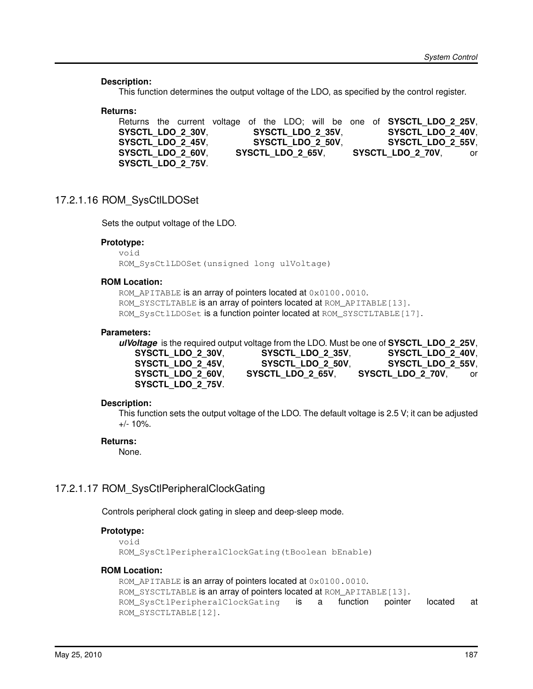#### **Description:**

This function determines the output voltage of the LDO, as specified by the control register.

#### **Returns:**

|                   |  |  |                         |  |  | Returns the current voltage of the LDO; will be one of <b>SYSCTL LDO 2 25V</b> , |  |
|-------------------|--|--|-------------------------|--|--|----------------------------------------------------------------------------------|--|
| SYSCTL LDO 2 30V. |  |  | SYSCTL LDO 2 35V.       |  |  | SYSCTL LDO 2 40V.                                                                |  |
| SYSCTL LDO 2 45V. |  |  | <b>SYSCTL LDO 2 50V</b> |  |  | SYSCTL LDO 2 55V,                                                                |  |
| SYSCTL LDO 2 60V, |  |  | SYSCTL LDO 2 65V.       |  |  | <b>SYSCTL LDO 2 70V</b> , or                                                     |  |
| SYSCTL LDO 2 75V. |  |  |                         |  |  |                                                                                  |  |

## 17.2.1.16 ROM\_SysCtlLDOSet

Sets the output voltage of the LDO.

#### **Prototype:**

void

ROM\_SysCtlLDOSet(unsigned long ulVoltage)

## **ROM Location:**

ROM APITABLE is an array of pointers located at  $0 \times 0100$ .0010. ROM SYSCTLTABLE is an array of pointers located at ROM APITABLE [13]. ROM\_SysCtlLDOSet is a function pointer located at ROM\_SYSCTLTABLE[17].

#### **Parameters:**

| ulVoltage is the required output voltage from the LDO. Must be one of SYSCTL LDO 2 25V, |                   |                          |      |
|-----------------------------------------------------------------------------------------|-------------------|--------------------------|------|
| SYSCTL LDO 2 30V.                                                                       | SYSCTL LDO 2 35V. | SYSCTL LDO 2 40V,        |      |
| SYSCTL LDO 2 45V.                                                                       | SYSCTL LDO 2 50V. | SYSCTL LDO 2 55V.        |      |
| SYSCTL LDO 2 60V.                                                                       | SYSCTL LDO 2 65V. | <b>SYSCTL LDO 2 70V.</b> | or — |
| SYSCTL LDO 2 75V.                                                                       |                   |                          |      |

#### **Description:**

This function sets the output voltage of the LDO. The default voltage is 2.5 V; it can be adjusted  $+/- 10%$ .

#### **Returns:**

None.

# <span id="page-186-0"></span>17.2.1.17 ROM\_SysCtlPeripheralClockGating

Controls peripheral clock gating in sleep and deep-sleep mode.

### **Prototype:**

```
void
```
ROM\_SysCtlPeripheralClockGating(tBoolean bEnable)

#### **ROM Location:**

```
ROM APITABLE is an array of pointers located at 0 \times 0100.0010.
ROM_SYSCTLTABLE is an array of pointers located at ROM_APITABLE[13].
ROM_SysCtlPeripheralClockGating is a function pointer located at
ROM_SYSCTLTABLE[12].
```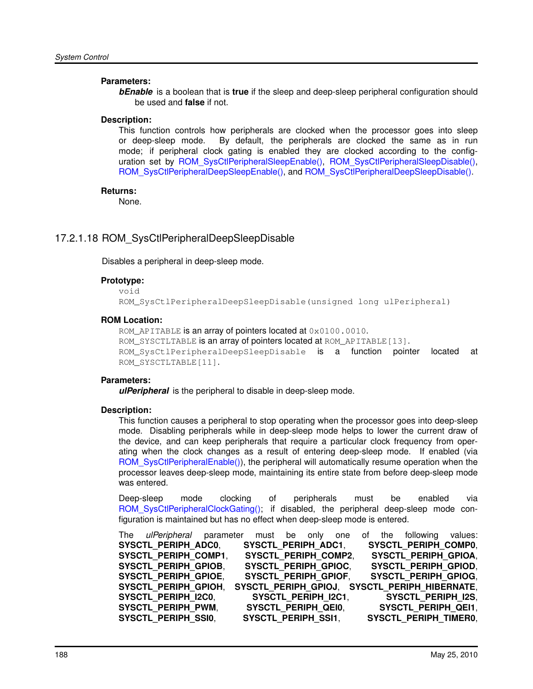#### **Parameters:**

*bEnable* is a boolean that is **true** if the sleep and deep-sleep peripheral configuration should be used and **false** if not.

#### **Description:**

This function controls how peripherals are clocked when the processor goes into sleep or deep-sleep mode. By default, the peripherals are clocked the same as in run mode; if peripheral clock gating is enabled they are clocked according to the configuration set by [ROM\\_SysCtlPeripheralSleepEnable\(\),](#page-192-0) [ROM\\_SysCtlPeripheralSleepDisable\(\),](#page-191-0) [ROM\\_SysCtlPeripheralDeepSleepEnable\(\),](#page-188-0) and [ROM\\_SysCtlPeripheralDeepSleepDisable\(\).](#page-187-0)

#### **Returns:**

None.

# <span id="page-187-0"></span>17.2.1.18 ROM\_SysCtlPeripheralDeepSleepDisable

Disables a peripheral in deep-sleep mode.

#### **Prototype:**

```
void
```
ROM\_SysCtlPeripheralDeepSleepDisable(unsigned long ulPeripheral)

#### **ROM Location:**

```
ROM APITABLE is an array of pointers located at 0x0100.0010.
ROM SYSCTLTABLE is an array of pointers located at ROM APITABLE [13].
ROM SysCtlPeripheralDeepSleepDisable is a function pointer located at
ROM SYSCTLTABLE[11].
```
#### **Parameters:**

*ulPeripheral* is the peripheral to disable in deep-sleep mode.

#### **Description:**

This function causes a peripheral to stop operating when the processor goes into deep-sleep mode. Disabling peripherals while in deep-sleep mode helps to lower the current draw of the device, and can keep peripherals that require a particular clock frequency from operating when the clock changes as a result of entering deep-sleep mode. If enabled (via [ROM\\_SysCtlPeripheralEnable\(\)\)](#page-189-0), the peripheral will automatically resume operation when the processor leaves deep-sleep mode, maintaining its entire state from before deep-sleep mode was entered.

Deep-sleep mode clocking of peripherals must be enabled via ROM SysCtlPeripheralClockGating(); if disabled, the peripheral deep-sleep mode configuration is maintained but has no effect when deep-sleep mode is entered.

|                      | The <i>ulPeripheral</i> parameter must be only one |                             |  |  | of the following values:                      |  |
|----------------------|----------------------------------------------------|-----------------------------|--|--|-----------------------------------------------|--|
| SYSCTL PERIPH ADC0,  |                                                    | SYSCTL PERIPH ADC1,         |  |  | <b>SYSCTL PERIPH COMPO.</b>                   |  |
| SYSCTL PERIPH COMP1, |                                                    | <b>SYSCTL PERIPH COMP2,</b> |  |  | <b>SYSCTL PERIPH GPIOA,</b>                   |  |
| SYSCTL PERIPH GPIOB, |                                                    | <b>SYSCTL PERIPH GPIOC,</b> |  |  | <b>SYSCTL PERIPH GPIOD,</b>                   |  |
| Sysctl Periph Gpioe, |                                                    | <b>SYSCTL PERIPH GPIOF,</b> |  |  | <b>SYSCTL PERIPH GPIOG,</b>                   |  |
| SYSCTL PERIPH GPIOH, |                                                    |                             |  |  | SYSCTL PERIPH GPIOJ, SYSCTL PERIPH HIBERNATE, |  |
| SYSCTL PERIPH I2C0,  |                                                    | <b>SYSCTL PERIPH I2C1.</b>  |  |  | <b>SYSCTL PERIPH 12S,</b>                     |  |
| SYSCTL PERIPH PWM,   |                                                    | SYSCTL PERIPH QEI0,         |  |  | <b>SYSCTL PERIPH QEI1,</b>                    |  |
| SYSCTL PERIPH SSI0,  |                                                    | SYSCTL PERIPH SSI1,         |  |  | SYSCTL_PERIPH_TIMER0,                         |  |
|                      |                                                    |                             |  |  |                                               |  |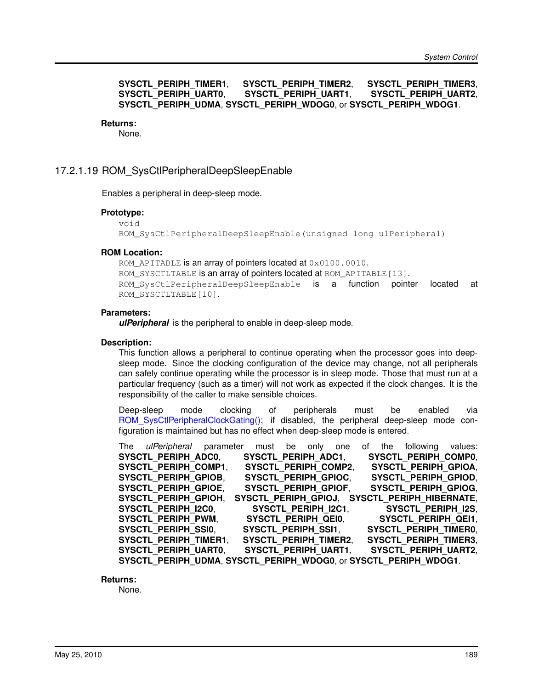**SYSCTL\_PERIPH\_TIMER1**, **SYSCTL\_PERIPH\_TIMER2**, **SYSCTL\_PERIPH\_TIMER3**, **SYSCTL\_PERIPH\_UART0**, **SYSCTL\_PERIPH\_UART1**, **SYSCTL\_PERIPH\_UART2**, **SYSCTL\_PERIPH\_UDMA**, **SYSCTL\_PERIPH\_WDOG0**, or **SYSCTL\_PERIPH\_WDOG1**.

#### **Returns:**

None.

### <span id="page-188-0"></span>17.2.1.19 ROM\_SysCtlPeripheralDeepSleepEnable

Enables a peripheral in deep-sleep mode.

#### **Prototype:**

```
void
ROM_SysCtlPeripheralDeepSleepEnable(unsigned long ulPeripheral)
```
#### **ROM Location:**

ROM\_APITABLE is an array of pointers located at  $0 \times 0100$ .0010. ROM\_SYSCTLTABLE is an array of pointers located at ROM\_APITABLE[13]. ROM SysCtlPeripheralDeepSleepEnable is a function pointer located at ROM\_SYSCTLTABLE[10].

#### **Parameters:**

*ulPeripheral* is the peripheral to enable in deep-sleep mode.

#### **Description:**

This function allows a peripheral to continue operating when the processor goes into deepsleep mode. Since the clocking configuration of the device may change, not all peripherals can safely continue operating while the processor is in sleep mode. Those that must run at a particular frequency (such as a timer) will not work as expected if the clock changes. It is the responsibility of the caller to make sensible choices.

Deep-sleep mode clocking of peripherals must be enabled via [ROM\\_SysCtlPeripheralClockGating\(\);](#page-186-0) if disabled, the peripheral deep-sleep mode configuration is maintained but has no effect when deep-sleep mode is entered.

|  |                             | The <i>ulPeripheral</i> parameter must be only one               |                                               |  | of the following values:     |  |
|--|-----------------------------|------------------------------------------------------------------|-----------------------------------------------|--|------------------------------|--|
|  | <b>SYSCTL PERIPH ADCO,</b>  |                                                                  | <b>SYSCTL PERIPH ADC1,</b>                    |  | <b>SYSCTL PERIPH COMPO.</b>  |  |
|  | SYSCTL PERIPH COMP1,        |                                                                  | <b>SYSCTL PERIPH COMP2,</b>                   |  | <b>SYSCTL PERIPH GPIOA,</b>  |  |
|  | SYSCTL PERIPH GPIOB,        |                                                                  | <b>SYSCTL PERIPH GPIOC,</b>                   |  | <b>SYSCTL PERIPH GPIOD,</b>  |  |
|  | SYSCTL PERIPH GPIOE,        |                                                                  | <b>SYSCTL PERIPH GPIOF,</b>                   |  | <b>SYSCTL PERIPH GPIOG,</b>  |  |
|  | SYSCTL PERIPH GPIOH,        |                                                                  | SYSCTL PERIPH GPIOJ, SYSCTL PERIPH HIBERNATE, |  |                              |  |
|  | SYSCTL PERIPH 12C0,         |                                                                  | <b>SYSCTL PERIPH I2C1.</b>                    |  | SYSCTL PERIPH 12S,           |  |
|  | SYSCTL PERIPH PWM,          |                                                                  | <b>SYSCTL PERIPH QEIO,</b>                    |  | <b>SYSCTL PERIPH QEI1,</b>   |  |
|  | <b>SYSCTL PERIPH SSI0,</b>  |                                                                  | SYSCTL PERIPH SSI1,                           |  | <b>SYSCTL PERIPH TIMER0,</b> |  |
|  | SYSCTL PERIPH TIMER1,       |                                                                  | <b>SYSCTL PERIPH TIMER2,</b>                  |  | <b>SYSCTL PERIPH TIMER3,</b> |  |
|  | <b>SYSCTL PERIPH UARTO,</b> |                                                                  | <b>SYSCTL PERIPH UART1.</b>                   |  | <b>SYSCTL PERIPH UART2,</b>  |  |
|  |                             | SYSCTL PERIPH UDMA, SYSCTL PERIPH WDOG0, or SYSCTL PERIPH WDOG1. |                                               |  |                              |  |
|  |                             |                                                                  |                                               |  |                              |  |

**Returns:**

None.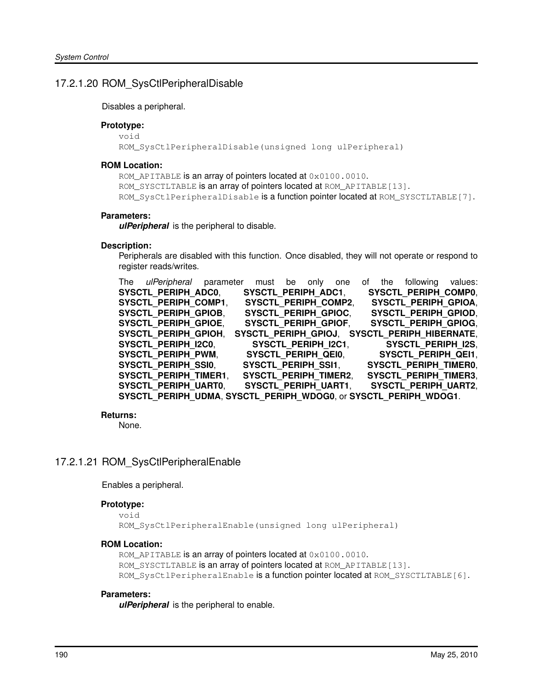# 17.2.1.20 ROM\_SysCtlPeripheralDisable

Disables a peripheral.

#### **Prototype:**

```
void
ROM_SysCtlPeripheralDisable(unsigned long ulPeripheral)
```
#### **ROM Location:**

ROM\_APITABLE is an array of pointers located at  $0 \times 0100$ .0010. ROM\_SYSCTLTABLE is an array of pointers located at ROM\_APITABLE [13]. ROM\_SysCtlPeripheralDisable is a function pointer located at ROM\_SYSCTLTABLE[7].

#### **Parameters:**

*ulPeripheral* is the peripheral to disable.

#### **Description:**

Peripherals are disabled with this function. Once disabled, they will not operate or respond to register reads/writes.

The *ulPeripheral* parameter must be only one of the following values: **SYSCTL\_PERIPH\_ADC0**, **SYSCTL\_PERIPH\_ADC1**, **SYSCTL\_PERIPH\_COMP0**, **SYSCTL\_PERIPH\_COMP1**, **SYSCTL\_PERIPH\_COMP2**, **SYSCTL\_PERIPH\_GPIOA**, **SYSCTL\_PERIPH\_GPIOB**, **SYSCTL\_PERIPH\_GPIOC**, **SYSCTL\_PERIPH\_GPIOD**, **SYSCTL\_PERIPH\_GPIOE**, **SYSCTL\_PERIPH\_GPIOF**, **SYSCTL\_PERIPH\_GPIOG**, **SYSCTL\_PERIPH\_GPIOH**, **SYSCTL\_PERIPH\_GPIOJ**, **SYSCTL\_PERIPH\_HIBERNATE**, **SYSCTL\_PERIPH\_I2C0**, **SYSCTL\_PERIPH\_I2C1**, **SYSCTL\_PERIPH\_I2S**, **SYSCTL\_PERIPH\_PWM**, **SYSCTL\_PERIPH\_QEI0**, **SYSCTL\_PERIPH\_QEI1**, **SYSCTL\_PERIPH\_SSI0**, **SYSCTL\_PERIPH\_SSI1**, **SYSCTL\_PERIPH\_TIMER0**, **SYSCTL\_PERIPH\_TIMER1**, **SYSCTL\_PERIPH\_TIMER2**, **SYSCTL\_PERIPH\_TIMER3**, **SYSCTL\_PERIPH\_UART0**, **SYSCTL\_PERIPH\_UART1**, **SYSCTL\_PERIPH\_UART2**, **SYSCTL\_PERIPH\_UDMA**, **SYSCTL\_PERIPH\_WDOG0**, or **SYSCTL\_PERIPH\_WDOG1**.

#### **Returns:**

None.

# <span id="page-189-0"></span>17.2.1.21 ROM\_SysCtlPeripheralEnable

#### Enables a peripheral.

#### **Prototype:**

```
void
ROM_SysCtlPeripheralEnable(unsigned long ulPeripheral)
```
#### **ROM Location:**

ROM\_APITABLE is an array of pointers located at  $0 \times 0100$ .0010. ROM\_SYSCTLTABLE is an array of pointers located at ROM\_APITABLE[13]. ROM SysCtlPeripheralEnable is a function pointer located at ROM SYSCTLTABLE[6].

#### **Parameters:**

*ulPeripheral* is the peripheral to enable.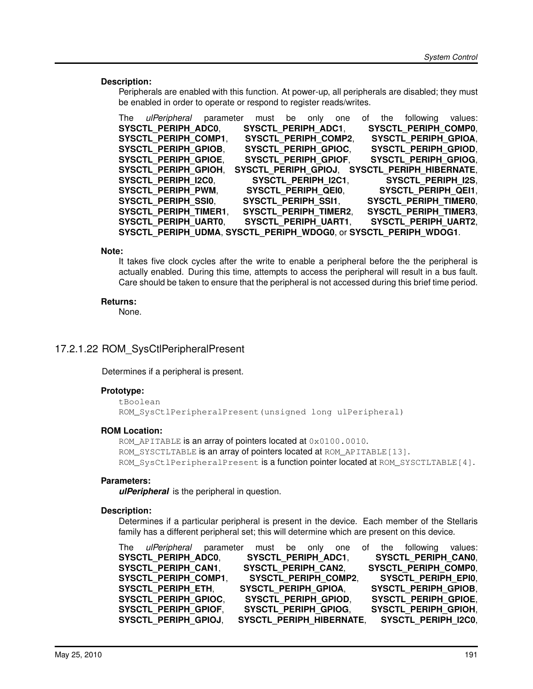**Description:**

Peripherals are enabled with this function. At power-up, all peripherals are disabled; they must be enabled in order to operate or respond to register reads/writes.

| The ulPeripheral parameter must be only one                      |                              |                            |  | of the following values:                      |  |
|------------------------------------------------------------------|------------------------------|----------------------------|--|-----------------------------------------------|--|
| SYSCTL PERIPH ADC0,                                              | <b>SYSCTL PERIPH ADC1,</b>   |                            |  | <b>SYSCTL PERIPH COMPO,</b>                   |  |
| SYSCTL PERIPH COMP1,                                             | <b>SYSCTL PERIPH COMP2,</b>  |                            |  | <b>SYSCTL PERIPH GPIOA,</b>                   |  |
| SYSCTL PERIPH GPIOB,                                             | <b>SYSCTL PERIPH GPIOC,</b>  |                            |  | <b>SYSCTL PERIPH GPIOD,</b>                   |  |
| SYSCTL PERIPH GPIOE,                                             | <b>SYSCTL PERIPH GPIOF,</b>  |                            |  | <b>SYSCTL PERIPH GPIOG,</b>                   |  |
| SYSCTL PERIPH GPIOH,                                             |                              |                            |  | SYSCTL PERIPH GPIOJ, SYSCTL PERIPH HIBERNATE, |  |
| SYSCTL PERIPH I2C0,                                              |                              | <b>SYSCTL PERIPH I2C1.</b> |  | SYSCTL PERIPH 12S,                            |  |
| SYSCTL PERIPH PWM,                                               | <b>SYSCTL PERIPH QEIO,</b>   |                            |  | <b>SYSCTL PERIPH QEI1,</b>                    |  |
| SYSCTL PERIPH SSI0,                                              | SYSCTL PERIPH SSI1,          |                            |  | <b>SYSCTL PERIPH TIMER0,</b>                  |  |
| Sysctl Periph Timer1,                                            | <b>SYSCTL PERIPH TIMER2,</b> |                            |  | <b>SYSCTL PERIPH TIMER3,</b>                  |  |
| SYSCTL PERIPH UART0,                                             | <b>SYSCTL PERIPH UART1,</b>  |                            |  | <b>SYSCTL PERIPH UART2,</b>                   |  |
| SYSCTL PERIPH UDMA, SYSCTL PERIPH WDOG0, or SYSCTL PERIPH WDOG1. |                              |                            |  |                                               |  |

#### **Note:**

It takes five clock cycles after the write to enable a peripheral before the the peripheral is actually enabled. During this time, attempts to access the peripheral will result in a bus fault. Care should be taken to ensure that the peripheral is not accessed during this brief time period.

#### **Returns:**

None.

# 17.2.1.22 ROM\_SysCtlPeripheralPresent

Determines if a peripheral is present.

#### **Prototype:**

```
tBoolean
ROM_SysCtlPeripheralPresent(unsigned long ulPeripheral)
```
#### **ROM Location:**

ROM\_APITABLE is an array of pointers located at  $0 \times 0100$ .0010. ROM\_SYSCTLTABLE is an array of pointers located at ROM\_APITABLE[13]. ROM\_SysCtlPeripheralPresent is a function pointer located at ROM\_SYSCTLTABLE[4].

#### **Parameters:**

*ulPeripheral* is the peripheral in question.

#### **Description:**

Determines if a particular peripheral is present in the device. Each member of the Stellaris family has a different peripheral set; this will determine which are present on this device.

| The ulPeripheral parameter must be only one |                                 |  |  | of the following values:    |  |
|---------------------------------------------|---------------------------------|--|--|-----------------------------|--|
| <b>SYSCTL PERIPH ADCO,</b>                  | <b>SYSCTL PERIPH ADC1,</b>      |  |  | <b>SYSCTL PERIPH CANO.</b>  |  |
| <b>SYSCTL PERIPH CAN1.</b>                  | <b>SYSCTL PERIPH CAN2,</b>      |  |  | <b>SYSCTL PERIPH COMPO.</b> |  |
| <b>SYSCTL PERIPH COMP1.</b>                 | <b>SYSCTL PERIPH COMP2,</b>     |  |  | <b>SYSCTL PERIPH EPIO,</b>  |  |
| SYSCTL PERIPH ETH,                          | SYSCTL PERIPH GPIOA,            |  |  | <b>SYSCTL PERIPH GPIOB,</b> |  |
| <b>SYSCTL PERIPH GPIOC,</b>                 | <b>SYSCTL PERIPH GPIOD,</b>     |  |  | <b>SYSCTL PERIPH GPIOE,</b> |  |
| <b>SYSCTL PERIPH GPIOF,</b>                 | <b>SYSCTL PERIPH GPIOG,</b>     |  |  | <b>SYSCTL PERIPH GPIOH,</b> |  |
| <b>SYSCTL PERIPH GPIOJ,</b>                 | <b>SYSCTL_PERIPH_HIBERNATE,</b> |  |  | SYSCTL PERIPH I2C0,         |  |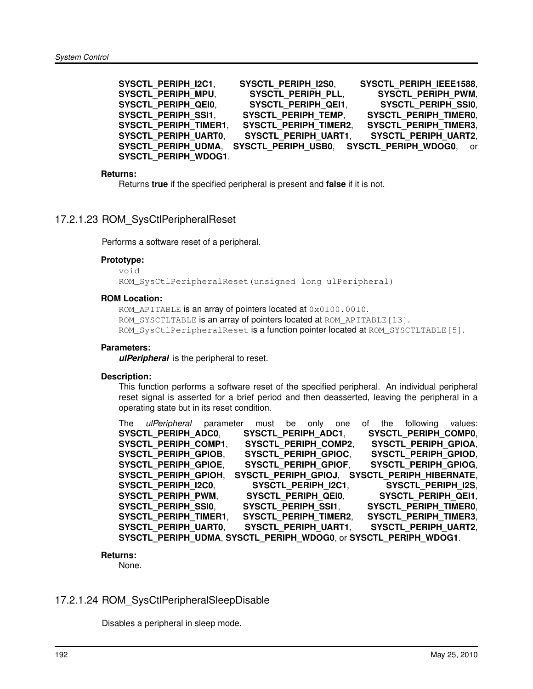```
SYSCTL_PERIPH_I2C1, SYSCTL_PERIPH_I2S0, SYSCTL_PERIPH_IEEE1588,
SYSCTL_PERIPH_MPU, SYSCTL_PERIPH_PLL, SYSCTL_PERIPH_PWM,
SYSCTL_PERIPH_QEI0, SYSCTL_PERIPH_QEI1, SYSCTL_PERIPH_SSI0,
SYSCTL_PERIPH_SSI1, SYSCTL_PERIPH_TEMP, SYSCTL_PERIPH_TIMER0,
SYSCTL_PERIPH_TIMER1, SYSCTL_PERIPH_TIMER2, SYSCTL_PERIPH_TIMER3,
SYSCTL_PERIPH_UART0, SYSCTL_PERIPH_UART1, SYSCTL_PERIPH_UART2,
SYSCTL_PERIPH_UDMA, SYSCTL_PERIPH_USB0, SYSCTL_PERIPH_WDOG0, or
SYSCTL_PERIPH_WDOG1.
```
#### **Returns:**

Returns **true** if the specified peripheral is present and **false** if it is not.

# 17.2.1.23 ROM\_SysCtlPeripheralReset

Performs a software reset of a peripheral.

#### **Prototype:**

```
void
ROM_SysCtlPeripheralReset(unsigned long ulPeripheral)
```
#### **ROM Location:**

ROM\_APITABLE is an array of pointers located at  $0 \times 0100$ .0010. ROM\_SYSCTLTABLE is an array of pointers located at ROM\_APITABLE[13]. ROM\_SysCtlPeripheralReset is a function pointer located at ROM\_SYSCTLTABLE[5].

#### **Parameters:**

*ulPeripheral* is the peripheral to reset.

#### **Description:**

This function performs a software reset of the specified peripheral. An individual peripheral reset signal is asserted for a brief period and then deasserted, leaving the peripheral in a operating state but in its reset condition.

|  | SYSCTL PERIPH ADC0.<br>SYSCTL PERIPH COMP1,<br>SYSCTL PERIPH GPIOB,<br>SYSCTL PERIPH GPIOE,<br>SYSCTL PERIPH GPIOH,<br>SYSCTL PERIPH I2C0,<br>SYSCTL PERIPH PWM,<br>SYSCTL PERIPH SSI0,<br>Sysctl Periph Timer1,<br>SYSCTL PERIPH UART0, |  | SYSCTL PERIPH ADC1.<br><b>SYSCTL PERIPH COMP2,</b><br><b>SYSCTL PERIPH GPIOC,</b><br><b>SYSCTL PERIPH GPIOF,</b><br><b>SYSCTL PERIPH I2C1.</b><br><b>SYSCTL PERIPH QEIO,</b><br>SYSCTL PERIPH SSI1,<br><b>SYSCTL PERIPH TIMER2,</b><br><b>SYSCTL PERIPH UART1,</b> |  | The ulPeripheral parameter must be only one<br>of the following values:<br><b>SYSCTL PERIPH COMPO.</b><br><b>SYSCTL PERIPH GPIOA,</b><br><b>SYSCTL PERIPH GPIOD,</b><br><b>SYSCTL PERIPH GPIOG,</b><br>SYSCTL PERIPH GPIOJ, SYSCTL PERIPH HIBERNATE,<br>SYSCTL PERIPH 12S,<br><b>SYSCTL PERIPH QEI1,</b><br><b>SYSCTL PERIPH TIMERO,</b><br><b>SYSCTL PERIPH TIMER3,</b><br><b>SYSCTL PERIPH UART2,</b><br>SYSCTL PERIPH UDMA, SYSCTL PERIPH WDOG0, or SYSCTL PERIPH WDOG1. |
|--|------------------------------------------------------------------------------------------------------------------------------------------------------------------------------------------------------------------------------------------|--|--------------------------------------------------------------------------------------------------------------------------------------------------------------------------------------------------------------------------------------------------------------------|--|-----------------------------------------------------------------------------------------------------------------------------------------------------------------------------------------------------------------------------------------------------------------------------------------------------------------------------------------------------------------------------------------------------------------------------------------------------------------------------|

#### **Returns:**

None.

#### <span id="page-191-0"></span>17.2.1.24 ROM\_SysCtlPeripheralSleepDisable

Disables a peripheral in sleep mode.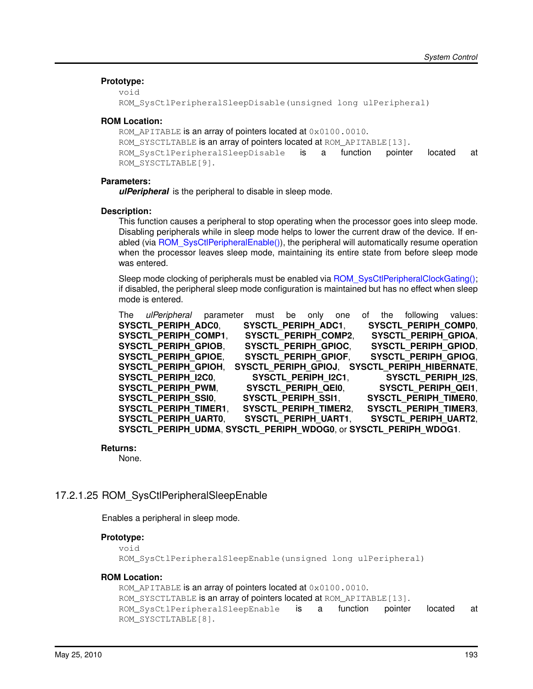#### **Prototype:**

```
void
ROM_SysCtlPeripheralSleepDisable(unsigned long ulPeripheral)
```
#### **ROM Location:**

```
ROM_APITABLE is an array of pointers located at 0 \times 0100.0010.
ROM SYSCTLTABLE is an array of pointers located at ROM APITABLE [13].
ROM_SysCtlPeripheralSleepDisable is a function pointer located at
ROM_SYSCTLTABLE[9].
```
#### **Parameters:**

*ulPeripheral* is the peripheral to disable in sleep mode.

#### **Description:**

This function causes a peripheral to stop operating when the processor goes into sleep mode. Disabling peripherals while in sleep mode helps to lower the current draw of the device. If enabled (via [ROM\\_SysCtlPeripheralEnable\(\)\)](#page-189-0), the peripheral will automatically resume operation when the processor leaves sleep mode, maintaining its entire state from before sleep mode was entered.

Sleep mode clocking of peripherals must be enabled via [ROM\\_SysCtlPeripheralClockGating\(\);](#page-186-0) if disabled, the peripheral sleep mode configuration is maintained but has no effect when sleep mode is entered.

|  |                      |                       | The ulPeripheral parameter must be only one                      |                     |  | of the following values:     |  |
|--|----------------------|-----------------------|------------------------------------------------------------------|---------------------|--|------------------------------|--|
|  |                      | SYSCTL PERIPH ADC0,   | SYSCTL PERIPH ADC1,                                              |                     |  | <b>SYSCTL PERIPH COMPO.</b>  |  |
|  |                      | SYSCTL PERIPH COMP1,  | <b>SYSCTL PERIPH COMP2,</b>                                      |                     |  | <b>SYSCTL PERIPH GPIOA,</b>  |  |
|  |                      | SYSCTL PERIPH GPIOB,  | <b>SYSCTL PERIPH GPIOC,</b>                                      |                     |  | <b>SYSCTL PERIPH GPIOD,</b>  |  |
|  | SYSCTL PERIPH GPIOE, |                       | <b>SYSCTL PERIPH GPIOF,</b>                                      |                     |  | <b>SYSCTL PERIPH GPIOG,</b>  |  |
|  |                      | SYSCTL PERIPH GPIOH,  | SYSCTL PERIPH GPIOJ, SYSCTL PERIPH HIBERNATE,                    |                     |  |                              |  |
|  | SYSCTL PERIPH 12C0,  |                       |                                                                  | SYSCTL PERIPH I2C1, |  | SYSCTL PERIPH_I2S,           |  |
|  | SYSCTL PERIPH PWM,   |                       |                                                                  | SYSCTL PERIPH QEIO, |  | SYSCTL PERIPH QEI1,          |  |
|  | SYSCTL PERIPH SSI0,  |                       | SYSCTL PERIPH SSI1,                                              |                     |  | <b>SYSCTL PERIPH TIMERO,</b> |  |
|  |                      | SYSCTL PERIPH TIMER1, | <b>SYSCTL PERIPH TIMER2,</b>                                     |                     |  | <b>SYSCTL PERIPH TIMER3,</b> |  |
|  |                      | SYSCTL PERIPH UART0,  | <b>SYSCTL PERIPH UART1,</b>                                      |                     |  | <b>SYSCTL PERIPH UART2,</b>  |  |
|  |                      |                       | SYSCTL PERIPH UDMA, SYSCTL PERIPH WDOG0, or SYSCTL PERIPH WDOG1. |                     |  |                              |  |

#### **Returns:**

None.

#### <span id="page-192-0"></span>17.2.1.25 ROM\_SysCtlPeripheralSleepEnable

Enables a peripheral in sleep mode.

#### **Prototype:**

```
void
ROM_SysCtlPeripheralSleepEnable(unsigned long ulPeripheral)
```
#### **ROM Location:**

```
ROM APITABLE is an array of pointers located at 0x0100.0010.
ROM_SYSCTLTABLE is an array of pointers located at ROM_APITABLE[13].
ROM SysCtlPeripheralSleepEnable is a function pointer located at
ROM SYSCTLTABLE[8].
```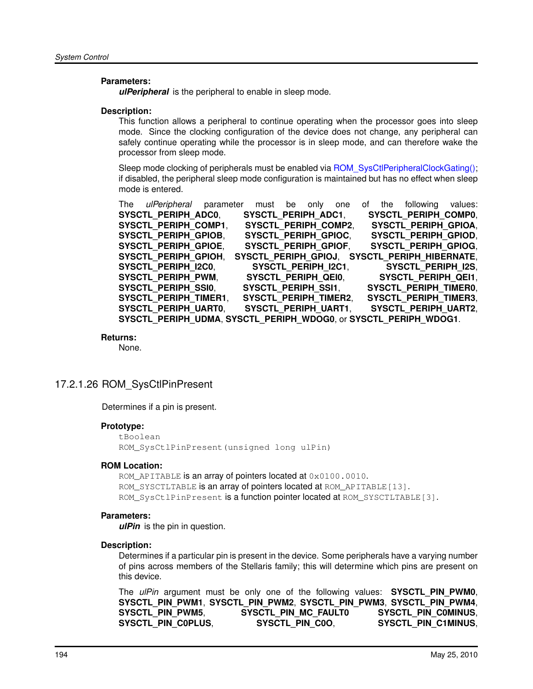#### **Parameters:**

*ulPeripheral* is the peripheral to enable in sleep mode.

#### **Description:**

This function allows a peripheral to continue operating when the processor goes into sleep mode. Since the clocking configuration of the device does not change, any peripheral can safely continue operating while the processor is in sleep mode, and can therefore wake the processor from sleep mode.

Sleep mode clocking of peripherals must be enabled via [ROM\\_SysCtlPeripheralClockGating\(\);](#page-186-0) if disabled, the peripheral sleep mode configuration is maintained but has no effect when sleep mode is entered.

| The ulPeripheral parameter must be only one                      |  |                              |  | of the following values:                      |  |
|------------------------------------------------------------------|--|------------------------------|--|-----------------------------------------------|--|
| SYSCTL PERIPH ADC0,                                              |  | <b>SYSCTL PERIPH ADC1,</b>   |  | <b>SYSCTL PERIPH COMPO.</b>                   |  |
| SYSCTL PERIPH COMP1,                                             |  | <b>SYSCTL PERIPH COMP2,</b>  |  | <b>SYSCTL PERIPH GPIOA,</b>                   |  |
| SYSCTL PERIPH GPIOB,                                             |  | <b>SYSCTL PERIPH GPIOC,</b>  |  | <b>SYSCTL PERIPH GPIOD,</b>                   |  |
| SYSCTL PERIPH GPIOE,                                             |  | <b>SYSCTL PERIPH GPIOF,</b>  |  | <b>SYSCTL PERIPH GPIOG,</b>                   |  |
| SYSCTL PERIPH GPIOH,                                             |  |                              |  | SYSCTL PERIPH GPIOJ, SYSCTL PERIPH HIBERNATE, |  |
| SYSCTL PERIPH I2C0,                                              |  | <b>SYSCTL PERIPH I2C1,</b>   |  | SYSCTL PERIPH 12S.                            |  |
| SYSCTL PERIPH PWM,                                               |  | <b>SYSCTL PERIPH QEIO,</b>   |  | SYSCTL PERIPH QEI1,                           |  |
| SYSCTL PERIPH SSI0,                                              |  | SYSCTL PERIPH SSI1,          |  | <b>SYSCTL PERIPH TIMERO,</b>                  |  |
| Sysctl Periph Timer1,                                            |  | <b>SYSCTL PERIPH TIMER2,</b> |  | <b>SYSCTL PERIPH TIMER3,</b>                  |  |
| SYSCTL PERIPH UART0,                                             |  | <b>SYSCTL PERIPH UART1,</b>  |  | <b>SYSCTL PERIPH UART2,</b>                   |  |
| SYSCTL PERIPH UDMA, SYSCTL PERIPH WDOG0, or SYSCTL PERIPH WDOG1. |  |                              |  |                                               |  |

#### **Returns:**

None.

## 17.2.1.26 ROM\_SysCtlPinPresent

Determines if a pin is present.

#### **Prototype:**

```
tBoolean
ROM_SysCtlPinPresent(unsigned long ulPin)
```
#### **ROM Location:**

ROM\_APITABLE is an array of pointers located at  $0 \times 0100$ .0010. ROM SYSCTLTABLE is an array of pointers located at ROM APITABLE [13]. ROM\_SysCtlPinPresent is a function pointer located at ROM\_SYSCTLTABLE[3].

#### **Parameters:**

*ulPin* is the pin in question.

#### **Description:**

Determines if a particular pin is present in the device. Some peripherals have a varying number of pins across members of the Stellaris family; this will determine which pins are present on this device.

The *ulPin* argument must be only one of the following values: **SYSCTL\_PIN\_PWM0**, **SYSCTL\_PIN\_PWM1**, **SYSCTL\_PIN\_PWM2**, **SYSCTL\_PIN\_PWM3**, **SYSCTL\_PIN\_PWM4**, **SYSCTL\_PIN\_PWM5**, **SYSCTL\_PIN\_MC\_FAULT0 SYSCTL\_PIN\_C0MINUS**, **SYSCTL\_PIN\_C0PLUS**, **SYSCTL\_PIN\_C0O**, **SYSCTL\_PIN\_C1MINUS**,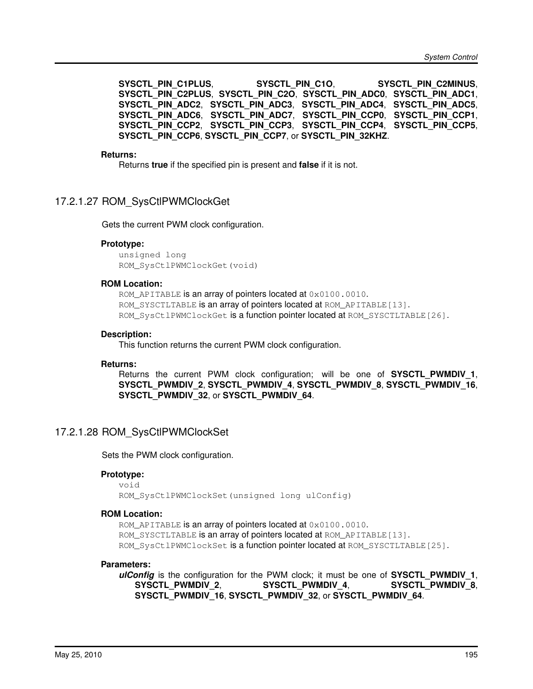**SYSCTL\_PIN\_C1PLUS**, **SYSCTL\_PIN\_C1O**, **SYSCTL\_PIN\_C2MINUS**, **SYSCTL\_PIN\_C2PLUS**, **SYSCTL\_PIN\_C2O**, **SYSCTL\_PIN\_ADC0**, **SYSCTL\_PIN\_ADC1**, **SYSCTL\_PIN\_ADC2**, **SYSCTL\_PIN\_ADC3**, **SYSCTL\_PIN\_ADC4**, **SYSCTL\_PIN\_ADC5**, **SYSCTL\_PIN\_ADC6**, **SYSCTL\_PIN\_ADC7**, **SYSCTL\_PIN\_CCP0**, **SYSCTL\_PIN\_CCP1**, **SYSCTL\_PIN\_CCP2**, **SYSCTL\_PIN\_CCP3**, **SYSCTL\_PIN\_CCP4**, **SYSCTL\_PIN\_CCP5**, **SYSCTL\_PIN\_CCP6**, **SYSCTL\_PIN\_CCP7**, or **SYSCTL\_PIN\_32KHZ**.

#### **Returns:**

Returns **true** if the specified pin is present and **false** if it is not.

# 17.2.1.27 ROM\_SysCtlPWMClockGet

Gets the current PWM clock configuration.

#### **Prototype:**

unsigned long ROM\_SysCtlPWMClockGet(void)

#### **ROM Location:**

ROM APITABLE is an array of pointers located at 0x0100.0010. ROM SYSCTLTABLE is an array of pointers located at ROM APITABLE [13]. ROM SysCtlPWMClockGet is a function pointer located at ROM SYSCTLTABLE[26].

#### **Description:**

This function returns the current PWM clock configuration.

#### **Returns:**

Returns the current PWM clock configuration; will be one of **SYSCTL PWMDIV 1**, **SYSCTL\_PWMDIV\_2**, **SYSCTL\_PWMDIV\_4**, **SYSCTL\_PWMDIV\_8**, **SYSCTL\_PWMDIV\_16**, **SYSCTL\_PWMDIV\_32**, or **SYSCTL\_PWMDIV\_64**.

# 17.2.1.28 ROM\_SysCtlPWMClockSet

Sets the PWM clock configuration.

#### **Prototype:**

void ROM\_SysCtlPWMClockSet(unsigned long ulConfig)

#### **ROM Location:**

ROM\_APITABLE is an array of pointers located at  $0 \times 0100$ .0010. ROM SYSCTLTABLE is an array of pointers located at ROM APITABLE [13]. ROM\_SysCtlPWMClockSet is a function pointer located at ROM\_SYSCTLTABLE[25].

#### **Parameters:**

*ulConfig* is the configuration for the PWM clock; it must be one of **SYSCTL\_PWMDIV\_1**, **SYSCTL\_PWMDIV\_2**, **SYSCTL\_PWMDIV\_4**, **SYSCTL\_PWMDIV\_8**, **SYSCTL\_PWMDIV\_16**, **SYSCTL\_PWMDIV\_32**, or **SYSCTL\_PWMDIV\_64**.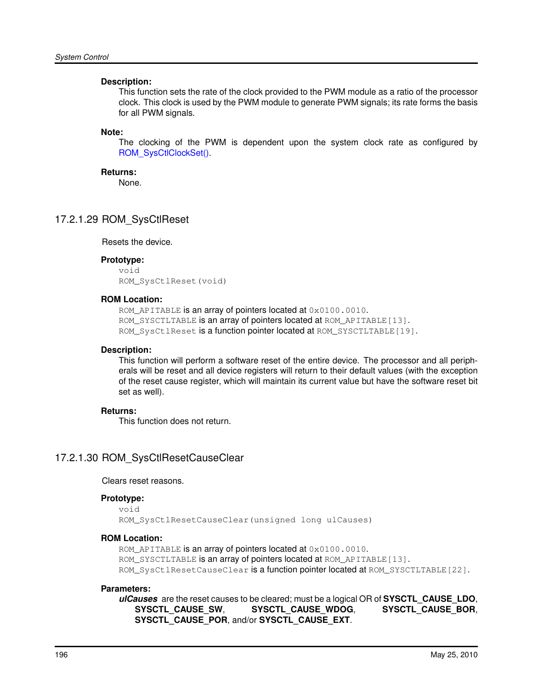#### **Description:**

This function sets the rate of the clock provided to the PWM module as a ratio of the processor clock. This clock is used by the PWM module to generate PWM signals; its rate forms the basis for all PWM signals.

#### **Note:**

The clocking of the PWM is dependent upon the system clock rate as configured by [ROM\\_SysCtlClockSet\(\).](#page-179-0)

#### **Returns:**

None.

# 17.2.1.29 ROM\_SysCtlReset

#### Resets the device.

#### **Prototype:**

```
void
ROM_SysCtlReset(void)
```
#### **ROM Location:**

ROM\_APITABLE is an array of pointers located at  $0 \times 0100$ .0010. ROM\_SYSCTLTABLE is an array of pointers located at ROM\_APITABLE[13]. ROM\_SysCtlReset is a function pointer located at ROM\_SYSCTLTABLE[19].

#### **Description:**

This function will perform a software reset of the entire device. The processor and all peripherals will be reset and all device registers will return to their default values (with the exception of the reset cause register, which will maintain its current value but have the software reset bit set as well).

#### **Returns:**

This function does not return.

# 17.2.1.30 ROM\_SysCtlResetCauseClear

Clears reset reasons.

#### **Prototype:**

void

ROM\_SysCtlResetCauseClear(unsigned long ulCauses)

#### **ROM Location:**

ROM\_APITABLE is an array of pointers located at  $0 \times 0100$ .0010. ROM\_SYSCTLTABLE is an array of pointers located at ROM\_APITABLE[13]. ROM\_SysCtlResetCauseClear is a function pointer located at ROM\_SYSCTLTABLE[22].

#### **Parameters:**

*ulCauses* are the reset causes to be cleared; must be a logical OR of **SYSCTL\_CAUSE\_LDO**, **SYSCTL\_CAUSE\_SW**, **SYSCTL\_CAUSE\_WDOG**, **SYSCTL\_CAUSE\_BOR**, **SYSCTL\_CAUSE\_POR**, and/or **SYSCTL\_CAUSE\_EXT**.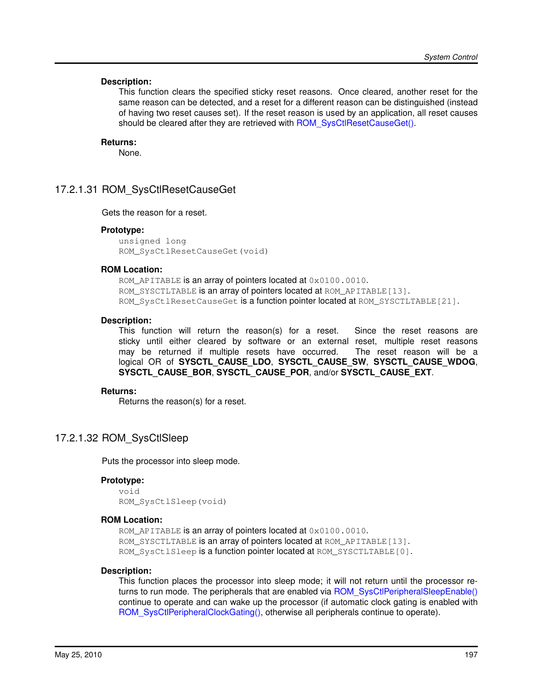#### **Description:**

This function clears the specified sticky reset reasons. Once cleared, another reset for the same reason can be detected, and a reset for a different reason can be distinguished (instead of having two reset causes set). If the reset reason is used by an application, all reset causes should be cleared after they are retrieved with ROM SysCtlResetCauseGet().

#### **Returns:**

None.

# <span id="page-196-0"></span>17.2.1.31 ROM\_SysCtlResetCauseGet

Gets the reason for a reset.

#### **Prototype:**

unsigned long ROM\_SysCtlResetCauseGet(void)

#### **ROM Location:**

ROM APITABLE is an array of pointers located at 0x0100.0010. ROM\_SYSCTLTABLE is an array of pointers located at ROM\_APITABLE [13]. ROM\_SysCtlResetCauseGet is a function pointer located at ROM\_SYSCTLTABLE[21].

#### **Description:**

This function will return the reason(s) for a reset. Since the reset reasons are sticky until either cleared by software or an external reset, multiple reset reasons may be returned if multiple resets have occurred. The reset reason will be a logical OR of **SYSCTL\_CAUSE\_LDO**, **SYSCTL\_CAUSE\_SW**, **SYSCTL\_CAUSE\_WDOG**, **SYSCTL\_CAUSE\_BOR**, **SYSCTL\_CAUSE\_POR**, and/or **SYSCTL\_CAUSE\_EXT**.

#### **Returns:**

Returns the reason(s) for a reset.

# 17.2.1.32 ROM\_SysCtlSleep

Puts the processor into sleep mode.

#### **Prototype:**

```
void
ROM_SysCtlSleep(void)
```
#### **ROM Location:**

ROM\_APITABLE is an array of pointers located at  $0 \times 0100$ .0010. ROM\_SYSCTLTABLE is an array of pointers located at ROM\_APITABLE [13]. ROM\_SysCtlSleep is a function pointer located at ROM\_SYSCTLTABLE[0].

#### **Description:**

This function places the processor into sleep mode; it will not return until the processor re-turns to run mode. The peripherals that are enabled via [ROM\\_SysCtlPeripheralSleepEnable\(\)](#page-192-0) continue to operate and can wake up the processor (if automatic clock gating is enabled with [ROM\\_SysCtlPeripheralClockGating\(\),](#page-186-0) otherwise all peripherals continue to operate).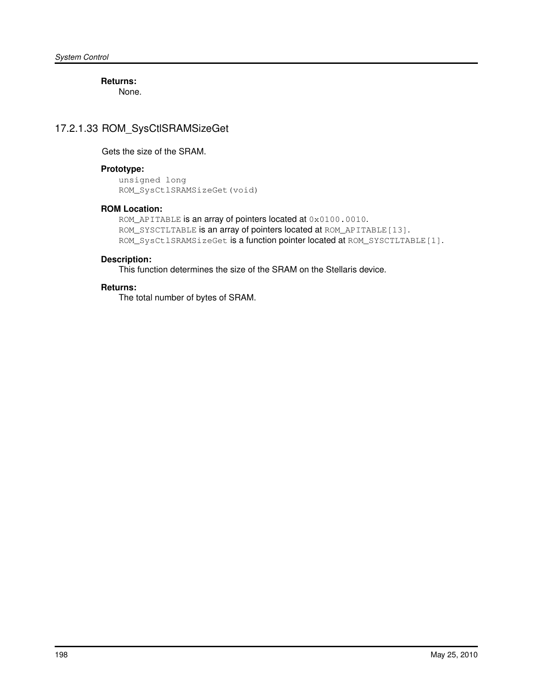**Returns:** None.

# 17.2.1.33 ROM\_SysCtlSRAMSizeGet

Gets the size of the SRAM.

# **Prototype:**

```
unsigned long
ROM_SysCtlSRAMSizeGet(void)
```
#### **ROM Location:**

ROM\_APITABLE is an array of pointers located at  $0 \times 0100$ .0010. ROM\_SYSCTLTABLE is an array of pointers located at ROM\_APITABLE[13]. ROM\_SysCtlSRAMSizeGet is a function pointer located at ROM\_SYSCTLTABLE[1].

# **Description:**

This function determines the size of the SRAM on the Stellaris device.

## **Returns:**

The total number of bytes of SRAM.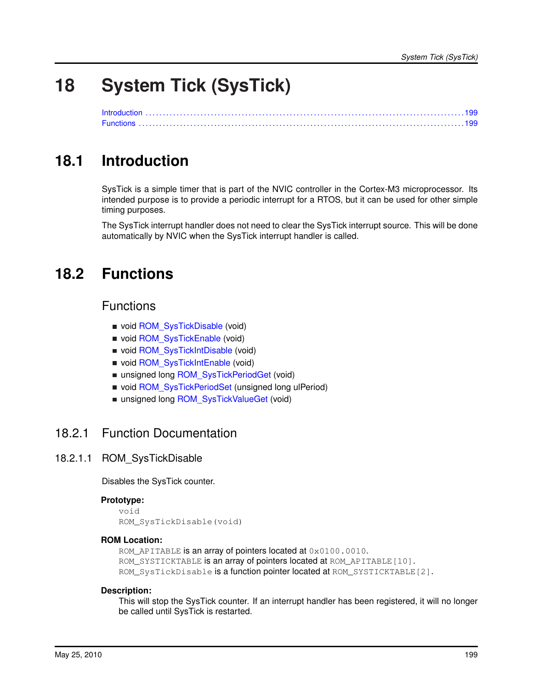# **18 System Tick (SysTick)**

<span id="page-198-0"></span>

# <span id="page-198-1"></span>**18.1 Introduction**

SysTick is a simple timer that is part of the NVIC controller in the Cortex-M3 microprocessor. Its intended purpose is to provide a periodic interrupt for a RTOS, but it can be used for other simple timing purposes.

<span id="page-198-2"></span>The SysTick interrupt handler does not need to clear the SysTick interrupt source. This will be done automatically by NVIC when the SysTick interrupt handler is called.

# <span id="page-198-3"></span>**18.2 Functions**

# Functions

- void [ROM\\_SysTickDisable](#page-198-4) (void)
- void [ROM\\_SysTickEnable](#page-199-0) (void)
- void [ROM\\_SysTickIntDisable](#page-199-1) (void)
- void [ROM\\_SysTickIntEnable](#page-199-2) (void)
- unsigned long [ROM\\_SysTickPeriodGet](#page-200-0) (void)
- void [ROM\\_SysTickPeriodSet](#page-200-1) (unsigned long ulPeriod)
- unsigned long [ROM\\_SysTickValueGet](#page-201-0) (void)

# 18.2.1 Function Documentation

# <span id="page-198-4"></span>18.2.1.1 ROM\_SysTickDisable

Disables the SysTick counter.

#### **Prototype:**

```
void
ROM_SysTickDisable(void)
```
#### **ROM Location:**

ROM\_APITABLE is an array of pointers located at  $0 \times 0100$ .0010. ROM SYSTICKTABLE is an array of pointers located at ROM APITABLE [10]. ROM SysTickDisable is a function pointer located at ROM SYSTICKTABLE[2].

#### **Description:**

This will stop the SysTick counter. If an interrupt handler has been registered, it will no longer be called until SysTick is restarted.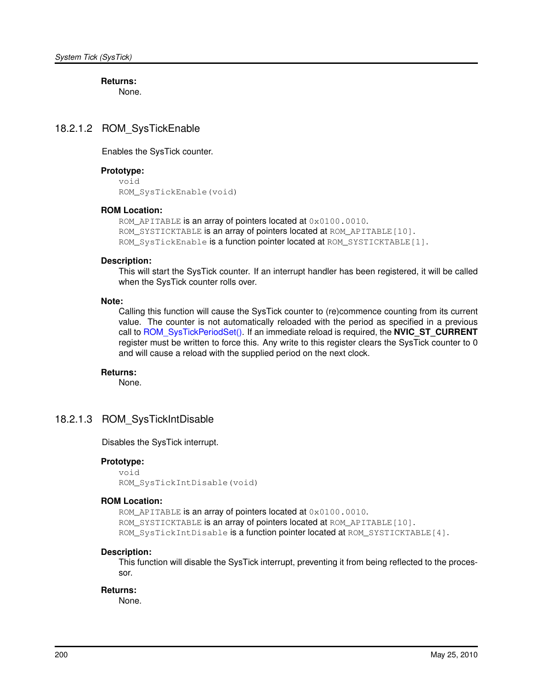**Returns:** None.

# <span id="page-199-0"></span>18.2.1.2 ROM\_SysTickEnable

Enables the SysTick counter.

### **Prototype:**

```
void
ROM_SysTickEnable(void)
```
## **ROM Location:**

ROM APITABLE is an array of pointers located at  $0 \times 0100$ .0010. ROM SYSTICKTABLE is an array of pointers located at ROM APITABLE [10]. ROM\_SysTickEnable is a function pointer located at ROM\_SYSTICKTABLE[1].

#### **Description:**

This will start the SysTick counter. If an interrupt handler has been registered, it will be called when the SysTick counter rolls over.

## **Note:**

Calling this function will cause the SysTick counter to (re)commence counting from its current value. The counter is not automatically reloaded with the period as specified in a previous call to [ROM\\_SysTickPeriodSet\(\).](#page-200-1) If an immediate reload is required, the **NVIC\_ST\_CURRENT** register must be written to force this. Any write to this register clears the SysTick counter to 0 and will cause a reload with the supplied period on the next clock.

#### **Returns:**

None.

# <span id="page-199-1"></span>18.2.1.3 ROM\_SysTickIntDisable

Disables the SysTick interrupt.

# **Prototype:**

```
void
ROM_SysTickIntDisable(void)
```
#### **ROM Location:**

ROM\_APITABLE is an array of pointers located at  $0 \times 0100$ .0010. ROM SYSTICKTABLE is an array of pointers located at ROM APITABLE[10]. ROM SysTickIntDisable is a function pointer located at ROM SYSTICKTABLE[4].

#### **Description:**

This function will disable the SysTick interrupt, preventing it from being reflected to the processor.

#### <span id="page-199-2"></span>**Returns:**

None.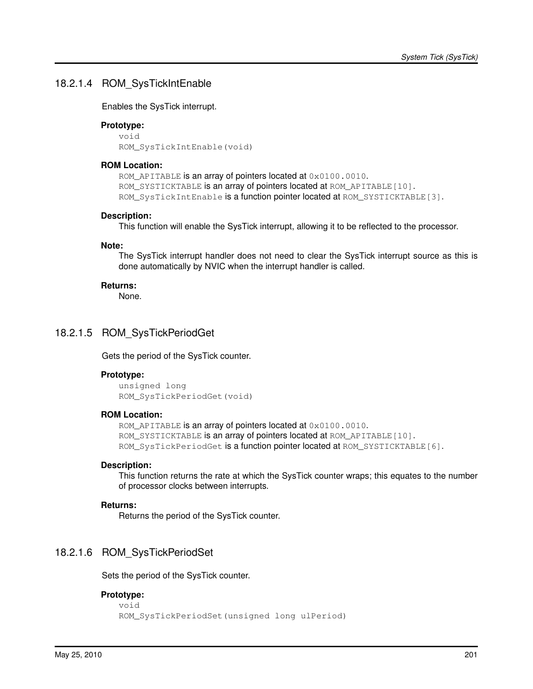# 18.2.1.4 ROM\_SysTickIntEnable

Enables the SysTick interrupt.

#### **Prototype:**

void ROM\_SysTickIntEnable(void)

#### **ROM Location:**

ROM\_APITABLE is an array of pointers located at  $0 \times 0100$ .0010. ROM\_SYSTICKTABLE is an array of pointers located at ROM\_APITABLE [10]. ROM SysTickIntEnable is a function pointer located at ROM SYSTICKTABLE[3].

#### **Description:**

This function will enable the SysTick interrupt, allowing it to be reflected to the processor.

#### **Note:**

The SysTick interrupt handler does not need to clear the SysTick interrupt source as this is done automatically by NVIC when the interrupt handler is called.

#### **Returns:**

None.

# <span id="page-200-0"></span>18.2.1.5 ROM\_SysTickPeriodGet

Gets the period of the SysTick counter.

#### **Prototype:**

```
unsigned long
ROM_SysTickPeriodGet(void)
```
#### **ROM Location:**

ROM\_APITABLE is an array of pointers located at  $0 \times 0100$ .0010. ROM\_SYSTICKTABLE is an array of pointers located at ROM\_APITABLE [10]. ROM\_SysTickPeriodGet is a function pointer located at ROM\_SYSTICKTABLE[6].

#### **Description:**

This function returns the rate at which the SysTick counter wraps; this equates to the number of processor clocks between interrupts.

#### **Returns:**

Returns the period of the SysTick counter.

# <span id="page-200-1"></span>18.2.1.6 ROM\_SysTickPeriodSet

Sets the period of the SysTick counter.

#### **Prototype:**

```
void
ROM_SysTickPeriodSet(unsigned long ulPeriod)
```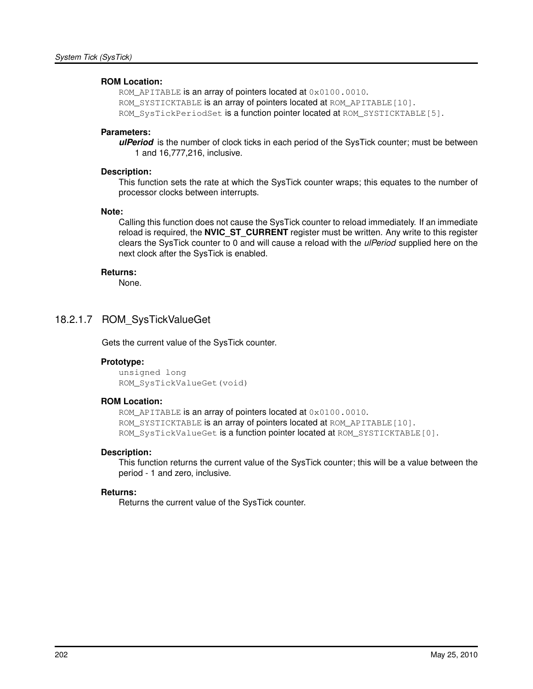#### **ROM Location:**

ROM\_APITABLE is an array of pointers located at  $0 \times 0100$ .0010. ROM\_SYSTICKTABLE is an array of pointers located at ROM\_APITABLE[10]. ROM\_SysTickPeriodSet is a function pointer located at ROM\_SYSTICKTABLE[5].

#### **Parameters:**

*ulPeriod* is the number of clock ticks in each period of the SysTick counter; must be between 1 and 16,777,216, inclusive.

#### **Description:**

This function sets the rate at which the SysTick counter wraps; this equates to the number of processor clocks between interrupts.

#### **Note:**

Calling this function does not cause the SysTick counter to reload immediately. If an immediate reload is required, the **NVIC\_ST\_CURRENT** register must be written. Any write to this register clears the SysTick counter to 0 and will cause a reload with the *ulPeriod* supplied here on the next clock after the SysTick is enabled.

#### **Returns:**

None.

# <span id="page-201-0"></span>18.2.1.7 ROM\_SysTickValueGet

Gets the current value of the SysTick counter.

#### **Prototype:**

unsigned long ROM\_SysTickValueGet(void)

#### **ROM Location:**

ROM\_APITABLE is an array of pointers located at  $0 \times 0100$ .0010. ROM SYSTICKTABLE is an array of pointers located at ROM APITABLE [10]. ROM\_SysTickValueGet is a function pointer located at ROM\_SYSTICKTABLE[0].

#### **Description:**

This function returns the current value of the SysTick counter; this will be a value between the period - 1 and zero, inclusive.

#### **Returns:**

Returns the current value of the SysTick counter.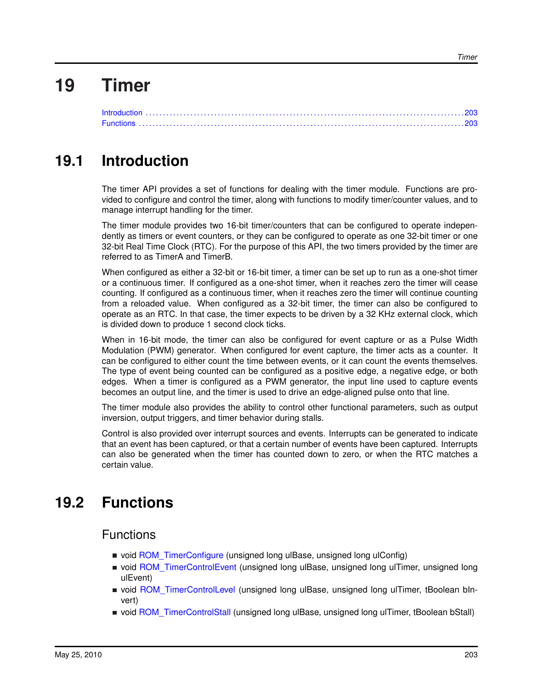# **19 Timer**

<span id="page-202-0"></span>

# <span id="page-202-1"></span>**19.1 Introduction**

The timer API provides a set of functions for dealing with the timer module. Functions are provided to configure and control the timer, along with functions to modify timer/counter values, and to manage interrupt handling for the timer.

The timer module provides two 16-bit timer/counters that can be configured to operate independently as timers or event counters, or they can be configured to operate as one 32-bit timer or one 32-bit Real Time Clock (RTC). For the purpose of this API, the two timers provided by the timer are referred to as TimerA and TimerB.

When configured as either a 32-bit or 16-bit timer, a timer can be set up to run as a one-shot timer or a continuous timer. If configured as a one-shot timer, when it reaches zero the timer will cease counting. If configured as a continuous timer, when it reaches zero the timer will continue counting from a reloaded value. When configured as a 32-bit timer, the timer can also be configured to operate as an RTC. In that case, the timer expects to be driven by a 32 KHz external clock, which is divided down to produce 1 second clock ticks.

When in 16-bit mode, the timer can also be configured for event capture or as a Pulse Width Modulation (PWM) generator. When configured for event capture, the timer acts as a counter. It can be configured to either count the time between events, or it can count the events themselves. The type of event being counted can be configured as a positive edge, a negative edge, or both edges. When a timer is configured as a PWM generator, the input line used to capture events becomes an output line, and the timer is used to drive an edge-aligned pulse onto that line.

The timer module also provides the ability to control other functional parameters, such as output inversion, output triggers, and timer behavior during stalls.

<span id="page-202-2"></span>Control is also provided over interrupt sources and events. Interrupts can be generated to indicate that an event has been captured, or that a certain number of events have been captured. Interrupts can also be generated when the timer has counted down to zero, or when the RTC matches a certain value.

# <span id="page-202-3"></span>**19.2 Functions**

# Functions

- void [ROM\\_TimerConfigure](#page-203-0) (unsigned long ulBase, unsigned long ulConfig)
- void [ROM\\_TimerControlEvent](#page-204-0) (unsigned long ulBase, unsigned long ulTimer, unsigned long ulEvent)
- void ROM TimerControlLevel (unsigned long ulBase, unsigned long ulTimer, tBoolean bInvert)
- void [ROM\\_TimerControlStall](#page-205-0) (unsigned long ulBase, unsigned long ulTimer, tBoolean bStall)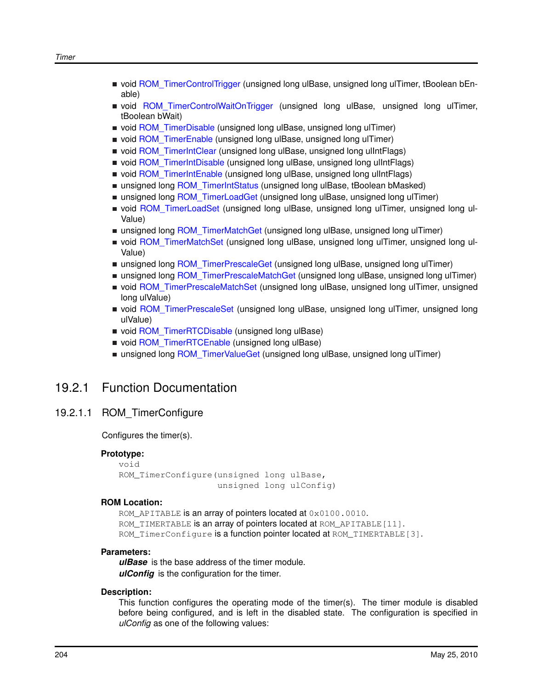- void [ROM\\_TimerControlTrigger](#page-206-0) (unsigned long ulBase, unsigned long ulTimer, tBoolean bEnable)
- void ROM TimerControlWaitOnTrigger (unsigned long ulBase, unsigned long ulTimer, tBoolean bWait)
- void ROM TimerDisable (unsigned long ulBase, unsigned long ulTimer)
- void [ROM\\_TimerEnable](#page-207-1) (unsigned long ulBase, unsigned long ulTimer)
- void [ROM\\_TimerIntClear](#page-208-0) (unsigned long ulBase, unsigned long ulIntFlags)
- void ROM TimerIntDisable (unsigned long ulBase, unsigned long ulIntFlags)
- void ROM TimerIntEnable (unsigned long ulBase, unsigned long ulIntFlags)
- unsigned long [ROM\\_TimerIntStatus](#page-210-0) (unsigned long ulBase, tBoolean bMasked)
- unsigned long [ROM\\_TimerLoadGet](#page-210-1) (unsigned long ulBase, unsigned long ulTimer)
- void [ROM\\_TimerLoadSet](#page-211-0) (unsigned long ulBase, unsigned long ulTimer, unsigned long ul-Value)
- unsigned long [ROM\\_TimerMatchGet](#page-211-1) (unsigned long ulBase, unsigned long ulTimer)
- void ROM TimerMatchSet (unsigned long ulBase, unsigned long ulTimer, unsigned long ul-Value)
- unsigned long [ROM\\_TimerPrescaleGet](#page-212-1) (unsigned long ulBase, unsigned long ulTimer)
- unsigned long [ROM\\_TimerPrescaleMatchGet](#page-213-0) (unsigned long ulBase, unsigned long ulTimer)
- void [ROM\\_TimerPrescaleMatchSet](#page-213-1) (unsigned long ulBase, unsigned long ulTimer, unsigned long ulValue)
- void [ROM\\_TimerPrescaleSet](#page-214-0) (unsigned long ulBase, unsigned long ulTimer, unsigned long ulValue)
- void [ROM\\_TimerRTCDisable](#page-214-1) (unsigned long ulBase)
- void [ROM\\_TimerRTCEnable](#page-215-0) (unsigned long ulBase)
- unsigned long [ROM\\_TimerValueGet](#page-215-1) (unsigned long ulBase, unsigned long ulTimer)

# 19.2.1 Function Documentation

# <span id="page-203-0"></span>19.2.1.1 ROM\_TimerConfigure

Configures the timer(s).

#### **Prototype:**

```
void
ROM TimerConfigure(unsigned long ulBase,
                   unsigned long ulConfig)
```
## **ROM Location:**

ROM APITABLE is an array of pointers located at 0x0100.0010. ROM TIMERTABLE is an array of pointers located at ROM APITABLE [11]. ROM TimerConfigure is a function pointer located at ROM TIMERTABLE[3].

#### **Parameters:**

*ulBase* is the base address of the timer module. *ulConfig* is the configuration for the timer.

#### **Description:**

This function configures the operating mode of the timer(s). The timer module is disabled before being configured, and is left in the disabled state. The configuration is specified in *ulConfig* as one of the following values: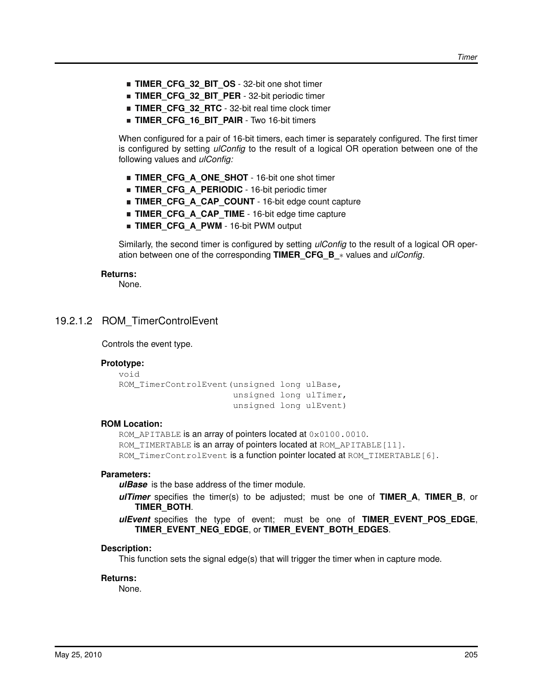- **TIMER CFG 32 BIT OS** 32-bit one shot timer
- **TIMER CFG 32 BIT PER** 32-bit periodic timer
- **TIMER CFG 32 RTC** 32-bit real time clock timer
- **TIMER CFG 16 BIT PAIR** Two 16-bit timers

When configured for a pair of 16-bit timers, each timer is separately configured. The first timer is configured by setting *ulConfig* to the result of a logical OR operation between one of the following values and *ulConfig:*

- **TIMER CFG A ONE SHOT** 16-bit one shot timer
- **TIMER CFG A PERIODIC** 16-bit periodic timer
- **TIMER\_CFG\_A\_CAP\_COUNT** 16-bit edge count capture
- **TIMER\_CFG\_A\_CAP\_TIME** 16-bit edge time capture
- **TIMER CFG A PWM** 16-bit PWM output

Similarly, the second timer is configured by setting *ulConfig* to the result of a logical OR operation between one of the corresponding **TIMER\_CFG\_B\_**∗ values and *ulConfig*.

#### **Returns:**

None.

# <span id="page-204-0"></span>19.2.1.2 ROM\_TimerControlEvent

Controls the event type.

#### **Prototype:**

```
void
ROM_TimerControlEvent(unsigned long ulBase,
                      unsigned long ulTimer,
                      unsigned long ulEvent)
```
#### **ROM Location:**

ROM\_APITABLE is an array of pointers located at  $0 \times 0100$ .0010. ROM\_TIMERTABLE is an array of pointers located at ROM\_APITABLE[11]. ROM\_TimerControlEvent is a function pointer located at ROM\_TIMERTABLE[6].

#### **Parameters:**

*ulBase* is the base address of the timer module.

- *ulTimer* specifies the timer(s) to be adjusted; must be one of **TIMER\_A**, **TIMER\_B**, or **TIMER\_BOTH**.
- *ulEvent* specifies the type of event; must be one of **TIMER\_EVENT\_POS\_EDGE**, **TIMER\_EVENT\_NEG\_EDGE**, or **TIMER\_EVENT\_BOTH\_EDGES**.

#### **Description:**

This function sets the signal edge(s) that will trigger the timer when in capture mode.

#### <span id="page-204-1"></span>**Returns:**

None.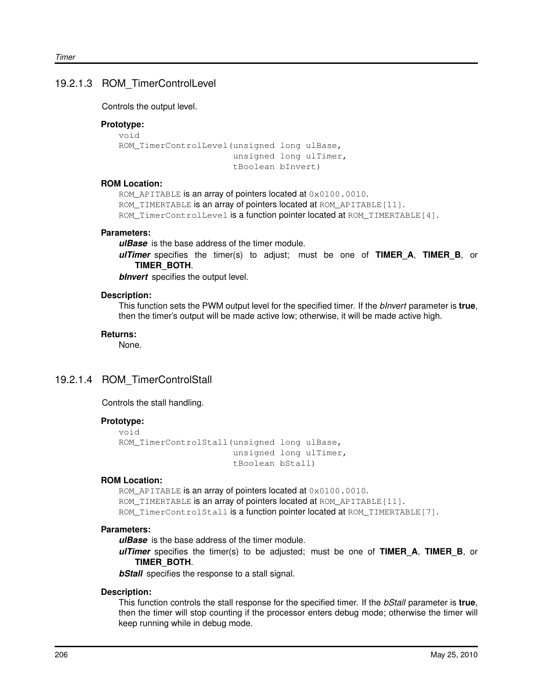# 19.2.1.3 ROM\_TimerControlLevel

Controls the output level.

#### **Prototype:**

```
void
ROM_TimerControlLevel(unsigned long ulBase,
                      unsigned long ulTimer,
                      tBoolean bInvert)
```
#### **ROM Location:**

ROM\_APITABLE is an array of pointers located at  $0 \times 0100$ .0010. ROM\_TIMERTABLE is an array of pointers located at ROM\_APITABLE[11]. ROM\_TimerControlLevel is a function pointer located at ROM\_TIMERTABLE[4].

#### **Parameters:**

*ulBase* is the base address of the timer module.

*ulTimer* specifies the timer(s) to adjust; must be one of **TIMER\_A**, **TIMER\_B**, or **TIMER\_BOTH**.

*bInvert* specifies the output level.

#### **Description:**

This function sets the PWM output level for the specified timer. If the *bInvert* parameter is **true**, then the timer's output will be made active low; otherwise, it will be made active high.

#### **Returns:**

None.

# <span id="page-205-0"></span>19.2.1.4 ROM\_TimerControlStall

Controls the stall handling.

#### **Prototype:**

```
void
ROM_TimerControlStall(unsigned long ulBase,
                      unsigned long ulTimer,
                      tBoolean bStall)
```
#### **ROM Location:**

ROM\_APITABLE is an array of pointers located at  $0 \times 0100$ .0010. ROM\_TIMERTABLE is an array of pointers located at ROM\_APITABLE [11]. ROM\_TimerControlStall is a function pointer located at ROM\_TIMERTABLE[7].

#### **Parameters:**

*ulBase* is the base address of the timer module.

*ulTimer* specifies the timer(s) to be adjusted; must be one of **TIMER\_A**, **TIMER\_B**, or **TIMER\_BOTH**.

**bStall** specifies the response to a stall signal.

#### **Description:**

This function controls the stall response for the specified timer. If the *bStall* parameter is **true**, then the timer will stop counting if the processor enters debug mode; otherwise the timer will keep running while in debug mode.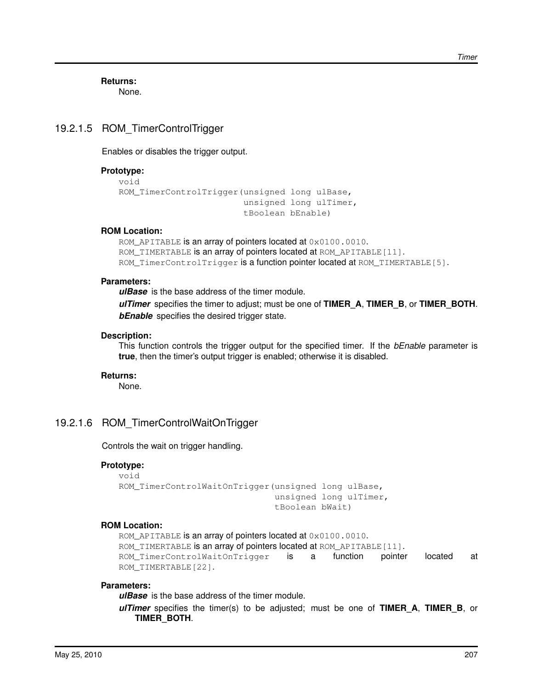**Returns:** None.

# <span id="page-206-0"></span>19.2.1.5 ROM\_TimerControlTrigger

Enables or disables the trigger output.

#### **Prototype:**

```
void
ROM_TimerControlTrigger(unsigned long ulBase,
                        unsigned long ulTimer,
                        tBoolean bEnable)
```
#### **ROM Location:**

```
ROM_APITABLE is an array of pointers located at 0 \times 0100.0010.
ROM_TIMERTABLE is an array of pointers located at ROM_APITABLE[11].
ROM_TimerControlTrigger is a function pointer located at ROM_TIMERTABLE[5].
```
#### **Parameters:**

*ulBase* is the base address of the timer module.

*ulTimer* specifies the timer to adjust; must be one of **TIMER\_A**, **TIMER\_B**, or **TIMER\_BOTH**. **bEnable** specifies the desired trigger state.

#### **Description:**

This function controls the trigger output for the specified timer. If the *bEnable* parameter is **true**, then the timer's output trigger is enabled; otherwise it is disabled.

#### **Returns:**

None.

# <span id="page-206-1"></span>19.2.1.6 ROM\_TimerControlWaitOnTrigger

Controls the wait on trigger handling.

### **Prototype:**

```
void
ROM_TimerControlWaitOnTrigger(unsigned long ulBase,
                              unsigned long ulTimer,
                              tBoolean bWait)
```
#### **ROM Location:**

```
ROM_APITABLE is an array of pointers located at 0 \times 0100.0010.
ROM_TIMERTABLE is an array of pointers located at ROM_APITABLE[11].
ROM_TimerControlWaitOnTrigger is a function pointer located at
ROM_TIMERTABLE[22].
```
#### **Parameters:**

*ulBase* is the base address of the timer module.

*ulTimer* specifies the timer(s) to be adjusted; must be one of **TIMER\_A**, **TIMER\_B**, or **TIMER\_BOTH**.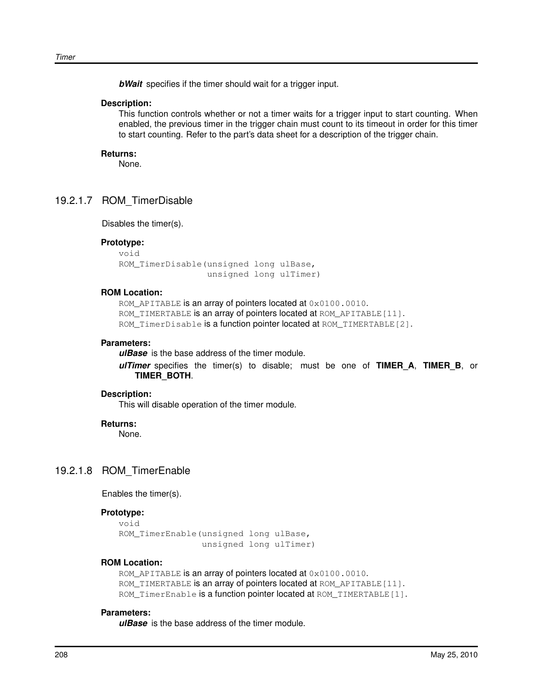*bWait* specifies if the timer should wait for a trigger input.

#### **Description:**

This function controls whether or not a timer waits for a trigger input to start counting. When enabled, the previous timer in the trigger chain must count to its timeout in order for this timer to start counting. Refer to the part's data sheet for a description of the trigger chain.

#### **Returns:**

None.

# <span id="page-207-0"></span>19.2.1.7 ROM\_TimerDisable

Disables the timer(s).

### **Prototype:**

void ROM\_TimerDisable(unsigned long ulBase, unsigned long ulTimer)

#### **ROM Location:**

ROM APITABLE is an array of pointers located at 0x0100.0010. ROM\_TIMERTABLE is an array of pointers located at ROM\_APITABLE[11]. ROM\_TimerDisable is a function pointer located at ROM\_TIMERTABLE[2].

#### **Parameters:**

*ulBase* is the base address of the timer module.

*ulTimer* specifies the timer(s) to disable; must be one of **TIMER\_A**, **TIMER\_B**, or **TIMER\_BOTH**.

#### **Description:**

This will disable operation of the timer module.

#### **Returns:**

None.

# <span id="page-207-1"></span>19.2.1.8 ROM\_TimerEnable

Enables the timer(s).

#### **Prototype:**

```
void
ROM_TimerEnable(unsigned long ulBase,
                unsigned long ulTimer)
```
#### **ROM Location:**

ROM\_APITABLE is an array of pointers located at  $0 \times 0100$ .0010. ROM\_TIMERTABLE is an array of pointers located at ROM\_APITABLE [11]. ROM TimerEnable is a function pointer located at ROM TIMERTABLE[1].

#### **Parameters:**

*ulBase* is the base address of the timer module.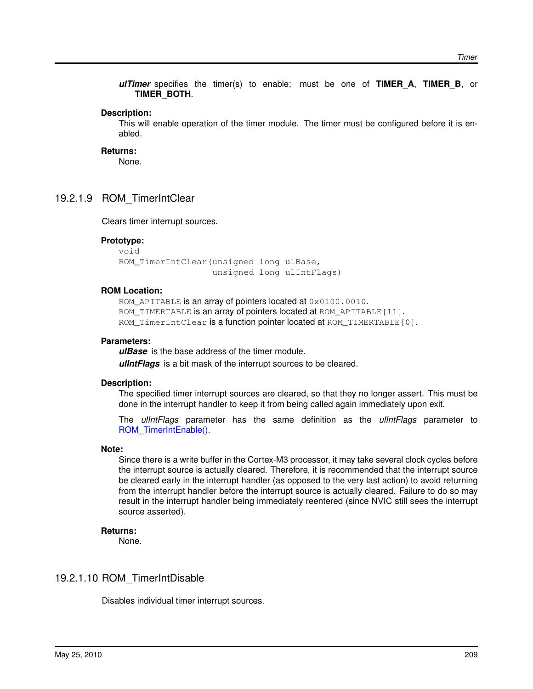*ulTimer* specifies the timer(s) to enable; must be one of **TIMER\_A**, **TIMER\_B**, or **TIMER\_BOTH**.

#### **Description:**

This will enable operation of the timer module. The timer must be configured before it is enabled.

#### **Returns:**

None.

# <span id="page-208-0"></span>19.2.1.9 ROM\_TimerIntClear

Clears timer interrupt sources.

#### **Prototype:**

```
void
ROM TimerIntClear(unsigned long ulBase,
                  unsigned long ulIntFlags)
```
#### **ROM Location:**

ROM\_APITABLE is an array of pointers located at  $0 \times 0100$ .0010. ROM\_TIMERTABLE is an array of pointers located at ROM\_APITABLE[11]. ROM TimerIntClear is a function pointer located at ROM TIMERTABLE[0].

#### **Parameters:**

*ulBase* is the base address of the timer module.

*ulIntFlags* is a bit mask of the interrupt sources to be cleared.

#### **Description:**

The specified timer interrupt sources are cleared, so that they no longer assert. This must be done in the interrupt handler to keep it from being called again immediately upon exit.

The *ulIntFlags* parameter has the same definition as the *ulIntFlags* parameter to [ROM\\_TimerIntEnable\(\).](#page-209-0)

#### **Note:**

Since there is a write buffer in the Cortex-M3 processor, it may take several clock cycles before the interrupt source is actually cleared. Therefore, it is recommended that the interrupt source be cleared early in the interrupt handler (as opposed to the very last action) to avoid returning from the interrupt handler before the interrupt source is actually cleared. Failure to do so may result in the interrupt handler being immediately reentered (since NVIC still sees the interrupt source asserted).

#### **Returns:**

None.

# <span id="page-208-1"></span>19.2.1.10 ROM\_TimerIntDisable

Disables individual timer interrupt sources.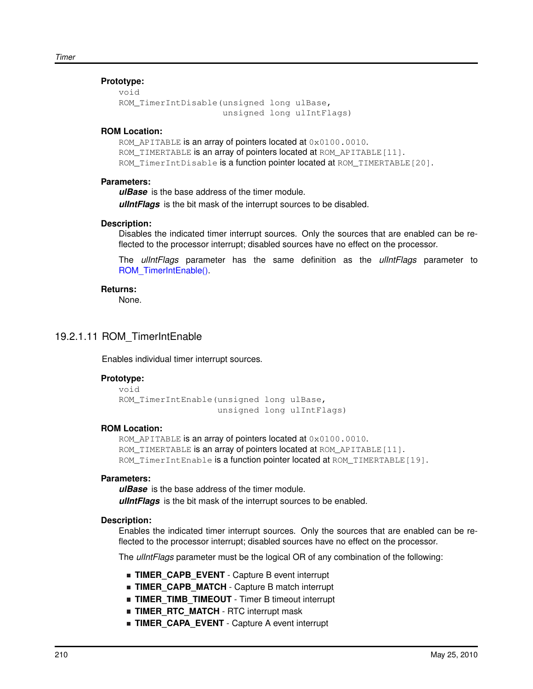#### **Prototype:**

```
void
ROM_TimerIntDisable(unsigned long ulBase,
                    unsigned long ulIntFlags)
```
#### **ROM Location:**

ROM APITABLE is an array of pointers located at 0x0100.0010. ROM\_TIMERTABLE is an array of pointers located at ROM\_APITABLE [11]. ROM\_TimerIntDisable is a function pointer located at ROM\_TIMERTABLE[20].

#### **Parameters:**

*ulBase* is the base address of the timer module.

*ulIntFlags* is the bit mask of the interrupt sources to be disabled.

#### **Description:**

Disables the indicated timer interrupt sources. Only the sources that are enabled can be reflected to the processor interrupt; disabled sources have no effect on the processor.

The *ulIntFlags* parameter has the same definition as the *ulIntFlags* parameter to [ROM\\_TimerIntEnable\(\).](#page-209-0)

#### **Returns:**

None.

# <span id="page-209-0"></span>19.2.1.11 ROM\_TimerIntEnable

Enables individual timer interrupt sources.

#### **Prototype:**

```
void
ROM_TimerIntEnable(unsigned long ulBase,
                   unsigned long ulIntFlags)
```
#### **ROM Location:**

ROM\_APITABLE is an array of pointers located at  $0 \times 0100$ .0010. ROM\_TIMERTABLE is an array of pointers located at ROM\_APITABLE[11]. ROM\_TimerIntEnable is a function pointer located at ROM\_TIMERTABLE[19].

#### **Parameters:**

*ulBase* is the base address of the timer module.

*ulIntFlags* is the bit mask of the interrupt sources to be enabled.

#### **Description:**

Enables the indicated timer interrupt sources. Only the sources that are enabled can be reflected to the processor interrupt; disabled sources have no effect on the processor.

The *ulIntFlags* parameter must be the logical OR of any combination of the following:

- **TIMER CAPB EVENT** Capture B event interrupt
- **TIMER CAPB MATCH** Capture B match interrupt
- **TIMER\_TIMB\_TIMEOUT** Timer B timeout interrupt
- **TIMER\_RTC\_MATCH** RTC interrupt mask
- **TIMER\_CAPA\_EVENT** Capture A event interrupt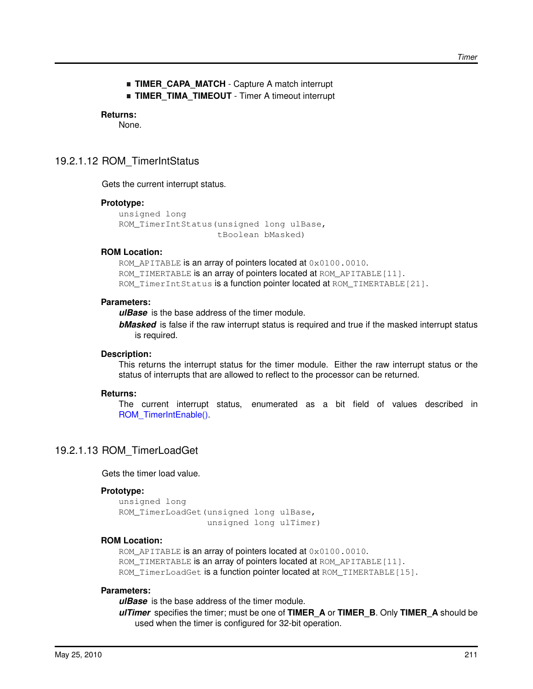**TIMER CAPA MATCH** - Capture A match interrupt **TIMER\_TIMA\_TIMEOUT** - Timer A timeout interrupt

#### **Returns:**

None.

# <span id="page-210-0"></span>19.2.1.12 ROM\_TimerIntStatus

Gets the current interrupt status.

#### **Prototype:**

```
unsigned long
ROM_TimerIntStatus(unsigned long ulBase,
                   tBoolean bMasked)
```
#### **ROM Location:**

ROM\_APITABLE is an array of pointers located at  $0 \times 0100$ .0010. ROM\_TIMERTABLE is an array of pointers located at ROM\_APITABLE[11]. ROM\_TimerIntStatus is a function pointer located at ROM\_TIMERTABLE[21].

#### **Parameters:**

*ulBase* is the base address of the timer module.

*bMasked* is false if the raw interrupt status is required and true if the masked interrupt status is required.

#### **Description:**

This returns the interrupt status for the timer module. Either the raw interrupt status or the status of interrupts that are allowed to reflect to the processor can be returned.

#### **Returns:**

The current interrupt status, enumerated as a bit field of values described in [ROM\\_TimerIntEnable\(\).](#page-209-0)

# <span id="page-210-1"></span>19.2.1.13 ROM\_TimerLoadGet

Gets the timer load value.

#### **Prototype:**

```
unsigned long
ROM_TimerLoadGet(unsigned long ulBase,
                 unsigned long ulTimer)
```
#### **ROM Location:**

ROM APITABLE is an array of pointers located at 0x0100.0010. ROM TIMERTABLE is an array of pointers located at ROM APITABLE [11]. ROM TimerLoadGet is a function pointer located at ROM TIMERTABLE[15].

#### **Parameters:**

*ulBase* is the base address of the timer module.

*ulTimer* specifies the timer; must be one of **TIMER\_A** or **TIMER\_B**. Only **TIMER\_A** should be used when the timer is configured for 32-bit operation.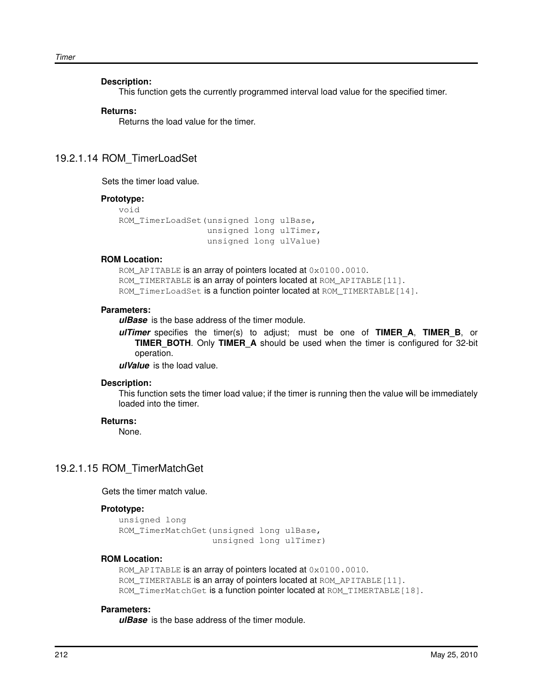#### **Description:**

This function gets the currently programmed interval load value for the specified timer.

#### **Returns:**

Returns the load value for the timer.

# <span id="page-211-0"></span>19.2.1.14 ROM\_TimerLoadSet

Sets the timer load value.

#### **Prototype:**

```
void
ROM_TimerLoadSet(unsigned long ulBase,
                 unsigned long ulTimer,
                 unsigned long ulValue)
```
#### **ROM Location:**

ROM\_APITABLE is an array of pointers located at  $0 \times 0100$ .0010. ROM\_TIMERTABLE is an array of pointers located at ROM\_APITABLE[11]. ROM\_TimerLoadSet is a function pointer located at ROM\_TIMERTABLE[14].

#### **Parameters:**

*ulBase* is the base address of the timer module.

*ulTimer* specifies the timer(s) to adjust; must be one of **TIMER\_A**, **TIMER\_B**, or **TIMER\_BOTH**. Only **TIMER\_A** should be used when the timer is configured for 32-bit operation.

*ulValue* is the load value.

#### **Description:**

This function sets the timer load value; if the timer is running then the value will be immediately loaded into the timer.

#### **Returns:**

None.

# <span id="page-211-1"></span>19.2.1.15 ROM\_TimerMatchGet

Gets the timer match value.

#### **Prototype:**

```
unsigned long
ROM_TimerMatchGet(unsigned long ulBase,
                  unsigned long ulTimer)
```
#### **ROM Location:**

```
ROM_APITABLE is an array of pointers located at 0 \times 0100.0010.
ROM_TIMERTABLE is an array of pointers located at ROM_APITABLE[11].
ROM TimerMatchGet is a function pointer located at ROM TIMERTABLE[18].
```
#### **Parameters:**

*ulBase* is the base address of the timer module.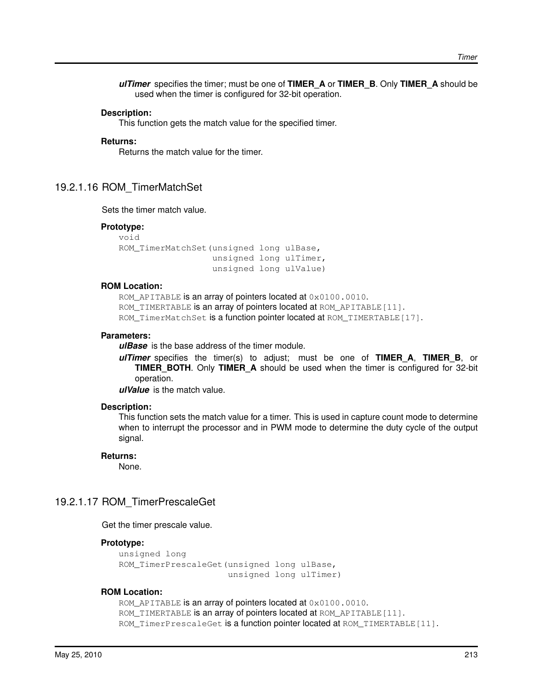*ulTimer* specifies the timer; must be one of **TIMER\_A** or **TIMER\_B**. Only **TIMER\_A** should be used when the timer is configured for 32-bit operation.

#### **Description:**

This function gets the match value for the specified timer.

#### **Returns:**

Returns the match value for the timer.

# <span id="page-212-0"></span>19.2.1.16 ROM\_TimerMatchSet

Sets the timer match value.

#### **Prototype:**

```
void
ROM TimerMatchSet(unsigned long ulBase,
                  unsigned long ulTimer,
                  unsigned long ulValue)
```
#### **ROM Location:**

ROM\_APITABLE is an array of pointers located at  $0 \times 0100$ .0010. ROM TIMERTABLE is an array of pointers located at ROM APITABLE [11]. ROM TimerMatchSet is a function pointer located at ROM TIMERTABLE[17].

#### **Parameters:**

*ulBase* is the base address of the timer module.

*ulTimer* specifies the timer(s) to adjust; must be one of **TIMER\_A**, **TIMER\_B**, or **TIMER\_BOTH**. Only **TIMER\_A** should be used when the timer is configured for 32-bit operation.

*ulValue* is the match value.

#### **Description:**

This function sets the match value for a timer. This is used in capture count mode to determine when to interrupt the processor and in PWM mode to determine the duty cycle of the output signal.

#### **Returns:**

None.

# <span id="page-212-1"></span>19.2.1.17 ROM\_TimerPrescaleGet

Get the timer prescale value.

#### **Prototype:**

```
unsigned long
ROM_TimerPrescaleGet(unsigned long ulBase,
                     unsigned long ulTimer)
```
#### **ROM Location:**

ROM\_APITABLE is an array of pointers located at  $0 \times 0100$ .0010. ROM\_TIMERTABLE is an array of pointers located at ROM\_APITABLE[11]. ROM TimerPrescaleGet is a function pointer located at ROM TIMERTABLE[11].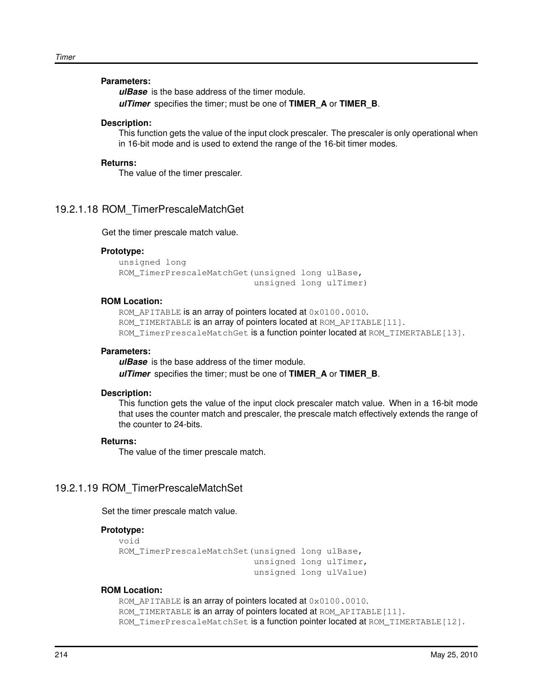### **Parameters:**

*ulBase* is the base address of the timer module. *ulTimer* specifies the timer; must be one of **TIMER\_A** or **TIMER\_B**.

#### **Description:**

This function gets the value of the input clock prescaler. The prescaler is only operational when in 16-bit mode and is used to extend the range of the 16-bit timer modes.

#### **Returns:**

The value of the timer prescaler.

# <span id="page-213-0"></span>19.2.1.18 ROM\_TimerPrescaleMatchGet

Get the timer prescale match value.

#### **Prototype:**

```
unsigned long
ROM_TimerPrescaleMatchGet(unsigned long ulBase,
                          unsigned long ulTimer)
```
#### **ROM Location:**

ROM\_APITABLE is an array of pointers located at  $0 \times 0100$ .0010. ROM\_TIMERTABLE is an array of pointers located at ROM\_APITABLE[11]. ROM TimerPrescaleMatchGet is a function pointer located at ROM TIMERTABLE[13].

#### **Parameters:**

*ulBase* is the base address of the timer module.

*ulTimer* specifies the timer; must be one of **TIMER\_A** or **TIMER\_B**.

#### **Description:**

This function gets the value of the input clock prescaler match value. When in a 16-bit mode that uses the counter match and prescaler, the prescale match effectively extends the range of the counter to 24-bits.

#### **Returns:**

The value of the timer prescale match.

# <span id="page-213-1"></span>19.2.1.19 ROM\_TimerPrescaleMatchSet

Set the timer prescale match value.

#### **Prototype:**

```
void
ROM TimerPrescaleMatchSet(unsigned long ulBase,
                          unsigned long ulTimer,
                          unsigned long ulValue)
```
#### **ROM Location:**

ROM\_APITABLE is an array of pointers located at  $0 \times 0100$ .0010. ROM\_TIMERTABLE is an array of pointers located at ROM\_APITABLE[11]. ROM\_TimerPrescaleMatchSet is a function pointer located at ROM\_TIMERTABLE[12].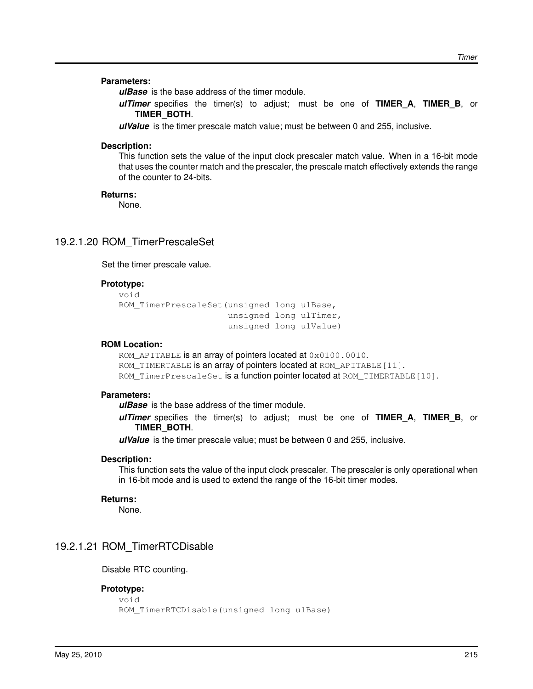#### **Parameters:**

*ulBase* is the base address of the timer module.

*ulTimer* specifies the timer(s) to adjust; must be one of **TIMER\_A**, **TIMER\_B**, or **TIMER\_BOTH**.

*ulValue* is the timer prescale match value; must be between 0 and 255, inclusive.

#### **Description:**

This function sets the value of the input clock prescaler match value. When in a 16-bit mode that uses the counter match and the prescaler, the prescale match effectively extends the range of the counter to 24-bits.

#### **Returns:**

None.

# <span id="page-214-0"></span>19.2.1.20 ROM\_TimerPrescaleSet

Set the timer prescale value.

#### **Prototype:**

```
void
```

```
ROM_TimerPrescaleSet(unsigned long ulBase,
                     unsigned long ulTimer,
                     unsigned long ulValue)
```
#### **ROM Location:**

ROM\_APITABLE is an array of pointers located at  $0 \times 0100$ .0010. ROM TIMERTABLE is an array of pointers located at ROM APITABLE[11]. ROM\_TimerPrescaleSet is a function pointer located at ROM\_TIMERTABLE[10].

#### **Parameters:**

*ulBase* is the base address of the timer module.

*ulTimer* specifies the timer(s) to adjust; must be one of **TIMER\_A**, **TIMER\_B**, or **TIMER\_BOTH**.

*ulValue* is the timer prescale value; must be between 0 and 255, inclusive.

#### **Description:**

This function sets the value of the input clock prescaler. The prescaler is only operational when in 16-bit mode and is used to extend the range of the 16-bit timer modes.

#### **Returns:**

None.

# <span id="page-214-1"></span>19.2.1.21 ROM\_TimerRTCDisable

Disable RTC counting.

# **Prototype:**

```
void
ROM_TimerRTCDisable(unsigned long ulBase)
```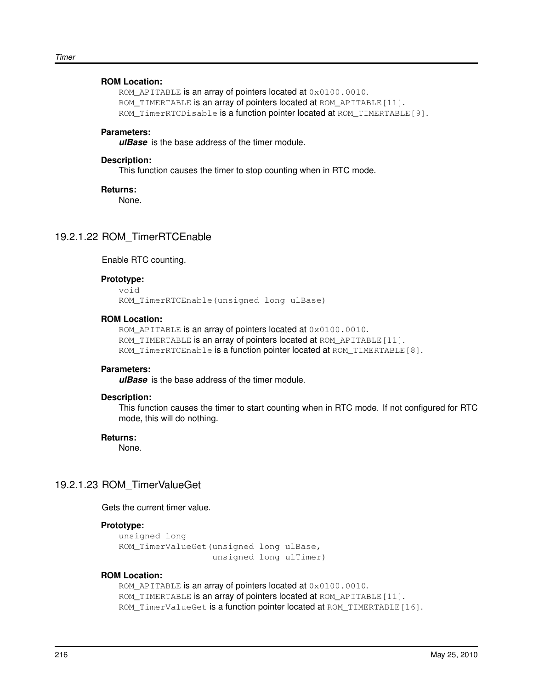#### **ROM Location:**

ROM\_APITABLE is an array of pointers located at  $0 \times 0100$ .0010. ROM\_TIMERTABLE is an array of pointers located at ROM\_APITABLE[11]. ROM\_TimerRTCDisable is a function pointer located at ROM\_TIMERTABLE[9].

### **Parameters:**

*ulBase* is the base address of the timer module.

#### **Description:**

This function causes the timer to stop counting when in RTC mode.

#### **Returns:**

None.

# <span id="page-215-0"></span>19.2.1.22 ROM\_TimerRTCEnable

### Enable RTC counting.

#### **Prototype:**

```
void
ROM_TimerRTCEnable(unsigned long ulBase)
```
#### **ROM Location:**

ROM\_APITABLE is an array of pointers located at  $0 \times 0100$ .0010. ROM\_TIMERTABLE is an array of pointers located at ROM\_APITABLE[11]. ROM TimerRTCEnable is a function pointer located at ROM TIMERTABLE[8].

#### **Parameters:**

*ulBase* is the base address of the timer module.

#### **Description:**

This function causes the timer to start counting when in RTC mode. If not configured for RTC mode, this will do nothing.

#### **Returns:**

None.

# <span id="page-215-1"></span>19.2.1.23 ROM\_TimerValueGet

Gets the current timer value.

#### **Prototype:**

```
unsigned long
ROM_TimerValueGet(unsigned long ulBase,
                  unsigned long ulTimer)
```
## **ROM Location:**

```
ROM_APITABLE is an array of pointers located at 0 \times 0100.0010.
ROM_TIMERTABLE is an array of pointers located at ROM_APITABLE[11].
ROM_TimerValueGet is a function pointer located at ROM_TIMERTABLE[16].
```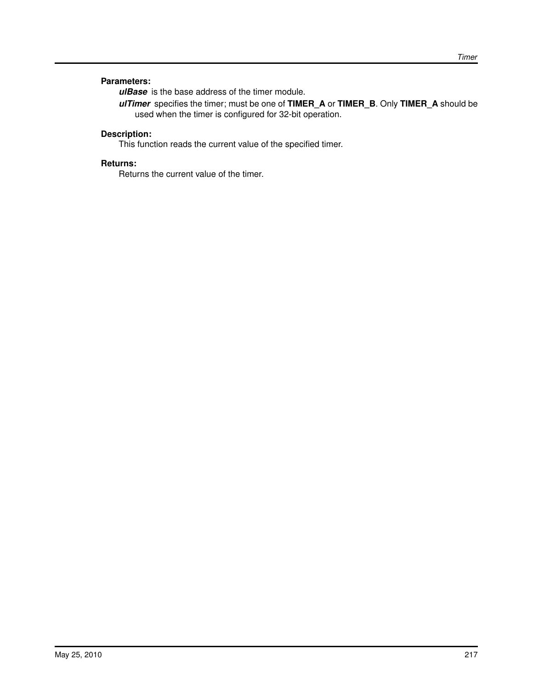## **Parameters:**

*ulBase* is the base address of the timer module.

*ulTimer* specifies the timer; must be one of **TIMER\_A** or **TIMER\_B**. Only **TIMER\_A** should be used when the timer is configured for 32-bit operation.

## **Description:**

This function reads the current value of the specified timer.

## **Returns:**

Returns the current value of the timer.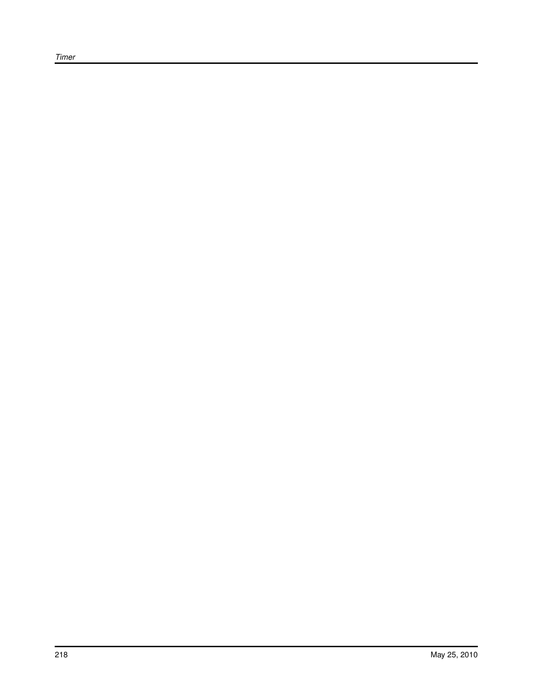*Timer*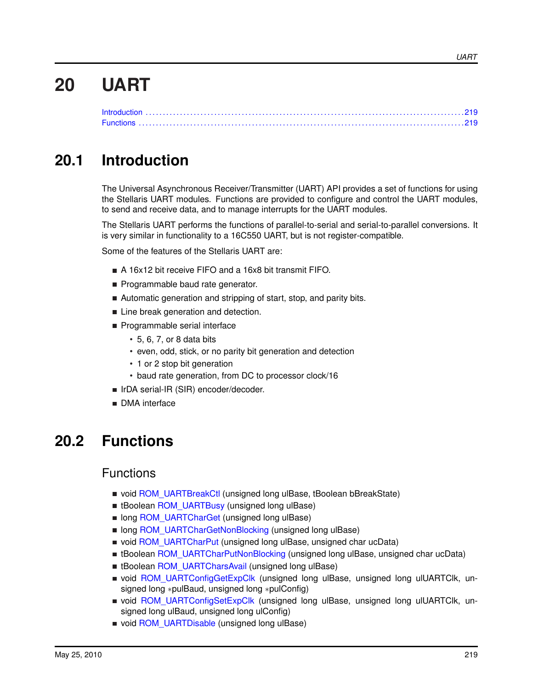# **20 UART**

<span id="page-218-0"></span>

# <span id="page-218-1"></span>**20.1 Introduction**

The Universal Asynchronous Receiver/Transmitter (UART) API provides a set of functions for using the Stellaris UART modules. Functions are provided to configure and control the UART modules, to send and receive data, and to manage interrupts for the UART modules.

The Stellaris UART performs the functions of parallel-to-serial and serial-to-parallel conversions. It is very similar in functionality to a 16C550 UART, but is not register-compatible.

Some of the features of the Stellaris UART are:

- A 16x12 bit receive FIFO and a 16x8 bit transmit FIFO.
- Programmable baud rate generator.
- Automatic generation and stripping of start, stop, and parity bits.
- Line break generation and detection.
- **Programmable serial interface** 
	- 5, 6, 7, or 8 data bits
	- even, odd, stick, or no parity bit generation and detection
	- 1 or 2 stop bit generation
	- baud rate generation, from DC to processor clock/16
- In IrDA serial-IR (SIR) encoder/decoder.
- **DMA** interface

## <span id="page-218-3"></span><span id="page-218-2"></span>**20.2 Functions**

## Functions

- void [ROM\\_UARTBreakCtl](#page-219-0) (unsigned long ulBase, tBoolean bBreakState)
- tBoolean [ROM\\_UARTBusy](#page-220-0) (unsigned long ulBase)
- long [ROM\\_UARTCharGet](#page-220-1) (unsigned long ulBase)
- long [ROM\\_UARTCharGetNonBlocking](#page-220-2) (unsigned long ulBase)
- void [ROM\\_UARTCharPut](#page-221-0) (unsigned long ulBase, unsigned char ucData)
- tBoolean [ROM\\_UARTCharPutNonBlocking](#page-221-1) (unsigned long ulBase, unsigned char ucData)
- tBoolean [ROM\\_UARTCharsAvail](#page-222-0) (unsigned long ulBase)
- void [ROM\\_UARTConfigGetExpClk](#page-222-1) (unsigned long ulBase, unsigned long ulUARTClk, unsigned long ∗pulBaud, unsigned long ∗pulConfig)
- void [ROM\\_UARTConfigSetExpClk](#page-223-0) (unsigned long ulBase, unsigned long ulUARTClk, unsigned long ulBaud, unsigned long ulConfig)
- void [ROM\\_UARTDisable](#page-224-0) (unsigned long ulBase)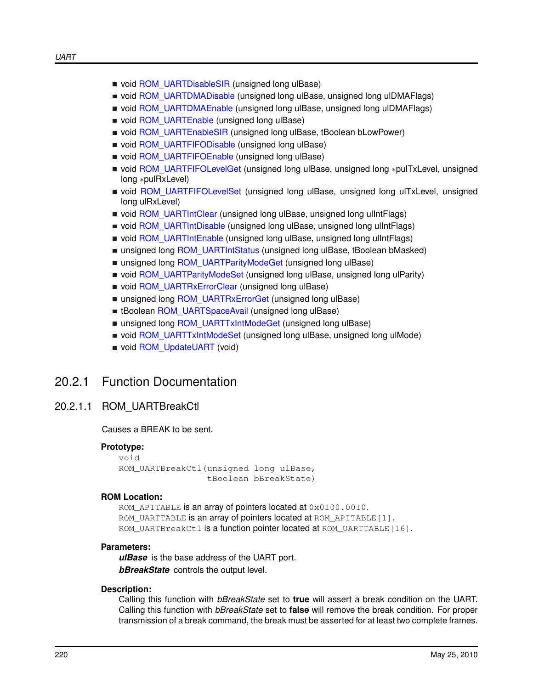- void [ROM\\_UARTDisableSIR](#page-224-1) (unsigned long ulBase)
- void [ROM\\_UARTDMADisable](#page-225-0) (unsigned long ulBase, unsigned long ulDMAFlags)
- void [ROM\\_UARTDMAEnable](#page-225-1) (unsigned long ulBase, unsigned long ulDMAFlags)
- void [ROM\\_UARTEnable](#page-226-0) (unsigned long ulBase)
- void [ROM\\_UARTEnableSIR](#page-226-1) (unsigned long ulBase, tBoolean bLowPower)
- void [ROM\\_UARTFIFODisable](#page-227-0) (unsigned long ulBase)
- void [ROM\\_UARTFIFOEnable](#page-227-1) (unsigned long ulBase)
- void [ROM\\_UARTFIFOLevelGet](#page-228-0) (unsigned long ulBase, unsigned long ∗pulTxLevel, unsigned long ∗pulRxLevel)
- void [ROM\\_UARTFIFOLevelSet](#page-228-1) (unsigned long ulBase, unsigned long ulTxLevel, unsigned long ulRxLevel)
- void [ROM\\_UARTIntClear](#page-229-0) (unsigned long ulBase, unsigned long ulIntFlags)
- void [ROM\\_UARTIntDisable](#page-230-0) (unsigned long ulBase, unsigned long ulIntFlags)
- void [ROM\\_UARTIntEnable](#page-230-1) (unsigned long ulBase, unsigned long ulIntFlags)
- unsigned long [ROM\\_UARTIntStatus](#page-231-0) (unsigned long ulBase, tBoolean bMasked)
- unsigned long [ROM\\_UARTParityModeGet](#page-231-1) (unsigned long ulBase)
- void [ROM\\_UARTParityModeSet](#page-232-0) (unsigned long ulBase, unsigned long ulParity)
- void [ROM\\_UARTRxErrorClear](#page-232-1) (unsigned long ulBase)
- unsigned long [ROM\\_UARTRxErrorGet](#page-233-0) (unsigned long ulBase)
- tBoolean [ROM\\_UARTSpaceAvail](#page-233-1) (unsigned long ulBase)
- unsigned long [ROM\\_UARTTxIntModeGet](#page-234-0) (unsigned long ulBase)
- void [ROM\\_UARTTxIntModeSet](#page-234-1) (unsigned long ulBase, unsigned long ulMode)
- void [ROM\\_UpdateUART](#page-235-0) (void)

## 20.2.1 Function Documentation

## <span id="page-219-0"></span>20.2.1.1 ROM\_UARTBreakCtl

Causes a BREAK to be sent.

#### **Prototype:**

```
void
ROM_UARTBreakCtl(unsigned long ulBase,
                 tBoolean bBreakState)
```
#### **ROM Location:**

ROM APITABLE is an array of pointers located at  $0 \times 0100$ .0010. ROM UARTTABLE is an array of pointers located at ROM APITABLE[1]. ROM UARTBreakCtl is a function pointer located at ROM UARTTABLE [16].

#### **Parameters:**

*ulBase* is the base address of the UART port. *bBreakState* controls the output level.

#### **Description:**

Calling this function with *bBreakState* set to **true** will assert a break condition on the UART. Calling this function with *bBreakState* set to **false** will remove the break condition. For proper transmission of a break command, the break must be asserted for at least two complete frames.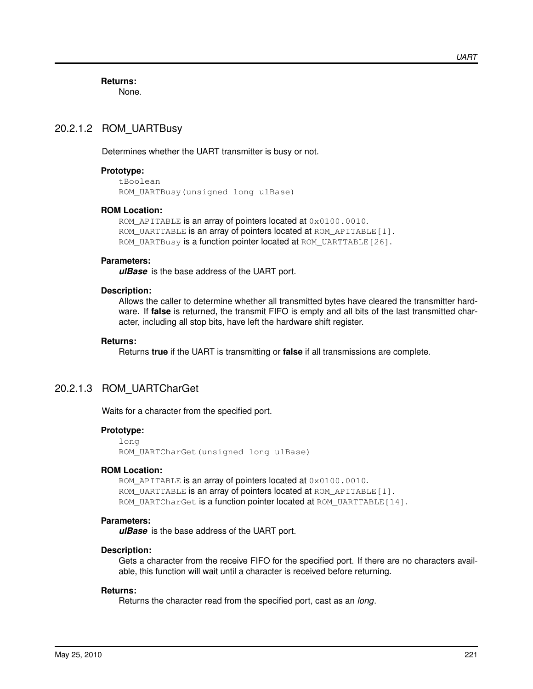**Returns:**

None.

## <span id="page-220-0"></span>20.2.1.2 ROM\_UARTBusy

Determines whether the UART transmitter is busy or not.

#### **Prototype:**

tBoolean ROM\_UARTBusy(unsigned long ulBase)

## **ROM Location:**

ROM APITABLE is an array of pointers located at  $0 \times 0100$ .0010. ROM UARTTABLE is an array of pointers located at ROM APITABLE [1]. ROM\_UARTBusy is a function pointer located at ROM\_UARTTABLE [26].

#### **Parameters:**

*ulBase* is the base address of the UART port.

#### **Description:**

Allows the caller to determine whether all transmitted bytes have cleared the transmitter hardware. If **false** is returned, the transmit FIFO is empty and all bits of the last transmitted character, including all stop bits, have left the hardware shift register.

#### **Returns:**

Returns **true** if the UART is transmitting or **false** if all transmissions are complete.

## <span id="page-220-1"></span>20.2.1.3 ROM\_UARTCharGet

Waits for a character from the specified port.

#### **Prototype:**

```
long
ROM_UARTCharGet(unsigned long ulBase)
```
#### **ROM Location:**

ROM\_APITABLE is an array of pointers located at  $0 \times 0100$ .0010. ROM UARTTABLE is an array of pointers located at ROM APITABLE $[1]$ . ROM\_UARTCharGet is a function pointer located at ROM\_UARTTABLE [14].

#### **Parameters:**

*ulBase* is the base address of the UART port.

#### **Description:**

Gets a character from the receive FIFO for the specified port. If there are no characters available, this function will wait until a character is received before returning.

#### <span id="page-220-2"></span>**Returns:**

Returns the character read from the specified port, cast as an *long*.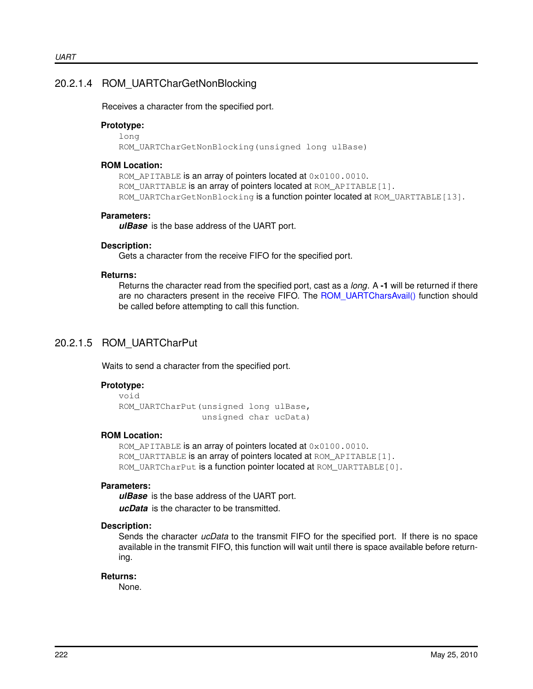## 20.2.1.4 ROM\_UARTCharGetNonBlocking

Receives a character from the specified port.

#### **Prototype:**

long ROM\_UARTCharGetNonBlocking(unsigned long ulBase)

#### **ROM Location:**

ROM\_APITABLE is an array of pointers located at  $0 \times 0100$ .0010. ROM\_UARTTABLE is an array of pointers located at ROM\_APITABLE [1]. ROM UARTCharGetNonBlocking is a function pointer located at ROM UARTTABLE[13].

#### **Parameters:**

*ulBase* is the base address of the UART port.

#### **Description:**

Gets a character from the receive FIFO for the specified port.

#### **Returns:**

Returns the character read from the specified port, cast as a *long*. A **-1** will be returned if there are no characters present in the receive FIFO. The [ROM\\_UARTCharsAvail\(\)](#page-222-0) function should be called before attempting to call this function.

## <span id="page-221-0"></span>20.2.1.5 ROM\_UARTCharPut

Waits to send a character from the specified port.

#### **Prototype:**

```
void
ROM_UARTCharPut(unsigned long ulBase,
                unsigned char ucData)
```
#### **ROM Location:**

ROM APITABLE is an array of pointers located at  $0 \times 0100$ .0010. ROM UARTTABLE is an array of pointers located at ROM APITABLE[1]. ROM\_UARTCharPut is a function pointer located at ROM\_UARTTABLE [0].

#### **Parameters:**

*ulBase* is the base address of the UART port.

*ucData* is the character to be transmitted.

#### **Description:**

Sends the character *ucData* to the transmit FIFO for the specified port. If there is no space available in the transmit FIFO, this function will wait until there is space available before returning.

#### <span id="page-221-1"></span>**Returns:**

None.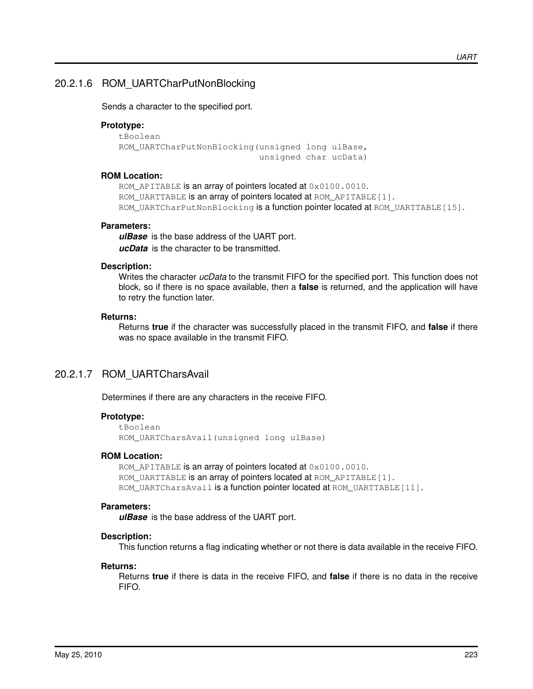## 20.2.1.6 ROM\_UARTCharPutNonBlocking

Sends a character to the specified port.

#### **Prototype:**

```
tBoolean
ROM_UARTCharPutNonBlocking(unsigned long ulBase,
                           unsigned char ucData)
```
#### **ROM Location:**

ROM\_APITABLE is an array of pointers located at  $0 \times 0100$ .0010. ROM\_UARTTABLE is an array of pointers located at ROM\_APITABLE[1]. ROM\_UARTCharPutNonBlocking is a function pointer located at ROM\_UARTTABLE[15].

#### **Parameters:**

*ulBase* is the base address of the UART port. *ucData* is the character to be transmitted.

#### **Description:**

Writes the character *ucData* to the transmit FIFO for the specified port. This function does not block, so if there is no space available, then a **false** is returned, and the application will have to retry the function later.

#### **Returns:**

Returns **true** if the character was successfully placed in the transmit FIFO, and **false** if there was no space available in the transmit FIFO.

## <span id="page-222-0"></span>20.2.1.7 ROM\_UARTCharsAvail

Determines if there are any characters in the receive FIFO.

#### **Prototype:**

```
tBoolean
ROM_UARTCharsAvail(unsigned long ulBase)
```
#### **ROM Location:**

ROM\_APITABLE is an array of pointers located at  $0 \times 0100$ .0010. ROM\_UARTTABLE is an array of pointers located at ROM\_APITABLE[1]. ROM\_UARTCharsAvail is a function pointer located at ROM\_UARTTABLE[11].

### **Parameters:**

*ulBase* is the base address of the UART port.

#### **Description:**

This function returns a flag indicating whether or not there is data available in the receive FIFO.

#### <span id="page-222-1"></span>**Returns:**

Returns **true** if there is data in the receive FIFO, and **false** if there is no data in the receive FIFO.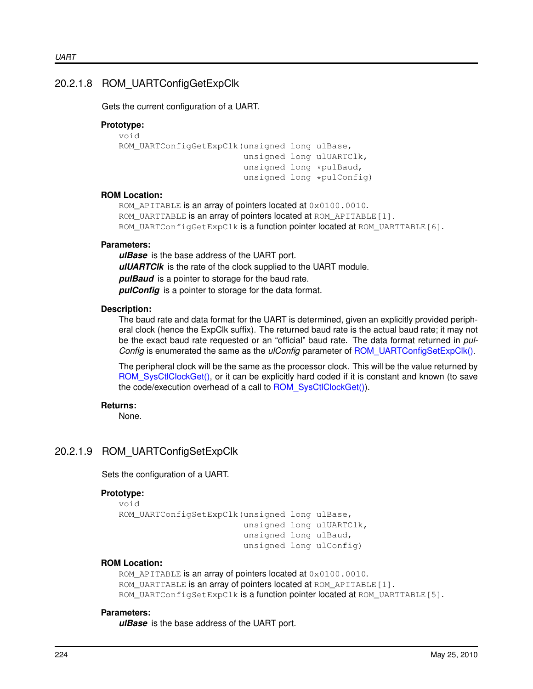## 20.2.1.8 ROM\_UARTConfigGetExpClk

Gets the current configuration of a UART.

#### **Prototype:**

```
void
ROM_UARTConfigGetExpClk(unsigned long ulBase,
                        unsigned long ulUARTClk,
                        unsigned long *pulBaud,
                        unsigned long *pulConfig)
```
#### **ROM Location:**

```
ROM_APITABLE is an array of pointers located at 0 \times 0100.0010.
ROM_UARTTABLE is an array of pointers located at ROM_APITABLE[1].
ROM_UARTConfigGetExpClk is a function pointer located at ROM_UARTTABLE[6].
```
#### **Parameters:**

*ulBase* is the base address of the UART port. *ulUARTClk* is the rate of the clock supplied to the UART module. *pulBaud* is a pointer to storage for the baud rate. *pulConfig* is a pointer to storage for the data format.

#### **Description:**

The baud rate and data format for the UART is determined, given an explicitly provided peripheral clock (hence the ExpClk suffix). The returned baud rate is the actual baud rate; it may not be the exact baud rate requested or an "official" baud rate. The data format returned in *pul-Config* is enumerated the same as the *ulConfig* parameter of [ROM\\_UARTConfigSetExpClk\(\).](#page-223-0)

The peripheral clock will be the same as the processor clock. This will be the value returned by [ROM\\_SysCtlClockGet\(\),](#page-178-0) or it can be explicitly hard coded if it is constant and known (to save the code/execution overhead of a call to [ROM\\_SysCtlClockGet\(\)\)](#page-178-0).

#### **Returns:**

None.

## <span id="page-223-0"></span>20.2.1.9 ROM\_UARTConfigSetExpClk

Sets the configuration of a UART.

#### **Prototype:**

```
void
ROM_UARTConfigSetExpClk(unsigned long ulBase,
                        unsigned long ulUARTClk,
                        unsigned long ulBaud,
                        unsigned long ulConfig)
```
#### **ROM Location:**

ROM\_APITABLE is an array of pointers located at  $0 \times 0100$ .0010. ROM\_UARTTABLE is an array of pointers located at ROM\_APITABLE[1]. ROM\_UARTConfigSetExpClk is a function pointer located at ROM\_UARTTABLE[5].

#### **Parameters:**

*ulBase* is the base address of the UART port.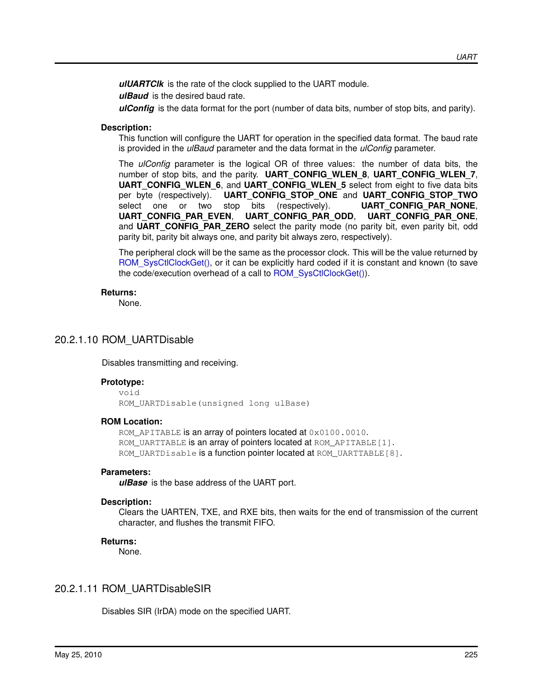*ulUARTClk* is the rate of the clock supplied to the UART module.

*ulBaud* is the desired baud rate.

*ulConfig* is the data format for the port (number of data bits, number of stop bits, and parity).

#### **Description:**

This function will configure the UART for operation in the specified data format. The baud rate is provided in the *ulBaud* parameter and the data format in the *ulConfig* parameter.

The *ulConfig* parameter is the logical OR of three values: the number of data bits, the number of stop bits, and the parity. **UART\_CONFIG\_WLEN\_8**, **UART\_CONFIG\_WLEN\_7**, **UART\_CONFIG\_WLEN\_6**, and **UART\_CONFIG\_WLEN\_5** select from eight to five data bits per byte (respectively). **UART\_CONFIG\_STOP\_ONE** and **UART\_CONFIG\_STOP\_TWO** select one or two stop bits (respectively). **UART\_CONFIG\_PAR\_NONE**, **UART\_CONFIG\_PAR\_EVEN**, **UART\_CONFIG\_PAR\_ODD**, **UART\_CONFIG\_PAR\_ONE**, and **UART CONFIG PAR ZERO** select the parity mode (no parity bit, even parity bit, odd parity bit, parity bit always one, and parity bit always zero, respectively).

The peripheral clock will be the same as the processor clock. This will be the value returned by [ROM\\_SysCtlClockGet\(\),](#page-178-0) or it can be explicitly hard coded if it is constant and known (to save the code/execution overhead of a call to [ROM\\_SysCtlClockGet\(\)\)](#page-178-0).

#### **Returns:**

None.

## <span id="page-224-0"></span>20.2.1.10 ROM\_UARTDisable

Disables transmitting and receiving.

#### **Prototype:**

void ROM\_UARTDisable(unsigned long ulBase)

#### **ROM Location:**

ROM APITABLE is an array of pointers located at 0x0100.0010. ROM UARTTABLE is an array of pointers located at ROM APITABLE $[1]$ . ROM\_UARTDisable is a function pointer located at ROM\_UARTTABLE[8].

#### **Parameters:**

*ulBase* is the base address of the UART port.

#### **Description:**

Clears the UARTEN, TXE, and RXE bits, then waits for the end of transmission of the current character, and flushes the transmit FIFO.

#### **Returns:**

None.

## <span id="page-224-1"></span>20.2.1.11 ROM\_UARTDisableSIR

Disables SIR (IrDA) mode on the specified UART.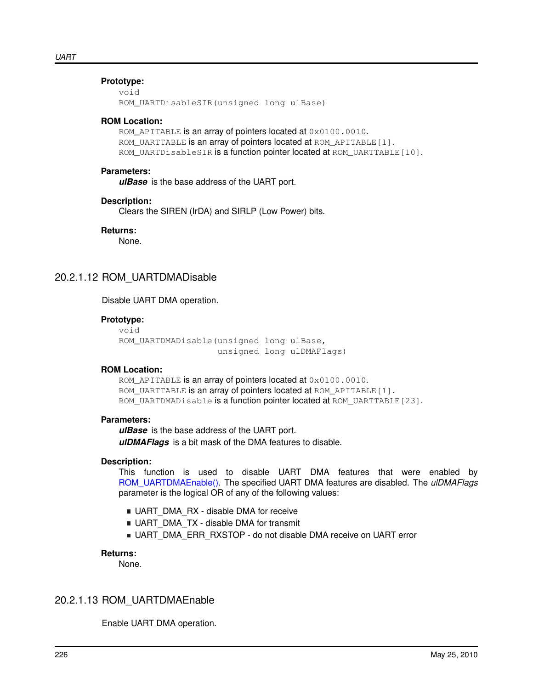#### **Prototype:**

```
void
ROM_UARTDisableSIR(unsigned long ulBase)
```
#### **ROM Location:**

ROM\_APITABLE is an array of pointers located at  $0 \times 0100$ .0010. ROM UARTTABLE is an array of pointers located at ROM APITABLE [1]. ROM\_UARTDisableSIR is a function pointer located at ROM\_UARTTABLE[10].

#### **Parameters:**

*ulBase* is the base address of the UART port.

#### **Description:**

Clears the SIREN (IrDA) and SIRLP (Low Power) bits.

#### **Returns:**

None.

## <span id="page-225-0"></span>20.2.1.12 ROM\_UARTDMADisable

#### Disable UART DMA operation.

## **Prototype:**

```
void
ROM_UARTDMADisable(unsigned long ulBase,
                   unsigned long ulDMAFlags)
```
#### **ROM Location:**

ROM\_APITABLE is an array of pointers located at  $0 \times 0100$ .0010. ROM\_UARTTABLE is an array of pointers located at ROM\_APITABLE[1]. ROM\_UARTDMADisable is a function pointer located at ROM\_UARTTABLE[23].

#### **Parameters:**

*ulBase* is the base address of the UART port. *ulDMAFlags* is a bit mask of the DMA features to disable.

#### **Description:**

This function is used to disable UART DMA features that were enabled by [ROM\\_UARTDMAEnable\(\).](#page-225-1) The specified UART DMA features are disabled. The *ulDMAFlags* parameter is the logical OR of any of the following values:

- UART\_DMA\_RX disable DMA for receive
- UART\_DMA\_TX disable DMA for transmit
- UART\_DMA\_ERR\_RXSTOP do not disable DMA receive on UART error

#### **Returns:**

None.

## <span id="page-225-1"></span>20.2.1.13 ROM\_UARTDMAEnable

Enable UART DMA operation.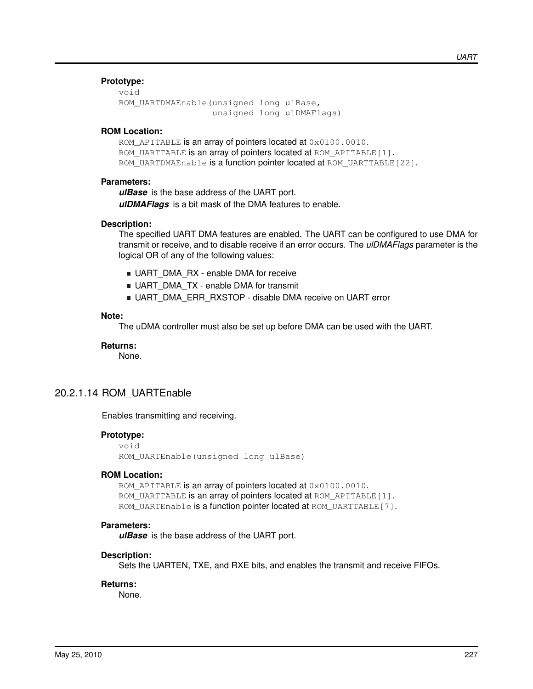#### **Prototype:**

```
void
ROM_UARTDMAEnable(unsigned long ulBase,
                  unsigned long ulDMAFlags)
```
#### **ROM Location:**

ROM APITABLE is an array of pointers located at 0x0100.0010. ROM\_UARTTABLE is an array of pointers located at ROM\_APITABLE [1]. ROM\_UARTDMAEnable is a function pointer located at ROM\_UARTTABLE [22].

#### **Parameters:**

*ulBase* is the base address of the UART port.

*ulDMAFlags* is a bit mask of the DMA features to enable.

#### **Description:**

The specified UART DMA features are enabled. The UART can be configured to use DMA for transmit or receive, and to disable receive if an error occurs. The *ulDMAFlags* parameter is the logical OR of any of the following values:

- UART\_DMA\_RX enable DMA for receive
- UART\_DMA\_TX enable DMA for transmit
- UART\_DMA\_ERR\_RXSTOP disable DMA receive on UART error

#### **Note:**

The uDMA controller must also be set up before DMA can be used with the UART.

#### **Returns:**

None.

## <span id="page-226-0"></span>20.2.1.14 ROM\_UARTEnable

Enables transmitting and receiving.

#### **Prototype:**

```
void
ROM_UARTEnable(unsigned long ulBase)
```
#### **ROM Location:**

ROM\_APITABLE is an array of pointers located at  $0 \times 0100$ .0010. ROM UARTTABLE is an array of pointers located at ROM APITABLE $[1]$ . ROM\_UARTEnable is a function pointer located at ROM\_UARTTABLE [7].

#### **Parameters:**

*ulBase* is the base address of the UART port.

#### **Description:**

Sets the UARTEN, TXE, and RXE bits, and enables the transmit and receive FIFOs.

#### <span id="page-226-1"></span>**Returns:**

None.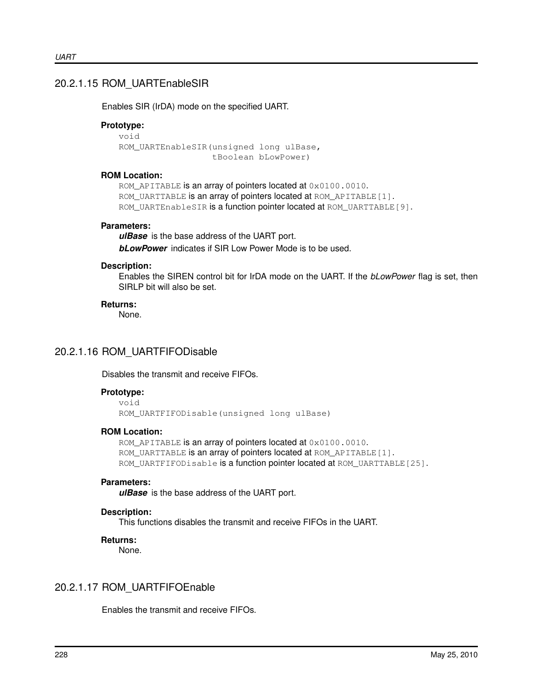## 20.2.1.15 ROM\_UARTEnableSIR

Enables SIR (IrDA) mode on the specified UART.

#### **Prototype:**

void ROM\_UARTEnableSIR(unsigned long ulBase, tBoolean bLowPower)

#### **ROM Location:**

ROM\_APITABLE is an array of pointers located at  $0 \times 0100$ .0010. ROM\_UARTTABLE is an array of pointers located at ROM\_APITABLE [1]. ROM UARTEnableSIR is a function pointer located at ROM UARTTABLE[9].

#### **Parameters:**

*ulBase* is the base address of the UART port. *bLowPower* indicates if SIR Low Power Mode is to be used.

#### **Description:**

Enables the SIREN control bit for IrDA mode on the UART. If the *bLowPower* flag is set, then SIRLP bit will also be set.

#### **Returns:**

None.

## <span id="page-227-0"></span>20.2.1.16 ROM\_UARTFIFODisable

Disables the transmit and receive FIFOs.

#### **Prototype:**

```
void
ROM UARTFIFODisable(unsigned long ulBase)
```
#### **ROM Location:**

ROM\_APITABLE is an array of pointers located at  $0 \times 0100$ .0010. ROM UARTTABLE is an array of pointers located at ROM APITABLE [1]. ROM\_UARTFIFODisable is a function pointer located at ROM\_UARTTABLE[25].

#### **Parameters:**

*ulBase* is the base address of the UART port.

## **Description:**

This functions disables the transmit and receive FIFOs in the UART.

#### **Returns:**

None.

## <span id="page-227-1"></span>20.2.1.17 ROM\_UARTFIFOEnable

Enables the transmit and receive FIFOs.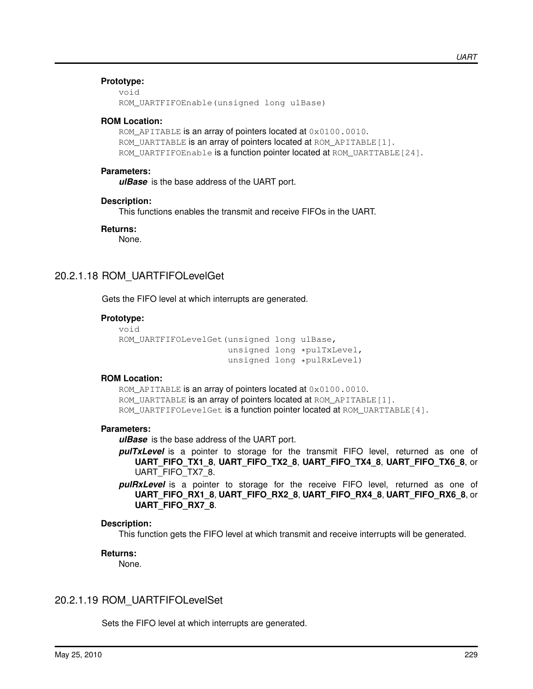#### **Prototype:**

```
void
ROM_UARTFIFOEnable(unsigned long ulBase)
```
#### **ROM Location:**

ROM\_APITABLE is an array of pointers located at  $0 \times 0100$ .0010. ROM UARTTABLE is an array of pointers located at ROM APITABLE [1]. ROM\_UARTFIFOEnable is a function pointer located at ROM\_UARTTABLE[24].

#### **Parameters:**

*ulBase* is the base address of the UART port.

#### **Description:**

This functions enables the transmit and receive FIFOs in the UART.

#### **Returns:**

None.

## <span id="page-228-0"></span>20.2.1.18 ROM\_UARTFIFOLevelGet

Gets the FIFO level at which interrupts are generated.

#### **Prototype:**

```
void
ROM_UARTFIFOLevelGet(unsigned long ulBase,
                     unsigned long *pulTxLevel,
                     unsigned long *pulRxLevel)
```
#### **ROM Location:**

ROM\_APITABLE is an array of pointers located at  $0 \times 0100$ .0010. ROM UARTTABLE is an array of pointers located at ROM APITABLE [1]. ROM\_UARTFIFOLevelGet is a function pointer located at ROM\_UARTTABLE [4].

#### **Parameters:**

*ulBase* is the base address of the UART port.

- *pulTxLevel* is a pointer to storage for the transmit FIFO level, returned as one of **UART\_FIFO\_TX1\_8**, **UART\_FIFO\_TX2\_8**, **UART\_FIFO\_TX4\_8**, **UART\_FIFO\_TX6\_8**, or UART\_FIFO\_TX7\_8.
- *pulRxLevel* is a pointer to storage for the receive FIFO level, returned as one of **UART\_FIFO\_RX1\_8**, **UART\_FIFO\_RX2\_8**, **UART\_FIFO\_RX4\_8**, **UART\_FIFO\_RX6\_8**, or **UART\_FIFO\_RX7\_8**.

#### **Description:**

This function gets the FIFO level at which transmit and receive interrupts will be generated.

#### **Returns:**

None.

#### <span id="page-228-1"></span>20.2.1.19 ROM\_UARTFIFOLevelSet

Sets the FIFO level at which interrupts are generated.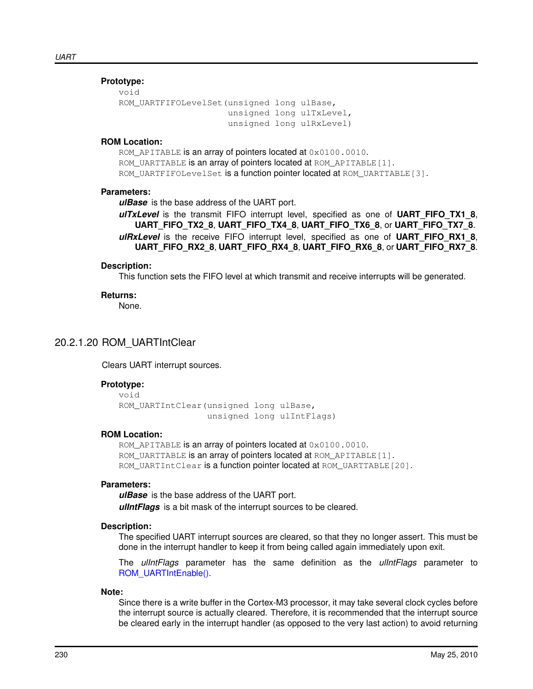## **Prototype:**

```
void
ROM_UARTFIFOLevelSet(unsigned long ulBase,
                     unsigned long ulTxLevel,
                     unsigned long ulRxLevel)
```
#### **ROM Location:**

ROM\_APITABLE is an array of pointers located at  $0 \times 0100$ .0010. ROM UARTTABLE is an array of pointers located at ROM APITABLE [1]. ROM\_UARTFIFOLevelSet is a function pointer located at ROM\_UARTTABLE[3].

#### **Parameters:**

*ulBase* is the base address of the UART port.

*ulTxLevel* is the transmit FIFO interrupt level, specified as one of **UART\_FIFO\_TX1\_8**, **UART\_FIFO\_TX2\_8**, **UART\_FIFO\_TX4\_8**, **UART\_FIFO\_TX6\_8**, or **UART\_FIFO\_TX7\_8**. *ulRxLevel* is the receive FIFO interrupt level, specified as one of **UART\_FIFO\_RX1\_8**, **UART\_FIFO\_RX2\_8**, **UART\_FIFO\_RX4\_8**, **UART\_FIFO\_RX6\_8**, or **UART\_FIFO\_RX7\_8**.

#### **Description:**

This function sets the FIFO level at which transmit and receive interrupts will be generated.

#### **Returns:**

None.

## <span id="page-229-0"></span>20.2.1.20 ROM\_UARTIntClear

Clears UART interrupt sources.

#### **Prototype:**

```
void
ROM_UARTIntClear(unsigned long ulBase,
                 unsigned long ulIntFlags)
```
#### **ROM Location:**

ROM\_APITABLE is an array of pointers located at  $0 \times 0100$ .0010. ROM\_UARTTABLE is an array of pointers located at ROM\_APITABLE[1]. ROM UARTIntClear is a function pointer located at ROM\_UARTTABLE[20].

#### **Parameters:**

*ulBase* is the base address of the UART port.

*ulIntFlags* is a bit mask of the interrupt sources to be cleared.

#### **Description:**

The specified UART interrupt sources are cleared, so that they no longer assert. This must be done in the interrupt handler to keep it from being called again immediately upon exit.

The *ulIntFlags* parameter has the same definition as the *ulIntFlags* parameter to [ROM\\_UARTIntEnable\(\).](#page-230-1)

#### **Note:**

Since there is a write buffer in the Cortex-M3 processor, it may take several clock cycles before the interrupt source is actually cleared. Therefore, it is recommended that the interrupt source be cleared early in the interrupt handler (as opposed to the very last action) to avoid returning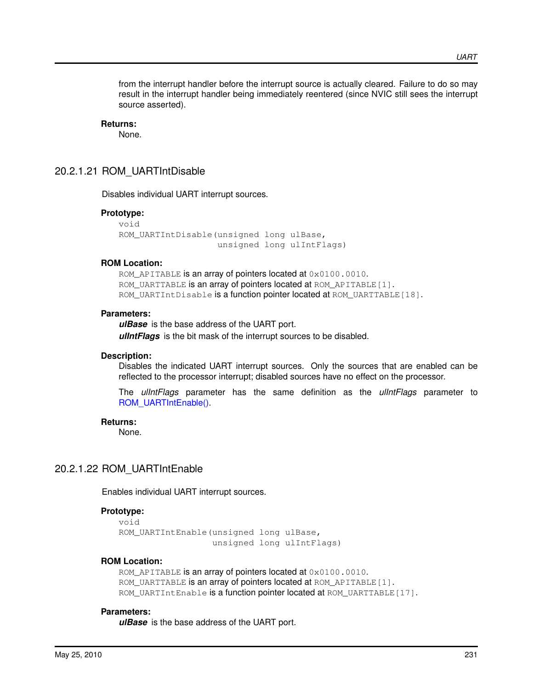from the interrupt handler before the interrupt source is actually cleared. Failure to do so may result in the interrupt handler being immediately reentered (since NVIC still sees the interrupt source asserted).

#### **Returns:**

None.

## <span id="page-230-0"></span>20.2.1.21 ROM\_UARTIntDisable

Disables individual UART interrupt sources.

#### **Prototype:**

```
void
ROM_UARTIntDisable(unsigned long ulBase,
                   unsigned long ulIntFlags)
```
## **ROM Location:**

ROM\_APITABLE is an array of pointers located at  $0 \times 0100$ .0010. ROM UARTTABLE is an array of pointers located at ROM APITABLE [1]. ROM\_UARTIntDisable is a function pointer located at ROM\_UARTTABLE[18].

#### **Parameters:**

*ulBase* is the base address of the UART port. *ulIntFlags* is the bit mask of the interrupt sources to be disabled.

#### **Description:**

Disables the indicated UART interrupt sources. Only the sources that are enabled can be reflected to the processor interrupt; disabled sources have no effect on the processor.

The *ulIntFlags* parameter has the same definition as the *ulIntFlags* parameter to [ROM\\_UARTIntEnable\(\).](#page-230-1)

#### **Returns:**

None.

## <span id="page-230-1"></span>20.2.1.22 ROM\_UARTIntEnable

Enables individual UART interrupt sources.

#### **Prototype:**

```
void
ROM UARTIntEnable(unsigned long ulBase,
                  unsigned long ulIntFlags)
```
#### **ROM Location:**

ROM\_APITABLE is an array of pointers located at  $0 \times 0100$ .0010. ROM\_UARTTABLE is an array of pointers located at ROM\_APITABLE[1]. ROM\_UARTIntEnable is a function pointer located at ROM\_UARTTABLE[17].

#### **Parameters:**

*ulBase* is the base address of the UART port.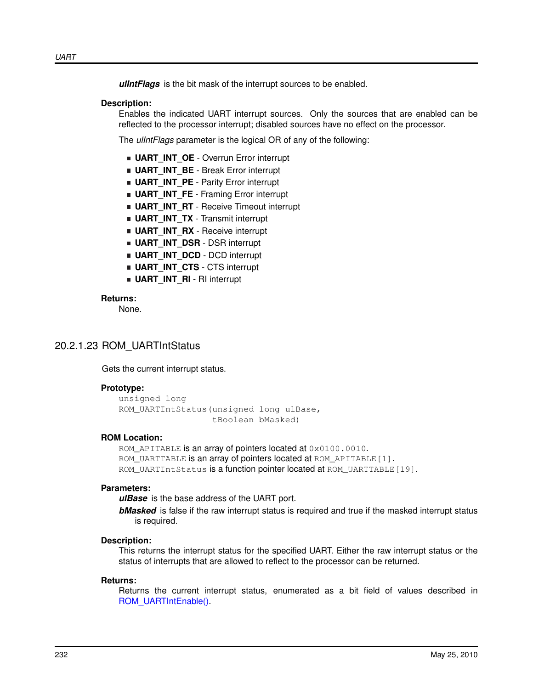*ulIntFlags* is the bit mask of the interrupt sources to be enabled.

#### **Description:**

Enables the indicated UART interrupt sources. Only the sources that are enabled can be reflected to the processor interrupt; disabled sources have no effect on the processor.

The *ulIntFlags* parameter is the logical OR of any of the following:

- **UART\_INT\_OE** Overrun Error interrupt
- **UART INT BE** Break Error interrupt
- **UART\_INT\_PE** Parity Error interrupt
- **UART INT FE** Framing Error interrupt
- **UART INT RT** Receive Timeout interrupt
- **UART\_INT\_TX** Transmit interrupt
- **UART\_INT\_RX** Receive interrupt
- **UART\_INT\_DSR** DSR interrupt
- **UART\_INT\_DCD** DCD interrupt
- **UART\_INT\_CTS** CTS interrupt
- **UART\_INT\_RI** RI interrupt

#### **Returns:**

None.

## <span id="page-231-0"></span>20.2.1.23 ROM\_UARTIntStatus

Gets the current interrupt status.

#### **Prototype:**

```
unsigned long
ROM UARTIntStatus(unsigned long ulBase,
                  tBoolean bMasked)
```
#### **ROM Location:**

ROM APITABLE is an array of pointers located at 0x0100.0010. ROM\_UARTTABLE is an array of pointers located at ROM\_APITABLE[1]. ROM\_UARTIntStatus is a function pointer located at ROM\_UARTTABLE[19].

#### **Parameters:**

*ulBase* is the base address of the UART port.

*bMasked* is false if the raw interrupt status is required and true if the masked interrupt status is required.

#### **Description:**

This returns the interrupt status for the specified UART. Either the raw interrupt status or the status of interrupts that are allowed to reflect to the processor can be returned.

#### <span id="page-231-1"></span>**Returns:**

Returns the current interrupt status, enumerated as a bit field of values described in [ROM\\_UARTIntEnable\(\).](#page-230-1)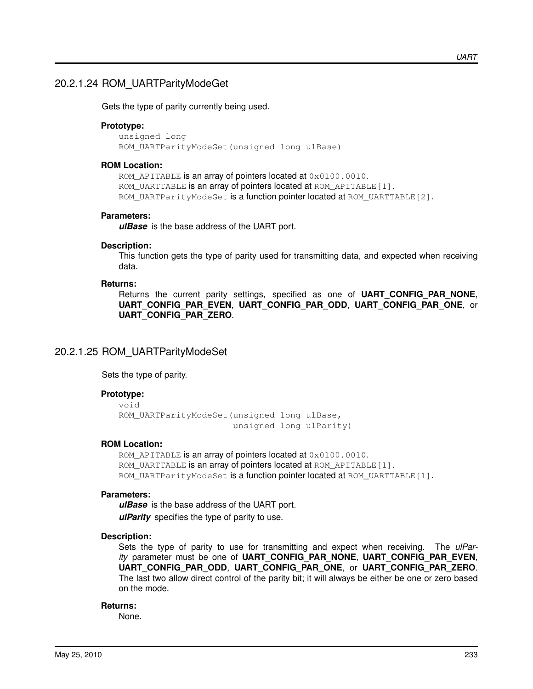## 20.2.1.24 ROM\_UARTParityModeGet

Gets the type of parity currently being used.

#### **Prototype:**

unsigned long ROM\_UARTParityModeGet(unsigned long ulBase)

#### **ROM Location:**

ROM\_APITABLE is an array of pointers located at  $0 \times 0100$ .0010. ROM\_UARTTABLE is an array of pointers located at ROM\_APITABLE[1]. ROM\_UARTParityModeGet is a function pointer located at ROM\_UARTTABLE[2].

#### **Parameters:**

*ulBase* is the base address of the UART port.

#### **Description:**

This function gets the type of parity used for transmitting data, and expected when receiving data.

#### **Returns:**

Returns the current parity settings, specified as one of **UART\_CONFIG\_PAR\_NONE**, **UART\_CONFIG\_PAR\_EVEN**, **UART\_CONFIG\_PAR\_ODD**, **UART\_CONFIG\_PAR\_ONE**, or **UART\_CONFIG\_PAR\_ZERO**.

## <span id="page-232-0"></span>20.2.1.25 ROM\_UARTParityModeSet

Sets the type of parity.

#### **Prototype:**

```
void
ROM_UARTParityModeSet(unsigned long ulBase,
                      unsigned long ulParity)
```
#### **ROM Location:**

ROM\_APITABLE is an array of pointers located at  $0 \times 0100$ .0010. ROM UARTTABLE is an array of pointers located at ROM APITABLE [1]. ROM UARTParityModeSet is a function pointer located at ROM UARTTABLE[1].

#### **Parameters:**

*ulBase* is the base address of the UART port. *ulParity* specifies the type of parity to use.

#### **Description:**

Sets the type of parity to use for transmitting and expect when receiving. The *ulParity* parameter must be one of **UART\_CONFIG\_PAR\_NONE**, **UART\_CONFIG\_PAR\_EVEN**, **UART\_CONFIG\_PAR\_ODD**, **UART\_CONFIG\_PAR\_ONE**, or **UART\_CONFIG\_PAR\_ZERO**. The last two allow direct control of the parity bit; it will always be either be one or zero based on the mode.

#### <span id="page-232-1"></span>**Returns:**

None.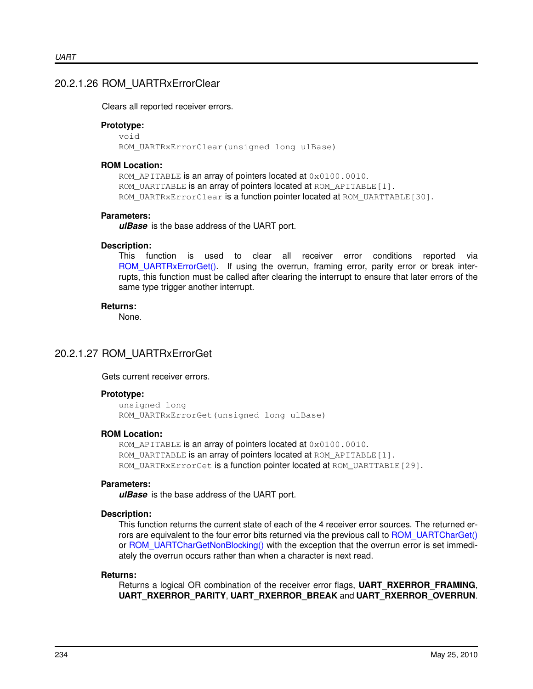## 20.2.1.26 ROM\_UARTRxErrorClear

Clears all reported receiver errors.

#### **Prototype:**

void ROM\_UARTRxErrorClear(unsigned long ulBase)

#### **ROM Location:**

ROM\_APITABLE is an array of pointers located at  $0 \times 0100$ .0010. ROM\_UARTTABLE is an array of pointers located at ROM\_APITABLE[1]. ROM\_UARTRxErrorClear is a function pointer located at ROM\_UARTTABLE[30].

#### **Parameters:**

*ulBase* is the base address of the UART port.

#### **Description:**

This function is used to clear all receiver error conditions reported via [ROM\\_UARTRxErrorGet\(\).](#page-233-0) If using the overrun, framing error, parity error or break interrupts, this function must be called after clearing the interrupt to ensure that later errors of the same type trigger another interrupt.

#### **Returns:**

None.

## <span id="page-233-0"></span>20.2.1.27 ROM\_UARTRxErrorGet

Gets current receiver errors.

#### **Prototype:**

unsigned long ROM\_UARTRxErrorGet(unsigned long ulBase)

#### **ROM Location:**

ROM\_APITABLE is an array of pointers located at  $0 \times 0100$ .0010. ROM\_UARTTABLE is an array of pointers located at ROM\_APITABLE[1]. ROM UARTRxErrorGet is a function pointer located at ROM UARTTABLE[29].

#### **Parameters:**

*ulBase* is the base address of the UART port.

#### **Description:**

This function returns the current state of each of the 4 receiver error sources. The returned er-rors are equivalent to the four error bits returned via the previous call to [ROM\\_UARTCharGet\(\)](#page-220-1) or [ROM\\_UARTCharGetNonBlocking\(\)](#page-220-2) with the exception that the overrun error is set immediately the overrun occurs rather than when a character is next read.

#### <span id="page-233-1"></span>**Returns:**

Returns a logical OR combination of the receiver error flags, **UART\_RXERROR\_FRAMING**, **UART\_RXERROR\_PARITY**, **UART\_RXERROR\_BREAK** and **UART\_RXERROR\_OVERRUN**.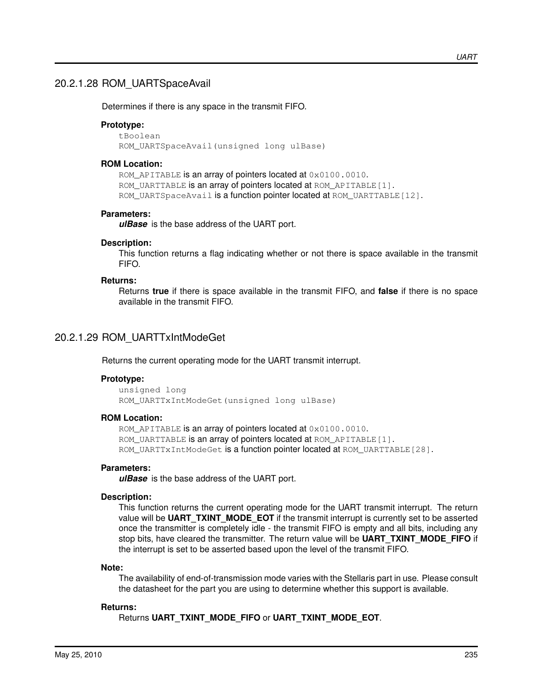Determines if there is any space in the transmit FIFO.

#### **Prototype:**

tBoolean ROM\_UARTSpaceAvail(unsigned long ulBase)

#### **ROM Location:**

ROM APITABLE is an array of pointers located at 0x0100.0010. ROM\_UARTTABLE is an array of pointers located at ROM\_APITABLE[1]. ROM\_UARTSpaceAvail is a function pointer located at ROM\_UARTTABLE [12].

#### **Parameters:**

*ulBase* is the base address of the UART port.

#### **Description:**

This function returns a flag indicating whether or not there is space available in the transmit FIFO.

#### **Returns:**

Returns **true** if there is space available in the transmit FIFO, and **false** if there is no space available in the transmit FIFO.

## <span id="page-234-0"></span>20.2.1.29 ROM\_UARTTxIntModeGet

Returns the current operating mode for the UART transmit interrupt.

#### **Prototype:**

unsigned long ROM\_UARTTxIntModeGet(unsigned long ulBase)

#### **ROM Location:**

ROM\_APITABLE is an array of pointers located at  $0 \times 0100$ .0010. ROM UARTTABLE is an array of pointers located at ROM APITABLE [1]. ROM\_UARTTxIntModeGet is a function pointer located at ROM\_UARTTABLE[28].

#### **Parameters:**

*ulBase* is the base address of the UART port.

#### **Description:**

This function returns the current operating mode for the UART transmit interrupt. The return value will be **UART\_TXINT\_MODE\_EOT** if the transmit interrupt is currently set to be asserted once the transmitter is completely idle - the transmit FIFO is empty and all bits, including any stop bits, have cleared the transmitter. The return value will be **UART\_TXINT\_MODE\_FIFO** if the interrupt is set to be asserted based upon the level of the transmit FIFO.

#### **Note:**

The availability of end-of-transmission mode varies with the Stellaris part in use. Please consult the datasheet for the part you are using to determine whether this support is available.

#### <span id="page-234-1"></span>**Returns:**

Returns **UART\_TXINT\_MODE\_FIFO** or **UART\_TXINT\_MODE\_EOT**.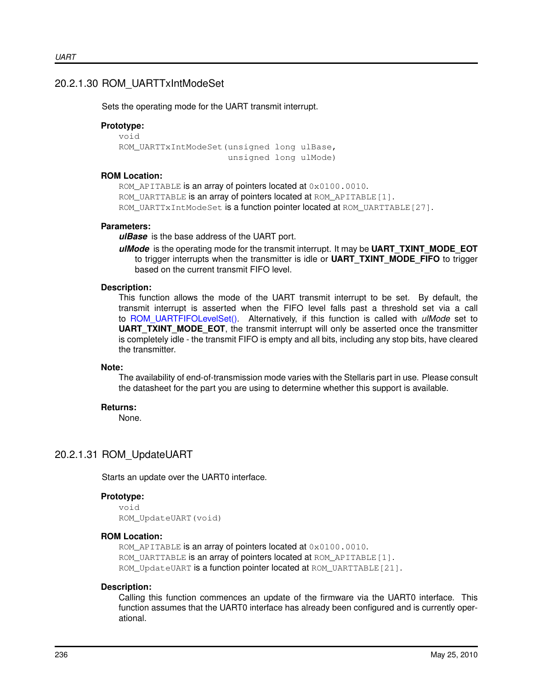## 20.2.1.30 ROM\_UARTTxIntModeSet

Sets the operating mode for the UART transmit interrupt.

#### **Prototype:**

void ROM\_UARTTxIntModeSet(unsigned long ulBase, unsigned long ulMode)

#### **ROM Location:**

ROM\_APITABLE is an array of pointers located at  $0 \times 0100$ .0010. ROM UARTTABLE is an array of pointers located at ROM APITABLE [1]. ROM UARTTxIntModeSet is a function pointer located at ROM UARTTABLE[27].

#### **Parameters:**

*ulBase* is the base address of the UART port.

*ulMode* is the operating mode for the transmit interrupt. It may be **UART\_TXINT\_MODE\_EOT** to trigger interrupts when the transmitter is idle or **UART\_TXINT\_MODE\_FIFO** to trigger based on the current transmit FIFO level.

#### **Description:**

This function allows the mode of the UART transmit interrupt to be set. By default, the transmit interrupt is asserted when the FIFO level falls past a threshold set via a call to [ROM\\_UARTFIFOLevelSet\(\).](#page-228-1) Alternatively, if this function is called with *ulMode* set to **UART\_TXINT\_MODE\_EOT**, the transmit interrupt will only be asserted once the transmitter is completely idle - the transmit FIFO is empty and all bits, including any stop bits, have cleared the transmitter.

#### **Note:**

The availability of end-of-transmission mode varies with the Stellaris part in use. Please consult the datasheet for the part you are using to determine whether this support is available.

#### **Returns:**

None.

## <span id="page-235-0"></span>20.2.1.31 ROM\_UpdateUART

Starts an update over the UART0 interface.

#### **Prototype:**

```
void
ROM_UpdateUART(void)
```
#### **ROM Location:**

ROM\_APITABLE is an array of pointers located at  $0 \times 0100$ .0010. ROM\_UARTTABLE is an array of pointers located at ROM\_APITABLE[1]. ROM\_UpdateUART is a function pointer located at ROM\_UARTTABLE[21].

#### **Description:**

Calling this function commences an update of the firmware via the UART0 interface. This function assumes that the UART0 interface has already been configured and is currently operational.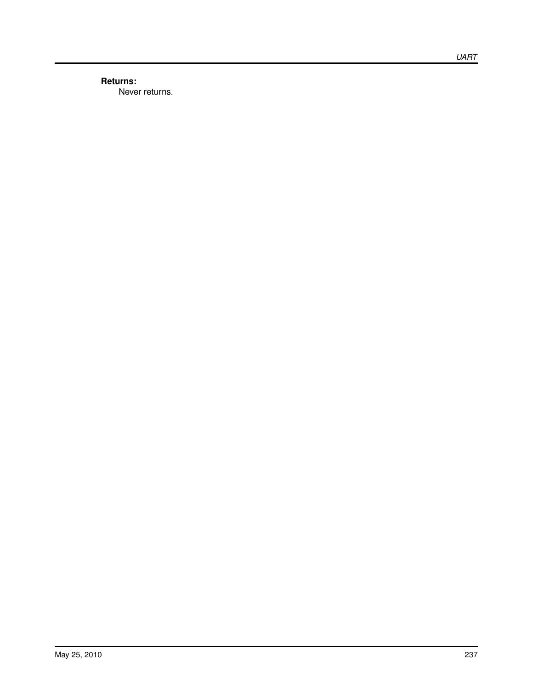#### **Returns:** Never returns.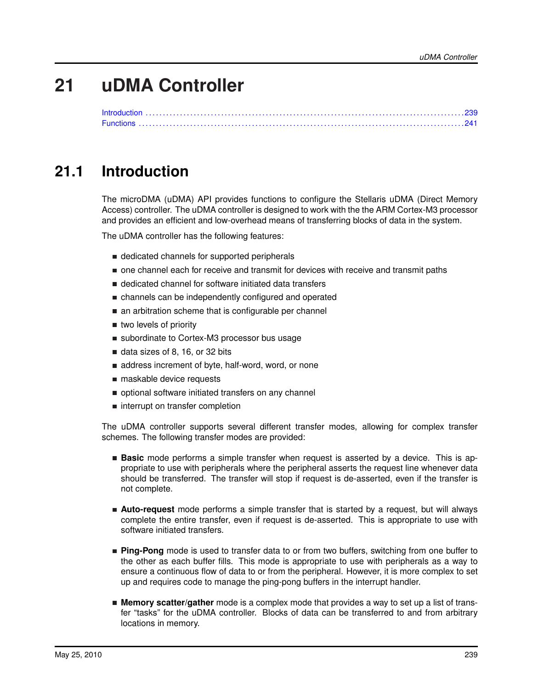# **21 uDMA Controller**

<span id="page-238-0"></span>

# <span id="page-238-1"></span>**21.1 Introduction**

The microDMA (uDMA) API provides functions to configure the Stellaris uDMA (Direct Memory Access) controller. The uDMA controller is designed to work with the the ARM Cortex-M3 processor and provides an efficient and low-overhead means of transferring blocks of data in the system.

The uDMA controller has the following features:

- dedicated channels for supported peripherals
- one channel each for receive and transmit for devices with receive and transmit paths
- dedicated channel for software initiated data transfers
- channels can be independently configured and operated
- an arbitration scheme that is configurable per channel
- two levels of priority
- subordinate to Cortex-M3 processor bus usage
- data sizes of 8, 16, or 32 bits
- address increment of byte, half-word, word, or none
- maskable device requests
- optional software initiated transfers on any channel
- **n** interrupt on transfer completion

The uDMA controller supports several different transfer modes, allowing for complex transfer schemes. The following transfer modes are provided:

- **Basic** mode performs a simple transfer when request is asserted by a device. This is appropriate to use with peripherals where the peripheral asserts the request line whenever data should be transferred. The transfer will stop if request is de-asserted, even if the transfer is not complete.
- **Auto-request** mode performs a simple transfer that is started by a request, but will always complete the entire transfer, even if request is de-asserted. This is appropriate to use with software initiated transfers.
- **Ping-Pong** mode is used to transfer data to or from two buffers, switching from one buffer to the other as each buffer fills. This mode is appropriate to use with peripherals as a way to ensure a continuous flow of data to or from the peripheral. However, it is more complex to set up and requires code to manage the ping-pong buffers in the interrupt handler.
- **Memory scatter/gather** mode is a complex mode that provides a way to set up a list of transfer "tasks" for the uDMA controller. Blocks of data can be transferred to and from arbitrary locations in memory.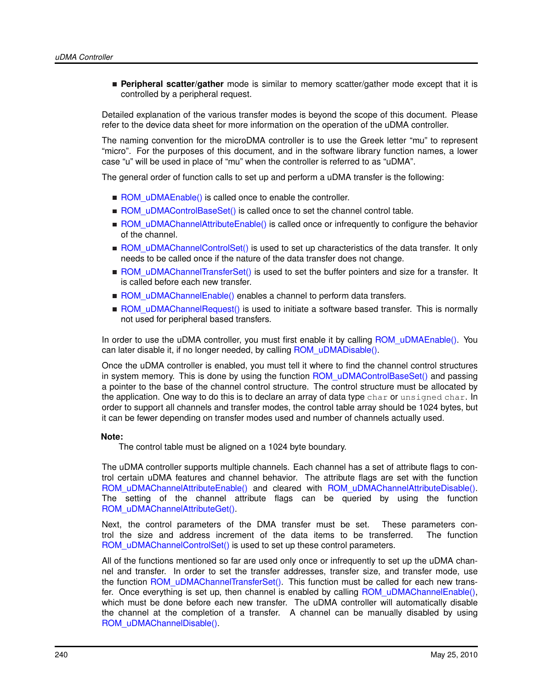**Peripheral scatter/gather** mode is similar to memory scatter/gather mode except that it is controlled by a peripheral request.

Detailed explanation of the various transfer modes is beyond the scope of this document. Please refer to the device data sheet for more information on the operation of the uDMA controller.

The naming convention for the microDMA controller is to use the Greek letter "mu" to represent "micro". For the purposes of this document, and in the software library function names, a lower case "u" will be used in place of "mu" when the controller is referred to as "uDMA".

The general order of function calls to set up and perform a uDMA transfer is the following:

- ROM uDMAEnable() is called once to enable the controller.
- [ROM\\_uDMAControlBaseSet\(\)](#page-257-0) is called once to set the channel control table.
- [ROM\\_uDMAChannelAttributeEnable\(\)](#page-242-0) is called once or infrequently to configure the behavior of the channel.
- [ROM\\_uDMAChannelControlSet\(\)](#page-245-0) is used to set up characteristics of the data transfer. It only needs to be called once if the nature of the data transfer does not change.
- [ROM\\_uDMAChannelTransferSet\(\)](#page-255-0) is used to set the buffer pointers and size for a transfer. It is called before each new transfer.
- [ROM\\_uDMAChannelEnable\(\)](#page-248-0) enables a channel to perform data transfers.
- [ROM\\_uDMAChannelRequest\(\)](#page-251-0) is used to initiate a software based transfer. This is normally not used for peripheral based transfers.

In order to use the uDMA controller, you must first enable it by calling [ROM\\_uDMAEnable\(\).](#page-258-0) You can later disable it, if no longer needed, by calling [ROM\\_uDMADisable\(\).](#page-257-1)

Once the uDMA controller is enabled, you must tell it where to find the channel control structures in system memory. This is done by using the function ROM uDMAControlBaseSet() and passing a pointer to the base of the channel control structure. The control structure must be allocated by the application. One way to do this is to declare an array of data type char or unsigned char. In order to support all channels and transfer modes, the control table array should be 1024 bytes, but it can be fewer depending on transfer modes used and number of channels actually used.

#### **Note:**

The control table must be aligned on a 1024 byte boundary.

The uDMA controller supports multiple channels. Each channel has a set of attribute flags to control certain uDMA features and channel behavior. The attribute flags are set with the function [ROM\\_uDMAChannelAttributeEnable\(\)](#page-242-0) and cleared with [ROM\\_uDMAChannelAttributeDisable\(\).](#page-241-0) The setting of the channel attribute flags can be queried by using the function [ROM\\_uDMAChannelAttributeGet\(\).](#page-244-0)

Next, the control parameters of the DMA transfer must be set. These parameters control the size and address increment of the data items to be transferred. The function [ROM\\_uDMAChannelControlSet\(\)](#page-245-0) is used to set up these control parameters.

All of the functions mentioned so far are used only once or infrequently to set up the uDMA channel and transfer. In order to set the transfer addresses, transfer size, and transfer mode, use the function [ROM\\_uDMAChannelTransferSet\(\).](#page-255-0) This function must be called for each new transfer. Once everything is set up, then channel is enabled by calling [ROM\\_uDMAChannelEnable\(\),](#page-248-0) which must be done before each new transfer. The uDMA controller will automatically disable the channel at the completion of a transfer. A channel can be manually disabled by using [ROM\\_uDMAChannelDisable\(\).](#page-246-0)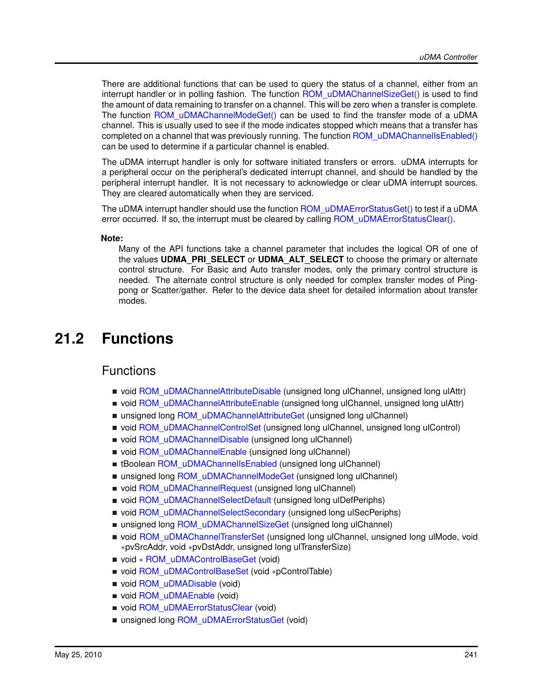There are additional functions that can be used to query the status of a channel, either from an interrupt handler or in polling fashion. The function ROM uDMAChannelSizeGet() is used to find the amount of data remaining to transfer on a channel. This will be zero when a transfer is complete. The function [ROM\\_uDMAChannelModeGet\(\)](#page-250-0) can be used to find the transfer mode of a uDMA channel. This is usually used to see if the mode indicates stopped which means that a transfer has completed on a channel that was previously running. The function ROM uDMAChannelIsEnabled() can be used to determine if a particular channel is enabled.

The uDMA interrupt handler is only for software initiated transfers or errors. uDMA interrupts for a peripheral occur on the peripheral's dedicated interrupt channel, and should be handled by the peripheral interrupt handler. It is not necessary to acknowledge or clear uDMA interrupt sources. They are cleared automatically when they are serviced.

The uDMA interrupt handler should use the function ROM uDMAErrorStatusGet() to test if a uDMA error occurred. If so, the interrupt must be cleared by calling [ROM\\_uDMAErrorStatusClear\(\).](#page-258-1)

## **Note:**

Many of the API functions take a channel parameter that includes the logical OR of one of the values **UDMA\_PRI\_SELECT** or **UDMA\_ALT\_SELECT** to choose the primary or alternate control structure. For Basic and Auto transfer modes, only the primary control structure is needed. The alternate control structure is only needed for complex transfer modes of Pingpong or Scatter/gather. Refer to the device data sheet for detailed information about transfer modes.

# <span id="page-240-1"></span><span id="page-240-0"></span>**21.2 Functions**

## Functions

- void [ROM\\_uDMAChannelAttributeDisable](#page-241-0) (unsigned long ulChannel, unsigned long ulAttr)
- void [ROM\\_uDMAChannelAttributeEnable](#page-242-0) (unsigned long ulChannel, unsigned long ulAttr)
- unsigned long [ROM\\_uDMAChannelAttributeGet](#page-244-0) (unsigned long ulChannel)
- void [ROM\\_uDMAChannelControlSet](#page-245-0) (unsigned long ulChannel, unsigned long ulControl)
- void [ROM\\_uDMAChannelDisable](#page-246-0) (unsigned long ulChannel)
- void [ROM\\_uDMAChannelEnable](#page-248-0) (unsigned long ulChannel)
- tBoolean ROM\_uDMAChannellsEnabled (unsigned long ulChannel)
- unsigned long [ROM\\_uDMAChannelModeGet](#page-250-0) (unsigned long ulChannel)
- void [ROM\\_uDMAChannelRequest](#page-251-0) (unsigned long ulChannel)
- void [ROM\\_uDMAChannelSelectDefault](#page-253-0) (unsigned long ulDefPeriphs)
- void [ROM\\_uDMAChannelSelectSecondary](#page-253-1) (unsigned long ulSecPeriphs)
- unsigned long [ROM\\_uDMAChannelSizeGet](#page-254-0) (unsigned long ulChannel)
- void [ROM\\_uDMAChannelTransferSet](#page-255-0) (unsigned long ulChannel, unsigned long ulMode, void ∗pvSrcAddr, void ∗pvDstAddr, unsigned long ulTransferSize)
- void ∗ [ROM\\_uDMAControlBaseGet](#page-256-0) (void)
- void [ROM\\_uDMAControlBaseSet](#page-257-0) (void ∗pControlTable)
- void [ROM\\_uDMADisable](#page-257-1) (void)
- void [ROM\\_uDMAEnable](#page-258-0) (void)
- void [ROM\\_uDMAErrorStatusClear](#page-258-1) (void)
- unsigned long [ROM\\_uDMAErrorStatusGet](#page-259-0) (void)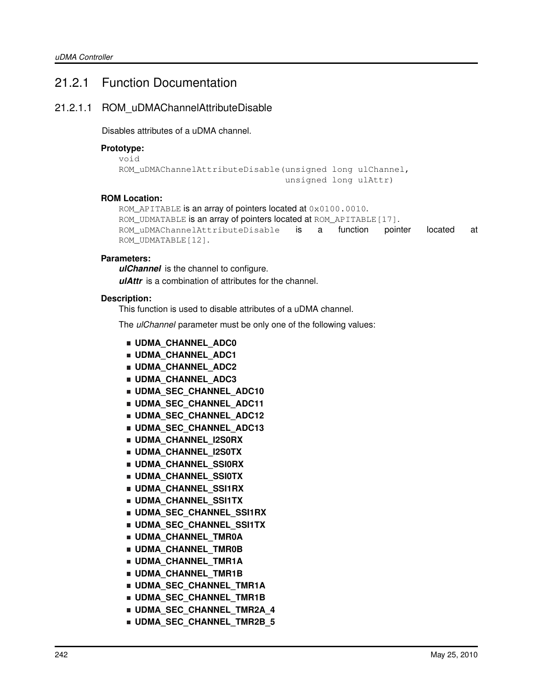## 21.2.1 Function Documentation

## <span id="page-241-0"></span>21.2.1.1 ROM\_uDMAChannelAttributeDisable

Disables attributes of a uDMA channel.

#### **Prototype:**

```
void
ROM_uDMAChannelAttributeDisable(unsigned long ulChannel,
                                unsigned long ulAttr)
```
## **ROM Location:**

```
ROM_APITABLE is an array of pointers located at 0 \times 0100.0010.
ROM_UDMATABLE is an array of pointers located at ROM_APITABLE[17].
ROM_uDMAChannelAttributeDisable is a function pointer located at
ROM_UDMATABLE[12].
```
## **Parameters:**

*ulChannel* is the channel to configure. *ulAttr* is a combination of attributes for the channel.

## **Description:**

This function is used to disable attributes of a uDMA channel.

- **UDMA\_CHANNEL\_ADC0**
- **UDMA\_CHANNEL\_ADC1**
- **UDMA\_CHANNEL\_ADC2**
- **UDMA\_CHANNEL\_ADC3**
- **UDMA\_SEC\_CHANNEL\_ADC10**
- **UDMA\_SEC\_CHANNEL\_ADC11**
- **UDMA\_SEC\_CHANNEL\_ADC12**
- **UDMA\_SEC\_CHANNEL\_ADC13**
- **UDMA\_CHANNEL\_I2S0RX**
- **UDMA\_CHANNEL\_I2S0TX**
- **UDMA\_CHANNEL\_SSI0RX**
- **UDMA\_CHANNEL\_SSI0TX**
- **UDMA\_CHANNEL\_SSI1RX**
- **UDMA\_CHANNEL\_SSI1TX**
- **UDMA\_SEC\_CHANNEL\_SSI1RX**
- **UDMA\_SEC\_CHANNEL\_SSI1TX**
- **UDMA\_CHANNEL\_TMR0A**
- **UDMA\_CHANNEL\_TMR0B**
- **UDMA\_CHANNEL\_TMR1A**
- **UDMA\_CHANNEL\_TMR1B**
- **UDMA\_SEC\_CHANNEL\_TMR1A**
- **UDMA\_SEC\_CHANNEL\_TMR1B**
- **UDMA\_SEC\_CHANNEL\_TMR2A\_4**
- **UDMA\_SEC\_CHANNEL\_TMR2B\_5**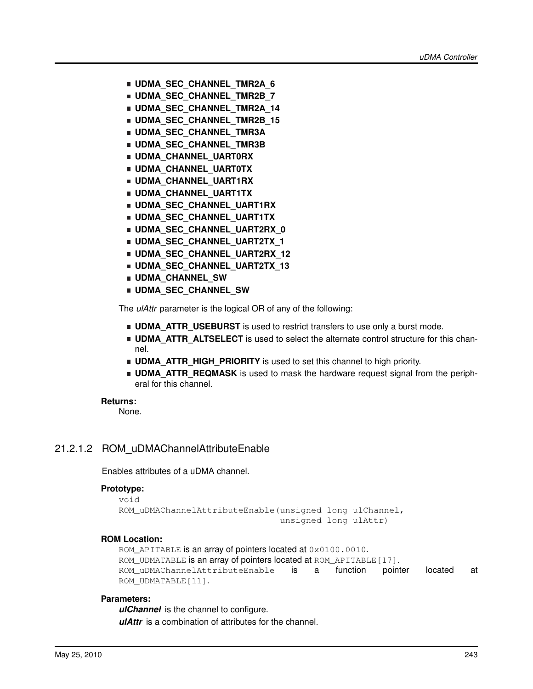- **UDMA SEC CHANNEL TMR2A 6**
- **UDMA\_SEC\_CHANNEL\_TMR2B\_7**
- **UDMA\_SEC\_CHANNEL\_TMR2A\_14**
- **UDMA\_SEC\_CHANNEL\_TMR2B\_15**
- **UDMA\_SEC\_CHANNEL\_TMR3A**
- **UDMA\_SEC\_CHANNEL\_TMR3B**
- **UDMA\_CHANNEL\_UART0RX**
- **UDMA\_CHANNEL\_UART0TX**
- **UDMA\_CHANNEL\_UART1RX**
- **UDMA\_CHANNEL\_UART1TX**
- **UDMA\_SEC\_CHANNEL\_UART1RX**
- **UDMA\_SEC\_CHANNEL\_UART1TX**
- **UDMA\_SEC\_CHANNEL\_UART2RX\_0**
- **UDMA\_SEC\_CHANNEL\_UART2TX\_1**
- **UDMA\_SEC\_CHANNEL\_UART2RX\_12**
- **UDMA\_SEC\_CHANNEL\_UART2TX\_13**
- **UDMA\_CHANNEL\_SW**
- **UDMA\_SEC\_CHANNEL\_SW**

The *ulAttr* parameter is the logical OR of any of the following:

- **UDMA ATTR USEBURST** is used to restrict transfers to use only a burst mode.
- **UDMA\_ATTR\_ALTSELECT** is used to select the alternate control structure for this channel.
- **UDMA ATTR HIGH PRIORITY** is used to set this channel to high priority.
- **UDMA\_ATTR\_REQMASK** is used to mask the hardware request signal from the peripheral for this channel.

#### **Returns:**

None.

## <span id="page-242-0"></span>21.2.1.2 ROM\_uDMAChannelAttributeEnable

Enables attributes of a uDMA channel.

#### **Prototype:**

```
void
ROM_uDMAChannelAttributeEnable(unsigned long ulChannel,
                                unsigned long ulAttr)
```
#### **ROM Location:**

```
ROM_APITABLE is an array of pointers located at 0 \times 0100.0010.
ROM_UDMATABLE is an array of pointers located at ROM_APITABLE [17].
ROM_uDMAChannelAttributeEnable is a function pointer located at
ROM_UDMATABLE[11].
```
#### **Parameters:**

*ulChannel* is the channel to configure. *ulAttr* is a combination of attributes for the channel.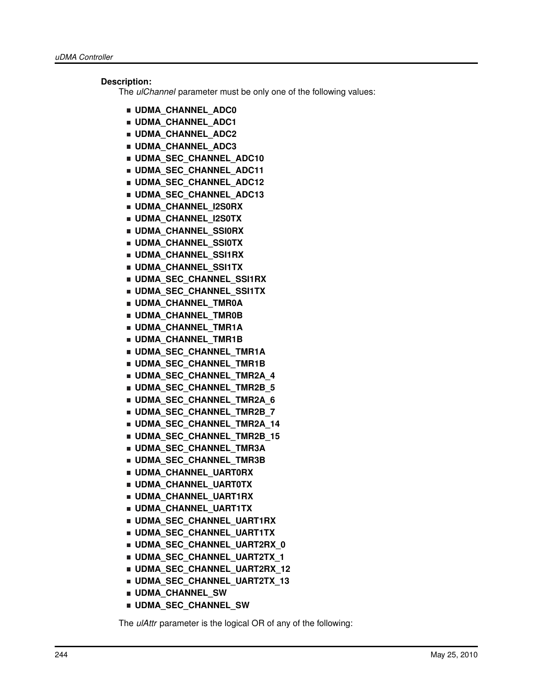#### **Description:**

The *ulChannel* parameter must be only one of the following values:

- **UDMA\_CHANNEL\_ADC0**
- **UDMA\_CHANNEL\_ADC1**
- **UDMA\_CHANNEL\_ADC2**
- **UDMA\_CHANNEL\_ADC3**
- **UDMA\_SEC\_CHANNEL\_ADC10**
- **UDMA\_SEC\_CHANNEL\_ADC11**
- **UDMA SEC CHANNEL ADC12**
- **UDMA\_SEC\_CHANNEL\_ADC13**
- **UDMA\_CHANNEL\_I2S0RX**
- **UDMA\_CHANNEL\_I2S0TX**
- **UDMA\_CHANNEL\_SSI0RX**
- **UDMA\_CHANNEL\_SSI0TX**
- **UDMA\_CHANNEL\_SSI1RX**
- **UDMA\_CHANNEL\_SSI1TX**
- **UDMA\_SEC\_CHANNEL\_SSI1RX**
- **UDMA\_SEC\_CHANNEL\_SSI1TX**
- **UDMA\_CHANNEL\_TMR0A**
- **UDMA\_CHANNEL\_TMR0B**
- **UDMA\_CHANNEL\_TMR1A**
- **UDMA\_CHANNEL\_TMR1B**
- **UDMA\_SEC\_CHANNEL\_TMR1A**
- **UDMA\_SEC\_CHANNEL\_TMR1B**
- **UDMA\_SEC\_CHANNEL\_TMR2A\_4**
- **UDMA\_SEC\_CHANNEL\_TMR2B\_5**
- **UDMA\_SEC\_CHANNEL\_TMR2A\_6**
- **UDMA\_SEC\_CHANNEL\_TMR2B\_7**
- **UDMA\_SEC\_CHANNEL\_TMR2A\_14**
- **UDMA\_SEC\_CHANNEL\_TMR2B\_15**
- **UDMA\_SEC\_CHANNEL\_TMR3A**
- **UDMA\_SEC\_CHANNEL\_TMR3B**
- **UDMA\_CHANNEL\_UART0RX**
- **UDMA\_CHANNEL\_UART0TX**
- **UDMA\_CHANNEL\_UART1RX**
- **UDMA\_CHANNEL\_UART1TX**
- **UDMA\_SEC\_CHANNEL\_UART1RX**
- **UDMA\_SEC\_CHANNEL\_UART1TX**
- **UDMA\_SEC\_CHANNEL\_UART2RX\_0**
- **UDMA\_SEC\_CHANNEL\_UART2TX\_1**
- **UDMA\_SEC\_CHANNEL\_UART2RX\_12**
- **UDMA\_SEC\_CHANNEL\_UART2TX\_13**
- **UDMA\_CHANNEL\_SW**
- **UDMA\_SEC\_CHANNEL\_SW**

The *ulAttr* parameter is the logical OR of any of the following: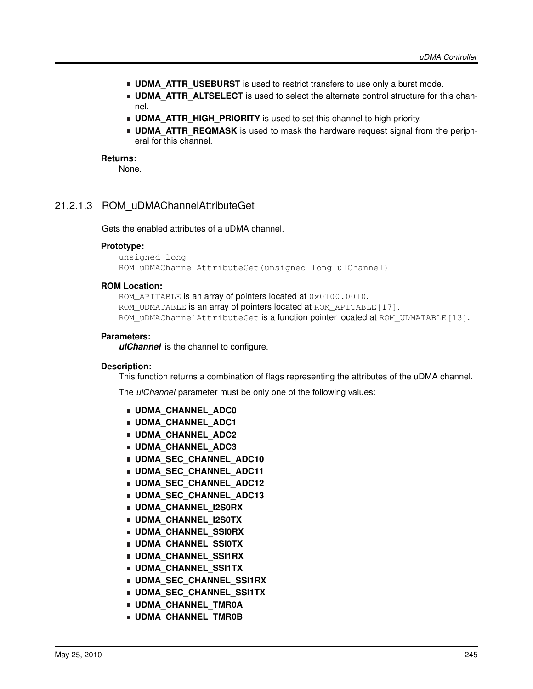- **UDMA\_ATTR\_USEBURST** is used to restrict transfers to use only a burst mode.
- **UDMA\_ATTR\_ALTSELECT** is used to select the alternate control structure for this channel.
- **UDMA ATTR HIGH PRIORITY** is used to set this channel to high priority.
- **UDMA\_ATTR\_REQMASK** is used to mask the hardware request signal from the peripheral for this channel.

#### **Returns:**

None.

## <span id="page-244-0"></span>21.2.1.3 ROM\_uDMAChannelAttributeGet

Gets the enabled attributes of a uDMA channel.

#### **Prototype:**

```
unsigned long
ROM_uDMAChannelAttributeGet(unsigned long ulChannel)
```
#### **ROM Location:**

ROM\_APITABLE is an array of pointers located at  $0 \times 0100$ .0010. ROM UDMATABLE is an array of pointers located at ROM APITABLE [17]. ROM\_uDMAChannelAttributeGet is a function pointer located at ROM\_UDMATABLE[13].

#### **Parameters:**

*ulChannel* is the channel to configure.

#### **Description:**

This function returns a combination of flags representing the attributes of the uDMA channel.

- **UDMA\_CHANNEL\_ADC0**
- **UDMA\_CHANNEL\_ADC1**
- **UDMA\_CHANNEL\_ADC2**
- **UDMA\_CHANNEL\_ADC3**
- **UDMA SEC CHANNEL ADC10**
- **UDMA\_SEC\_CHANNEL\_ADC11**
- **UDMA SEC CHANNEL ADC12**
- **UDMA\_SEC\_CHANNEL\_ADC13**
- **UDMA\_CHANNEL\_I2S0RX**
- **UDMA\_CHANNEL\_I2S0TX**
- **UDMA\_CHANNEL\_SSI0RX**
- **UDMA\_CHANNEL\_SSI0TX**
- **UDMA\_CHANNEL\_SSI1RX**
- **UDMA\_CHANNEL\_SSI1TX**
- **UDMA\_SEC\_CHANNEL\_SSI1RX**
- **UDMA\_SEC\_CHANNEL\_SSI1TX**
- **UDMA\_CHANNEL\_TMR0A**
- **UDMA\_CHANNEL\_TMR0B**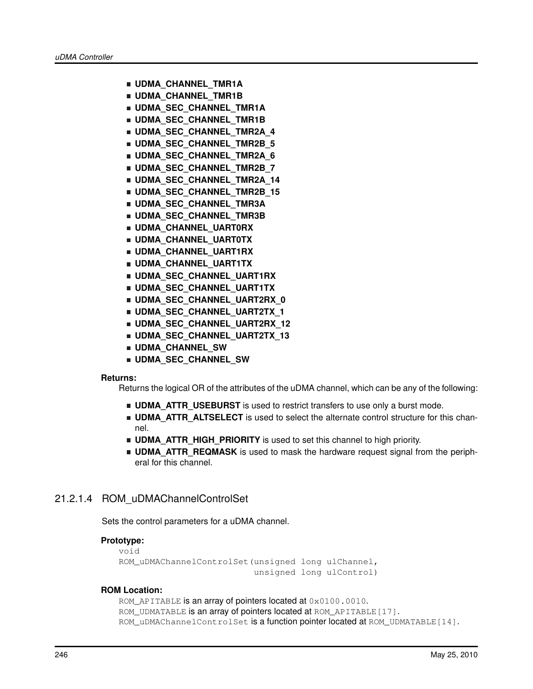- **UDMA\_CHANNEL\_TMR1A**
- **UDMA\_CHANNEL\_TMR1B**
- **UDMA\_SEC\_CHANNEL\_TMR1A**
- **UDMA\_SEC\_CHANNEL\_TMR1B**
- **UDMA\_SEC\_CHANNEL\_TMR2A\_4**
- **UDMA\_SEC\_CHANNEL\_TMR2B\_5**
- **UDMA\_SEC\_CHANNEL\_TMR2A\_6**
- **UDMA\_SEC\_CHANNEL\_TMR2B\_7**
- **UDMA\_SEC\_CHANNEL\_TMR2A\_14**
- **UDMA\_SEC\_CHANNEL\_TMR2B\_15**
- **UDMA\_SEC\_CHANNEL\_TMR3A**
- **UDMA\_SEC\_CHANNEL\_TMR3B**
- **UDMA\_CHANNEL\_UART0RX**
- **UDMA\_CHANNEL\_UART0TX**
- **UDMA\_CHANNEL\_UART1RX**
- **UDMA\_CHANNEL\_UART1TX**
- **UDMA\_SEC\_CHANNEL\_UART1RX**
- **UDMA\_SEC\_CHANNEL\_UART1TX**
- **UDMA\_SEC\_CHANNEL\_UART2RX\_0**
- **UDMA\_SEC\_CHANNEL\_UART2TX\_1**
- **UDMA\_SEC\_CHANNEL\_UART2RX\_12**
- **UDMA\_SEC\_CHANNEL\_UART2TX\_13**
- **UDMA\_CHANNEL\_SW**
- **UDMA\_SEC\_CHANNEL\_SW**

#### **Returns:**

Returns the logical OR of the attributes of the uDMA channel, which can be any of the following:

- **UDMA\_ATTR\_USEBURST** is used to restrict transfers to use only a burst mode.
- **UDMA\_ATTR\_ALTSELECT** is used to select the alternate control structure for this channel.
- **UDMA\_ATTR\_HIGH\_PRIORITY** is used to set this channel to high priority.
- **UDMA ATTR\_REQMASK** is used to mask the hardware request signal from the peripheral for this channel.

## <span id="page-245-0"></span>21.2.1.4 ROM\_uDMAChannelControlSet

Sets the control parameters for a uDMA channel.

#### **Prototype:**

```
void
ROM_uDMAChannelControlSet(unsigned long ulChannel,
                          unsigned long ulControl)
```
#### **ROM Location:**

```
ROM_APITABLE is an array of pointers located at 0 \times 0100.0010.
ROM_UDMATABLE is an array of pointers located at ROM_APITABLE[17].
ROM_uDMAChannelControlSet is a function pointer located at ROM_UDMATABLE[14].
```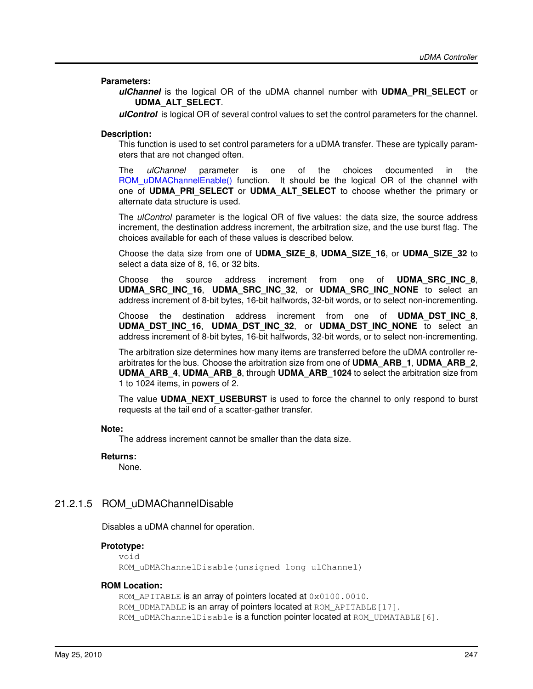#### **Parameters:**

*ulChannel* is the logical OR of the uDMA channel number with **UDMA\_PRI\_SELECT** or **UDMA\_ALT\_SELECT**.

*ulControl* is logical OR of several control values to set the control parameters for the channel.

#### **Description:**

This function is used to set control parameters for a uDMA transfer. These are typically parameters that are not changed often.

The *ulChannel* parameter is one of the choices documented in the ROM uDMAChannelEnable() function. It should be the logical OR of the channel with one of **UDMA\_PRI\_SELECT** or **UDMA\_ALT\_SELECT** to choose whether the primary or alternate data structure is used.

The *ulControl* parameter is the logical OR of five values: the data size, the source address increment, the destination address increment, the arbitration size, and the use burst flag. The choices available for each of these values is described below.

Choose the data size from one of **UDMA\_SIZE\_8**, **UDMA\_SIZE\_16**, or **UDMA\_SIZE\_32** to select a data size of 8, 16, or 32 bits.

Choose the source address increment from one of **UDMA\_SRC\_INC\_8**, **UDMA\_SRC\_INC\_16**, **UDMA\_SRC\_INC\_32**, or **UDMA\_SRC\_INC\_NONE** to select an address increment of 8-bit bytes, 16-bit halfwords, 32-bit words, or to select non-incrementing.

Choose the destination address increment from one of **UDMA\_DST\_INC\_8**, **UDMA\_DST\_INC\_16**, **UDMA\_DST\_INC\_32**, or **UDMA\_DST\_INC\_NONE** to select an address increment of 8-bit bytes, 16-bit halfwords, 32-bit words, or to select non-incrementing.

The arbitration size determines how many items are transferred before the uDMA controller rearbitrates for the bus. Choose the arbitration size from one of **UDMA\_ARB\_1**, **UDMA\_ARB\_2**, **UDMA\_ARB\_4**, **UDMA\_ARB\_8**, through **UDMA\_ARB\_1024** to select the arbitration size from 1 to 1024 items, in powers of 2.

The value **UDMA\_NEXT\_USEBURST** is used to force the channel to only respond to burst requests at the tail end of a scatter-gather transfer.

#### **Note:**

The address increment cannot be smaller than the data size.

## **Returns:**

None.

## <span id="page-246-0"></span>21.2.1.5 ROM\_uDMAChannelDisable

Disables a uDMA channel for operation.

#### **Prototype:**

```
void
ROM uDMAChannelDisable(unsigned long ulChannel)
```
#### **ROM Location:**

```
ROM APITABLE is an array of pointers located at 0x0100.0010.
ROM UDMATABLE is an array of pointers located at ROM APITABLE [17].
ROM_uDMAChannelDisable is a function pointer located at ROM_UDMATABLE [6].
```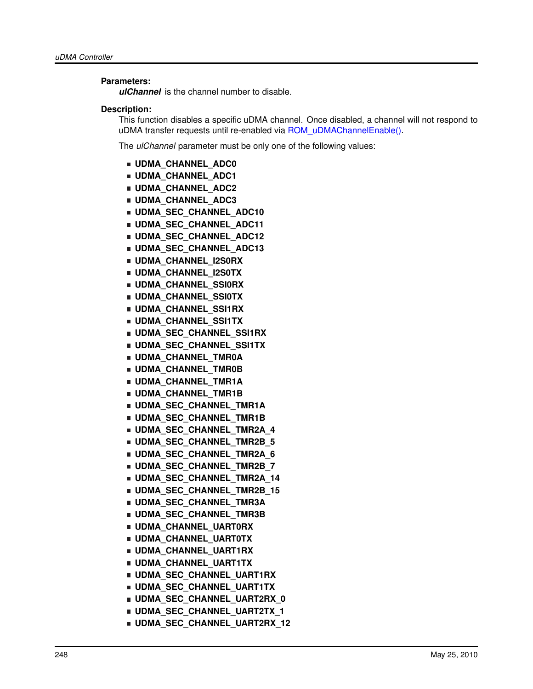#### **Parameters:**

*ulChannel* is the channel number to disable.

#### **Description:**

This function disables a specific uDMA channel. Once disabled, a channel will not respond to uDMA transfer requests until re-enabled via [ROM\\_uDMAChannelEnable\(\).](#page-248-0)

- **UDMA\_CHANNEL\_ADC0**
- **UDMA\_CHANNEL\_ADC1**
- **UDMA\_CHANNEL\_ADC2**
- **UDMA\_CHANNEL\_ADC3**
- **UDMA\_SEC\_CHANNEL\_ADC10**
- **UDMA\_SEC\_CHANNEL\_ADC11**
- **UDMA\_SEC\_CHANNEL\_ADC12**
- **UDMA\_SEC\_CHANNEL\_ADC13**
- **UDMA\_CHANNEL\_I2S0RX**
- **UDMA\_CHANNEL\_I2S0TX**
- **UDMA\_CHANNEL\_SSI0RX**
- **UDMA\_CHANNEL\_SSI0TX**
- **UDMA\_CHANNEL\_SSI1RX**
- **UDMA\_CHANNEL\_SSI1TX**
- **UDMA\_SEC\_CHANNEL\_SSI1RX**
- **UDMA\_SEC\_CHANNEL\_SSI1TX**
- **UDMA\_CHANNEL\_TMR0A**
- **UDMA\_CHANNEL\_TMR0B**
- **UDMA\_CHANNEL\_TMR1A**
- **UDMA\_CHANNEL\_TMR1B**
- **UDMA\_SEC\_CHANNEL\_TMR1A**
- **UDMA\_SEC\_CHANNEL\_TMR1B**
- **UDMA\_SEC\_CHANNEL\_TMR2A\_4**
- **UDMA\_SEC\_CHANNEL\_TMR2B\_5**
- **UDMA\_SEC\_CHANNEL\_TMR2A\_6**
- **UDMA\_SEC\_CHANNEL\_TMR2B\_7**
- **UDMA\_SEC\_CHANNEL\_TMR2A\_14**
- **UDMA\_SEC\_CHANNEL\_TMR2B\_15**
- **UDMA\_SEC\_CHANNEL\_TMR3A**
- **UDMA\_SEC\_CHANNEL\_TMR3B**
- **UDMA\_CHANNEL\_UART0RX**
- **UDMA\_CHANNEL\_UART0TX**
- **UDMA\_CHANNEL\_UART1RX**
- **UDMA\_CHANNEL\_UART1TX**
- 
- **UDMA\_SEC\_CHANNEL\_UART1RX**
- **UDMA\_SEC\_CHANNEL\_UART1TX**
- **UDMA\_SEC\_CHANNEL\_UART2RX\_0**
- **UDMA\_SEC\_CHANNEL\_UART2TX\_1**
- **UDMA\_SEC\_CHANNEL\_UART2RX\_12**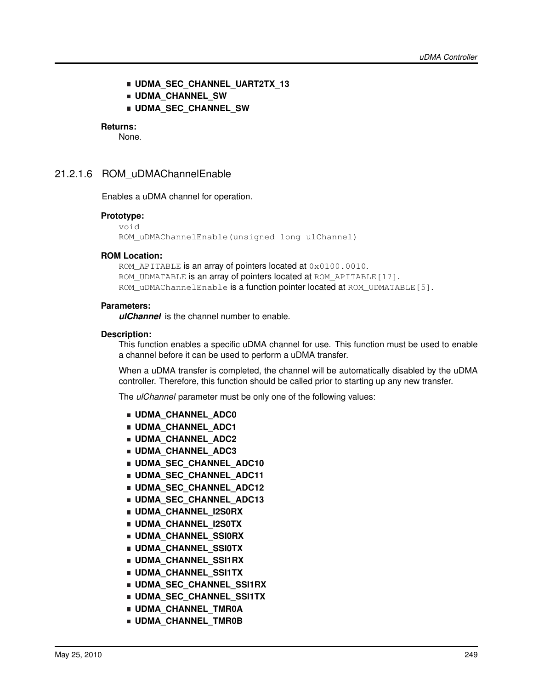- **UDMA\_SEC\_CHANNEL\_UART2TX\_13**
- **UDMA\_CHANNEL\_SW**

**UDMA\_SEC\_CHANNEL\_SW**

#### **Returns:**

None.

## <span id="page-248-0"></span>21.2.1.6 ROM\_uDMAChannelEnable

Enables a uDMA channel for operation.

#### **Prototype:**

```
void
ROM_uDMAChannelEnable(unsigned long ulChannel)
```
#### **ROM Location:**

ROM APITABLE is an array of pointers located at 0x0100.0010. ROM\_UDMATABLE is an array of pointers located at ROM\_APITABLE[17]. ROM\_uDMAChannelEnable is a function pointer located at ROM\_UDMATABLE[5].

#### **Parameters:**

*ulChannel* is the channel number to enable.

#### **Description:**

This function enables a specific uDMA channel for use. This function must be used to enable a channel before it can be used to perform a uDMA transfer.

When a uDMA transfer is completed, the channel will be automatically disabled by the uDMA controller. Therefore, this function should be called prior to starting up any new transfer.

- **UDMA\_CHANNEL\_ADC0**
- **UDMA\_CHANNEL\_ADC1**
- **UDMA\_CHANNEL\_ADC2**
- **UDMA\_CHANNEL\_ADC3**
- **UDMA\_SEC\_CHANNEL\_ADC10**
- **UDMA\_SEC\_CHANNEL\_ADC11**
- **UDMA\_SEC\_CHANNEL\_ADC12**
- **UDMA\_SEC\_CHANNEL\_ADC13**
- **UDMA\_CHANNEL\_I2S0RX**
- **UDMA\_CHANNEL\_I2S0TX**
- **UDMA\_CHANNEL\_SSI0RX**
- **UDMA\_CHANNEL\_SSI0TX**
- **UDMA\_CHANNEL\_SSI1RX**
- **UDMA\_CHANNEL\_SSI1TX**
- **UDMA\_SEC\_CHANNEL\_SSI1RX**
- **UDMA\_SEC\_CHANNEL\_SSI1TX**
- **UDMA\_CHANNEL\_TMR0A**
- **UDMA\_CHANNEL\_TMR0B**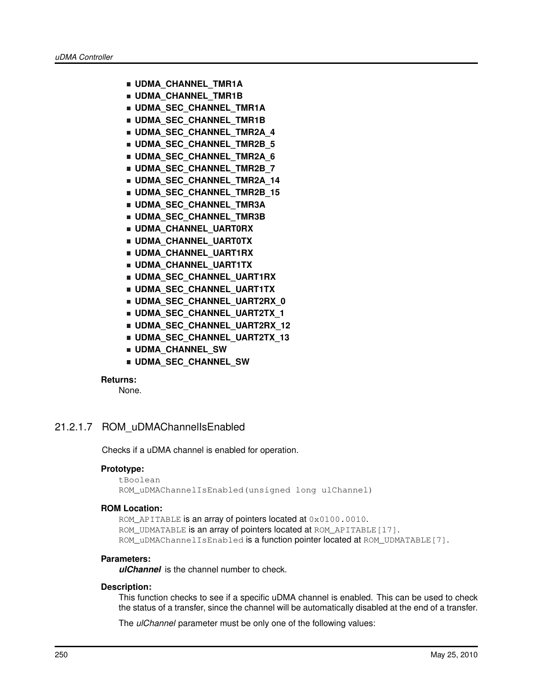- **UDMA\_CHANNEL\_TMR1A**
- **UDMA\_CHANNEL\_TMR1B**
- **UDMA\_SEC\_CHANNEL\_TMR1A**
- **UDMA\_SEC\_CHANNEL\_TMR1B**
- **UDMA\_SEC\_CHANNEL\_TMR2A\_4**
- **UDMA\_SEC\_CHANNEL\_TMR2B\_5**
- **UDMA\_SEC\_CHANNEL\_TMR2A\_6**
- **UDMA\_SEC\_CHANNEL\_TMR2B\_7**
- **UDMA\_SEC\_CHANNEL\_TMR2A\_14**
- **UDMA\_SEC\_CHANNEL\_TMR2B\_15**
- **UDMA\_SEC\_CHANNEL\_TMR3A**
- **UDMA\_SEC\_CHANNEL\_TMR3B**
- **UDMA\_CHANNEL\_UART0RX**
- **UDMA\_CHANNEL\_UART0TX**
- **UDMA\_CHANNEL\_UART1RX**
- **UDMA\_CHANNEL\_UART1TX**
- **UDMA\_SEC\_CHANNEL\_UART1RX**
- **UDMA\_SEC\_CHANNEL\_UART1TX**
- **UDMA\_SEC\_CHANNEL\_UART2RX\_0**
- **UDMA\_SEC\_CHANNEL\_UART2TX\_1**
- **UDMA\_SEC\_CHANNEL\_UART2RX\_12**
- **UDMA\_SEC\_CHANNEL\_UART2TX\_13**
- **UDMA\_CHANNEL\_SW**
- **UDMA\_SEC\_CHANNEL\_SW**

#### **Returns:**

None.

## <span id="page-249-0"></span>21.2.1.7 ROM\_uDMAChannelIsEnabled

Checks if a uDMA channel is enabled for operation.

#### **Prototype:**

tBoolean ROM\_uDMAChannelIsEnabled(unsigned long ulChannel)

#### **ROM Location:**

ROM APITABLE is an array of pointers located at 0x0100.0010. ROM\_UDMATABLE is an array of pointers located at ROM\_APITABLE [17]. ROM\_uDMAChannelIsEnabled is a function pointer located at ROM\_UDMATABLE[7].

#### **Parameters:**

*ulChannel* is the channel number to check.

#### **Description:**

This function checks to see if a specific uDMA channel is enabled. This can be used to check the status of a transfer, since the channel will be automatically disabled at the end of a transfer.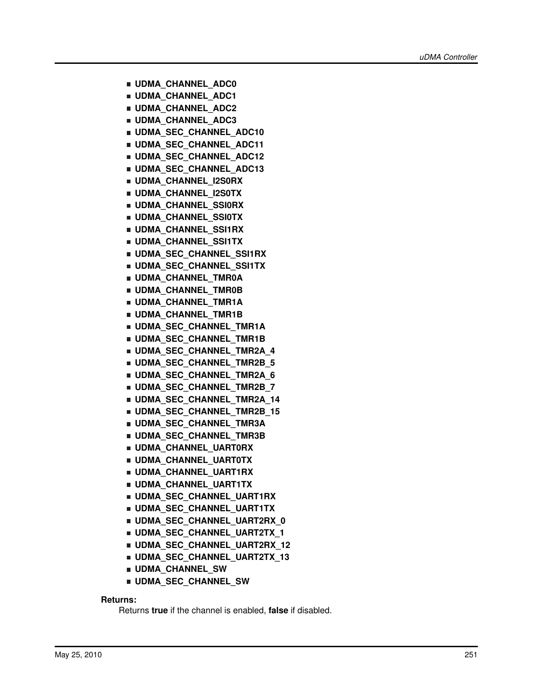- **UDMA\_CHANNEL\_ADC0**
- **UDMA\_CHANNEL\_ADC1**
- **UDMA\_CHANNEL\_ADC2**
- **UDMA\_CHANNEL\_ADC3**
- **UDMA\_SEC\_CHANNEL\_ADC10**
- **UDMA\_SEC\_CHANNEL\_ADC11**
- **UDMA\_SEC\_CHANNEL\_ADC12**
- **UDMA\_SEC\_CHANNEL\_ADC13**
- **UDMA\_CHANNEL\_I2S0RX**
- **UDMA\_CHANNEL\_I2S0TX**
- **UDMA\_CHANNEL\_SSI0RX**
- **UDMA\_CHANNEL\_SSI0TX**
- **UDMA\_CHANNEL\_SSI1RX**
- **UDMA\_CHANNEL\_SSI1TX**
- **UDMA\_SEC\_CHANNEL\_SSI1RX**
- **UDMA\_SEC\_CHANNEL\_SSI1TX**
- **UDMA\_CHANNEL\_TMR0A**
- **UDMA\_CHANNEL\_TMR0B**
- **UDMA\_CHANNEL\_TMR1A**
- **UDMA\_CHANNEL\_TMR1B**
- **UDMA\_SEC\_CHANNEL\_TMR1A**
- **UDMA\_SEC\_CHANNEL\_TMR1B**
- **UDMA\_SEC\_CHANNEL\_TMR2A\_4**
- **UDMA\_SEC\_CHANNEL\_TMR2B\_5**
- **UDMA\_SEC\_CHANNEL\_TMR2A\_6**
- **UDMA\_SEC\_CHANNEL\_TMR2B\_7**
- **UDMA\_SEC\_CHANNEL\_TMR2A\_14**
- **UDMA\_SEC\_CHANNEL\_TMR2B\_15**
- **UDMA\_SEC\_CHANNEL\_TMR3A**
- **UDMA\_SEC\_CHANNEL\_TMR3B**
- **UDMA\_CHANNEL\_UART0RX**
- **UDMA\_CHANNEL\_UART0TX**
- **UDMA\_CHANNEL\_UART1RX**
- **UDMA\_CHANNEL\_UART1TX**
- **UDMA\_SEC\_CHANNEL\_UART1RX**
- **UDMA\_SEC\_CHANNEL\_UART1TX**
- **UDMA\_SEC\_CHANNEL\_UART2RX\_0**
- **UDMA\_SEC\_CHANNEL\_UART2TX\_1**
- **UDMA\_SEC\_CHANNEL\_UART2RX\_12**
- **UDMA\_SEC\_CHANNEL\_UART2TX\_13**
- **UDMA\_CHANNEL\_SW**
- **UDMA\_SEC\_CHANNEL\_SW**

#### <span id="page-250-0"></span>**Returns:**

Returns **true** if the channel is enabled, **false** if disabled.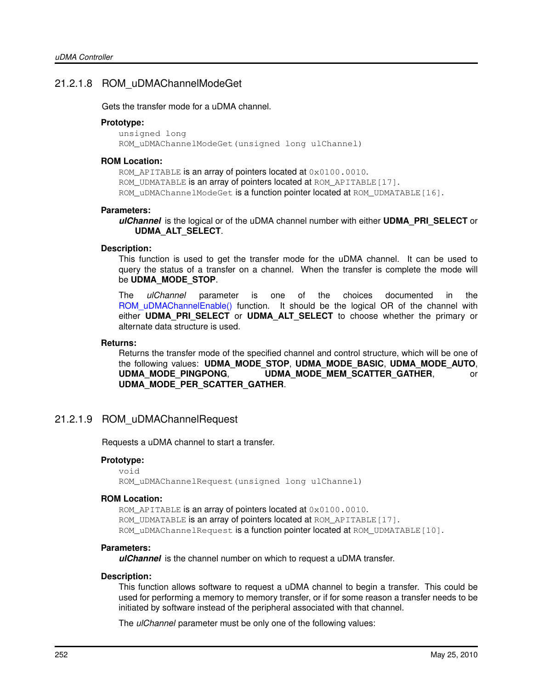## 21.2.1.8 ROM\_uDMAChannelModeGet

Gets the transfer mode for a uDMA channel.

#### **Prototype:**

unsigned long ROM\_uDMAChannelModeGet(unsigned long ulChannel)

#### **ROM Location:**

ROM\_APITABLE is an array of pointers located at  $0 \times 0100$ .0010. ROM\_UDMATABLE is an array of pointers located at ROM\_APITABLE [17]. ROM\_uDMAChannelModeGet is a function pointer located at ROM\_UDMATABLE[16].

#### **Parameters:**

*ulChannel* is the logical or of the uDMA channel number with either **UDMA\_PRI\_SELECT** or **UDMA\_ALT\_SELECT**.

#### **Description:**

This function is used to get the transfer mode for the uDMA channel. It can be used to query the status of a transfer on a channel. When the transfer is complete the mode will be **UDMA\_MODE\_STOP**.

The *ulChannel* parameter is one of the choices documented in the ROM uDMAChannelEnable() function. It should be the logical OR of the channel with either **UDMA\_PRI\_SELECT** or **UDMA\_ALT\_SELECT** to choose whether the primary or alternate data structure is used.

#### **Returns:**

Returns the transfer mode of the specified channel and control structure, which will be one of the following values: **UDMA\_MODE\_STOP**, **UDMA\_MODE\_BASIC**, **UDMA\_MODE\_AUTO**, **UDMA\_MODE\_PINGPONG**, **UDMA\_MODE\_MEM\_SCATTER\_GATHER**, or **UDMA\_MODE\_PER\_SCATTER\_GATHER**.

## <span id="page-251-0"></span>21.2.1.9 ROM\_uDMAChannelRequest

Requests a uDMA channel to start a transfer.

#### **Prototype:**

void

ROM\_uDMAChannelRequest(unsigned long ulChannel)

#### **ROM Location:**

ROM APITABLE is an array of pointers located at 0x0100.0010. ROM\_UDMATABLE is an array of pointers located at ROM\_APITABLE [17]. ROM\_uDMAChannelRequest is a function pointer located at ROM\_UDMATABLE[10].

#### **Parameters:**

*ulChannel* is the channel number on which to request a uDMA transfer.

#### **Description:**

This function allows software to request a uDMA channel to begin a transfer. This could be used for performing a memory to memory transfer, or if for some reason a transfer needs to be initiated by software instead of the peripheral associated with that channel.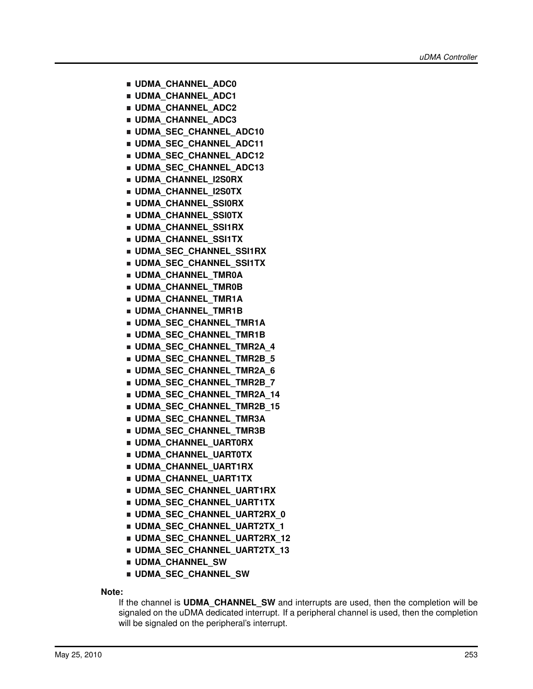- **UDMA\_CHANNEL\_ADC0**
- **UDMA\_CHANNEL\_ADC1**
- **UDMA\_CHANNEL\_ADC2**
- **UDMA\_CHANNEL\_ADC3**
- **UDMA\_SEC\_CHANNEL\_ADC10**
- **UDMA\_SEC\_CHANNEL\_ADC11**
- **UDMA\_SEC\_CHANNEL\_ADC12**
- **UDMA\_SEC\_CHANNEL\_ADC13**
- **UDMA\_CHANNEL\_I2S0RX**
- **UDMA\_CHANNEL\_I2S0TX**
- **UDMA\_CHANNEL\_SSI0RX**
- **UDMA\_CHANNEL\_SSI0TX**
- **UDMA\_CHANNEL\_SSI1RX**
- **UDMA\_CHANNEL\_SSI1TX**
- **UDMA\_SEC\_CHANNEL\_SSI1RX**
- **UDMA\_SEC\_CHANNEL\_SSI1TX**
- **UDMA\_CHANNEL\_TMR0A**
- **UDMA\_CHANNEL\_TMR0B**
- **UDMA\_CHANNEL\_TMR1A**
- **UDMA\_CHANNEL\_TMR1B**
- **UDMA\_SEC\_CHANNEL\_TMR1A**
- **UDMA\_SEC\_CHANNEL\_TMR1B**
- **UDMA\_SEC\_CHANNEL\_TMR2A\_4**
- **UDMA\_SEC\_CHANNEL\_TMR2B\_5**
- **UDMA\_SEC\_CHANNEL\_TMR2A\_6**
- **UDMA\_SEC\_CHANNEL\_TMR2B\_7**
- **UDMA\_SEC\_CHANNEL\_TMR2A\_14**
- **UDMA\_SEC\_CHANNEL\_TMR2B\_15**
- **UDMA\_SEC\_CHANNEL\_TMR3A**
- **UDMA\_SEC\_CHANNEL\_TMR3B**
- **UDMA\_CHANNEL\_UART0RX**
- **UDMA\_CHANNEL\_UART0TX**
- **UDMA\_CHANNEL\_UART1RX**
- **UDMA\_CHANNEL\_UART1TX**
- **UDMA\_SEC\_CHANNEL\_UART1RX**
- **UDMA\_SEC\_CHANNEL\_UART1TX**
- **UDMA\_SEC\_CHANNEL\_UART2RX\_0**
- **UDMA\_SEC\_CHANNEL\_UART2TX\_1**
- **UDMA\_SEC\_CHANNEL\_UART2RX\_12**
- **UDMA\_SEC\_CHANNEL\_UART2TX\_13**
- **UDMA\_CHANNEL\_SW**
- **UDMA\_SEC\_CHANNEL\_SW**

#### **Note:**

If the channel is **UDMA\_CHANNEL\_SW** and interrupts are used, then the completion will be signaled on the uDMA dedicated interrupt. If a peripheral channel is used, then the completion will be signaled on the peripheral's interrupt.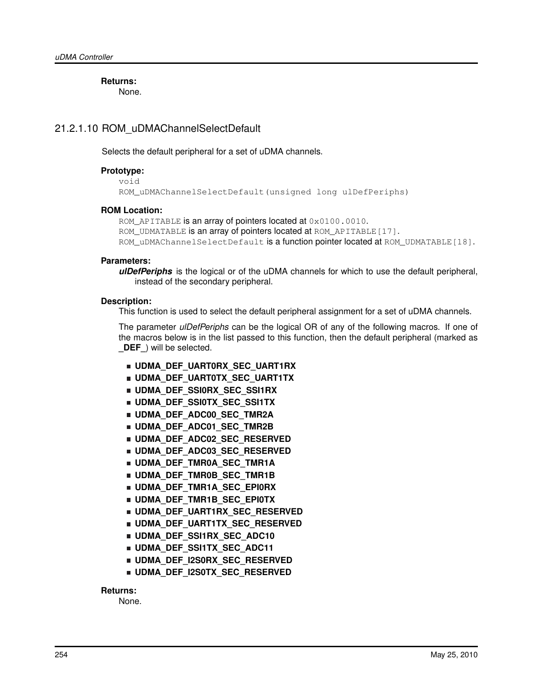**Returns:**

None.

# 21.2.1.10 ROM\_uDMAChannelSelectDefault

Selects the default peripheral for a set of uDMA channels.

## **Prototype:**

```
void
```
ROM\_uDMAChannelSelectDefault(unsigned long ulDefPeriphs)

# **ROM Location:**

ROM APITABLE is an array of pointers located at  $0 \times 0100$ .0010. ROM UDMATABLE is an array of pointers located at ROM APITABLE [17]. ROM\_uDMAChannelSelectDefault is a function pointer located at ROM\_UDMATABLE[18].

# **Parameters:**

*ulDefPeriphs* is the logical or of the uDMA channels for which to use the default peripheral, instead of the secondary peripheral.

#### **Description:**

This function is used to select the default peripheral assignment for a set of uDMA channels.

The parameter *ulDefPeriphs* can be the logical OR of any of the following macros. If one of the macros below is in the list passed to this function, then the default peripheral (marked as **\_DEF\_**) will be selected.

- **UDMA\_DEF\_UART0RX\_SEC\_UART1RX**
- **UDMA\_DEF\_UART0TX\_SEC\_UART1TX**
- **UDMA\_DEF\_SSI0RX\_SEC\_SSI1RX**
- **UDMA\_DEF\_SSI0TX\_SEC\_SSI1TX**
- **UDMA\_DEF\_ADC00\_SEC\_TMR2A**
- **UDMA\_DEF\_ADC01\_SEC\_TMR2B**
- **UDMA\_DEF\_ADC02\_SEC\_RESERVED**
- **UDMA\_DEF\_ADC03\_SEC\_RESERVED**
- **UDMA\_DEF\_TMR0A\_SEC\_TMR1A**
- **UDMA\_DEF\_TMR0B\_SEC\_TMR1B**
- **UDMA\_DEF\_TMR1A\_SEC\_EPI0RX**
- **UDMA\_DEF\_TMR1B\_SEC\_EPI0TX**
- **UDMA\_DEF\_UART1RX\_SEC\_RESERVED**
- **UDMA\_DEF\_UART1TX\_SEC\_RESERVED**
- **UDMA\_DEF\_SSI1RX\_SEC\_ADC10**
- **UDMA\_DEF\_SSI1TX\_SEC\_ADC11**
- **UDMA\_DEF\_I2S0RX\_SEC\_RESERVED**
- **UDMA\_DEF\_I2S0TX\_SEC\_RESERVED**

#### **Returns:**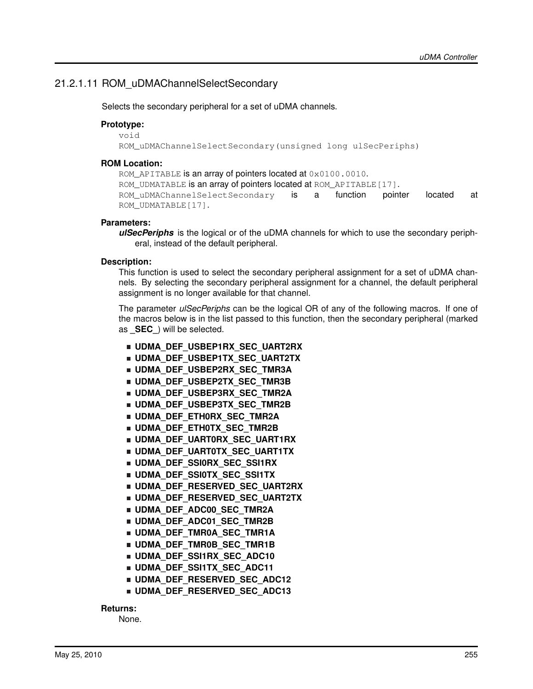# 21.2.1.11 ROM\_uDMAChannelSelectSecondary

Selects the secondary peripheral for a set of uDMA channels.

#### **Prototype:**

void ROM\_uDMAChannelSelectSecondary(unsigned long ulSecPeriphs)

#### **ROM Location:**

ROM APITABLE is an array of pointers located at 0x0100.0010. ROM\_UDMATABLE is an array of pointers located at ROM\_APITABLE [17]. ROM\_uDMAChannelSelectSecondary is a function pointer located at ROM\_UDMATABLE[17].

#### **Parameters:**

*ulSecPeriphs* is the logical or of the uDMA channels for which to use the secondary peripheral, instead of the default peripheral.

#### **Description:**

This function is used to select the secondary peripheral assignment for a set of uDMA channels. By selecting the secondary peripheral assignment for a channel, the default peripheral assignment is no longer available for that channel.

The parameter *ulSecPeriphs* can be the logical OR of any of the following macros. If one of the macros below is in the list passed to this function, then the secondary peripheral (marked as **\_SEC\_**) will be selected.

- **UDMA\_DEF\_USBEP1RX\_SEC\_UART2RX**
- **UDMA\_DEF\_USBEP1TX\_SEC\_UART2TX**
- **UDMA\_DEF\_USBEP2RX\_SEC\_TMR3A**
- **UDMA\_DEF\_USBEP2TX\_SEC\_TMR3B**
- **UDMA\_DEF\_USBEP3RX\_SEC\_TMR2A**
- **UDMA\_DEF\_USBEP3TX\_SEC\_TMR2B**
- **UDMA\_DEF\_ETH0RX\_SEC\_TMR2A**
- **UDMA\_DEF\_ETH0TX\_SEC\_TMR2B**
- **UDMA\_DEF\_UART0RX\_SEC\_UART1RX**
- **UDMA\_DEF\_UART0TX\_SEC\_UART1TX**
- **UDMA\_DEF\_SSI0RX\_SEC\_SSI1RX**
- **UDMA\_DEF\_SSI0TX\_SEC\_SSI1TX**
- **UDMA\_DEF\_RESERVED\_SEC\_UART2RX**
- **UDMA\_DEF\_RESERVED\_SEC\_UART2TX**
- **UDMA\_DEF\_ADC00\_SEC\_TMR2A**
- **UDMA\_DEF\_ADC01\_SEC\_TMR2B**
- **UDMA\_DEF\_TMR0A\_SEC\_TMR1A**
- **UDMA\_DEF\_TMR0B\_SEC\_TMR1B**
- **UDMA\_DEF\_SSI1RX\_SEC\_ADC10**
- **UDMA\_DEF\_SSI1TX\_SEC\_ADC11**
- **UDMA\_DEF\_RESERVED\_SEC\_ADC12**
- **UDMA\_DEF\_RESERVED\_SEC\_ADC13**

#### **Returns:**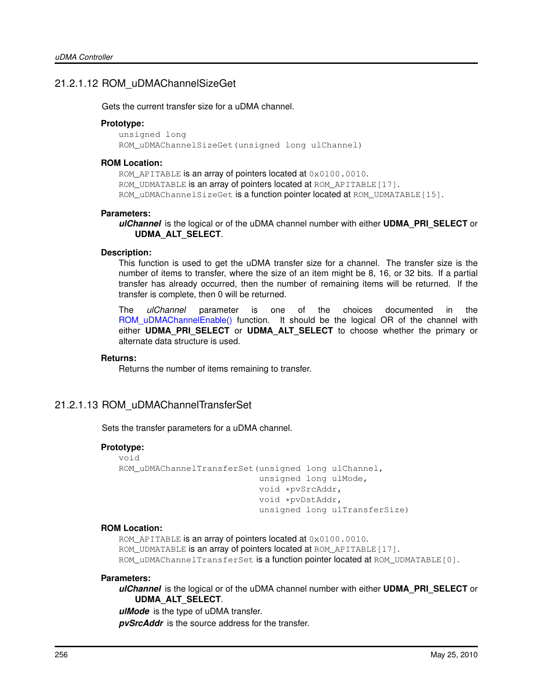# 21.2.1.12 ROM\_uDMAChannelSizeGet

Gets the current transfer size for a uDMA channel.

#### **Prototype:**

unsigned long ROM\_uDMAChannelSizeGet(unsigned long ulChannel)

#### **ROM Location:**

ROM\_APITABLE is an array of pointers located at  $0 \times 0100$ .0010. ROM\_UDMATABLE is an array of pointers located at ROM\_APITABLE[17]. ROM\_uDMAChannelSizeGet is a function pointer located at ROM\_UDMATABLE[15].

#### **Parameters:**

*ulChannel* is the logical or of the uDMA channel number with either **UDMA\_PRI\_SELECT** or **UDMA\_ALT\_SELECT**.

#### **Description:**

This function is used to get the uDMA transfer size for a channel. The transfer size is the number of items to transfer, where the size of an item might be 8, 16, or 32 bits. If a partial transfer has already occurred, then the number of remaining items will be returned. If the transfer is complete, then 0 will be returned.

The *ulChannel* parameter is one of the choices documented in the [ROM\\_uDMAChannelEnable\(\)](#page-248-0) function. It should be the logical OR of the channel with either **UDMA\_PRI\_SELECT** or **UDMA\_ALT\_SELECT** to choose whether the primary or alternate data structure is used.

#### **Returns:**

Returns the number of items remaining to transfer.

# 21.2.1.13 ROM\_uDMAChannelTransferSet

Sets the transfer parameters for a uDMA channel.

#### **Prototype:**

```
void
ROM_uDMAChannelTransferSet(unsigned long ulChannel,
                            unsigned long ulMode,
                            void *pvSrcAddr,
                            void *pvDstAddr,
                            unsigned long ulTransferSize)
```
#### **ROM Location:**

ROM\_APITABLE is an array of pointers located at  $0 \times 0100$ .0010. ROM\_UDMATABLE is an array of pointers located at ROM\_APITABLE [17]. ROM\_uDMAChannelTransferSet is a function pointer located at ROM\_UDMATABLE[0].

#### **Parameters:**

*ulChannel* is the logical or of the uDMA channel number with either **UDMA\_PRI\_SELECT** or **UDMA\_ALT\_SELECT**.

*ulMode* is the type of uDMA transfer.

**pvSrcAddr** is the source address for the transfer.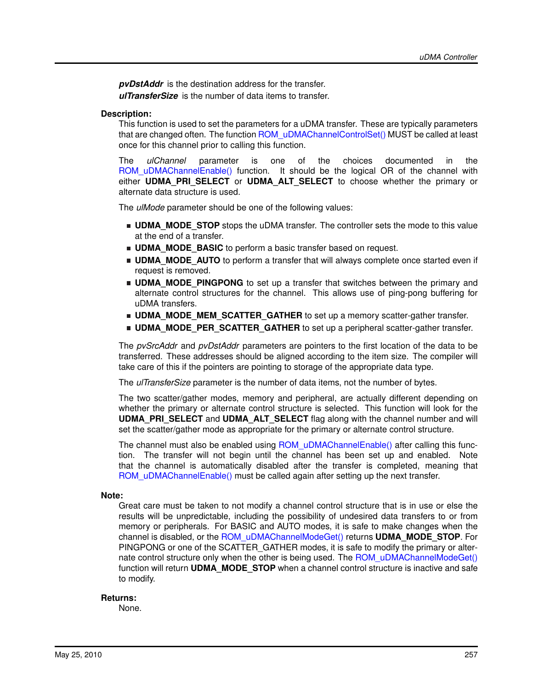*pvDstAddr* is the destination address for the transfer.

*ulTransferSize* is the number of data items to transfer.

#### **Description:**

This function is used to set the parameters for a uDMA transfer. These are typically parameters that are changed often. The function [ROM\\_uDMAChannelControlSet\(\)](#page-245-0) MUST be called at least once for this channel prior to calling this function.

The *ulChannel* parameter is one of the choices documented in the [ROM\\_uDMAChannelEnable\(\)](#page-248-0) function. It should be the logical OR of the channel with either **UDMA\_PRI\_SELECT** or **UDMA\_ALT\_SELECT** to choose whether the primary or alternate data structure is used.

The *ulMode* parameter should be one of the following values:

- **UDMA\_MODE\_STOP** stops the uDMA transfer. The controller sets the mode to this value at the end of a transfer.
- **UDMA\_MODE\_BASIC** to perform a basic transfer based on request.
- **UDMA\_MODE\_AUTO** to perform a transfer that will always complete once started even if request is removed.
- **UDMA\_MODE\_PINGPONG** to set up a transfer that switches between the primary and alternate control structures for the channel. This allows use of ping-pong buffering for uDMA transfers.
- **UDMA\_MODE\_MEM\_SCATTER\_GATHER** to set up a memory scatter-gather transfer.
- **UDMA\_MODE\_PER\_SCATTER\_GATHER** to set up a peripheral scatter-gather transfer.

The *pvSrcAddr* and *pvDstAddr* parameters are pointers to the first location of the data to be transferred. These addresses should be aligned according to the item size. The compiler will take care of this if the pointers are pointing to storage of the appropriate data type.

The *ulTransferSize* parameter is the number of data items, not the number of bytes.

The two scatter/gather modes, memory and peripheral, are actually different depending on whether the primary or alternate control structure is selected. This function will look for the **UDMA\_PRI\_SELECT** and **UDMA\_ALT\_SELECT** flag along with the channel number and will set the scatter/gather mode as appropriate for the primary or alternate control structure.

The channel must also be enabled using [ROM\\_uDMAChannelEnable\(\)](#page-248-0) after calling this function. The transfer will not begin until the channel has been set up and enabled. Note that the channel is automatically disabled after the transfer is completed, meaning that [ROM\\_uDMAChannelEnable\(\)](#page-248-0) must be called again after setting up the next transfer.

#### **Note:**

Great care must be taken to not modify a channel control structure that is in use or else the results will be unpredictable, including the possibility of undesired data transfers to or from memory or peripherals. For BASIC and AUTO modes, it is safe to make changes when the channel is disabled, or the [ROM\\_uDMAChannelModeGet\(\)](#page-250-0) returns **UDMA\_MODE\_STOP**. For PINGPONG or one of the SCATTER GATHER modes, it is safe to modify the primary or alternate control structure only when the other is being used. The ROM uDMAChannelModeGet() function will return **UDMA\_MODE\_STOP** when a channel control structure is inactive and safe to modify.

#### **Returns:**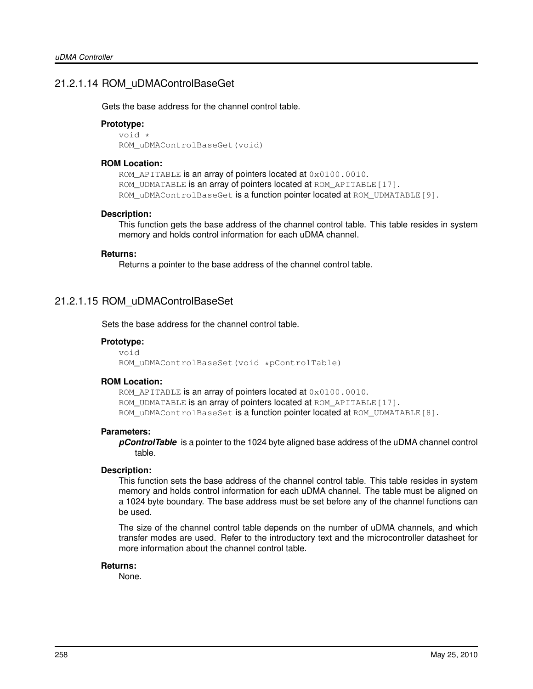# 21.2.1.14 ROM\_uDMAControlBaseGet

Gets the base address for the channel control table.

#### **Prototype:**

void \* ROM\_uDMAControlBaseGet(void)

#### **ROM Location:**

ROM APITABLE is an array of pointers located at 0x0100.0010. ROM\_UDMATABLE is an array of pointers located at ROM\_APITABLE [17]. ROM\_uDMAControlBaseGet is a function pointer located at ROM\_UDMATABLE[9].

#### **Description:**

This function gets the base address of the channel control table. This table resides in system memory and holds control information for each uDMA channel.

#### **Returns:**

Returns a pointer to the base address of the channel control table.

# 21.2.1.15 ROM\_uDMAControlBaseSet

Sets the base address for the channel control table.

#### **Prototype:**

```
void
ROM_uDMAControlBaseSet(void *pControlTable)
```
#### **ROM Location:**

ROM\_APITABLE is an array of pointers located at  $0 \times 0100$ .0010. ROM\_UDMATABLE is an array of pointers located at ROM\_APITABLE [17]. ROM\_uDMAControlBaseSet is a function pointer located at ROM\_UDMATABLE[8].

## **Parameters:**

*pControlTable* is a pointer to the 1024 byte aligned base address of the uDMA channel control table.

#### **Description:**

This function sets the base address of the channel control table. This table resides in system memory and holds control information for each uDMA channel. The table must be aligned on a 1024 byte boundary. The base address must be set before any of the channel functions can be used.

The size of the channel control table depends on the number of uDMA channels, and which transfer modes are used. Refer to the introductory text and the microcontroller datasheet for more information about the channel control table.

#### **Returns:**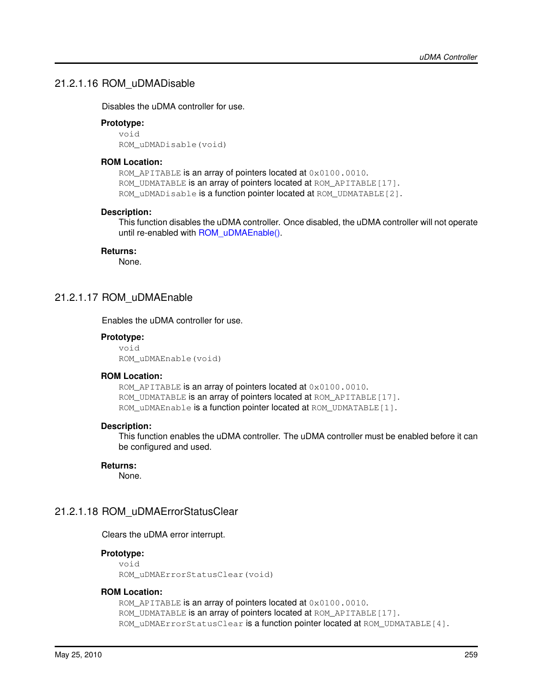# 21.2.1.16 ROM\_uDMADisable

Disables the uDMA controller for use.

#### **Prototype:**

void ROM\_uDMADisable(void)

#### **ROM Location:**

ROM\_APITABLE is an array of pointers located at  $0 \times 0100$ .0010. ROM UDMATABLE is an array of pointers located at ROM APITABLE[17]. ROM\_uDMADisable is a function pointer located at ROM\_UDMATABLE [2].

#### **Description:**

This function disables the uDMA controller. Once disabled, the uDMA controller will not operate until re-enabled with [ROM\\_uDMAEnable\(\).](#page-258-0)

#### **Returns:**

None.

# <span id="page-258-0"></span>21.2.1.17 ROM\_uDMAEnable

Enables the uDMA controller for use.

#### **Prototype:**

void ROM\_uDMAEnable(void)

#### **ROM Location:**

ROM\_APITABLE is an array of pointers located at  $0 \times 0100$ .0010. ROM UDMATABLE is an array of pointers located at ROM APITABLE [17]. ROM uDMAEnable is a function pointer located at ROM UDMATABLE [1].

#### **Description:**

This function enables the uDMA controller. The uDMA controller must be enabled before it can be configured and used.

#### **Returns:**

None.

# 21.2.1.18 ROM\_uDMAErrorStatusClear

Clears the uDMA error interrupt.

#### **Prototype:**

void ROM\_uDMAErrorStatusClear(void)

#### **ROM Location:**

ROM\_APITABLE is an array of pointers located at  $0 \times 0100$ .0010. ROM\_UDMATABLE is an array of pointers located at ROM\_APITABLE [17]. ROM\_uDMAErrorStatusClear is a function pointer located at ROM\_UDMATABLE [4].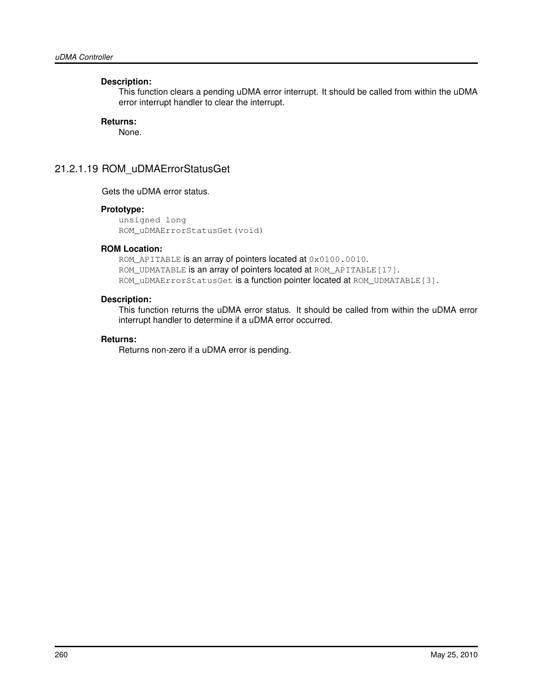### **Description:**

This function clears a pending uDMA error interrupt. It should be called from within the uDMA error interrupt handler to clear the interrupt.

#### **Returns:**

None.

# 21.2.1.19 ROM\_uDMAErrorStatusGet

Gets the uDMA error status.

#### **Prototype:**

unsigned long ROM\_uDMAErrorStatusGet(void)

# **ROM Location:**

ROM APITABLE is an array of pointers located at  $0 \times 0100$ .0010. ROM\_UDMATABLE is an array of pointers located at ROM\_APITABLE [17]. ROM\_uDMAErrorStatusGet is a function pointer located at ROM\_UDMATABLE[3].

#### **Description:**

This function returns the uDMA error status. It should be called from within the uDMA error interrupt handler to determine if a uDMA error occurred.

### **Returns:**

Returns non-zero if a uDMA error is pending.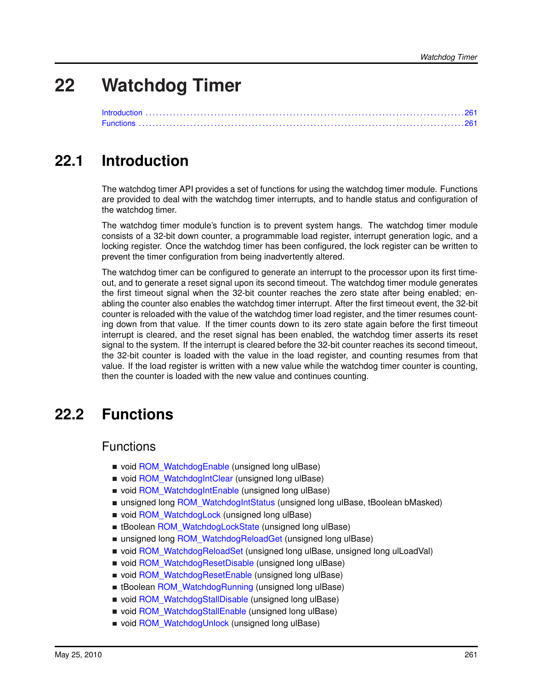# **22 Watchdog Timer**

<span id="page-260-0"></span>

# <span id="page-260-1"></span>**22.1 Introduction**

The watchdog timer API provides a set of functions for using the watchdog timer module. Functions are provided to deal with the watchdog timer interrupts, and to handle status and configuration of the watchdog timer.

The watchdog timer module's function is to prevent system hangs. The watchdog timer module consists of a 32-bit down counter, a programmable load register, interrupt generation logic, and a locking register. Once the watchdog timer has been configured, the lock register can be written to prevent the timer configuration from being inadvertently altered.

The watchdog timer can be configured to generate an interrupt to the processor upon its first timeout, and to generate a reset signal upon its second timeout. The watchdog timer module generates the first timeout signal when the 32-bit counter reaches the zero state after being enabled; enabling the counter also enables the watchdog timer interrupt. After the first timeout event, the 32-bit counter is reloaded with the value of the watchdog timer load register, and the timer resumes counting down from that value. If the timer counts down to its zero state again before the first timeout interrupt is cleared, and the reset signal has been enabled, the watchdog timer asserts its reset signal to the system. If the interrupt is cleared before the 32-bit counter reaches its second timeout, the 32-bit counter is loaded with the value in the load register, and counting resumes from that value. If the load register is written with a new value while the watchdog timer counter is counting, then the counter is loaded with the new value and continues counting.

# <span id="page-260-3"></span>**22.2 Functions**

# **Functions**

- <span id="page-260-2"></span>void [ROM\\_WatchdogEnable](#page-261-0) (unsigned long ulBase)
- void [ROM\\_WatchdogIntClear](#page-261-1) (unsigned long ulBase)
- void [ROM\\_WatchdogIntEnable](#page-262-0) (unsigned long ulBase)
- unsigned long [ROM\\_WatchdogIntStatus](#page-262-1) (unsigned long ulBase, tBoolean bMasked)
- void [ROM\\_WatchdogLock](#page-263-0) (unsigned long ulBase)
- tBoolean [ROM\\_WatchdogLockState](#page-263-1) (unsigned long ulBase)
- unsigned long [ROM\\_WatchdogReloadGet](#page-264-0) (unsigned long ulBase)
- void [ROM\\_WatchdogReloadSet](#page-264-1) (unsigned long ulBase, unsigned long ulLoadVal)
- void [ROM\\_WatchdogResetDisable](#page-265-0) (unsigned long ulBase)
- void [ROM\\_WatchdogResetEnable](#page-265-1) (unsigned long ulBase)
- tBoolean [ROM\\_WatchdogRunning](#page-266-0) (unsigned long ulBase)
- void [ROM\\_WatchdogStallDisable](#page-266-1) (unsigned long ulBase)
- void [ROM\\_WatchdogStallEnable](#page-267-0) (unsigned long ulBase)
- void [ROM\\_WatchdogUnlock](#page-267-1) (unsigned long ulBase)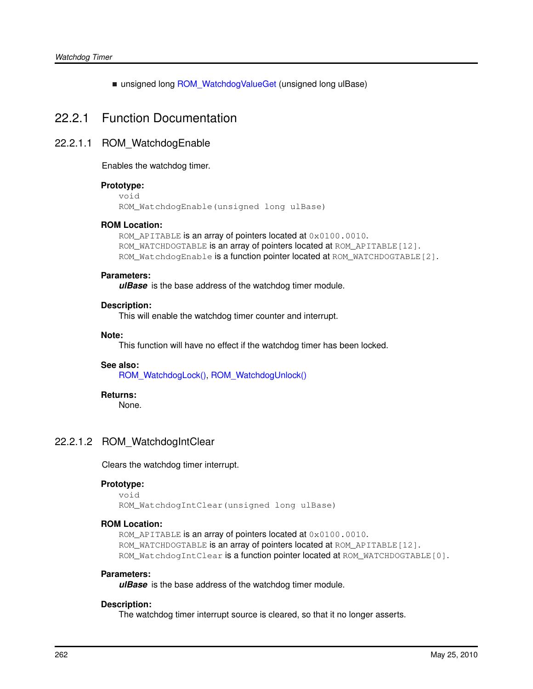■ unsigned long [ROM\\_WatchdogValueGet](#page-268-0) (unsigned long ulBase)

# 22.2.1 Function Documentation

# <span id="page-261-0"></span>22.2.1.1 ROM\_WatchdogEnable

Enables the watchdog timer.

#### **Prototype:**

```
void
ROM_WatchdogEnable(unsigned long ulBase)
```
#### **ROM Location:**

```
ROM_APITABLE is an array of pointers located at 0 \times 0100.0010.
ROM WATCHDOGTABLE is an array of pointers located at ROM APITABLE [12].
ROM_WatchdogEnable is a function pointer located at ROM_WATCHDOGTABLE[2].
```
#### **Parameters:**

*ulBase* is the base address of the watchdog timer module.

#### **Description:**

This will enable the watchdog timer counter and interrupt.

#### **Note:**

This function will have no effect if the watchdog timer has been locked.

#### **See also:**

[ROM\\_WatchdogLock\(\),](#page-263-0) [ROM\\_WatchdogUnlock\(\)](#page-267-1)

#### **Returns:**

None.

# <span id="page-261-1"></span>22.2.1.2 ROM\_WatchdogIntClear

Clears the watchdog timer interrupt.

#### **Prototype:**

```
void
ROM_WatchdogIntClear(unsigned long ulBase)
```
#### **ROM Location:**

ROM\_APITABLE is an array of pointers located at  $0 \times 0100$ .0010. ROM\_WATCHDOGTABLE is an array of pointers located at ROM\_APITABLE [12]. ROM\_WatchdogIntClear is a function pointer located at ROM\_WATCHDOGTABLE[0].

#### **Parameters:**

*ulBase* is the base address of the watchdog timer module.

#### **Description:**

The watchdog timer interrupt source is cleared, so that it no longer asserts.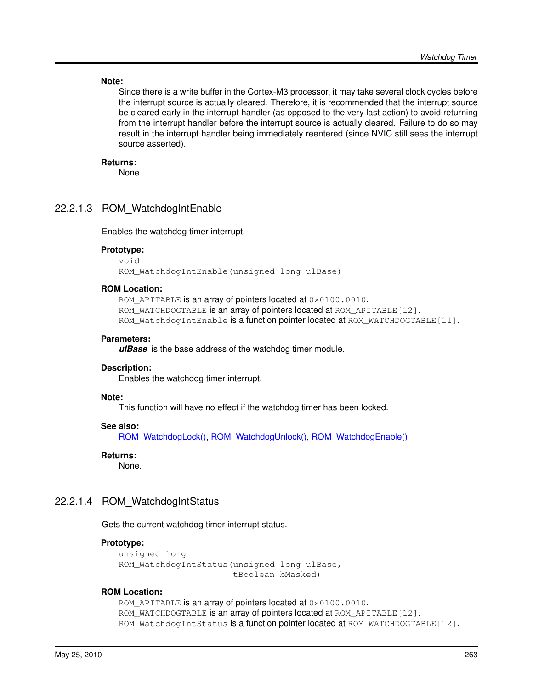#### **Note:**

Since there is a write buffer in the Cortex-M3 processor, it may take several clock cycles before the interrupt source is actually cleared. Therefore, it is recommended that the interrupt source be cleared early in the interrupt handler (as opposed to the very last action) to avoid returning from the interrupt handler before the interrupt source is actually cleared. Failure to do so may result in the interrupt handler being immediately reentered (since NVIC still sees the interrupt source asserted).

#### **Returns:**

None.

# <span id="page-262-0"></span>22.2.1.3 ROM\_WatchdogIntEnable

Enables the watchdog timer interrupt.

#### **Prototype:**

void ROM\_WatchdogIntEnable(unsigned long ulBase)

#### **ROM Location:**

ROM\_APITABLE is an array of pointers located at  $0 \times 0100$ .0010. ROM\_WATCHDOGTABLE is an array of pointers located at ROM\_APITABLE [12]. ROM\_WatchdogIntEnable is a function pointer located at ROM\_WATCHDOGTABLE[11].

#### **Parameters:**

*ulBase* is the base address of the watchdog timer module.

#### **Description:**

Enables the watchdog timer interrupt.

#### **Note:**

This function will have no effect if the watchdog timer has been locked.

#### **See also:**

[ROM\\_WatchdogLock\(\),](#page-263-0) [ROM\\_WatchdogUnlock\(\),](#page-267-1) [ROM\\_WatchdogEnable\(\)](#page-261-0)

#### **Returns:**

None.

# <span id="page-262-1"></span>22.2.1.4 ROM\_WatchdogIntStatus

Gets the current watchdog timer interrupt status.

#### **Prototype:**

```
unsigned long
ROM_WatchdogIntStatus(unsigned long ulBase,
                      tBoolean bMasked)
```
#### **ROM Location:**

ROM\_APITABLE is an array of pointers located at  $0 \times 0100$ .0010. ROM WATCHDOGTABLE is an array of pointers located at ROM APITABLE [12]. ROM WatchdogIntStatus is a function pointer located at ROM\_WATCHDOGTABLE[12].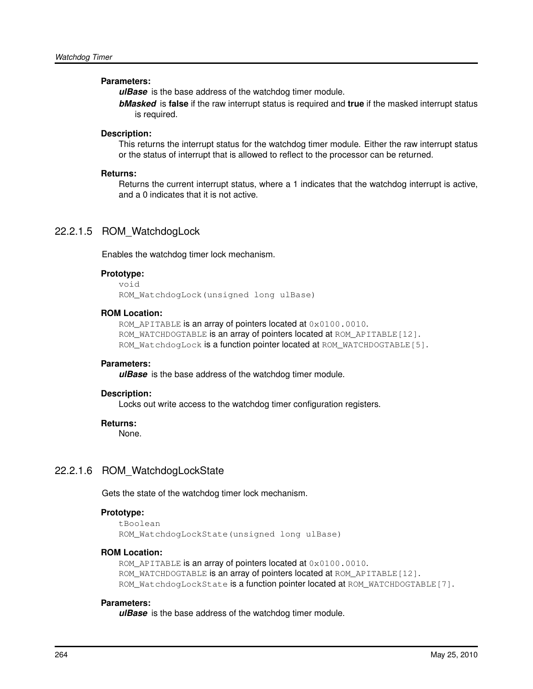#### **Parameters:**

*ulBase* is the base address of the watchdog timer module.

*bMasked* is **false** if the raw interrupt status is required and **true** if the masked interrupt status is required.

# **Description:**

This returns the interrupt status for the watchdog timer module. Either the raw interrupt status or the status of interrupt that is allowed to reflect to the processor can be returned.

#### **Returns:**

Returns the current interrupt status, where a 1 indicates that the watchdog interrupt is active, and a 0 indicates that it is not active.

# <span id="page-263-0"></span>22.2.1.5 ROM\_WatchdogLock

Enables the watchdog timer lock mechanism.

#### **Prototype:**

void ROM\_WatchdogLock(unsigned long ulBase)

#### **ROM Location:**

ROM\_APITABLE is an array of pointers located at  $0 \times 0100$ .0010. ROM\_WATCHDOGTABLE is an array of pointers located at ROM\_APITABLE [12]. ROM\_WatchdogLock is a function pointer located at ROM\_WATCHDOGTABLE[5].

#### **Parameters:**

*ulBase* is the base address of the watchdog timer module.

#### **Description:**

Locks out write access to the watchdog timer configuration registers.

#### **Returns:**

None.

# <span id="page-263-1"></span>22.2.1.6 ROM\_WatchdogLockState

Gets the state of the watchdog timer lock mechanism.

#### **Prototype:**

```
tBoolean
ROM_WatchdogLockState(unsigned long ulBase)
```
#### **ROM Location:**

ROM APITABLE is an array of pointers located at 0x0100.0010. ROM\_WATCHDOGTABLE is an array of pointers located at ROM\_APITABLE [12]. ROM\_WatchdogLockState is a function pointer located at ROM\_WATCHDOGTABLE[7].

#### **Parameters:**

*ulBase* is the base address of the watchdog timer module.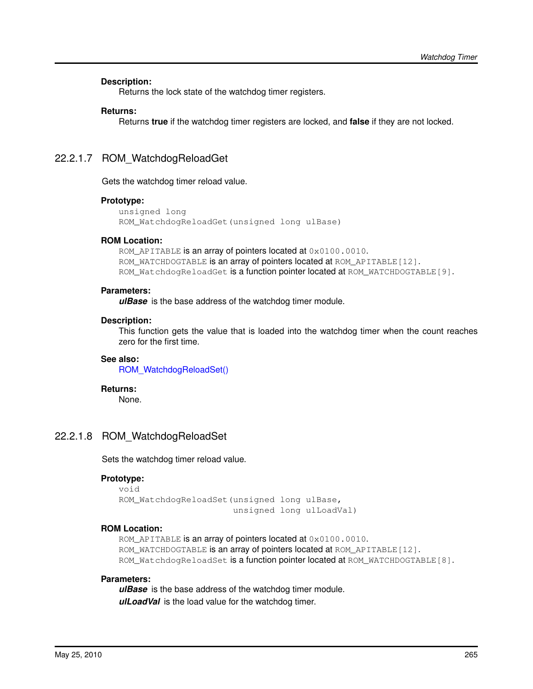#### **Description:**

Returns the lock state of the watchdog timer registers.

#### **Returns:**

Returns **true** if the watchdog timer registers are locked, and **false** if they are not locked.

# <span id="page-264-0"></span>22.2.1.7 ROM\_WatchdogReloadGet

Gets the watchdog timer reload value.

#### **Prototype:**

```
unsigned long
ROM_WatchdogReloadGet(unsigned long ulBase)
```
#### **ROM Location:**

ROM\_APITABLE is an array of pointers located at  $0 \times 0100$ .0010. ROM WATCHDOGTABLE is an array of pointers located at ROM APITABLE [12]. ROM\_WatchdogReloadGet is a function pointer located at ROM\_WATCHDOGTABLE[9].

#### **Parameters:**

*ulBase* is the base address of the watchdog timer module.

#### **Description:**

This function gets the value that is loaded into the watchdog timer when the count reaches zero for the first time.

#### **See also:**

[ROM\\_WatchdogReloadSet\(\)](#page-264-1)

#### **Returns:**

None.

# <span id="page-264-1"></span>22.2.1.8 ROM\_WatchdogReloadSet

Sets the watchdog timer reload value.

#### **Prototype:**

```
void
ROM_WatchdogReloadSet(unsigned long ulBase,
                      unsigned long ulLoadVal)
```
### **ROM Location:**

ROM\_APITABLE is an array of pointers located at  $0 \times 0100$ .0010. ROM\_WATCHDOGTABLE is an array of pointers located at ROM\_APITABLE [12]. ROM\_WatchdogReloadSet is a function pointer located at ROM\_WATCHDOGTABLE[8].

#### **Parameters:**

*ulBase* is the base address of the watchdog timer module. *ulLoadVal* is the load value for the watchdog timer.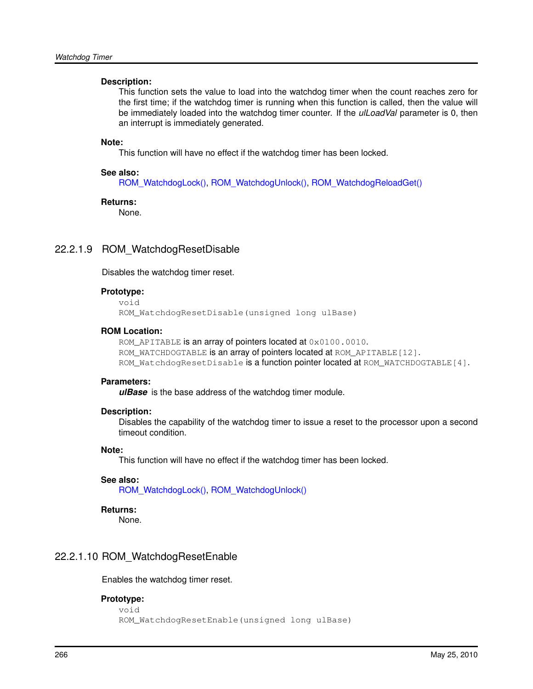#### **Description:**

This function sets the value to load into the watchdog timer when the count reaches zero for the first time; if the watchdog timer is running when this function is called, then the value will be immediately loaded into the watchdog timer counter. If the *ulLoadVal* parameter is 0, then an interrupt is immediately generated.

#### **Note:**

This function will have no effect if the watchdog timer has been locked.

#### **See also:**

[ROM\\_WatchdogLock\(\),](#page-263-0) [ROM\\_WatchdogUnlock\(\),](#page-267-1) [ROM\\_WatchdogReloadGet\(\)](#page-264-0)

#### **Returns:**

None.

# <span id="page-265-0"></span>22.2.1.9 ROM\_WatchdogResetDisable

Disables the watchdog timer reset.

#### **Prototype:**

```
void
ROM WatchdogResetDisable(unsigned long ulBase)
```
#### **ROM Location:**

ROM APITABLE is an array of pointers located at 0x0100.0010. ROM\_WATCHDOGTABLE is an array of pointers located at ROM\_APITABLE [12]. ROM\_WatchdogResetDisable is a function pointer located at ROM\_WATCHDOGTABLE[4].

#### **Parameters:**

*ulBase* is the base address of the watchdog timer module.

#### **Description:**

Disables the capability of the watchdog timer to issue a reset to the processor upon a second timeout condition.

#### **Note:**

This function will have no effect if the watchdog timer has been locked.

#### **See also:**

[ROM\\_WatchdogLock\(\),](#page-263-0) [ROM\\_WatchdogUnlock\(\)](#page-267-1)

#### **Returns:**

None.

# <span id="page-265-1"></span>22.2.1.10 ROM\_WatchdogResetEnable

Enables the watchdog timer reset.

#### **Prototype:**

```
void
ROM_WatchdogResetEnable(unsigned long ulBase)
```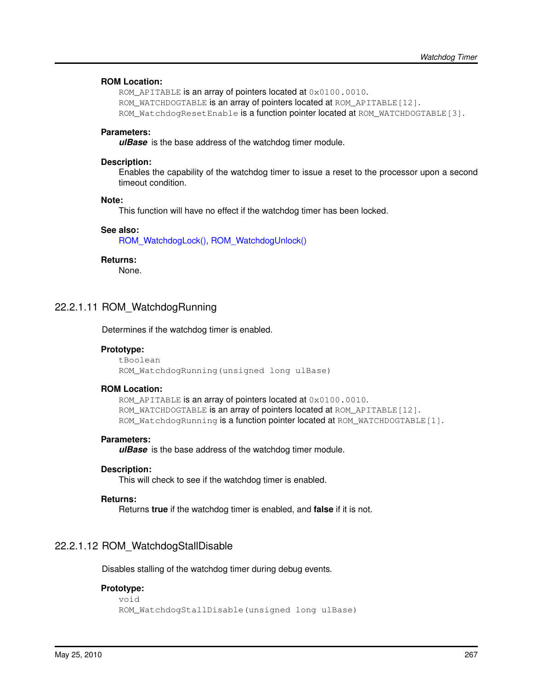### **ROM Location:**

ROM\_APITABLE is an array of pointers located at  $0 \times 0100$ .0010. ROM\_WATCHDOGTABLE is an array of pointers located at ROM\_APITABLE [12]. ROM\_WatchdogResetEnable is a function pointer located at ROM\_WATCHDOGTABLE[3].

#### **Parameters:**

*ulBase* is the base address of the watchdog timer module.

#### **Description:**

Enables the capability of the watchdog timer to issue a reset to the processor upon a second timeout condition.

#### **Note:**

This function will have no effect if the watchdog timer has been locked.

#### **See also:**

[ROM\\_WatchdogLock\(\),](#page-263-0) [ROM\\_WatchdogUnlock\(\)](#page-267-1)

#### **Returns:**

None.

# <span id="page-266-0"></span>22.2.1.11 ROM\_WatchdogRunning

Determines if the watchdog timer is enabled.

#### **Prototype:**

```
tBoolean
ROM_WatchdogRunning(unsigned long ulBase)
```
#### **ROM Location:**

ROM APITABLE is an array of pointers located at 0x0100.0010. ROM\_WATCHDOGTABLE is an array of pointers located at ROM\_APITABLE [12]. ROM\_WatchdogRunning is a function pointer located at ROM\_WATCHDOGTABLE[1].

#### **Parameters:**

*ulBase* is the base address of the watchdog timer module.

#### **Description:**

This will check to see if the watchdog timer is enabled.

#### **Returns:**

Returns **true** if the watchdog timer is enabled, and **false** if it is not.

# <span id="page-266-1"></span>22.2.1.12 ROM\_WatchdogStallDisable

Disables stalling of the watchdog timer during debug events.

# **Prototype:**

```
void
ROM_WatchdogStallDisable(unsigned long ulBase)
```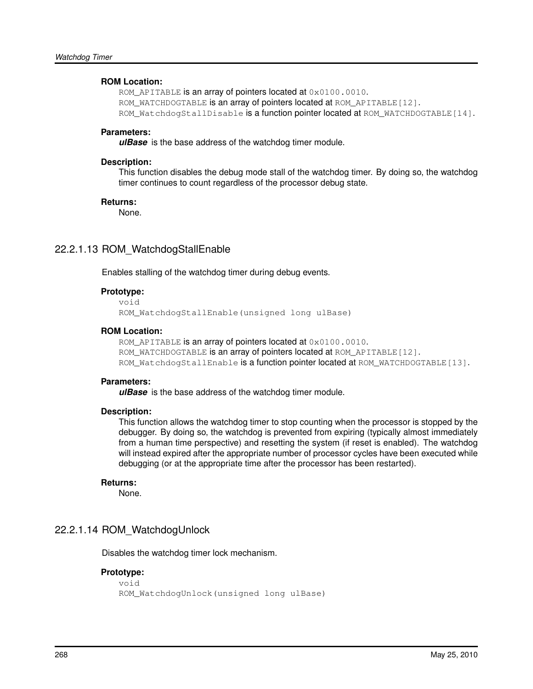#### **ROM Location:**

ROM\_APITABLE is an array of pointers located at  $0 \times 0100$ .0010. ROM\_WATCHDOGTABLE is an array of pointers located at ROM\_APITABLE [12]. ROM\_WatchdogStallDisable is a function pointer located at ROM\_WATCHDOGTABLE[14].

#### **Parameters:**

*ulBase* is the base address of the watchdog timer module.

#### **Description:**

This function disables the debug mode stall of the watchdog timer. By doing so, the watchdog timer continues to count regardless of the processor debug state.

#### **Returns:**

None.

# <span id="page-267-0"></span>22.2.1.13 ROM\_WatchdogStallEnable

Enables stalling of the watchdog timer during debug events.

#### **Prototype:**

```
void
ROM WatchdogStallEnable(unsigned long ulBase)
```
#### **ROM Location:**

ROM APITABLE is an array of pointers located at 0x0100.0010. ROM\_WATCHDOGTABLE is an array of pointers located at ROM\_APITABLE [12]. ROM\_WatchdogStallEnable is a function pointer located at ROM\_WATCHDOGTABLE[13].

#### **Parameters:**

*ulBase* is the base address of the watchdog timer module.

#### **Description:**

This function allows the watchdog timer to stop counting when the processor is stopped by the debugger. By doing so, the watchdog is prevented from expiring (typically almost immediately from a human time perspective) and resetting the system (if reset is enabled). The watchdog will instead expired after the appropriate number of processor cycles have been executed while debugging (or at the appropriate time after the processor has been restarted).

#### **Returns:**

None.

# <span id="page-267-1"></span>22.2.1.14 ROM\_WatchdogUnlock

Disables the watchdog timer lock mechanism.

# **Prototype:**

```
void
ROM_WatchdogUnlock(unsigned long ulBase)
```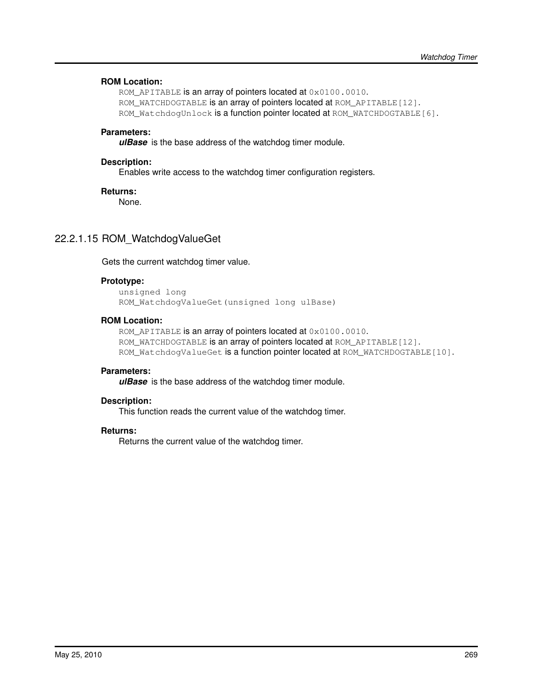# **ROM Location:**

ROM\_APITABLE is an array of pointers located at  $0 \times 0100$ .0010. ROM\_WATCHDOGTABLE is an array of pointers located at ROM\_APITABLE [12]. ROM\_WatchdogUnlock is a function pointer located at ROM\_WATCHDOGTABLE[6].

# **Parameters:**

*ulBase* is the base address of the watchdog timer module.

#### **Description:**

Enables write access to the watchdog timer configuration registers.

# **Returns:**

None.

# <span id="page-268-0"></span>22.2.1.15 ROM\_WatchdogValueGet

Gets the current watchdog timer value.

# **Prototype:**

unsigned long ROM\_WatchdogValueGet(unsigned long ulBase)

# **ROM Location:**

ROM\_APITABLE is an array of pointers located at  $0 \times 0100$ .0010. ROM WATCHDOGTABLE is an array of pointers located at ROM APITABLE [12]. ROM\_WatchdogValueGet is a function pointer located at ROM\_WATCHDOGTABLE[10].

#### **Parameters:**

*ulBase* is the base address of the watchdog timer module.

#### **Description:**

This function reads the current value of the watchdog timer.

### **Returns:**

Returns the current value of the watchdog timer.